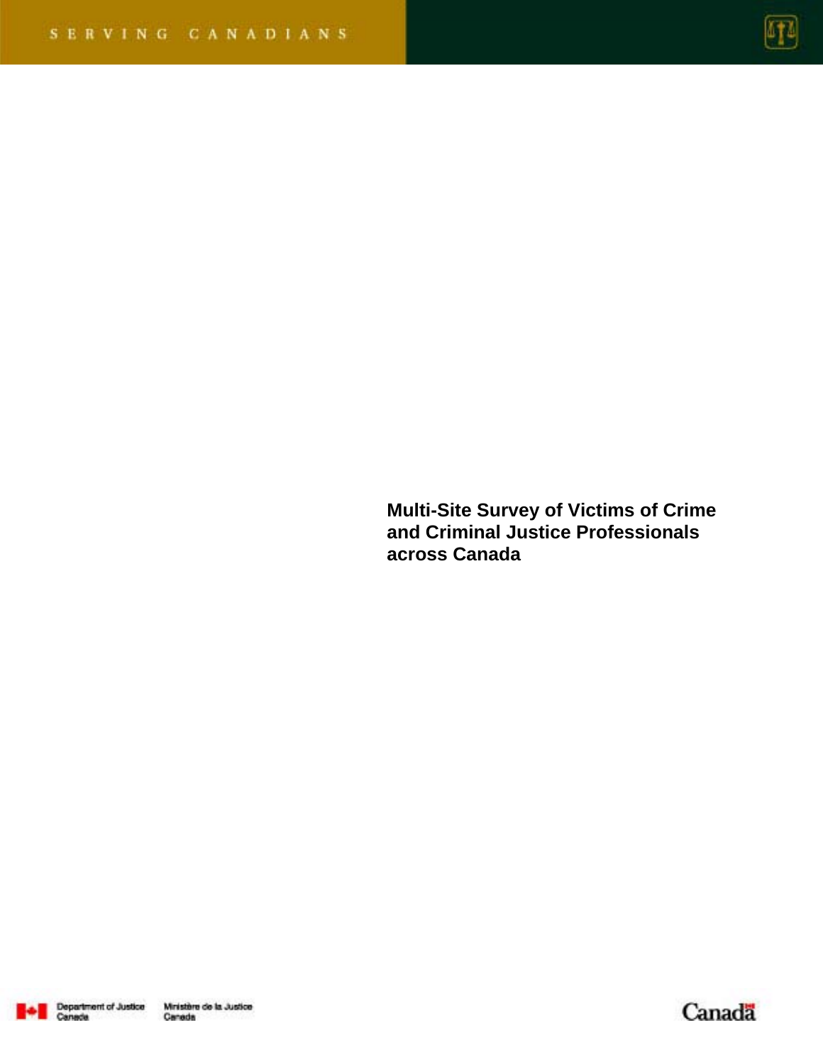

**Multi-Site Survey of Victims of Crime and Criminal Justice Professionals across Canada** 



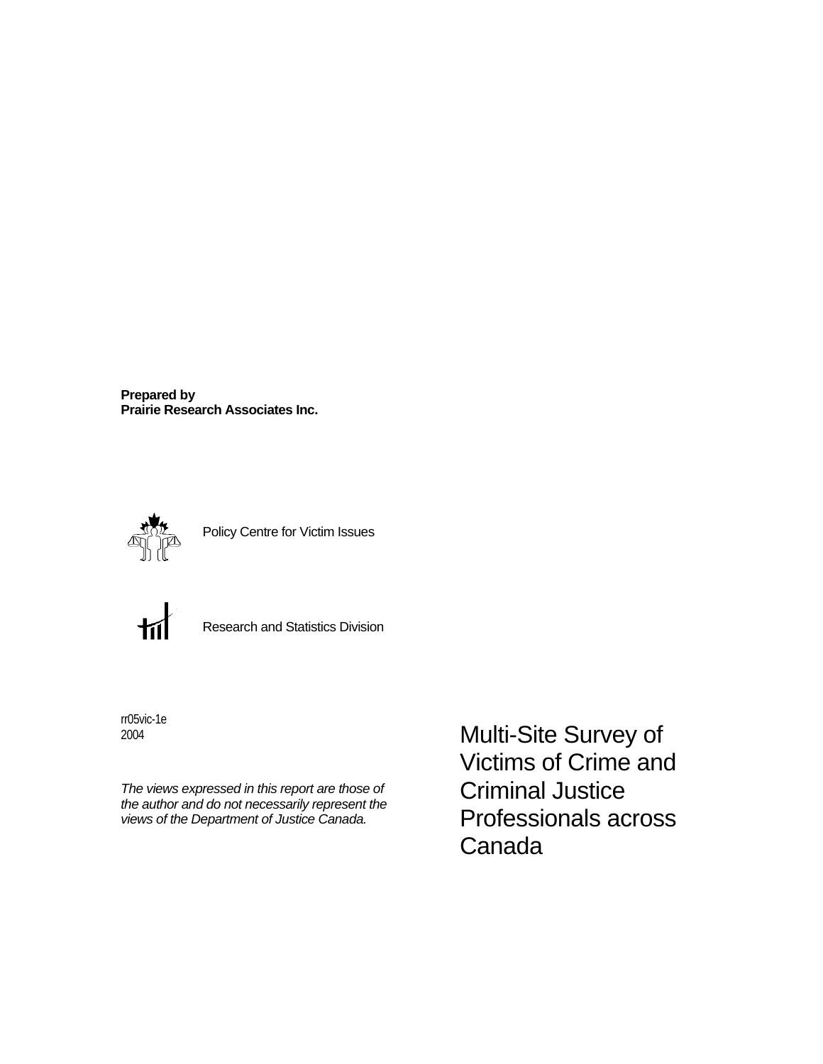**Prepared by Prairie Research Associates Inc.**



Policy Centre for Victim Issues



Research and Statistics Division

rr05vic-1e 2004

*The views expressed in this report are those of the author and do not necessarily represent the views of the Department of Justice Canada.* 

Multi-Site Survey of Victims of Crime and Criminal Justice Professionals across Canada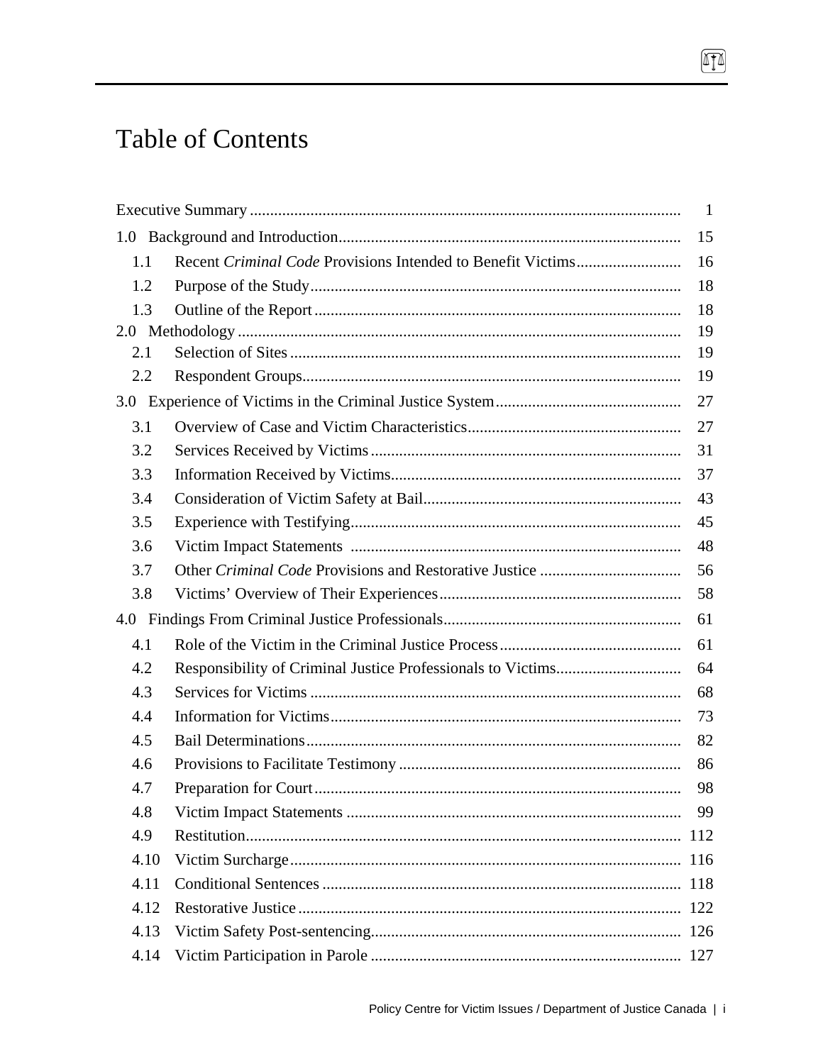# **Table of Contents**

|     |      | -1  |
|-----|------|-----|
|     |      | 15  |
| 1.1 |      | 16  |
| 1.2 |      | 18  |
| 1.3 |      | 18  |
|     |      | 19  |
| 2.1 |      | 19  |
| 2.2 |      | 19  |
|     |      | 27  |
| 3.1 |      | 27  |
| 3.2 |      | 31  |
| 3.3 |      | 37  |
| 3.4 |      | 43  |
| 3.5 |      | 45  |
| 3.6 |      | 48  |
| 3.7 |      | 56  |
| 3.8 |      | 58  |
|     |      | 61  |
| 4.1 |      | 61  |
| 4.2 |      | 64  |
| 4.3 |      | 68  |
| 4.4 |      | 73  |
| 4.5 |      | 82  |
| 4.6 |      | 86  |
| 4.7 |      | 98  |
| 4.8 |      | 99  |
| 4.9 |      | 112 |
|     | 4.10 |     |
|     | 4.11 |     |
|     | 4.12 |     |
|     | 4.13 |     |
|     | 4.14 |     |

 $\boxed{1}$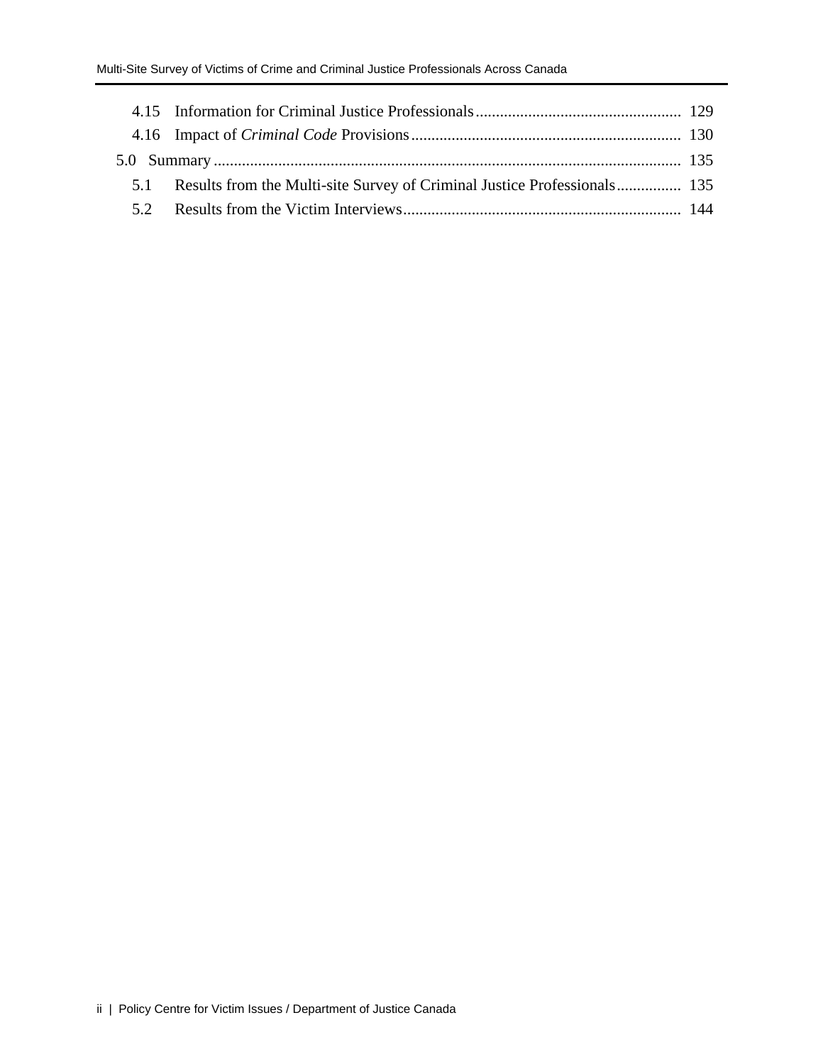| 5.1 Results from the Multi-site Survey of Criminal Justice Professionals 135 |  |
|------------------------------------------------------------------------------|--|
|                                                                              |  |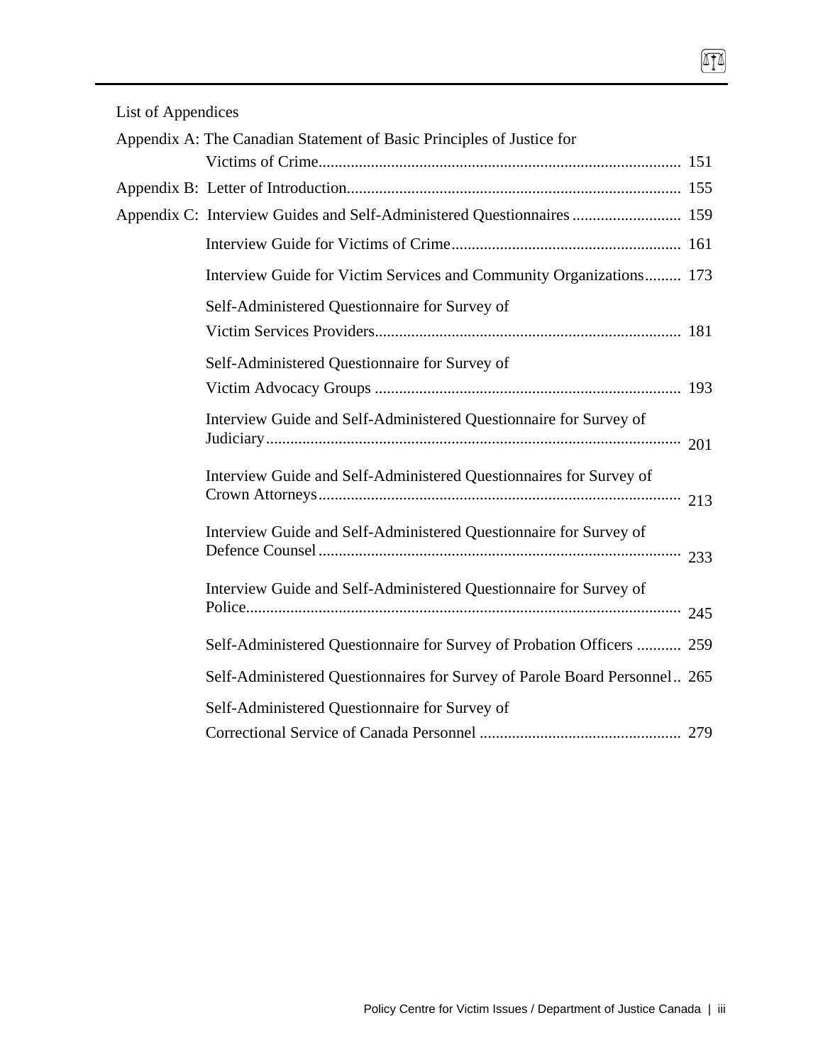| List of Appendices |  |  |  |  |  |  |  |  |  |
|--------------------|--|--|--|--|--|--|--|--|--|
|                    |  |  |  |  |  |  |  |  |  |

| Appendix A: The Canadian Statement of Basic Principles of Justice for     |     |
|---------------------------------------------------------------------------|-----|
|                                                                           |     |
|                                                                           |     |
| Appendix C: Interview Guides and Self-Administered Questionnaires  159    |     |
|                                                                           |     |
| Interview Guide for Victim Services and Community Organizations 173       |     |
| Self-Administered Questionnaire for Survey of                             |     |
|                                                                           |     |
| Self-Administered Questionnaire for Survey of                             |     |
|                                                                           |     |
| Interview Guide and Self-Administered Questionnaire for Survey of         | 201 |
| Interview Guide and Self-Administered Questionnaires for Survey of        | 213 |
| Interview Guide and Self-Administered Questionnaire for Survey of         | 233 |
| Interview Guide and Self-Administered Questionnaire for Survey of         |     |
| Self-Administered Questionnaire for Survey of Probation Officers  259     |     |
| Self-Administered Questionnaires for Survey of Parole Board Personnel 265 |     |
| Self-Administered Questionnaire for Survey of                             |     |
|                                                                           |     |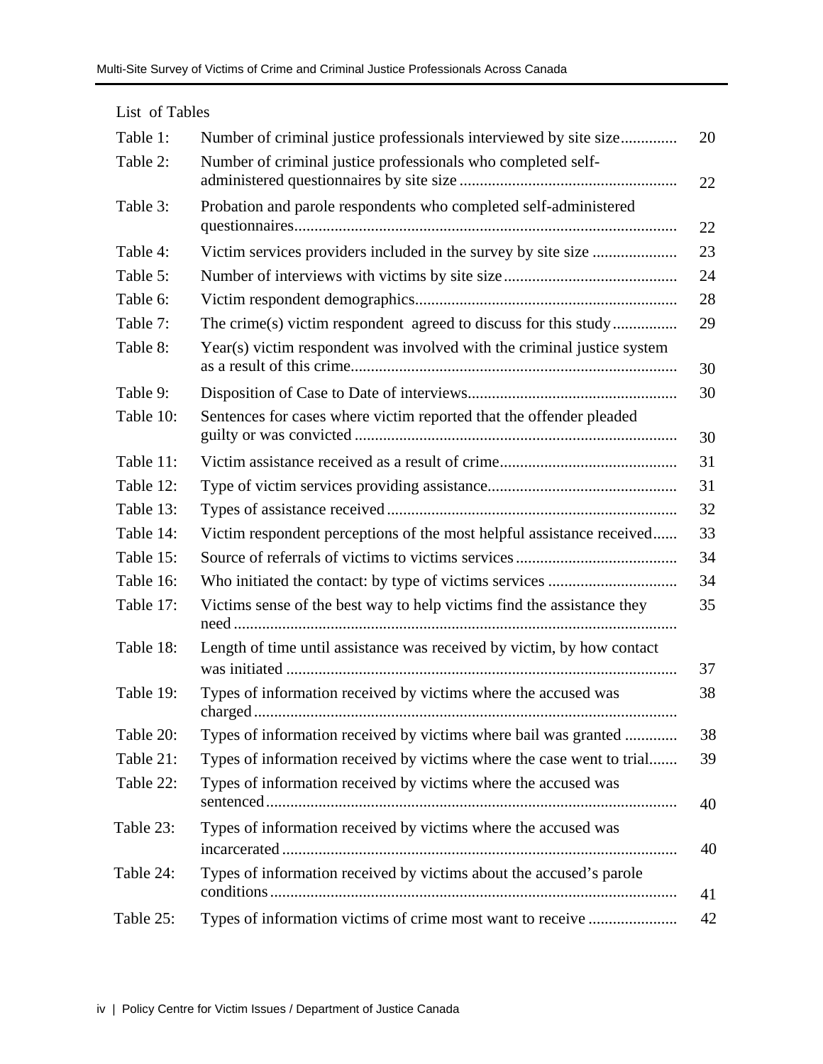| List of Tables |                                                                         |    |
|----------------|-------------------------------------------------------------------------|----|
| Table 1:       | Number of criminal justice professionals interviewed by site size       | 20 |
| Table 2:       | Number of criminal justice professionals who completed self-            | 22 |
| Table 3:       | Probation and parole respondents who completed self-administered        | 22 |
| Table 4:       | Victim services providers included in the survey by site size           | 23 |
| Table 5:       |                                                                         | 24 |
| Table 6:       |                                                                         | 28 |
| Table 7:       | The crime(s) victim respondent agreed to discuss for this study         | 29 |
| Table 8:       | Year(s) victim respondent was involved with the criminal justice system | 30 |
| Table 9:       |                                                                         | 30 |
| Table 10:      | Sentences for cases where victim reported that the offender pleaded     | 30 |
| Table 11:      |                                                                         | 31 |
| Table 12:      |                                                                         | 31 |
| Table 13:      |                                                                         | 32 |
| Table 14:      | Victim respondent perceptions of the most helpful assistance received   | 33 |
| Table 15:      |                                                                         | 34 |
| Table 16:      |                                                                         | 34 |
| Table 17:      | Victims sense of the best way to help victims find the assistance they  | 35 |
| Table 18:      | Length of time until assistance was received by victim, by how contact  | 37 |
| Table 19:      | Types of information received by victims where the accused was          | 38 |
| Table 20:      | Types of information received by victims where bail was granted         | 38 |
| Table 21:      | Types of information received by victims where the case went to trial   | 39 |
| Table 22:      | Types of information received by victims where the accused was          | 40 |
| Table 23:      | Types of information received by victims where the accused was          | 40 |
| Table 24:      | Types of information received by victims about the accused's parole     | 41 |
| Table 25:      | Types of information victims of crime most want to receive              | 42 |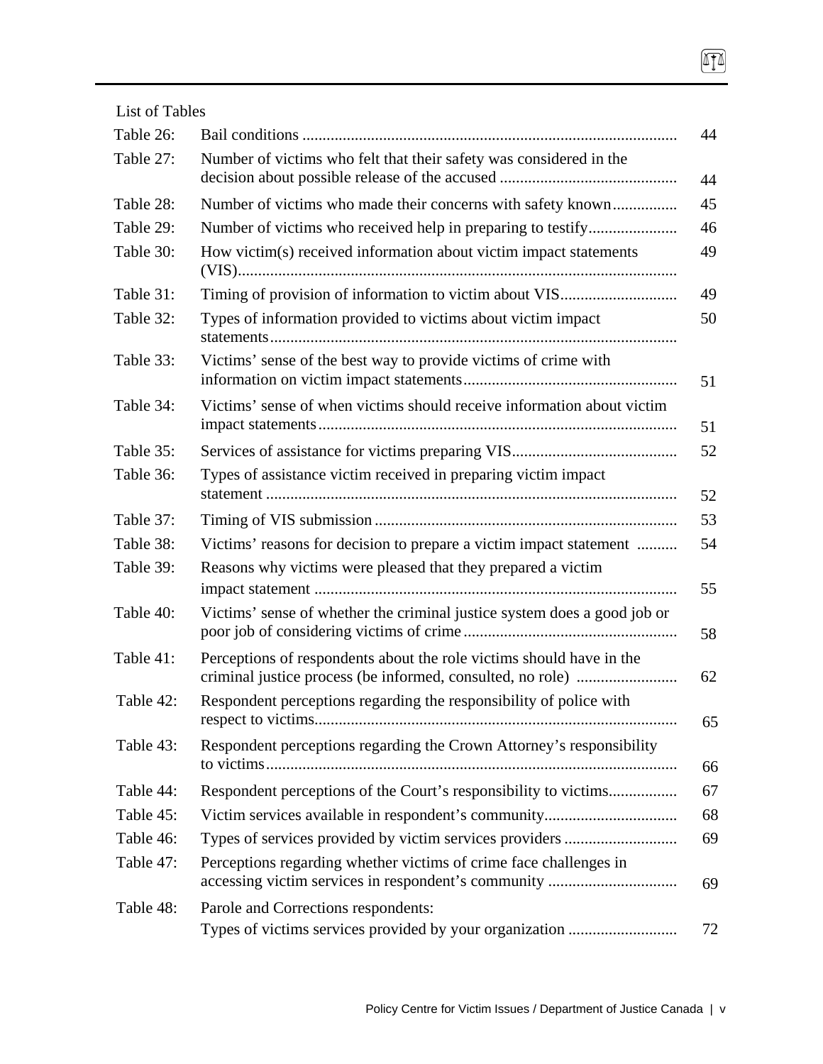| List of Tables |                                                                          |    |
|----------------|--------------------------------------------------------------------------|----|
| Table 26:      |                                                                          | 44 |
| Table 27:      | Number of victims who felt that their safety was considered in the       | 44 |
| Table 28:      |                                                                          | 45 |
| Table 29:      |                                                                          | 46 |
| Table 30:      | How victim(s) received information about victim impact statements        | 49 |
| Table 31:      |                                                                          | 49 |
| Table 32:      | Types of information provided to victims about victim impact             | 50 |
| Table 33:      | Victims' sense of the best way to provide victims of crime with          | 51 |
| Table 34:      | Victims' sense of when victims should receive information about victim   | 51 |
| Table 35:      |                                                                          | 52 |
| Table 36:      | Types of assistance victim received in preparing victim impact           | 52 |
| Table 37:      |                                                                          | 53 |
| Table 38:      | Victims' reasons for decision to prepare a victim impact statement       | 54 |
| Table 39:      | Reasons why victims were pleased that they prepared a victim             | 55 |
| Table 40:      | Victims' sense of whether the criminal justice system does a good job or | 58 |
| Table 41:      | Perceptions of respondents about the role victims should have in the     | 62 |
| Table 42:      | Respondent perceptions regarding the responsibility of police with       | 65 |
| Table 43:      | Respondent perceptions regarding the Crown Attorney's responsibility     | 66 |
| Table 44:      | Respondent perceptions of the Court's responsibility to victims          | 67 |
| Table 45:      |                                                                          | 68 |
| Table 46:      |                                                                          | 69 |
| Table 47:      | Perceptions regarding whether victims of crime face challenges in        | 69 |
| Table 48:      | Parole and Corrections respondents:                                      | 72 |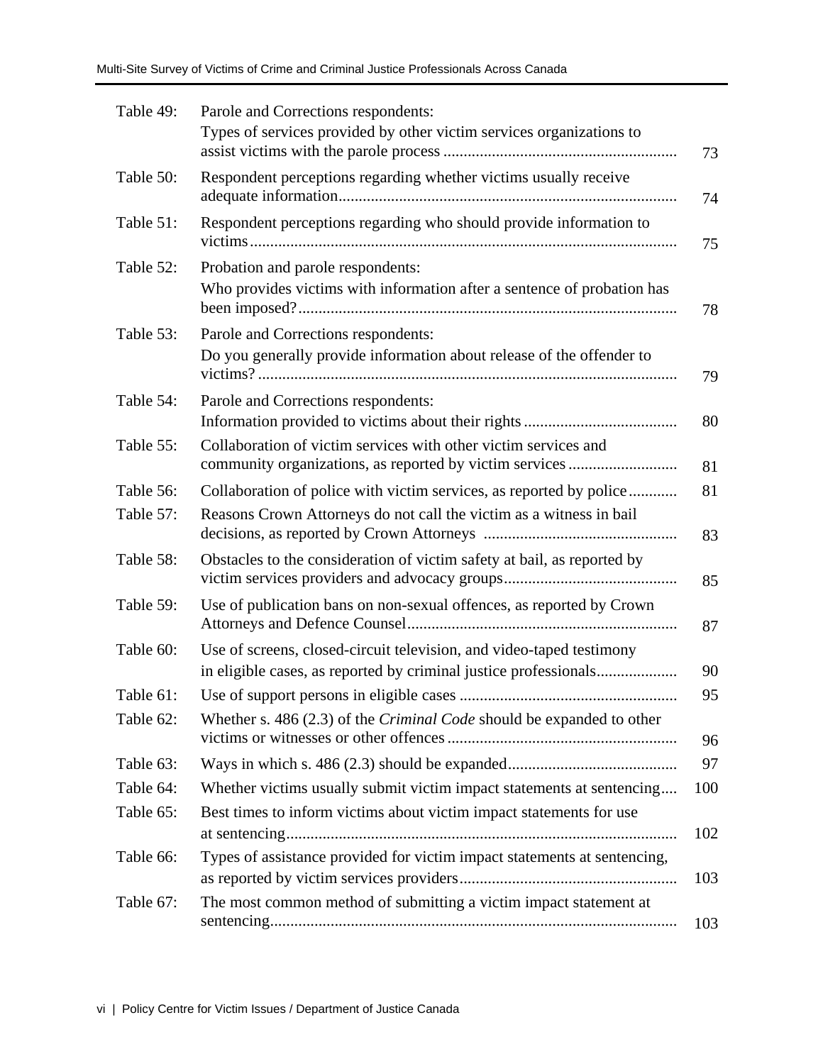| Table 49: | Parole and Corrections respondents:<br>Types of services provided by other victim services organizations to                              |
|-----------|------------------------------------------------------------------------------------------------------------------------------------------|
| Table 50: | Respondent perceptions regarding whether victims usually receive                                                                         |
| Table 51: | Respondent perceptions regarding who should provide information to                                                                       |
| Table 52: | Probation and parole respondents:<br>Who provides victims with information after a sentence of probation has                             |
| Table 53: | Parole and Corrections respondents:<br>Do you generally provide information about release of the offender to                             |
| Table 54: | Parole and Corrections respondents:                                                                                                      |
| Table 55: | Collaboration of victim services with other victim services and                                                                          |
| Table 56: | Collaboration of police with victim services, as reported by police                                                                      |
| Table 57: | Reasons Crown Attorneys do not call the victim as a witness in bail                                                                      |
| Table 58: | Obstacles to the consideration of victim safety at bail, as reported by                                                                  |
| Table 59: | Use of publication bans on non-sexual offences, as reported by Crown                                                                     |
| Table 60: | Use of screens, closed-circuit television, and video-taped testimony<br>in eligible cases, as reported by criminal justice professionals |
| Table 61: |                                                                                                                                          |
| Table 62: | Whether s. 486 (2.3) of the <i>Criminal Code</i> should be expanded to other                                                             |
| Table 63: |                                                                                                                                          |
| Table 64: | Whether victims usually submit victim impact statements at sentencing                                                                    |
| Table 65: | Best times to inform victims about victim impact statements for use                                                                      |
| Table 66: | Types of assistance provided for victim impact statements at sentencing,                                                                 |
| Table 67: | The most common method of submitting a victim impact statement at                                                                        |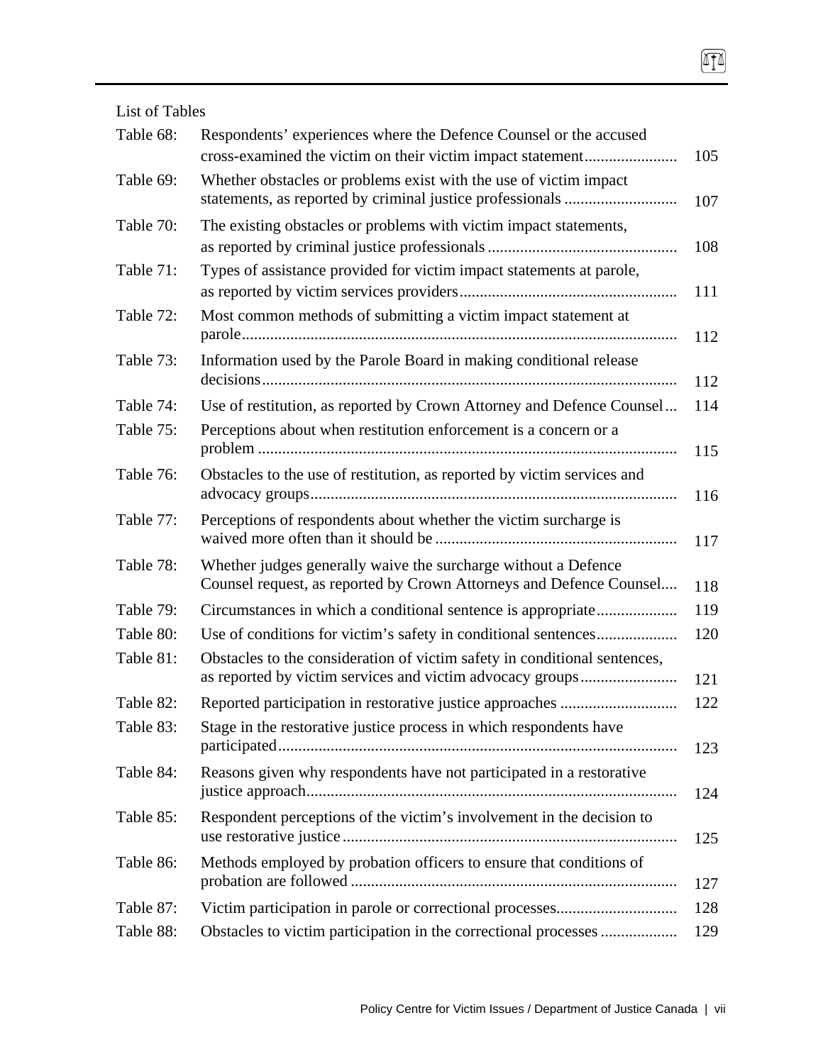List of Tables Table 68: Respondents' experiences where the Defence Counsel or the accused cross-examined the victim on their victim impact statement....................... 105 Table 69: Whether obstacles or problems exist with the use of victim impact statements, as reported by criminal justice professionals ............................ 107 Table 70: The existing obstacles or problems with victim impact statements, as reported by criminal justice professionals ............................................... 108 Table 71: Types of assistance provided for victim impact statements at parole, as reported by victim services providers...................................................... 111 Table 72: Most common methods of submitting a victim impact statement at parole............................................................................................................ 112 Table 73: Information used by the Parole Board in making conditional release decisions....................................................................................................... 112 Table 74: Use of restitution, as reported by Crown Attorney and Defence Counsel... 114 Table 75: Perceptions about when restitution enforcement is a concern or a problem ........................................................................................................ 115 Table 76: Obstacles to the use of restitution, as reported by victim services and advocacy groups........................................................................................... 116 Table 77: Perceptions of respondents about whether the victim surcharge is waived more often than it should be ............................................................ 117 Table 78: Whether judges generally waive the surcharge without a Defence Counsel request, as reported by Crown Attorneys and Defence Counsel.... 118 Table 79: Circumstances in which a conditional sentence is appropriate.................... 119 Table 80: Use of conditions for victim's safety in conditional sentences.................... 120 Table 81: Obstacles to the consideration of victim safety in conditional sentences, as reported by victim services and victim advocacy groups........................ 121 Table 82: Reported participation in restorative justice approaches ............................. 122 Table 83: Stage in the restorative justice process in which respondents have participated................................................................................................... 123 Table 84: Reasons given why respondents have not participated in a restorative justice approach............................................................................................ 124

ITI

Table 85: Respondent perceptions of the victim's involvement in the decision to use restorative justice ................................................................................... 125 Table 86: Methods employed by probation officers to ensure that conditions of probation are followed ................................................................................. 127 Table 87: Victim participation in parole or correctional processes.............................. 128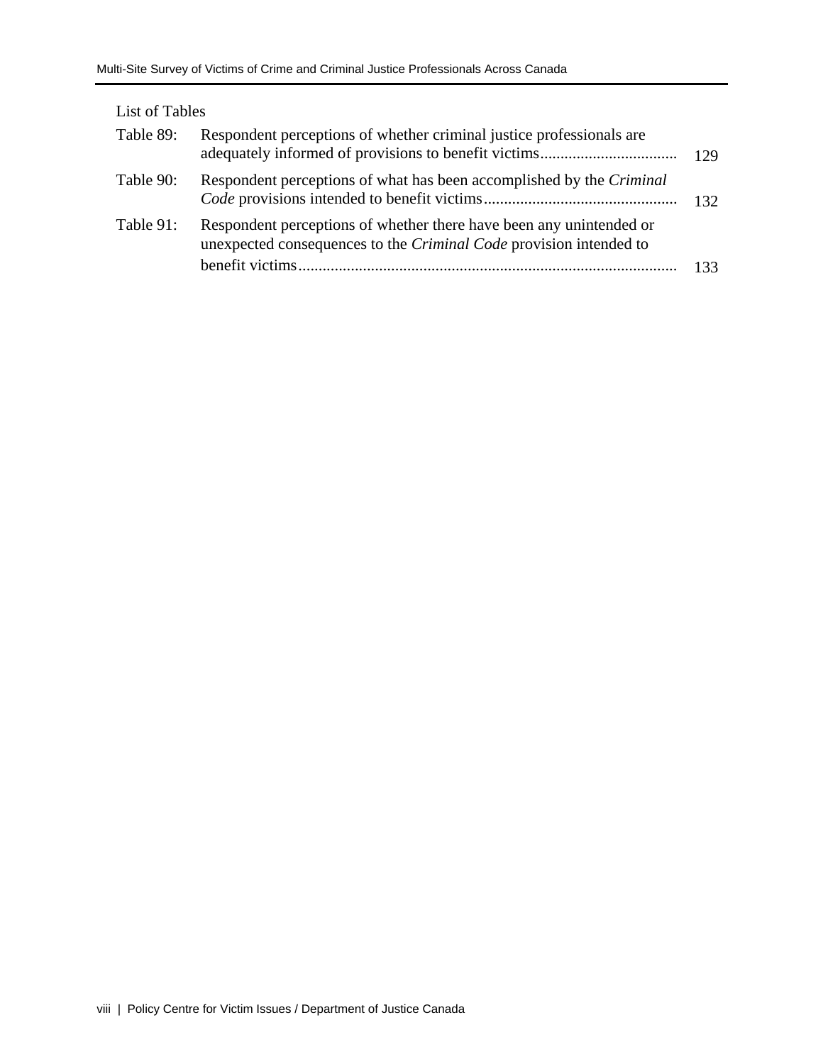| List of Tables |                                                                                                                                           |     |
|----------------|-------------------------------------------------------------------------------------------------------------------------------------------|-----|
| Table 89:      | Respondent perceptions of whether criminal justice professionals are                                                                      | 129 |
| Table 90:      | Respondent perceptions of what has been accomplished by the <i>Criminal</i>                                                               | 132 |
| Table 91:      | Respondent perceptions of whether there have been any unintended or<br>unexpected consequences to the Criminal Code provision intended to |     |
|                |                                                                                                                                           | 133 |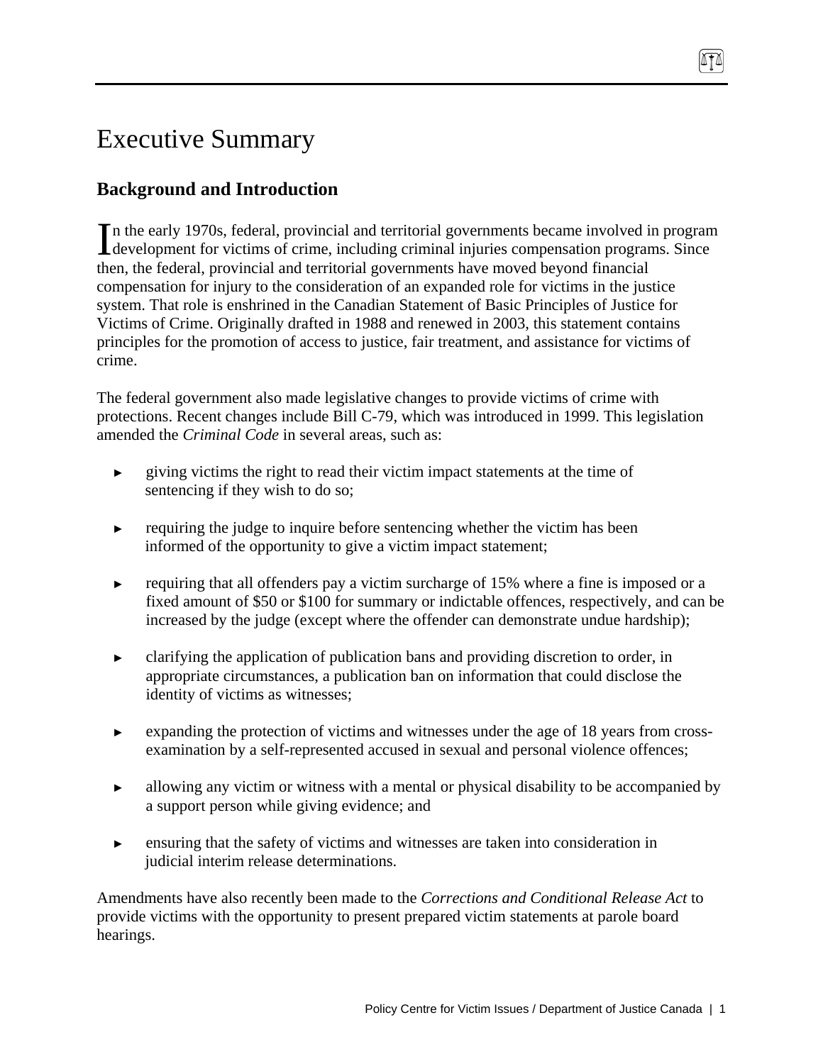# Executive Summary

# **Background and Introduction**

n the early 1970s, federal, provincial and territorial governments became involved in program In the early 1970s, federal, provincial and territorial governments became involved in program development for victims of crime, including criminal injuries compensation programs. Since then, the federal, provincial and territorial governments have moved beyond financial compensation for injury to the consideration of an expanded role for victims in the justice system. That role is enshrined in the Canadian Statement of Basic Principles of Justice for Victims of Crime. Originally drafted in 1988 and renewed in 2003, this statement contains principles for the promotion of access to justice, fair treatment, and assistance for victims of crime.

The federal government also made legislative changes to provide victims of crime with protections. Recent changes include Bill C-79, which was introduced in 1999. This legislation amended the *Criminal Code* in several areas, such as:

- ► giving victims the right to read their victim impact statements at the time of sentencing if they wish to do so;
- ► requiring the judge to inquire before sentencing whether the victim has been informed of the opportunity to give a victim impact statement;
- ► requiring that all offenders pay a victim surcharge of 15% where a fine is imposed or a fixed amount of \$50 or \$100 for summary or indictable offences, respectively, and can be increased by the judge (except where the offender can demonstrate undue hardship);
- ► clarifying the application of publication bans and providing discretion to order, in appropriate circumstances, a publication ban on information that could disclose the identity of victims as witnesses;
- ► expanding the protection of victims and witnesses under the age of 18 years from crossexamination by a self-represented accused in sexual and personal violence offences;
- ► allowing any victim or witness with a mental or physical disability to be accompanied by a support person while giving evidence; and
- ► ensuring that the safety of victims and witnesses are taken into consideration in judicial interim release determinations.

Amendments have also recently been made to the *Corrections and Conditional Release Act* to provide victims with the opportunity to present prepared victim statements at parole board hearings.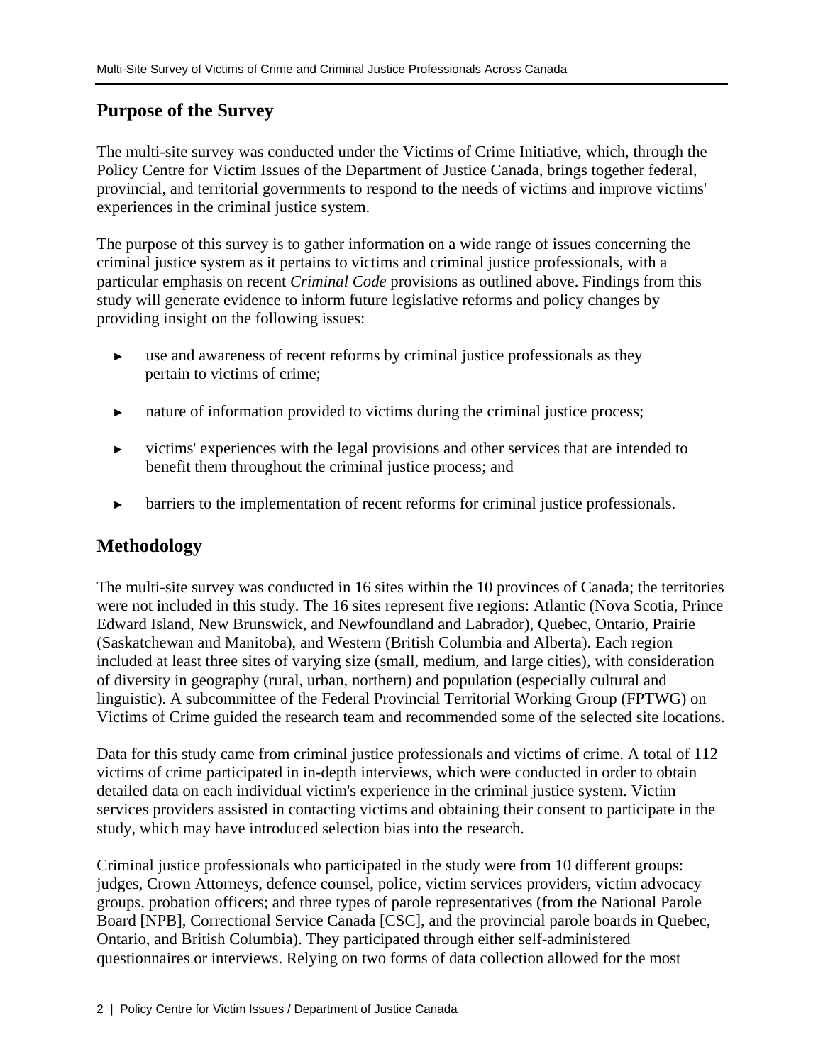# **Purpose of the Survey**

The multi-site survey was conducted under the Victims of Crime Initiative, which, through the Policy Centre for Victim Issues of the Department of Justice Canada, brings together federal, provincial, and territorial governments to respond to the needs of victims and improve victims' experiences in the criminal justice system.

The purpose of this survey is to gather information on a wide range of issues concerning the criminal justice system as it pertains to victims and criminal justice professionals, with a particular emphasis on recent *Criminal Code* provisions as outlined above. Findings from this study will generate evidence to inform future legislative reforms and policy changes by providing insight on the following issues:

- ► use and awareness of recent reforms by criminal justice professionals as they pertain to victims of crime;
- nature of information provided to victims during the criminal justice process;
- ► victims' experiences with the legal provisions and other services that are intended to benefit them throughout the criminal justice process; and
- barriers to the implementation of recent reforms for criminal justice professionals.

# **Methodology**

The multi-site survey was conducted in 16 sites within the 10 provinces of Canada; the territories were not included in this study. The 16 sites represent five regions: Atlantic (Nova Scotia, Prince Edward Island, New Brunswick, and Newfoundland and Labrador), Quebec, Ontario, Prairie (Saskatchewan and Manitoba), and Western (British Columbia and Alberta). Each region included at least three sites of varying size (small, medium, and large cities), with consideration of diversity in geography (rural, urban, northern) and population (especially cultural and linguistic). A subcommittee of the Federal Provincial Territorial Working Group (FPTWG) on Victims of Crime guided the research team and recommended some of the selected site locations.

Data for this study came from criminal justice professionals and victims of crime. A total of 112 victims of crime participated in in-depth interviews, which were conducted in order to obtain detailed data on each individual victim's experience in the criminal justice system. Victim services providers assisted in contacting victims and obtaining their consent to participate in the study, which may have introduced selection bias into the research.

Criminal justice professionals who participated in the study were from 10 different groups: judges, Crown Attorneys, defence counsel, police, victim services providers, victim advocacy groups, probation officers; and three types of parole representatives (from the National Parole Board [NPB], Correctional Service Canada [CSC], and the provincial parole boards in Quebec, Ontario, and British Columbia). They participated through either self-administered questionnaires or interviews. Relying on two forms of data collection allowed for the most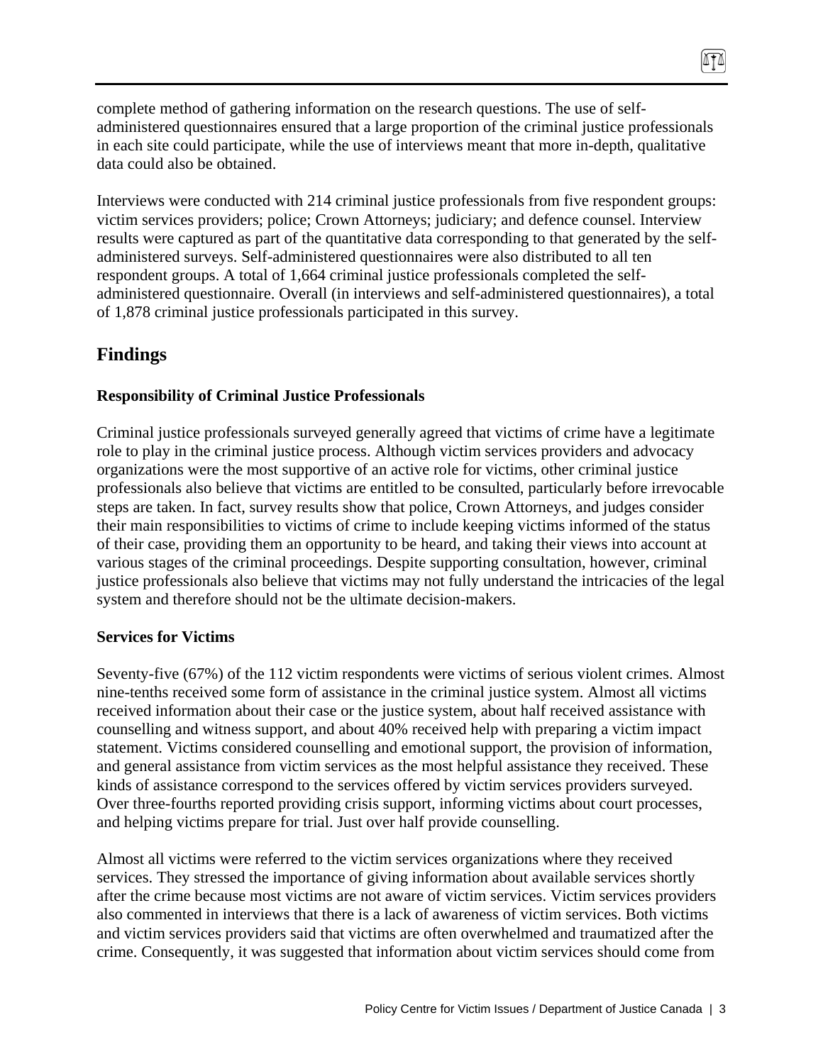complete method of gathering information on the research questions. The use of selfadministered questionnaires ensured that a large proportion of the criminal justice professionals in each site could participate, while the use of interviews meant that more in-depth, qualitative data could also be obtained.

Interviews were conducted with 214 criminal justice professionals from five respondent groups: victim services providers; police; Crown Attorneys; judiciary; and defence counsel. Interview results were captured as part of the quantitative data corresponding to that generated by the selfadministered surveys. Self-administered questionnaires were also distributed to all ten respondent groups. A total of 1,664 criminal justice professionals completed the selfadministered questionnaire. Overall (in interviews and self-administered questionnaires), a total of 1,878 criminal justice professionals participated in this survey.

# **Findings**

#### **Responsibility of Criminal Justice Professionals**

Criminal justice professionals surveyed generally agreed that victims of crime have a legitimate role to play in the criminal justice process. Although victim services providers and advocacy organizations were the most supportive of an active role for victims, other criminal justice professionals also believe that victims are entitled to be consulted, particularly before irrevocable steps are taken. In fact, survey results show that police, Crown Attorneys, and judges consider their main responsibilities to victims of crime to include keeping victims informed of the status of their case, providing them an opportunity to be heard, and taking their views into account at various stages of the criminal proceedings. Despite supporting consultation, however, criminal justice professionals also believe that victims may not fully understand the intricacies of the legal system and therefore should not be the ultimate decision-makers.

#### **Services for Victims**

Seventy-five (67%) of the 112 victim respondents were victims of serious violent crimes. Almost nine-tenths received some form of assistance in the criminal justice system. Almost all victims received information about their case or the justice system, about half received assistance with counselling and witness support, and about 40% received help with preparing a victim impact statement. Victims considered counselling and emotional support, the provision of information, and general assistance from victim services as the most helpful assistance they received. These kinds of assistance correspond to the services offered by victim services providers surveyed. Over three-fourths reported providing crisis support, informing victims about court processes, and helping victims prepare for trial. Just over half provide counselling.

Almost all victims were referred to the victim services organizations where they received services. They stressed the importance of giving information about available services shortly after the crime because most victims are not aware of victim services. Victim services providers also commented in interviews that there is a lack of awareness of victim services. Both victims and victim services providers said that victims are often overwhelmed and traumatized after the crime. Consequently, it was suggested that information about victim services should come from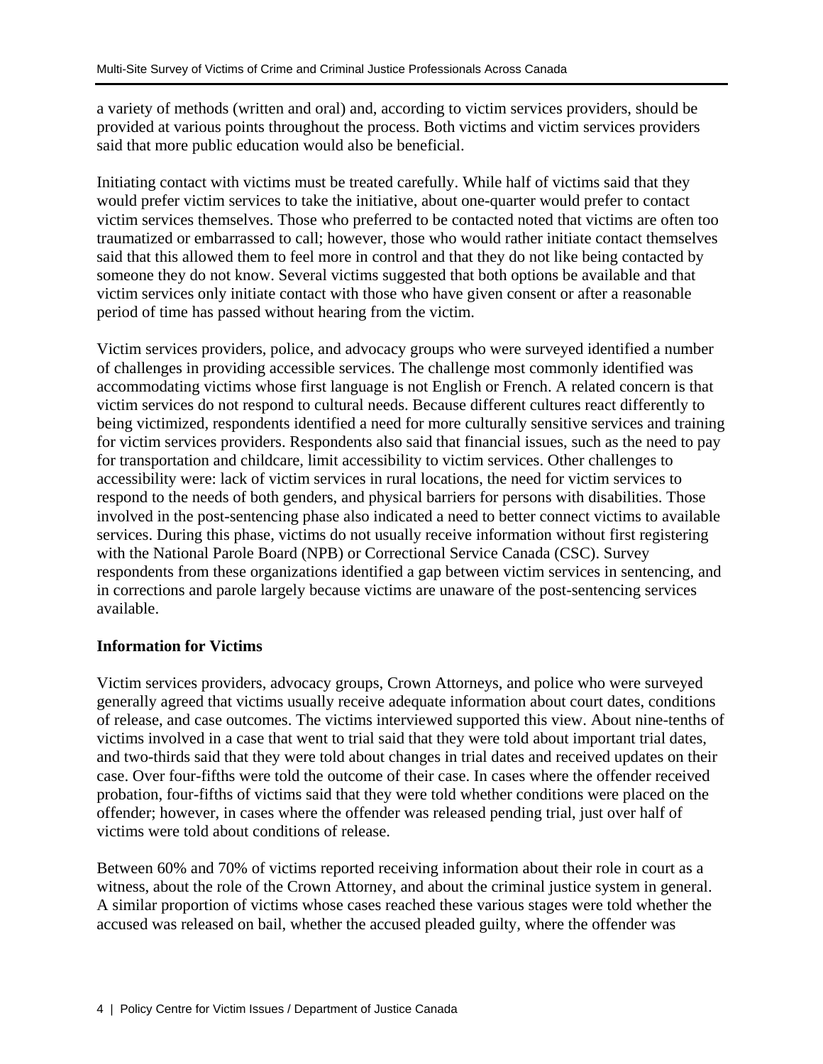a variety of methods (written and oral) and, according to victim services providers, should be provided at various points throughout the process. Both victims and victim services providers said that more public education would also be beneficial.

Initiating contact with victims must be treated carefully. While half of victims said that they would prefer victim services to take the initiative, about one-quarter would prefer to contact victim services themselves. Those who preferred to be contacted noted that victims are often too traumatized or embarrassed to call; however, those who would rather initiate contact themselves said that this allowed them to feel more in control and that they do not like being contacted by someone they do not know. Several victims suggested that both options be available and that victim services only initiate contact with those who have given consent or after a reasonable period of time has passed without hearing from the victim.

Victim services providers, police, and advocacy groups who were surveyed identified a number of challenges in providing accessible services. The challenge most commonly identified was accommodating victims whose first language is not English or French. A related concern is that victim services do not respond to cultural needs. Because different cultures react differently to being victimized, respondents identified a need for more culturally sensitive services and training for victim services providers. Respondents also said that financial issues, such as the need to pay for transportation and childcare, limit accessibility to victim services. Other challenges to accessibility were: lack of victim services in rural locations, the need for victim services to respond to the needs of both genders, and physical barriers for persons with disabilities. Those involved in the post-sentencing phase also indicated a need to better connect victims to available services. During this phase, victims do not usually receive information without first registering with the National Parole Board (NPB) or Correctional Service Canada (CSC). Survey respondents from these organizations identified a gap between victim services in sentencing, and in corrections and parole largely because victims are unaware of the post-sentencing services available.

# **Information for Victims**

Victim services providers, advocacy groups, Crown Attorneys, and police who were surveyed generally agreed that victims usually receive adequate information about court dates, conditions of release, and case outcomes. The victims interviewed supported this view. About nine-tenths of victims involved in a case that went to trial said that they were told about important trial dates, and two-thirds said that they were told about changes in trial dates and received updates on their case. Over four-fifths were told the outcome of their case. In cases where the offender received probation, four-fifths of victims said that they were told whether conditions were placed on the offender; however, in cases where the offender was released pending trial, just over half of victims were told about conditions of release.

Between 60% and 70% of victims reported receiving information about their role in court as a witness, about the role of the Crown Attorney, and about the criminal justice system in general. A similar proportion of victims whose cases reached these various stages were told whether the accused was released on bail, whether the accused pleaded guilty, where the offender was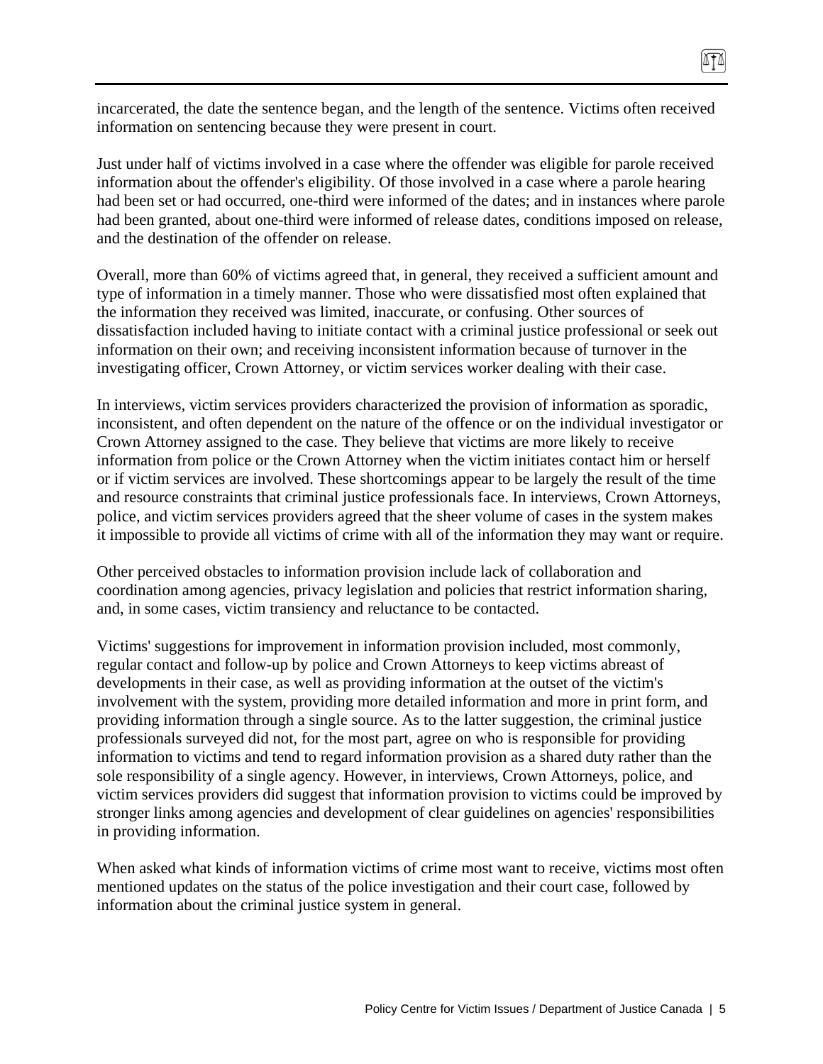incarcerated, the date the sentence began, and the length of the sentence. Victims often received information on sentencing because they were present in court.

874

Just under half of victims involved in a case where the offender was eligible for parole received information about the offender's eligibility. Of those involved in a case where a parole hearing had been set or had occurred, one-third were informed of the dates; and in instances where parole had been granted, about one-third were informed of release dates, conditions imposed on release, and the destination of the offender on release.

Overall, more than 60% of victims agreed that, in general, they received a sufficient amount and type of information in a timely manner. Those who were dissatisfied most often explained that the information they received was limited, inaccurate, or confusing. Other sources of dissatisfaction included having to initiate contact with a criminal justice professional or seek out information on their own; and receiving inconsistent information because of turnover in the investigating officer, Crown Attorney, or victim services worker dealing with their case.

In interviews, victim services providers characterized the provision of information as sporadic, inconsistent, and often dependent on the nature of the offence or on the individual investigator or Crown Attorney assigned to the case. They believe that victims are more likely to receive information from police or the Crown Attorney when the victim initiates contact him or herself or if victim services are involved. These shortcomings appear to be largely the result of the time and resource constraints that criminal justice professionals face. In interviews, Crown Attorneys, police, and victim services providers agreed that the sheer volume of cases in the system makes it impossible to provide all victims of crime with all of the information they may want or require.

Other perceived obstacles to information provision include lack of collaboration and coordination among agencies, privacy legislation and policies that restrict information sharing, and, in some cases, victim transiency and reluctance to be contacted.

Victims' suggestions for improvement in information provision included, most commonly, regular contact and follow-up by police and Crown Attorneys to keep victims abreast of developments in their case, as well as providing information at the outset of the victim's involvement with the system, providing more detailed information and more in print form, and providing information through a single source. As to the latter suggestion, the criminal justice professionals surveyed did not, for the most part, agree on who is responsible for providing information to victims and tend to regard information provision as a shared duty rather than the sole responsibility of a single agency. However, in interviews, Crown Attorneys, police, and victim services providers did suggest that information provision to victims could be improved by stronger links among agencies and development of clear guidelines on agencies' responsibilities in providing information.

When asked what kinds of information victims of crime most want to receive, victims most often mentioned updates on the status of the police investigation and their court case, followed by information about the criminal justice system in general.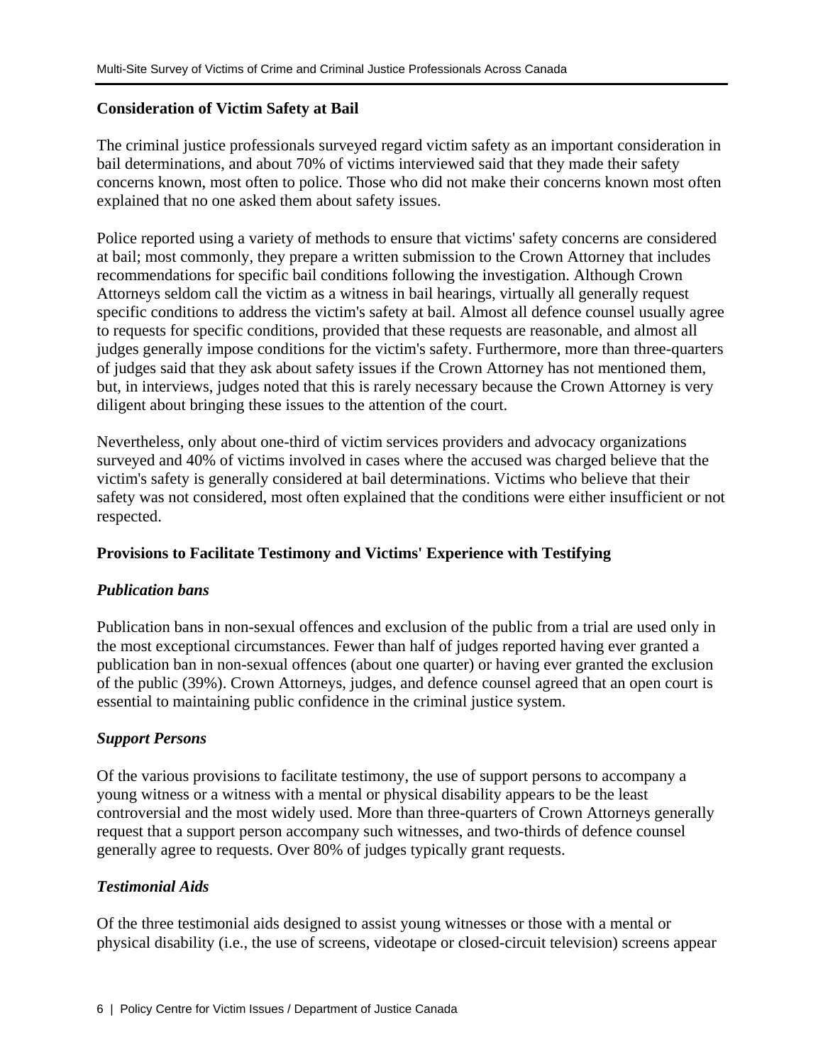# **Consideration of Victim Safety at Bail**

The criminal justice professionals surveyed regard victim safety as an important consideration in bail determinations, and about 70% of victims interviewed said that they made their safety concerns known, most often to police. Those who did not make their concerns known most often explained that no one asked them about safety issues.

Police reported using a variety of methods to ensure that victims' safety concerns are considered at bail; most commonly, they prepare a written submission to the Crown Attorney that includes recommendations for specific bail conditions following the investigation. Although Crown Attorneys seldom call the victim as a witness in bail hearings, virtually all generally request specific conditions to address the victim's safety at bail. Almost all defence counsel usually agree to requests for specific conditions, provided that these requests are reasonable, and almost all judges generally impose conditions for the victim's safety. Furthermore, more than three-quarters of judges said that they ask about safety issues if the Crown Attorney has not mentioned them, but, in interviews, judges noted that this is rarely necessary because the Crown Attorney is very diligent about bringing these issues to the attention of the court.

Nevertheless, only about one-third of victim services providers and advocacy organizations surveyed and 40% of victims involved in cases where the accused was charged believe that the victim's safety is generally considered at bail determinations. Victims who believe that their safety was not considered, most often explained that the conditions were either insufficient or not respected.

# **Provisions to Facilitate Testimony and Victims' Experience with Testifying**

# *Publication bans*

Publication bans in non-sexual offences and exclusion of the public from a trial are used only in the most exceptional circumstances. Fewer than half of judges reported having ever granted a publication ban in non-sexual offences (about one quarter) or having ever granted the exclusion of the public (39%). Crown Attorneys, judges, and defence counsel agreed that an open court is essential to maintaining public confidence in the criminal justice system.

# *Support Persons*

Of the various provisions to facilitate testimony, the use of support persons to accompany a young witness or a witness with a mental or physical disability appears to be the least controversial and the most widely used. More than three-quarters of Crown Attorneys generally request that a support person accompany such witnesses, and two-thirds of defence counsel generally agree to requests. Over 80% of judges typically grant requests.

# *Testimonial Aids*

Of the three testimonial aids designed to assist young witnesses or those with a mental or physical disability (i.e., the use of screens, videotape or closed-circuit television) screens appear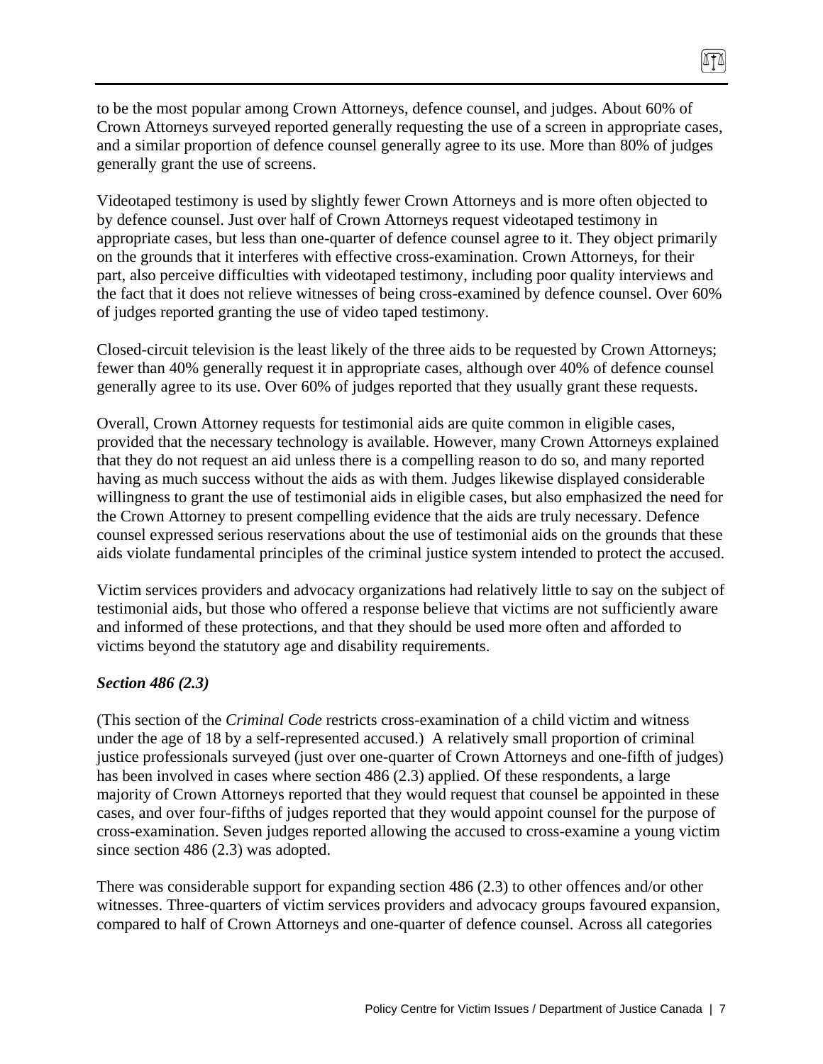to be the most popular among Crown Attorneys, defence counsel, and judges. About 60% of Crown Attorneys surveyed reported generally requesting the use of a screen in appropriate cases, and a similar proportion of defence counsel generally agree to its use. More than 80% of judges generally grant the use of screens.

874

Videotaped testimony is used by slightly fewer Crown Attorneys and is more often objected to by defence counsel. Just over half of Crown Attorneys request videotaped testimony in appropriate cases, but less than one-quarter of defence counsel agree to it. They object primarily on the grounds that it interferes with effective cross-examination. Crown Attorneys, for their part, also perceive difficulties with videotaped testimony, including poor quality interviews and the fact that it does not relieve witnesses of being cross-examined by defence counsel. Over 60% of judges reported granting the use of video taped testimony.

Closed-circuit television is the least likely of the three aids to be requested by Crown Attorneys; fewer than 40% generally request it in appropriate cases, although over 40% of defence counsel generally agree to its use. Over 60% of judges reported that they usually grant these requests.

Overall, Crown Attorney requests for testimonial aids are quite common in eligible cases, provided that the necessary technology is available. However, many Crown Attorneys explained that they do not request an aid unless there is a compelling reason to do so, and many reported having as much success without the aids as with them. Judges likewise displayed considerable willingness to grant the use of testimonial aids in eligible cases, but also emphasized the need for the Crown Attorney to present compelling evidence that the aids are truly necessary. Defence counsel expressed serious reservations about the use of testimonial aids on the grounds that these aids violate fundamental principles of the criminal justice system intended to protect the accused.

Victim services providers and advocacy organizations had relatively little to say on the subject of testimonial aids, but those who offered a response believe that victims are not sufficiently aware and informed of these protections, and that they should be used more often and afforded to victims beyond the statutory age and disability requirements.

# *Section 486 (2.3)*

(This section of the *Criminal Code* restricts cross-examination of a child victim and witness under the age of 18 by a self-represented accused.) A relatively small proportion of criminal justice professionals surveyed (just over one-quarter of Crown Attorneys and one-fifth of judges) has been involved in cases where section 486 (2.3) applied. Of these respondents, a large majority of Crown Attorneys reported that they would request that counsel be appointed in these cases, and over four-fifths of judges reported that they would appoint counsel for the purpose of cross-examination. Seven judges reported allowing the accused to cross-examine a young victim since section 486 (2.3) was adopted.

There was considerable support for expanding section 486 (2.3) to other offences and/or other witnesses. Three-quarters of victim services providers and advocacy groups favoured expansion, compared to half of Crown Attorneys and one-quarter of defence counsel. Across all categories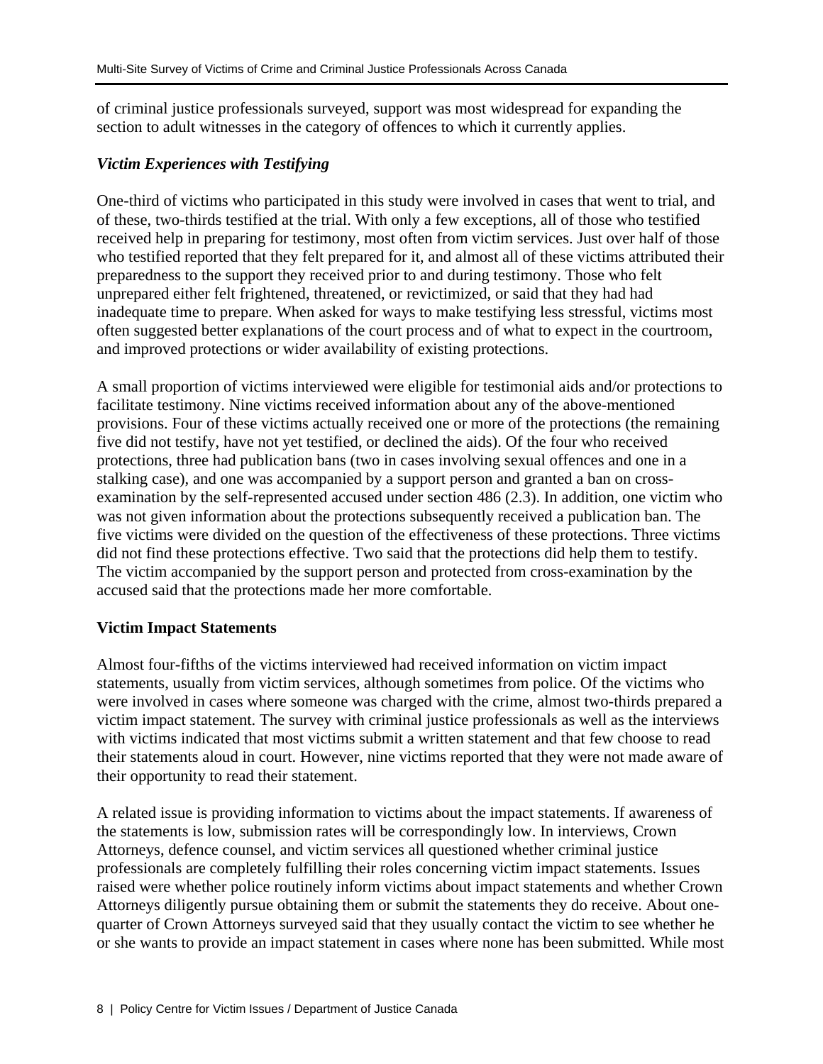of criminal justice professionals surveyed, support was most widespread for expanding the section to adult witnesses in the category of offences to which it currently applies.

### *Victim Experiences with Testifying*

One-third of victims who participated in this study were involved in cases that went to trial, and of these, two-thirds testified at the trial. With only a few exceptions, all of those who testified received help in preparing for testimony, most often from victim services. Just over half of those who testified reported that they felt prepared for it, and almost all of these victims attributed their preparedness to the support they received prior to and during testimony. Those who felt unprepared either felt frightened, threatened, or revictimized, or said that they had had inadequate time to prepare. When asked for ways to make testifying less stressful, victims most often suggested better explanations of the court process and of what to expect in the courtroom, and improved protections or wider availability of existing protections.

A small proportion of victims interviewed were eligible for testimonial aids and/or protections to facilitate testimony. Nine victims received information about any of the above-mentioned provisions. Four of these victims actually received one or more of the protections (the remaining five did not testify, have not yet testified, or declined the aids). Of the four who received protections, three had publication bans (two in cases involving sexual offences and one in a stalking case), and one was accompanied by a support person and granted a ban on crossexamination by the self-represented accused under section 486 (2.3). In addition, one victim who was not given information about the protections subsequently received a publication ban. The five victims were divided on the question of the effectiveness of these protections. Three victims did not find these protections effective. Two said that the protections did help them to testify. The victim accompanied by the support person and protected from cross-examination by the accused said that the protections made her more comfortable.

# **Victim Impact Statements**

Almost four-fifths of the victims interviewed had received information on victim impact statements, usually from victim services, although sometimes from police. Of the victims who were involved in cases where someone was charged with the crime, almost two-thirds prepared a victim impact statement. The survey with criminal justice professionals as well as the interviews with victims indicated that most victims submit a written statement and that few choose to read their statements aloud in court. However, nine victims reported that they were not made aware of their opportunity to read their statement.

A related issue is providing information to victims about the impact statements. If awareness of the statements is low, submission rates will be correspondingly low. In interviews, Crown Attorneys, defence counsel, and victim services all questioned whether criminal justice professionals are completely fulfilling their roles concerning victim impact statements. Issues raised were whether police routinely inform victims about impact statements and whether Crown Attorneys diligently pursue obtaining them or submit the statements they do receive. About onequarter of Crown Attorneys surveyed said that they usually contact the victim to see whether he or she wants to provide an impact statement in cases where none has been submitted. While most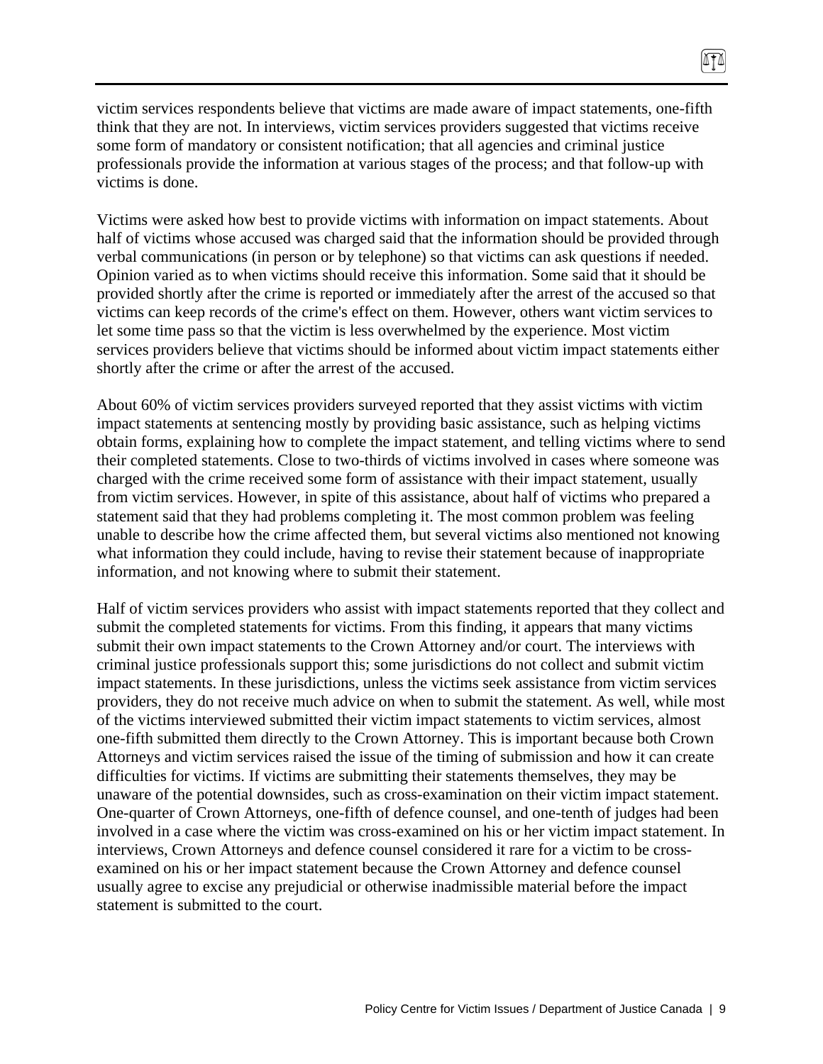victim services respondents believe that victims are made aware of impact statements, one-fifth think that they are not. In interviews, victim services providers suggested that victims receive some form of mandatory or consistent notification; that all agencies and criminal justice professionals provide the information at various stages of the process; and that follow-up with victims is done.

Victims were asked how best to provide victims with information on impact statements. About half of victims whose accused was charged said that the information should be provided through verbal communications (in person or by telephone) so that victims can ask questions if needed. Opinion varied as to when victims should receive this information. Some said that it should be provided shortly after the crime is reported or immediately after the arrest of the accused so that victims can keep records of the crime's effect on them. However, others want victim services to let some time pass so that the victim is less overwhelmed by the experience. Most victim services providers believe that victims should be informed about victim impact statements either shortly after the crime or after the arrest of the accused.

About 60% of victim services providers surveyed reported that they assist victims with victim impact statements at sentencing mostly by providing basic assistance, such as helping victims obtain forms, explaining how to complete the impact statement, and telling victims where to send their completed statements. Close to two-thirds of victims involved in cases where someone was charged with the crime received some form of assistance with their impact statement, usually from victim services. However, in spite of this assistance, about half of victims who prepared a statement said that they had problems completing it. The most common problem was feeling unable to describe how the crime affected them, but several victims also mentioned not knowing what information they could include, having to revise their statement because of inappropriate information, and not knowing where to submit their statement.

Half of victim services providers who assist with impact statements reported that they collect and submit the completed statements for victims. From this finding, it appears that many victims submit their own impact statements to the Crown Attorney and/or court. The interviews with criminal justice professionals support this; some jurisdictions do not collect and submit victim impact statements. In these jurisdictions, unless the victims seek assistance from victim services providers, they do not receive much advice on when to submit the statement. As well, while most of the victims interviewed submitted their victim impact statements to victim services, almost one-fifth submitted them directly to the Crown Attorney. This is important because both Crown Attorneys and victim services raised the issue of the timing of submission and how it can create difficulties for victims. If victims are submitting their statements themselves, they may be unaware of the potential downsides, such as cross-examination on their victim impact statement. One-quarter of Crown Attorneys, one-fifth of defence counsel, and one-tenth of judges had been involved in a case where the victim was cross-examined on his or her victim impact statement. In interviews, Crown Attorneys and defence counsel considered it rare for a victim to be crossexamined on his or her impact statement because the Crown Attorney and defence counsel usually agree to excise any prejudicial or otherwise inadmissible material before the impact statement is submitted to the court.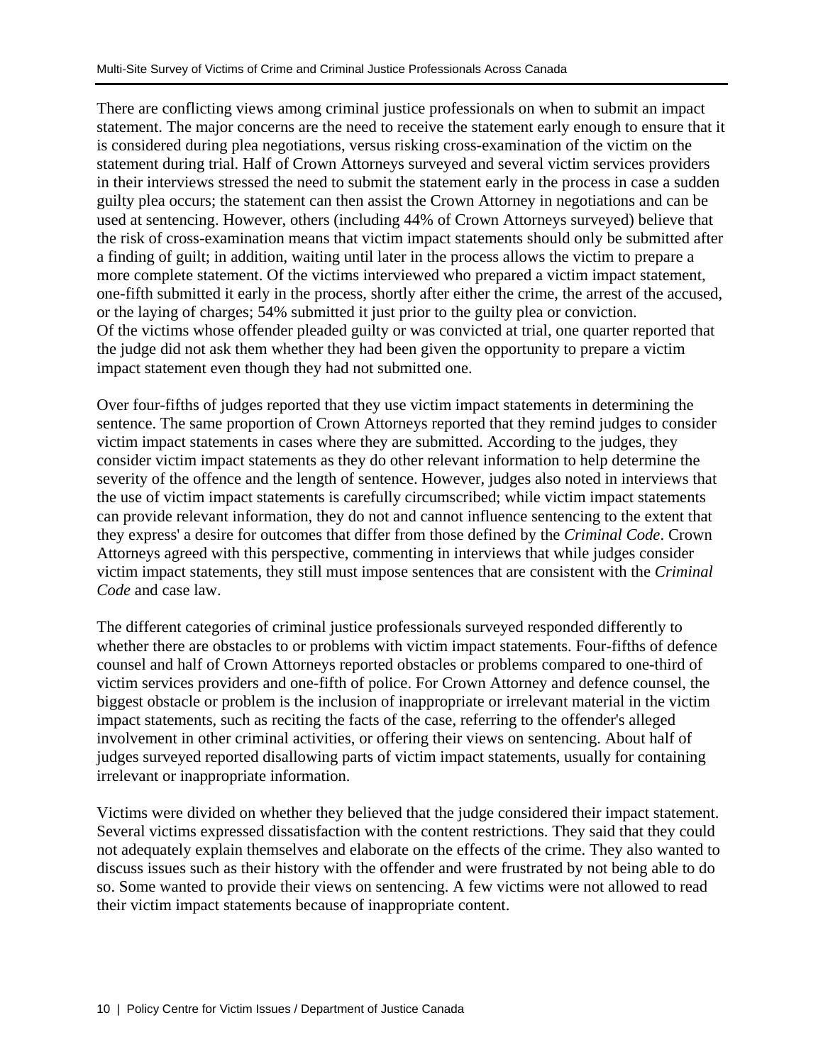There are conflicting views among criminal justice professionals on when to submit an impact statement. The major concerns are the need to receive the statement early enough to ensure that it is considered during plea negotiations, versus risking cross-examination of the victim on the statement during trial. Half of Crown Attorneys surveyed and several victim services providers in their interviews stressed the need to submit the statement early in the process in case a sudden guilty plea occurs; the statement can then assist the Crown Attorney in negotiations and can be used at sentencing. However, others (including 44% of Crown Attorneys surveyed) believe that the risk of cross-examination means that victim impact statements should only be submitted after a finding of guilt; in addition, waiting until later in the process allows the victim to prepare a more complete statement. Of the victims interviewed who prepared a victim impact statement, one-fifth submitted it early in the process, shortly after either the crime, the arrest of the accused, or the laying of charges; 54% submitted it just prior to the guilty plea or conviction. Of the victims whose offender pleaded guilty or was convicted at trial, one quarter reported that the judge did not ask them whether they had been given the opportunity to prepare a victim impact statement even though they had not submitted one.

Over four-fifths of judges reported that they use victim impact statements in determining the sentence. The same proportion of Crown Attorneys reported that they remind judges to consider victim impact statements in cases where they are submitted. According to the judges, they consider victim impact statements as they do other relevant information to help determine the severity of the offence and the length of sentence. However, judges also noted in interviews that the use of victim impact statements is carefully circumscribed; while victim impact statements can provide relevant information, they do not and cannot influence sentencing to the extent that they express' a desire for outcomes that differ from those defined by the *Criminal Code*. Crown Attorneys agreed with this perspective, commenting in interviews that while judges consider victim impact statements, they still must impose sentences that are consistent with the *Criminal Code* and case law.

The different categories of criminal justice professionals surveyed responded differently to whether there are obstacles to or problems with victim impact statements. Four-fifths of defence counsel and half of Crown Attorneys reported obstacles or problems compared to one-third of victim services providers and one-fifth of police. For Crown Attorney and defence counsel, the biggest obstacle or problem is the inclusion of inappropriate or irrelevant material in the victim impact statements, such as reciting the facts of the case, referring to the offender's alleged involvement in other criminal activities, or offering their views on sentencing. About half of judges surveyed reported disallowing parts of victim impact statements, usually for containing irrelevant or inappropriate information.

Victims were divided on whether they believed that the judge considered their impact statement. Several victims expressed dissatisfaction with the content restrictions. They said that they could not adequately explain themselves and elaborate on the effects of the crime. They also wanted to discuss issues such as their history with the offender and were frustrated by not being able to do so. Some wanted to provide their views on sentencing. A few victims were not allowed to read their victim impact statements because of inappropriate content.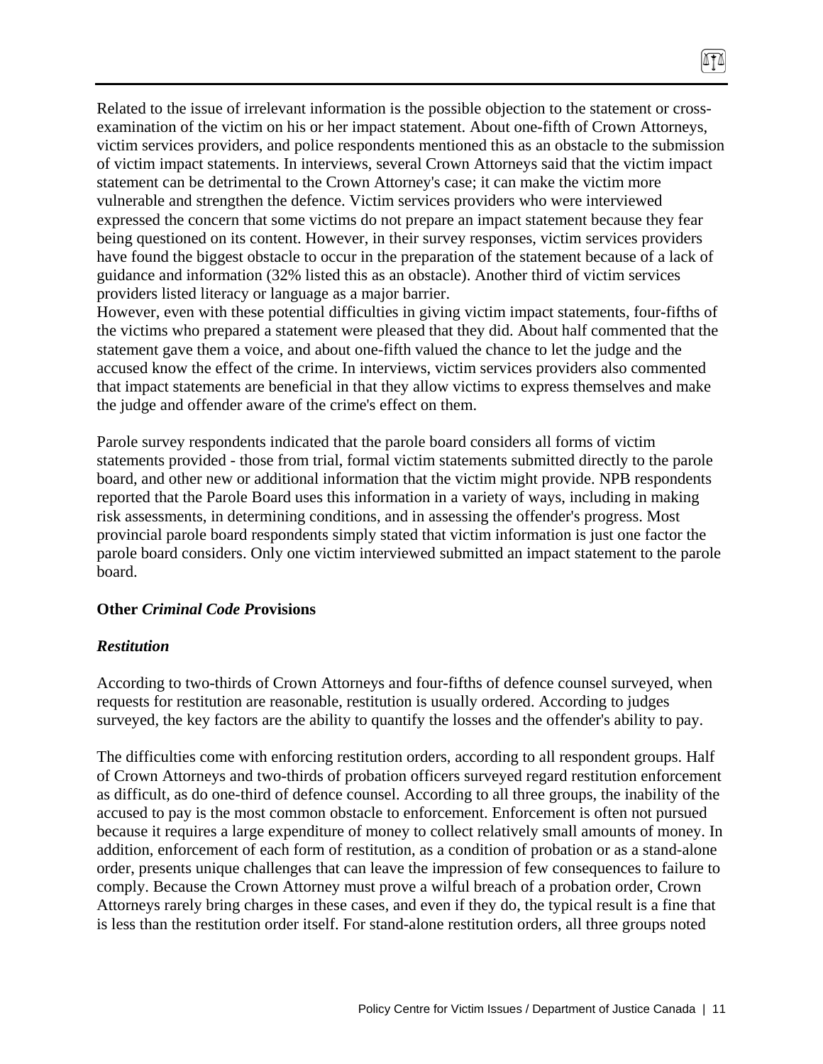Related to the issue of irrelevant information is the possible objection to the statement or crossexamination of the victim on his or her impact statement. About one-fifth of Crown Attorneys, victim services providers, and police respondents mentioned this as an obstacle to the submission of victim impact statements. In interviews, several Crown Attorneys said that the victim impact statement can be detrimental to the Crown Attorney's case; it can make the victim more vulnerable and strengthen the defence. Victim services providers who were interviewed expressed the concern that some victims do not prepare an impact statement because they fear being questioned on its content. However, in their survey responses, victim services providers have found the biggest obstacle to occur in the preparation of the statement because of a lack of guidance and information (32% listed this as an obstacle). Another third of victim services providers listed literacy or language as a major barrier.

874

However, even with these potential difficulties in giving victim impact statements, four-fifths of the victims who prepared a statement were pleased that they did. About half commented that the statement gave them a voice, and about one-fifth valued the chance to let the judge and the accused know the effect of the crime. In interviews, victim services providers also commented that impact statements are beneficial in that they allow victims to express themselves and make the judge and offender aware of the crime's effect on them.

Parole survey respondents indicated that the parole board considers all forms of victim statements provided - those from trial, formal victim statements submitted directly to the parole board, and other new or additional information that the victim might provide. NPB respondents reported that the Parole Board uses this information in a variety of ways, including in making risk assessments, in determining conditions, and in assessing the offender's progress. Most provincial parole board respondents simply stated that victim information is just one factor the parole board considers. Only one victim interviewed submitted an impact statement to the parole board.

# **Other** *Criminal Code P***rovisions**

#### *Restitution*

According to two-thirds of Crown Attorneys and four-fifths of defence counsel surveyed, when requests for restitution are reasonable, restitution is usually ordered. According to judges surveyed, the key factors are the ability to quantify the losses and the offender's ability to pay.

The difficulties come with enforcing restitution orders, according to all respondent groups. Half of Crown Attorneys and two-thirds of probation officers surveyed regard restitution enforcement as difficult, as do one-third of defence counsel. According to all three groups, the inability of the accused to pay is the most common obstacle to enforcement. Enforcement is often not pursued because it requires a large expenditure of money to collect relatively small amounts of money. In addition, enforcement of each form of restitution, as a condition of probation or as a stand-alone order, presents unique challenges that can leave the impression of few consequences to failure to comply. Because the Crown Attorney must prove a wilful breach of a probation order, Crown Attorneys rarely bring charges in these cases, and even if they do, the typical result is a fine that is less than the restitution order itself. For stand-alone restitution orders, all three groups noted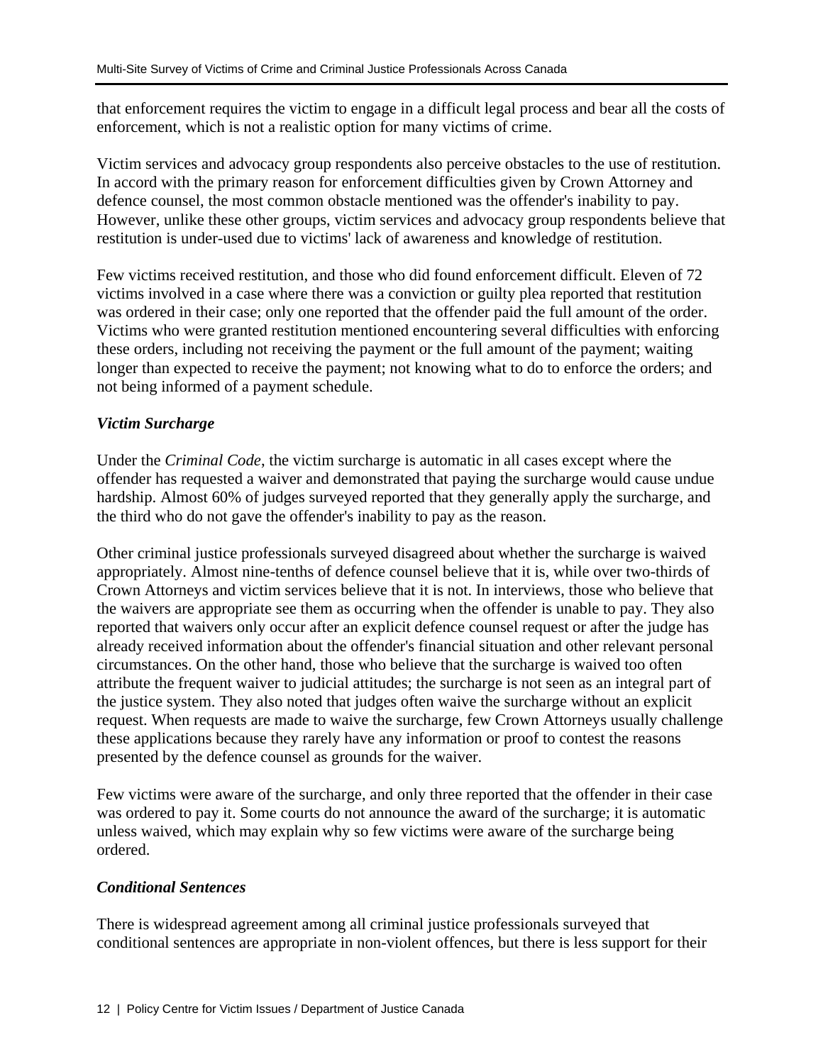that enforcement requires the victim to engage in a difficult legal process and bear all the costs of enforcement, which is not a realistic option for many victims of crime.

Victim services and advocacy group respondents also perceive obstacles to the use of restitution. In accord with the primary reason for enforcement difficulties given by Crown Attorney and defence counsel, the most common obstacle mentioned was the offender's inability to pay. However, unlike these other groups, victim services and advocacy group respondents believe that restitution is under-used due to victims' lack of awareness and knowledge of restitution.

Few victims received restitution, and those who did found enforcement difficult. Eleven of 72 victims involved in a case where there was a conviction or guilty plea reported that restitution was ordered in their case; only one reported that the offender paid the full amount of the order. Victims who were granted restitution mentioned encountering several difficulties with enforcing these orders, including not receiving the payment or the full amount of the payment; waiting longer than expected to receive the payment; not knowing what to do to enforce the orders; and not being informed of a payment schedule.

# *Victim Surcharge*

Under the *Criminal Code*, the victim surcharge is automatic in all cases except where the offender has requested a waiver and demonstrated that paying the surcharge would cause undue hardship. Almost 60% of judges surveyed reported that they generally apply the surcharge, and the third who do not gave the offender's inability to pay as the reason.

Other criminal justice professionals surveyed disagreed about whether the surcharge is waived appropriately. Almost nine-tenths of defence counsel believe that it is, while over two-thirds of Crown Attorneys and victim services believe that it is not. In interviews, those who believe that the waivers are appropriate see them as occurring when the offender is unable to pay. They also reported that waivers only occur after an explicit defence counsel request or after the judge has already received information about the offender's financial situation and other relevant personal circumstances. On the other hand, those who believe that the surcharge is waived too often attribute the frequent waiver to judicial attitudes; the surcharge is not seen as an integral part of the justice system. They also noted that judges often waive the surcharge without an explicit request. When requests are made to waive the surcharge, few Crown Attorneys usually challenge these applications because they rarely have any information or proof to contest the reasons presented by the defence counsel as grounds for the waiver.

Few victims were aware of the surcharge, and only three reported that the offender in their case was ordered to pay it. Some courts do not announce the award of the surcharge; it is automatic unless waived, which may explain why so few victims were aware of the surcharge being ordered.

# *Conditional Sentences*

There is widespread agreement among all criminal justice professionals surveyed that conditional sentences are appropriate in non-violent offences, but there is less support for their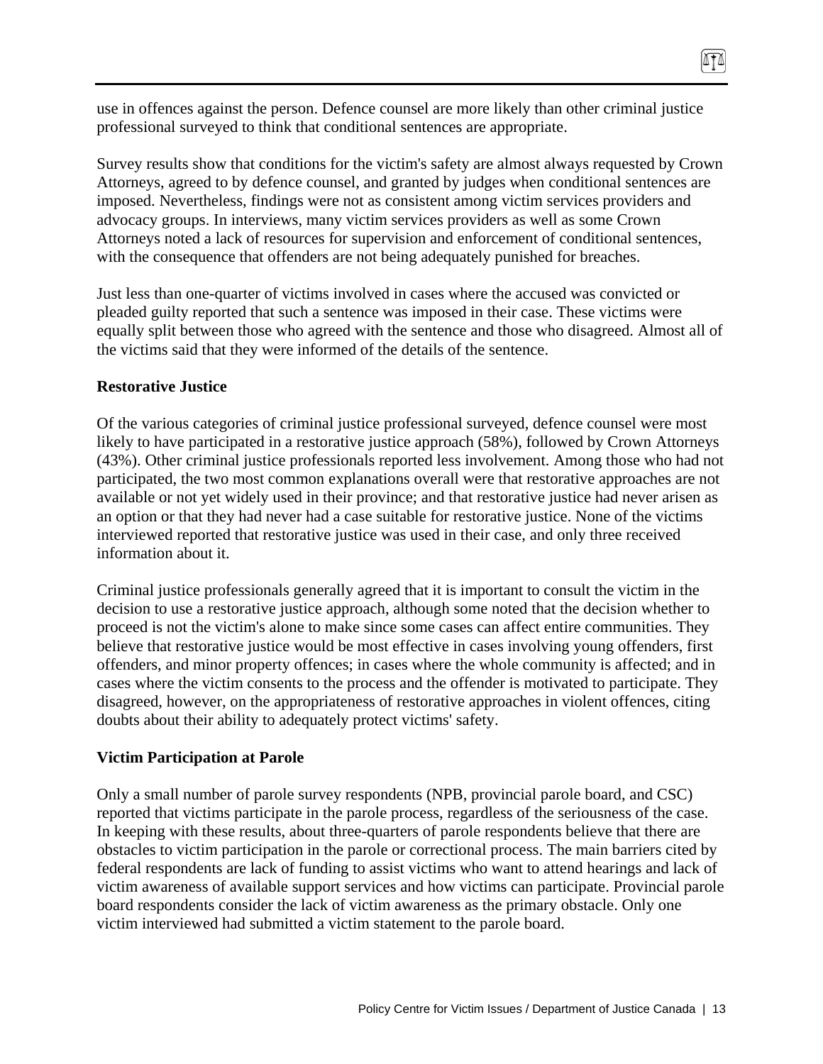use in offences against the person. Defence counsel are more likely than other criminal justice professional surveyed to think that conditional sentences are appropriate.

 $171$ 

Survey results show that conditions for the victim's safety are almost always requested by Crown Attorneys, agreed to by defence counsel, and granted by judges when conditional sentences are imposed. Nevertheless, findings were not as consistent among victim services providers and advocacy groups. In interviews, many victim services providers as well as some Crown Attorneys noted a lack of resources for supervision and enforcement of conditional sentences, with the consequence that offenders are not being adequately punished for breaches.

Just less than one-quarter of victims involved in cases where the accused was convicted or pleaded guilty reported that such a sentence was imposed in their case. These victims were equally split between those who agreed with the sentence and those who disagreed. Almost all of the victims said that they were informed of the details of the sentence.

#### **Restorative Justice**

Of the various categories of criminal justice professional surveyed, defence counsel were most likely to have participated in a restorative justice approach (58%), followed by Crown Attorneys (43%). Other criminal justice professionals reported less involvement. Among those who had not participated, the two most common explanations overall were that restorative approaches are not available or not yet widely used in their province; and that restorative justice had never arisen as an option or that they had never had a case suitable for restorative justice. None of the victims interviewed reported that restorative justice was used in their case, and only three received information about it.

Criminal justice professionals generally agreed that it is important to consult the victim in the decision to use a restorative justice approach, although some noted that the decision whether to proceed is not the victim's alone to make since some cases can affect entire communities. They believe that restorative justice would be most effective in cases involving young offenders, first offenders, and minor property offences; in cases where the whole community is affected; and in cases where the victim consents to the process and the offender is motivated to participate. They disagreed, however, on the appropriateness of restorative approaches in violent offences, citing doubts about their ability to adequately protect victims' safety.

#### **Victim Participation at Parole**

Only a small number of parole survey respondents (NPB, provincial parole board, and CSC) reported that victims participate in the parole process, regardless of the seriousness of the case. In keeping with these results, about three-quarters of parole respondents believe that there are obstacles to victim participation in the parole or correctional process. The main barriers cited by federal respondents are lack of funding to assist victims who want to attend hearings and lack of victim awareness of available support services and how victims can participate. Provincial parole board respondents consider the lack of victim awareness as the primary obstacle. Only one victim interviewed had submitted a victim statement to the parole board.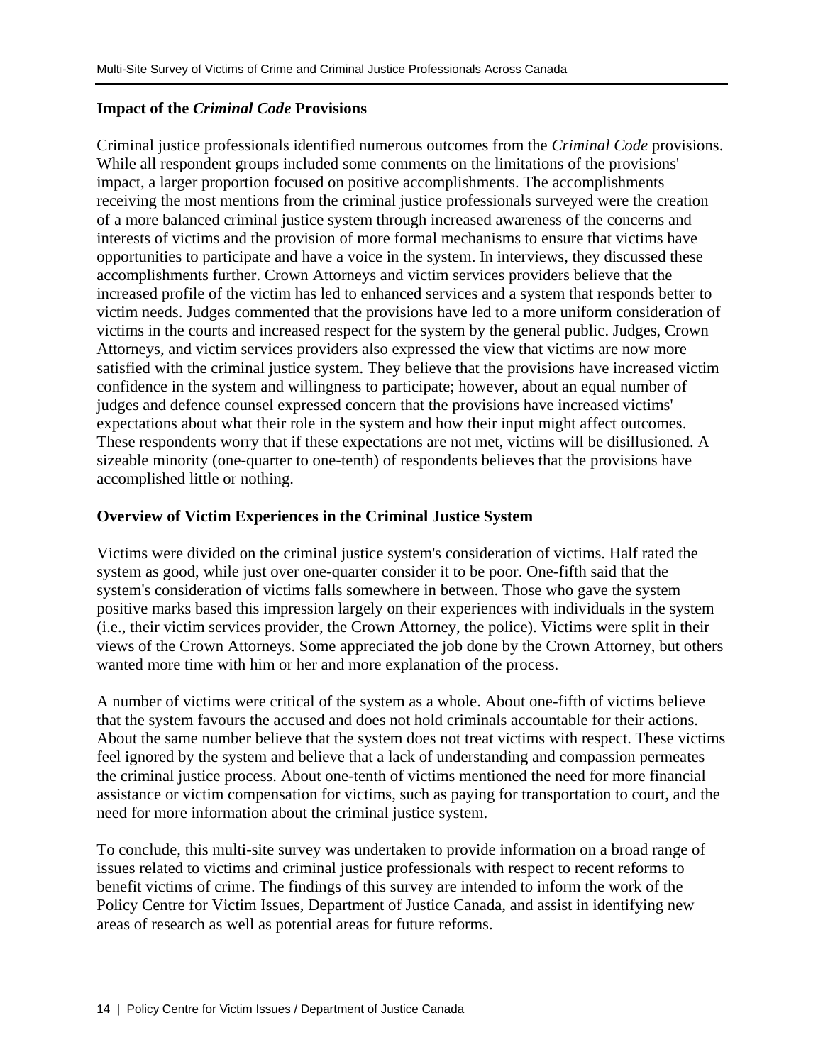# **Impact of the** *Criminal Code* **Provisions**

Criminal justice professionals identified numerous outcomes from the *Criminal Code* provisions. While all respondent groups included some comments on the limitations of the provisions' impact, a larger proportion focused on positive accomplishments. The accomplishments receiving the most mentions from the criminal justice professionals surveyed were the creation of a more balanced criminal justice system through increased awareness of the concerns and interests of victims and the provision of more formal mechanisms to ensure that victims have opportunities to participate and have a voice in the system. In interviews, they discussed these accomplishments further. Crown Attorneys and victim services providers believe that the increased profile of the victim has led to enhanced services and a system that responds better to victim needs. Judges commented that the provisions have led to a more uniform consideration of victims in the courts and increased respect for the system by the general public. Judges, Crown Attorneys, and victim services providers also expressed the view that victims are now more satisfied with the criminal justice system. They believe that the provisions have increased victim confidence in the system and willingness to participate; however, about an equal number of judges and defence counsel expressed concern that the provisions have increased victims' expectations about what their role in the system and how their input might affect outcomes. These respondents worry that if these expectations are not met, victims will be disillusioned. A sizeable minority (one-quarter to one-tenth) of respondents believes that the provisions have accomplished little or nothing.

# **Overview of Victim Experiences in the Criminal Justice System**

Victims were divided on the criminal justice system's consideration of victims. Half rated the system as good, while just over one-quarter consider it to be poor. One-fifth said that the system's consideration of victims falls somewhere in between. Those who gave the system positive marks based this impression largely on their experiences with individuals in the system (i.e., their victim services provider, the Crown Attorney, the police). Victims were split in their views of the Crown Attorneys. Some appreciated the job done by the Crown Attorney, but others wanted more time with him or her and more explanation of the process.

A number of victims were critical of the system as a whole. About one-fifth of victims believe that the system favours the accused and does not hold criminals accountable for their actions. About the same number believe that the system does not treat victims with respect. These victims feel ignored by the system and believe that a lack of understanding and compassion permeates the criminal justice process. About one-tenth of victims mentioned the need for more financial assistance or victim compensation for victims, such as paying for transportation to court, and the need for more information about the criminal justice system.

To conclude, this multi-site survey was undertaken to provide information on a broad range of issues related to victims and criminal justice professionals with respect to recent reforms to benefit victims of crime. The findings of this survey are intended to inform the work of the Policy Centre for Victim Issues, Department of Justice Canada, and assist in identifying new areas of research as well as potential areas for future reforms.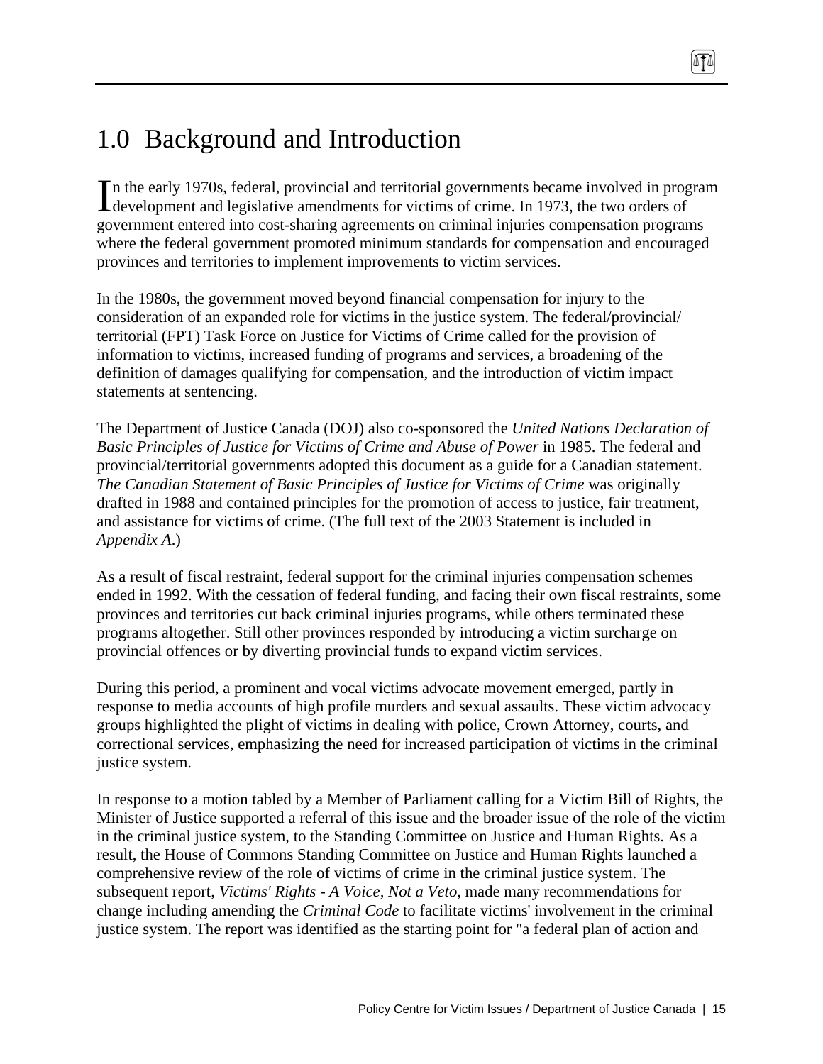# 1.0 Background and Introduction

n the early 1970s, federal, provincial and territorial governments became involved in program In the early 1970s, federal, provincial and territorial governments became involved in progressed and legislative amendments for victims of crime. In 1973, the two orders of government entered into cost-sharing agreements on criminal injuries compensation programs where the federal government promoted minimum standards for compensation and encouraged provinces and territories to implement improvements to victim services.

In the 1980s, the government moved beyond financial compensation for injury to the consideration of an expanded role for victims in the justice system. The federal/provincial/ territorial (FPT) Task Force on Justice for Victims of Crime called for the provision of information to victims, increased funding of programs and services, a broadening of the definition of damages qualifying for compensation, and the introduction of victim impact statements at sentencing.

The Department of Justice Canada (DOJ) also co-sponsored the *United Nations Declaration of Basic Principles of Justice for Victims of Crime and Abuse of Power* in 1985. The federal and provincial/territorial governments adopted this document as a guide for a Canadian statement. *The Canadian Statement of Basic Principles of Justice for Victims of Crime* was originally drafted in 1988 and contained principles for the promotion of access to justice, fair treatment, and assistance for victims of crime. (The full text of the 2003 Statement is included in *Appendix A*.)

As a result of fiscal restraint, federal support for the criminal injuries compensation schemes ended in 1992. With the cessation of federal funding, and facing their own fiscal restraints, some provinces and territories cut back criminal injuries programs, while others terminated these programs altogether. Still other provinces responded by introducing a victim surcharge on provincial offences or by diverting provincial funds to expand victim services.

During this period, a prominent and vocal victims advocate movement emerged, partly in response to media accounts of high profile murders and sexual assaults. These victim advocacy groups highlighted the plight of victims in dealing with police, Crown Attorney, courts, and correctional services, emphasizing the need for increased participation of victims in the criminal justice system.

In response to a motion tabled by a Member of Parliament calling for a Victim Bill of Rights, the Minister of Justice supported a referral of this issue and the broader issue of the role of the victim in the criminal justice system, to the Standing Committee on Justice and Human Rights. As a result, the House of Commons Standing Committee on Justice and Human Rights launched a comprehensive review of the role of victims of crime in the criminal justice system. The subsequent report, *Victims' Rights - A Voice, Not a Veto*, made many recommendations for change including amending the *Criminal Code* to facilitate victims' involvement in the criminal justice system. The report was identified as the starting point for "a federal plan of action and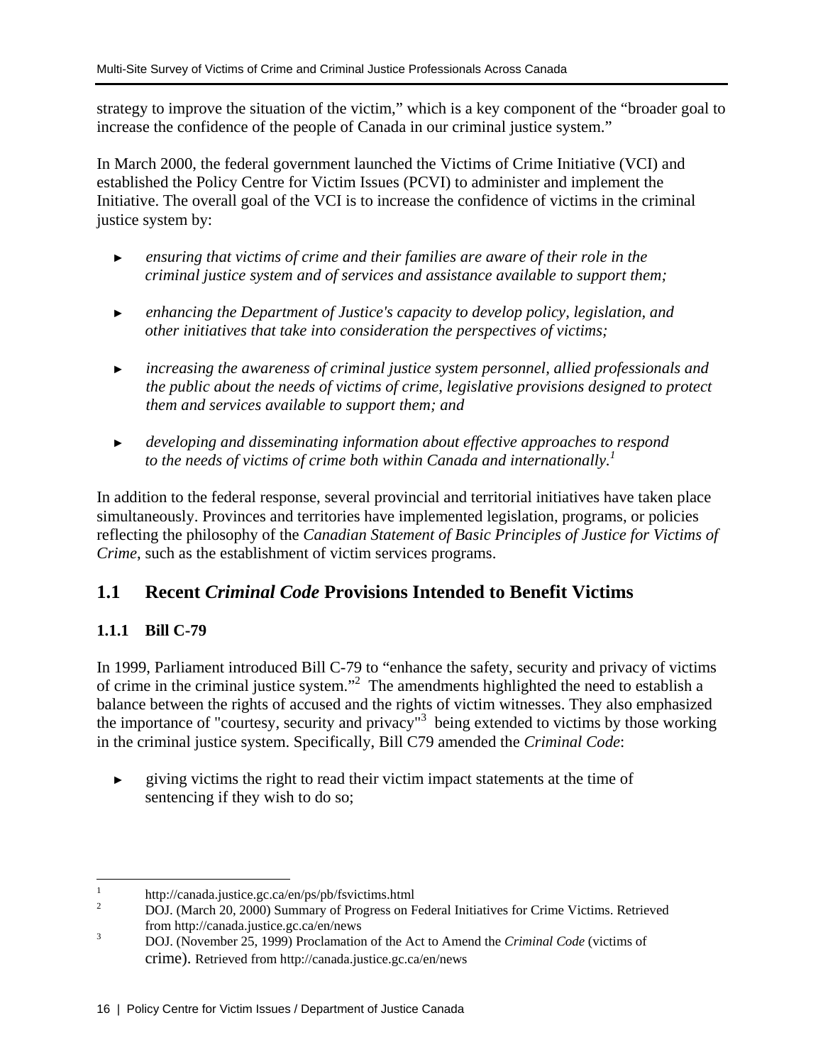strategy to improve the situation of the victim," which is a key component of the "broader goal to increase the confidence of the people of Canada in our criminal justice system."

In March 2000, the federal government launched the Victims of Crime Initiative (VCI) and established the Policy Centre for Victim Issues (PCVI) to administer and implement the Initiative. The overall goal of the VCI is to increase the confidence of victims in the criminal justice system by:

- ► *ensuring that victims of crime and their families are aware of their role in the criminal justice system and of services and assistance available to support them;*
- ► *enhancing the Department of Justice's capacity to develop policy, legislation, and other initiatives that take into consideration the perspectives of victims;*
- ► *increasing the awareness of criminal justice system personnel, allied professionals and the public about the needs of victims of crime, legislative provisions designed to protect them and services available to support them; and*
- ► *developing and disseminating information about effective approaches to respond*  to the needs of victims of crime both within Canada and internationally.<sup>1</sup>

In addition to the federal response, several provincial and territorial initiatives have taken place simultaneously. Provinces and territories have implemented legislation, programs, or policies reflecting the philosophy of the *Canadian Statement of Basic Principles of Justice for Victims of Crime*, such as the establishment of victim services programs.

# **1.1 Recent** *Criminal Code* **Provisions Intended to Benefit Victims**

# **1.1.1 Bill C-79**

In 1999, Parliament introduced Bill C-79 to "enhance the safety, security and privacy of victims of crime in the criminal justice system."<sup>2</sup> The amendments highlighted the need to establish a balance between the rights of accused and the rights of victim witnesses. They also emphasized the importance of "courtesy, security and privacy"<sup>3</sup> being extended to victims by those working in the criminal justice system. Specifically, Bill C79 amended the *Criminal Code*:

► giving victims the right to read their victim impact statements at the time of sentencing if they wish to do so;

 $\frac{1}{1}$ http://canada.justice.gc.ca/en/ps/pb/fsvictims.html

<sup>2</sup> DOJ. (March 20, 2000) Summary of Progress on Federal Initiatives for Crime Victims. Retrieved from http://canada.justice.gc.ca/en/news<br>3

DOJ. (November 25, 1999) Proclamation of the Act to Amend the *Criminal Code* (victims of crime). Retrieved from http://canada.justice.gc.ca/en/news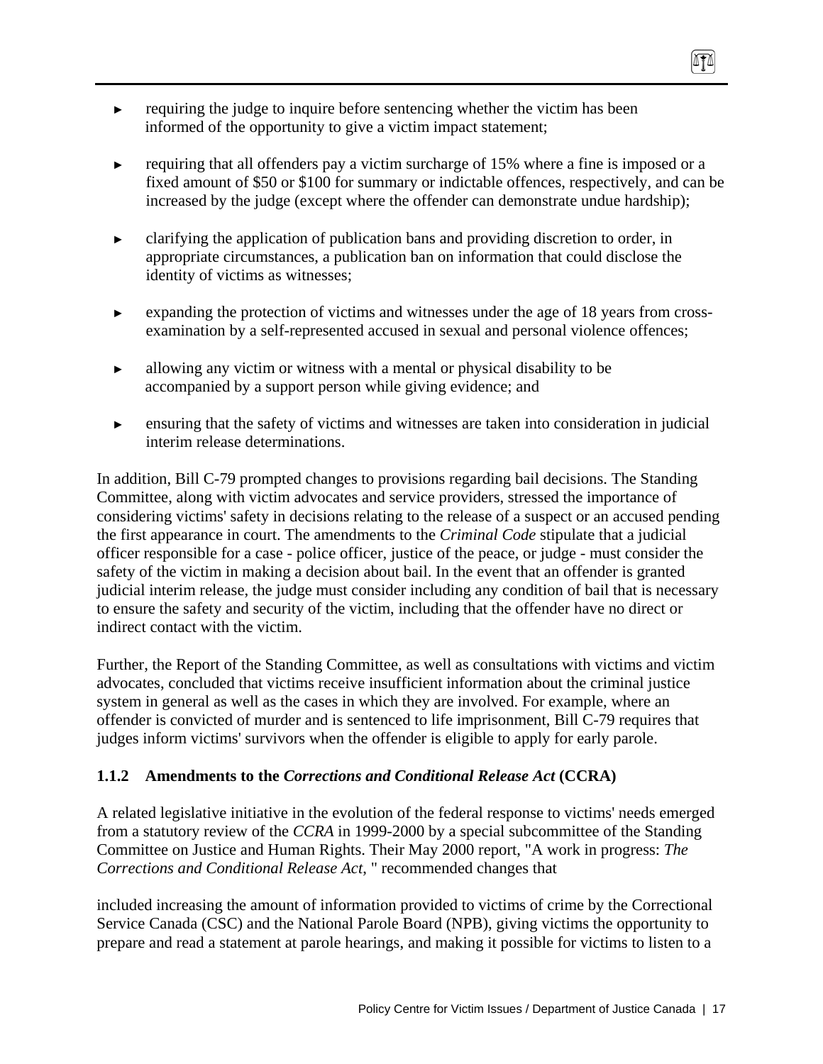- $\blacktriangleright$  requiring the judge to inquire before sentencing whether the victim has been informed of the opportunity to give a victim impact statement;
- ► requiring that all offenders pay a victim surcharge of 15% where a fine is imposed or a fixed amount of \$50 or \$100 for summary or indictable offences, respectively, and can be increased by the judge (except where the offender can demonstrate undue hardship);

TI

- ► clarifying the application of publication bans and providing discretion to order, in appropriate circumstances, a publication ban on information that could disclose the identity of victims as witnesses;
- ► expanding the protection of victims and witnesses under the age of 18 years from crossexamination by a self-represented accused in sexual and personal violence offences;
- ► allowing any victim or witness with a mental or physical disability to be accompanied by a support person while giving evidence; and
- ► ensuring that the safety of victims and witnesses are taken into consideration in judicial interim release determinations.

In addition, Bill C-79 prompted changes to provisions regarding bail decisions. The Standing Committee, along with victim advocates and service providers, stressed the importance of considering victims' safety in decisions relating to the release of a suspect or an accused pending the first appearance in court. The amendments to the *Criminal Code* stipulate that a judicial officer responsible for a case - police officer, justice of the peace, or judge - must consider the safety of the victim in making a decision about bail. In the event that an offender is granted judicial interim release, the judge must consider including any condition of bail that is necessary to ensure the safety and security of the victim, including that the offender have no direct or indirect contact with the victim.

Further, the Report of the Standing Committee, as well as consultations with victims and victim advocates, concluded that victims receive insufficient information about the criminal justice system in general as well as the cases in which they are involved. For example, where an offender is convicted of murder and is sentenced to life imprisonment, Bill C-79 requires that judges inform victims' survivors when the offender is eligible to apply for early parole.

# **1.1.2 Amendments to the** *Corrections and Conditional Release Act* **(CCRA)**

A related legislative initiative in the evolution of the federal response to victims' needs emerged from a statutory review of the *CCRA* in 1999-2000 by a special subcommittee of the Standing Committee on Justice and Human Rights. Their May 2000 report, "A work in progress: *The Corrections and Conditional Release Act*, " recommended changes that

included increasing the amount of information provided to victims of crime by the Correctional Service Canada (CSC) and the National Parole Board (NPB), giving victims the opportunity to prepare and read a statement at parole hearings, and making it possible for victims to listen to a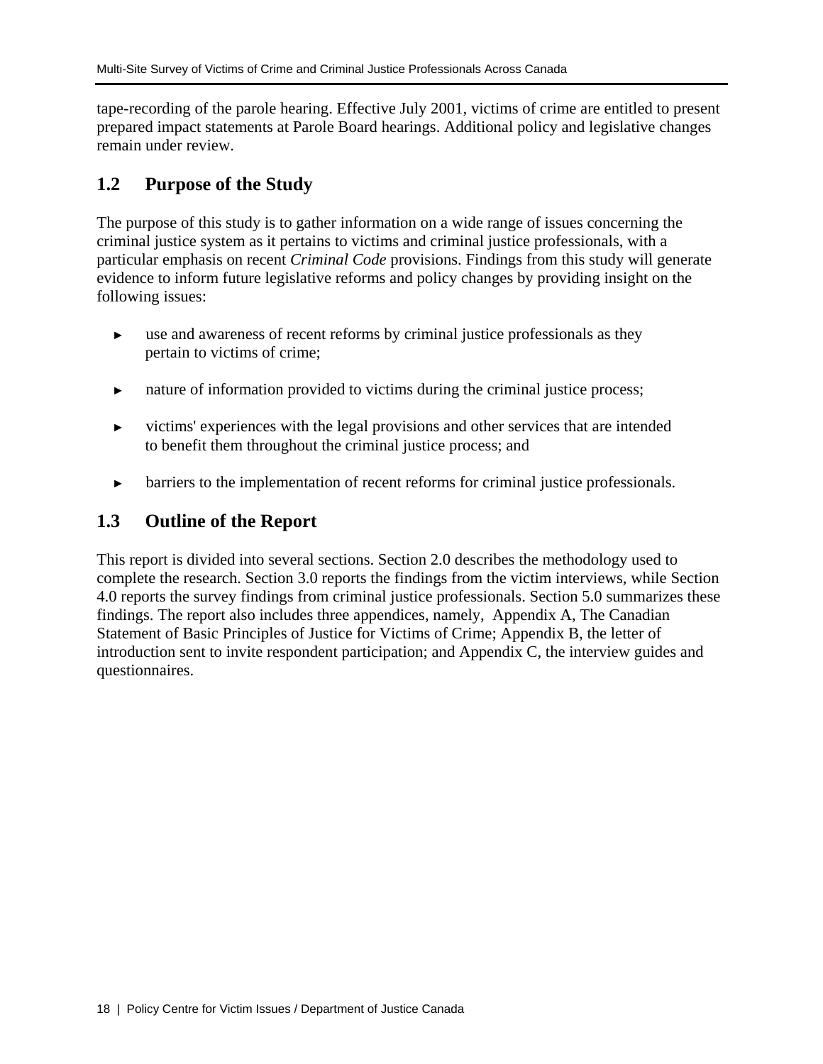tape-recording of the parole hearing. Effective July 2001, victims of crime are entitled to present prepared impact statements at Parole Board hearings. Additional policy and legislative changes remain under review.

# **1.2 Purpose of the Study**

The purpose of this study is to gather information on a wide range of issues concerning the criminal justice system as it pertains to victims and criminal justice professionals, with a particular emphasis on recent *Criminal Code* provisions. Findings from this study will generate evidence to inform future legislative reforms and policy changes by providing insight on the following issues:

- ► use and awareness of recent reforms by criminal justice professionals as they pertain to victims of crime;
- nature of information provided to victims during the criminal justice process;
- ► victims' experiences with the legal provisions and other services that are intended to benefit them throughout the criminal justice process; and
- barriers to the implementation of recent reforms for criminal justice professionals.

# **1.3 Outline of the Report**

This report is divided into several sections. Section 2.0 describes the methodology used to complete the research. Section 3.0 reports the findings from the victim interviews, while Section 4.0 reports the survey findings from criminal justice professionals. Section 5.0 summarizes these findings. The report also includes three appendices, namely, Appendix A, The Canadian Statement of Basic Principles of Justice for Victims of Crime; Appendix B, the letter of introduction sent to invite respondent participation; and Appendix C, the interview guides and questionnaires.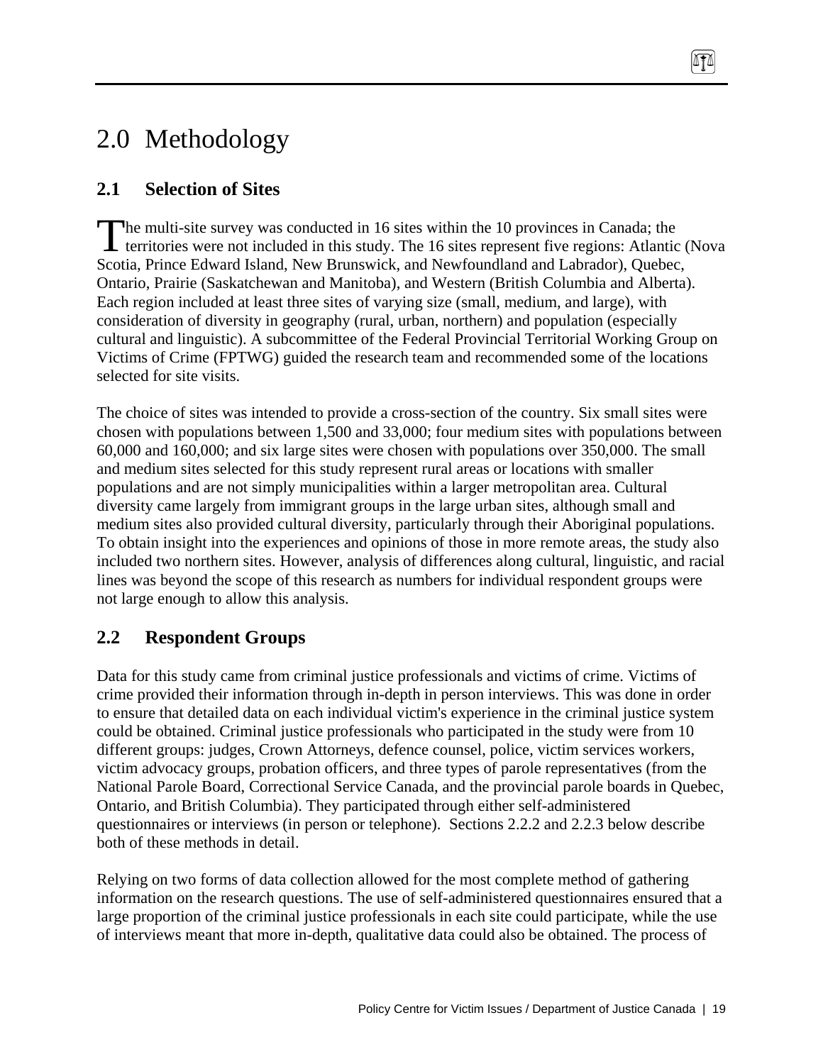# 2.0 Methodology

# **2.1 Selection of Sites**

he multi-site survey was conducted in 16 sites within the 10 provinces in Canada; the The multi-site survey was conducted in 16 sites within the 10 provinces in Canada; the territories were not included in this study. The 16 sites represent five regions: Atlantic (Nova Scotia, Prince Edward Island, New Brunswick, and Newfoundland and Labrador), Quebec, Ontario, Prairie (Saskatchewan and Manitoba), and Western (British Columbia and Alberta). Each region included at least three sites of varying size (small, medium, and large), with consideration of diversity in geography (rural, urban, northern) and population (especially cultural and linguistic). A subcommittee of the Federal Provincial Territorial Working Group on Victims of Crime (FPTWG) guided the research team and recommended some of the locations selected for site visits.

878

The choice of sites was intended to provide a cross-section of the country. Six small sites were chosen with populations between 1,500 and 33,000; four medium sites with populations between 60,000 and 160,000; and six large sites were chosen with populations over 350,000. The small and medium sites selected for this study represent rural areas or locations with smaller populations and are not simply municipalities within a larger metropolitan area. Cultural diversity came largely from immigrant groups in the large urban sites, although small and medium sites also provided cultural diversity, particularly through their Aboriginal populations. To obtain insight into the experiences and opinions of those in more remote areas, the study also included two northern sites. However, analysis of differences along cultural, linguistic, and racial lines was beyond the scope of this research as numbers for individual respondent groups were not large enough to allow this analysis.

# **2.2 Respondent Groups**

Data for this study came from criminal justice professionals and victims of crime. Victims of crime provided their information through in-depth in person interviews. This was done in order to ensure that detailed data on each individual victim's experience in the criminal justice system could be obtained. Criminal justice professionals who participated in the study were from 10 different groups: judges, Crown Attorneys, defence counsel, police, victim services workers, victim advocacy groups, probation officers, and three types of parole representatives (from the National Parole Board, Correctional Service Canada, and the provincial parole boards in Quebec, Ontario, and British Columbia). They participated through either self-administered questionnaires or interviews (in person or telephone). Sections 2.2.2 and 2.2.3 below describe both of these methods in detail.

Relying on two forms of data collection allowed for the most complete method of gathering information on the research questions. The use of self-administered questionnaires ensured that a large proportion of the criminal justice professionals in each site could participate, while the use of interviews meant that more in-depth, qualitative data could also be obtained. The process of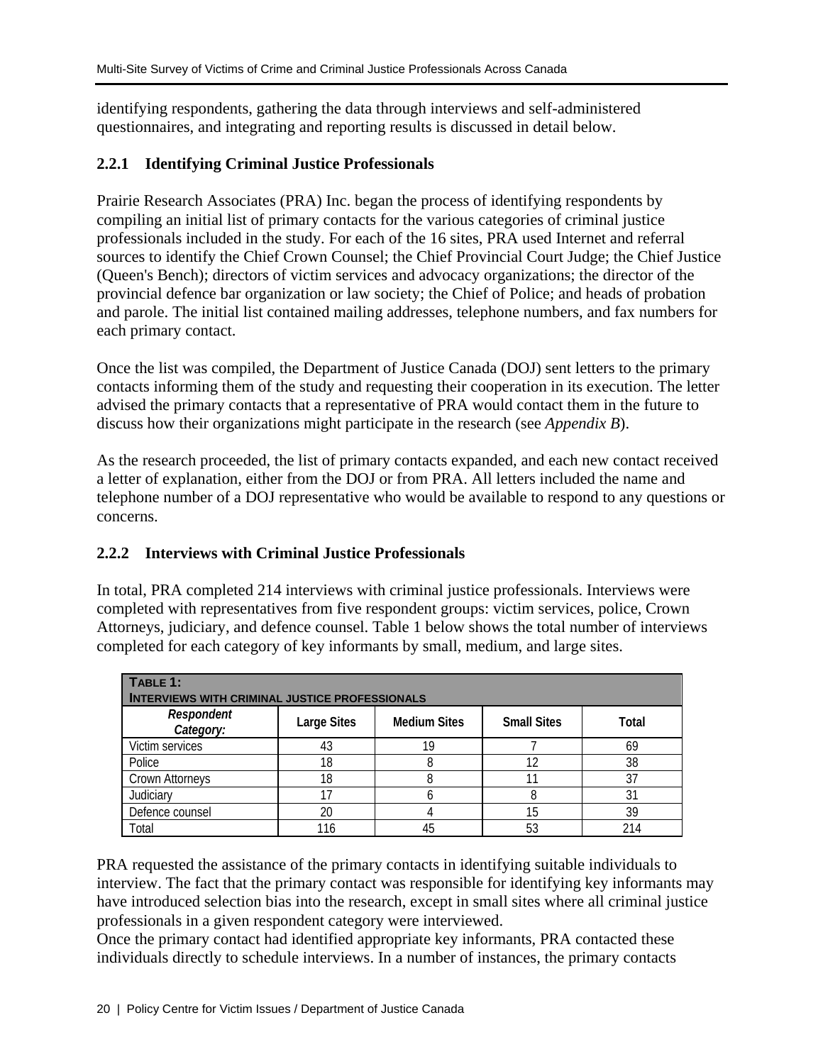identifying respondents, gathering the data through interviews and self-administered questionnaires, and integrating and reporting results is discussed in detail below.

# **2.2.1 Identifying Criminal Justice Professionals**

Prairie Research Associates (PRA) Inc. began the process of identifying respondents by compiling an initial list of primary contacts for the various categories of criminal justice professionals included in the study. For each of the 16 sites, PRA used Internet and referral sources to identify the Chief Crown Counsel; the Chief Provincial Court Judge; the Chief Justice (Queen's Bench); directors of victim services and advocacy organizations; the director of the provincial defence bar organization or law society; the Chief of Police; and heads of probation and parole. The initial list contained mailing addresses, telephone numbers, and fax numbers for each primary contact.

Once the list was compiled, the Department of Justice Canada (DOJ) sent letters to the primary contacts informing them of the study and requesting their cooperation in its execution. The letter advised the primary contacts that a representative of PRA would contact them in the future to discuss how their organizations might participate in the research (see *Appendix B*).

As the research proceeded, the list of primary contacts expanded, and each new contact received a letter of explanation, either from the DOJ or from PRA. All letters included the name and telephone number of a DOJ representative who would be available to respond to any questions or concerns.

# **2.2.2 Interviews with Criminal Justice Professionals**

In total, PRA completed 214 interviews with criminal justice professionals. Interviews were completed with representatives from five respondent groups: victim services, police, Crown Attorneys, judiciary, and defence counsel. Table 1 below shows the total number of interviews completed for each category of key informants by small, medium, and large sites.

| TABLE 1:<br><b>INTERVIEWS WITH CRIMINAL JUSTICE PROFESSIONALS</b> |                    |                     |                    |       |  |  |  |
|-------------------------------------------------------------------|--------------------|---------------------|--------------------|-------|--|--|--|
| Respondent<br>Category:                                           | <b>Large Sites</b> | <b>Medium Sites</b> | <b>Small Sites</b> | Total |  |  |  |
| Victim services                                                   | 43                 | 19                  |                    | 69    |  |  |  |
| Police                                                            | 18                 |                     |                    | 38    |  |  |  |
| <b>Crown Attorneys</b>                                            | 18                 |                     |                    | 37    |  |  |  |
| Judiciary                                                         |                    |                     |                    | 31    |  |  |  |
| Defence counsel                                                   | 20                 |                     | 15                 | 39    |  |  |  |
| Total                                                             | 116                |                     | 53                 | 214   |  |  |  |

PRA requested the assistance of the primary contacts in identifying suitable individuals to interview. The fact that the primary contact was responsible for identifying key informants may have introduced selection bias into the research, except in small sites where all criminal justice professionals in a given respondent category were interviewed.

Once the primary contact had identified appropriate key informants, PRA contacted these individuals directly to schedule interviews. In a number of instances, the primary contacts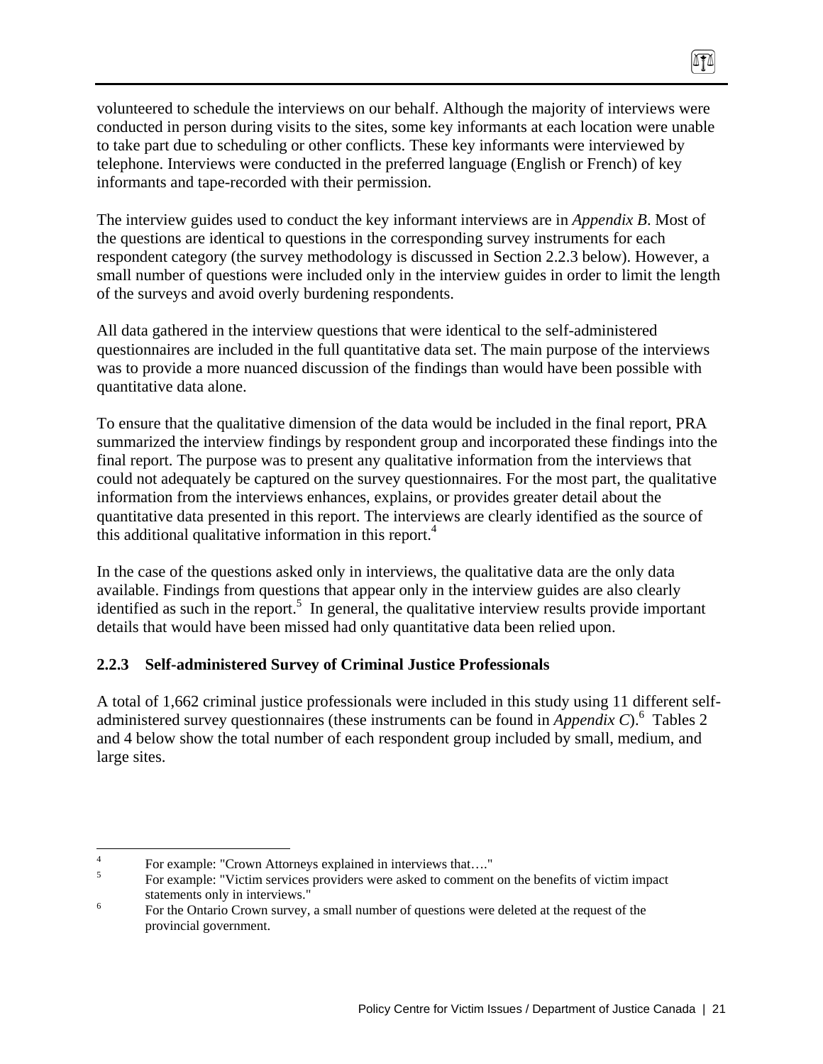volunteered to schedule the interviews on our behalf. Although the majority of interviews were conducted in person during visits to the sites, some key informants at each location were unable to take part due to scheduling or other conflicts. These key informants were interviewed by telephone. Interviews were conducted in the preferred language (English or French) of key informants and tape-recorded with their permission.

0TA

The interview guides used to conduct the key informant interviews are in *Appendix B*. Most of the questions are identical to questions in the corresponding survey instruments for each respondent category (the survey methodology is discussed in Section 2.2.3 below). However, a small number of questions were included only in the interview guides in order to limit the length of the surveys and avoid overly burdening respondents.

All data gathered in the interview questions that were identical to the self-administered questionnaires are included in the full quantitative data set. The main purpose of the interviews was to provide a more nuanced discussion of the findings than would have been possible with quantitative data alone.

To ensure that the qualitative dimension of the data would be included in the final report, PRA summarized the interview findings by respondent group and incorporated these findings into the final report. The purpose was to present any qualitative information from the interviews that could not adequately be captured on the survey questionnaires. For the most part, the qualitative information from the interviews enhances, explains, or provides greater detail about the quantitative data presented in this report. The interviews are clearly identified as the source of this additional qualitative information in this report.<sup>4</sup>

In the case of the questions asked only in interviews, the qualitative data are the only data available. Findings from questions that appear only in the interview guides are also clearly identified as such in the report.<sup>5</sup> In general, the qualitative interview results provide important details that would have been missed had only quantitative data been relied upon.

# **2.2.3 Self-administered Survey of Criminal Justice Professionals**

A total of 1,662 criminal justice professionals were included in this study using 11 different selfadministered survey questionnaires (these instruments can be found in *Appendix C*).<sup>6</sup> Tables 2 and 4 below show the total number of each respondent group included by small, medium, and large sites.

 $\frac{1}{4}$ For example: "Crown Attorneys explained in interviews that…."

<sup>5</sup> For example: "Victim services providers were asked to comment on the benefits of victim impact statements only in interviews."

For the Ontario Crown survey, a small number of questions were deleted at the request of the provincial government.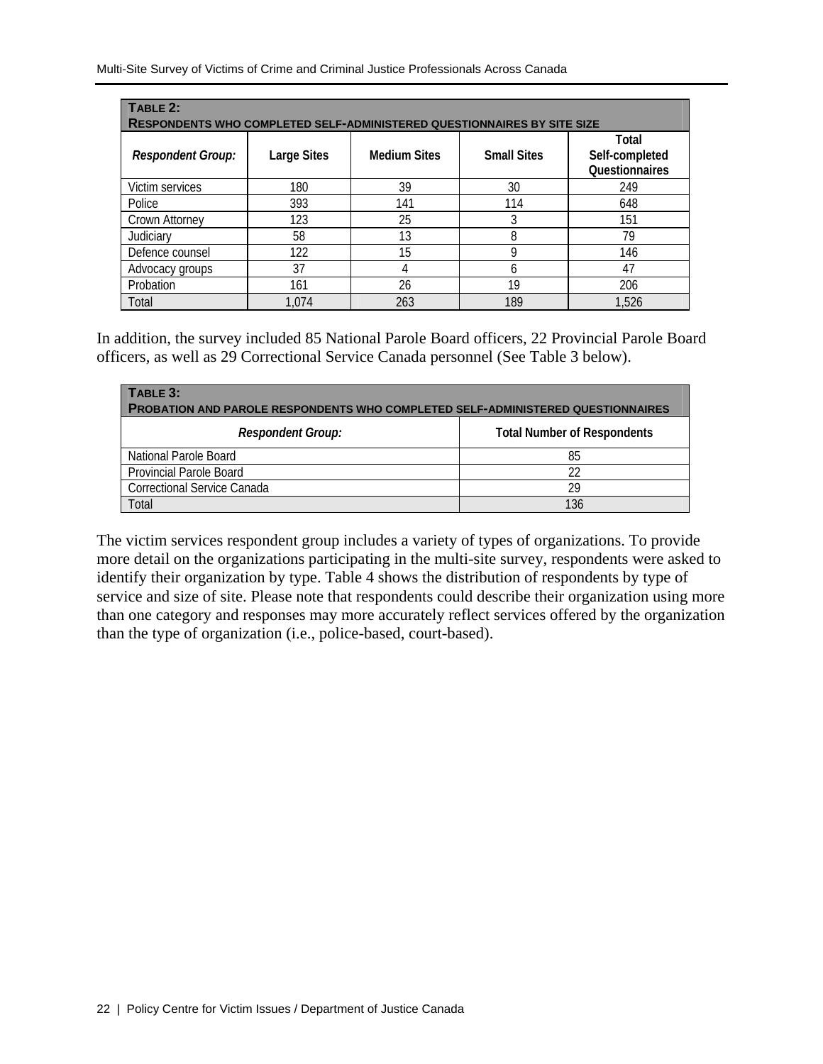| TABLE 2:<br><b>RESPONDENTS WHO COMPLETED SELF-ADMINISTERED QUESTIONNAIRES BY SITE SIZE</b> |                    |                     |                    |                                           |  |  |  |
|--------------------------------------------------------------------------------------------|--------------------|---------------------|--------------------|-------------------------------------------|--|--|--|
| <b>Respondent Group:</b>                                                                   | <b>Large Sites</b> | <b>Medium Sites</b> | <b>Small Sites</b> | Total<br>Self-completed<br>Questionnaires |  |  |  |
| Victim services                                                                            | 180                | 39                  | 30                 | 249                                       |  |  |  |
| Police                                                                                     | 393                | 141                 | 114                | 648                                       |  |  |  |
| Crown Attorney                                                                             | 123                | 25                  | 3                  | 151                                       |  |  |  |
| Judiciary                                                                                  | 58                 | 13                  | 8                  | 79                                        |  |  |  |
| Defence counsel                                                                            | 122                | 15                  | Q                  | 146                                       |  |  |  |
| Advocacy groups                                                                            | 37                 |                     | 6                  | 47                                        |  |  |  |
| Probation                                                                                  | 161                | 26                  | 19                 | 206                                       |  |  |  |
| Total                                                                                      | 1.074              | 263                 | 189                | 1,526                                     |  |  |  |

In addition, the survey included 85 National Parole Board officers, 22 Provincial Parole Board officers, as well as 29 Correctional Service Canada personnel (See Table 3 below).

| TABLE 3:<br><b>PROBATION AND PAROLE RESPONDENTS WHO COMPLETED SELF-ADMINISTERED QUESTIONNAIRES</b> |                                    |  |  |  |  |  |
|----------------------------------------------------------------------------------------------------|------------------------------------|--|--|--|--|--|
| <b>Respondent Group:</b>                                                                           | <b>Total Number of Respondents</b> |  |  |  |  |  |
| National Parole Board                                                                              | 85                                 |  |  |  |  |  |
| <b>Provincial Parole Board</b>                                                                     | 22                                 |  |  |  |  |  |
| <b>Correctional Service Canada</b>                                                                 | 29                                 |  |  |  |  |  |
| Total                                                                                              | 136                                |  |  |  |  |  |

The victim services respondent group includes a variety of types of organizations. To provide more detail on the organizations participating in the multi-site survey, respondents were asked to identify their organization by type. Table 4 shows the distribution of respondents by type of service and size of site. Please note that respondents could describe their organization using more than one category and responses may more accurately reflect services offered by the organization than the type of organization (i.e., police-based, court-based).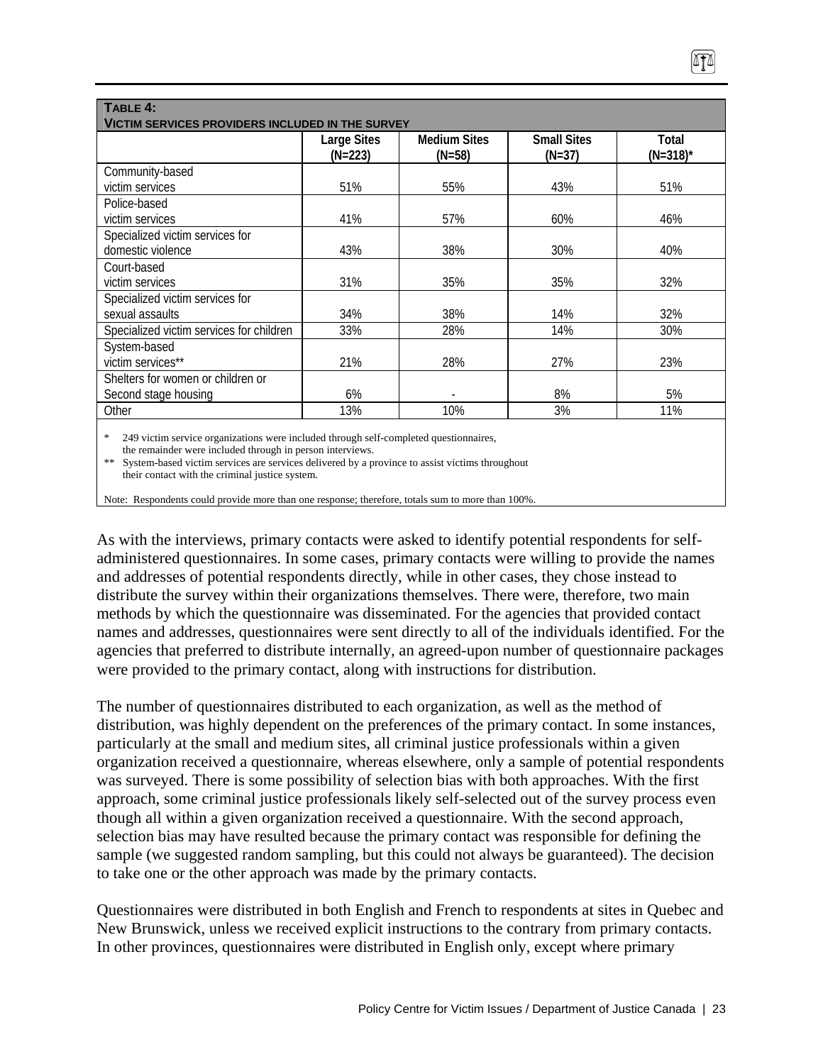| TABLE 4:<br><b>VICTIM SERVICES PROVIDERS INCLUDED IN THE SURVEY</b> |                                 |                                 |                                |                      |  |  |  |
|---------------------------------------------------------------------|---------------------------------|---------------------------------|--------------------------------|----------------------|--|--|--|
|                                                                     | <b>Large Sites</b><br>$(N=223)$ | <b>Medium Sites</b><br>$(N=58)$ | <b>Small Sites</b><br>$(N=37)$ | Total<br>$(N=318)^*$ |  |  |  |
| Community-based                                                     |                                 |                                 |                                |                      |  |  |  |
| victim services                                                     | 51%                             | 55%                             | 43%                            | 51%                  |  |  |  |
| Police-based                                                        |                                 |                                 |                                |                      |  |  |  |
| victim services                                                     | 41%                             | 57%                             | 60%                            | 46%                  |  |  |  |
| Specialized victim services for                                     |                                 |                                 |                                |                      |  |  |  |
| domestic violence                                                   | 43%                             | 38%                             | 30%                            | 40%                  |  |  |  |
| Court-based                                                         |                                 |                                 |                                |                      |  |  |  |
| victim services                                                     | 31%                             | 35%                             | 35%                            | 32%                  |  |  |  |
| Specialized victim services for                                     |                                 |                                 |                                |                      |  |  |  |
| sexual assaults                                                     | 34%                             | 38%                             | 14%                            | 32%                  |  |  |  |
| Specialized victim services for children                            | 33%                             | 28%                             | 14%                            | 30%                  |  |  |  |
| System-based                                                        |                                 |                                 |                                |                      |  |  |  |
| victim services**                                                   | 21%                             | 28%                             | 27%                            | 23%                  |  |  |  |
| Shelters for women or children or                                   |                                 |                                 |                                |                      |  |  |  |
| Second stage housing                                                | 6%                              |                                 | 8%                             | 5%                   |  |  |  |
| Other                                                               | 13%                             | 10%                             | 3%                             | 11%                  |  |  |  |
|                                                                     |                                 |                                 |                                |                      |  |  |  |

249 victim service organizations were included through self-completed questionnaires,

 the remainder were included through in person interviews. \*\* System-based victim services are services delivered by a province to assist victims throughout

their contact with the criminal justice system.

Note: Respondents could provide more than one response; therefore, totals sum to more than 100%.

As with the interviews, primary contacts were asked to identify potential respondents for selfadministered questionnaires. In some cases, primary contacts were willing to provide the names and addresses of potential respondents directly, while in other cases, they chose instead to distribute the survey within their organizations themselves. There were, therefore, two main methods by which the questionnaire was disseminated. For the agencies that provided contact names and addresses, questionnaires were sent directly to all of the individuals identified. For the agencies that preferred to distribute internally, an agreed-upon number of questionnaire packages were provided to the primary contact, along with instructions for distribution.

The number of questionnaires distributed to each organization, as well as the method of distribution, was highly dependent on the preferences of the primary contact. In some instances, particularly at the small and medium sites, all criminal justice professionals within a given organization received a questionnaire, whereas elsewhere, only a sample of potential respondents was surveyed. There is some possibility of selection bias with both approaches. With the first approach, some criminal justice professionals likely self-selected out of the survey process even though all within a given organization received a questionnaire. With the second approach, selection bias may have resulted because the primary contact was responsible for defining the sample (we suggested random sampling, but this could not always be guaranteed). The decision to take one or the other approach was made by the primary contacts.

Questionnaires were distributed in both English and French to respondents at sites in Quebec and New Brunswick, unless we received explicit instructions to the contrary from primary contacts. In other provinces, questionnaires were distributed in English only, except where primary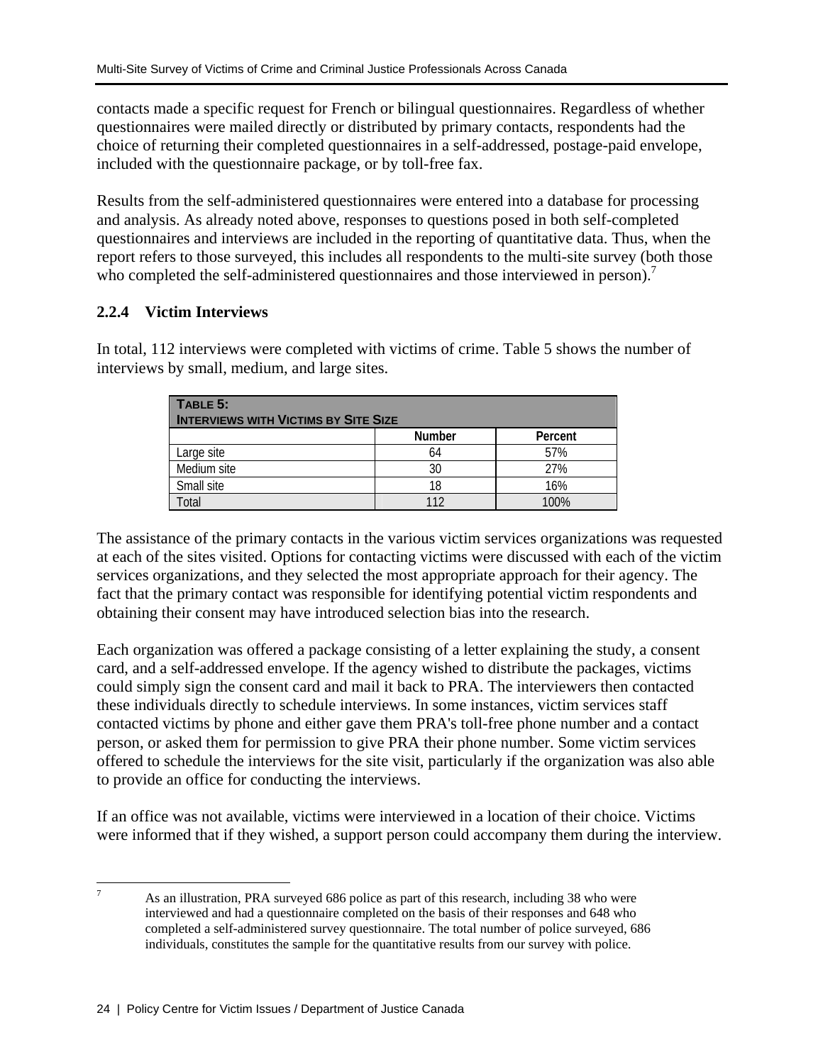contacts made a specific request for French or bilingual questionnaires. Regardless of whether questionnaires were mailed directly or distributed by primary contacts, respondents had the choice of returning their completed questionnaires in a self-addressed, postage-paid envelope, included with the questionnaire package, or by toll-free fax.

Results from the self-administered questionnaires were entered into a database for processing and analysis. As already noted above, responses to questions posed in both self-completed questionnaires and interviews are included in the reporting of quantitative data. Thus, when the report refers to those surveyed, this includes all respondents to the multi-site survey (both those who completed the self-administered questionnaires and those interviewed in person).<sup>7</sup>

# **2.2.4 Victim Interviews**

In total, 112 interviews were completed with victims of crime. Table 5 shows the number of interviews by small, medium, and large sites.

| TABLE 5:<br><b>INTERVIEWS WITH VICTIMS BY SITE SIZE</b> |               |         |
|---------------------------------------------------------|---------------|---------|
|                                                         | <b>Number</b> | Percent |
| Large site                                              | 64            | 57%     |
| Medium site                                             | 30            | 27%     |
| Small site                                              | 18            | 16%     |
| `otal                                                   | 112           | 100%    |

The assistance of the primary contacts in the various victim services organizations was requested at each of the sites visited. Options for contacting victims were discussed with each of the victim services organizations, and they selected the most appropriate approach for their agency. The fact that the primary contact was responsible for identifying potential victim respondents and obtaining their consent may have introduced selection bias into the research.

Each organization was offered a package consisting of a letter explaining the study, a consent card, and a self-addressed envelope. If the agency wished to distribute the packages, victims could simply sign the consent card and mail it back to PRA. The interviewers then contacted these individuals directly to schedule interviews. In some instances, victim services staff contacted victims by phone and either gave them PRA's toll-free phone number and a contact person, or asked them for permission to give PRA their phone number. Some victim services offered to schedule the interviews for the site visit, particularly if the organization was also able to provide an office for conducting the interviews.

If an office was not available, victims were interviewed in a location of their choice. Victims were informed that if they wished, a support person could accompany them during the interview.

<sup>-&</sup>lt;br>7 As an illustration, PRA surveyed 686 police as part of this research, including 38 who were interviewed and had a questionnaire completed on the basis of their responses and 648 who completed a self-administered survey questionnaire. The total number of police surveyed, 686 individuals, constitutes the sample for the quantitative results from our survey with police.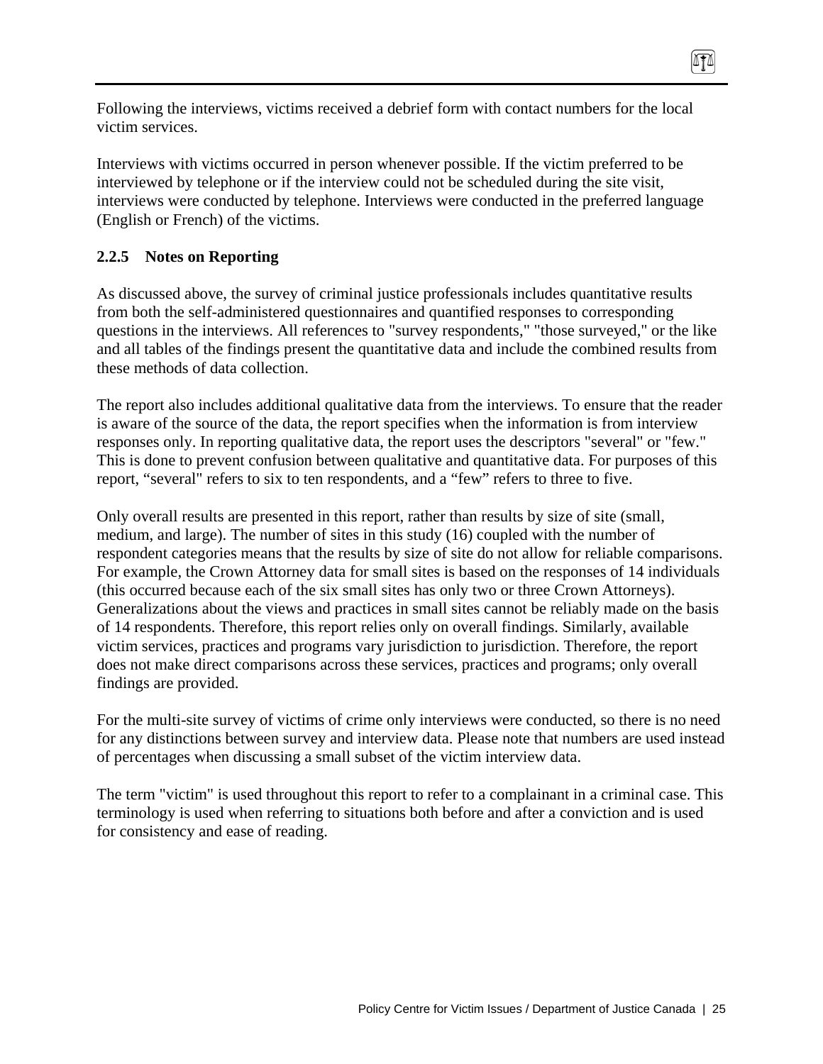Following the interviews, victims received a debrief form with contact numbers for the local victim services.

0TA

Interviews with victims occurred in person whenever possible. If the victim preferred to be interviewed by telephone or if the interview could not be scheduled during the site visit, interviews were conducted by telephone. Interviews were conducted in the preferred language (English or French) of the victims.

# **2.2.5 Notes on Reporting**

As discussed above, the survey of criminal justice professionals includes quantitative results from both the self-administered questionnaires and quantified responses to corresponding questions in the interviews. All references to "survey respondents," "those surveyed," or the like and all tables of the findings present the quantitative data and include the combined results from these methods of data collection.

The report also includes additional qualitative data from the interviews. To ensure that the reader is aware of the source of the data, the report specifies when the information is from interview responses only. In reporting qualitative data, the report uses the descriptors "several" or "few." This is done to prevent confusion between qualitative and quantitative data. For purposes of this report, "several" refers to six to ten respondents, and a "few" refers to three to five.

Only overall results are presented in this report, rather than results by size of site (small, medium, and large). The number of sites in this study (16) coupled with the number of respondent categories means that the results by size of site do not allow for reliable comparisons. For example, the Crown Attorney data for small sites is based on the responses of 14 individuals (this occurred because each of the six small sites has only two or three Crown Attorneys). Generalizations about the views and practices in small sites cannot be reliably made on the basis of 14 respondents. Therefore, this report relies only on overall findings. Similarly, available victim services, practices and programs vary jurisdiction to jurisdiction. Therefore, the report does not make direct comparisons across these services, practices and programs; only overall findings are provided.

For the multi-site survey of victims of crime only interviews were conducted, so there is no need for any distinctions between survey and interview data. Please note that numbers are used instead of percentages when discussing a small subset of the victim interview data.

The term "victim" is used throughout this report to refer to a complainant in a criminal case. This terminology is used when referring to situations both before and after a conviction and is used for consistency and ease of reading.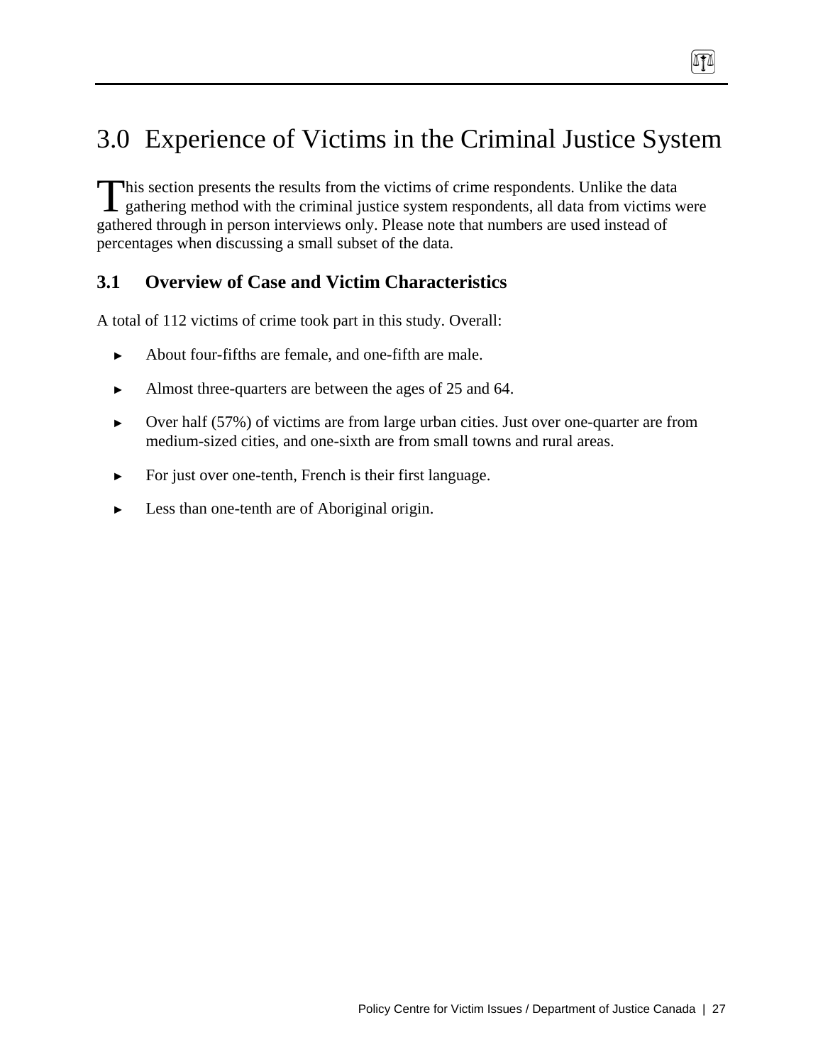# 3.0 Experience of Victims in the Criminal Justice System

 $\sqrt{10}$ 

his section presents the results from the victims of crime respondents. Unlike the data This section presents the results from the victims of crime respondents. Unlike the data gathering method with the criminal justice system respondents, all data from victims were gathered through in person interviews only. Please note that numbers are used instead of percentages when discussing a small subset of the data.

## **3.1 Overview of Case and Victim Characteristics**

A total of 112 victims of crime took part in this study. Overall:

- ► About four-fifths are female, and one-fifth are male.
- Almost three-quarters are between the ages of 25 and 64.
- ► Over half (57%) of victims are from large urban cities. Just over one-quarter are from medium-sized cities, and one-sixth are from small towns and rural areas.
- ► For just over one-tenth, French is their first language.
- Less than one-tenth are of Aboriginal origin.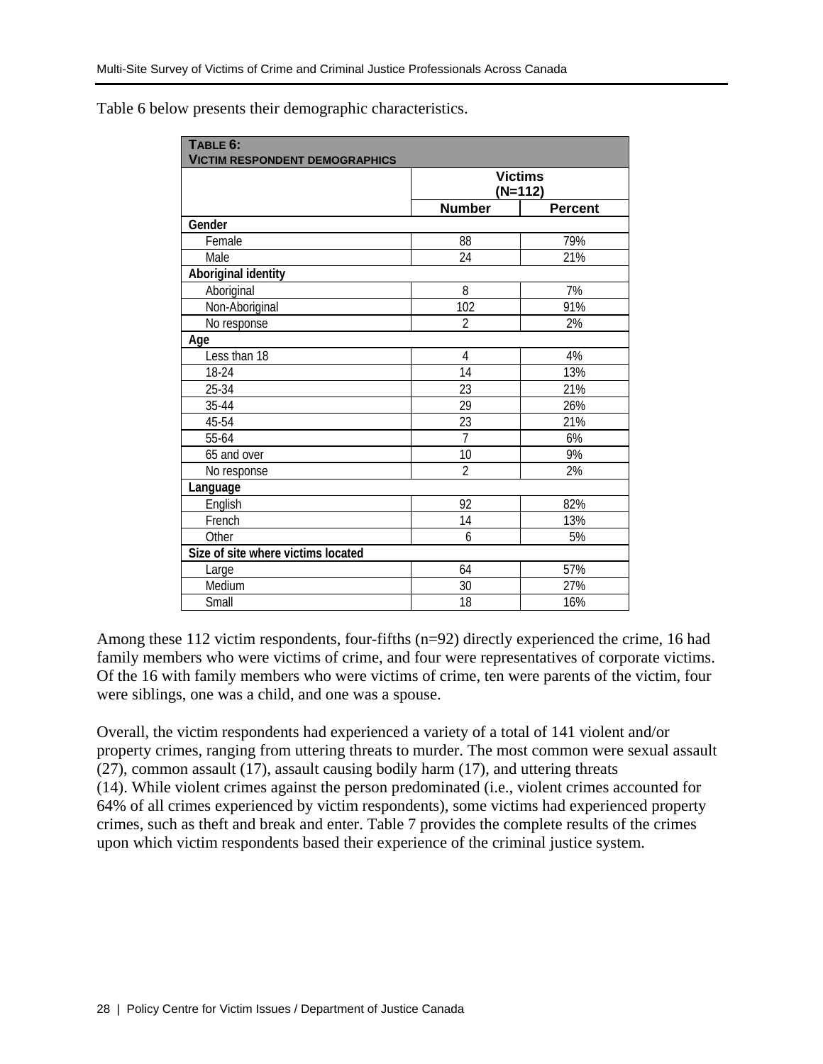| TABLE 6:<br><b>VICTIM RESPONDENT DEMOGRAPHICS</b> |                |                |
|---------------------------------------------------|----------------|----------------|
|                                                   | <b>Victims</b> | $(N=112)$      |
|                                                   | <b>Number</b>  | <b>Percent</b> |
| Gender                                            |                |                |
| Female                                            | 88             | 79%            |
| Male                                              | 24             | 21%            |
| Aboriginal identity                               |                |                |
| Aboriginal                                        | 8              | 7%             |
| Non-Aboriginal                                    | 102            | 91%            |
| No response                                       | $\overline{2}$ | 2%             |
| Age                                               |                |                |
| Less than 18                                      | $\overline{4}$ | 4%             |
| 18-24                                             | 14             | 13%            |
| 25-34                                             | 23             | 21%            |
| 35-44                                             | 29             | 26%            |
| 45-54                                             | 23             | 21%            |
| 55-64                                             | $\overline{7}$ | 6%             |
| 65 and over                                       | 10             | 9%             |
| No response                                       | $\overline{2}$ | 2%             |
| Language                                          |                |                |
| English                                           | 92             | 82%            |
| French                                            | 14             | 13%            |
| Other                                             | 6              | 5%             |
| Size of site where victims located                |                |                |
| Large                                             | 64             | 57%            |
| Medium                                            | 30             | 27%            |
| Small                                             | 18             | 16%            |

Table 6 below presents their demographic characteristics.

Among these 112 victim respondents, four-fifths (n=92) directly experienced the crime, 16 had family members who were victims of crime, and four were representatives of corporate victims. Of the 16 with family members who were victims of crime, ten were parents of the victim, four were siblings, one was a child, and one was a spouse.

Overall, the victim respondents had experienced a variety of a total of 141 violent and/or property crimes, ranging from uttering threats to murder. The most common were sexual assault (27), common assault (17), assault causing bodily harm (17), and uttering threats (14). While violent crimes against the person predominated (i.e., violent crimes accounted for 64% of all crimes experienced by victim respondents), some victims had experienced property crimes, such as theft and break and enter. Table 7 provides the complete results of the crimes upon which victim respondents based their experience of the criminal justice system.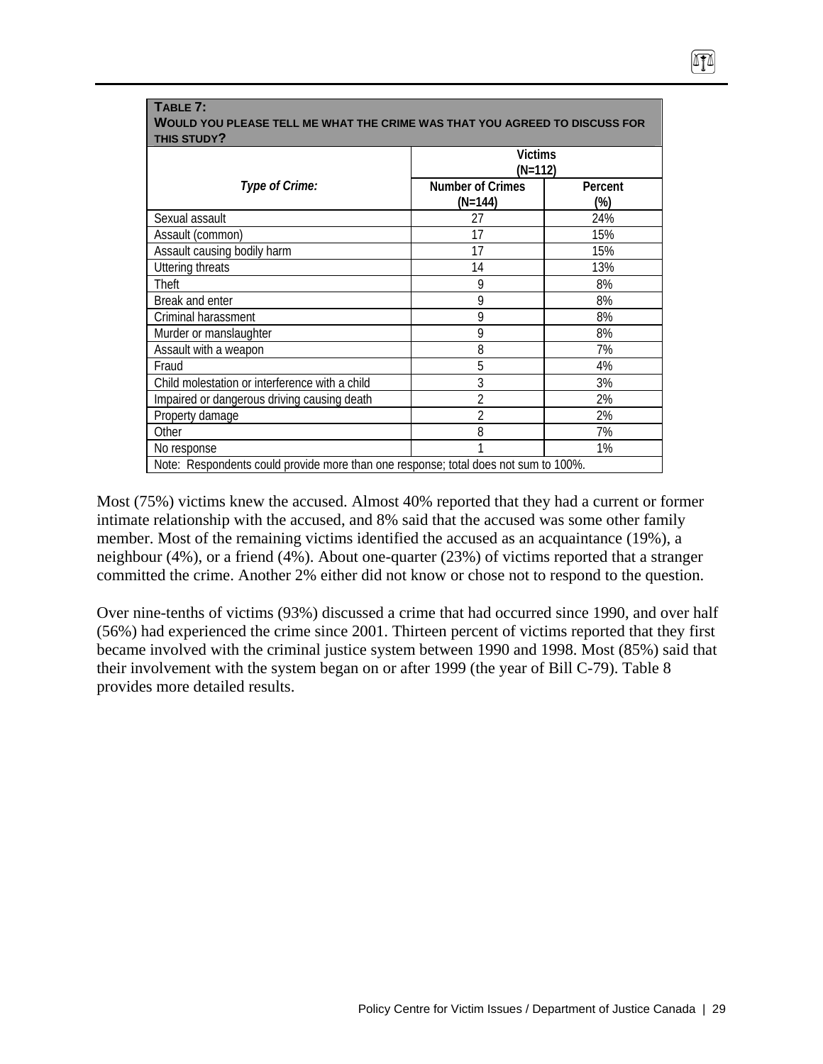|                                                | <b>Victims</b><br>$(N=112)$          |                |  |  |
|------------------------------------------------|--------------------------------------|----------------|--|--|
| Type of Crime:                                 | <b>Number of Crimes</b><br>$(N=144)$ | Percent<br>(%) |  |  |
| Sexual assault                                 | 27                                   | 24%            |  |  |
| Assault (common)                               | 17                                   | 15%            |  |  |
| Assault causing bodily harm                    | 17                                   | 15%            |  |  |
| <b>Uttering threats</b>                        | 14                                   | 13%            |  |  |
| Theft                                          | 9                                    | 8%             |  |  |
| Break and enter                                | 9                                    | 8%             |  |  |
| Criminal harassment                            | 9                                    | 8%             |  |  |
| Murder or manslaughter                         | 9                                    | 8%             |  |  |
| Assault with a weapon                          | 8                                    | 7%             |  |  |
| Fraud                                          | 5                                    | 4%             |  |  |
| Child molestation or interference with a child | 3                                    | 3%             |  |  |
| Impaired or dangerous driving causing death    | $\overline{2}$                       | 2%             |  |  |
| Property damage                                | $\overline{2}$                       | 2%             |  |  |
| Other                                          | 8                                    | 7%             |  |  |
| No response                                    | 1                                    | 1%             |  |  |

0TA

**TABLE 7:** 

Most (75%) victims knew the accused. Almost 40% reported that they had a current or former intimate relationship with the accused, and 8% said that the accused was some other family member. Most of the remaining victims identified the accused as an acquaintance (19%), a neighbour (4%), or a friend (4%). About one-quarter (23%) of victims reported that a stranger committed the crime. Another 2% either did not know or chose not to respond to the question.

Over nine-tenths of victims (93%) discussed a crime that had occurred since 1990, and over half (56%) had experienced the crime since 2001. Thirteen percent of victims reported that they first became involved with the criminal justice system between 1990 and 1998. Most (85%) said that their involvement with the system began on or after 1999 (the year of Bill C-79). Table 8 provides more detailed results.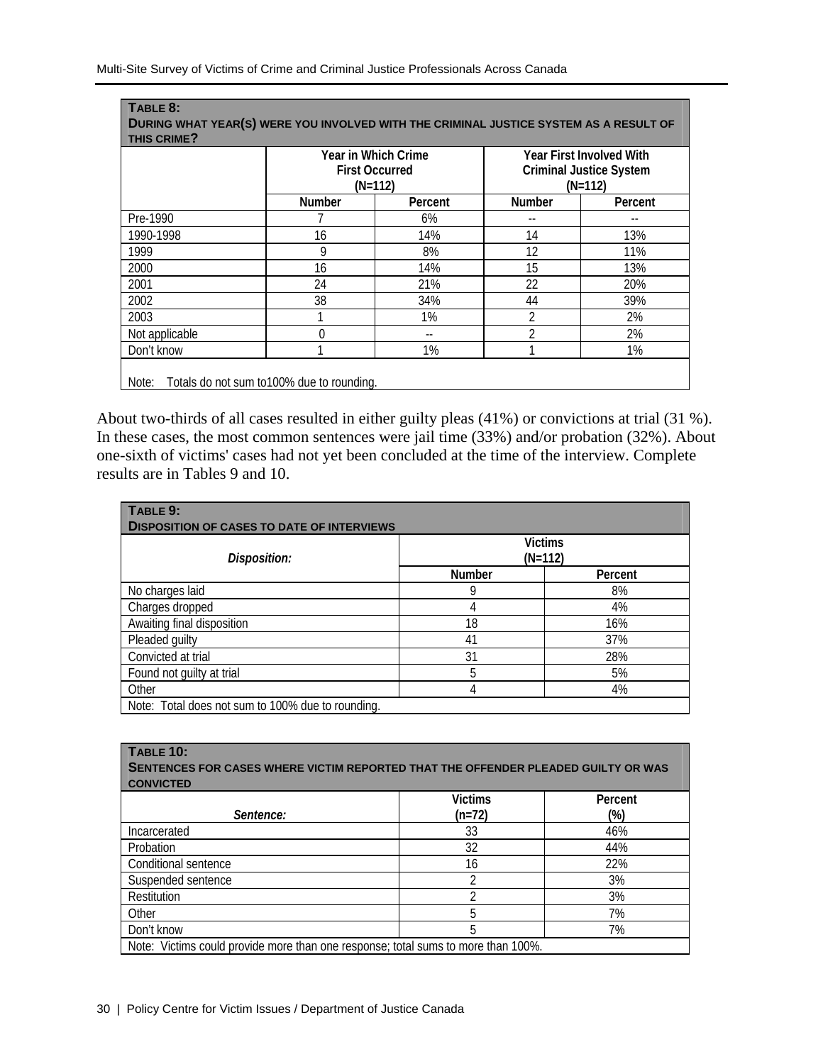|                |               | Year in Which Crime<br><b>First Occurred</b><br>$(N=112)$ |               | <b>Year First Involved With</b><br><b>Criminal Justice System</b><br>$(N=112)$ |
|----------------|---------------|-----------------------------------------------------------|---------------|--------------------------------------------------------------------------------|
|                | <b>Number</b> | Percent                                                   | <b>Number</b> | Percent                                                                        |
| Pre-1990       |               | 6%                                                        |               |                                                                                |
| 1990-1998      | 16            | 14%                                                       | 14            | 13%                                                                            |
| 1999           | 9             | 8%                                                        | 12            | 11%                                                                            |
| 2000           | 16            | 14%                                                       | 15            | 13%                                                                            |
| 2001           | 24            | 21%                                                       | 22            | 20%                                                                            |
| 2002           | 38            | 34%                                                       | 44            | 39%                                                                            |
| 2003           |               | $1\%$                                                     | 2             | 2%                                                                             |
| Not applicable | $\Omega$      | $- -$                                                     | 2             | 2%                                                                             |
| Don't know     |               | $1\%$                                                     |               | $1\%$                                                                          |

About two-thirds of all cases resulted in either guilty pleas (41%) or convictions at trial (31 %). In these cases, the most common sentences were jail time (33%) and/or probation (32%). About one-sixth of victims' cases had not yet been concluded at the time of the interview. Complete results are in Tables 9 and 10.

| TABLE 9:<br><b>DISPOSITION OF CASES TO DATE OF INTERVIEWS</b> |                             |         |  |  |  |
|---------------------------------------------------------------|-----------------------------|---------|--|--|--|
| Disposition:                                                  | <b>Victims</b><br>$(N=112)$ |         |  |  |  |
|                                                               | <b>Number</b>               | Percent |  |  |  |
| No charges laid                                               | 9                           | 8%      |  |  |  |
| Charges dropped                                               | 4                           | 4%      |  |  |  |
| Awaiting final disposition                                    | 18                          | 16%     |  |  |  |
| Pleaded guilty                                                | 41                          | 37%     |  |  |  |
| Convicted at trial                                            | 31                          | 28%     |  |  |  |
| Found not guilty at trial                                     | 5                           | 5%      |  |  |  |
| Other                                                         | 4                           | 4%      |  |  |  |
| Note: Total does not sum to 100% due to rounding.             |                             |         |  |  |  |

| <b>TABLE 10:</b><br>SENTENCES FOR CASES WHERE VICTIM REPORTED THAT THE OFFENDER PLEADED GUILTY OR WAS<br><b>CONVICTED</b> |                |         |  |  |  |  |
|---------------------------------------------------------------------------------------------------------------------------|----------------|---------|--|--|--|--|
|                                                                                                                           | <b>Victims</b> | Percent |  |  |  |  |
| Sentence:                                                                                                                 | $(n=72)$       | (%)     |  |  |  |  |
| Incarcerated                                                                                                              | 33             | 46%     |  |  |  |  |
| Probation                                                                                                                 | 32             | 44%     |  |  |  |  |
| Conditional sentence                                                                                                      | 16             | 22%     |  |  |  |  |
| Suspended sentence                                                                                                        | າ              | 3%      |  |  |  |  |
| Restitution                                                                                                               |                | 3%      |  |  |  |  |
| Other                                                                                                                     | 5              | 7%      |  |  |  |  |
| Don't know                                                                                                                | 5              | 7%      |  |  |  |  |
| Note: Victims could provide more than one response; total sums to more than 100%.                                         |                |         |  |  |  |  |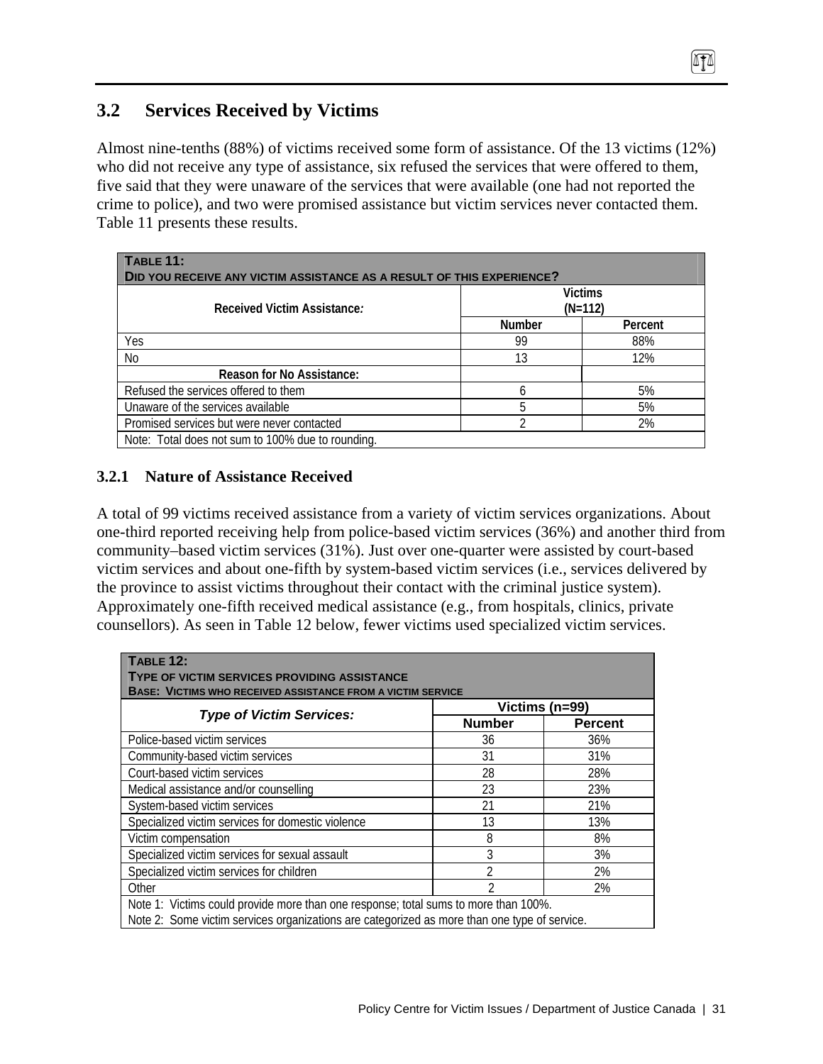# **3.2 Services Received by Victims**

Almost nine-tenths (88%) of victims received some form of assistance. Of the 13 victims (12%) who did not receive any type of assistance, six refused the services that were offered to them, five said that they were unaware of the services that were available (one had not reported the crime to police), and two were promised assistance but victim services never contacted them. Table 11 presents these results.

 $474$ 

| <b>TABLE 11:</b><br>DID YOU RECEIVE ANY VICTIM ASSISTANCE AS A RESULT OF THIS EXPERIENCE? |                             |         |  |  |  |  |
|-------------------------------------------------------------------------------------------|-----------------------------|---------|--|--|--|--|
| Received Victim Assistance:                                                               | <b>Victims</b><br>$(N=112)$ |         |  |  |  |  |
|                                                                                           | <b>Number</b>               | Percent |  |  |  |  |
| Yes                                                                                       | 99                          | 88%     |  |  |  |  |
| No                                                                                        | 13                          | 12%     |  |  |  |  |
| <b>Reason for No Assistance:</b>                                                          |                             |         |  |  |  |  |
| Refused the services offered to them                                                      | h                           | 5%      |  |  |  |  |
| Unaware of the services available                                                         | 5                           | 5%      |  |  |  |  |
| Promised services but were never contacted                                                | 2%                          |         |  |  |  |  |
| Note: Total does not sum to 100% due to rounding.                                         |                             |         |  |  |  |  |

## **3.2.1 Nature of Assistance Received**

A total of 99 victims received assistance from a variety of victim services organizations. About one-third reported receiving help from police-based victim services (36%) and another third from community–based victim services (31%). Just over one-quarter were assisted by court-based victim services and about one-fifth by system-based victim services (i.e., services delivered by the province to assist victims throughout their contact with the criminal justice system). Approximately one-fifth received medical assistance (e.g., from hospitals, clinics, private counsellors). As seen in Table 12 below, fewer victims used specialized victim services.

| <b>TABLE 12:</b><br>TYPE OF VICTIM SERVICES PROVIDING ASSISTANCE<br><b>BASE: VICTIMS WHO RECEIVED ASSISTANCE FROM A VICTIM SERVICE</b> |                |                |  |  |  |  |
|----------------------------------------------------------------------------------------------------------------------------------------|----------------|----------------|--|--|--|--|
| Victims (n=99)<br><b>Type of Victim Services:</b>                                                                                      |                |                |  |  |  |  |
|                                                                                                                                        | <b>Number</b>  | <b>Percent</b> |  |  |  |  |
| Police-based victim services                                                                                                           | 36             | 36%            |  |  |  |  |
| Community-based victim services                                                                                                        | 31             | 31%            |  |  |  |  |
| Court-based victim services                                                                                                            | 28             | 28%            |  |  |  |  |
| Medical assistance and/or counselling                                                                                                  | 23             | 23%            |  |  |  |  |
| System-based victim services                                                                                                           | 21             | 21%            |  |  |  |  |
| Specialized victim services for domestic violence                                                                                      | 13             | 13%            |  |  |  |  |
| Victim compensation                                                                                                                    | 8              | 8%             |  |  |  |  |
| Specialized victim services for sexual assault                                                                                         | 3              | 3%             |  |  |  |  |
| Specialized victim services for children                                                                                               | 2              | 2%             |  |  |  |  |
| Other                                                                                                                                  | $\overline{2}$ | 2%             |  |  |  |  |
| Note 1: Victims could provide more than one response; total sums to more than 100%.                                                    |                |                |  |  |  |  |
| Note 2: Some victim services organizations are categorized as more than one type of service.                                           |                |                |  |  |  |  |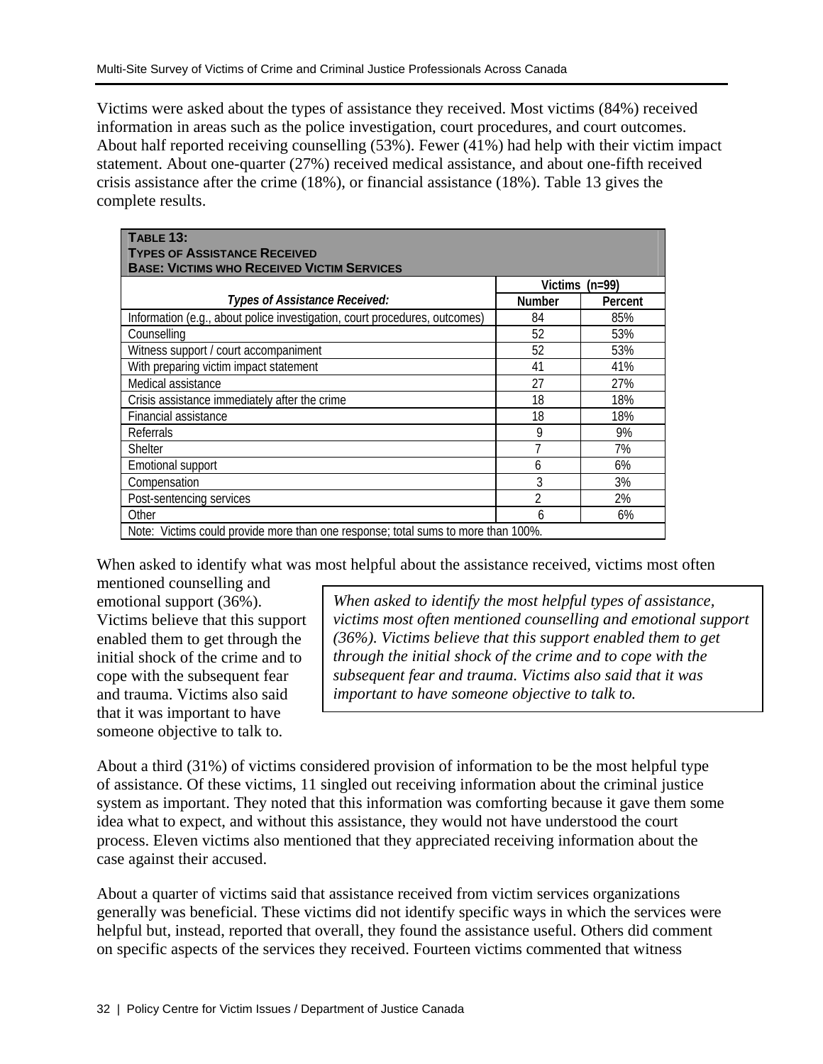Victims were asked about the types of assistance they received. Most victims (84%) received information in areas such as the police investigation, court procedures, and court outcomes. About half reported receiving counselling (53%). Fewer (41%) had help with their victim impact statement. About one-quarter (27%) received medical assistance, and about one-fifth received crisis assistance after the crime (18%), or financial assistance (18%). Table 13 gives the complete results.

| TABLE 13:<br><b>TYPES OF ASSISTANCE RECEIVED</b><br><b>BASE: VICTIMS WHO RECEIVED VICTIM SERVICES</b> |                |                  |  |  |  |  |
|-------------------------------------------------------------------------------------------------------|----------------|------------------|--|--|--|--|
|                                                                                                       |                | Victims $(n=99)$ |  |  |  |  |
| Types of Assistance Received:                                                                         | <b>Number</b>  | Percent          |  |  |  |  |
| Information (e.g., about police investigation, court procedures, outcomes)                            | 84             | 85%              |  |  |  |  |
| Counsellina                                                                                           | 52             | 53%              |  |  |  |  |
| Witness support / court accompaniment                                                                 | 52             | 53%              |  |  |  |  |
| With preparing victim impact statement                                                                | 41             | 41%              |  |  |  |  |
| Medical assistance                                                                                    | 27             | 27%              |  |  |  |  |
| Crisis assistance immediately after the crime                                                         | 18             | 18%              |  |  |  |  |
| Financial assistance                                                                                  | 18             | 18%              |  |  |  |  |
| Referrals                                                                                             | 9              | 9%               |  |  |  |  |
| <b>Shelter</b>                                                                                        |                | 7%               |  |  |  |  |
| Emotional support                                                                                     | 6              | 6%               |  |  |  |  |
| Compensation                                                                                          | 3              | 3%               |  |  |  |  |
| Post-sentencing services                                                                              | $\overline{2}$ | 2%               |  |  |  |  |
| Other                                                                                                 | 6              | 6%               |  |  |  |  |
| Note: Victims could provide more than one response; total sums to more than 100%.                     |                |                  |  |  |  |  |

When asked to identify what was most helpful about the assistance received, victims most often

mentioned counselling and emotional support (36%). Victims believe that this support enabled them to get through the initial shock of the crime and to cope with the subsequent fear and trauma. Victims also said that it was important to have someone objective to talk to.

*When asked to identify the most helpful types of assistance, victims most often mentioned counselling and emotional support (36%). Victims believe that this support enabled them to get through the initial shock of the crime and to cope with the subsequent fear and trauma. Victims also said that it was important to have someone objective to talk to.* 

About a third (31%) of victims considered provision of information to be the most helpful type of assistance. Of these victims, 11 singled out receiving information about the criminal justice system as important. They noted that this information was comforting because it gave them some idea what to expect, and without this assistance, they would not have understood the court process. Eleven victims also mentioned that they appreciated receiving information about the case against their accused.

About a quarter of victims said that assistance received from victim services organizations generally was beneficial. These victims did not identify specific ways in which the services were helpful but, instead, reported that overall, they found the assistance useful. Others did comment on specific aspects of the services they received. Fourteen victims commented that witness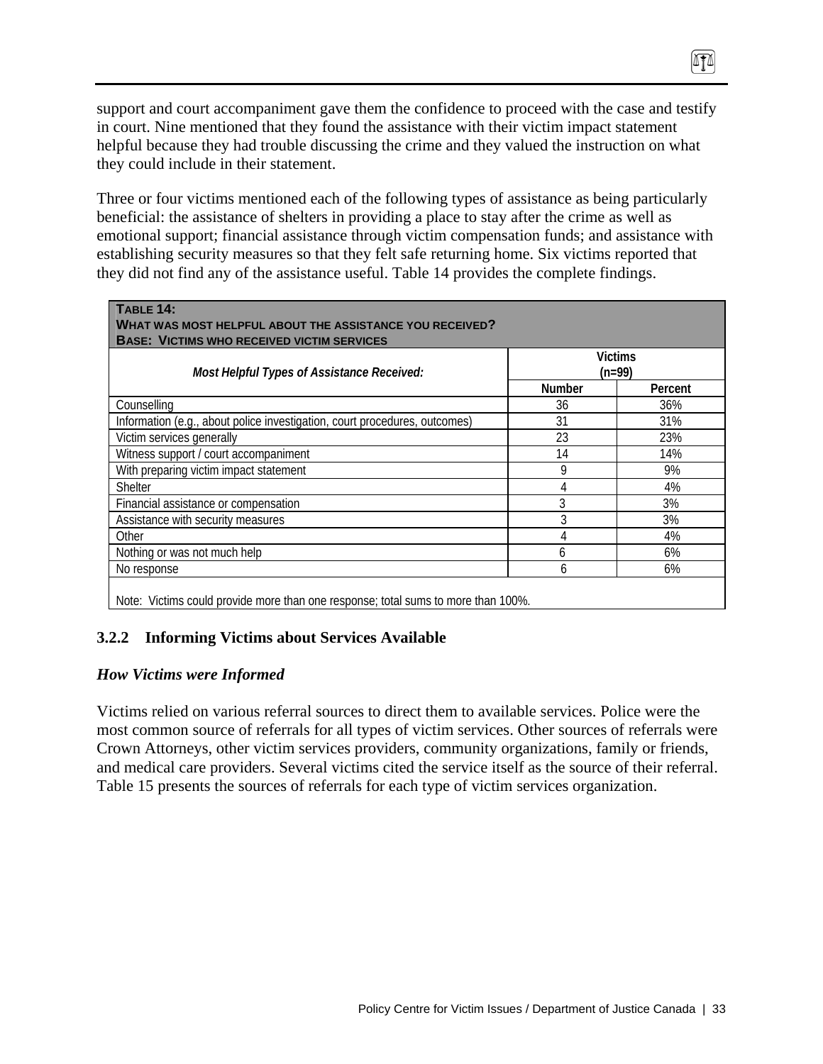support and court accompaniment gave them the confidence to proceed with the case and testify in court. Nine mentioned that they found the assistance with their victim impact statement helpful because they had trouble discussing the crime and they valued the instruction on what they could include in their statement.

0TA

Three or four victims mentioned each of the following types of assistance as being particularly beneficial: the assistance of shelters in providing a place to stay after the crime as well as emotional support; financial assistance through victim compensation funds; and assistance with establishing security measures so that they felt safe returning home. Six victims reported that they did not find any of the assistance useful. Table 14 provides the complete findings.

| Most Helpful Types of Assistance Received:                                 | <b>Victims</b><br>$(n=99)$ |         |  |
|----------------------------------------------------------------------------|----------------------------|---------|--|
|                                                                            | <b>Number</b>              | Percent |  |
| Counselling                                                                | 36                         | 36%     |  |
| Information (e.g., about police investigation, court procedures, outcomes) | 31                         | 31%     |  |
| Victim services generally                                                  | 23                         | 23%     |  |
| Witness support / court accompaniment                                      | 14                         | 14%     |  |
| With preparing victim impact statement                                     | 9                          | 9%      |  |
| Shelter                                                                    |                            | 4%      |  |
| Financial assistance or compensation                                       | 3                          | 3%      |  |
| Assistance with security measures                                          | 3                          | 3%      |  |
| Other                                                                      |                            | 4%      |  |
| Nothing or was not much help                                               | h                          | 6%      |  |
| No response                                                                | h                          | 6%      |  |

Note: Victims could provide more than one response; total sums to more than 100%.

#### **3.2.2 Informing Victims about Services Available**

#### *How Victims were Informed*

Victims relied on various referral sources to direct them to available services. Police were the most common source of referrals for all types of victim services. Other sources of referrals were Crown Attorneys, other victim services providers, community organizations, family or friends, and medical care providers. Several victims cited the service itself as the source of their referral. Table 15 presents the sources of referrals for each type of victim services organization.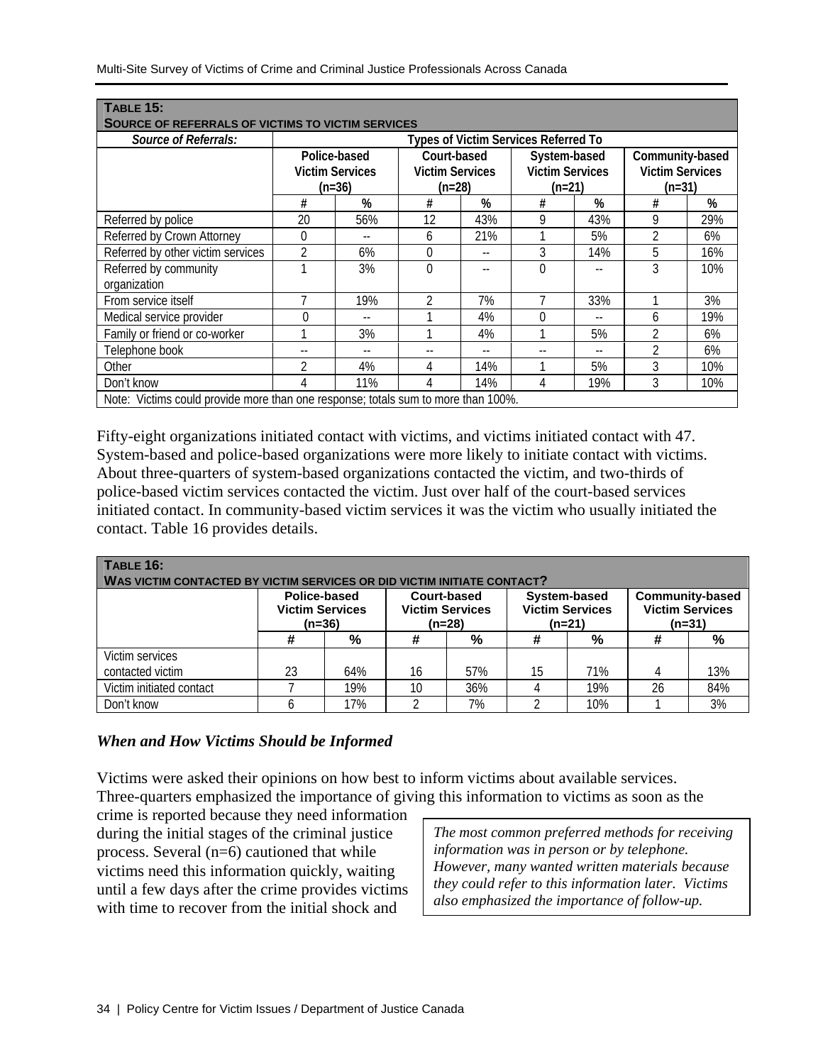| <b>TABLE 15:</b><br><b>SOURCE OF REFERRALS OF VICTIMS TO VICTIM SERVICES</b>      |                                                                                                       |     |                                                    |     |                                                       |     |                          |     |
|-----------------------------------------------------------------------------------|-------------------------------------------------------------------------------------------------------|-----|----------------------------------------------------|-----|-------------------------------------------------------|-----|--------------------------|-----|
| Source of Referrals:                                                              | Types of Victim Services Referred To                                                                  |     |                                                    |     |                                                       |     |                          |     |
|                                                                                   | Court-based<br>Police-based<br><b>Victim Services</b><br><b>Victim Services</b><br>$(n=36)$<br>(n=28) |     | System-based<br><b>Victim Services</b><br>$(n=21)$ |     | Community-based<br><b>Victim Services</b><br>$(n=31)$ |     |                          |     |
|                                                                                   | #                                                                                                     | %   | #                                                  | %   | #                                                     | %   | #                        | %   |
| Referred by police                                                                | 20                                                                                                    | 56% | 12                                                 | 43% | 9                                                     | 43% | 9                        | 29% |
| Referred by Crown Attorney                                                        | 0                                                                                                     |     | 6                                                  | 21% |                                                       | 5%  |                          | 6%  |
| Referred by other victim services                                                 | $\overline{2}$                                                                                        | 6%  | 0                                                  |     | 3                                                     | 14% | 5                        | 16% |
| Referred by community<br>organization                                             |                                                                                                       | 3%  | $\Omega$                                           |     | $\theta$                                              |     | 3                        | 10% |
| From service itself                                                               |                                                                                                       | 19% |                                                    | 7%  |                                                       | 33% |                          | 3%  |
| Medical service provider                                                          | $\theta$                                                                                              | $-$ |                                                    | 4%  | 0                                                     | $-$ | 6                        | 19% |
| Family or friend or co-worker                                                     |                                                                                                       | 3%  |                                                    | 4%  |                                                       | 5%  | 2                        | 6%  |
| Telephone book                                                                    |                                                                                                       |     |                                                    |     |                                                       | $-$ | $\overline{\phantom{a}}$ | 6%  |
| Other                                                                             | 2                                                                                                     | 4%  | 4                                                  | 14% |                                                       | 5%  | 3                        | 10% |
| Don't know                                                                        |                                                                                                       | 11% | 4                                                  | 14% | 4                                                     | 19% | 3                        | 10% |
| Note: Victims could provide more than one response; totals sum to more than 100%. |                                                                                                       |     |                                                    |     |                                                       |     |                          |     |

Fifty-eight organizations initiated contact with victims, and victims initiated contact with 47. System-based and police-based organizations were more likely to initiate contact with victims. About three-quarters of system-based organizations contacted the victim, and two-thirds of police-based victim services contacted the victim. Just over half of the court-based services initiated contact. In community-based victim services it was the victim who usually initiated the contact. Table 16 provides details.

| TABLE 16:<br>WAS VICTIM CONTACTED BY VICTIM SERVICES OR DID VICTIM INITIATE CONTACT? |                                                    |     |    |                                                 |          |                                        |    |                                                              |
|--------------------------------------------------------------------------------------|----------------------------------------------------|-----|----|-------------------------------------------------|----------|----------------------------------------|----|--------------------------------------------------------------|
|                                                                                      | Police-based<br><b>Victim Services</b><br>$(n=36)$ |     |    | Court-based<br><b>Victim Services</b><br>(n=28) | $(n=21)$ | System-based<br><b>Victim Services</b> |    | <b>Community-based</b><br><b>Victim Services</b><br>$(n=31)$ |
|                                                                                      | #                                                  | %   | #  | %                                               | #        | %                                      | #  | %                                                            |
| Victim services<br>contacted victim                                                  | 23                                                 | 64% | 16 | 57%                                             | 15       | 71%                                    | 4  | 13%                                                          |
| Victim initiated contact                                                             |                                                    | 19% | 10 | 36%                                             |          | 19%                                    | 26 | 84%                                                          |
| Don't know                                                                           |                                                    | 17% |    | 7%                                              |          | 10%                                    |    | 3%                                                           |

#### *When and How Victims Should be Informed*

Victims were asked their opinions on how best to inform victims about available services. Three-quarters emphasized the importance of giving this information to victims as soon as the

crime is reported because they need information during the initial stages of the criminal justice process. Several (n=6) cautioned that while victims need this information quickly, waiting until a few days after the crime provides victims with time to recover from the initial shock and

*The most common preferred methods for receiving information was in person or by telephone. However, many wanted written materials because they could refer to this information later. Victims also emphasized the importance of follow-up.*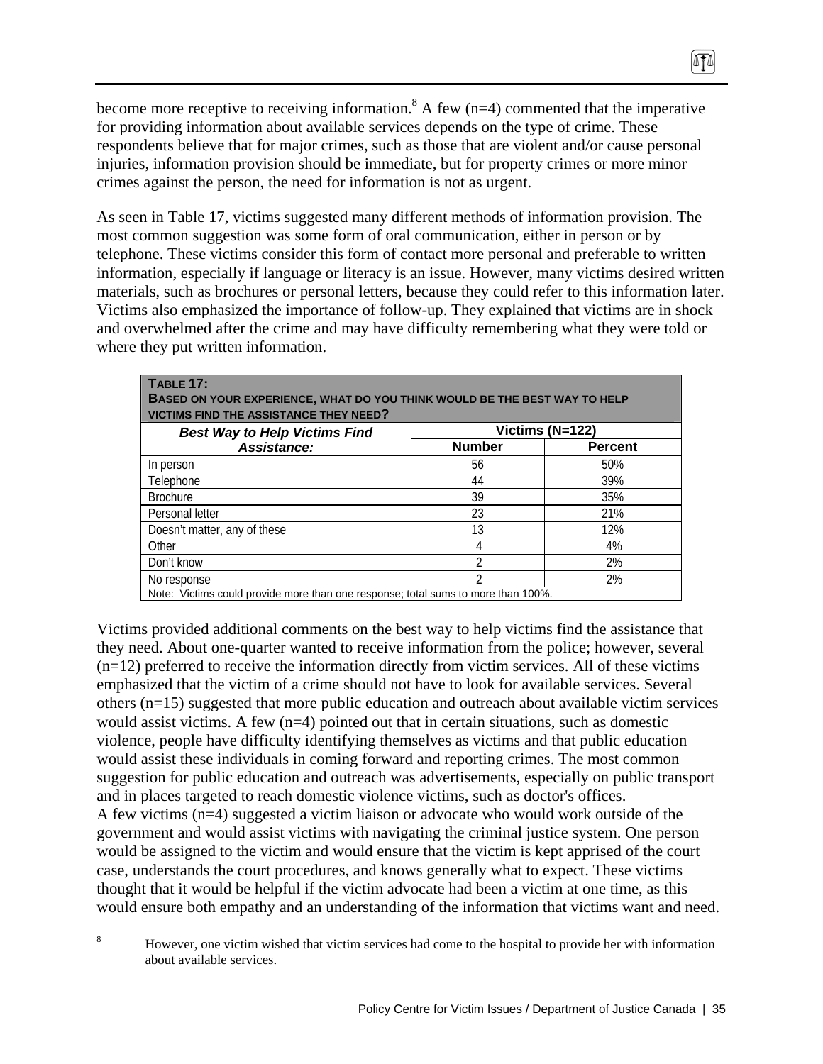become more receptive to receiving information.<sup>8</sup> A few (n=4) commented that the imperative for providing information about available services depends on the type of crime. These respondents believe that for major crimes, such as those that are violent and/or cause personal injuries, information provision should be immediate, but for property crimes or more minor crimes against the person, the need for information is not as urgent.

 $474$ 

As seen in Table 17, victims suggested many different methods of information provision. The most common suggestion was some form of oral communication, either in person or by telephone. These victims consider this form of contact more personal and preferable to written information, especially if language or literacy is an issue. However, many victims desired written materials, such as brochures or personal letters, because they could refer to this information later. Victims also emphasized the importance of follow-up. They explained that victims are in shock and overwhelmed after the crime and may have difficulty remembering what they were told or where they put written information.

| <b>TABLE 17:</b>                                                                  |               |                |  |  |  |  |  |
|-----------------------------------------------------------------------------------|---------------|----------------|--|--|--|--|--|
| <b>BASED ON YOUR EXPERIENCE, WHAT DO YOU THINK WOULD BE THE BEST WAY TO HELP</b>  |               |                |  |  |  |  |  |
| <b>VICTIMS FIND THE ASSISTANCE THEY NEED?</b>                                     |               |                |  |  |  |  |  |
| Victims $(N=122)$<br><b>Best Way to Help Victims Find</b>                         |               |                |  |  |  |  |  |
| Assistance:                                                                       | <b>Number</b> | <b>Percent</b> |  |  |  |  |  |
| In person                                                                         | 56            | 50%            |  |  |  |  |  |
| Telephone                                                                         | 44            | 39%            |  |  |  |  |  |
| <b>Brochure</b>                                                                   | 39            | 35%            |  |  |  |  |  |
| Personal letter                                                                   | 23            | 21%            |  |  |  |  |  |
| Doesn't matter, any of these                                                      | 13            | 12%            |  |  |  |  |  |
| Other                                                                             |               | 4%             |  |  |  |  |  |
| Don't know                                                                        | C             | 2%             |  |  |  |  |  |
| No response                                                                       | າ             | 2%             |  |  |  |  |  |
| Note: Victims could provide more than one response; total sums to more than 100%. |               |                |  |  |  |  |  |

Victims provided additional comments on the best way to help victims find the assistance that they need. About one-quarter wanted to receive information from the police; however, several  $(n=12)$  preferred to receive the information directly from victim services. All of these victims emphasized that the victim of a crime should not have to look for available services. Several others (n=15) suggested that more public education and outreach about available victim services would assist victims. A few  $(n=4)$  pointed out that in certain situations, such as domestic violence, people have difficulty identifying themselves as victims and that public education would assist these individuals in coming forward and reporting crimes. The most common suggestion for public education and outreach was advertisements, especially on public transport and in places targeted to reach domestic violence victims, such as doctor's offices. A few victims (n=4) suggested a victim liaison or advocate who would work outside of the government and would assist victims with navigating the criminal justice system. One person would be assigned to the victim and would ensure that the victim is kept apprised of the court case, understands the court procedures, and knows generally what to expect. These victims thought that it would be helpful if the victim advocate had been a victim at one time, as this would ensure both empathy and an understanding of the information that victims want and need.

 8 However, one victim wished that victim services had come to the hospital to provide her with information about available services.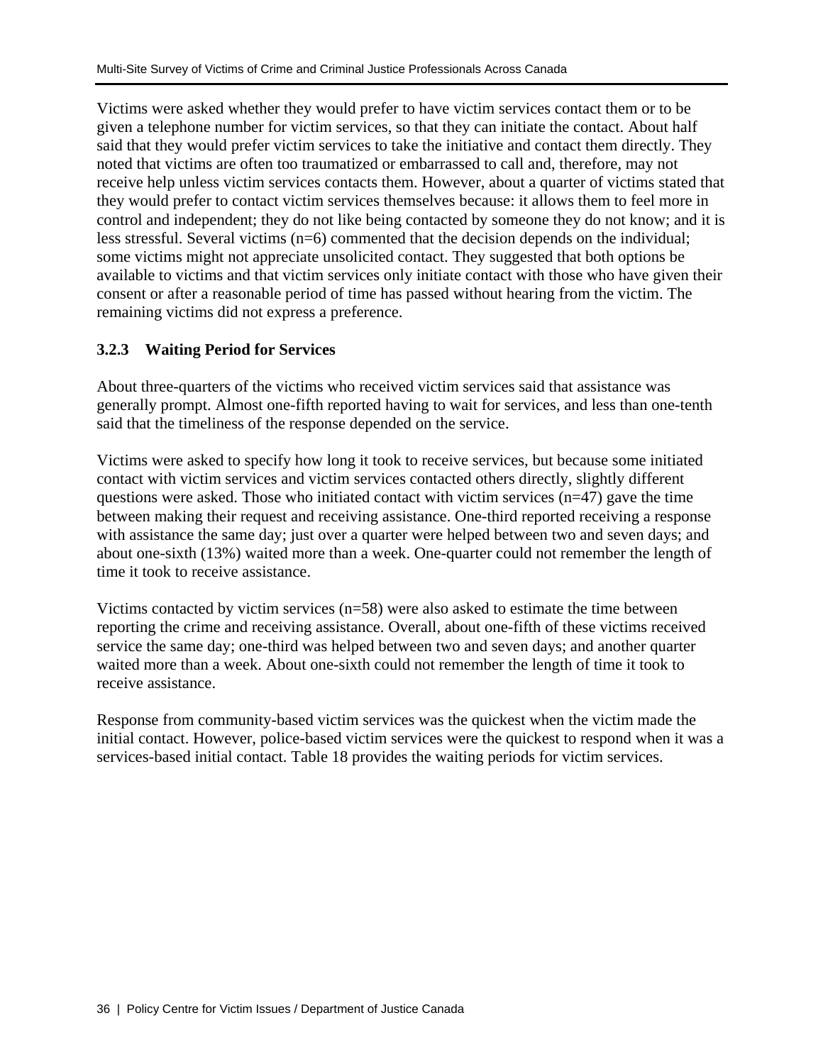Victims were asked whether they would prefer to have victim services contact them or to be given a telephone number for victim services, so that they can initiate the contact. About half said that they would prefer victim services to take the initiative and contact them directly. They noted that victims are often too traumatized or embarrassed to call and, therefore, may not receive help unless victim services contacts them. However, about a quarter of victims stated that they would prefer to contact victim services themselves because: it allows them to feel more in control and independent; they do not like being contacted by someone they do not know; and it is less stressful. Several victims (n=6) commented that the decision depends on the individual; some victims might not appreciate unsolicited contact. They suggested that both options be available to victims and that victim services only initiate contact with those who have given their consent or after a reasonable period of time has passed without hearing from the victim. The remaining victims did not express a preference.

### **3.2.3 Waiting Period for Services**

About three-quarters of the victims who received victim services said that assistance was generally prompt. Almost one-fifth reported having to wait for services, and less than one-tenth said that the timeliness of the response depended on the service.

Victims were asked to specify how long it took to receive services, but because some initiated contact with victim services and victim services contacted others directly, slightly different questions were asked. Those who initiated contact with victim services (n=47) gave the time between making their request and receiving assistance. One-third reported receiving a response with assistance the same day; just over a quarter were helped between two and seven days; and about one-sixth (13%) waited more than a week. One-quarter could not remember the length of time it took to receive assistance.

Victims contacted by victim services  $(n=58)$  were also asked to estimate the time between reporting the crime and receiving assistance. Overall, about one-fifth of these victims received service the same day; one-third was helped between two and seven days; and another quarter waited more than a week. About one-sixth could not remember the length of time it took to receive assistance.

Response from community-based victim services was the quickest when the victim made the initial contact. However, police-based victim services were the quickest to respond when it was a services-based initial contact. Table 18 provides the waiting periods for victim services.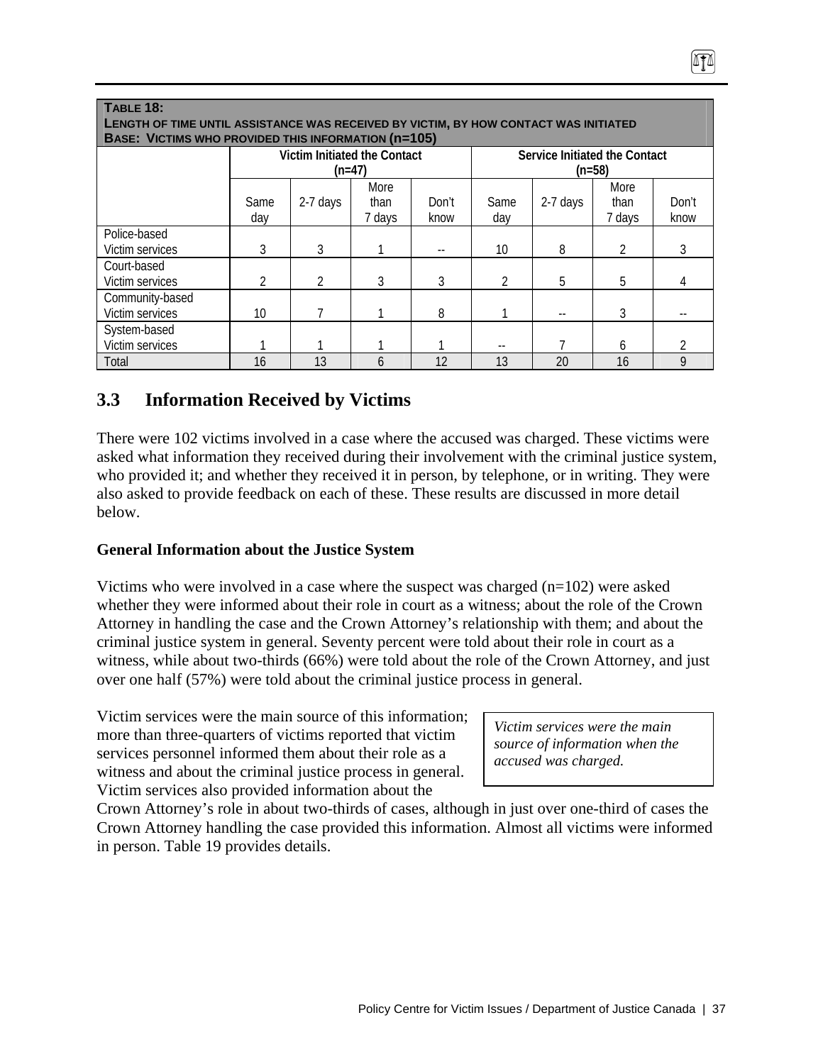| <b>TABLE 18:</b><br><b>LENGTH OF TIME UNTIL ASSISTANCE WAS RECEIVED BY VICTIM, BY HOW CONTACT WAS INITIATED</b><br><b>BASE: VICTIMS WHO PROVIDED THIS INFORMATION (n=105)</b> |               |                              |        |       |                |                               |                |                |
|-------------------------------------------------------------------------------------------------------------------------------------------------------------------------------|---------------|------------------------------|--------|-------|----------------|-------------------------------|----------------|----------------|
|                                                                                                                                                                               |               | Victim Initiated the Contact |        |       |                | Service Initiated the Contact |                |                |
|                                                                                                                                                                               |               | $(n=47)$                     |        |       |                | $(n=58)$                      |                |                |
|                                                                                                                                                                               |               |                              | More   |       |                |                               | More           |                |
|                                                                                                                                                                               | Same          | 2-7 days                     | than   | Don't | Same           | 2-7 days                      | than           | Don't          |
|                                                                                                                                                                               | day           |                              | 7 days | know  | day            |                               | 7 days         | know           |
| Police-based                                                                                                                                                                  |               |                              |        |       |                |                               |                |                |
| Victim services                                                                                                                                                               | 3             | 3                            |        |       | 10             | 8                             | $\mathfrak{D}$ | 3              |
| Court-based                                                                                                                                                                   |               |                              |        |       |                |                               |                |                |
| Victim services                                                                                                                                                               | $\mathcal{P}$ | $\mathfrak{D}$               | 3      | 3     | $\mathfrak{D}$ | 5                             | 5              | 4              |
| Community-based                                                                                                                                                               |               |                              |        |       |                |                               |                |                |
| Victim services                                                                                                                                                               | 10            |                              |        | 8     |                |                               | 3              |                |
| System-based                                                                                                                                                                  |               |                              |        |       |                |                               |                |                |
| Victim services                                                                                                                                                               |               |                              |        |       |                |                               | 6              | $\mathfrak{D}$ |
| Total                                                                                                                                                                         | 16            | 13                           | 6      | 12    | 13             | 20                            | 16             | 9              |

# **3.3 Information Received by Victims**

There were 102 victims involved in a case where the accused was charged. These victims were asked what information they received during their involvement with the criminal justice system, who provided it; and whether they received it in person, by telephone, or in writing. They were also asked to provide feedback on each of these. These results are discussed in more detail below.

## **General Information about the Justice System**

Victims who were involved in a case where the suspect was charged  $(n=102)$  were asked whether they were informed about their role in court as a witness; about the role of the Crown Attorney in handling the case and the Crown Attorney's relationship with them; and about the criminal justice system in general. Seventy percent were told about their role in court as a witness, while about two-thirds (66%) were told about the role of the Crown Attorney, and just over one half (57%) were told about the criminal justice process in general.

Victim services were the main source of this information; more than three-quarters of victims reported that victim services personnel informed them about their role as a witness and about the criminal justice process in general. Victim services also provided information about the

*Victim services were the main source of information when the accused was charged.* 

Crown Attorney's role in about two-thirds of cases, although in just over one-third of cases the Crown Attorney handling the case provided this information. Almost all victims were informed in person. Table 19 provides details.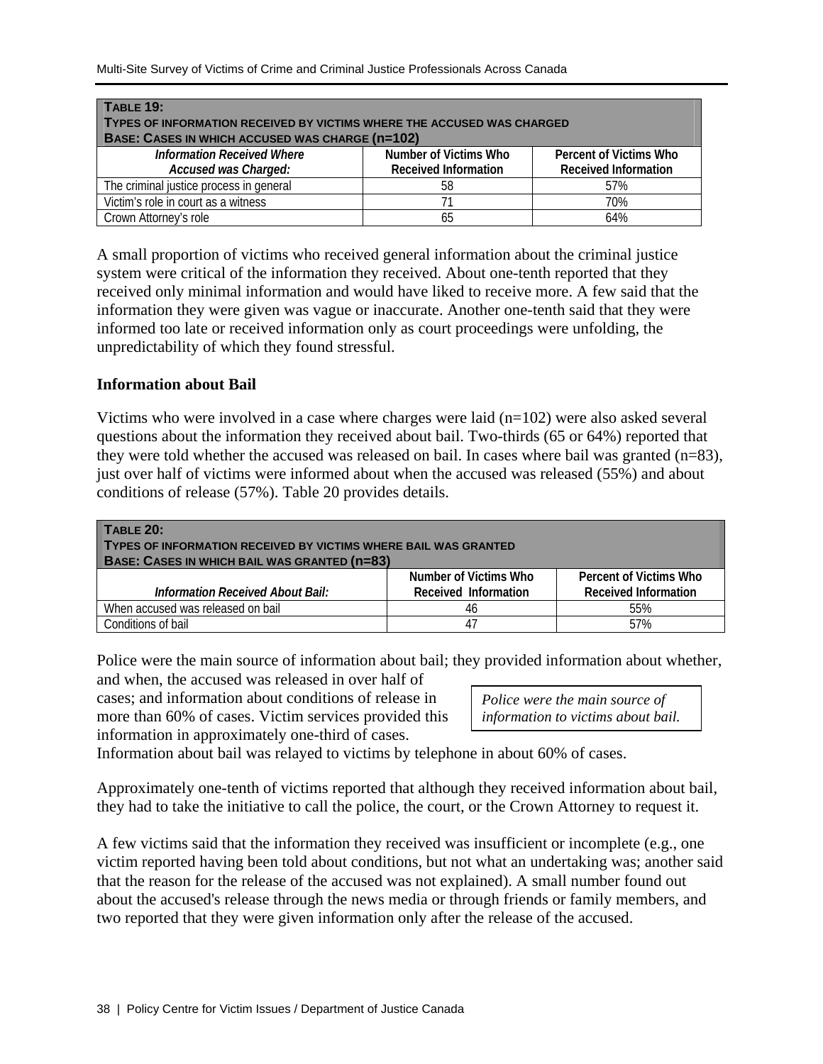| <b>TABLE 19:</b>                                                       |                             |                             |  |  |
|------------------------------------------------------------------------|-----------------------------|-----------------------------|--|--|
| TYPES OF INFORMATION RECEIVED BY VICTIMS WHERE THE ACCUSED WAS CHARGED |                             |                             |  |  |
| <b>BASE: CASES IN WHICH ACCUSED WAS CHARGE (n=102)</b>                 |                             |                             |  |  |
| <b>Information Received Where</b>                                      | Number of Victims Who       | Percent of Victims Who      |  |  |
| Accused was Charged:                                                   | <b>Received Information</b> | <b>Received Information</b> |  |  |
| The criminal justice process in general                                | 58                          | 57%                         |  |  |
| Victim's role in court as a witness                                    |                             | 70%                         |  |  |
| Crown Attorney's role                                                  | 65                          | 64%                         |  |  |

A small proportion of victims who received general information about the criminal justice system were critical of the information they received. About one-tenth reported that they received only minimal information and would have liked to receive more. A few said that the information they were given was vague or inaccurate. Another one-tenth said that they were informed too late or received information only as court proceedings were unfolding, the unpredictability of which they found stressful.

#### **Information about Bail**

Victims who were involved in a case where charges were laid  $(n=102)$  were also asked several questions about the information they received about bail. Two-thirds (65 or 64%) reported that they were told whether the accused was released on bail. In cases where bail was granted (n=83), just over half of victims were informed about when the accused was released (55%) and about conditions of release (57%). Table 20 provides details.

| TABLE 20:<br>TYPES OF INFORMATION RECEIVED BY VICTIMS WHERE BAIL WAS GRANTED<br><b>BASE: CASES IN WHICH BAIL WAS GRANTED (N=83)</b> |                       |                             |
|-------------------------------------------------------------------------------------------------------------------------------------|-----------------------|-----------------------------|
|                                                                                                                                     | Number of Victims Who | Percent of Victims Who      |
| Information Received About Bail:                                                                                                    | Received Information  | <b>Received Information</b> |
| When accused was released on bail                                                                                                   | 46                    | 55%                         |
| Conditions of bail                                                                                                                  | 47                    | 57%                         |

Police were the main source of information about bail; they provided information about whether, and when, the accused was released in over half of

cases; and information about conditions of release in more than 60% of cases. Victim services provided this information in approximately one-third of cases.

| Police were the main source of     |
|------------------------------------|
| information to victims about bail. |

Information about bail was relayed to victims by telephone in about 60% of cases.

Approximately one-tenth of victims reported that although they received information about bail, they had to take the initiative to call the police, the court, or the Crown Attorney to request it.

A few victims said that the information they received was insufficient or incomplete (e.g., one victim reported having been told about conditions, but not what an undertaking was; another said that the reason for the release of the accused was not explained). A small number found out about the accused's release through the news media or through friends or family members, and two reported that they were given information only after the release of the accused.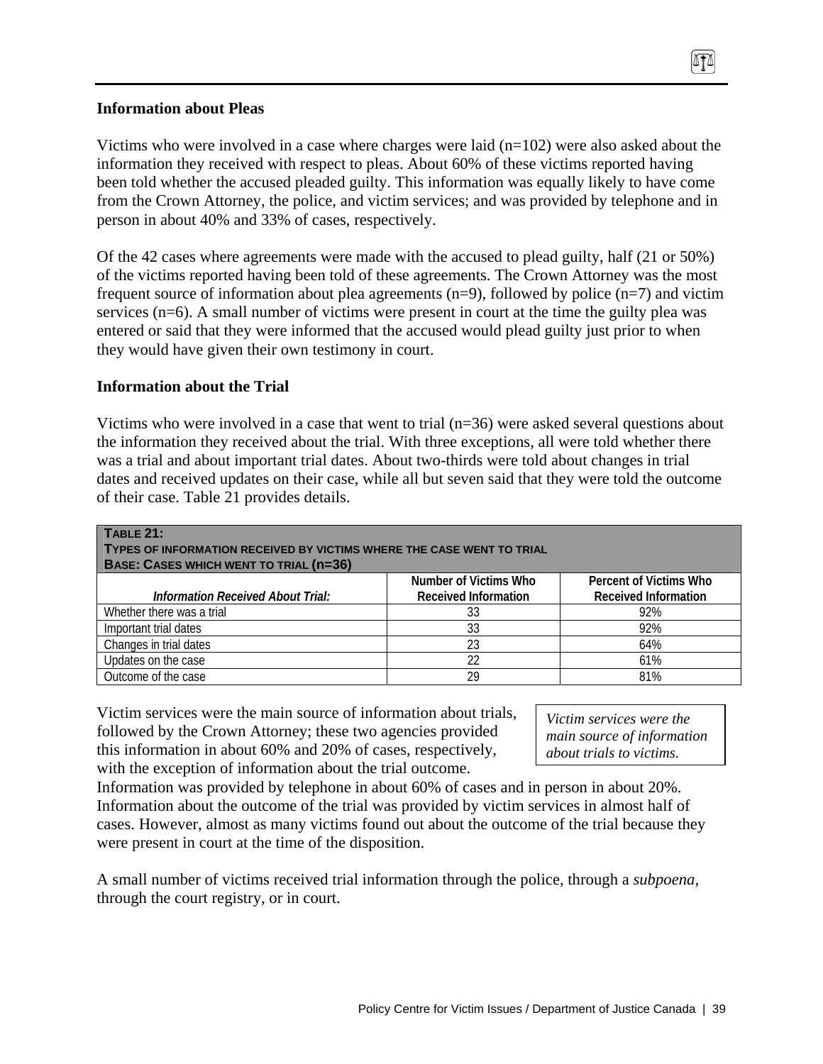#### **Information about Pleas**

Victims who were involved in a case where charges were laid  $(n=102)$  were also asked about the information they received with respect to pleas. About 60% of these victims reported having been told whether the accused pleaded guilty. This information was equally likely to have come from the Crown Attorney, the police, and victim services; and was provided by telephone and in person in about 40% and 33% of cases, respectively.

Of the 42 cases where agreements were made with the accused to plead guilty, half (21 or 50%) of the victims reported having been told of these agreements. The Crown Attorney was the most frequent source of information about plea agreements  $(n=9)$ , followed by police  $(n=7)$  and victim services (n=6). A small number of victims were present in court at the time the guilty plea was entered or said that they were informed that the accused would plead guilty just prior to when they would have given their own testimony in court.

#### **Information about the Trial**

Victims who were involved in a case that went to trial (n=36) were asked several questions about the information they received about the trial. With three exceptions, all were told whether there was a trial and about important trial dates. About two-thirds were told about changes in trial dates and received updates on their case, while all but seven said that they were told the outcome of their case. Table 21 provides details.

| <b>TABLE 21:</b>                                                      |                             |                             |
|-----------------------------------------------------------------------|-----------------------------|-----------------------------|
| TYPES OF INFORMATION RECEIVED BY VICTIMS WHERE THE CASE WENT TO TRIAL |                             |                             |
| <b>BASE: CASES WHICH WENT TO TRIAL (n=36)</b>                         |                             |                             |
|                                                                       | Number of Victims Who       | Percent of Victims Who      |
| <b>Information Received About Trial:</b>                              | <b>Received Information</b> | <b>Received Information</b> |
| Whether there was a trial                                             | 33                          | 92%                         |
| Important trial dates                                                 | 33                          | 92%                         |
| Changes in trial dates                                                | 23                          | 64%                         |
| Updates on the case                                                   | 22                          | 61%                         |
| Outcome of the case                                                   | 29                          | 81%                         |

Victim services were the main source of information about trials, followed by the Crown Attorney; these two agencies provided this information in about 60% and 20% of cases, respectively, with the exception of information about the trial outcome.

*Victim services were the main source of information about trials to victims.*

Information was provided by telephone in about 60% of cases and in person in about 20%. Information about the outcome of the trial was provided by victim services in almost half of cases. However, almost as many victims found out about the outcome of the trial because they were present in court at the time of the disposition.

A small number of victims received trial information through the police, through a *subpoena*, through the court registry, or in court.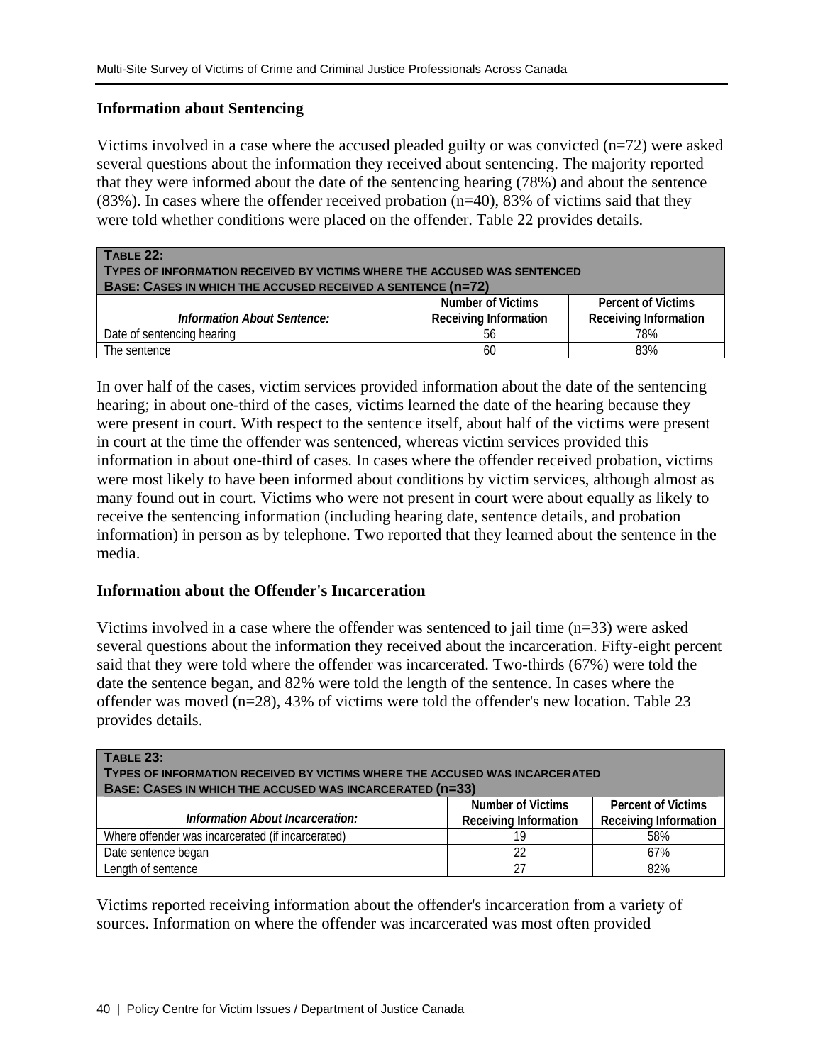#### **Information about Sentencing**

Victims involved in a case where the accused pleaded guilty or was convicted (n=72) were asked several questions about the information they received about sentencing. The majority reported that they were informed about the date of the sentencing hearing (78%) and about the sentence (83%). In cases where the offender received probation (n=40), 83% of victims said that they were told whether conditions were placed on the offender. Table 22 provides details.

| <b>TABLE 22:</b><br>TYPES OF INFORMATION RECEIVED BY VICTIMS WHERE THE ACCUSED WAS SENTENCED<br><b>BASE: CASES IN WHICH THE ACCUSED RECEIVED A SENTENCE (n=72)</b> |                              |                              |
|--------------------------------------------------------------------------------------------------------------------------------------------------------------------|------------------------------|------------------------------|
|                                                                                                                                                                    | Number of Victims            | <b>Percent of Victims</b>    |
| <b>Information About Sentence:</b>                                                                                                                                 | <b>Receiving Information</b> | <b>Receiving Information</b> |
| Date of sentencing hearing                                                                                                                                         | 56                           | 78%                          |
| The sentence                                                                                                                                                       | 60                           | 83%                          |

In over half of the cases, victim services provided information about the date of the sentencing hearing; in about one-third of the cases, victims learned the date of the hearing because they were present in court. With respect to the sentence itself, about half of the victims were present in court at the time the offender was sentenced, whereas victim services provided this information in about one-third of cases. In cases where the offender received probation, victims were most likely to have been informed about conditions by victim services, although almost as many found out in court. Victims who were not present in court were about equally as likely to receive the sentencing information (including hearing date, sentence details, and probation information) in person as by telephone. Two reported that they learned about the sentence in the media.

#### **Information about the Offender's Incarceration**

Victims involved in a case where the offender was sentenced to jail time (n=33) were asked several questions about the information they received about the incarceration. Fifty-eight percent said that they were told where the offender was incarcerated. Two-thirds (67%) were told the date the sentence began, and 82% were told the length of the sentence. In cases where the offender was moved (n=28), 43% of victims were told the offender's new location. Table 23 provides details.

| <b>TABLE 23:</b><br>TYPES OF INFORMATION RECEIVED BY VICTIMS WHERE THE ACCUSED WAS INCARCERATED<br><b>BASE: CASES IN WHICH THE ACCUSED WAS INCARCERATED (N=33)</b> |                                                          |                                                           |
|--------------------------------------------------------------------------------------------------------------------------------------------------------------------|----------------------------------------------------------|-----------------------------------------------------------|
| Information About Incarceration:                                                                                                                                   | <b>Number of Victims</b><br><b>Receiving Information</b> | <b>Percent of Victims</b><br><b>Receiving Information</b> |
| Where offender was incarcerated (if incarcerated)                                                                                                                  | 19                                                       | 58%                                                       |
| Date sentence began                                                                                                                                                | 22                                                       | 67%                                                       |
| Length of sentence                                                                                                                                                 | 27                                                       | 82%                                                       |

Victims reported receiving information about the offender's incarceration from a variety of sources. Information on where the offender was incarcerated was most often provided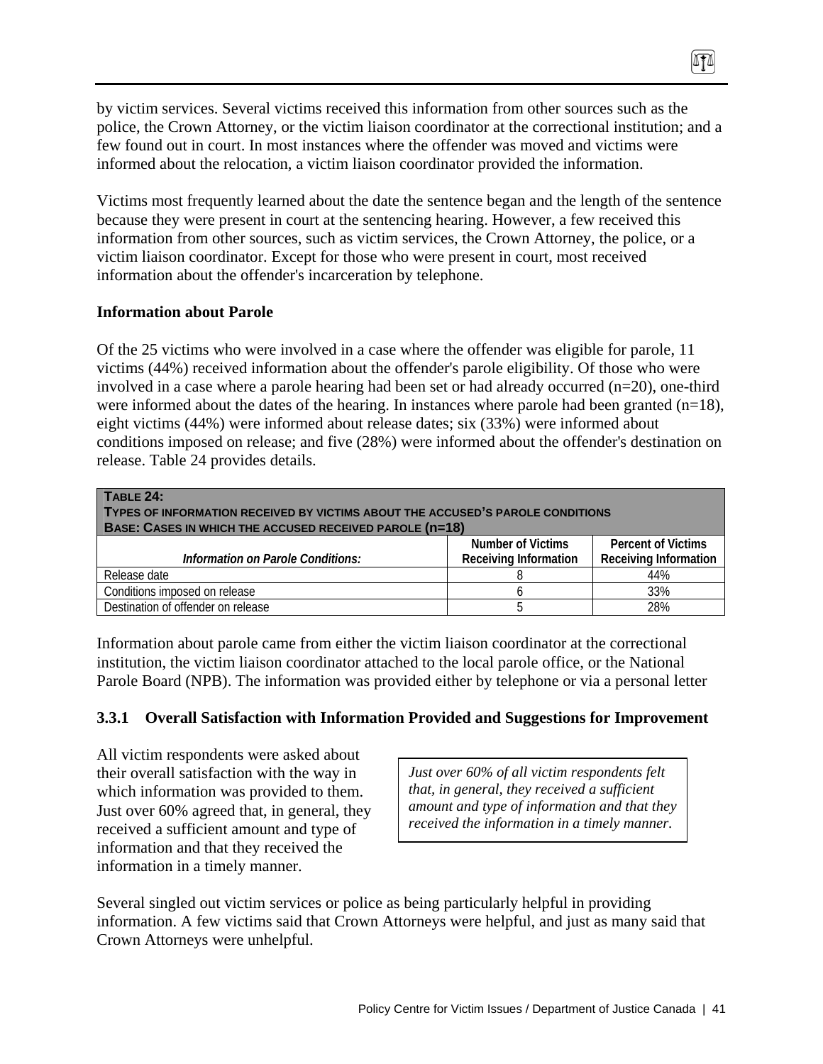by victim services. Several victims received this information from other sources such as the police, the Crown Attorney, or the victim liaison coordinator at the correctional institution; and a few found out in court. In most instances where the offender was moved and victims were informed about the relocation, a victim liaison coordinator provided the information.

Victims most frequently learned about the date the sentence began and the length of the sentence because they were present in court at the sentencing hearing. However, a few received this information from other sources, such as victim services, the Crown Attorney, the police, or a victim liaison coordinator. Except for those who were present in court, most received information about the offender's incarceration by telephone.

#### **Information about Parole**

Of the 25 victims who were involved in a case where the offender was eligible for parole, 11 victims (44%) received information about the offender's parole eligibility. Of those who were involved in a case where a parole hearing had been set or had already occurred (n=20), one-third were informed about the dates of the hearing. In instances where parole had been granted  $(n=18)$ , eight victims (44%) were informed about release dates; six (33%) were informed about conditions imposed on release; and five (28%) were informed about the offender's destination on release. Table 24 provides details.

| TABLE 24:<br>TYPES OF INFORMATION RECEIVED BY VICTIMS ABOUT THE ACCUSED'S PAROLE CONDITIONS<br><b>BASE: CASES IN WHICH THE ACCUSED RECEIVED PAROLE (n=18)</b> |                              |                              |
|---------------------------------------------------------------------------------------------------------------------------------------------------------------|------------------------------|------------------------------|
|                                                                                                                                                               | Number of Victims            | <b>Percent of Victims</b>    |
| Information on Parole Conditions:                                                                                                                             | <b>Receiving Information</b> | <b>Receiving Information</b> |
| Release date                                                                                                                                                  |                              | 44%                          |
| Conditions imposed on release                                                                                                                                 |                              | 33%                          |
| Destination of offender on release                                                                                                                            |                              | 28%                          |

Information about parole came from either the victim liaison coordinator at the correctional institution, the victim liaison coordinator attached to the local parole office, or the National Parole Board (NPB). The information was provided either by telephone or via a personal letter

#### **3.3.1 Overall Satisfaction with Information Provided and Suggestions for Improvement**

All victim respondents were asked about their overall satisfaction with the way in which information was provided to them. Just over 60% agreed that, in general, they received a sufficient amount and type of information and that they received the information in a timely manner.

*Just over 60% of all victim respondents felt that, in general, they received a sufficient amount and type of information and that they received the information in a timely manner.* 

0TA

Several singled out victim services or police as being particularly helpful in providing information. A few victims said that Crown Attorneys were helpful, and just as many said that Crown Attorneys were unhelpful.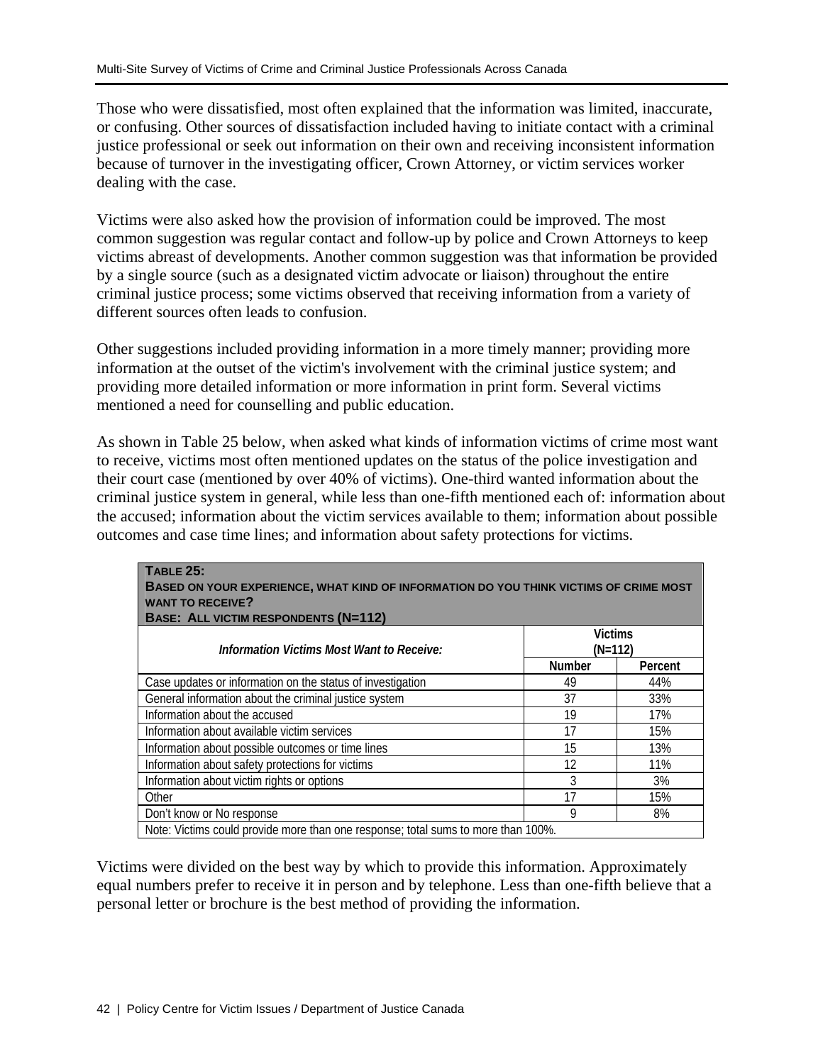Those who were dissatisfied, most often explained that the information was limited, inaccurate, or confusing. Other sources of dissatisfaction included having to initiate contact with a criminal justice professional or seek out information on their own and receiving inconsistent information because of turnover in the investigating officer, Crown Attorney, or victim services worker dealing with the case.

Victims were also asked how the provision of information could be improved. The most common suggestion was regular contact and follow-up by police and Crown Attorneys to keep victims abreast of developments. Another common suggestion was that information be provided by a single source (such as a designated victim advocate or liaison) throughout the entire criminal justice process; some victims observed that receiving information from a variety of different sources often leads to confusion.

Other suggestions included providing information in a more timely manner; providing more information at the outset of the victim's involvement with the criminal justice system; and providing more detailed information or more information in print form. Several victims mentioned a need for counselling and public education.

As shown in Table 25 below, when asked what kinds of information victims of crime most want to receive, victims most often mentioned updates on the status of the police investigation and their court case (mentioned by over 40% of victims). One-third wanted information about the criminal justice system in general, while less than one-fifth mentioned each of: information about the accused; information about the victim services available to them; information about possible outcomes and case time lines; and information about safety protections for victims.

| <b>TABLE 25:</b><br>BASED ON YOUR EXPERIENCE, WHAT KIND OF INFORMATION DO YOU THINK VICTIMS OF CRIME MOST<br><b>WANT TO RECEIVE?</b><br><b>BASE: ALL VICTIM RESPONDENTS (N=112)</b> |        |                             |  |  |
|-------------------------------------------------------------------------------------------------------------------------------------------------------------------------------------|--------|-----------------------------|--|--|
| Information Victims Most Want to Receive:                                                                                                                                           |        | <b>Victims</b><br>$(N=112)$ |  |  |
|                                                                                                                                                                                     | Number | Percent                     |  |  |
| Case updates or information on the status of investigation                                                                                                                          | 49     | 44%                         |  |  |
| General information about the criminal justice system                                                                                                                               | 37     | 33%                         |  |  |
| Information about the accused                                                                                                                                                       | 19     | 17%                         |  |  |
| Information about available victim services                                                                                                                                         | 17     | 15%                         |  |  |
| Information about possible outcomes or time lines                                                                                                                                   | 15     | 13%                         |  |  |
| Information about safety protections for victims                                                                                                                                    | 12     | 11%                         |  |  |
| Information about victim rights or options                                                                                                                                          | 3      | 3%                          |  |  |
| Other                                                                                                                                                                               | 17     | 15%                         |  |  |
| Don't know or No response                                                                                                                                                           | 9      | 8%                          |  |  |
| Note: Victims could provide more than one response; total sums to more than 100%.                                                                                                   |        |                             |  |  |

Victims were divided on the best way by which to provide this information. Approximately equal numbers prefer to receive it in person and by telephone. Less than one-fifth believe that a personal letter or brochure is the best method of providing the information.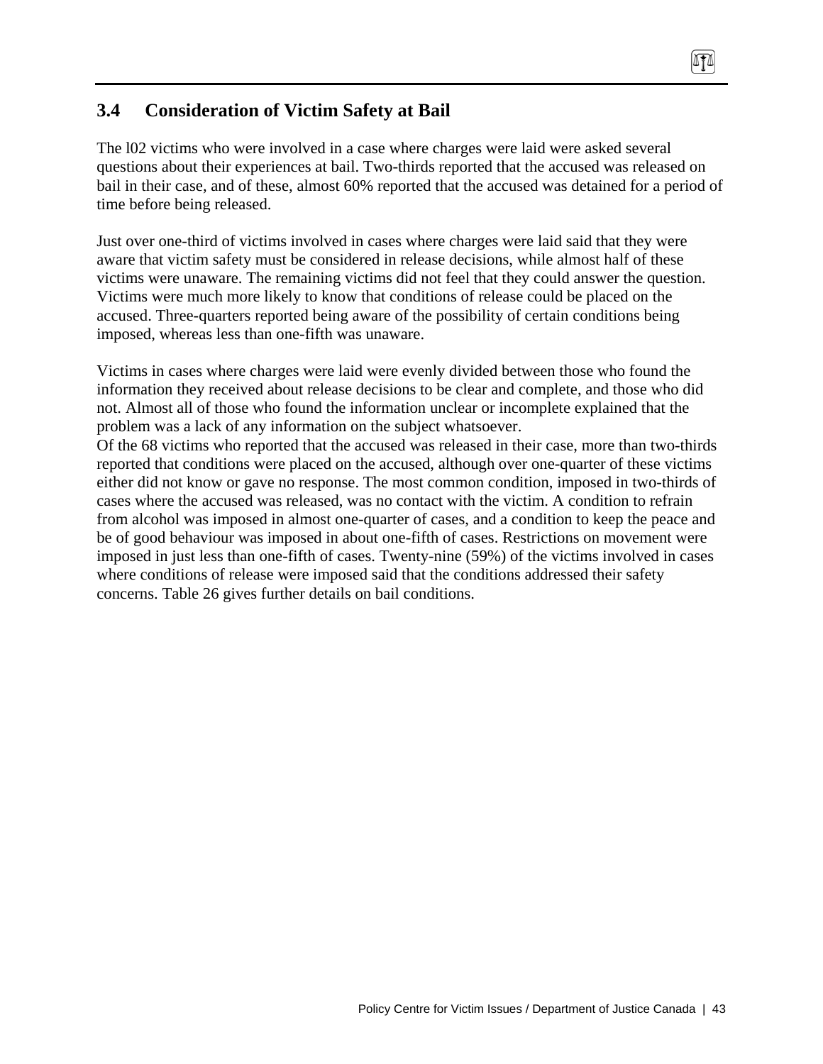# **3.4 Consideration of Victim Safety at Bail**

The l02 victims who were involved in a case where charges were laid were asked several questions about their experiences at bail. Two-thirds reported that the accused was released on bail in their case, and of these, almost 60% reported that the accused was detained for a period of time before being released.

ITI

Just over one-third of victims involved in cases where charges were laid said that they were aware that victim safety must be considered in release decisions, while almost half of these victims were unaware. The remaining victims did not feel that they could answer the question. Victims were much more likely to know that conditions of release could be placed on the accused. Three-quarters reported being aware of the possibility of certain conditions being imposed, whereas less than one-fifth was unaware.

Victims in cases where charges were laid were evenly divided between those who found the information they received about release decisions to be clear and complete, and those who did not. Almost all of those who found the information unclear or incomplete explained that the problem was a lack of any information on the subject whatsoever.

Of the 68 victims who reported that the accused was released in their case, more than two-thirds reported that conditions were placed on the accused, although over one-quarter of these victims either did not know or gave no response. The most common condition, imposed in two-thirds of cases where the accused was released, was no contact with the victim. A condition to refrain from alcohol was imposed in almost one-quarter of cases, and a condition to keep the peace and be of good behaviour was imposed in about one-fifth of cases. Restrictions on movement were imposed in just less than one-fifth of cases. Twenty-nine (59%) of the victims involved in cases where conditions of release were imposed said that the conditions addressed their safety concerns. Table 26 gives further details on bail conditions.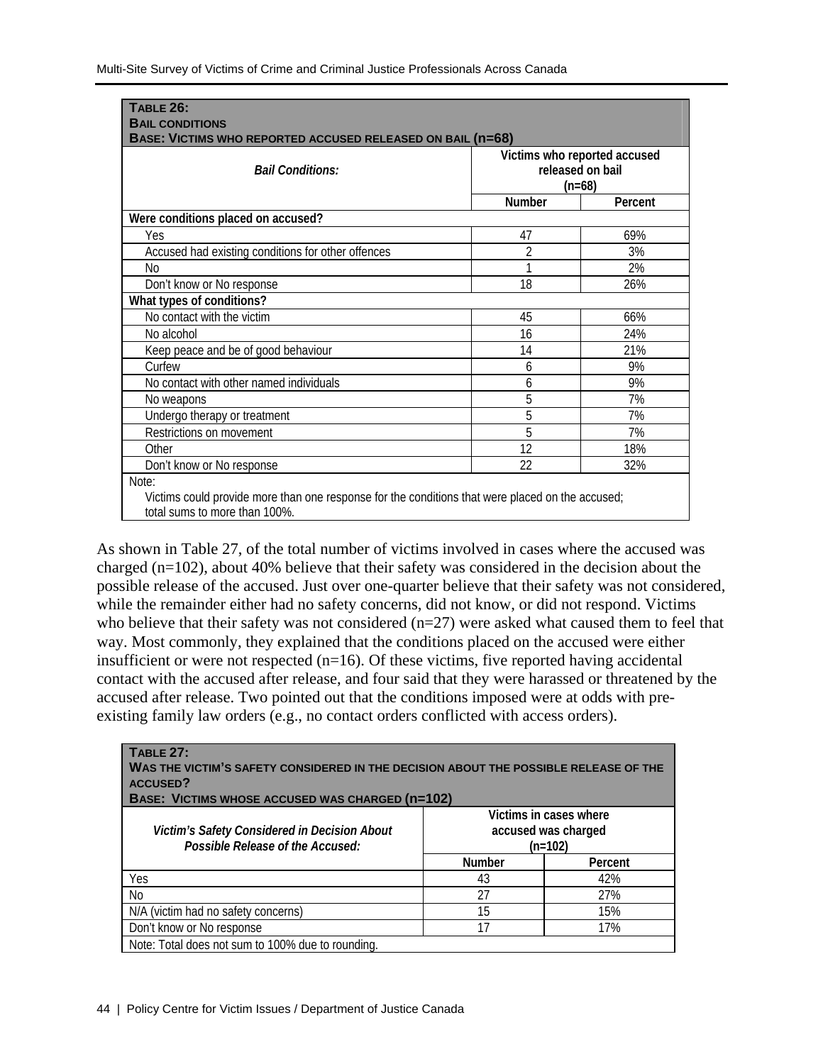| <b>TABLE 26:</b>                                                                                 |                              |         |  |
|--------------------------------------------------------------------------------------------------|------------------------------|---------|--|
| <b>BAIL CONDITIONS</b>                                                                           |                              |         |  |
| BASE: VICTIMS WHO REPORTED ACCUSED RELEASED ON BAIL (n=68)                                       |                              |         |  |
|                                                                                                  | Victims who reported accused |         |  |
| <b>Bail Conditions:</b>                                                                          | released on bail             |         |  |
|                                                                                                  | $(n=68)$                     |         |  |
|                                                                                                  | <b>Number</b>                | Percent |  |
| Were conditions placed on accused?                                                               |                              |         |  |
| Yes                                                                                              | 47                           | 69%     |  |
| Accused had existing conditions for other offences                                               | 2                            | 3%      |  |
| No                                                                                               |                              | 2%      |  |
| Don't know or No response                                                                        | 18                           | 26%     |  |
| What types of conditions?                                                                        |                              |         |  |
| No contact with the victim                                                                       | 45                           | 66%     |  |
| No alcohol                                                                                       | 16                           | 24%     |  |
| Keep peace and be of good behaviour                                                              | 14                           | 21%     |  |
| Curfew                                                                                           | 6                            | 9%      |  |
| No contact with other named individuals                                                          | 6                            | 9%      |  |
| No weapons                                                                                       | 5                            | 7%      |  |
| Undergo therapy or treatment                                                                     | 5                            | 7%      |  |
| Restrictions on movement                                                                         | 5                            | 7%      |  |
| Other                                                                                            | 12                           | 18%     |  |
| Don't know or No response                                                                        | 22                           | 32%     |  |
| Note:                                                                                            |                              |         |  |
| Victims could provide more than one response for the conditions that were placed on the accused; |                              |         |  |
| total sums to more than 100%.                                                                    |                              |         |  |

As shown in Table 27, of the total number of victims involved in cases where the accused was charged (n=102), about 40% believe that their safety was considered in the decision about the possible release of the accused. Just over one-quarter believe that their safety was not considered, while the remainder either had no safety concerns, did not know, or did not respond. Victims who believe that their safety was not considered (n=27) were asked what caused them to feel that way. Most commonly, they explained that the conditions placed on the accused were either insufficient or were not respected  $(n=16)$ . Of these victims, five reported having accidental contact with the accused after release, and four said that they were harassed or threatened by the accused after release. Two pointed out that the conditions imposed were at odds with preexisting family law orders (e.g., no contact orders conflicted with access orders).

| <b>TABLE 27:</b><br>WAS THE VICTIM'S SAFETY CONSIDERED IN THE DECISION ABOUT THE POSSIBLE RELEASE OF THE<br><b>ACCUSED?</b><br>BASE: VICTIMS WHOSE ACCUSED WAS CHARGED (n=102) |                                                            |         |
|--------------------------------------------------------------------------------------------------------------------------------------------------------------------------------|------------------------------------------------------------|---------|
| Victim's Safety Considered in Decision About<br>Possible Release of the Accused:                                                                                               | Victims in cases where<br>accused was charged<br>$(n=102)$ |         |
|                                                                                                                                                                                | <b>Number</b>                                              | Percent |
| Yes                                                                                                                                                                            | 43                                                         | 42%     |
| No.                                                                                                                                                                            | 27                                                         | 27%     |
| N/A (victim had no safety concerns)                                                                                                                                            | 15                                                         | 15%     |
| Don't know or No response                                                                                                                                                      | 17                                                         | 17%     |
| Note: Total does not sum to 100% due to rounding.                                                                                                                              |                                                            |         |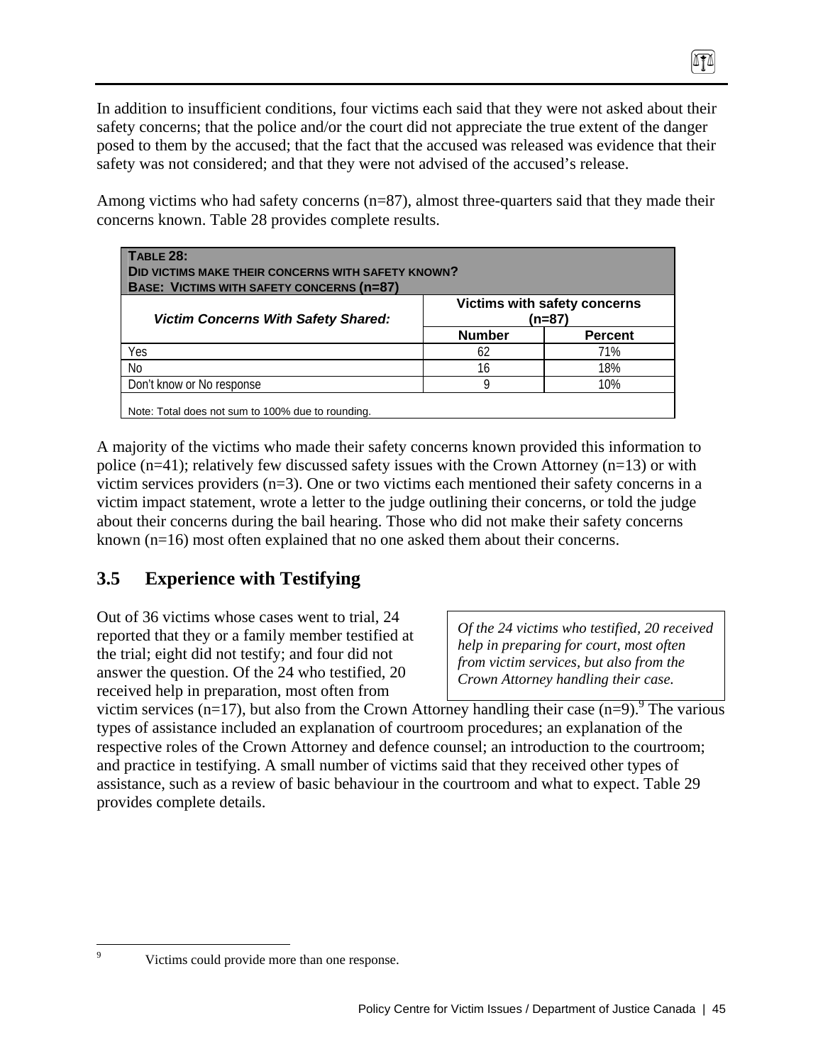In addition to insufficient conditions, four victims each said that they were not asked about their safety concerns; that the police and/or the court did not appreciate the true extent of the danger posed to them by the accused; that the fact that the accused was released was evidence that their safety was not considered; and that they were not advised of the accused's release.

Among victims who had safety concerns  $(n=87)$ , almost three-quarters said that they made their concerns known. Table 28 provides complete results.

| <b>DID VICTIMS MAKE THEIR CONCERNS WITH SAFETY KNOWN?</b><br><b>BASE: VICTIMS WITH SAFETY CONCERNS (N=87)</b> |               |                                        |  |
|---------------------------------------------------------------------------------------------------------------|---------------|----------------------------------------|--|
| <b>Victim Concerns With Safety Shared:</b>                                                                    |               | Victims with safety concerns<br>(n=87) |  |
|                                                                                                               | <b>Number</b> | <b>Percent</b>                         |  |
| Yes                                                                                                           | 62            | 71%                                    |  |
| No                                                                                                            | 16            | 18%                                    |  |
| Don't know or No response                                                                                     |               | 10%                                    |  |

A majority of the victims who made their safety concerns known provided this information to police (n=41); relatively few discussed safety issues with the Crown Attorney (n=13) or with victim services providers (n=3). One or two victims each mentioned their safety concerns in a victim impact statement, wrote a letter to the judge outlining their concerns, or told the judge about their concerns during the bail hearing. Those who did not make their safety concerns known (n=16) most often explained that no one asked them about their concerns.

# **3.5 Experience with Testifying**

Out of 36 victims whose cases went to trial, 24 reported that they or a family member testified at the trial; eight did not testify; and four did not answer the question. Of the 24 who testified, 20 received help in preparation, most often from

*Of the 24 victims who testified, 20 received help in preparing for court, most often from victim services, but also from the Crown Attorney handling their case.* 

0TA

victim services  $(n=17)$ , but also from the Crown Attorney handling their case  $(n=9)$ . The various types of assistance included an explanation of courtroom procedures; an explanation of the respective roles of the Crown Attorney and defence counsel; an introduction to the courtroom; and practice in testifying. A small number of victims said that they received other types of assistance, such as a review of basic behaviour in the courtroom and what to expect. Table 29 provides complete details.

-<br>9

Victims could provide more than one response.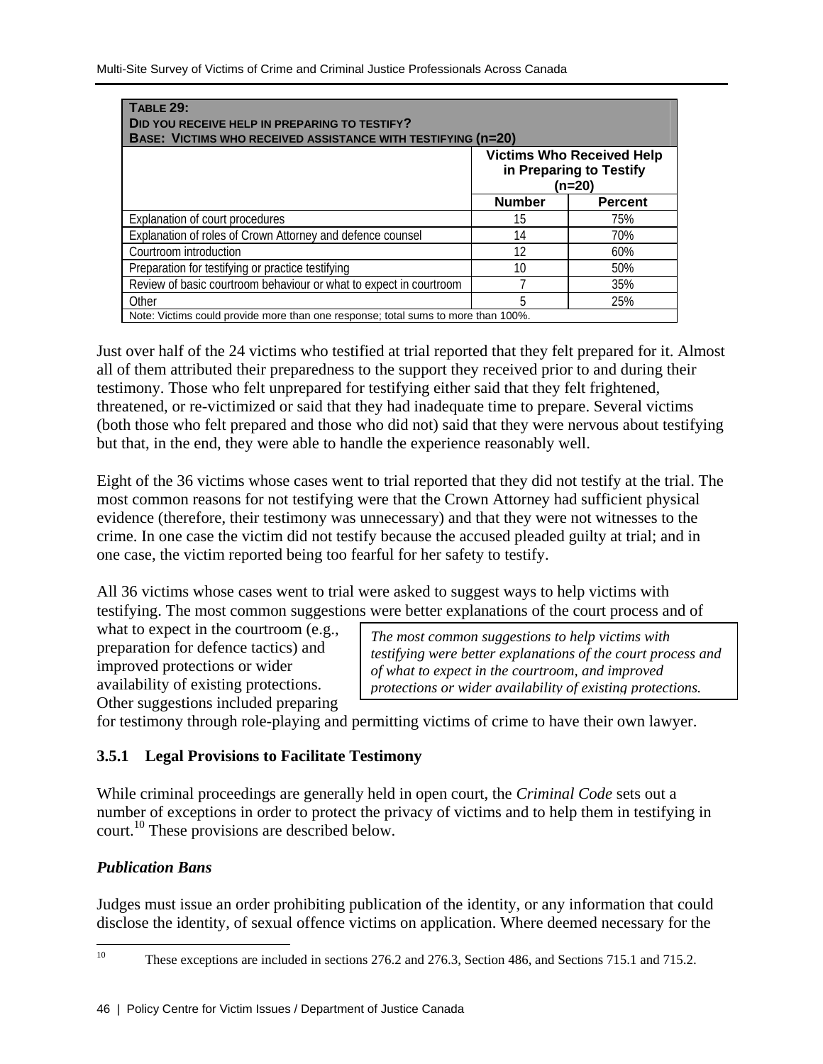| <b>TABLE 29:</b><br>DID YOU RECEIVE HELP IN PREPARING TO TESTIFY?<br><b>BASE: VICTIMS WHO RECEIVED ASSISTANCE WITH TESTIFYING (n=20)</b> |               |                                                                       |  |
|------------------------------------------------------------------------------------------------------------------------------------------|---------------|-----------------------------------------------------------------------|--|
|                                                                                                                                          |               | <b>Victims Who Received Help</b><br>in Preparing to Testify<br>(n=20) |  |
|                                                                                                                                          | <b>Number</b> | <b>Percent</b>                                                        |  |
| Explanation of court procedures                                                                                                          | 15            | 75%                                                                   |  |
| Explanation of roles of Crown Attorney and defence counsel                                                                               | 14            | 70%                                                                   |  |
| Courtroom introduction                                                                                                                   | 12            | 60%                                                                   |  |
| Preparation for testifying or practice testifying                                                                                        | 10            | 50%                                                                   |  |
| Review of basic courtroom behaviour or what to expect in courtroom                                                                       |               | 35%                                                                   |  |
| Other                                                                                                                                    | 5             | 25%                                                                   |  |
| Note: Victims could provide more than one response; total sums to more than 100%.                                                        |               |                                                                       |  |

Just over half of the 24 victims who testified at trial reported that they felt prepared for it. Almost all of them attributed their preparedness to the support they received prior to and during their testimony. Those who felt unprepared for testifying either said that they felt frightened, threatened, or re-victimized or said that they had inadequate time to prepare. Several victims (both those who felt prepared and those who did not) said that they were nervous about testifying but that, in the end, they were able to handle the experience reasonably well.

Eight of the 36 victims whose cases went to trial reported that they did not testify at the trial. The most common reasons for not testifying were that the Crown Attorney had sufficient physical evidence (therefore, their testimony was unnecessary) and that they were not witnesses to the crime. In one case the victim did not testify because the accused pleaded guilty at trial; and in one case, the victim reported being too fearful for her safety to testify.

All 36 victims whose cases went to trial were asked to suggest ways to help victims with testifying. The most common suggestions were better explanations of the court process and of

what to expect in the courtroom (e.g., preparation for defence tactics) and improved protections or wider availability of existing protections. Other suggestions included preparing

*The most common suggestions to help victims with testifying were better explanations of the court process and of what to expect in the courtroom, and improved protections or wider availability of existing protections.* 

for testimony through role-playing and permitting victims of crime to have their own lawyer.

## **3.5.1 Legal Provisions to Facilitate Testimony**

While criminal proceedings are generally held in open court, the *Criminal Code* sets out a number of exceptions in order to protect the privacy of victims and to help them in testifying in court.10 These provisions are described below.

# *Publication Bans*

Judges must issue an order prohibiting publication of the identity, or any information that could disclose the identity, of sexual offence victims on application. Where deemed necessary for the

 $10^{\circ}$ These exceptions are included in sections 276.2 and 276.3, Section 486, and Sections 715.1 and 715.2.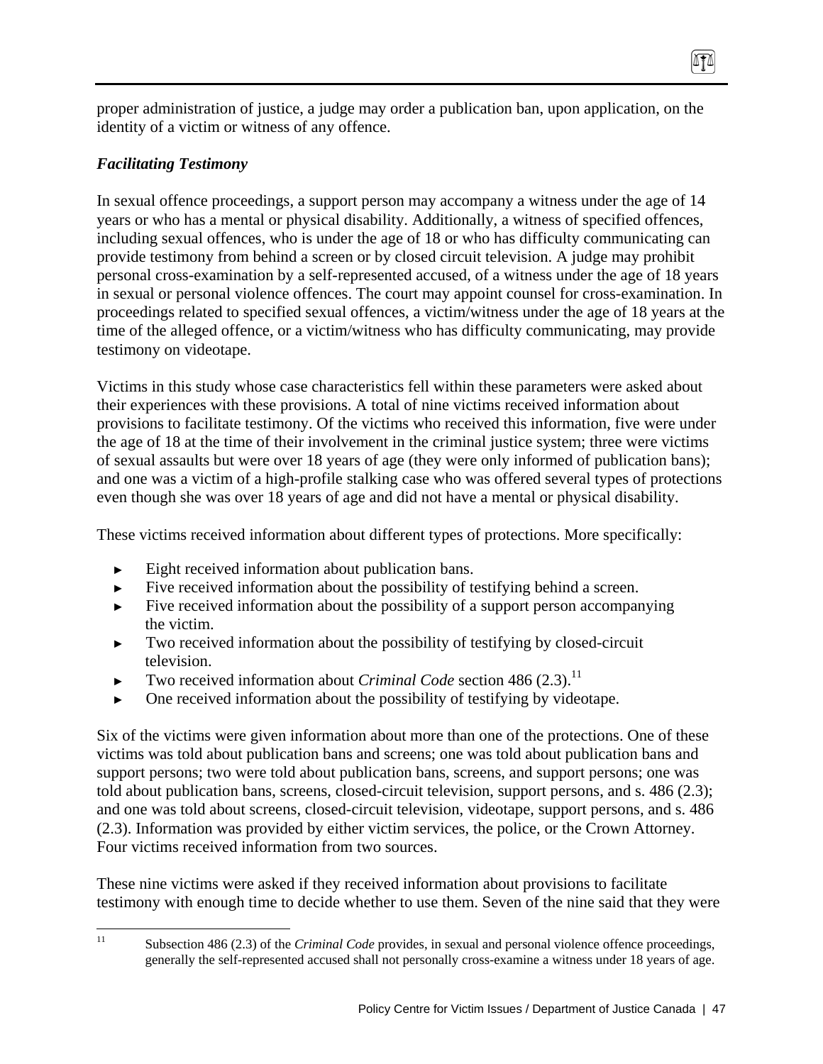proper administration of justice, a judge may order a publication ban, upon application, on the identity of a victim or witness of any offence.

0TA

### *Facilitating Testimony*

In sexual offence proceedings, a support person may accompany a witness under the age of 14 years or who has a mental or physical disability. Additionally, a witness of specified offences, including sexual offences, who is under the age of 18 or who has difficulty communicating can provide testimony from behind a screen or by closed circuit television. A judge may prohibit personal cross-examination by a self-represented accused, of a witness under the age of 18 years in sexual or personal violence offences. The court may appoint counsel for cross-examination. In proceedings related to specified sexual offences, a victim/witness under the age of 18 years at the time of the alleged offence, or a victim/witness who has difficulty communicating, may provide testimony on videotape.

Victims in this study whose case characteristics fell within these parameters were asked about their experiences with these provisions. A total of nine victims received information about provisions to facilitate testimony. Of the victims who received this information, five were under the age of 18 at the time of their involvement in the criminal justice system; three were victims of sexual assaults but were over 18 years of age (they were only informed of publication bans); and one was a victim of a high-profile stalking case who was offered several types of protections even though she was over 18 years of age and did not have a mental or physical disability.

These victims received information about different types of protections. More specifically:

- ► Eight received information about publication bans.
- ► Five received information about the possibility of testifying behind a screen.
- Five received information about the possibility of a support person accompanying the victim.
- ► Two received information about the possibility of testifying by closed-circuit television.
- Two received information about *Criminal Code* section 486 (2.3).<sup>11</sup>
- One received information about the possibility of testifying by videotape.

Six of the victims were given information about more than one of the protections. One of these victims was told about publication bans and screens; one was told about publication bans and support persons; two were told about publication bans, screens, and support persons; one was told about publication bans, screens, closed-circuit television, support persons, and s. 486 (2.3); and one was told about screens, closed-circuit television, videotape, support persons, and s. 486 (2.3). Information was provided by either victim services, the police, or the Crown Attorney. Four victims received information from two sources.

These nine victims were asked if they received information about provisions to facilitate testimony with enough time to decide whether to use them. Seven of the nine said that they were

 $11$ 

<sup>11</sup> Subsection 486 (2.3) of the *Criminal Code* provides, in sexual and personal violence offence proceedings, generally the self-represented accused shall not personally cross-examine a witness under 18 years of age.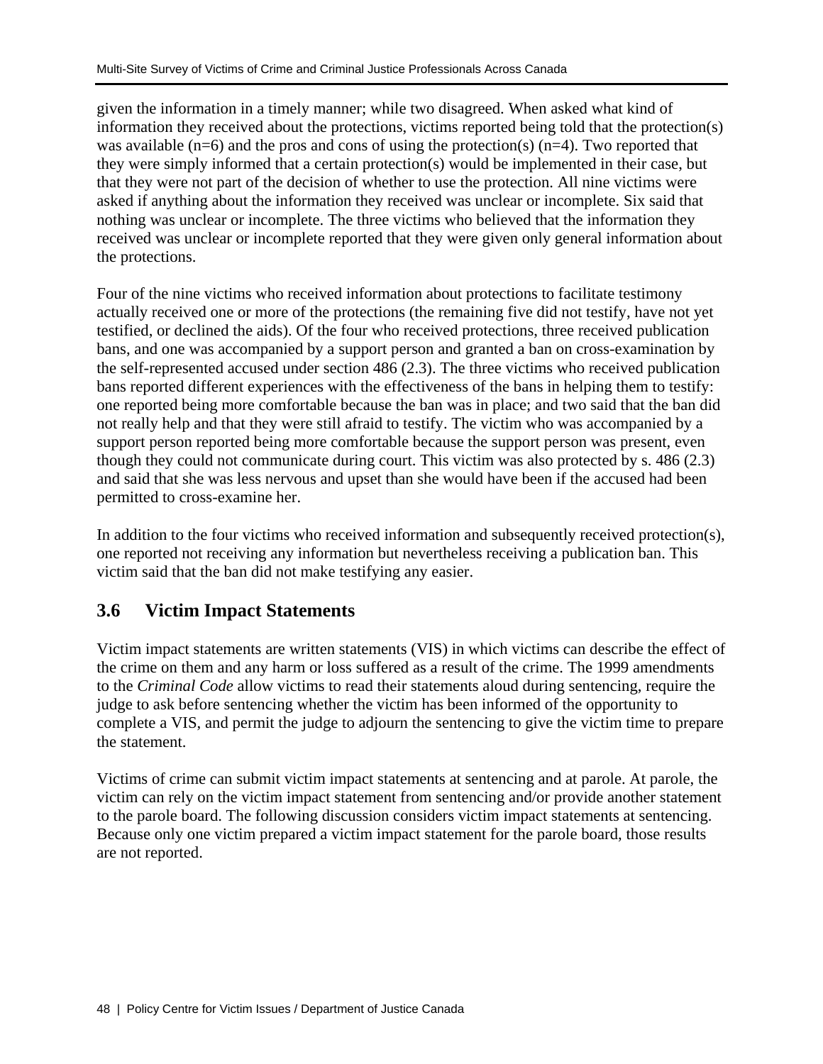given the information in a timely manner; while two disagreed. When asked what kind of information they received about the protections, victims reported being told that the protection(s) was available  $(n=6)$  and the pros and cons of using the protection(s)  $(n=4)$ . Two reported that they were simply informed that a certain protection(s) would be implemented in their case, but that they were not part of the decision of whether to use the protection. All nine victims were asked if anything about the information they received was unclear or incomplete. Six said that nothing was unclear or incomplete. The three victims who believed that the information they received was unclear or incomplete reported that they were given only general information about the protections.

Four of the nine victims who received information about protections to facilitate testimony actually received one or more of the protections (the remaining five did not testify, have not yet testified, or declined the aids). Of the four who received protections, three received publication bans, and one was accompanied by a support person and granted a ban on cross-examination by the self-represented accused under section 486 (2.3). The three victims who received publication bans reported different experiences with the effectiveness of the bans in helping them to testify: one reported being more comfortable because the ban was in place; and two said that the ban did not really help and that they were still afraid to testify. The victim who was accompanied by a support person reported being more comfortable because the support person was present, even though they could not communicate during court. This victim was also protected by s. 486 (2.3) and said that she was less nervous and upset than she would have been if the accused had been permitted to cross-examine her.

In addition to the four victims who received information and subsequently received protection(s), one reported not receiving any information but nevertheless receiving a publication ban. This victim said that the ban did not make testifying any easier.

# **3.6 Victim Impact Statements**

Victim impact statements are written statements (VIS) in which victims can describe the effect of the crime on them and any harm or loss suffered as a result of the crime. The 1999 amendments to the *Criminal Code* allow victims to read their statements aloud during sentencing, require the judge to ask before sentencing whether the victim has been informed of the opportunity to complete a VIS, and permit the judge to adjourn the sentencing to give the victim time to prepare the statement.

Victims of crime can submit victim impact statements at sentencing and at parole. At parole, the victim can rely on the victim impact statement from sentencing and/or provide another statement to the parole board. The following discussion considers victim impact statements at sentencing. Because only one victim prepared a victim impact statement for the parole board, those results are not reported.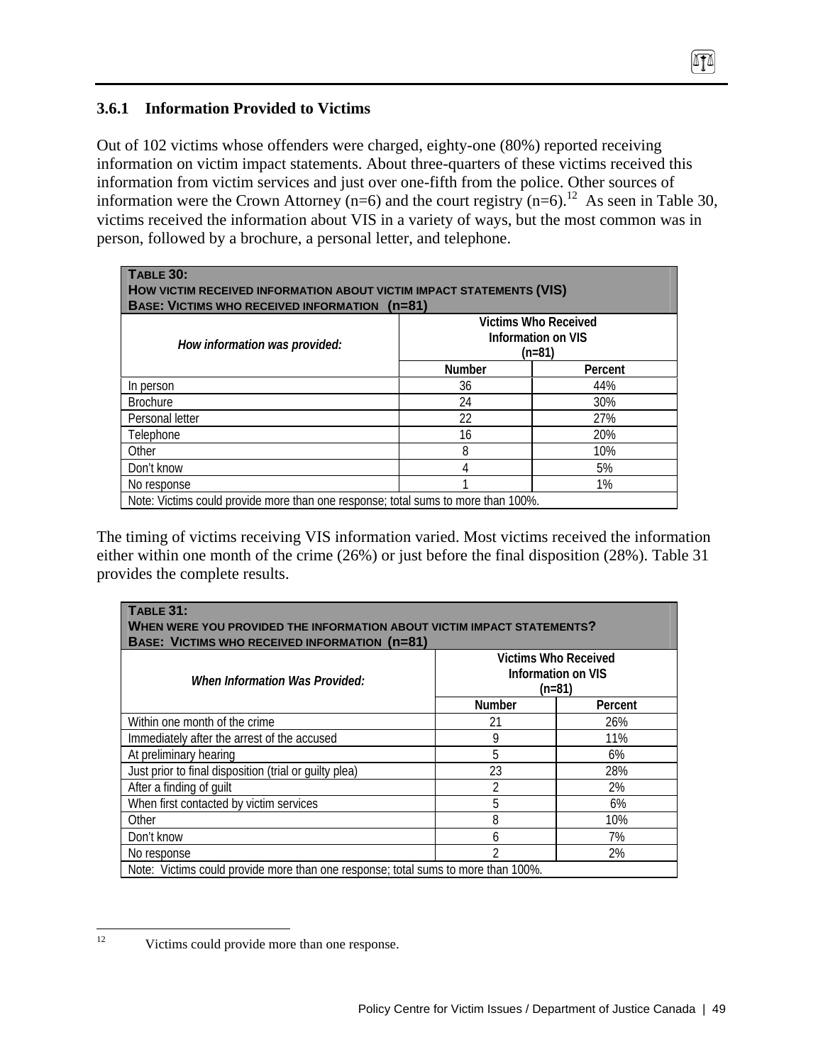## **3.6.1 Information Provided to Victims**

Out of 102 victims whose offenders were charged, eighty-one (80%) reported receiving information on victim impact statements. About three-quarters of these victims received this information from victim services and just over one-fifth from the police. Other sources of information were the Crown Attorney (n=6) and the court registry (n=6).<sup>12</sup> As seen in Table 30, victims received the information about VIS in a variety of ways, but the most common was in person, followed by a brochure, a personal letter, and telephone.

 $\sqrt{10}$ 

| TABLE 30:<br>HOW VICTIM RECEIVED INFORMATION ABOUT VICTIM IMPACT STATEMENTS (VIS)<br><b>BASE: VICTIMS WHO RECEIVED INFORMATION</b><br>$(n=81)$ |               |                                                             |  |
|------------------------------------------------------------------------------------------------------------------------------------------------|---------------|-------------------------------------------------------------|--|
| How information was provided:                                                                                                                  |               | <b>Victims Who Received</b><br>Information on VIS<br>(n=81) |  |
|                                                                                                                                                | <b>Number</b> | Percent                                                     |  |
| In person                                                                                                                                      | 36            | 44%                                                         |  |
| <b>Brochure</b>                                                                                                                                | 24            | 30%                                                         |  |
| Personal letter                                                                                                                                | 22            | 27%                                                         |  |
| Telephone                                                                                                                                      | 16            | 20%                                                         |  |
| Other                                                                                                                                          | 8             | 10%                                                         |  |
| Don't know                                                                                                                                     | 4             | 5%                                                          |  |
| No response                                                                                                                                    |               | $1\%$                                                       |  |
| Note: Victims could provide more than one response; total sums to more than 100%.                                                              |               |                                                             |  |

The timing of victims receiving VIS information varied. Most victims received the information either within one month of the crime (26%) or just before the final disposition (28%). Table 31 provides the complete results.

| <b>TABLE 31:</b><br>WHEN WERE YOU PROVIDED THE INFORMATION ABOUT VICTIM IMPACT STATEMENTS?<br><b>BASE: VICTIMS WHO RECEIVED INFORMATION (n=81)</b> |                |         |  |
|----------------------------------------------------------------------------------------------------------------------------------------------------|----------------|---------|--|
| Victims Who Received<br>Information on VIS<br>When Information Was Provided:<br>$(n=81)$                                                           |                |         |  |
|                                                                                                                                                    | <b>Number</b>  | Percent |  |
| Within one month of the crime                                                                                                                      | 21             | 26%     |  |
| Immediately after the arrest of the accused                                                                                                        | 9              | 11%     |  |
| At preliminary hearing                                                                                                                             | 5              | 6%      |  |
| Just prior to final disposition (trial or quilty plea)                                                                                             | 23             | 28%     |  |
| After a finding of guilt                                                                                                                           | 2              | 2%      |  |
| When first contacted by victim services                                                                                                            | 5              | 6%      |  |
| Other                                                                                                                                              | 8              | 10%     |  |
| Don't know                                                                                                                                         | 6              | 7%      |  |
| No response                                                                                                                                        | $\mathfrak{D}$ | 2%      |  |
| Note: Victims could provide more than one response; total sums to more than 100%.                                                                  |                |         |  |

 $12 \,$ Victims could provide more than one response.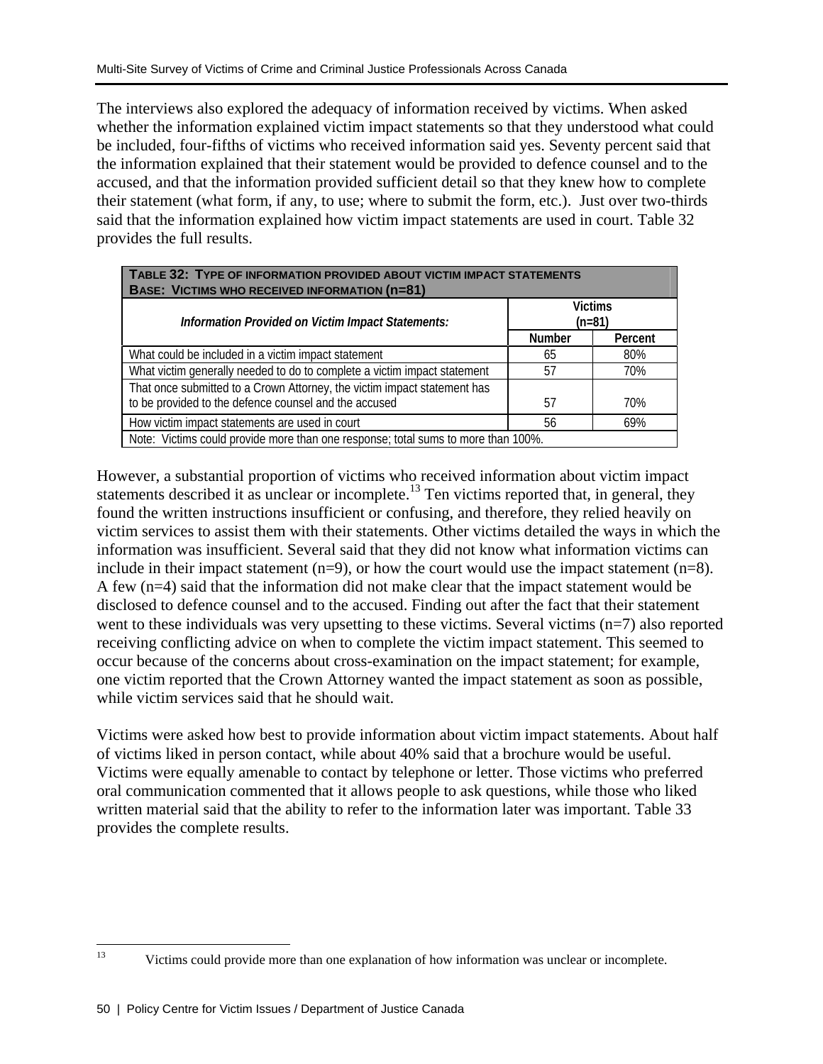The interviews also explored the adequacy of information received by victims. When asked whether the information explained victim impact statements so that they understood what could be included, four-fifths of victims who received information said yes. Seventy percent said that the information explained that their statement would be provided to defence counsel and to the accused, and that the information provided sufficient detail so that they knew how to complete their statement (what form, if any, to use; where to submit the form, etc.). Just over two-thirds said that the information explained how victim impact statements are used in court. Table 32 provides the full results.

| TABLE 32: TYPE OF INFORMATION PROVIDED ABOUT VICTIM IMPACT STATEMENTS<br><b>BASE: VICTIMS WHO RECEIVED INFORMATION (n=81)</b>     |                            |         |  |
|-----------------------------------------------------------------------------------------------------------------------------------|----------------------------|---------|--|
| Information Provided on Victim Impact Statements:                                                                                 | <b>Victims</b><br>$(n=81)$ |         |  |
|                                                                                                                                   | <b>Number</b>              | Percent |  |
| What could be included in a victim impact statement                                                                               | 65                         | 80%     |  |
| What victim generally needed to do to complete a victim impact statement                                                          | 57                         | 70%     |  |
| That once submitted to a Crown Attorney, the victim impact statement has<br>to be provided to the defence counsel and the accused | 57                         | 70%     |  |
|                                                                                                                                   |                            |         |  |
| How victim impact statements are used in court                                                                                    | 56                         | 69%     |  |
| Note: Victims could provide more than one response; total sums to more than 100%.                                                 |                            |         |  |

However, a substantial proportion of victims who received information about victim impact statements described it as unclear or incomplete.<sup>13</sup> Ten victims reported that, in general, they found the written instructions insufficient or confusing, and therefore, they relied heavily on victim services to assist them with their statements. Other victims detailed the ways in which the information was insufficient. Several said that they did not know what information victims can include in their impact statement  $(n=9)$ , or how the court would use the impact statement  $(n=8)$ . A few (n=4) said that the information did not make clear that the impact statement would be disclosed to defence counsel and to the accused. Finding out after the fact that their statement went to these individuals was very upsetting to these victims. Several victims  $(n=7)$  also reported receiving conflicting advice on when to complete the victim impact statement. This seemed to occur because of the concerns about cross-examination on the impact statement; for example, one victim reported that the Crown Attorney wanted the impact statement as soon as possible, while victim services said that he should wait.

Victims were asked how best to provide information about victim impact statements. About half of victims liked in person contact, while about 40% said that a brochure would be useful. Victims were equally amenable to contact by telephone or letter. Those victims who preferred oral communication commented that it allows people to ask questions, while those who liked written material said that the ability to refer to the information later was important. Table 33 provides the complete results.

<sup>13</sup> 13 Victims could provide more than one explanation of how information was unclear or incomplete.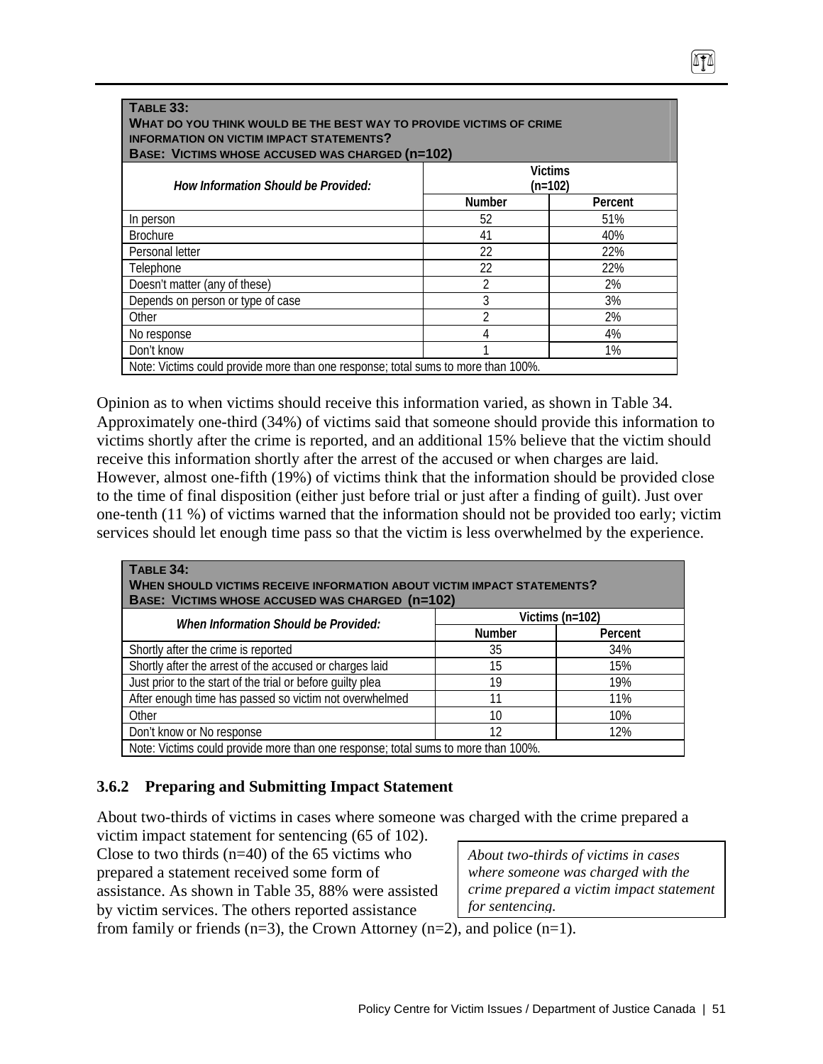| WHAT DO YOU THINK WOULD BE THE BEST WAY TO PROVIDE VICTIMS OF CRIME<br><b>INFORMATION ON VICTIM IMPACT STATEMENTS?</b><br><b>BASE: VICTIMS WHOSE ACCUSED WAS CHARGED (n=102)</b> |               |         |
|----------------------------------------------------------------------------------------------------------------------------------------------------------------------------------|---------------|---------|
| <b>Victims</b><br>How Information Should be Provided:<br>$(n=102)$                                                                                                               |               |         |
|                                                                                                                                                                                  | <b>Number</b> | Percent |
| In person                                                                                                                                                                        | 52            | 51%     |
| <b>Brochure</b>                                                                                                                                                                  | 41            | 40%     |
| Personal letter                                                                                                                                                                  | 22            | 22%     |
| Telephone                                                                                                                                                                        | 22            | 22%     |
| Doesn't matter (any of these)                                                                                                                                                    | 2             | 2%      |
| Depends on person or type of case                                                                                                                                                | 3             | 3%      |
| Other                                                                                                                                                                            |               | 2%      |
| No response                                                                                                                                                                      |               | 4%      |
| Don't know                                                                                                                                                                       |               | $1\%$   |

Opinion as to when victims should receive this information varied, as shown in Table 34. Approximately one-third (34%) of victims said that someone should provide this information to victims shortly after the crime is reported, and an additional 15% believe that the victim should receive this information shortly after the arrest of the accused or when charges are laid. However, almost one-fifth (19%) of victims think that the information should be provided close to the time of final disposition (either just before trial or just after a finding of guilt). Just over one-tenth (11 %) of victims warned that the information should not be provided too early; victim services should let enough time pass so that the victim is less overwhelmed by the experience.

| TABLE 34:<br>WHEN SHOULD VICTIMS RECEIVE INFORMATION ABOUT VICTIM IMPACT STATEMENTS?<br>BASE: VICTIMS WHOSE ACCUSED WAS CHARGED (n=102) |               |         |  |
|-----------------------------------------------------------------------------------------------------------------------------------------|---------------|---------|--|
| Victims ( $n=102$ )<br>When Information Should be Provided:                                                                             |               |         |  |
|                                                                                                                                         | <b>Number</b> | Percent |  |
| Shortly after the crime is reported                                                                                                     | 35            | 34%     |  |
| Shortly after the arrest of the accused or charges laid                                                                                 | 15            | 15%     |  |
| Just prior to the start of the trial or before guilty plea                                                                              | 19            | 19%     |  |
| After enough time has passed so victim not overwhelmed                                                                                  | 11            | 11%     |  |
| Other                                                                                                                                   | 10            | 10%     |  |
| Don't know or No response                                                                                                               | 12            | 12%     |  |
| Note: Victims could provide more than one response; total sums to more than 100%.                                                       |               |         |  |

## **3.6.2 Preparing and Submitting Impact Statement**

About two-thirds of victims in cases where someone was charged with the crime prepared a

victim impact statement for sentencing (65 of 102). Close to two thirds  $(n=40)$  of the 65 victims who prepared a statement received some form of assistance. As shown in Table 35, 88% were assisted by victim services. The others reported assistance

*About two-thirds of victims in cases where someone was charged with the crime prepared a victim impact statement for sentencing.*

474

from family or friends  $(n=3)$ , the Crown Attorney  $(n=2)$ , and police  $(n=1)$ .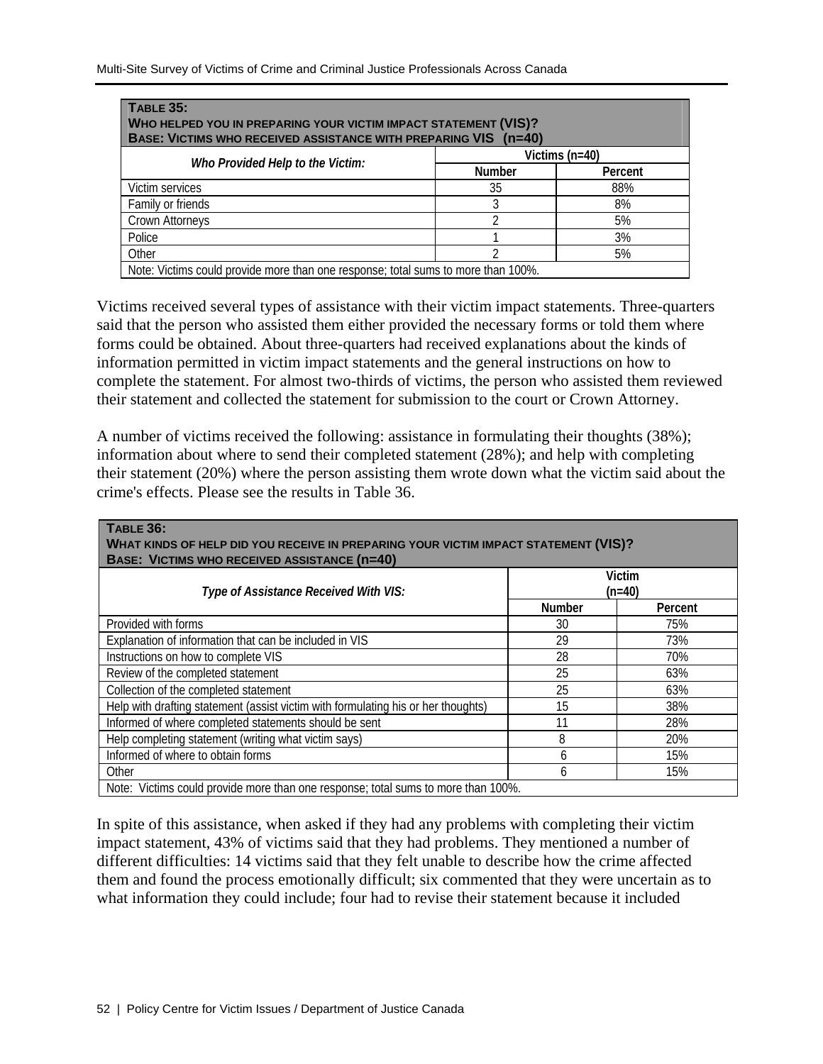| <b>TABLE 35:</b><br>WHO HELPED YOU IN PREPARING YOUR VICTIM IMPACT STATEMENT (VIS)?<br>BASE: VICTIMS WHO RECEIVED ASSISTANCE WITH PREPARING VIS (n=40) |               |         |
|--------------------------------------------------------------------------------------------------------------------------------------------------------|---------------|---------|
| Victims $(n=40)$                                                                                                                                       |               |         |
| Who Provided Help to the Victim:                                                                                                                       | <b>Number</b> | Percent |
| Victim services                                                                                                                                        | 35            | 88%     |
| Family or friends                                                                                                                                      |               | 8%      |
| Crown Attorneys                                                                                                                                        |               | 5%      |
| Police                                                                                                                                                 |               | 3%      |
| Other                                                                                                                                                  |               | 5%      |
| Note: Victims could provide more than one response; total sums to more than 100%.                                                                      |               |         |

Victims received several types of assistance with their victim impact statements. Three-quarters said that the person who assisted them either provided the necessary forms or told them where forms could be obtained. About three-quarters had received explanations about the kinds of information permitted in victim impact statements and the general instructions on how to complete the statement. For almost two-thirds of victims, the person who assisted them reviewed their statement and collected the statement for submission to the court or Crown Attorney.

A number of victims received the following: assistance in formulating their thoughts (38%); information about where to send their completed statement (28%); and help with completing their statement (20%) where the person assisting them wrote down what the victim said about the crime's effects. Please see the results in Table 36.

| <b>TABLE 36:</b>                                                                    |               |               |
|-------------------------------------------------------------------------------------|---------------|---------------|
| WHAT KINDS OF HELP DID YOU RECEIVE IN PREPARING YOUR VICTIM IMPACT STATEMENT (VIS)? |               |               |
| <b>BASE: VICTIMS WHO RECEIVED ASSISTANCE (n=40)</b>                                 |               |               |
|                                                                                     |               | <b>Victim</b> |
| Type of Assistance Received With VIS:                                               |               | (n=40)        |
|                                                                                     | <b>Number</b> | Percent       |
| Provided with forms                                                                 | 30            | 75%           |
| Explanation of information that can be included in VIS                              | 29            | 73%           |
| Instructions on how to complete VIS                                                 | 28            | 70%           |
| Review of the completed statement                                                   | 25            | 63%           |
| Collection of the completed statement                                               | 25            | 63%           |
| Help with drafting statement (assist victim with formulating his or her thoughts)   | 15            | 38%           |
| Informed of where completed statements should be sent                               | 11            | 28%           |
| Help completing statement (writing what victim says)                                | 8             | 20%           |
| Informed of where to obtain forms                                                   | 6             | 15%           |
| Other                                                                               | 6             | 15%           |
| Note: Victims could provide more than one response; total sums to more than 100%.   |               |               |

In spite of this assistance, when asked if they had any problems with completing their victim impact statement, 43% of victims said that they had problems. They mentioned a number of different difficulties: 14 victims said that they felt unable to describe how the crime affected them and found the process emotionally difficult; six commented that they were uncertain as to what information they could include; four had to revise their statement because it included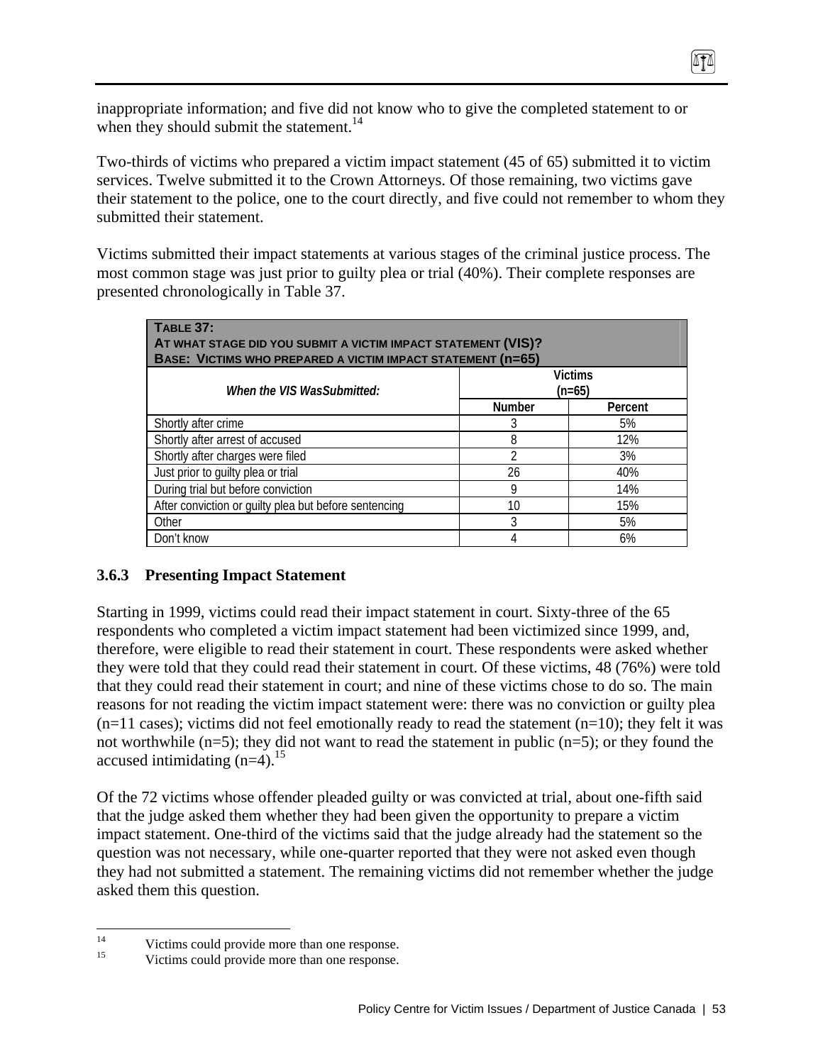inappropriate information; and five did not know who to give the completed statement to or when they should submit the statement.<sup>14</sup>

Two-thirds of victims who prepared a victim impact statement (45 of 65) submitted it to victim services. Twelve submitted it to the Crown Attorneys. Of those remaining, two victims gave their statement to the police, one to the court directly, and five could not remember to whom they submitted their statement.

ITI

Victims submitted their impact statements at various stages of the criminal justice process. The most common stage was just prior to guilty plea or trial (40%). Their complete responses are presented chronologically in Table 37.

| TABLE 37:<br>AT WHAT STAGE DID YOU SUBMIT A VICTIM IMPACT STATEMENT (VIS)?<br>BASE: VICTIMS WHO PREPARED A VICTIM IMPACT STATEMENT (n=65) |                            |         |  |
|-------------------------------------------------------------------------------------------------------------------------------------------|----------------------------|---------|--|
| When the VIS WasSubmitted:                                                                                                                | <b>Victims</b><br>$(n=65)$ |         |  |
|                                                                                                                                           | <b>Number</b>              | Percent |  |
| Shortly after crime                                                                                                                       | 3                          | 5%      |  |
| Shortly after arrest of accused                                                                                                           | 8                          | 12%     |  |
| Shortly after charges were filed                                                                                                          | ി                          | 3%      |  |
| Just prior to guilty plea or trial                                                                                                        | 26                         | 40%     |  |
| During trial but before conviction                                                                                                        | 9                          | 14%     |  |
| After conviction or guilty plea but before sentencing                                                                                     | 10                         | 15%     |  |
| Other                                                                                                                                     | 3                          | 5%      |  |
| Don't know                                                                                                                                |                            | 6%      |  |

#### **3.6.3 Presenting Impact Statement**

Starting in 1999, victims could read their impact statement in court. Sixty-three of the 65 respondents who completed a victim impact statement had been victimized since 1999, and, therefore, were eligible to read their statement in court. These respondents were asked whether they were told that they could read their statement in court. Of these victims, 48 (76%) were told that they could read their statement in court; and nine of these victims chose to do so. The main reasons for not reading the victim impact statement were: there was no conviction or guilty plea  $(n=11 \text{ cases})$ ; victims did not feel emotionally ready to read the statement  $(n=10)$ ; they felt it was not worthwhile (n=5); they did not want to read the statement in public (n=5); or they found the accused intimidating  $(n=4)$ .<sup>15</sup>

Of the 72 victims whose offender pleaded guilty or was convicted at trial, about one-fifth said that the judge asked them whether they had been given the opportunity to prepare a victim impact statement. One-third of the victims said that the judge already had the statement so the question was not necessary, while one-quarter reported that they were not asked even though they had not submitted a statement. The remaining victims did not remember whether the judge asked them this question.

 $14$  $\frac{14}{15}$  Victims could provide more than one response.

Victims could provide more than one response.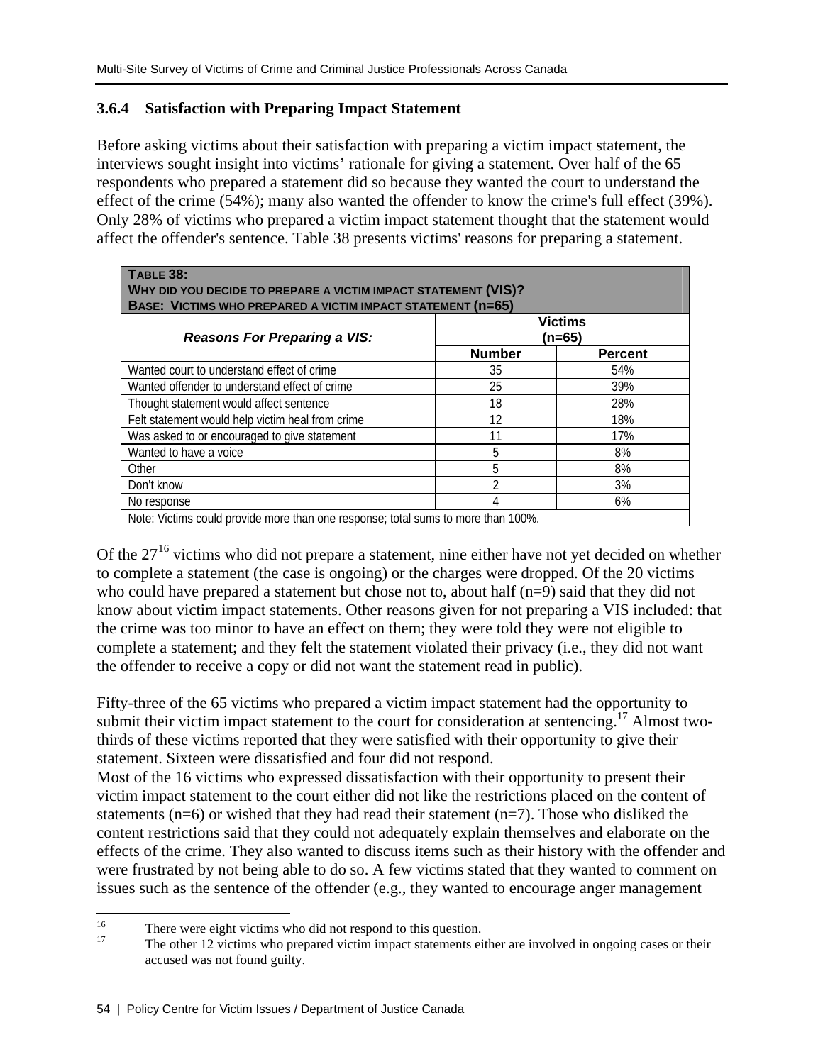### **3.6.4 Satisfaction with Preparing Impact Statement**

Before asking victims about their satisfaction with preparing a victim impact statement, the interviews sought insight into victims' rationale for giving a statement. Over half of the 65 respondents who prepared a statement did so because they wanted the court to understand the effect of the crime (54%); many also wanted the offender to know the crime's full effect (39%). Only 28% of victims who prepared a victim impact statement thought that the statement would affect the offender's sentence. Table 38 presents victims' reasons for preparing a statement.

| TABLE 38:<br>WHY DID YOU DECIDE TO PREPARE A VICTIM IMPACT STATEMENT (VIS)?<br>BASE: VICTIMS WHO PREPARED A VICTIM IMPACT STATEMENT (n=65) |               |                |  |
|--------------------------------------------------------------------------------------------------------------------------------------------|---------------|----------------|--|
| <b>Victims</b><br><b>Reasons For Preparing a VIS:</b><br>(n=65)                                                                            |               |                |  |
|                                                                                                                                            | <b>Number</b> | <b>Percent</b> |  |
| Wanted court to understand effect of crime                                                                                                 | 35            | 54%            |  |
| Wanted offender to understand effect of crime                                                                                              | 25            | 39%            |  |
| Thought statement would affect sentence                                                                                                    | 18            | 28%            |  |
| Felt statement would help victim heal from crime                                                                                           | 12            | 18%            |  |
| Was asked to or encouraged to give statement                                                                                               |               | 17%            |  |
| Wanted to have a voice                                                                                                                     | 5             | 8%             |  |
| Other                                                                                                                                      | 5             | 8%             |  |
| Don't know                                                                                                                                 | າ             | 3%             |  |
| No response                                                                                                                                | 4             | 6%             |  |
| Note: Victims could provide more than one response; total sums to more than 100%.                                                          |               |                |  |

Of the  $27<sup>16</sup>$  victims who did not prepare a statement, nine either have not yet decided on whether to complete a statement (the case is ongoing) or the charges were dropped. Of the 20 victims who could have prepared a statement but chose not to, about half (n=9) said that they did not know about victim impact statements. Other reasons given for not preparing a VIS included: that the crime was too minor to have an effect on them; they were told they were not eligible to complete a statement; and they felt the statement violated their privacy (i.e., they did not want the offender to receive a copy or did not want the statement read in public).

Fifty-three of the 65 victims who prepared a victim impact statement had the opportunity to submit their victim impact statement to the court for consideration at sentencing.<sup>17</sup> Almost twothirds of these victims reported that they were satisfied with their opportunity to give their statement. Sixteen were dissatisfied and four did not respond.

Most of the 16 victims who expressed dissatisfaction with their opportunity to present their victim impact statement to the court either did not like the restrictions placed on the content of statements ( $n=6$ ) or wished that they had read their statement ( $n=7$ ). Those who disliked the content restrictions said that they could not adequately explain themselves and elaborate on the effects of the crime. They also wanted to discuss items such as their history with the offender and were frustrated by not being able to do so. A few victims stated that they wanted to comment on issues such as the sentence of the offender (e.g., they wanted to encourage anger management

<sup>16</sup> <sup>16</sup> There were eight victims who did not respond to this question.<br><sup>17</sup>

<sup>17</sup> The other 12 victims who prepared victim impact statements either are involved in ongoing cases or their accused was not found guilty.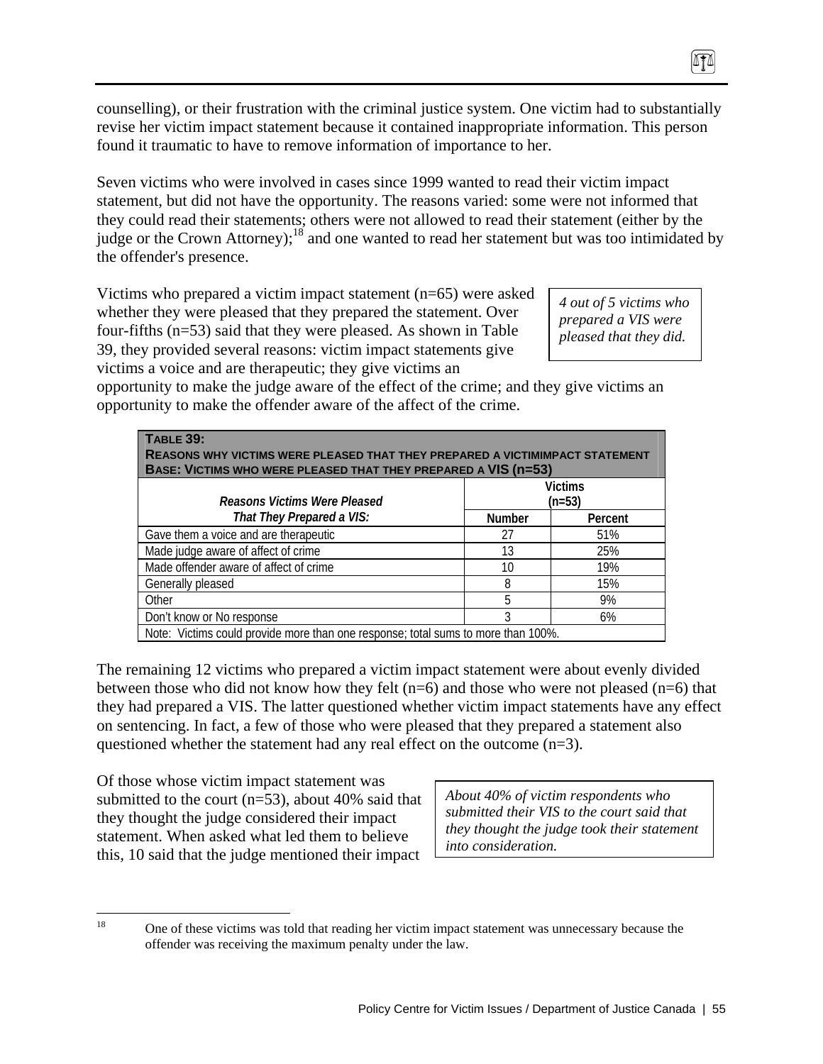counselling), or their frustration with the criminal justice system. One victim had to substantially revise her victim impact statement because it contained inappropriate information. This person found it traumatic to have to remove information of importance to her.

Seven victims who were involved in cases since 1999 wanted to read their victim impact statement, but did not have the opportunity. The reasons varied: some were not informed that they could read their statements; others were not allowed to read their statement (either by the judge or the Crown Attorney);<sup>18</sup> and one wanted to read her statement but was too intimidated by the offender's presence.

Victims who prepared a victim impact statement (n=65) were asked whether they were pleased that they prepared the statement. Over four-fifths (n=53) said that they were pleased. As shown in Table 39, they provided several reasons: victim impact statements give victims a voice and are therapeutic; they give victims an

*4 out of 5 victims who prepared a VIS were pleased that they did.* 

opportunity to make the judge aware of the effect of the crime; and they give victims an opportunity to make the offender aware of the affect of the crime.

| <b>TABLE 39:</b><br>REASONS WHY VICTIMS WERE PLEASED THAT THEY PREPARED A VICTIMIMPACT STATEMENT<br>BASE: VICTIMS WHO WERE PLEASED THAT THEY PREPARED A VIS (n=53) |               |                            |  |
|--------------------------------------------------------------------------------------------------------------------------------------------------------------------|---------------|----------------------------|--|
| Reasons Victims Were Pleased                                                                                                                                       |               | <b>Victims</b><br>$(n=53)$ |  |
| That They Prepared a VIS:                                                                                                                                          | <b>Number</b> | Percent                    |  |
| Gave them a voice and are therapeutic                                                                                                                              | 27            | 51%                        |  |
| Made judge aware of affect of crime                                                                                                                                | 13            | 25%                        |  |
| Made offender aware of affect of crime                                                                                                                             | 10            | 19%                        |  |
| Generally pleased                                                                                                                                                  | 8             | 15%                        |  |
| Other                                                                                                                                                              | 5             | 9%                         |  |
| Don't know or No response                                                                                                                                          | 3             | 6%                         |  |
| Note: Victims could provide more than one response; total sums to more than 100%.                                                                                  |               |                            |  |

The remaining 12 victims who prepared a victim impact statement were about evenly divided between those who did not know how they felt  $(n=6)$  and those who were not pleased  $(n=6)$  that they had prepared a VIS. The latter questioned whether victim impact statements have any effect on sentencing. In fact, a few of those who were pleased that they prepared a statement also questioned whether the statement had any real effect on the outcome (n=3).

Of those whose victim impact statement was submitted to the court (n=53), about 40% said that they thought the judge considered their impact statement. When asked what led them to believe this, 10 said that the judge mentioned their impact

*About 40% of victim respondents who submitted their VIS to the court said that they thought the judge took their statement into consideration.* 

18

<sup>18</sup> One of these victims was told that reading her victim impact statement was unnecessary because the offender was receiving the maximum penalty under the law.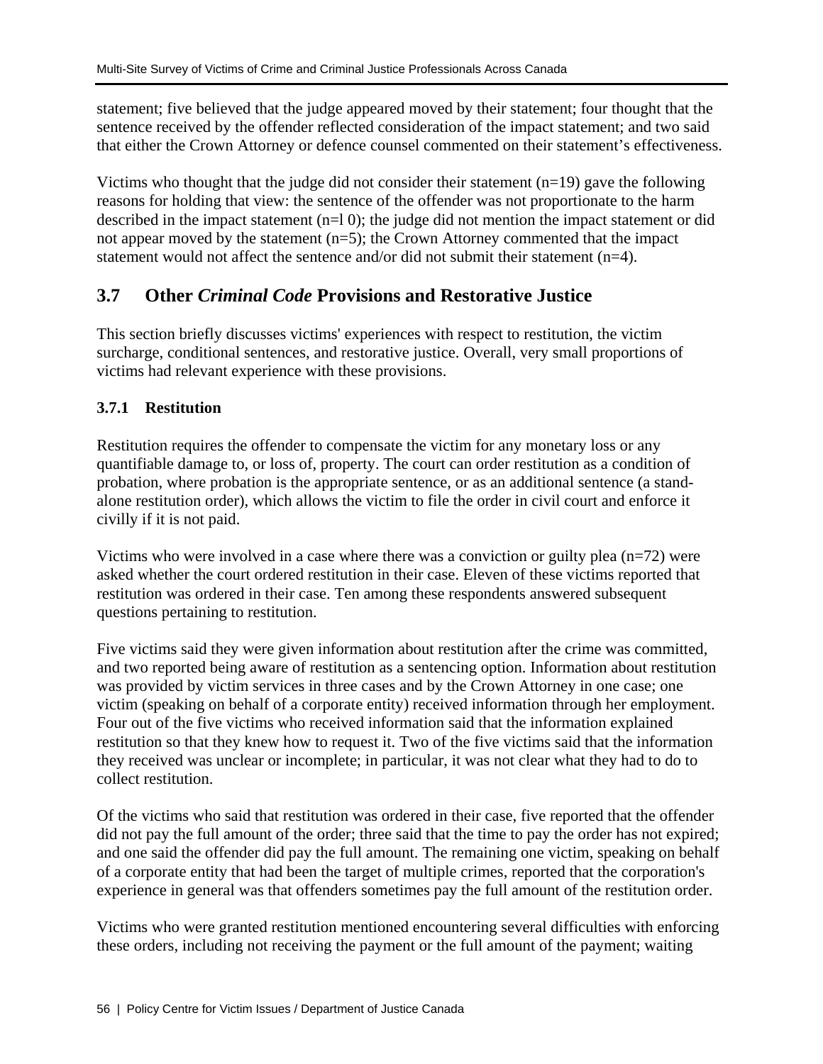statement; five believed that the judge appeared moved by their statement; four thought that the sentence received by the offender reflected consideration of the impact statement; and two said that either the Crown Attorney or defence counsel commented on their statement's effectiveness.

Victims who thought that the judge did not consider their statement  $(n=19)$  gave the following reasons for holding that view: the sentence of the offender was not proportionate to the harm described in the impact statement (n=l 0); the judge did not mention the impact statement or did not appear moved by the statement (n=5); the Crown Attorney commented that the impact statement would not affect the sentence and/or did not submit their statement (n=4).

# **3.7 Other** *Criminal Code* **Provisions and Restorative Justice**

This section briefly discusses victims' experiences with respect to restitution, the victim surcharge, conditional sentences, and restorative justice. Overall, very small proportions of victims had relevant experience with these provisions.

## **3.7.1 Restitution**

Restitution requires the offender to compensate the victim for any monetary loss or any quantifiable damage to, or loss of, property. The court can order restitution as a condition of probation, where probation is the appropriate sentence, or as an additional sentence (a standalone restitution order), which allows the victim to file the order in civil court and enforce it civilly if it is not paid.

Victims who were involved in a case where there was a conviction or guilty plea (n=72) were asked whether the court ordered restitution in their case. Eleven of these victims reported that restitution was ordered in their case. Ten among these respondents answered subsequent questions pertaining to restitution.

Five victims said they were given information about restitution after the crime was committed, and two reported being aware of restitution as a sentencing option. Information about restitution was provided by victim services in three cases and by the Crown Attorney in one case; one victim (speaking on behalf of a corporate entity) received information through her employment. Four out of the five victims who received information said that the information explained restitution so that they knew how to request it. Two of the five victims said that the information they received was unclear or incomplete; in particular, it was not clear what they had to do to collect restitution.

Of the victims who said that restitution was ordered in their case, five reported that the offender did not pay the full amount of the order; three said that the time to pay the order has not expired; and one said the offender did pay the full amount. The remaining one victim, speaking on behalf of a corporate entity that had been the target of multiple crimes, reported that the corporation's experience in general was that offenders sometimes pay the full amount of the restitution order.

Victims who were granted restitution mentioned encountering several difficulties with enforcing these orders, including not receiving the payment or the full amount of the payment; waiting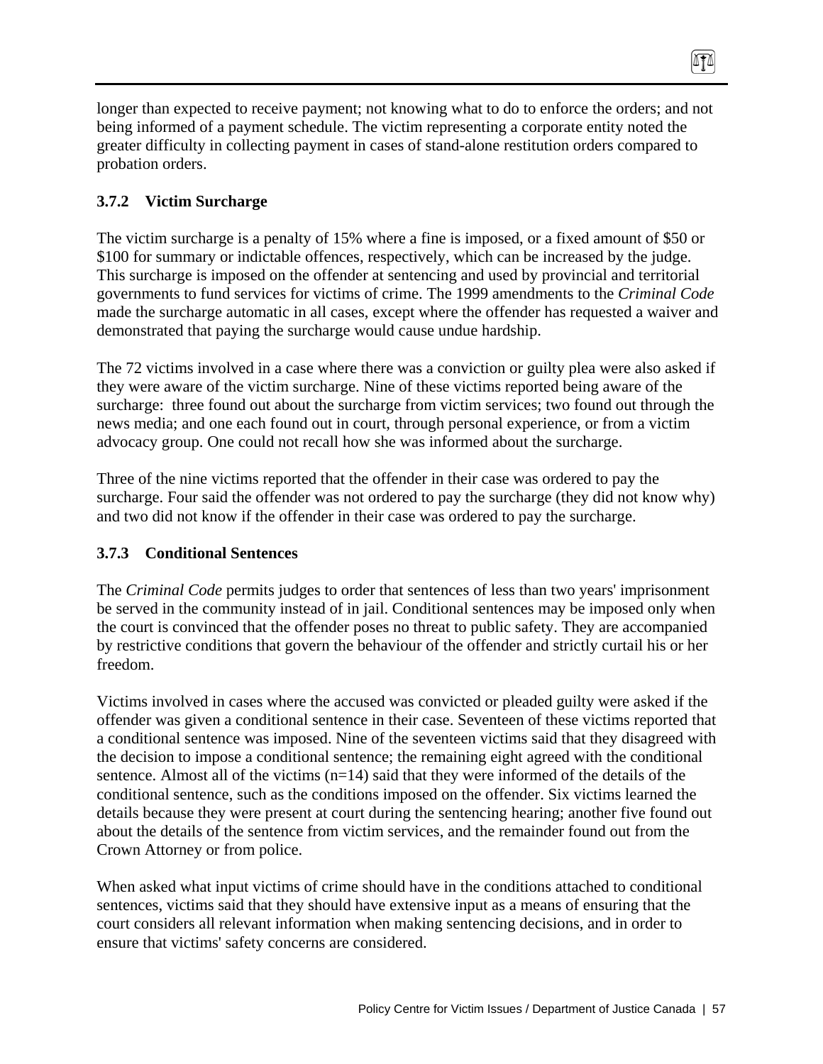longer than expected to receive payment; not knowing what to do to enforce the orders; and not being informed of a payment schedule. The victim representing a corporate entity noted the greater difficulty in collecting payment in cases of stand-alone restitution orders compared to probation orders.

 $\sqrt{10}$ 

### **3.7.2 Victim Surcharge**

The victim surcharge is a penalty of 15% where a fine is imposed, or a fixed amount of \$50 or \$100 for summary or indictable offences, respectively, which can be increased by the judge. This surcharge is imposed on the offender at sentencing and used by provincial and territorial governments to fund services for victims of crime. The 1999 amendments to the *Criminal Code* made the surcharge automatic in all cases, except where the offender has requested a waiver and demonstrated that paying the surcharge would cause undue hardship.

The 72 victims involved in a case where there was a conviction or guilty plea were also asked if they were aware of the victim surcharge. Nine of these victims reported being aware of the surcharge: three found out about the surcharge from victim services; two found out through the news media; and one each found out in court, through personal experience, or from a victim advocacy group. One could not recall how she was informed about the surcharge.

Three of the nine victims reported that the offender in their case was ordered to pay the surcharge. Four said the offender was not ordered to pay the surcharge (they did not know why) and two did not know if the offender in their case was ordered to pay the surcharge.

#### **3.7.3 Conditional Sentences**

The *Criminal Code* permits judges to order that sentences of less than two years' imprisonment be served in the community instead of in jail. Conditional sentences may be imposed only when the court is convinced that the offender poses no threat to public safety. They are accompanied by restrictive conditions that govern the behaviour of the offender and strictly curtail his or her freedom.

Victims involved in cases where the accused was convicted or pleaded guilty were asked if the offender was given a conditional sentence in their case. Seventeen of these victims reported that a conditional sentence was imposed. Nine of the seventeen victims said that they disagreed with the decision to impose a conditional sentence; the remaining eight agreed with the conditional sentence. Almost all of the victims (n=14) said that they were informed of the details of the conditional sentence, such as the conditions imposed on the offender. Six victims learned the details because they were present at court during the sentencing hearing; another five found out about the details of the sentence from victim services, and the remainder found out from the Crown Attorney or from police.

When asked what input victims of crime should have in the conditions attached to conditional sentences, victims said that they should have extensive input as a means of ensuring that the court considers all relevant information when making sentencing decisions, and in order to ensure that victims' safety concerns are considered.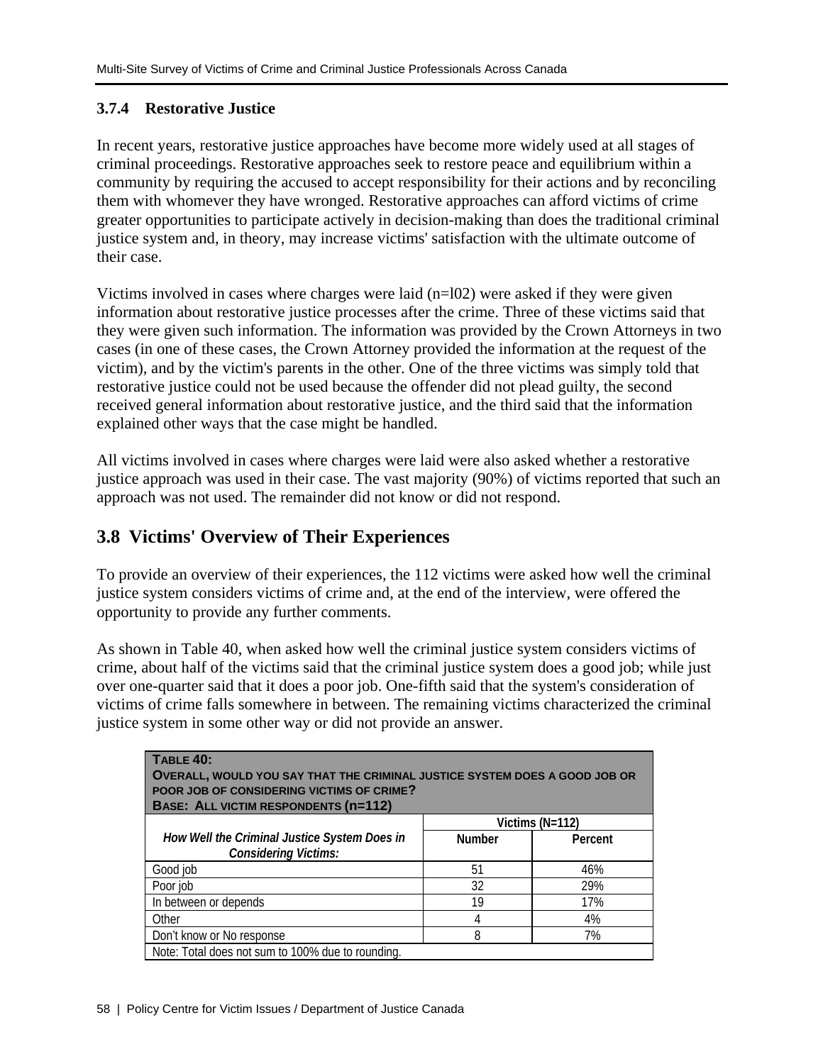## **3.7.4 Restorative Justice**

In recent years, restorative justice approaches have become more widely used at all stages of criminal proceedings. Restorative approaches seek to restore peace and equilibrium within a community by requiring the accused to accept responsibility for their actions and by reconciling them with whomever they have wronged. Restorative approaches can afford victims of crime greater opportunities to participate actively in decision-making than does the traditional criminal justice system and, in theory, may increase victims' satisfaction with the ultimate outcome of their case.

Victims involved in cases where charges were laid (n=l02) were asked if they were given information about restorative justice processes after the crime. Three of these victims said that they were given such information. The information was provided by the Crown Attorneys in two cases (in one of these cases, the Crown Attorney provided the information at the request of the victim), and by the victim's parents in the other. One of the three victims was simply told that restorative justice could not be used because the offender did not plead guilty, the second received general information about restorative justice, and the third said that the information explained other ways that the case might be handled.

All victims involved in cases where charges were laid were also asked whether a restorative justice approach was used in their case. The vast majority (90%) of victims reported that such an approach was not used. The remainder did not know or did not respond.

# **3.8 Victims' Overview of Their Experiences**

To provide an overview of their experiences, the 112 victims were asked how well the criminal justice system considers victims of crime and, at the end of the interview, were offered the opportunity to provide any further comments.

As shown in Table 40, when asked how well the criminal justice system considers victims of crime, about half of the victims said that the criminal justice system does a good job; while just over one-quarter said that it does a poor job. One-fifth said that the system's consideration of victims of crime falls somewhere in between. The remaining victims characterized the criminal justice system in some other way or did not provide an answer.

| <b>TABLE 40:</b><br>OVERALL, WOULD YOU SAY THAT THE CRIMINAL JUSTICE SYSTEM DOES A GOOD JOB OR<br>POOR JOB OF CONSIDERING VICTIMS OF CRIME?<br><b>BASE: ALL VICTIM RESPONDENTS (n=112)</b> |               |                 |  |
|--------------------------------------------------------------------------------------------------------------------------------------------------------------------------------------------|---------------|-----------------|--|
|                                                                                                                                                                                            |               | Victims (N=112) |  |
| How Well the Criminal Justice System Does in<br><b>Considering Victims:</b>                                                                                                                | <b>Number</b> | Percent         |  |
| Good job                                                                                                                                                                                   | 51            | 46%             |  |
| Poor job                                                                                                                                                                                   | 32            | 29%             |  |
| In between or depends                                                                                                                                                                      | 19            | 17%             |  |
| Other                                                                                                                                                                                      | 4             | 4%              |  |
| Don't know or No response                                                                                                                                                                  | 8             | 7%              |  |
| Note: Total does not sum to 100% due to rounding.                                                                                                                                          |               |                 |  |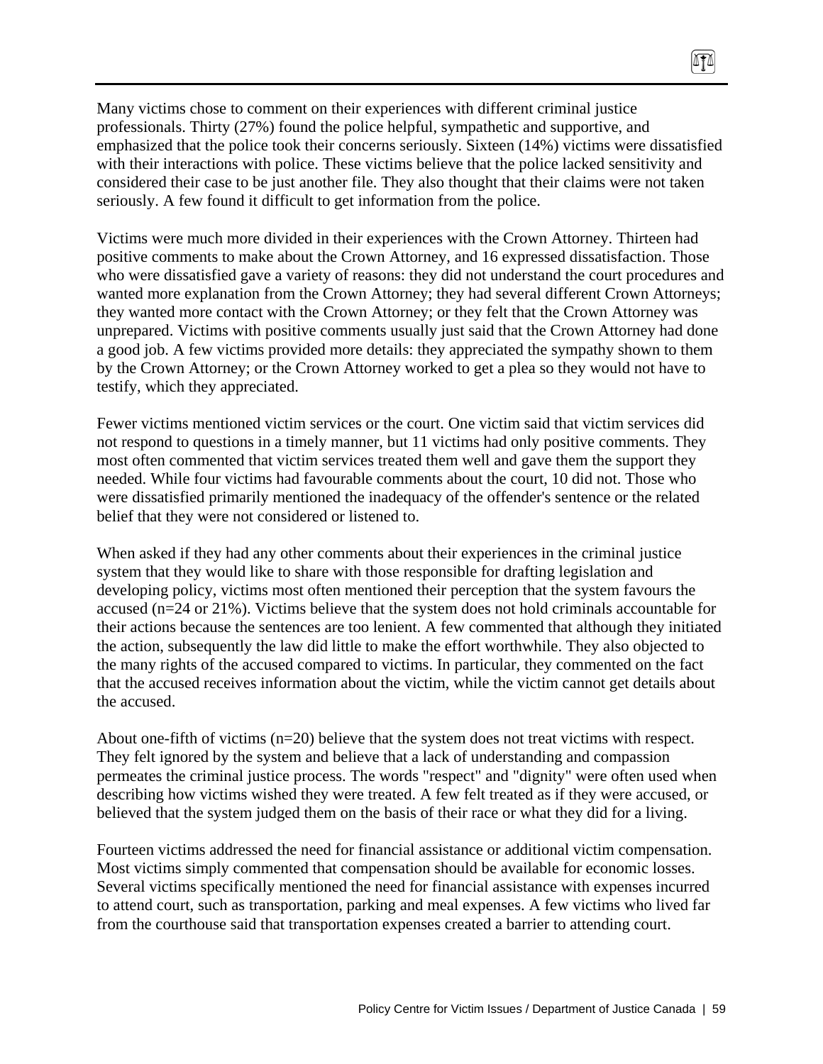Many victims chose to comment on their experiences with different criminal justice professionals. Thirty (27%) found the police helpful, sympathetic and supportive, and emphasized that the police took their concerns seriously. Sixteen (14%) victims were dissatisfied with their interactions with police. These victims believe that the police lacked sensitivity and considered their case to be just another file. They also thought that their claims were not taken seriously. A few found it difficult to get information from the police.

TI

Victims were much more divided in their experiences with the Crown Attorney. Thirteen had positive comments to make about the Crown Attorney, and 16 expressed dissatisfaction. Those who were dissatisfied gave a variety of reasons: they did not understand the court procedures and wanted more explanation from the Crown Attorney; they had several different Crown Attorneys; they wanted more contact with the Crown Attorney; or they felt that the Crown Attorney was unprepared. Victims with positive comments usually just said that the Crown Attorney had done a good job. A few victims provided more details: they appreciated the sympathy shown to them by the Crown Attorney; or the Crown Attorney worked to get a plea so they would not have to testify, which they appreciated.

Fewer victims mentioned victim services or the court. One victim said that victim services did not respond to questions in a timely manner, but 11 victims had only positive comments. They most often commented that victim services treated them well and gave them the support they needed. While four victims had favourable comments about the court, 10 did not. Those who were dissatisfied primarily mentioned the inadequacy of the offender's sentence or the related belief that they were not considered or listened to.

When asked if they had any other comments about their experiences in the criminal justice system that they would like to share with those responsible for drafting legislation and developing policy, victims most often mentioned their perception that the system favours the accused (n=24 or 21%). Victims believe that the system does not hold criminals accountable for their actions because the sentences are too lenient. A few commented that although they initiated the action, subsequently the law did little to make the effort worthwhile. They also objected to the many rights of the accused compared to victims. In particular, they commented on the fact that the accused receives information about the victim, while the victim cannot get details about the accused.

About one-fifth of victims (n=20) believe that the system does not treat victims with respect. They felt ignored by the system and believe that a lack of understanding and compassion permeates the criminal justice process. The words "respect" and "dignity" were often used when describing how victims wished they were treated. A few felt treated as if they were accused, or believed that the system judged them on the basis of their race or what they did for a living.

Fourteen victims addressed the need for financial assistance or additional victim compensation. Most victims simply commented that compensation should be available for economic losses. Several victims specifically mentioned the need for financial assistance with expenses incurred to attend court, such as transportation, parking and meal expenses. A few victims who lived far from the courthouse said that transportation expenses created a barrier to attending court.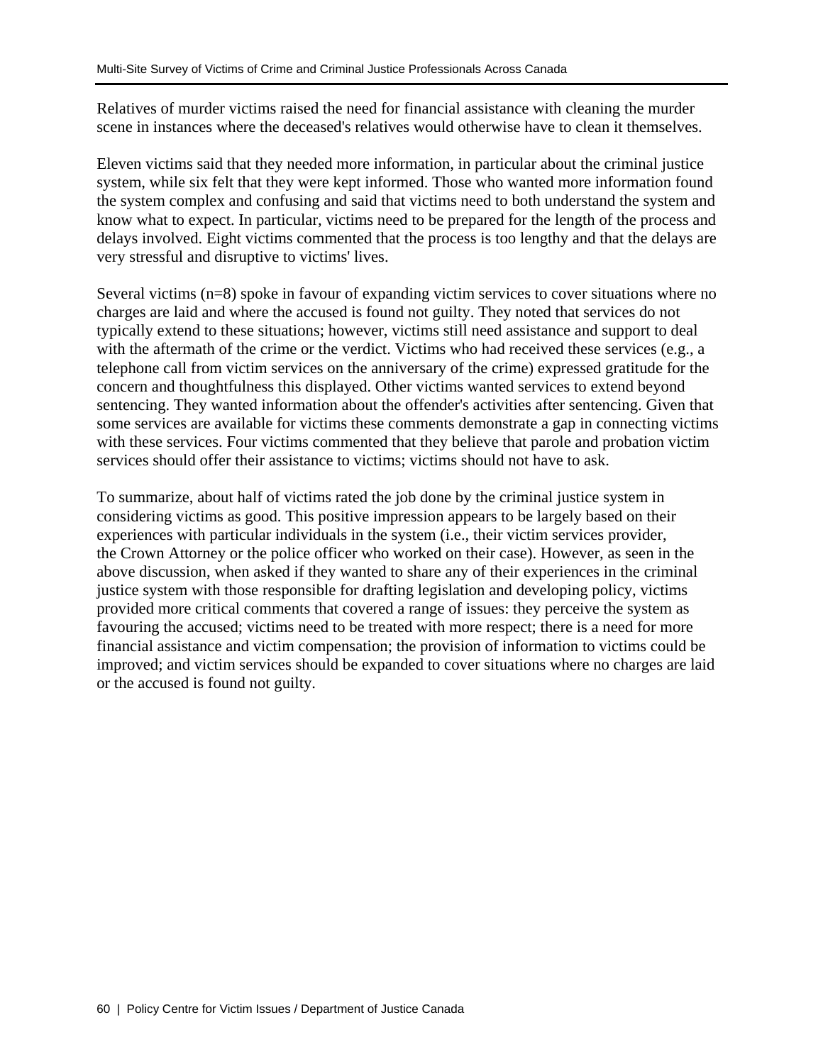Relatives of murder victims raised the need for financial assistance with cleaning the murder scene in instances where the deceased's relatives would otherwise have to clean it themselves.

Eleven victims said that they needed more information, in particular about the criminal justice system, while six felt that they were kept informed. Those who wanted more information found the system complex and confusing and said that victims need to both understand the system and know what to expect. In particular, victims need to be prepared for the length of the process and delays involved. Eight victims commented that the process is too lengthy and that the delays are very stressful and disruptive to victims' lives.

Several victims (n=8) spoke in favour of expanding victim services to cover situations where no charges are laid and where the accused is found not guilty. They noted that services do not typically extend to these situations; however, victims still need assistance and support to deal with the aftermath of the crime or the verdict. Victims who had received these services (e.g., a telephone call from victim services on the anniversary of the crime) expressed gratitude for the concern and thoughtfulness this displayed. Other victims wanted services to extend beyond sentencing. They wanted information about the offender's activities after sentencing. Given that some services are available for victims these comments demonstrate a gap in connecting victims with these services. Four victims commented that they believe that parole and probation victim services should offer their assistance to victims; victims should not have to ask.

To summarize, about half of victims rated the job done by the criminal justice system in considering victims as good. This positive impression appears to be largely based on their experiences with particular individuals in the system (i.e., their victim services provider, the Crown Attorney or the police officer who worked on their case). However, as seen in the above discussion, when asked if they wanted to share any of their experiences in the criminal justice system with those responsible for drafting legislation and developing policy, victims provided more critical comments that covered a range of issues: they perceive the system as favouring the accused; victims need to be treated with more respect; there is a need for more financial assistance and victim compensation; the provision of information to victims could be improved; and victim services should be expanded to cover situations where no charges are laid or the accused is found not guilty.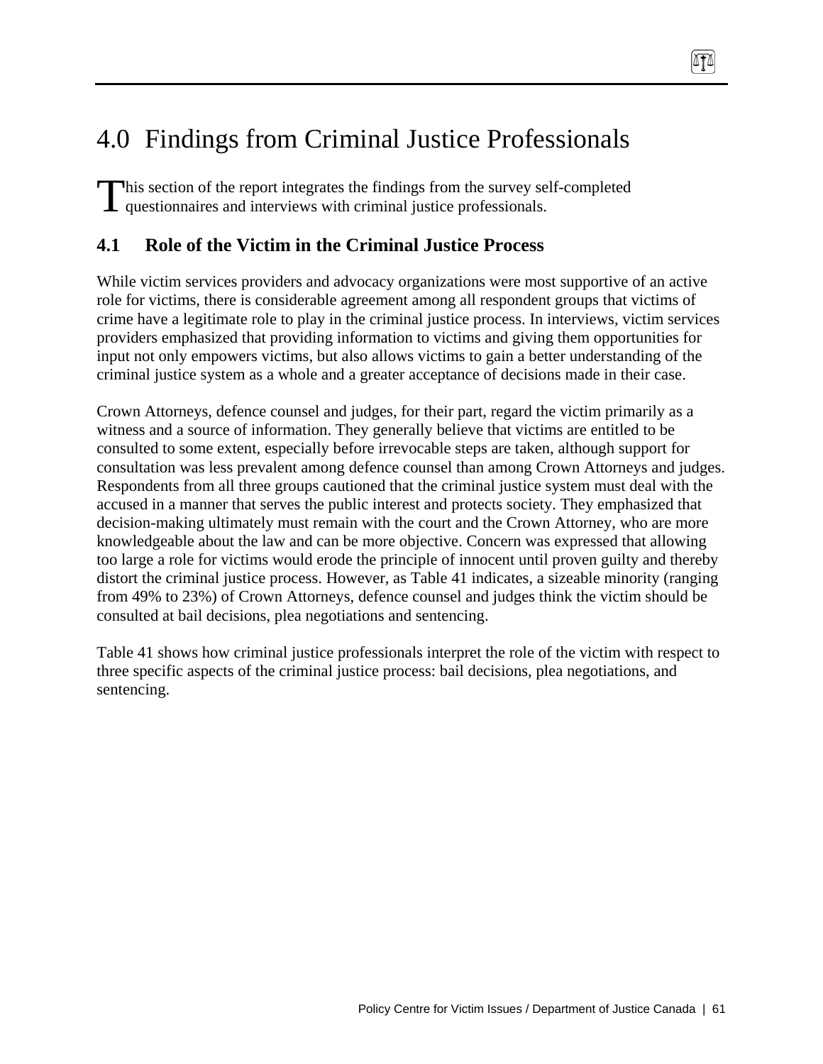# 4.0 Findings from Criminal Justice Professionals

his section of the report integrates the findings from the survey self-completed This section of the report integrates the findings from the survey sell questionnaires and interviews with criminal justice professionals.

# **4.1 Role of the Victim in the Criminal Justice Process**

While victim services providers and advocacy organizations were most supportive of an active role for victims, there is considerable agreement among all respondent groups that victims of crime have a legitimate role to play in the criminal justice process. In interviews, victim services providers emphasized that providing information to victims and giving them opportunities for input not only empowers victims, but also allows victims to gain a better understanding of the criminal justice system as a whole and a greater acceptance of decisions made in their case.

TI

Crown Attorneys, defence counsel and judges, for their part, regard the victim primarily as a witness and a source of information. They generally believe that victims are entitled to be consulted to some extent, especially before irrevocable steps are taken, although support for consultation was less prevalent among defence counsel than among Crown Attorneys and judges. Respondents from all three groups cautioned that the criminal justice system must deal with the accused in a manner that serves the public interest and protects society. They emphasized that decision-making ultimately must remain with the court and the Crown Attorney, who are more knowledgeable about the law and can be more objective. Concern was expressed that allowing too large a role for victims would erode the principle of innocent until proven guilty and thereby distort the criminal justice process. However, as Table 41 indicates, a sizeable minority (ranging from 49% to 23%) of Crown Attorneys, defence counsel and judges think the victim should be consulted at bail decisions, plea negotiations and sentencing.

Table 41 shows how criminal justice professionals interpret the role of the victim with respect to three specific aspects of the criminal justice process: bail decisions, plea negotiations, and sentencing.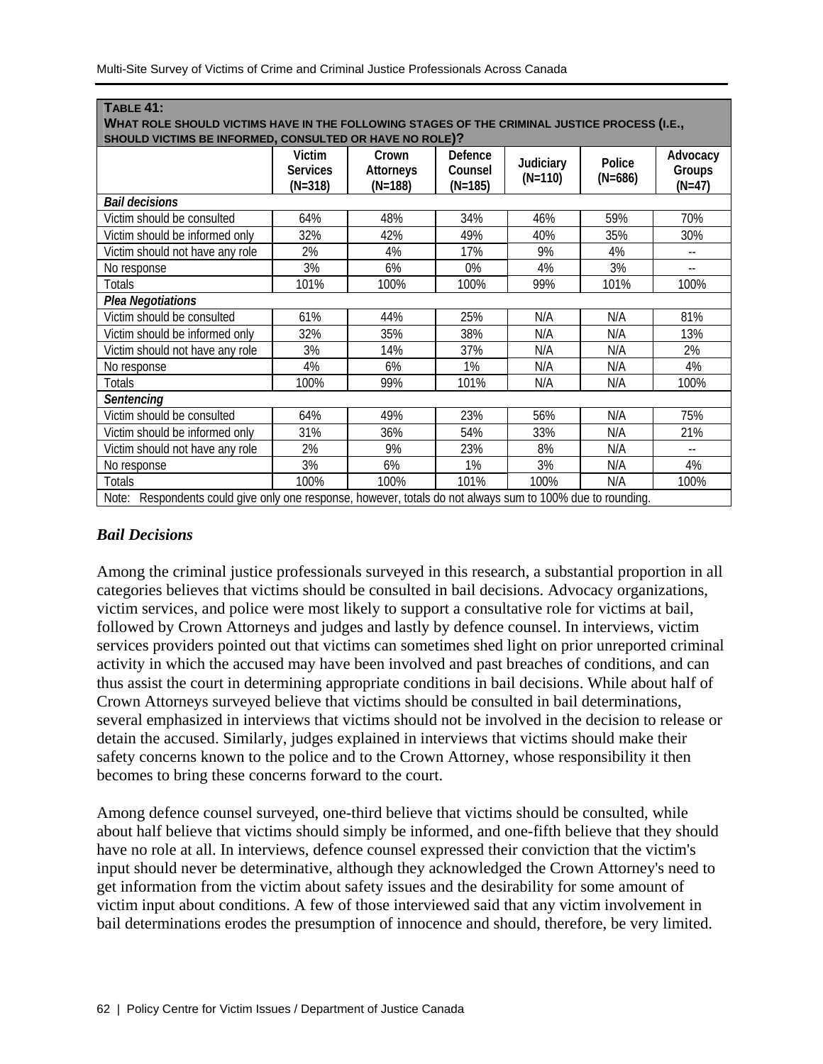| <b>TABLE 41:</b>                                                                                           |                              |                               |                      |           |           |                          |
|------------------------------------------------------------------------------------------------------------|------------------------------|-------------------------------|----------------------|-----------|-----------|--------------------------|
| WHAT ROLE SHOULD VICTIMS HAVE IN THE FOLLOWING STAGES OF THE CRIMINAL JUSTICE PROCESS (I.E.,               |                              |                               |                      |           |           |                          |
| SHOULD VICTIMS BE INFORMED, CONSULTED OR HAVE NO ROLE)?                                                    |                              |                               |                      |           |           |                          |
|                                                                                                            | Victim                       | Crown                         | Defence              | Judiciary | Police    | Advocacy                 |
|                                                                                                            | <b>Services</b><br>$(N=318)$ | <b>Attorneys</b><br>$(N=188)$ | Counsel<br>$(N=185)$ | $(N=110)$ | $(N=686)$ | Groups<br>$(N=47)$       |
| <b>Bail decisions</b>                                                                                      |                              |                               |                      |           |           |                          |
| Victim should be consulted                                                                                 | 64%                          | 48%                           | 34%                  | 46%       | 59%       | 70%                      |
| Victim should be informed only                                                                             | 32%                          | 42%                           | 49%                  | 40%       | 35%       | 30%                      |
| Victim should not have any role                                                                            | 2%                           | 4%                            | 17%                  | 9%        | 4%        | $- -$                    |
| No response                                                                                                | 3%                           | 6%                            | 0%                   | 4%        | 3%        | $- -$                    |
| Totals                                                                                                     | 101%                         | 100%                          | 100%                 | 99%       | 101%      | 100%                     |
| Plea Negotiations                                                                                          |                              |                               |                      |           |           |                          |
| Victim should be consulted                                                                                 | 61%                          | 44%                           | 25%                  | N/A       | N/A       | 81%                      |
| Victim should be informed only                                                                             | 32%                          | 35%                           | 38%                  | N/A       | N/A       | 13%                      |
| Victim should not have any role                                                                            | 3%                           | 14%                           | 37%                  | N/A       | N/A       | 2%                       |
| No response                                                                                                | 4%                           | 6%                            | 1%                   | N/A       | N/A       | 4%                       |
| Totals                                                                                                     | 100%                         | 99%                           | 101%                 | N/A       | N/A       | 100%                     |
| Sentencing                                                                                                 |                              |                               |                      |           |           |                          |
| Victim should be consulted                                                                                 | 64%                          | 49%                           | 23%                  | 56%       | N/A       | 75%                      |
| Victim should be informed only                                                                             | 31%                          | 36%                           | 54%                  | 33%       | N/A       | 21%                      |
| Victim should not have any role                                                                            | 2%                           | 9%                            | 23%                  | 8%        | N/A       | $\overline{\phantom{a}}$ |
| No response                                                                                                | 3%                           | 6%                            | 1%                   | 3%        | N/A       | 4%                       |
| <b>Totals</b>                                                                                              | 100%                         | 100%                          | 101%                 | 100%      | N/A       | 100%                     |
| Note: Respondents could give only one response, however, totals do not always sum to 100% due to rounding. |                              |                               |                      |           |           |                          |

## *Bail Decisions*

Among the criminal justice professionals surveyed in this research, a substantial proportion in all categories believes that victims should be consulted in bail decisions. Advocacy organizations, victim services, and police were most likely to support a consultative role for victims at bail, followed by Crown Attorneys and judges and lastly by defence counsel. In interviews, victim services providers pointed out that victims can sometimes shed light on prior unreported criminal activity in which the accused may have been involved and past breaches of conditions, and can thus assist the court in determining appropriate conditions in bail decisions. While about half of Crown Attorneys surveyed believe that victims should be consulted in bail determinations, several emphasized in interviews that victims should not be involved in the decision to release or detain the accused. Similarly, judges explained in interviews that victims should make their safety concerns known to the police and to the Crown Attorney, whose responsibility it then becomes to bring these concerns forward to the court.

Among defence counsel surveyed, one-third believe that victims should be consulted, while about half believe that victims should simply be informed, and one-fifth believe that they should have no role at all. In interviews, defence counsel expressed their conviction that the victim's input should never be determinative, although they acknowledged the Crown Attorney's need to get information from the victim about safety issues and the desirability for some amount of victim input about conditions. A few of those interviewed said that any victim involvement in bail determinations erodes the presumption of innocence and should, therefore, be very limited.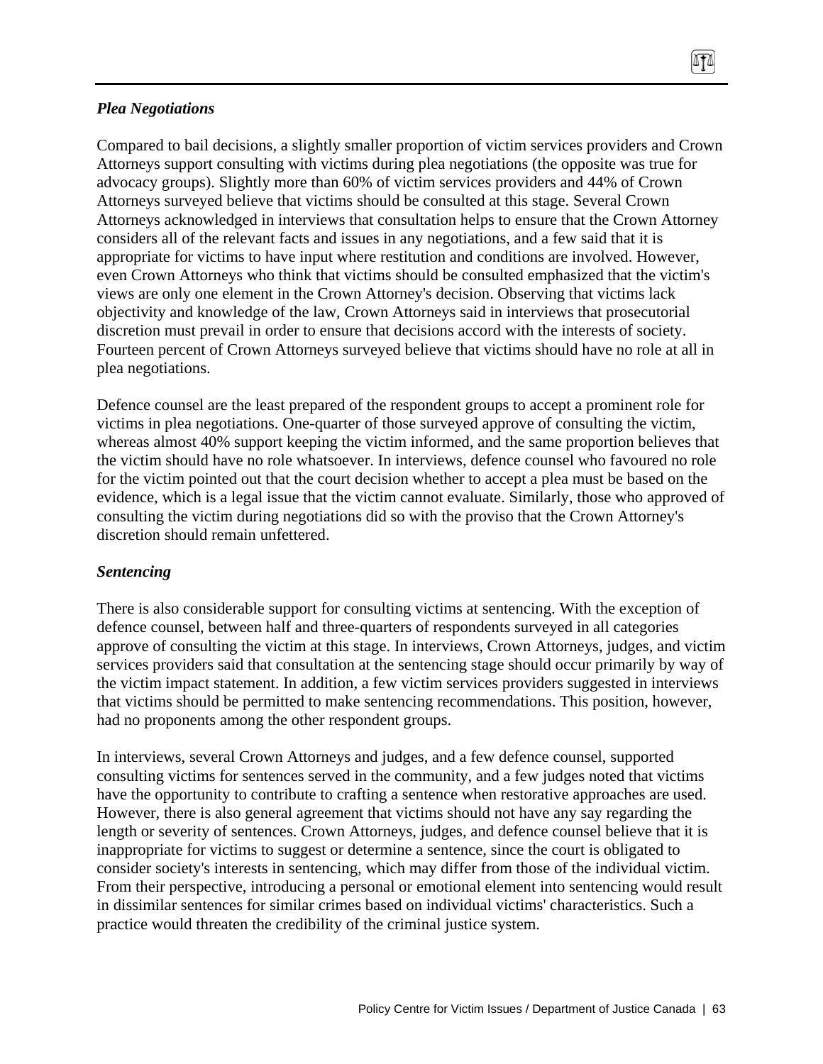## *Plea Negotiations*

Compared to bail decisions, a slightly smaller proportion of victim services providers and Crown Attorneys support consulting with victims during plea negotiations (the opposite was true for advocacy groups). Slightly more than 60% of victim services providers and 44% of Crown Attorneys surveyed believe that victims should be consulted at this stage. Several Crown Attorneys acknowledged in interviews that consultation helps to ensure that the Crown Attorney considers all of the relevant facts and issues in any negotiations, and a few said that it is appropriate for victims to have input where restitution and conditions are involved. However, even Crown Attorneys who think that victims should be consulted emphasized that the victim's views are only one element in the Crown Attorney's decision. Observing that victims lack objectivity and knowledge of the law, Crown Attorneys said in interviews that prosecutorial discretion must prevail in order to ensure that decisions accord with the interests of society. Fourteen percent of Crown Attorneys surveyed believe that victims should have no role at all in plea negotiations.

TI

Defence counsel are the least prepared of the respondent groups to accept a prominent role for victims in plea negotiations. One-quarter of those surveyed approve of consulting the victim, whereas almost 40% support keeping the victim informed, and the same proportion believes that the victim should have no role whatsoever. In interviews, defence counsel who favoured no role for the victim pointed out that the court decision whether to accept a plea must be based on the evidence, which is a legal issue that the victim cannot evaluate. Similarly, those who approved of consulting the victim during negotiations did so with the proviso that the Crown Attorney's discretion should remain unfettered.

## *Sentencing*

There is also considerable support for consulting victims at sentencing. With the exception of defence counsel, between half and three-quarters of respondents surveyed in all categories approve of consulting the victim at this stage. In interviews, Crown Attorneys, judges, and victim services providers said that consultation at the sentencing stage should occur primarily by way of the victim impact statement. In addition, a few victim services providers suggested in interviews that victims should be permitted to make sentencing recommendations. This position, however, had no proponents among the other respondent groups.

In interviews, several Crown Attorneys and judges, and a few defence counsel, supported consulting victims for sentences served in the community, and a few judges noted that victims have the opportunity to contribute to crafting a sentence when restorative approaches are used. However, there is also general agreement that victims should not have any say regarding the length or severity of sentences. Crown Attorneys, judges, and defence counsel believe that it is inappropriate for victims to suggest or determine a sentence, since the court is obligated to consider society's interests in sentencing, which may differ from those of the individual victim. From their perspective, introducing a personal or emotional element into sentencing would result in dissimilar sentences for similar crimes based on individual victims' characteristics. Such a practice would threaten the credibility of the criminal justice system.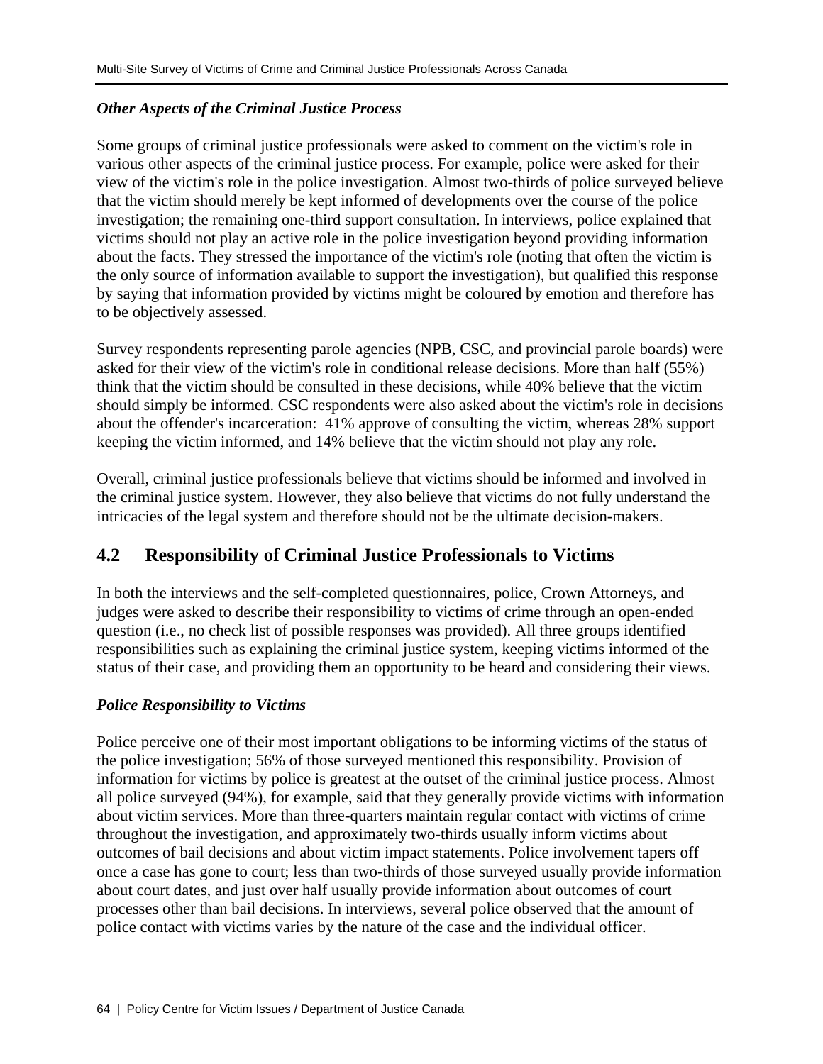# *Other Aspects of the Criminal Justice Process*

Some groups of criminal justice professionals were asked to comment on the victim's role in various other aspects of the criminal justice process. For example, police were asked for their view of the victim's role in the police investigation. Almost two-thirds of police surveyed believe that the victim should merely be kept informed of developments over the course of the police investigation; the remaining one-third support consultation. In interviews, police explained that victims should not play an active role in the police investigation beyond providing information about the facts. They stressed the importance of the victim's role (noting that often the victim is the only source of information available to support the investigation), but qualified this response by saying that information provided by victims might be coloured by emotion and therefore has to be objectively assessed.

Survey respondents representing parole agencies (NPB, CSC, and provincial parole boards) were asked for their view of the victim's role in conditional release decisions. More than half (55%) think that the victim should be consulted in these decisions, while 40% believe that the victim should simply be informed. CSC respondents were also asked about the victim's role in decisions about the offender's incarceration: 41% approve of consulting the victim, whereas 28% support keeping the victim informed, and 14% believe that the victim should not play any role.

Overall, criminal justice professionals believe that victims should be informed and involved in the criminal justice system. However, they also believe that victims do not fully understand the intricacies of the legal system and therefore should not be the ultimate decision-makers.

# **4.2 Responsibility of Criminal Justice Professionals to Victims**

In both the interviews and the self-completed questionnaires, police, Crown Attorneys, and judges were asked to describe their responsibility to victims of crime through an open-ended question (i.e., no check list of possible responses was provided). All three groups identified responsibilities such as explaining the criminal justice system, keeping victims informed of the status of their case, and providing them an opportunity to be heard and considering their views.

# *Police Responsibility to Victims*

Police perceive one of their most important obligations to be informing victims of the status of the police investigation; 56% of those surveyed mentioned this responsibility. Provision of information for victims by police is greatest at the outset of the criminal justice process. Almost all police surveyed (94%), for example, said that they generally provide victims with information about victim services. More than three-quarters maintain regular contact with victims of crime throughout the investigation, and approximately two-thirds usually inform victims about outcomes of bail decisions and about victim impact statements. Police involvement tapers off once a case has gone to court; less than two-thirds of those surveyed usually provide information about court dates, and just over half usually provide information about outcomes of court processes other than bail decisions. In interviews, several police observed that the amount of police contact with victims varies by the nature of the case and the individual officer.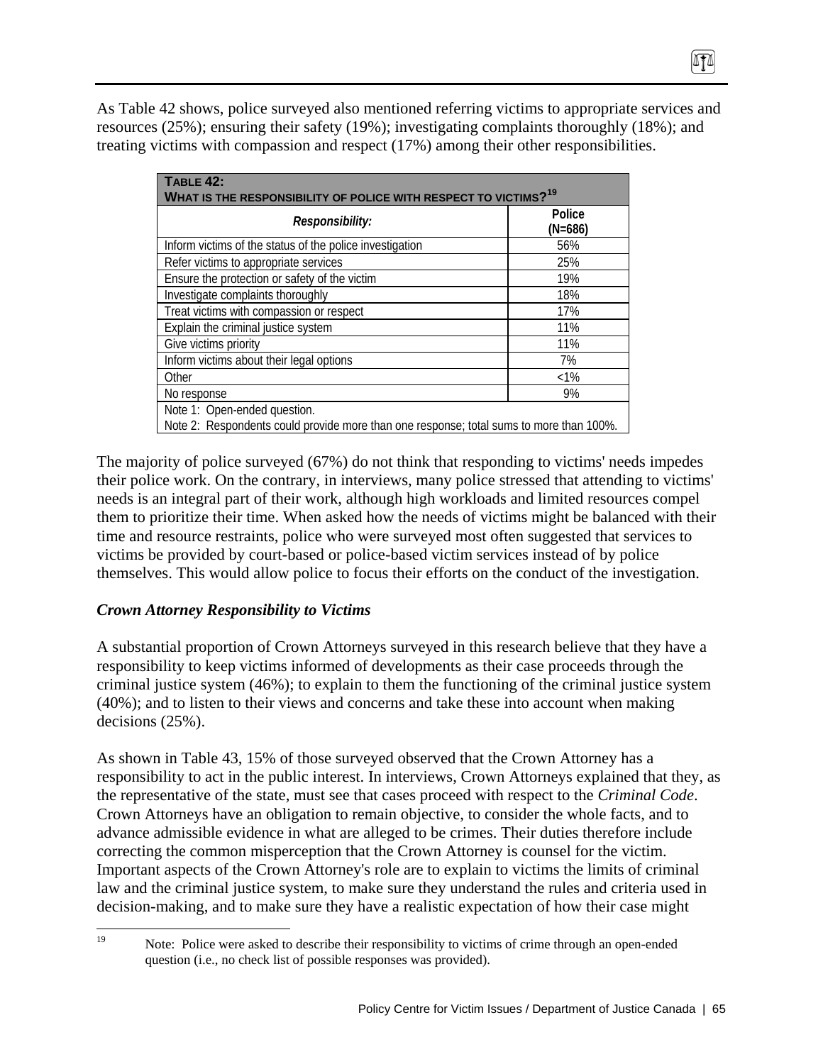As Table 42 shows, police surveyed also mentioned referring victims to appropriate services and resources (25%); ensuring their safety (19%); investigating complaints thoroughly (18%); and treating victims with compassion and respect (17%) among their other responsibilities.

| <b>TABLE 42:</b><br>WHAT IS THE RESPONSIBILITY OF POLICE WITH RESPECT TO VICTIMS? <sup>19</sup>                         |                     |  |  |
|-------------------------------------------------------------------------------------------------------------------------|---------------------|--|--|
| Responsibility:                                                                                                         | Police<br>$(N=686)$ |  |  |
| Inform victims of the status of the police investigation                                                                | 56%                 |  |  |
| Refer victims to appropriate services                                                                                   | 25%                 |  |  |
| Ensure the protection or safety of the victim                                                                           | 19%                 |  |  |
| Investigate complaints thoroughly                                                                                       | 18%                 |  |  |
| Treat victims with compassion or respect                                                                                | 17%                 |  |  |
| Explain the criminal justice system                                                                                     | 11%                 |  |  |
| Give victims priority                                                                                                   | 11%                 |  |  |
| Inform victims about their legal options                                                                                | 7%                  |  |  |
| Other                                                                                                                   | $< 1\%$             |  |  |
| No response                                                                                                             | 9%                  |  |  |
| Note 1: Open-ended question.<br>Note 2: Respondents could provide more than one response; total sums to more than 100%. |                     |  |  |

The majority of police surveyed (67%) do not think that responding to victims' needs impedes their police work. On the contrary, in interviews, many police stressed that attending to victims' needs is an integral part of their work, although high workloads and limited resources compel them to prioritize their time. When asked how the needs of victims might be balanced with their time and resource restraints, police who were surveyed most often suggested that services to victims be provided by court-based or police-based victim services instead of by police themselves. This would allow police to focus their efforts on the conduct of the investigation.

# *Crown Attorney Responsibility to Victims*

A substantial proportion of Crown Attorneys surveyed in this research believe that they have a responsibility to keep victims informed of developments as their case proceeds through the criminal justice system (46%); to explain to them the functioning of the criminal justice system (40%); and to listen to their views and concerns and take these into account when making decisions (25%).

As shown in Table 43, 15% of those surveyed observed that the Crown Attorney has a responsibility to act in the public interest. In interviews, Crown Attorneys explained that they, as the representative of the state, must see that cases proceed with respect to the *Criminal Code*. Crown Attorneys have an obligation to remain objective, to consider the whole facts, and to advance admissible evidence in what are alleged to be crimes. Their duties therefore include correcting the common misperception that the Crown Attorney is counsel for the victim. Important aspects of the Crown Attorney's role are to explain to victims the limits of criminal law and the criminal justice system, to make sure they understand the rules and criteria used in decision-making, and to make sure they have a realistic expectation of how their case might

 $19\,$ Note: Police were asked to describe their responsibility to victims of crime through an open-ended question (i.e., no check list of possible responses was provided).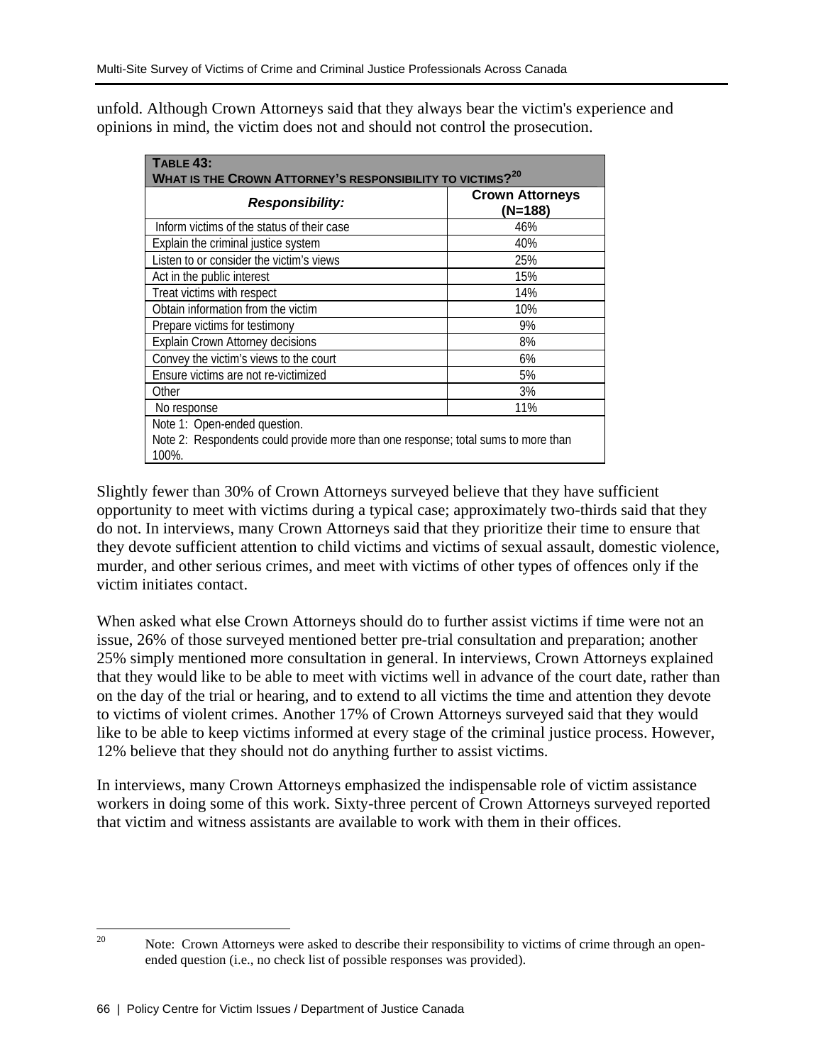unfold. Although Crown Attorneys said that they always bear the victim's experience and opinions in mind, the victim does not and should not control the prosecution.

| <b>TABLE 43:</b><br>WHAT IS THE CROWN ATTORNEY'S RESPONSIBILITY TO VICTIMS? <sup>20</sup>                                  |                                     |  |  |  |
|----------------------------------------------------------------------------------------------------------------------------|-------------------------------------|--|--|--|
| <b>Responsibility:</b>                                                                                                     | <b>Crown Attorneys</b><br>$(N=188)$ |  |  |  |
| Inform victims of the status of their case                                                                                 | 46%                                 |  |  |  |
| Explain the criminal justice system                                                                                        | 40%                                 |  |  |  |
| Listen to or consider the victim's views                                                                                   | 25%                                 |  |  |  |
| Act in the public interest                                                                                                 | 15%                                 |  |  |  |
| Treat victims with respect                                                                                                 | 14%                                 |  |  |  |
| Obtain information from the victim                                                                                         | 10%                                 |  |  |  |
| Prepare victims for testimony                                                                                              | 9%                                  |  |  |  |
| Explain Crown Attorney decisions                                                                                           | 8%                                  |  |  |  |
| Convey the victim's views to the court                                                                                     | 6%                                  |  |  |  |
| Ensure victims are not re-victimized                                                                                       | 5%                                  |  |  |  |
| Other                                                                                                                      | 3%                                  |  |  |  |
| No response                                                                                                                | 11%                                 |  |  |  |
| Note 1: Open-ended question.<br>Note 2: Respondents could provide more than one response; total sums to more than<br>100%. |                                     |  |  |  |

Slightly fewer than 30% of Crown Attorneys surveyed believe that they have sufficient opportunity to meet with victims during a typical case; approximately two-thirds said that they do not. In interviews, many Crown Attorneys said that they prioritize their time to ensure that they devote sufficient attention to child victims and victims of sexual assault, domestic violence, murder, and other serious crimes, and meet with victims of other types of offences only if the victim initiates contact.

When asked what else Crown Attorneys should do to further assist victims if time were not an issue, 26% of those surveyed mentioned better pre-trial consultation and preparation; another 25% simply mentioned more consultation in general. In interviews, Crown Attorneys explained that they would like to be able to meet with victims well in advance of the court date, rather than on the day of the trial or hearing, and to extend to all victims the time and attention they devote to victims of violent crimes. Another 17% of Crown Attorneys surveyed said that they would like to be able to keep victims informed at every stage of the criminal justice process. However, 12% believe that they should not do anything further to assist victims.

In interviews, many Crown Attorneys emphasized the indispensable role of victim assistance workers in doing some of this work. Sixty-three percent of Crown Attorneys surveyed reported that victim and witness assistants are available to work with them in their offices.

 $20\,$ Note: Crown Attorneys were asked to describe their responsibility to victims of crime through an openended question (i.e., no check list of possible responses was provided).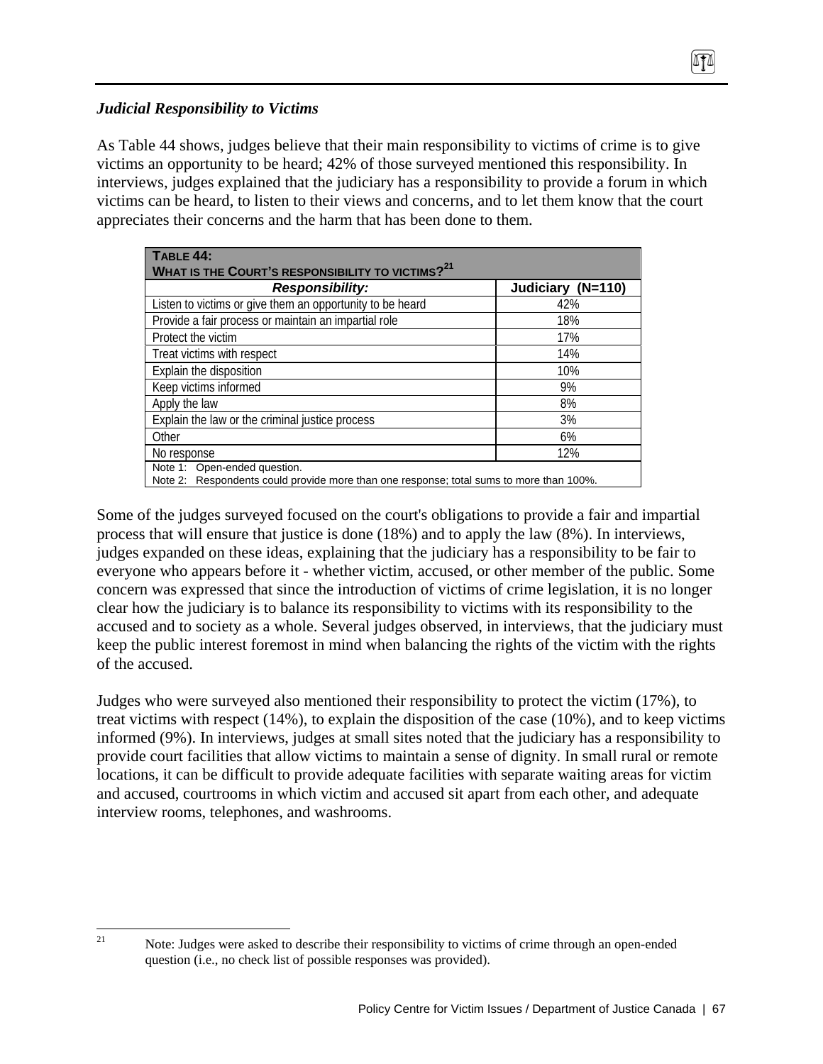# *Judicial Responsibility to Victims*

 $21\,$ 

As Table 44 shows, judges believe that their main responsibility to victims of crime is to give victims an opportunity to be heard; 42% of those surveyed mentioned this responsibility. In interviews, judges explained that the judiciary has a responsibility to provide a forum in which victims can be heard, to listen to their views and concerns, and to let them know that the court appreciates their concerns and the harm that has been done to them.

| TABLE 44:                                                           |                   |
|---------------------------------------------------------------------|-------------------|
|                                                                     |                   |
| <b>WHAT IS THE COURT'S RESPONSIBILITY TO VICTIMS?</b> <sup>21</sup> |                   |
| <b>Responsibility:</b>                                              | Judiciary (N=110) |
| Listen to victims or give them an opportunity to be heard           | 42%               |
| Provide a fair process or maintain an impartial role                | 18%               |
| Protect the victim                                                  | 17%               |
| Treat victims with respect                                          | 14%               |
| Explain the disposition                                             | 10%               |
| Keep victims informed                                               | 9%                |
| Apply the law                                                       | 8%                |
| Explain the law or the criminal justice process                     | 3%                |
| Other                                                               | 6%                |
| No response                                                         | 12%               |
| Note 1: Open-ended question.                                        |                   |

Note 2: Respondents could provide more than one response; total sums to more than 100%.

Some of the judges surveyed focused on the court's obligations to provide a fair and impartial process that will ensure that justice is done (18%) and to apply the law (8%). In interviews, judges expanded on these ideas, explaining that the judiciary has a responsibility to be fair to everyone who appears before it - whether victim, accused, or other member of the public. Some concern was expressed that since the introduction of victims of crime legislation, it is no longer clear how the judiciary is to balance its responsibility to victims with its responsibility to the accused and to society as a whole. Several judges observed, in interviews, that the judiciary must keep the public interest foremost in mind when balancing the rights of the victim with the rights of the accused.

Judges who were surveyed also mentioned their responsibility to protect the victim (17%), to treat victims with respect (14%), to explain the disposition of the case (10%), and to keep victims informed (9%). In interviews, judges at small sites noted that the judiciary has a responsibility to provide court facilities that allow victims to maintain a sense of dignity. In small rural or remote locations, it can be difficult to provide adequate facilities with separate waiting areas for victim and accused, courtrooms in which victim and accused sit apart from each other, and adequate interview rooms, telephones, and washrooms.

Note: Judges were asked to describe their responsibility to victims of crime through an open-ended question (i.e., no check list of possible responses was provided).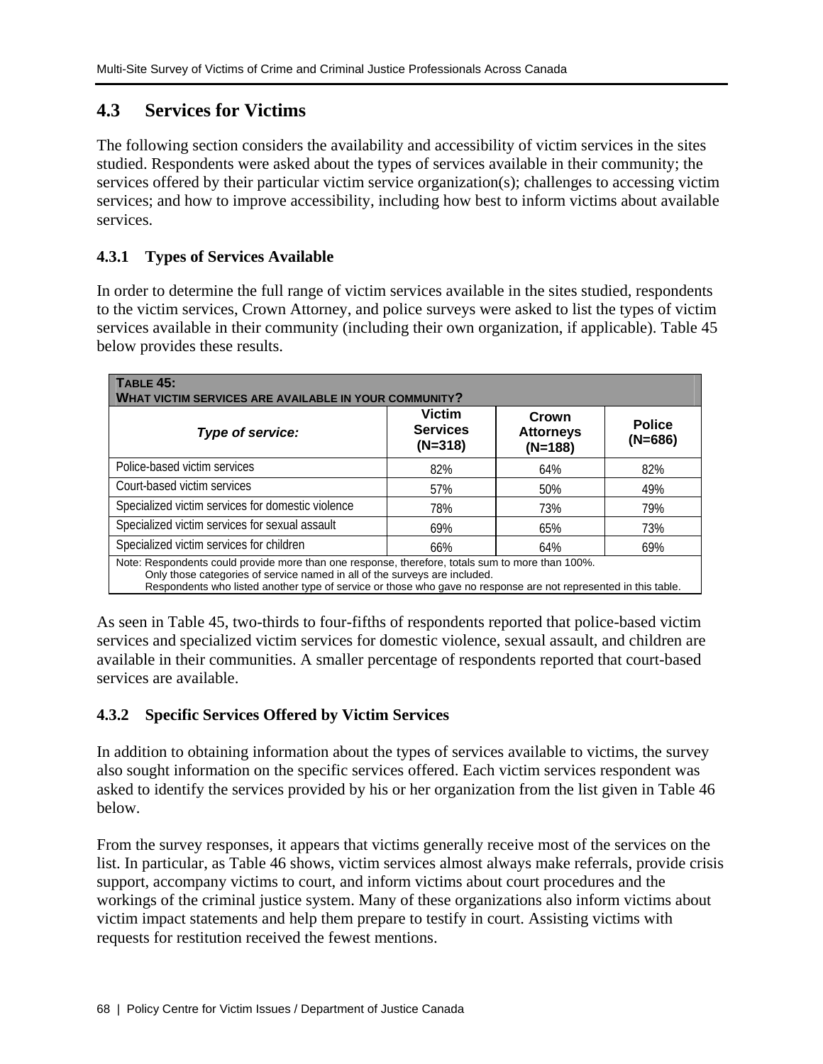# **4.3 Services for Victims**

The following section considers the availability and accessibility of victim services in the sites studied. Respondents were asked about the types of services available in their community; the services offered by their particular victim service organization(s); challenges to accessing victim services; and how to improve accessibility, including how best to inform victims about available services.

# **4.3.1 Types of Services Available**

In order to determine the full range of victim services available in the sites studied, respondents to the victim services, Crown Attorney, and police surveys were asked to list the types of victim services available in their community (including their own organization, if applicable). Table 45 below provides these results.

| <b>TABLE 45:</b><br>WHAT VICTIM SERVICES ARE AVAILABLE IN YOUR COMMUNITY?                                                                                                                                                                                                                         |                                               |                                        |                            |
|---------------------------------------------------------------------------------------------------------------------------------------------------------------------------------------------------------------------------------------------------------------------------------------------------|-----------------------------------------------|----------------------------------------|----------------------------|
| Type of service:                                                                                                                                                                                                                                                                                  | <b>Victim</b><br><b>Services</b><br>$(N=318)$ | Crown<br><b>Attorneys</b><br>$(N=188)$ | <b>Police</b><br>$(N=686)$ |
| Police-based victim services                                                                                                                                                                                                                                                                      | 82%                                           | 64%                                    | 82%                        |
| Court-based victim services                                                                                                                                                                                                                                                                       | 57%                                           | 50%                                    | 49%                        |
| Specialized victim services for domestic violence                                                                                                                                                                                                                                                 | 78%                                           | 73%                                    | 79%                        |
| Specialized victim services for sexual assault                                                                                                                                                                                                                                                    | 69%                                           | 65%                                    | 73%                        |
| Specialized victim services for children                                                                                                                                                                                                                                                          | 66%                                           | 64%                                    | 69%                        |
| Note: Respondents could provide more than one response, therefore, totals sum to more than 100%.<br>Only those categories of service named in all of the surveys are included.<br>Respondents who listed another type of service or those who gave no response are not represented in this table. |                                               |                                        |                            |

As seen in Table 45, two-thirds to four-fifths of respondents reported that police-based victim services and specialized victim services for domestic violence, sexual assault, and children are available in their communities. A smaller percentage of respondents reported that court-based services are available.

# **4.3.2 Specific Services Offered by Victim Services**

In addition to obtaining information about the types of services available to victims, the survey also sought information on the specific services offered. Each victim services respondent was asked to identify the services provided by his or her organization from the list given in Table 46 below.

From the survey responses, it appears that victims generally receive most of the services on the list. In particular, as Table 46 shows, victim services almost always make referrals, provide crisis support, accompany victims to court, and inform victims about court procedures and the workings of the criminal justice system. Many of these organizations also inform victims about victim impact statements and help them prepare to testify in court. Assisting victims with requests for restitution received the fewest mentions.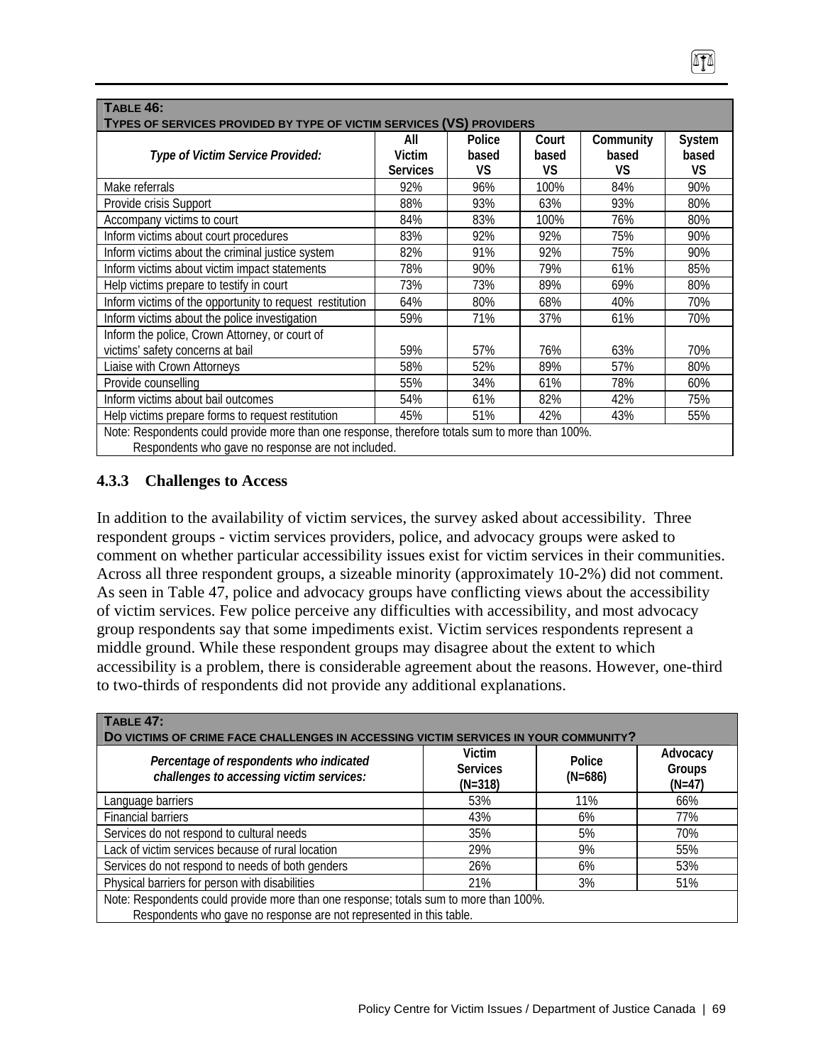| <b>TABLE 46:</b><br>TYPES OF SERVICES PROVIDED BY TYPE OF VICTIM SERVICES (VS) PROVIDERS        |                                  |                       |                       |                          |                       |  |
|-------------------------------------------------------------------------------------------------|----------------------------------|-----------------------|-----------------------|--------------------------|-----------------------|--|
| Type of Victim Service Provided:                                                                | All<br>Victim<br><b>Services</b> | Police<br>based<br>VS | Court<br>based<br>VS. | Community<br>based<br>VS | System<br>based<br>VS |  |
| Make referrals                                                                                  | 92%                              | 96%                   | 100%                  | 84%                      | 90%                   |  |
| Provide crisis Support                                                                          | 88%                              | 93%                   | 63%                   | 93%                      | 80%                   |  |
| Accompany victims to court                                                                      | 84%                              | 83%                   | 100%                  | 76%                      | 80%                   |  |
| Inform victims about court procedures                                                           | 83%                              | 92%                   | 92%                   | 75%                      | 90%                   |  |
| Inform victims about the criminal justice system                                                | 82%                              | 91%                   | 92%                   | 75%                      | 90%                   |  |
| Inform victims about victim impact statements                                                   | 78%                              | 90%                   | 79%                   | 61%                      | 85%                   |  |
| Help victims prepare to testify in court                                                        | 73%                              | 73%                   | 89%                   | 69%                      | 80%                   |  |
| Inform victims of the opportunity to request restitution                                        | 64%                              | 80%                   | 68%                   | 40%                      | 70%                   |  |
| Inform victims about the police investigation                                                   | 59%                              | 71%                   | 37%                   | 61%                      | 70%                   |  |
| Inform the police, Crown Attorney, or court of<br>victims' safety concerns at bail              | 59%                              | 57%                   | 76%                   | 63%                      | 70%                   |  |
| Liaise with Crown Attorneys                                                                     | 58%                              | 52%                   | 89%                   | 57%                      | 80%                   |  |
| Provide counselling                                                                             | 55%                              | 34%                   | 61%                   | 78%                      | 60%                   |  |
| Inform victims about bail outcomes                                                              | 54%                              | 61%                   | 82%                   | 42%                      | 75%                   |  |
| Help victims prepare forms to request restitution                                               | 45%                              | 51%                   | 42%                   | 43%                      | 55%                   |  |
| Note: Respondents could provide more than one response, therefore totals sum to more than 100%. |                                  |                       |                       |                          |                       |  |

Respondents who gave no response are not included.

# **4.3.3 Challenges to Access**

In addition to the availability of victim services, the survey asked about accessibility. Three respondent groups - victim services providers, police, and advocacy groups were asked to comment on whether particular accessibility issues exist for victim services in their communities. Across all three respondent groups, a sizeable minority (approximately 10-2%) did not comment. As seen in Table 47, police and advocacy groups have conflicting views about the accessibility of victim services. Few police perceive any difficulties with accessibility, and most advocacy group respondents say that some impediments exist. Victim services respondents represent a middle ground. While these respondent groups may disagree about the extent to which accessibility is a problem, there is considerable agreement about the reasons. However, one-third to two-thirds of respondents did not provide any additional explanations.

| <b>TABLE 47:</b><br>DO VICTIMS OF CRIME FACE CHALLENGES IN ACCESSING VICTIM SERVICES IN YOUR COMMUNITY?                                                      |                                        |                     |                                |
|--------------------------------------------------------------------------------------------------------------------------------------------------------------|----------------------------------------|---------------------|--------------------------------|
| Percentage of respondents who indicated<br>challenges to accessing victim services:                                                                          | Victim<br><b>Services</b><br>$(N=318)$ | Police<br>$(N=686)$ | Advocacy<br>Groups<br>$(N=47)$ |
| Language barriers                                                                                                                                            | 53%                                    | 11%                 | 66%                            |
| <b>Financial barriers</b>                                                                                                                                    | 43%                                    | 6%                  | 77%                            |
| Services do not respond to cultural needs                                                                                                                    | 35%                                    | 5%                  | 70%                            |
| Lack of victim services because of rural location                                                                                                            | 29%                                    | 9%                  | 55%                            |
| Services do not respond to needs of both genders                                                                                                             | 26%                                    | 6%                  | 53%                            |
| Physical barriers for person with disabilities                                                                                                               | 21%                                    | 3%                  | 51%                            |
| Note: Respondents could provide more than one response; totals sum to more than 100%.<br>Respondents who gave no response are not represented in this table. |                                        |                     |                                |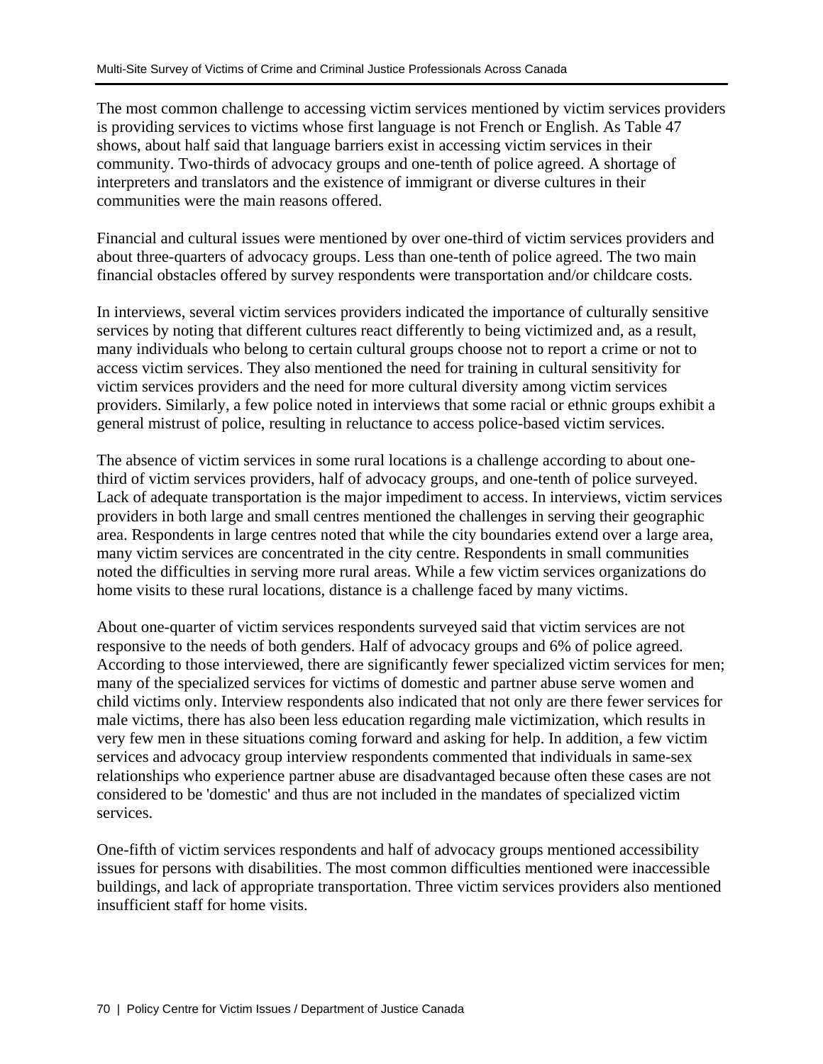The most common challenge to accessing victim services mentioned by victim services providers is providing services to victims whose first language is not French or English. As Table 47 shows, about half said that language barriers exist in accessing victim services in their community. Two-thirds of advocacy groups and one-tenth of police agreed. A shortage of interpreters and translators and the existence of immigrant or diverse cultures in their communities were the main reasons offered.

Financial and cultural issues were mentioned by over one-third of victim services providers and about three-quarters of advocacy groups. Less than one-tenth of police agreed. The two main financial obstacles offered by survey respondents were transportation and/or childcare costs.

In interviews, several victim services providers indicated the importance of culturally sensitive services by noting that different cultures react differently to being victimized and, as a result, many individuals who belong to certain cultural groups choose not to report a crime or not to access victim services. They also mentioned the need for training in cultural sensitivity for victim services providers and the need for more cultural diversity among victim services providers. Similarly, a few police noted in interviews that some racial or ethnic groups exhibit a general mistrust of police, resulting in reluctance to access police-based victim services.

The absence of victim services in some rural locations is a challenge according to about onethird of victim services providers, half of advocacy groups, and one-tenth of police surveyed. Lack of adequate transportation is the major impediment to access. In interviews, victim services providers in both large and small centres mentioned the challenges in serving their geographic area. Respondents in large centres noted that while the city boundaries extend over a large area, many victim services are concentrated in the city centre. Respondents in small communities noted the difficulties in serving more rural areas. While a few victim services organizations do home visits to these rural locations, distance is a challenge faced by many victims.

About one-quarter of victim services respondents surveyed said that victim services are not responsive to the needs of both genders. Half of advocacy groups and 6% of police agreed. According to those interviewed, there are significantly fewer specialized victim services for men; many of the specialized services for victims of domestic and partner abuse serve women and child victims only. Interview respondents also indicated that not only are there fewer services for male victims, there has also been less education regarding male victimization, which results in very few men in these situations coming forward and asking for help. In addition, a few victim services and advocacy group interview respondents commented that individuals in same-sex relationships who experience partner abuse are disadvantaged because often these cases are not considered to be 'domestic' and thus are not included in the mandates of specialized victim services.

One-fifth of victim services respondents and half of advocacy groups mentioned accessibility issues for persons with disabilities. The most common difficulties mentioned were inaccessible buildings, and lack of appropriate transportation. Three victim services providers also mentioned insufficient staff for home visits.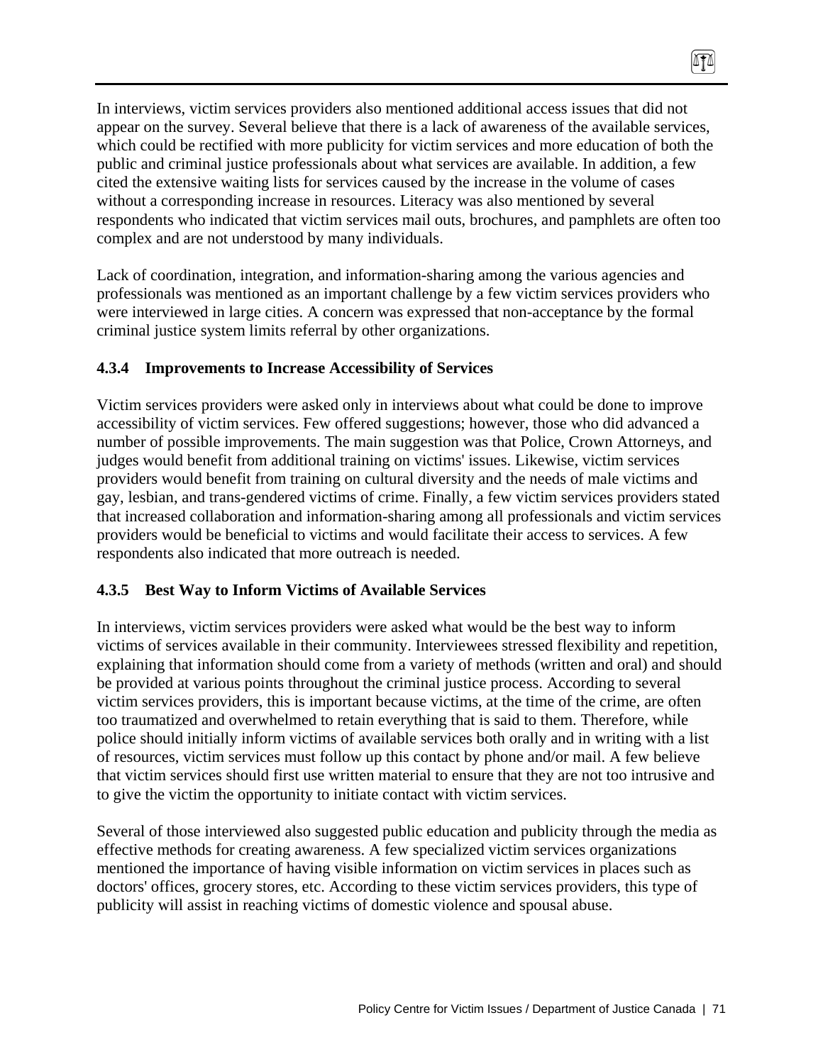In interviews, victim services providers also mentioned additional access issues that did not appear on the survey. Several believe that there is a lack of awareness of the available services, which could be rectified with more publicity for victim services and more education of both the public and criminal justice professionals about what services are available. In addition, a few cited the extensive waiting lists for services caused by the increase in the volume of cases without a corresponding increase in resources. Literacy was also mentioned by several respondents who indicated that victim services mail outs, brochures, and pamphlets are often too complex and are not understood by many individuals.

 $\sqrt{10}$ 

Lack of coordination, integration, and information-sharing among the various agencies and professionals was mentioned as an important challenge by a few victim services providers who were interviewed in large cities. A concern was expressed that non-acceptance by the formal criminal justice system limits referral by other organizations.

## **4.3.4 Improvements to Increase Accessibility of Services**

Victim services providers were asked only in interviews about what could be done to improve accessibility of victim services. Few offered suggestions; however, those who did advanced a number of possible improvements. The main suggestion was that Police, Crown Attorneys, and judges would benefit from additional training on victims' issues. Likewise, victim services providers would benefit from training on cultural diversity and the needs of male victims and gay, lesbian, and trans-gendered victims of crime. Finally, a few victim services providers stated that increased collaboration and information-sharing among all professionals and victim services providers would be beneficial to victims and would facilitate their access to services. A few respondents also indicated that more outreach is needed.

#### **4.3.5 Best Way to Inform Victims of Available Services**

In interviews, victim services providers were asked what would be the best way to inform victims of services available in their community. Interviewees stressed flexibility and repetition, explaining that information should come from a variety of methods (written and oral) and should be provided at various points throughout the criminal justice process. According to several victim services providers, this is important because victims, at the time of the crime, are often too traumatized and overwhelmed to retain everything that is said to them. Therefore, while police should initially inform victims of available services both orally and in writing with a list of resources, victim services must follow up this contact by phone and/or mail. A few believe that victim services should first use written material to ensure that they are not too intrusive and to give the victim the opportunity to initiate contact with victim services.

Several of those interviewed also suggested public education and publicity through the media as effective methods for creating awareness. A few specialized victim services organizations mentioned the importance of having visible information on victim services in places such as doctors' offices, grocery stores, etc. According to these victim services providers, this type of publicity will assist in reaching victims of domestic violence and spousal abuse.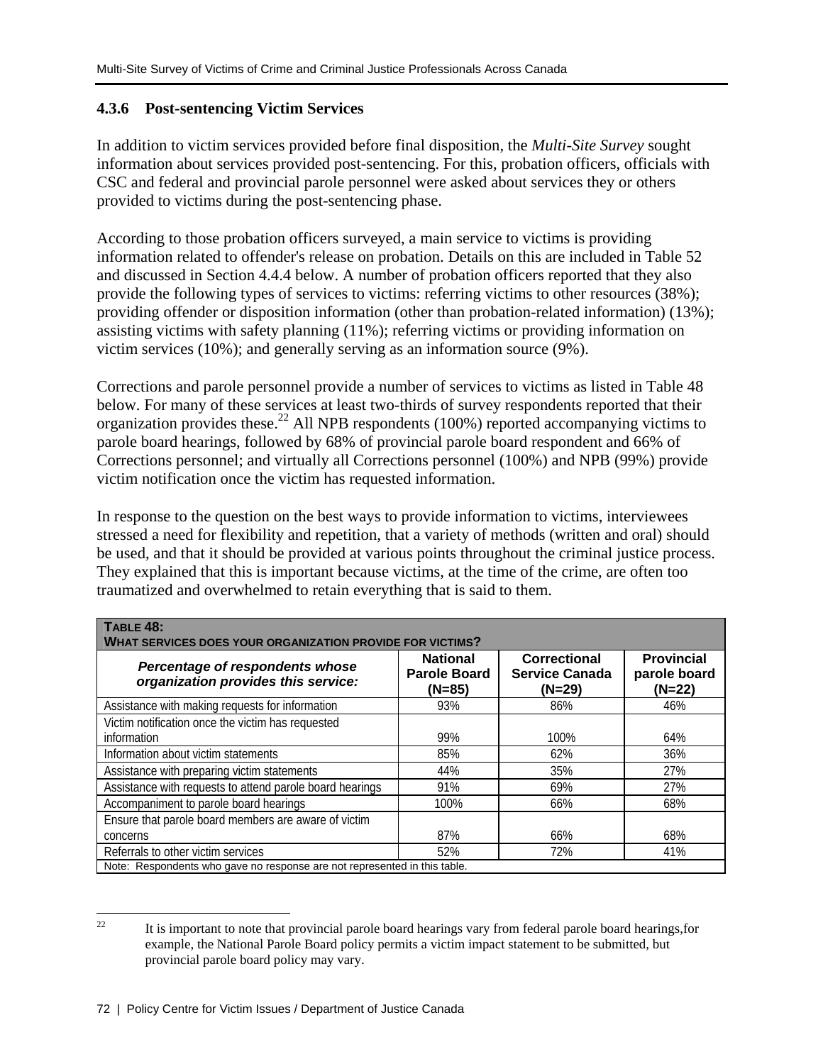# **4.3.6 Post-sentencing Victim Services**

In addition to victim services provided before final disposition, the *Multi-Site Survey* sought information about services provided post-sentencing. For this, probation officers, officials with CSC and federal and provincial parole personnel were asked about services they or others provided to victims during the post-sentencing phase.

According to those probation officers surveyed, a main service to victims is providing information related to offender's release on probation. Details on this are included in Table 52 and discussed in Section 4.4.4 below. A number of probation officers reported that they also provide the following types of services to victims: referring victims to other resources (38%); providing offender or disposition information (other than probation-related information) (13%); assisting victims with safety planning (11%); referring victims or providing information on victim services (10%); and generally serving as an information source (9%).

Corrections and parole personnel provide a number of services to victims as listed in Table 48 below. For many of these services at least two-thirds of survey respondents reported that their organization provides these.<sup>22</sup> All NPB respondents (100%) reported accompanying victims to parole board hearings, followed by 68% of provincial parole board respondent and 66% of Corrections personnel; and virtually all Corrections personnel (100%) and NPB (99%) provide victim notification once the victim has requested information.

In response to the question on the best ways to provide information to victims, interviewees stressed a need for flexibility and repetition, that a variety of methods (written and oral) should be used, and that it should be provided at various points throughout the criminal justice process. They explained that this is important because victims, at the time of the crime, are often too traumatized and overwhelmed to retain everything that is said to them.

| TABLE 48:<br><b>WHAT SERVICES DOES YOUR ORGANIZATION PROVIDE FOR VICTIMS?</b> |                                                    |                                                          |                                             |  |  |  |
|-------------------------------------------------------------------------------|----------------------------------------------------|----------------------------------------------------------|---------------------------------------------|--|--|--|
| Percentage of respondents whose<br>organization provides this service:        | <b>National</b><br><b>Parole Board</b><br>$(N=85)$ | <b>Correctional</b><br><b>Service Canada</b><br>$(N=29)$ | <b>Provincial</b><br>parole board<br>(N=22) |  |  |  |
| Assistance with making requests for information                               | 93%                                                | 86%                                                      | 46%                                         |  |  |  |
| Victim notification once the victim has requested                             |                                                    |                                                          |                                             |  |  |  |
| information                                                                   | 99%                                                | 100%                                                     | 64%                                         |  |  |  |
| Information about victim statements                                           | 85%                                                | 62%                                                      | 36%                                         |  |  |  |
| Assistance with preparing victim statements                                   | 44%                                                | 35%                                                      | 27%                                         |  |  |  |
| Assistance with requests to attend parole board hearings                      | 91%                                                | 69%                                                      | 27%                                         |  |  |  |
| Accompaniment to parole board hearings                                        | 100%                                               | 66%                                                      | 68%                                         |  |  |  |
| Ensure that parole board members are aware of victim                          |                                                    |                                                          |                                             |  |  |  |
| concerns                                                                      | 87%                                                | 66%                                                      | 68%                                         |  |  |  |
| Referrals to other victim services                                            | 52%                                                | 72%                                                      | 41%                                         |  |  |  |
| Note: Respondents who gave no response are not represented in this table.     |                                                    |                                                          |                                             |  |  |  |

 $22$ 22 It is important to note that provincial parole board hearings vary from federal parole board hearings,for example, the National Parole Board policy permits a victim impact statement to be submitted, but provincial parole board policy may vary.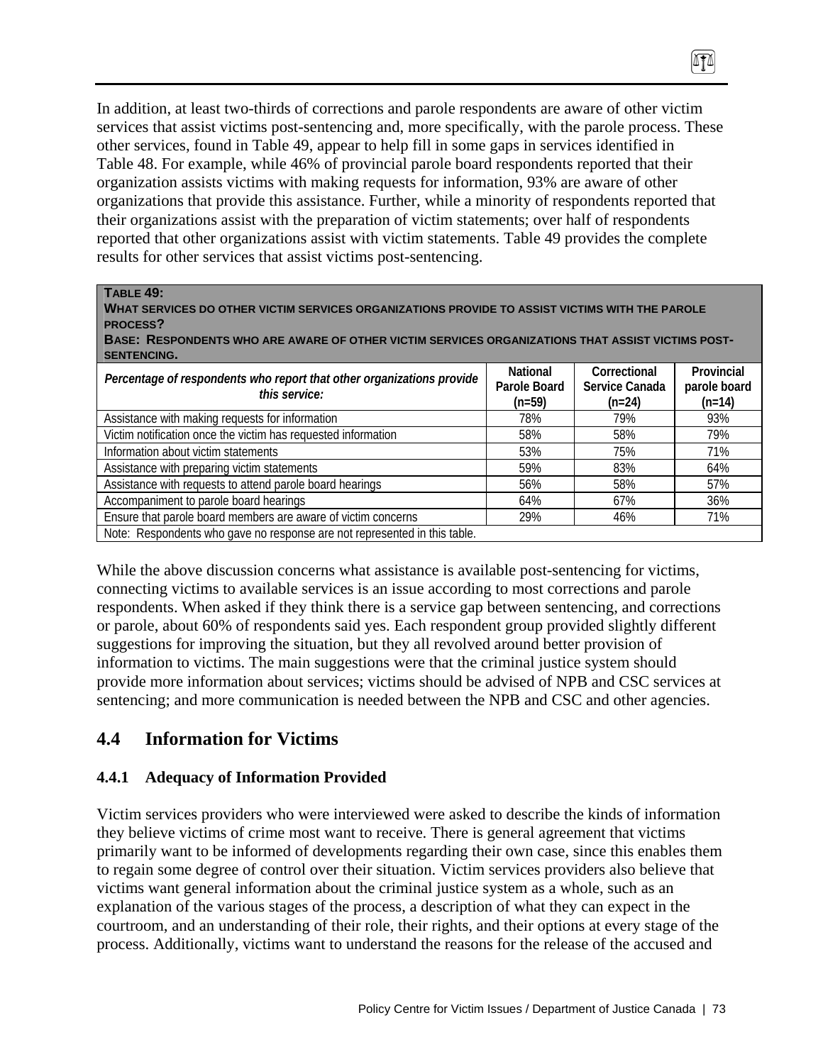In addition, at least two-thirds of corrections and parole respondents are aware of other victim services that assist victims post-sentencing and, more specifically, with the parole process. These other services, found in Table 49, appear to help fill in some gaps in services identified in Table 48. For example, while 46% of provincial parole board respondents reported that their organization assists victims with making requests for information, 93% are aware of other organizations that provide this assistance. Further, while a minority of respondents reported that their organizations assist with the preparation of victim statements; over half of respondents reported that other organizations assist with victim statements. Table 49 provides the complete results for other services that assist victims post-sentencing.

 $\sqrt{10}$ 

#### **TABLE 49:**

**WHAT SERVICES DO OTHER VICTIM SERVICES ORGANIZATIONS PROVIDE TO ASSIST VICTIMS WITH THE PAROLE PROCESS?** 

**BASE: RESPONDENTS WHO ARE AWARE OF OTHER VICTIM SERVICES ORGANIZATIONS THAT ASSIST VICTIMS POST-SENTENCING.** 

| Percentage of respondents who report that other organizations provide     | National<br>Parole Board | Correctional<br>Service Canada | Provincial<br>parole board |
|---------------------------------------------------------------------------|--------------------------|--------------------------------|----------------------------|
| this service:                                                             | $(n=59)$                 | $(n=24)$                       | $(n=14)$                   |
| Assistance with making requests for information                           | 78%                      | 79%                            | 93%                        |
| Victim notification once the victim has requested information             | 58%                      | 58%                            | 79%                        |
| Information about victim statements                                       | 53%                      | 75%                            | 71%                        |
| Assistance with preparing victim statements                               | 59%                      | 83%                            | 64%                        |
| Assistance with requests to attend parole board hearings                  | 56%                      | 58%                            | 57%                        |
| Accompaniment to parole board hearings                                    | 64%                      | 67%                            | 36%                        |
| Ensure that parole board members are aware of victim concerns             | 29%                      | 46%                            | 71%                        |
| Note: Respondents who gave no response are not represented in this table. |                          |                                |                            |

While the above discussion concerns what assistance is available post-sentencing for victims, connecting victims to available services is an issue according to most corrections and parole respondents. When asked if they think there is a service gap between sentencing, and corrections or parole, about 60% of respondents said yes. Each respondent group provided slightly different suggestions for improving the situation, but they all revolved around better provision of information to victims. The main suggestions were that the criminal justice system should provide more information about services; victims should be advised of NPB and CSC services at sentencing; and more communication is needed between the NPB and CSC and other agencies.

# **4.4 Information for Victims**

#### **4.4.1 Adequacy of Information Provided**

Victim services providers who were interviewed were asked to describe the kinds of information they believe victims of crime most want to receive. There is general agreement that victims primarily want to be informed of developments regarding their own case, since this enables them to regain some degree of control over their situation. Victim services providers also believe that victims want general information about the criminal justice system as a whole, such as an explanation of the various stages of the process, a description of what they can expect in the courtroom, and an understanding of their role, their rights, and their options at every stage of the process. Additionally, victims want to understand the reasons for the release of the accused and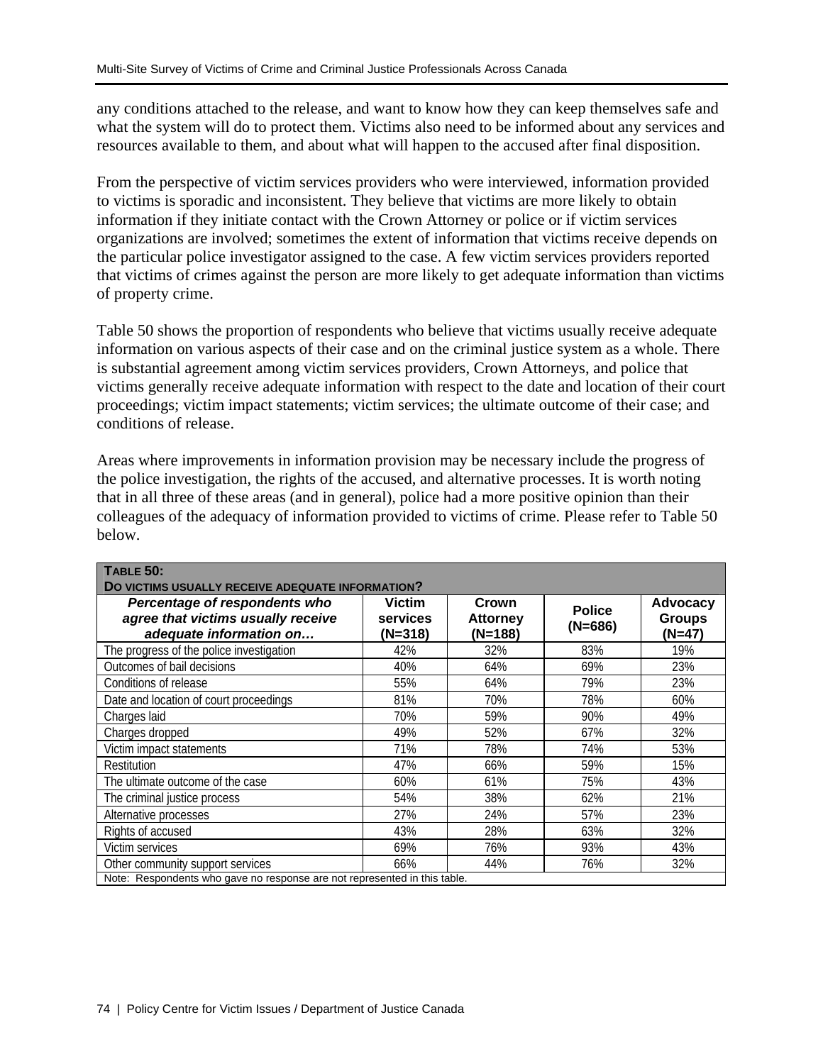any conditions attached to the release, and want to know how they can keep themselves safe and what the system will do to protect them. Victims also need to be informed about any services and resources available to them, and about what will happen to the accused after final disposition.

From the perspective of victim services providers who were interviewed, information provided to victims is sporadic and inconsistent. They believe that victims are more likely to obtain information if they initiate contact with the Crown Attorney or police or if victim services organizations are involved; sometimes the extent of information that victims receive depends on the particular police investigator assigned to the case. A few victim services providers reported that victims of crimes against the person are more likely to get adequate information than victims of property crime.

Table 50 shows the proportion of respondents who believe that victims usually receive adequate information on various aspects of their case and on the criminal justice system as a whole. There is substantial agreement among victim services providers, Crown Attorneys, and police that victims generally receive adequate information with respect to the date and location of their court proceedings; victim impact statements; victim services; the ultimate outcome of their case; and conditions of release.

Areas where improvements in information provision may be necessary include the progress of the police investigation, the rights of the accused, and alternative processes. It is worth noting that in all three of these areas (and in general), police had a more positive opinion than their colleagues of the adequacy of information provided to victims of crime. Please refer to Table 50 below.

| <b>TABLE 50:</b>                                                                               |                                               |                                     |                            |                                            |
|------------------------------------------------------------------------------------------------|-----------------------------------------------|-------------------------------------|----------------------------|--------------------------------------------|
| DO VICTIMS USUALLY RECEIVE ADEQUATE INFORMATION?                                               |                                               |                                     |                            |                                            |
| Percentage of respondents who<br>agree that victims usually receive<br>adequate information on | <b>Victim</b><br><b>services</b><br>$(N=318)$ | Crown<br><b>Attorney</b><br>(N=188) | <b>Police</b><br>$(N=686)$ | <b>Advocacy</b><br><b>Groups</b><br>(N=47) |
| The progress of the police investigation                                                       | 42%                                           | 32%                                 | 83%                        | 19%                                        |
| Outcomes of bail decisions                                                                     | 40%                                           | 64%                                 | 69%                        | 23%                                        |
| Conditions of release                                                                          | 55%                                           | 64%                                 | 79%                        | 23%                                        |
| Date and location of court proceedings                                                         | 81%                                           | 70%                                 | 78%                        | 60%                                        |
| Charges laid                                                                                   | 70%                                           | 59%                                 | 90%                        | 49%                                        |
| Charges dropped                                                                                | 49%                                           | 52%                                 | 67%                        | 32%                                        |
| Victim impact statements                                                                       | 71%                                           | 78%                                 | 74%                        | 53%                                        |
| Restitution                                                                                    | 47%                                           | 66%                                 | 59%                        | 15%                                        |
| The ultimate outcome of the case                                                               | 60%                                           | 61%                                 | 75%                        | 43%                                        |
| The criminal justice process                                                                   | 54%                                           | 38%                                 | 62%                        | 21%                                        |
| Alternative processes                                                                          | 27%                                           | 24%                                 | 57%                        | 23%                                        |
| Rights of accused                                                                              | 43%                                           | 28%                                 | 63%                        | 32%                                        |
| Victim services                                                                                | 69%                                           | 76%                                 | 93%                        | 43%                                        |
| Other community support services                                                               | 66%                                           | 44%                                 | 76%                        | 32%                                        |
| Note: Respondents who gave no response are not represented in this table.                      |                                               |                                     |                            |                                            |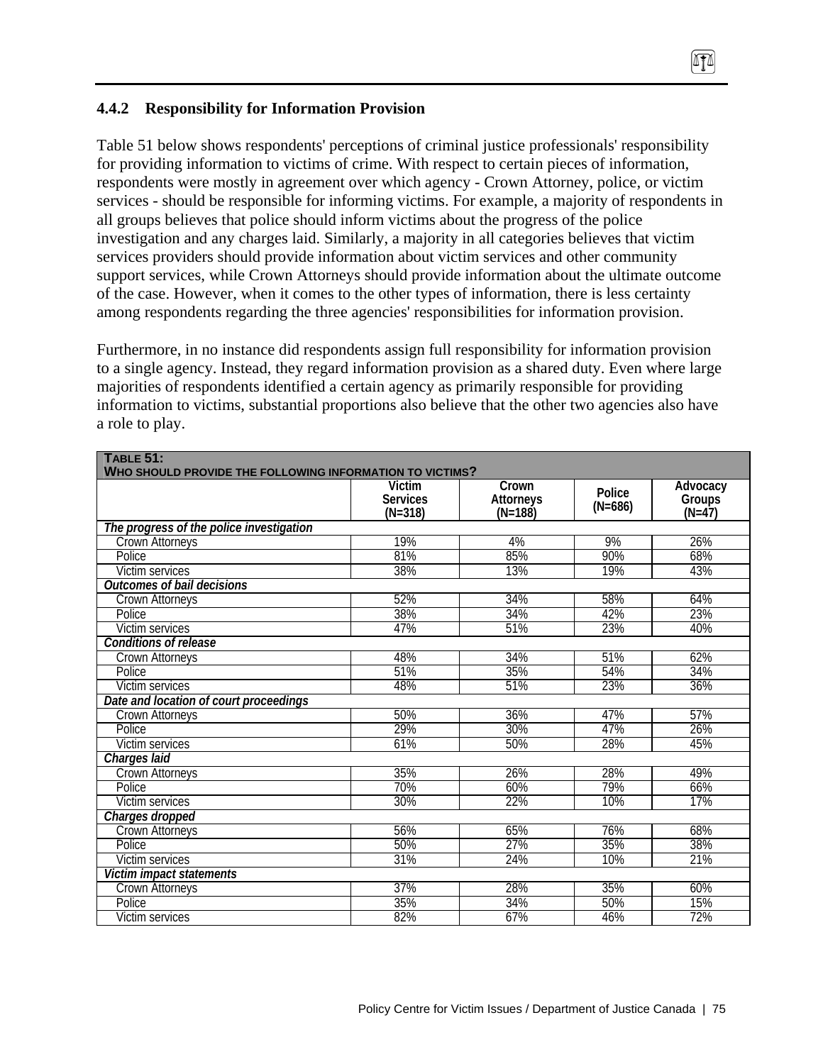## **4.4.2 Responsibility for Information Provision**

Table 51 below shows respondents' perceptions of criminal justice professionals' responsibility for providing information to victims of crime. With respect to certain pieces of information, respondents were mostly in agreement over which agency - Crown Attorney, police, or victim services - should be responsible for informing victims. For example, a majority of respondents in all groups believes that police should inform victims about the progress of the police investigation and any charges laid. Similarly, a majority in all categories believes that victim services providers should provide information about victim services and other community support services, while Crown Attorneys should provide information about the ultimate outcome of the case. However, when it comes to the other types of information, there is less certainty among respondents regarding the three agencies' responsibilities for information provision.

0TA

Furthermore, in no instance did respondents assign full responsibility for information provision to a single agency. Instead, they regard information provision as a shared duty. Even where large majorities of respondents identified a certain agency as primarily responsible for providing information to victims, substantial proportions also believe that the other two agencies also have a role to play.

| <b>TABLE 51:</b>                                         |                                        |                                 |                     |                                             |
|----------------------------------------------------------|----------------------------------------|---------------------------------|---------------------|---------------------------------------------|
| WHO SHOULD PROVIDE THE FOLLOWING INFORMATION TO VICTIMS? |                                        |                                 |                     |                                             |
|                                                          | Victim<br><b>Services</b><br>$(N=318)$ | Crown<br>Attorneys<br>$(N=188)$ | Police<br>$(N=686)$ | Advocacy<br>Groups <sup>7</sup><br>$(N=47)$ |
| The progress of the police investigation                 |                                        |                                 |                     |                                             |
| <b>Crown Attorneys</b>                                   | 19%                                    | 4%                              | 9%                  | 26%                                         |
| Police                                                   | 81%                                    | 85%                             | 90%                 | 68%                                         |
| <b>Victim services</b>                                   | 38%                                    | 13%                             | 19%                 | 43%                                         |
| <b>Outcomes of bail decisions</b>                        |                                        |                                 |                     |                                             |
| Crown Attorneys                                          | 52%                                    | 34%                             | 58%                 | 64%                                         |
| Police                                                   | 38%                                    | 34%                             | 42%                 | 23%                                         |
| Victim services                                          | 47%                                    | 51%                             | 23%                 | 40%                                         |
| Conditions of release                                    |                                        |                                 |                     |                                             |
| Crown Attorneys                                          | 48%                                    | 34%                             | 51%                 | 62%                                         |
| <b>Police</b>                                            | 51%                                    | 35%                             | 54%                 | 34%                                         |
| Victim services                                          | 48%                                    | 51%                             | 23%                 | 36%                                         |
| Date and location of court proceedings                   |                                        |                                 |                     |                                             |
| Crown Attorneys                                          | 50%                                    | 36%                             | 47%                 | 57%                                         |
| Police                                                   | 29%                                    | 30%                             | 47%                 | 26%                                         |
| <b>Victim services</b>                                   | 61%                                    | 50%                             | 28%                 | 45%                                         |
| Charges laid                                             |                                        |                                 |                     |                                             |
| Crown Attorneys                                          | 35%                                    | 26%                             | 28%                 | 49%                                         |
| Police                                                   | 70%                                    | 60%                             | 79%                 | 66%                                         |
| Victim services                                          | 30%                                    | 22%                             | 10%                 | 17%                                         |
| Charges dropped                                          |                                        |                                 |                     |                                             |
| Crown Attorneys                                          | 56%                                    | 65%                             | 76%                 | 68%                                         |
| Police                                                   | 50%                                    | 27%                             | 35%                 | 38%                                         |
| <b>Victim services</b>                                   | 31%                                    | 24%                             | 10%                 | 21%                                         |
| Victim impact statements                                 |                                        |                                 |                     |                                             |
| Crown Attorneys                                          | 37%                                    | 28%                             | 35%                 | 60%                                         |
| Police                                                   | 35%                                    | 34%                             | 50%                 | 15%                                         |
| Victim services                                          | 82%                                    | 67%                             | 46%                 | 72%                                         |

Policy Centre for Victim Issues / Department of Justice Canada | 75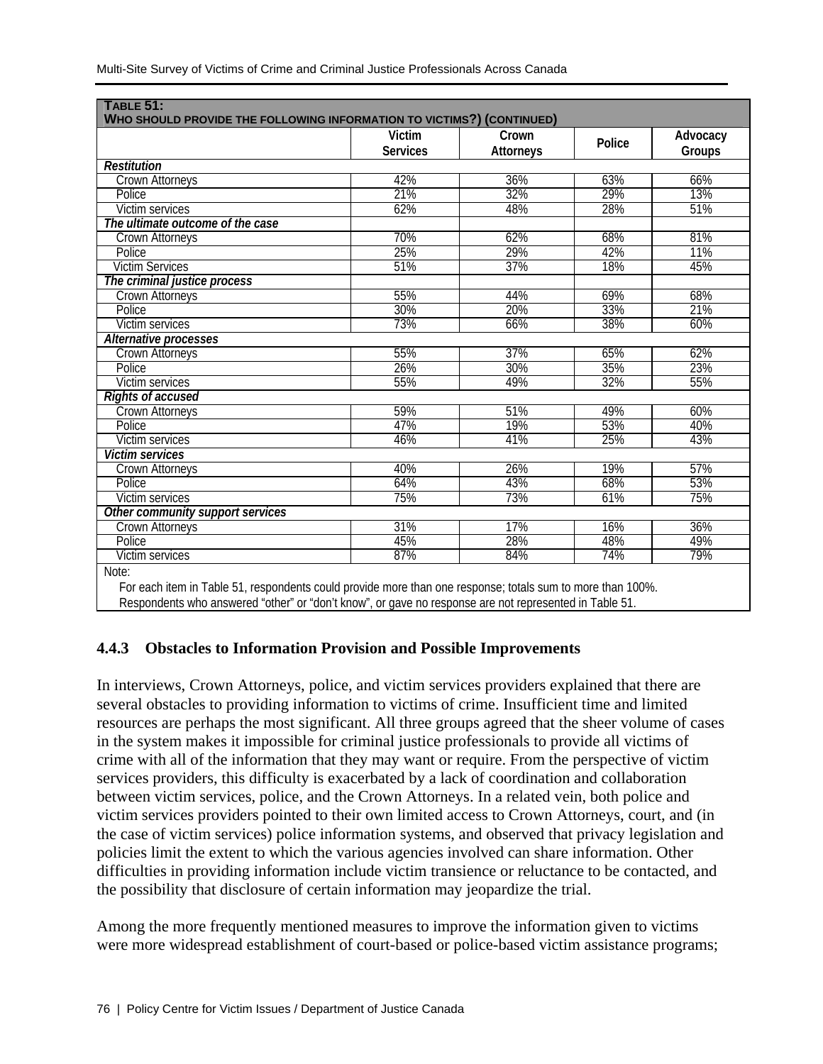|                                  | <b>WHO SHOULD PROVIDE THE FOLLOWING INFORMATION TO VICTIMS?) (CONTINUED)</b><br><b>Victim</b><br>Crown |           |        |                    |  |
|----------------------------------|--------------------------------------------------------------------------------------------------------|-----------|--------|--------------------|--|
|                                  | <b>Services</b>                                                                                        | Attorneys | Police | Advocacy<br>Groups |  |
| <b>Restitution</b>               |                                                                                                        |           |        |                    |  |
| Crown Attorneys                  | 42%                                                                                                    | 36%       | 63%    | 66%                |  |
| Police                           | 21%                                                                                                    | 32%       | 29%    | 13%                |  |
| <b>Victim services</b>           | 62%                                                                                                    | 48%       | 28%    | 51%                |  |
| The ultimate outcome of the case |                                                                                                        |           |        |                    |  |
| <b>Crown Attorneys</b>           | 70%                                                                                                    | 62%       | 68%    | 81%                |  |
| Police                           | 25%                                                                                                    | 29%       | 42%    | 11%                |  |
| <b>Victim Services</b>           | 51%                                                                                                    | 37%       | 18%    | 45%                |  |
| The criminal justice process     |                                                                                                        |           |        |                    |  |
| <b>Crown Attorneys</b>           | 55%                                                                                                    | 44%       | 69%    | 68%                |  |
| Police                           | 30%                                                                                                    | 20%       | 33%    | 21%                |  |
| Victim services                  | 73%                                                                                                    | 66%       | 38%    | 60%                |  |
| Alternative processes            |                                                                                                        |           |        |                    |  |
| <b>Crown Attorneys</b>           | 55%                                                                                                    | 37%       | 65%    | 62%                |  |
| Police                           | 26%                                                                                                    | 30%       | 35%    | 23%                |  |
| <b>Victim services</b>           | 55%                                                                                                    | 49%       | 32%    | 55%                |  |
| <b>Rights of accused</b>         |                                                                                                        |           |        |                    |  |
| Crown Attorneys                  | 59%                                                                                                    | 51%       | 49%    | 60%                |  |
| Police                           | 47%                                                                                                    | 19%       | 53%    | 40%                |  |
| Victim services                  | 46%                                                                                                    | 41%       | 25%    | 43%                |  |
| <b>Victim services</b>           |                                                                                                        |           |        |                    |  |
| <b>Crown Attorneys</b>           | 40%                                                                                                    | 26%       | 19%    | 57%                |  |
| Police                           | 64%                                                                                                    | 43%       | 68%    | 53%                |  |
| <b>Victim services</b>           | 75%                                                                                                    | 73%       | 61%    | 75%                |  |
| Other community support services |                                                                                                        |           |        |                    |  |
| Crown Attorneys                  | 31%                                                                                                    | 17%       | 16%    | 36%                |  |
| Police                           | 45%                                                                                                    | 28%       | 48%    | 49%                |  |
| Victim services                  | 87%                                                                                                    | 84%       | 74%    | 79%                |  |

Multi-Site Survey of Victims of Crime and Criminal Justice Professionals Across Canada

 For each item in Table 51, respondents could provide more than one response; totals sum to more than 100%. Respondents who answered "other" or "don't know", or gave no response are not represented in Table 51.

# **4.4.3 Obstacles to Information Provision and Possible Improvements**

In interviews, Crown Attorneys, police, and victim services providers explained that there are several obstacles to providing information to victims of crime. Insufficient time and limited resources are perhaps the most significant. All three groups agreed that the sheer volume of cases in the system makes it impossible for criminal justice professionals to provide all victims of crime with all of the information that they may want or require. From the perspective of victim services providers, this difficulty is exacerbated by a lack of coordination and collaboration between victim services, police, and the Crown Attorneys. In a related vein, both police and victim services providers pointed to their own limited access to Crown Attorneys, court, and (in the case of victim services) police information systems, and observed that privacy legislation and policies limit the extent to which the various agencies involved can share information. Other difficulties in providing information include victim transience or reluctance to be contacted, and the possibility that disclosure of certain information may jeopardize the trial.

Among the more frequently mentioned measures to improve the information given to victims were more widespread establishment of court-based or police-based victim assistance programs;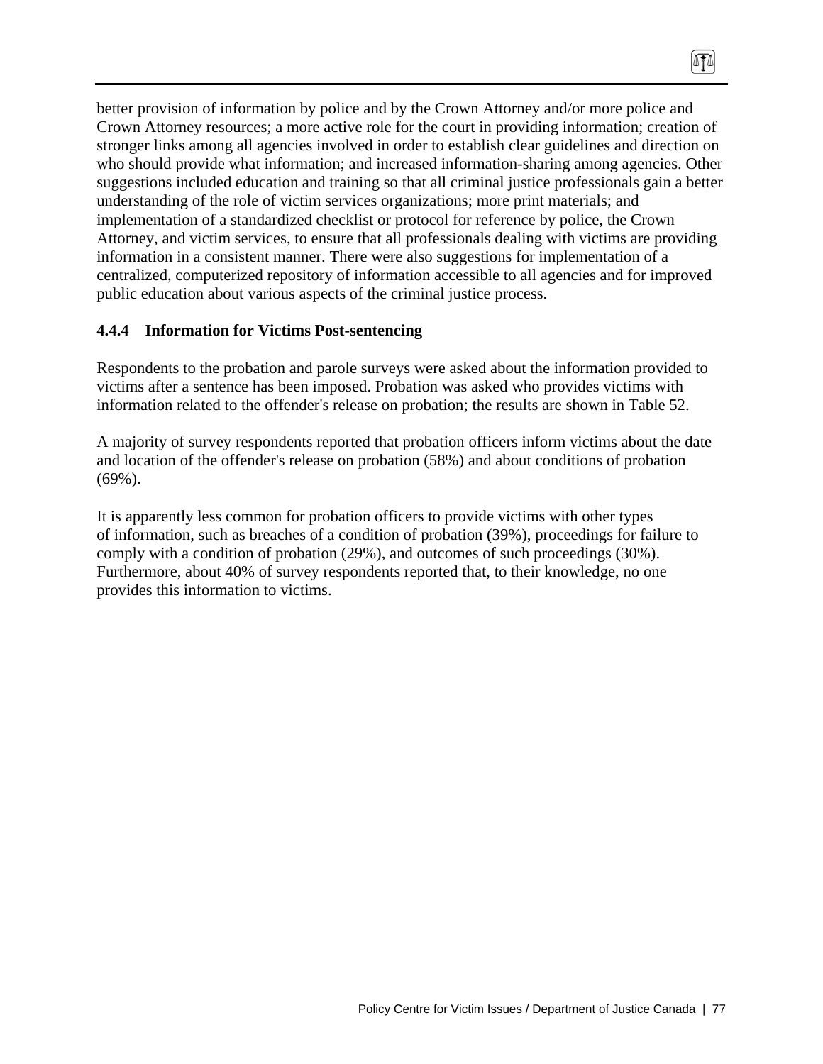better provision of information by police and by the Crown Attorney and/or more police and Crown Attorney resources; a more active role for the court in providing information; creation of stronger links among all agencies involved in order to establish clear guidelines and direction on who should provide what information; and increased information-sharing among agencies. Other suggestions included education and training so that all criminal justice professionals gain a better understanding of the role of victim services organizations; more print materials; and implementation of a standardized checklist or protocol for reference by police, the Crown Attorney, and victim services, to ensure that all professionals dealing with victims are providing information in a consistent manner. There were also suggestions for implementation of a centralized, computerized repository of information accessible to all agencies and for improved public education about various aspects of the criminal justice process.

 $\sqrt{10}$ 

#### **4.4.4 Information for Victims Post-sentencing**

Respondents to the probation and parole surveys were asked about the information provided to victims after a sentence has been imposed. Probation was asked who provides victims with information related to the offender's release on probation; the results are shown in Table 52.

A majority of survey respondents reported that probation officers inform victims about the date and location of the offender's release on probation (58%) and about conditions of probation (69%).

It is apparently less common for probation officers to provide victims with other types of information, such as breaches of a condition of probation (39%), proceedings for failure to comply with a condition of probation (29%), and outcomes of such proceedings (30%). Furthermore, about 40% of survey respondents reported that, to their knowledge, no one provides this information to victims.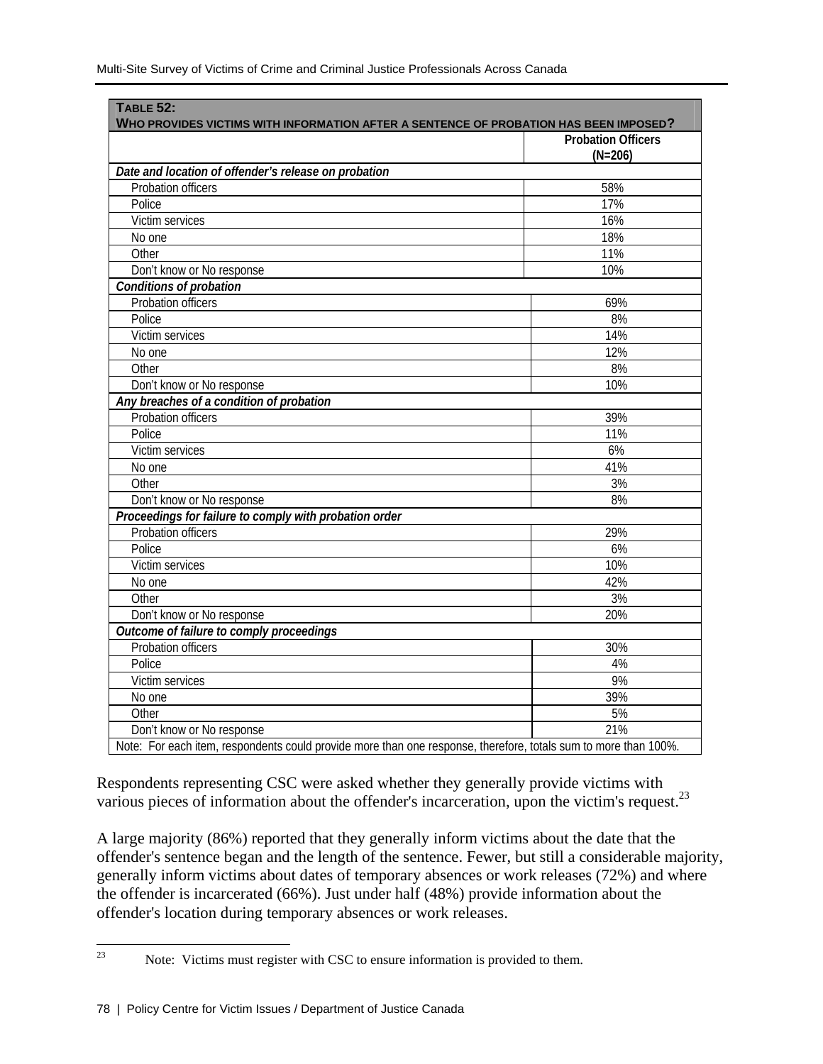| WHO PROVIDES VICTIMS WITH INFORMATION AFTER A SENTENCE OF PROBATION HAS BEEN IMPOSED?<br><b>Probation Officers</b> |           |  |
|--------------------------------------------------------------------------------------------------------------------|-----------|--|
|                                                                                                                    | $(N=206)$ |  |
| Date and location of offender's release on probation                                                               |           |  |
| Probation officers                                                                                                 | 58%       |  |
| Police                                                                                                             | 17%       |  |
| Victim services                                                                                                    | 16%       |  |
| No one                                                                                                             | 18%       |  |
| Other                                                                                                              | 11%       |  |
| Don't know or No response                                                                                          | 10%       |  |
| <b>Conditions of probation</b>                                                                                     |           |  |
| Probation officers                                                                                                 | 69%       |  |
| Police                                                                                                             | 8%        |  |
| Victim services                                                                                                    | 14%       |  |
| No one                                                                                                             | 12%       |  |
| Other                                                                                                              | 8%        |  |
| Don't know or No response                                                                                          | 10%       |  |
| Any breaches of a condition of probation                                                                           |           |  |
| Probation officers                                                                                                 | 39%       |  |
| Police                                                                                                             | 11%       |  |
| Victim services                                                                                                    | 6%        |  |
| No one                                                                                                             | 41%       |  |
| Other                                                                                                              | 3%        |  |
| Don't know or No response                                                                                          | 8%        |  |
| Proceedings for failure to comply with probation order                                                             |           |  |
| Probation officers                                                                                                 | 29%       |  |
| Police                                                                                                             | 6%        |  |
| Victim services                                                                                                    | 10%       |  |
| No one                                                                                                             | 42%       |  |
| Other                                                                                                              | 3%        |  |
| Don't know or No response                                                                                          | 20%       |  |
| Outcome of failure to comply proceedings                                                                           |           |  |
| <b>Probation officers</b>                                                                                          | 30%       |  |
| Police                                                                                                             | 4%        |  |
| Victim services                                                                                                    | 9%        |  |
| No one                                                                                                             | 39%       |  |
| Other                                                                                                              | 5%        |  |
| Don't know or No response                                                                                          | 21%       |  |

Respondents representing CSC were asked whether they generally provide victims with various pieces of information about the offender's incarceration, upon the victim's request.<sup>23</sup>

A large majority (86%) reported that they generally inform victims about the date that the offender's sentence began and the length of the sentence. Fewer, but still a considerable majority, generally inform victims about dates of temporary absences or work releases (72%) and where the offender is incarcerated (66%). Just under half (48%) provide information about the offender's location during temporary absences or work releases.

<sup>23</sup> Note: Victims must register with CSC to ensure information is provided to them.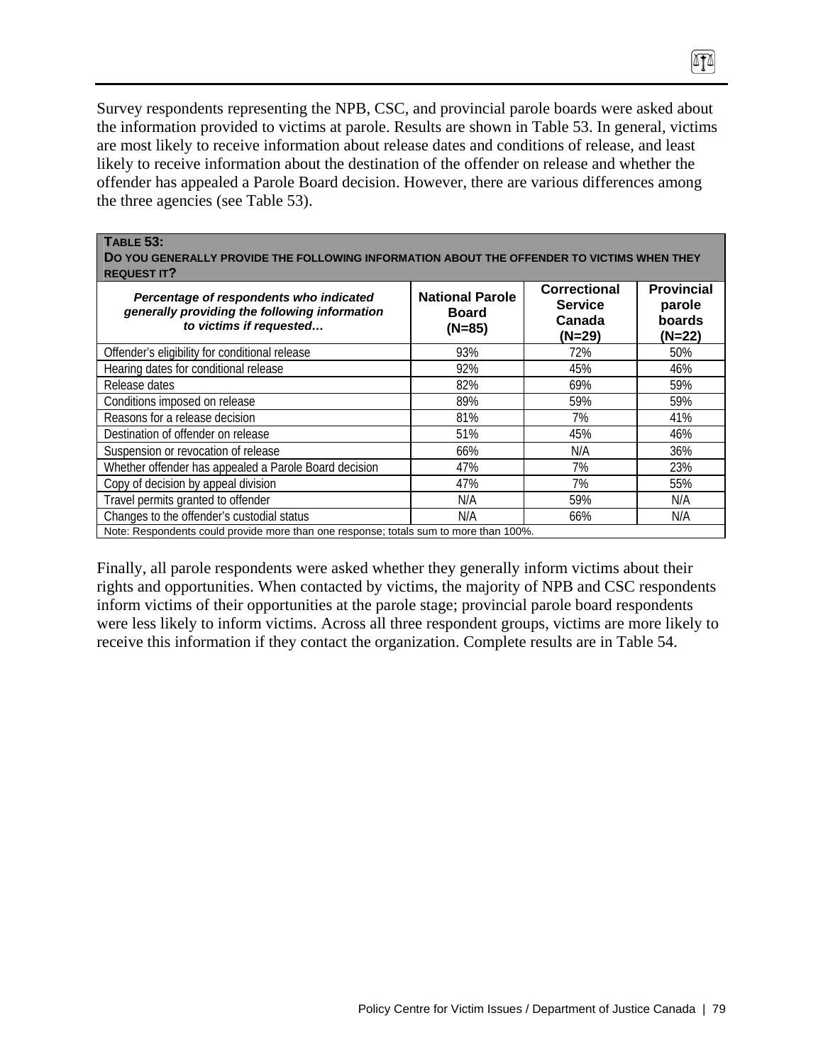Survey respondents representing the NPB, CSC, and provincial parole boards were asked about the information provided to victims at parole. Results are shown in Table 53. In general, victims are most likely to receive information about release dates and conditions of release, and least likely to receive information about the destination of the offender on release and whether the offender has appealed a Parole Board decision. However, there are various differences among the three agencies (see Table 53).

TI

| <b>TABLE 53:</b><br>DO YOU GENERALLY PROVIDE THE FOLLOWING INFORMATION ABOUT THE OFFENDER TO VICTIMS WHEN THEY<br><b>REQUEST IT?</b> |                                                    | <b>Correctional</b>                | <b>Provincial</b>            |
|--------------------------------------------------------------------------------------------------------------------------------------|----------------------------------------------------|------------------------------------|------------------------------|
| Percentage of respondents who indicated<br>generally providing the following information<br>to victims if requested                  | <b>National Parole</b><br><b>Board</b><br>$(N=85)$ | <b>Service</b><br>Canada<br>(N=29) | parole<br>boards<br>$(N=22)$ |
| Offender's eligibility for conditional release                                                                                       | 93%                                                | 72%                                | 50%                          |
| Hearing dates for conditional release                                                                                                | 92%                                                | 45%                                | 46%                          |
| Release dates                                                                                                                        | 82%                                                | 69%                                | 59%                          |
| Conditions imposed on release                                                                                                        | 89%                                                | 59%                                | 59%                          |
| Reasons for a release decision                                                                                                       | 81%                                                | 7%                                 | 41%                          |
| Destination of offender on release                                                                                                   | 51%                                                | 45%                                | 46%                          |
| Suspension or revocation of release                                                                                                  | 66%                                                | N/A                                | 36%                          |
| Whether offender has appealed a Parole Board decision                                                                                | 47%                                                | 7%                                 | 23%                          |
| Copy of decision by appeal division                                                                                                  | 47%                                                | 7%                                 | 55%                          |
| Travel permits granted to offender                                                                                                   | N/A                                                | 59%                                | N/A                          |
| Changes to the offender's custodial status                                                                                           | N/A                                                | 66%                                | N/A                          |
| Note: Respondents could provide more than one response; totals sum to more than 100%.                                                |                                                    |                                    |                              |

Finally, all parole respondents were asked whether they generally inform victims about their rights and opportunities. When contacted by victims, the majority of NPB and CSC respondents inform victims of their opportunities at the parole stage; provincial parole board respondents were less likely to inform victims. Across all three respondent groups, victims are more likely to receive this information if they contact the organization. Complete results are in Table 54.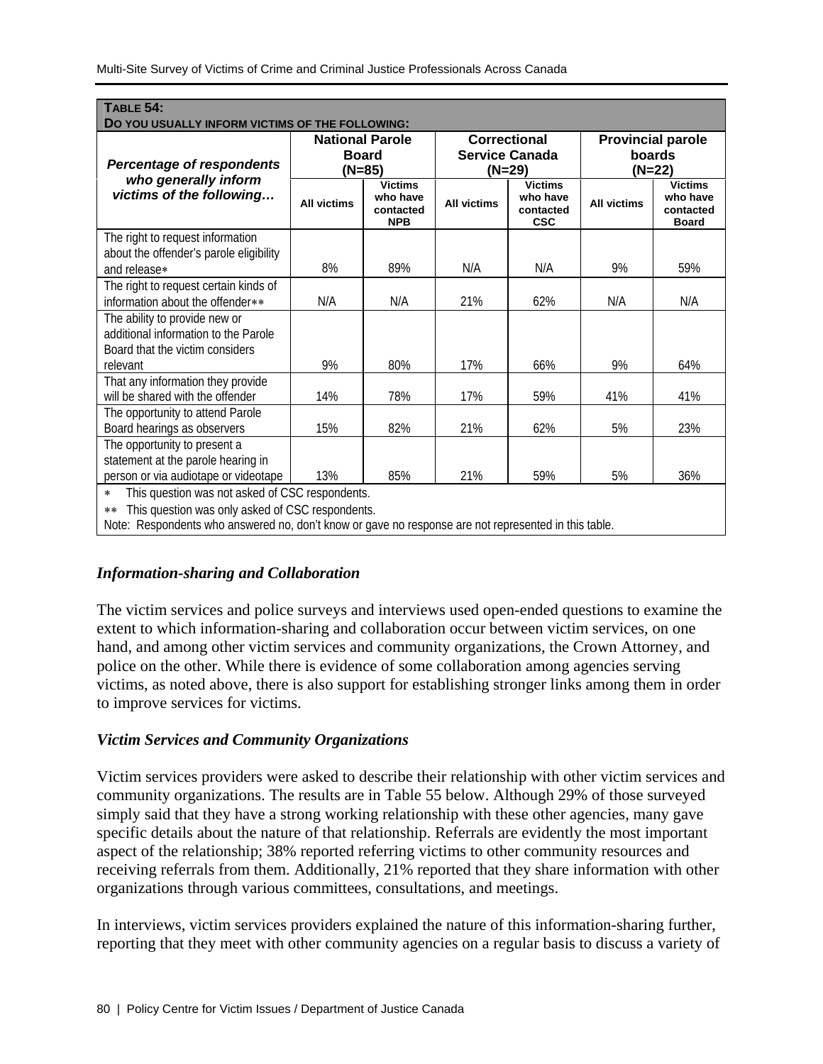| <b>TABLE 54:</b><br>DO YOU USUALLY INFORM VICTIMS OF THE FOLLOWING:                                                                                                                                                                       |                                                  |                                                       |                                                 |                                                       |                                                |                                                         |
|-------------------------------------------------------------------------------------------------------------------------------------------------------------------------------------------------------------------------------------------|--------------------------------------------------|-------------------------------------------------------|-------------------------------------------------|-------------------------------------------------------|------------------------------------------------|---------------------------------------------------------|
| <b>Percentage of respondents</b>                                                                                                                                                                                                          | <b>National Parole</b><br><b>Board</b><br>(N=85) |                                                       | Correctional<br><b>Service Canada</b><br>(N=29) |                                                       | <b>Provincial parole</b><br>boards<br>$(N=22)$ |                                                         |
| who generally inform<br>victims of the following                                                                                                                                                                                          | <b>All victims</b>                               | <b>Victims</b><br>who have<br>contacted<br><b>NPB</b> | <b>All victims</b>                              | <b>Victims</b><br>who have<br>contacted<br><b>CSC</b> | <b>All victims</b>                             | <b>Victims</b><br>who have<br>contacted<br><b>Board</b> |
| The right to request information<br>about the offender's parole eligibility<br>and release*                                                                                                                                               | 8%                                               | 89%                                                   | N/A                                             | N/A                                                   | 9%                                             | 59%                                                     |
| The right to request certain kinds of<br>information about the offender**                                                                                                                                                                 | N/A                                              | N/A                                                   | 21%                                             | 62%                                                   | N/A                                            | N/A                                                     |
| The ability to provide new or<br>additional information to the Parole<br>Board that the victim considers<br>relevant                                                                                                                      | 9%                                               | 80%                                                   | 17%                                             | 66%                                                   | 9%                                             | 64%                                                     |
| That any information they provide<br>will be shared with the offender                                                                                                                                                                     | 14%                                              | 78%                                                   | 17%                                             | 59%                                                   | 41%                                            | 41%                                                     |
| The opportunity to attend Parole<br>Board hearings as observers                                                                                                                                                                           | 15%                                              | 82%                                                   | 21%                                             | 62%                                                   | 5%                                             | 23%                                                     |
| The opportunity to present a<br>statement at the parole hearing in<br>person or via audiotape or videotape                                                                                                                                | 13%                                              | 85%                                                   | 21%                                             | 59%                                                   | 5%                                             | 36%                                                     |
| This question was not asked of CSC respondents.<br>$\star$<br>This question was only asked of CSC respondents.<br>$\star$ $\star$<br>Note: Respondents who answered no, don't know or gave no response are not represented in this table. |                                                  |                                                       |                                                 |                                                       |                                                |                                                         |

# *Information-sharing and Collaboration*

The victim services and police surveys and interviews used open-ended questions to examine the extent to which information-sharing and collaboration occur between victim services, on one hand, and among other victim services and community organizations, the Crown Attorney, and police on the other. While there is evidence of some collaboration among agencies serving victims, as noted above, there is also support for establishing stronger links among them in order to improve services for victims.

## *Victim Services and Community Organizations*

Victim services providers were asked to describe their relationship with other victim services and community organizations. The results are in Table 55 below. Although 29% of those surveyed simply said that they have a strong working relationship with these other agencies, many gave specific details about the nature of that relationship. Referrals are evidently the most important aspect of the relationship; 38% reported referring victims to other community resources and receiving referrals from them. Additionally, 21% reported that they share information with other organizations through various committees, consultations, and meetings.

In interviews, victim services providers explained the nature of this information-sharing further, reporting that they meet with other community agencies on a regular basis to discuss a variety of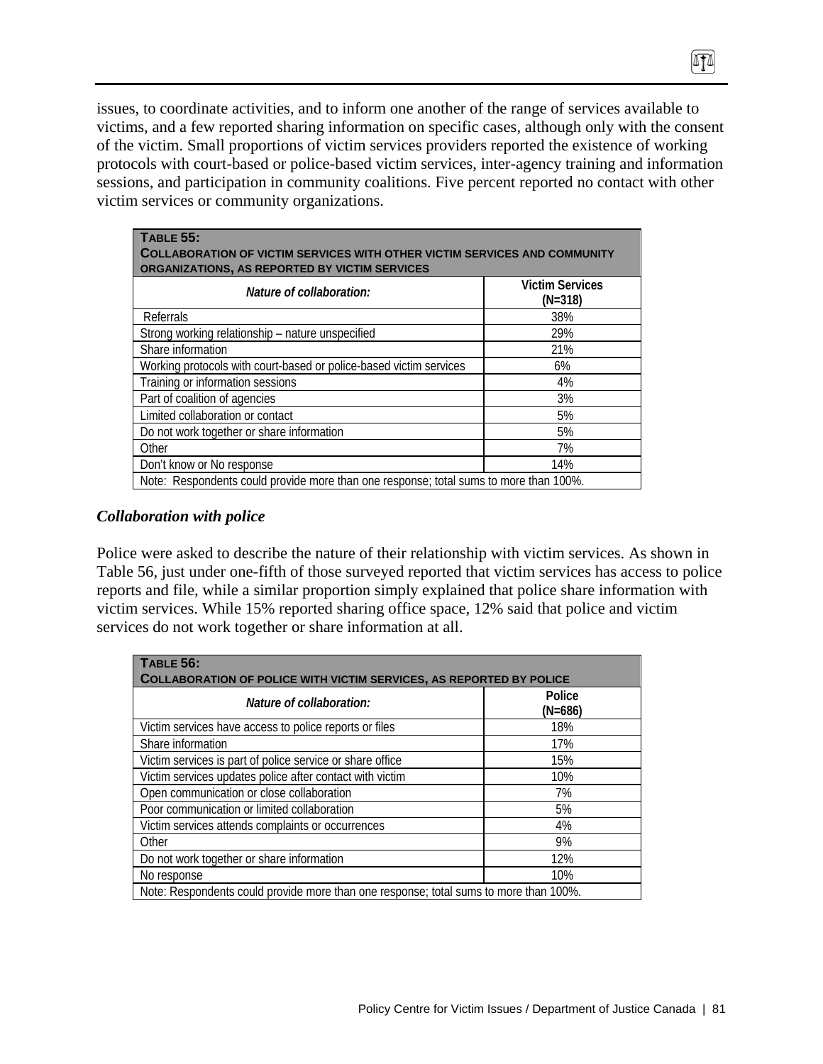issues, to coordinate activities, and to inform one another of the range of services available to victims, and a few reported sharing information on specific cases, although only with the consent of the victim. Small proportions of victim services providers reported the existence of working protocols with court-based or police-based victim services, inter-agency training and information sessions, and participation in community coalitions. Five percent reported no contact with other victim services or community organizations.

 $474$ 

| TABLE 55:<br><b>COLLABORATION OF VICTIM SERVICES WITH OTHER VICTIM SERVICES AND COMMUNITY</b><br>ORGANIZATIONS, AS REPORTED BY VICTIM SERVICES |                                     |
|------------------------------------------------------------------------------------------------------------------------------------------------|-------------------------------------|
| Nature of collaboration:                                                                                                                       | <b>Victim Services</b><br>$(N=318)$ |
| Referrals                                                                                                                                      | 38%                                 |
| Strong working relationship – nature unspecified                                                                                               | 29%                                 |
| Share information                                                                                                                              | 21%                                 |
| Working protocols with court-based or police-based victim services                                                                             | 6%                                  |
| Training or information sessions                                                                                                               | 4%                                  |
| Part of coalition of agencies                                                                                                                  | 3%                                  |
| Limited collaboration or contact                                                                                                               | 5%                                  |
| Do not work together or share information                                                                                                      | 5%                                  |
| Other                                                                                                                                          | 7%                                  |
| Don't know or No response                                                                                                                      | 14%                                 |
| Note: Respondents could provide more than one response; total sums to more than 100%.                                                          |                                     |

#### *Collaboration with police*

Police were asked to describe the nature of their relationship with victim services. As shown in Table 56, just under one-fifth of those surveyed reported that victim services has access to police reports and file, while a similar proportion simply explained that police share information with victim services. While 15% reported sharing office space, 12% said that police and victim services do not work together or share information at all.

| <b>TABLE 56:</b><br><b>COLLABORATION OF POLICE WITH VICTIM SERVICES, AS REPORTED BY POLICE</b> |                     |  |  |
|------------------------------------------------------------------------------------------------|---------------------|--|--|
| Nature of collaboration:                                                                       | Police<br>$(N=686)$ |  |  |
| Victim services have access to police reports or files                                         | 18%                 |  |  |
| Share information                                                                              | 17%                 |  |  |
| Victim services is part of police service or share office                                      | 15%                 |  |  |
| Victim services updates police after contact with victim                                       | 10%                 |  |  |
| Open communication or close collaboration                                                      | 7%                  |  |  |
| Poor communication or limited collaboration                                                    | 5%                  |  |  |
| Victim services attends complaints or occurrences                                              | 4%                  |  |  |
| Other                                                                                          | 9%                  |  |  |
| Do not work together or share information                                                      | 12%                 |  |  |
| No response                                                                                    | 10%                 |  |  |
| Note: Respondents could provide more than one response; total sums to more than 100%.          |                     |  |  |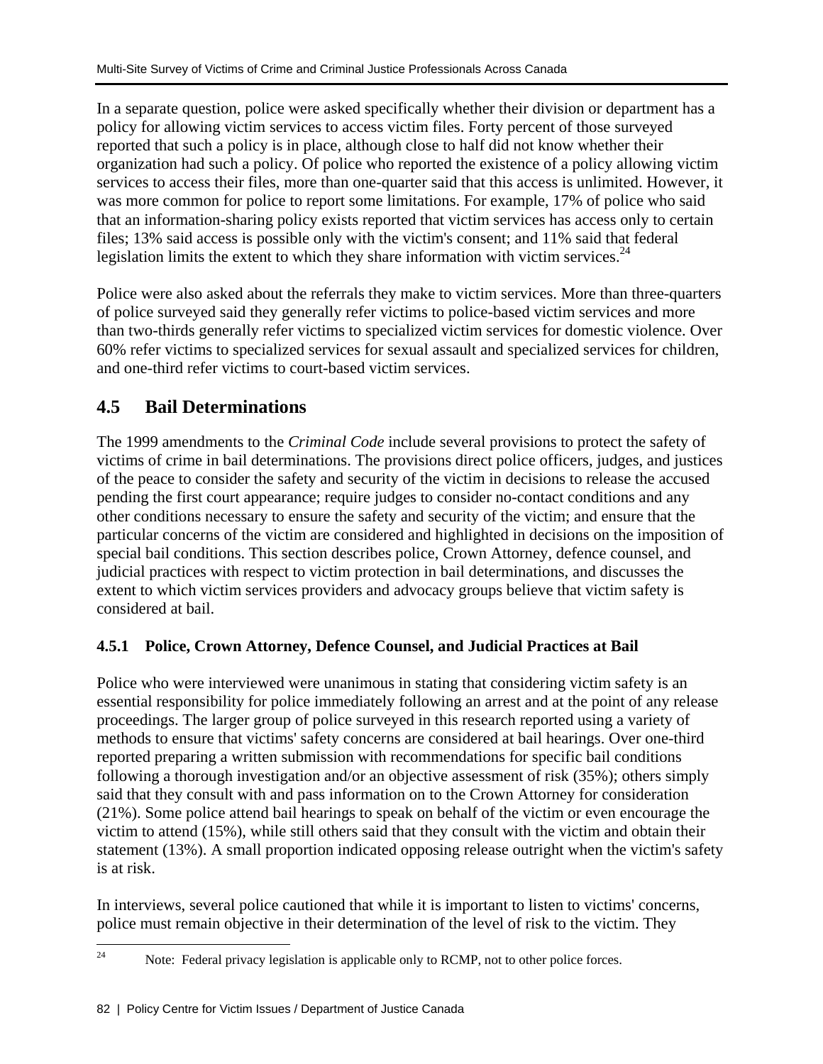In a separate question, police were asked specifically whether their division or department has a policy for allowing victim services to access victim files. Forty percent of those surveyed reported that such a policy is in place, although close to half did not know whether their organization had such a policy. Of police who reported the existence of a policy allowing victim services to access their files, more than one-quarter said that this access is unlimited. However, it was more common for police to report some limitations. For example, 17% of police who said that an information-sharing policy exists reported that victim services has access only to certain files; 13% said access is possible only with the victim's consent; and 11% said that federal legislation limits the extent to which they share information with victim services. $^{24}$ 

Police were also asked about the referrals they make to victim services. More than three-quarters of police surveyed said they generally refer victims to police-based victim services and more than two-thirds generally refer victims to specialized victim services for domestic violence. Over 60% refer victims to specialized services for sexual assault and specialized services for children, and one-third refer victims to court-based victim services.

# **4.5 Bail Determinations**

The 1999 amendments to the *Criminal Code* include several provisions to protect the safety of victims of crime in bail determinations. The provisions direct police officers, judges, and justices of the peace to consider the safety and security of the victim in decisions to release the accused pending the first court appearance; require judges to consider no-contact conditions and any other conditions necessary to ensure the safety and security of the victim; and ensure that the particular concerns of the victim are considered and highlighted in decisions on the imposition of special bail conditions. This section describes police, Crown Attorney, defence counsel, and judicial practices with respect to victim protection in bail determinations, and discusses the extent to which victim services providers and advocacy groups believe that victim safety is considered at bail.

# **4.5.1 Police, Crown Attorney, Defence Counsel, and Judicial Practices at Bail**

Police who were interviewed were unanimous in stating that considering victim safety is an essential responsibility for police immediately following an arrest and at the point of any release proceedings. The larger group of police surveyed in this research reported using a variety of methods to ensure that victims' safety concerns are considered at bail hearings. Over one-third reported preparing a written submission with recommendations for specific bail conditions following a thorough investigation and/or an objective assessment of risk (35%); others simply said that they consult with and pass information on to the Crown Attorney for consideration (21%). Some police attend bail hearings to speak on behalf of the victim or even encourage the victim to attend (15%), while still others said that they consult with the victim and obtain their statement (13%). A small proportion indicated opposing release outright when the victim's safety is at risk.

In interviews, several police cautioned that while it is important to listen to victims' concerns, police must remain objective in their determination of the level of risk to the victim. They

 $24$ Note: Federal privacy legislation is applicable only to RCMP, not to other police forces.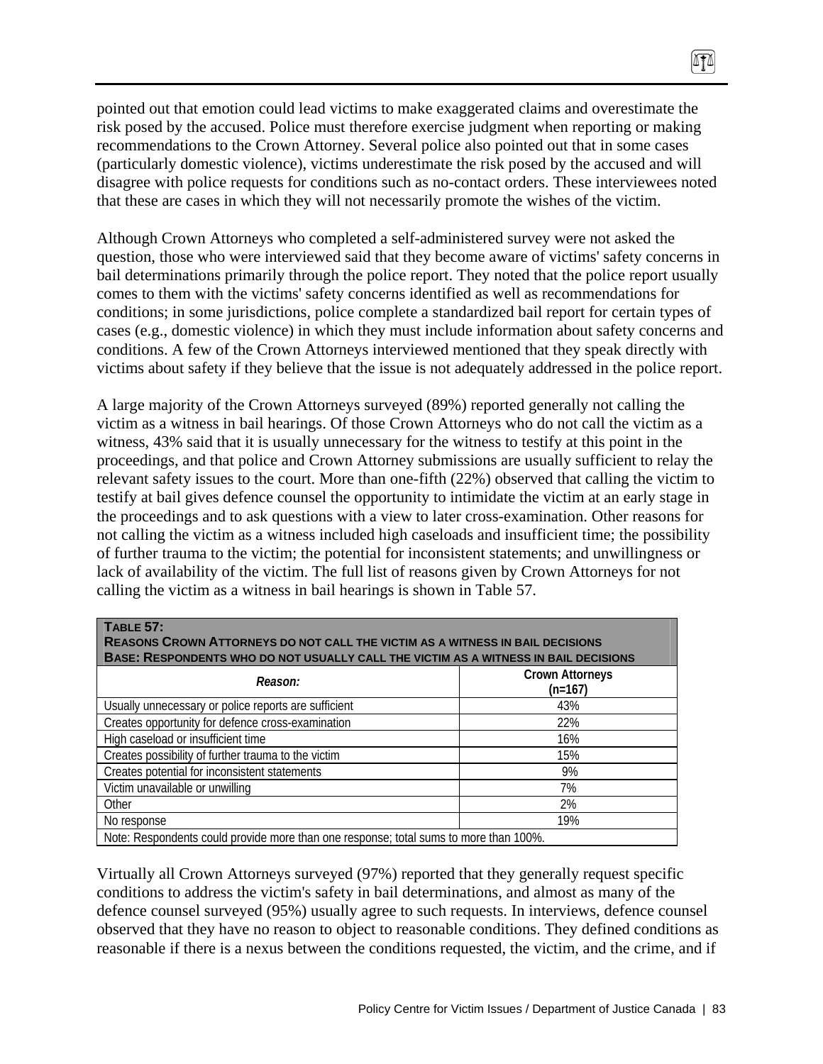pointed out that emotion could lead victims to make exaggerated claims and overestimate the risk posed by the accused. Police must therefore exercise judgment when reporting or making recommendations to the Crown Attorney. Several police also pointed out that in some cases (particularly domestic violence), victims underestimate the risk posed by the accused and will disagree with police requests for conditions such as no-contact orders. These interviewees noted that these are cases in which they will not necessarily promote the wishes of the victim.

 $\sqrt{10}$ 

Although Crown Attorneys who completed a self-administered survey were not asked the question, those who were interviewed said that they become aware of victims' safety concerns in bail determinations primarily through the police report. They noted that the police report usually comes to them with the victims' safety concerns identified as well as recommendations for conditions; in some jurisdictions, police complete a standardized bail report for certain types of cases (e.g., domestic violence) in which they must include information about safety concerns and conditions. A few of the Crown Attorneys interviewed mentioned that they speak directly with victims about safety if they believe that the issue is not adequately addressed in the police report.

A large majority of the Crown Attorneys surveyed (89%) reported generally not calling the victim as a witness in bail hearings. Of those Crown Attorneys who do not call the victim as a witness, 43% said that it is usually unnecessary for the witness to testify at this point in the proceedings, and that police and Crown Attorney submissions are usually sufficient to relay the relevant safety issues to the court. More than one-fifth (22%) observed that calling the victim to testify at bail gives defence counsel the opportunity to intimidate the victim at an early stage in the proceedings and to ask questions with a view to later cross-examination. Other reasons for not calling the victim as a witness included high caseloads and insufficient time; the possibility of further trauma to the victim; the potential for inconsistent statements; and unwillingness or lack of availability of the victim. The full list of reasons given by Crown Attorneys for not calling the victim as a witness in bail hearings is shown in Table 57.

| <b>TABLE 57:</b><br><b>REASONS CROWN ATTORNEYS DO NOT CALL THE VICTIM AS A WITNESS IN BAIL DECISIONS</b><br><b>BASE: RESPONDENTS WHO DO NOT USUALLY CALL THE VICTIM AS A WITNESS IN BAIL DECISIONS</b> |                                     |  |  |
|--------------------------------------------------------------------------------------------------------------------------------------------------------------------------------------------------------|-------------------------------------|--|--|
| Reason:                                                                                                                                                                                                | <b>Crown Attorneys</b><br>$(n=167)$ |  |  |
| Usually unnecessary or police reports are sufficient                                                                                                                                                   | 43%                                 |  |  |
| Creates opportunity for defence cross-examination                                                                                                                                                      | 22%                                 |  |  |
| High caseload or insufficient time                                                                                                                                                                     | 16%                                 |  |  |
| Creates possibility of further trauma to the victim                                                                                                                                                    | 15%                                 |  |  |
| Creates potential for inconsistent statements                                                                                                                                                          | 9%                                  |  |  |
| Victim unavailable or unwilling                                                                                                                                                                        | 7%                                  |  |  |
| Other                                                                                                                                                                                                  | 2%                                  |  |  |
| No response                                                                                                                                                                                            | 19%                                 |  |  |
| Note: Respondents could provide more than one response; total sums to more than 100%.                                                                                                                  |                                     |  |  |

Virtually all Crown Attorneys surveyed (97%) reported that they generally request specific conditions to address the victim's safety in bail determinations, and almost as many of the defence counsel surveyed (95%) usually agree to such requests. In interviews, defence counsel observed that they have no reason to object to reasonable conditions. They defined conditions as reasonable if there is a nexus between the conditions requested, the victim, and the crime, and if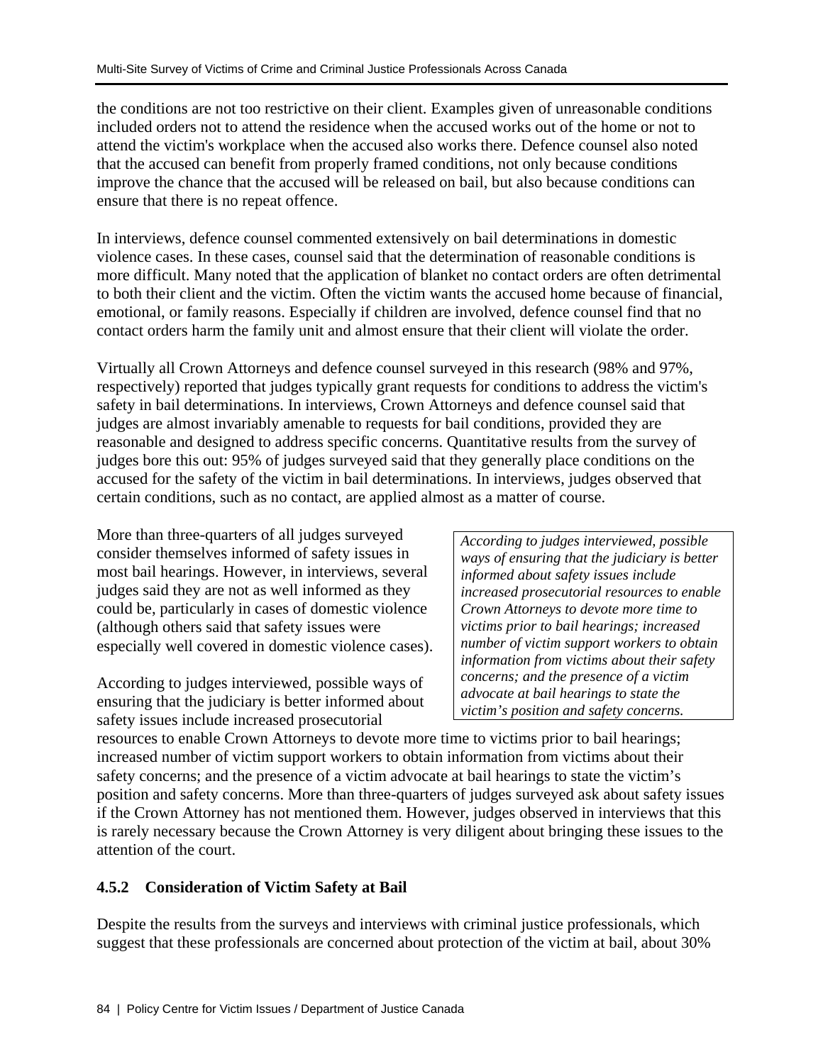the conditions are not too restrictive on their client. Examples given of unreasonable conditions included orders not to attend the residence when the accused works out of the home or not to attend the victim's workplace when the accused also works there. Defence counsel also noted that the accused can benefit from properly framed conditions, not only because conditions improve the chance that the accused will be released on bail, but also because conditions can ensure that there is no repeat offence.

In interviews, defence counsel commented extensively on bail determinations in domestic violence cases. In these cases, counsel said that the determination of reasonable conditions is more difficult. Many noted that the application of blanket no contact orders are often detrimental to both their client and the victim. Often the victim wants the accused home because of financial, emotional, or family reasons. Especially if children are involved, defence counsel find that no contact orders harm the family unit and almost ensure that their client will violate the order.

Virtually all Crown Attorneys and defence counsel surveyed in this research (98% and 97%, respectively) reported that judges typically grant requests for conditions to address the victim's safety in bail determinations. In interviews, Crown Attorneys and defence counsel said that judges are almost invariably amenable to requests for bail conditions, provided they are reasonable and designed to address specific concerns. Quantitative results from the survey of judges bore this out: 95% of judges surveyed said that they generally place conditions on the accused for the safety of the victim in bail determinations. In interviews, judges observed that certain conditions, such as no contact, are applied almost as a matter of course.

More than three-quarters of all judges surveyed consider themselves informed of safety issues in most bail hearings. However, in interviews, several judges said they are not as well informed as they could be, particularly in cases of domestic violence (although others said that safety issues were especially well covered in domestic violence cases).

According to judges interviewed, possible ways of ensuring that the judiciary is better informed about safety issues include increased prosecutorial

*According to judges interviewed, possible ways of ensuring that the judiciary is better informed about safety issues include increased prosecutorial resources to enable Crown Attorneys to devote more time to victims prior to bail hearings; increased number of victim support workers to obtain information from victims about their safety concerns; and the presence of a victim advocate at bail hearings to state the victim's position and safety concerns.* 

resources to enable Crown Attorneys to devote more time to victims prior to bail hearings; increased number of victim support workers to obtain information from victims about their safety concerns; and the presence of a victim advocate at bail hearings to state the victim's position and safety concerns. More than three-quarters of judges surveyed ask about safety issues if the Crown Attorney has not mentioned them. However, judges observed in interviews that this is rarely necessary because the Crown Attorney is very diligent about bringing these issues to the attention of the court.

# **4.5.2 Consideration of Victim Safety at Bail**

Despite the results from the surveys and interviews with criminal justice professionals, which suggest that these professionals are concerned about protection of the victim at bail, about 30%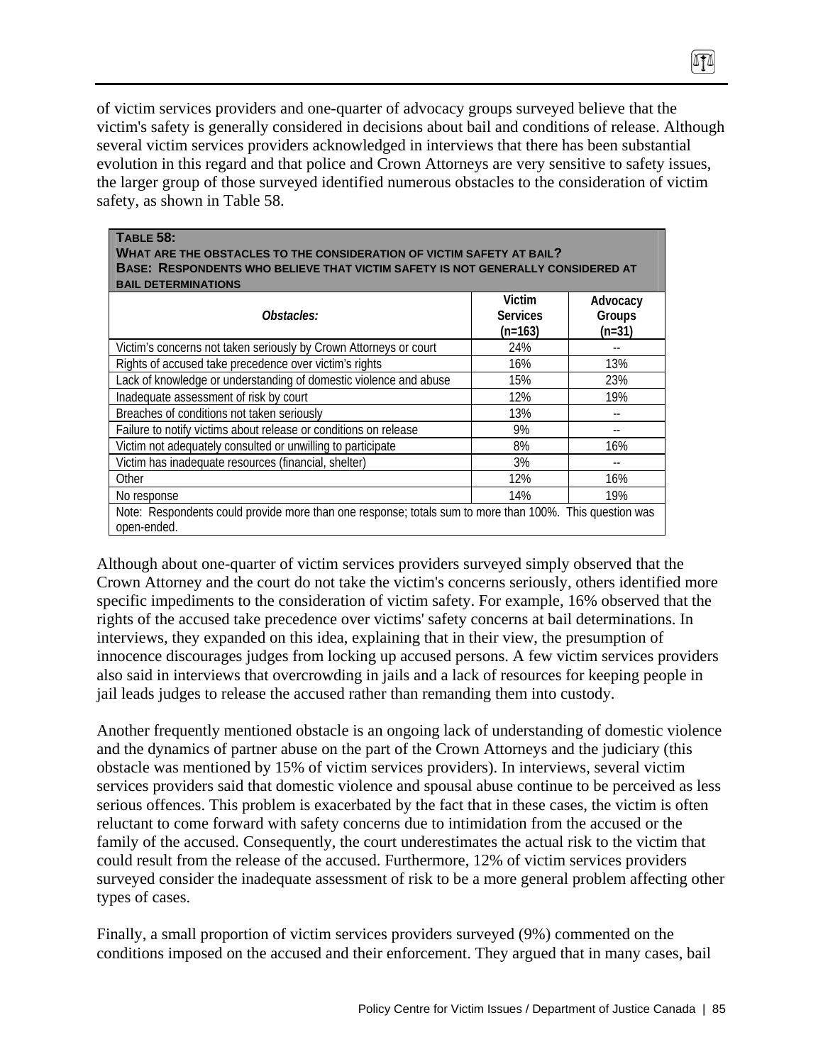of victim services providers and one-quarter of advocacy groups surveyed believe that the victim's safety is generally considered in decisions about bail and conditions of release. Although several victim services providers acknowledged in interviews that there has been substantial evolution in this regard and that police and Crown Attorneys are very sensitive to safety issues, the larger group of those surveyed identified numerous obstacles to the consideration of victim safety, as shown in Table 58.

0TA

| <b>TABLE 58:</b><br>WHAT ARE THE OBSTACLES TO THE CONSIDERATION OF VICTIM SAFETY AT BAIL?<br>BASE: RESPONDENTS WHO BELIEVE THAT VICTIM SAFETY IS NOT GENERALLY CONSIDERED AT |                                        |                                |
|------------------------------------------------------------------------------------------------------------------------------------------------------------------------------|----------------------------------------|--------------------------------|
| <b>BAIL DETERMINATIONS</b><br>Obstacles:                                                                                                                                     | Victim<br><b>Services</b><br>$(n=163)$ | Advocacy<br>Groups<br>$(n=31)$ |
| Victim's concerns not taken seriously by Crown Attorneys or court                                                                                                            | 24%                                    |                                |
| Rights of accused take precedence over victim's rights                                                                                                                       | 16%                                    | 13%                            |
| Lack of knowledge or understanding of domestic violence and abuse                                                                                                            | 15%                                    | 23%                            |
| Inadequate assessment of risk by court                                                                                                                                       | 12%                                    | 19%                            |
| Breaches of conditions not taken seriously                                                                                                                                   | 13%                                    |                                |
| Failure to notify victims about release or conditions on release                                                                                                             | 9%                                     |                                |
| Victim not adequately consulted or unwilling to participate                                                                                                                  | 8%                                     | 16%                            |
| Victim has inadequate resources (financial, shelter)                                                                                                                         | 3%                                     |                                |
| Other                                                                                                                                                                        | 12%                                    | 16%                            |
| No response                                                                                                                                                                  | 14%                                    | 19%                            |
| Note: Respondents could provide more than one response; totals sum to more than 100%. This question was<br>open-ended.                                                       |                                        |                                |

Although about one-quarter of victim services providers surveyed simply observed that the Crown Attorney and the court do not take the victim's concerns seriously, others identified more specific impediments to the consideration of victim safety. For example, 16% observed that the rights of the accused take precedence over victims' safety concerns at bail determinations. In interviews, they expanded on this idea, explaining that in their view, the presumption of innocence discourages judges from locking up accused persons. A few victim services providers also said in interviews that overcrowding in jails and a lack of resources for keeping people in jail leads judges to release the accused rather than remanding them into custody.

Another frequently mentioned obstacle is an ongoing lack of understanding of domestic violence and the dynamics of partner abuse on the part of the Crown Attorneys and the judiciary (this obstacle was mentioned by 15% of victim services providers). In interviews, several victim services providers said that domestic violence and spousal abuse continue to be perceived as less serious offences. This problem is exacerbated by the fact that in these cases, the victim is often reluctant to come forward with safety concerns due to intimidation from the accused or the family of the accused. Consequently, the court underestimates the actual risk to the victim that could result from the release of the accused. Furthermore, 12% of victim services providers surveyed consider the inadequate assessment of risk to be a more general problem affecting other types of cases.

Finally, a small proportion of victim services providers surveyed (9%) commented on the conditions imposed on the accused and their enforcement. They argued that in many cases, bail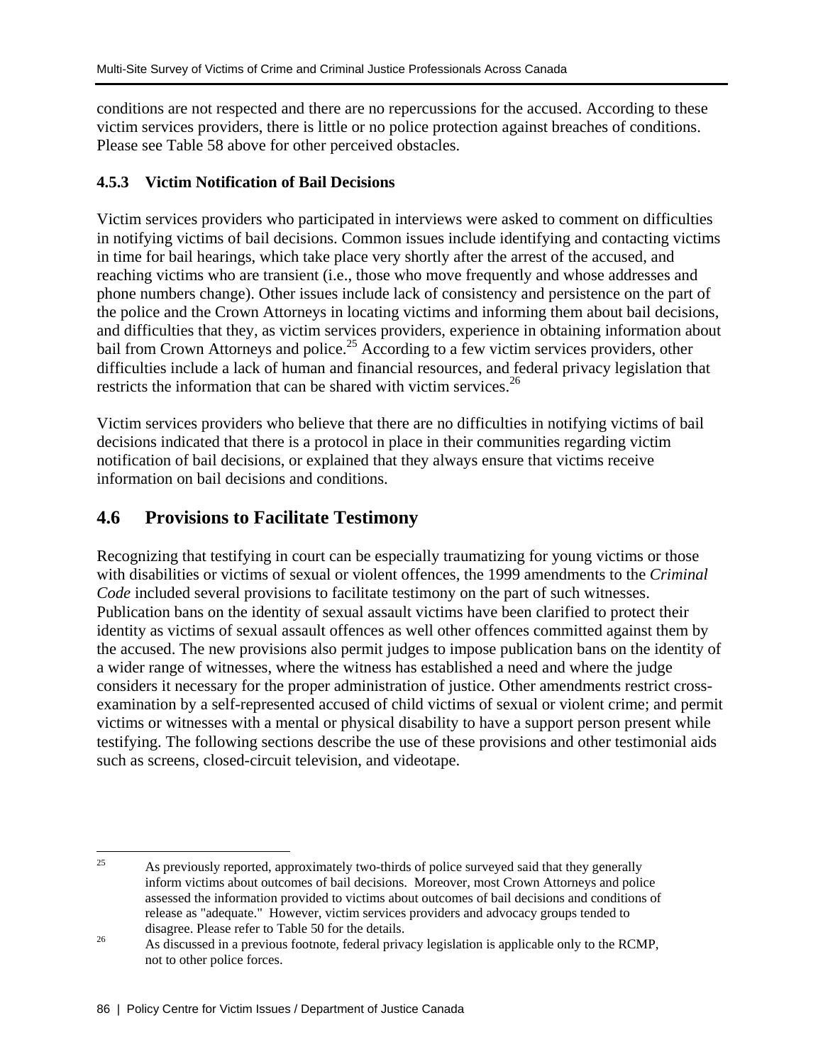conditions are not respected and there are no repercussions for the accused. According to these victim services providers, there is little or no police protection against breaches of conditions. Please see Table 58 above for other perceived obstacles.

# **4.5.3 Victim Notification of Bail Decisions**

Victim services providers who participated in interviews were asked to comment on difficulties in notifying victims of bail decisions. Common issues include identifying and contacting victims in time for bail hearings, which take place very shortly after the arrest of the accused, and reaching victims who are transient (i.e., those who move frequently and whose addresses and phone numbers change). Other issues include lack of consistency and persistence on the part of the police and the Crown Attorneys in locating victims and informing them about bail decisions, and difficulties that they, as victim services providers, experience in obtaining information about bail from Crown Attorneys and police.<sup>25</sup> According to a few victim services providers, other difficulties include a lack of human and financial resources, and federal privacy legislation that restricts the information that can be shared with victim services.<sup>26</sup>

Victim services providers who believe that there are no difficulties in notifying victims of bail decisions indicated that there is a protocol in place in their communities regarding victim notification of bail decisions, or explained that they always ensure that victims receive information on bail decisions and conditions.

# **4.6 Provisions to Facilitate Testimony**

Recognizing that testifying in court can be especially traumatizing for young victims or those with disabilities or victims of sexual or violent offences, the 1999 amendments to the *Criminal Code* included several provisions to facilitate testimony on the part of such witnesses. Publication bans on the identity of sexual assault victims have been clarified to protect their identity as victims of sexual assault offences as well other offences committed against them by the accused. The new provisions also permit judges to impose publication bans on the identity of a wider range of witnesses, where the witness has established a need and where the judge considers it necessary for the proper administration of justice. Other amendments restrict crossexamination by a self-represented accused of child victims of sexual or violent crime; and permit victims or witnesses with a mental or physical disability to have a support person present while testifying. The following sections describe the use of these provisions and other testimonial aids such as screens, closed-circuit television, and videotape.

<sup>25</sup> 25 As previously reported, approximately two-thirds of police surveyed said that they generally inform victims about outcomes of bail decisions. Moreover, most Crown Attorneys and police assessed the information provided to victims about outcomes of bail decisions and conditions of release as "adequate." However, victim services providers and advocacy groups tended to

disagree. Please refer to Table 50 for the details.<br><sup>26</sup> As discussed in a previous footnote, federal privacy legislation is applicable only to the RCMP, not to other police forces.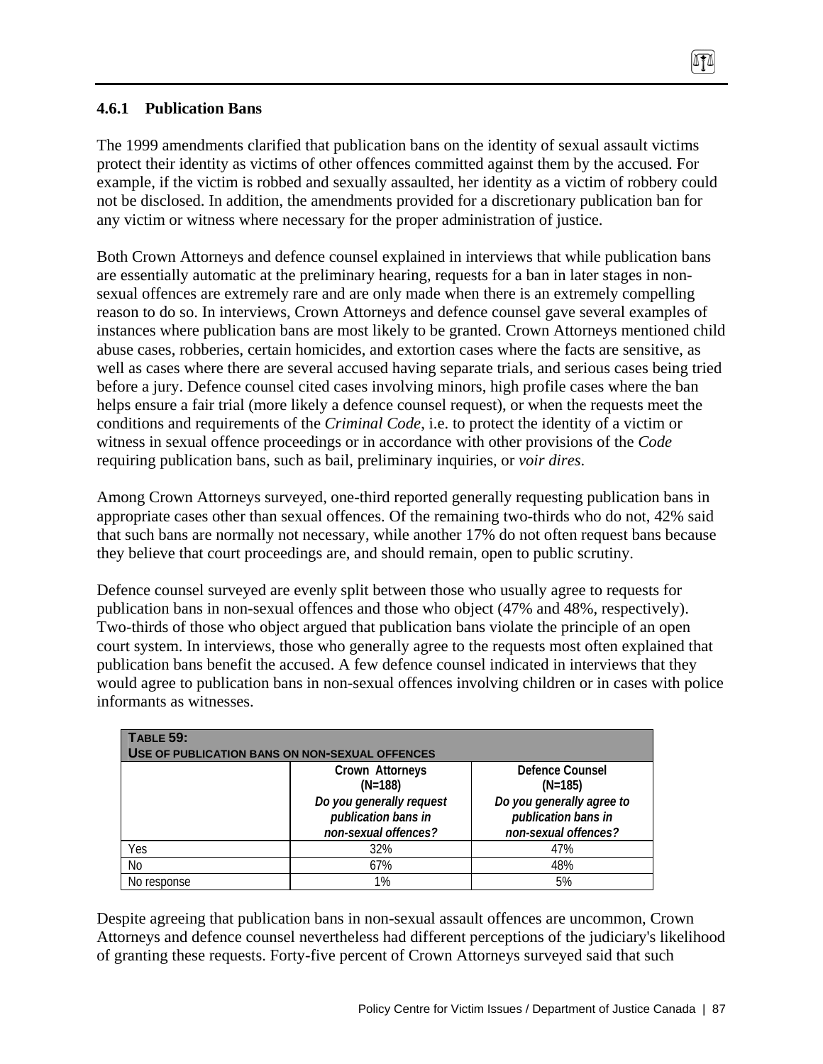# **4.6.1 Publication Bans**

The 1999 amendments clarified that publication bans on the identity of sexual assault victims protect their identity as victims of other offences committed against them by the accused. For example, if the victim is robbed and sexually assaulted, her identity as a victim of robbery could not be disclosed. In addition, the amendments provided for a discretionary publication ban for any victim or witness where necessary for the proper administration of justice.

ATA

Both Crown Attorneys and defence counsel explained in interviews that while publication bans are essentially automatic at the preliminary hearing, requests for a ban in later stages in nonsexual offences are extremely rare and are only made when there is an extremely compelling reason to do so. In interviews, Crown Attorneys and defence counsel gave several examples of instances where publication bans are most likely to be granted. Crown Attorneys mentioned child abuse cases, robberies, certain homicides, and extortion cases where the facts are sensitive, as well as cases where there are several accused having separate trials, and serious cases being tried before a jury. Defence counsel cited cases involving minors, high profile cases where the ban helps ensure a fair trial (more likely a defence counsel request), or when the requests meet the conditions and requirements of the *Criminal Code*, i.e. to protect the identity of a victim or witness in sexual offence proceedings or in accordance with other provisions of the *Code*  requiring publication bans, such as bail, preliminary inquiries, or *voir dires*.

Among Crown Attorneys surveyed, one-third reported generally requesting publication bans in appropriate cases other than sexual offences. Of the remaining two-thirds who do not, 42% said that such bans are normally not necessary, while another 17% do not often request bans because they believe that court proceedings are, and should remain, open to public scrutiny.

Defence counsel surveyed are evenly split between those who usually agree to requests for publication bans in non-sexual offences and those who object (47% and 48%, respectively). Two-thirds of those who object argued that publication bans violate the principle of an open court system. In interviews, those who generally agree to the requests most often explained that publication bans benefit the accused. A few defence counsel indicated in interviews that they would agree to publication bans in non-sexual offences involving children or in cases with police informants as witnesses.

| <b>TABLE 59:</b><br>USE OF PUBLICATION BANS ON NON-SEXUAL OFFENCES |                                                                         |                                                                          |  |  |  |
|--------------------------------------------------------------------|-------------------------------------------------------------------------|--------------------------------------------------------------------------|--|--|--|
|                                                                    | Crown Attorneys<br>$(N=188)$                                            | Defence Counsel<br>$(N=185)$                                             |  |  |  |
|                                                                    | Do you generally request<br>publication bans in<br>non-sexual offences? | Do you generally agree to<br>publication bans in<br>non-sexual offences? |  |  |  |
| Yes                                                                | 32%                                                                     | 47%                                                                      |  |  |  |
| No                                                                 | 67%                                                                     | 48%                                                                      |  |  |  |
| No response                                                        | 1%                                                                      | 5%                                                                       |  |  |  |

Despite agreeing that publication bans in non-sexual assault offences are uncommon, Crown Attorneys and defence counsel nevertheless had different perceptions of the judiciary's likelihood of granting these requests. Forty-five percent of Crown Attorneys surveyed said that such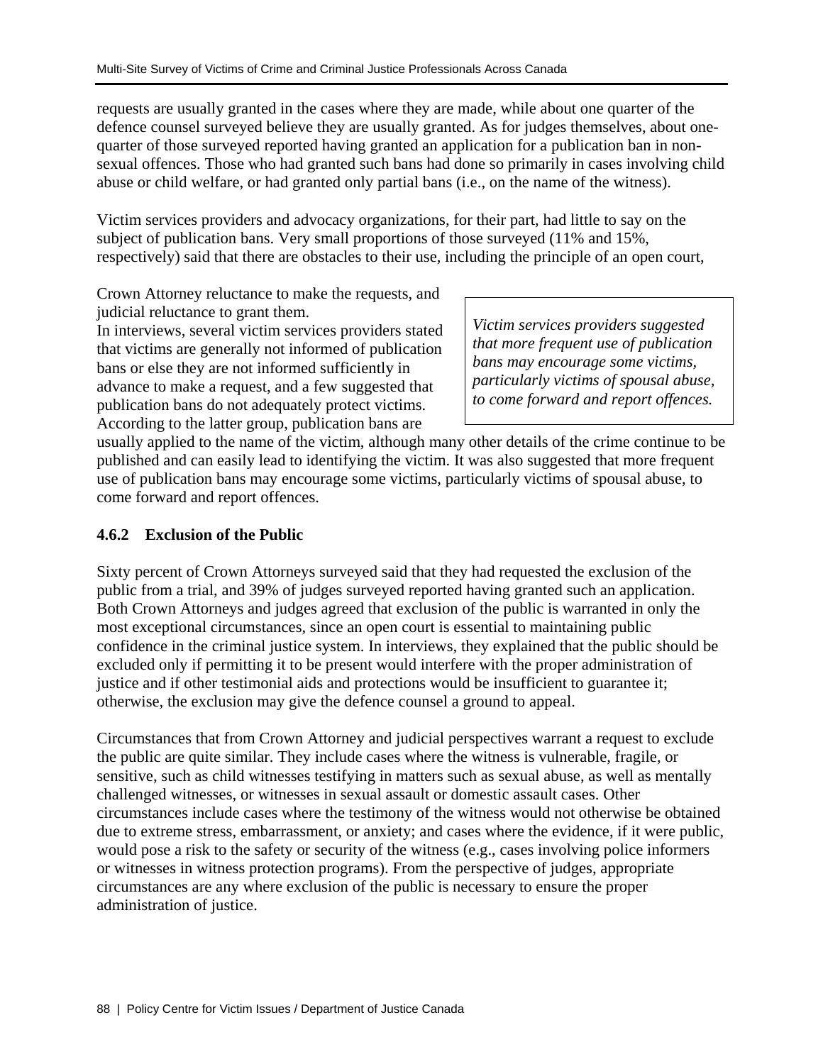requests are usually granted in the cases where they are made, while about one quarter of the defence counsel surveyed believe they are usually granted. As for judges themselves, about onequarter of those surveyed reported having granted an application for a publication ban in nonsexual offences. Those who had granted such bans had done so primarily in cases involving child abuse or child welfare, or had granted only partial bans (i.e., on the name of the witness).

Victim services providers and advocacy organizations, for their part, had little to say on the subject of publication bans. Very small proportions of those surveyed (11% and 15%, respectively) said that there are obstacles to their use, including the principle of an open court,

Crown Attorney reluctance to make the requests, and judicial reluctance to grant them.

In interviews, several victim services providers stated that victims are generally not informed of publication bans or else they are not informed sufficiently in advance to make a request, and a few suggested that publication bans do not adequately protect victims. According to the latter group, publication bans are

*Victim services providers suggested that more frequent use of publication bans may encourage some victims, particularly victims of spousal abuse, to come forward and report offences.* 

usually applied to the name of the victim, although many other details of the crime continue to be published and can easily lead to identifying the victim. It was also suggested that more frequent use of publication bans may encourage some victims, particularly victims of spousal abuse, to come forward and report offences.

# **4.6.2 Exclusion of the Public**

Sixty percent of Crown Attorneys surveyed said that they had requested the exclusion of the public from a trial, and 39% of judges surveyed reported having granted such an application. Both Crown Attorneys and judges agreed that exclusion of the public is warranted in only the most exceptional circumstances, since an open court is essential to maintaining public confidence in the criminal justice system. In interviews, they explained that the public should be excluded only if permitting it to be present would interfere with the proper administration of justice and if other testimonial aids and protections would be insufficient to guarantee it; otherwise, the exclusion may give the defence counsel a ground to appeal.

Circumstances that from Crown Attorney and judicial perspectives warrant a request to exclude the public are quite similar. They include cases where the witness is vulnerable, fragile, or sensitive, such as child witnesses testifying in matters such as sexual abuse, as well as mentally challenged witnesses, or witnesses in sexual assault or domestic assault cases. Other circumstances include cases where the testimony of the witness would not otherwise be obtained due to extreme stress, embarrassment, or anxiety; and cases where the evidence, if it were public, would pose a risk to the safety or security of the witness (e.g., cases involving police informers or witnesses in witness protection programs). From the perspective of judges, appropriate circumstances are any where exclusion of the public is necessary to ensure the proper administration of justice.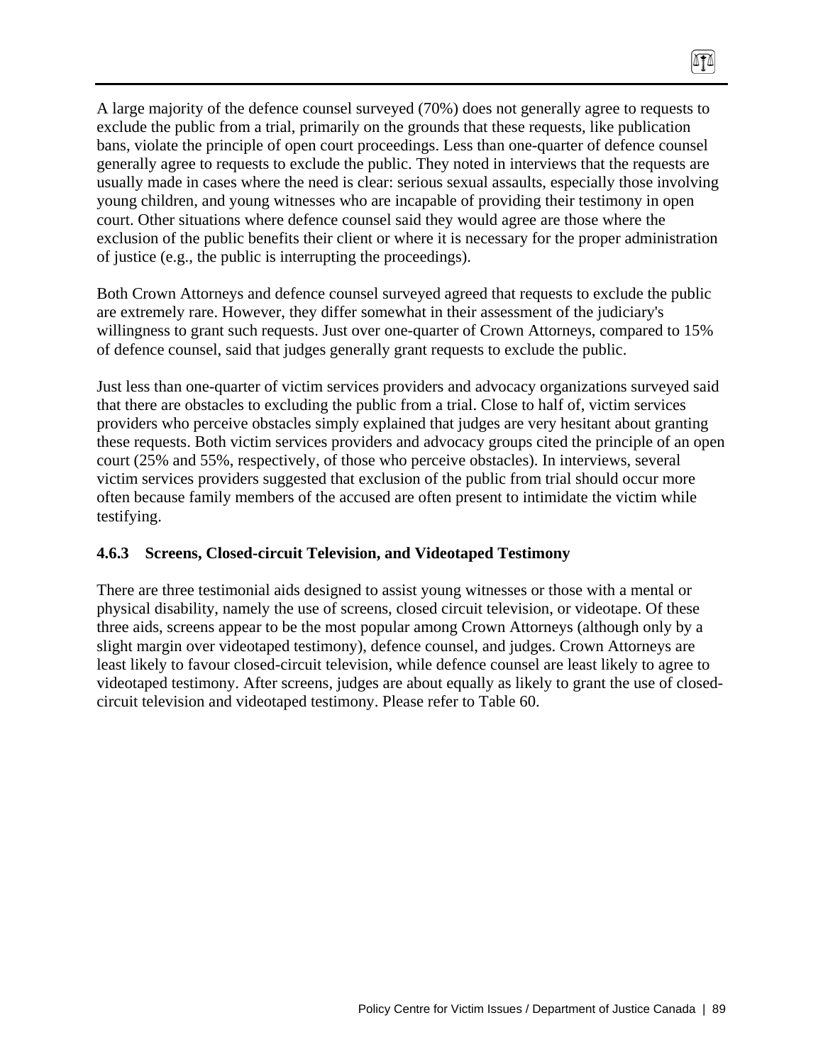A large majority of the defence counsel surveyed (70%) does not generally agree to requests to exclude the public from a trial, primarily on the grounds that these requests, like publication bans, violate the principle of open court proceedings. Less than one-quarter of defence counsel generally agree to requests to exclude the public. They noted in interviews that the requests are usually made in cases where the need is clear: serious sexual assaults, especially those involving young children, and young witnesses who are incapable of providing their testimony in open court. Other situations where defence counsel said they would agree are those where the exclusion of the public benefits their client or where it is necessary for the proper administration of justice (e.g., the public is interrupting the proceedings).

 $\sqrt{10}$ 

Both Crown Attorneys and defence counsel surveyed agreed that requests to exclude the public are extremely rare. However, they differ somewhat in their assessment of the judiciary's willingness to grant such requests. Just over one-quarter of Crown Attorneys, compared to 15% of defence counsel, said that judges generally grant requests to exclude the public.

Just less than one-quarter of victim services providers and advocacy organizations surveyed said that there are obstacles to excluding the public from a trial. Close to half of, victim services providers who perceive obstacles simply explained that judges are very hesitant about granting these requests. Both victim services providers and advocacy groups cited the principle of an open court (25% and 55%, respectively, of those who perceive obstacles). In interviews, several victim services providers suggested that exclusion of the public from trial should occur more often because family members of the accused are often present to intimidate the victim while testifying.

## **4.6.3 Screens, Closed-circuit Television, and Videotaped Testimony**

There are three testimonial aids designed to assist young witnesses or those with a mental or physical disability, namely the use of screens, closed circuit television, or videotape. Of these three aids, screens appear to be the most popular among Crown Attorneys (although only by a slight margin over videotaped testimony), defence counsel, and judges. Crown Attorneys are least likely to favour closed-circuit television, while defence counsel are least likely to agree to videotaped testimony. After screens, judges are about equally as likely to grant the use of closedcircuit television and videotaped testimony. Please refer to Table 60.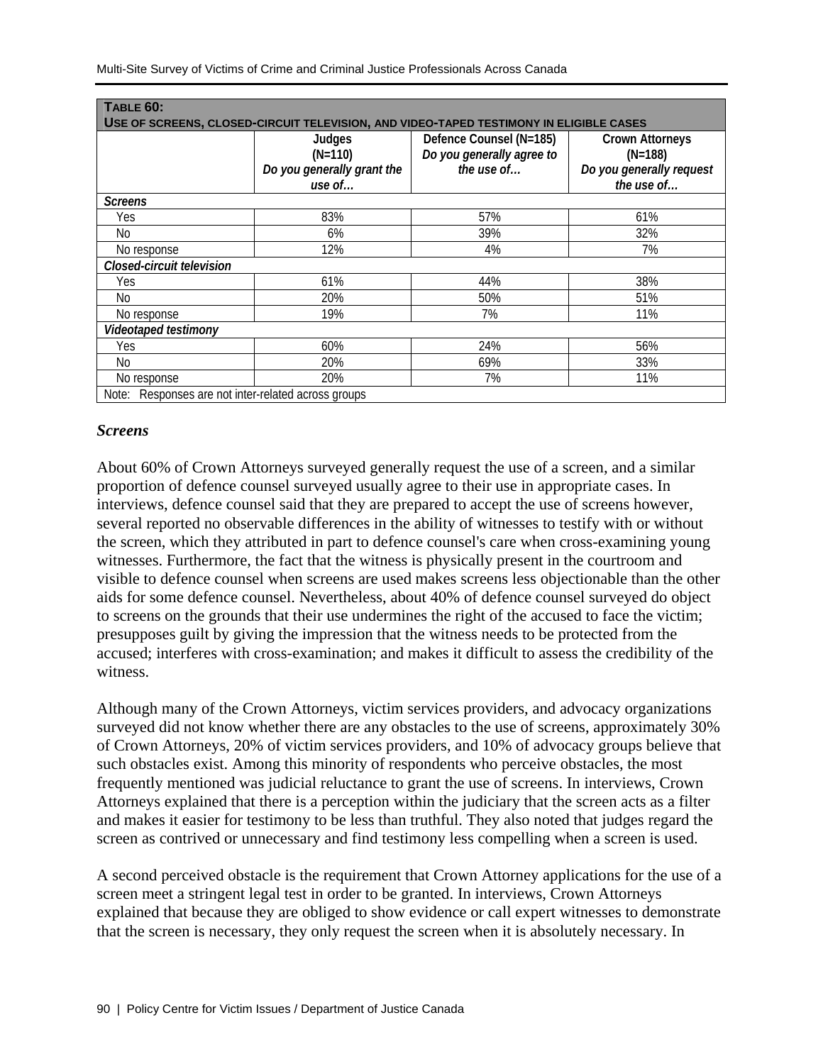| TABLE 60:                                           |                                                                                        |                           |                          |
|-----------------------------------------------------|----------------------------------------------------------------------------------------|---------------------------|--------------------------|
|                                                     | USE OF SCREENS, CLOSED-CIRCUIT TELEVISION, AND VIDEO-TAPED TESTIMONY IN ELIGIBLE CASES |                           |                          |
|                                                     | Judges                                                                                 | Defence Counsel (N=185)   | <b>Crown Attorneys</b>   |
|                                                     | $(N=110)$                                                                              | Do you generally agree to | $(N=188)$                |
|                                                     | Do you generally grant the                                                             | the use of                | Do you generally request |
|                                                     | use of                                                                                 |                           | the use of               |
| <b>Screens</b>                                      |                                                                                        |                           |                          |
| Yes                                                 | 83%                                                                                    | 57%                       | 61%                      |
| No                                                  | 6%                                                                                     | 39%                       | 32%                      |
| No response                                         | 12%                                                                                    | 4%                        | 7%                       |
| Closed-circuit television                           |                                                                                        |                           |                          |
| Yes                                                 | 61%                                                                                    | 44%                       | 38%                      |
| No.                                                 | 20%                                                                                    | 50%                       | 51%                      |
| No response                                         | 19%                                                                                    | 7%                        | 11%                      |
| Videotaped testimony                                |                                                                                        |                           |                          |
| Yes                                                 | 60%                                                                                    | 24%                       | 56%                      |
| No                                                  | 20%                                                                                    | 69%                       | 33%                      |
| No response                                         | 20%                                                                                    | 7%                        | 11%                      |
| Note: Responses are not inter-related across groups |                                                                                        |                           |                          |

## *Screens*

About 60% of Crown Attorneys surveyed generally request the use of a screen, and a similar proportion of defence counsel surveyed usually agree to their use in appropriate cases. In interviews, defence counsel said that they are prepared to accept the use of screens however, several reported no observable differences in the ability of witnesses to testify with or without the screen, which they attributed in part to defence counsel's care when cross-examining young witnesses. Furthermore, the fact that the witness is physically present in the courtroom and visible to defence counsel when screens are used makes screens less objectionable than the other aids for some defence counsel. Nevertheless, about 40% of defence counsel surveyed do object to screens on the grounds that their use undermines the right of the accused to face the victim; presupposes guilt by giving the impression that the witness needs to be protected from the accused; interferes with cross-examination; and makes it difficult to assess the credibility of the witness.

Although many of the Crown Attorneys, victim services providers, and advocacy organizations surveyed did not know whether there are any obstacles to the use of screens, approximately 30% of Crown Attorneys, 20% of victim services providers, and 10% of advocacy groups believe that such obstacles exist. Among this minority of respondents who perceive obstacles, the most frequently mentioned was judicial reluctance to grant the use of screens. In interviews, Crown Attorneys explained that there is a perception within the judiciary that the screen acts as a filter and makes it easier for testimony to be less than truthful. They also noted that judges regard the screen as contrived or unnecessary and find testimony less compelling when a screen is used.

A second perceived obstacle is the requirement that Crown Attorney applications for the use of a screen meet a stringent legal test in order to be granted. In interviews, Crown Attorneys explained that because they are obliged to show evidence or call expert witnesses to demonstrate that the screen is necessary, they only request the screen when it is absolutely necessary. In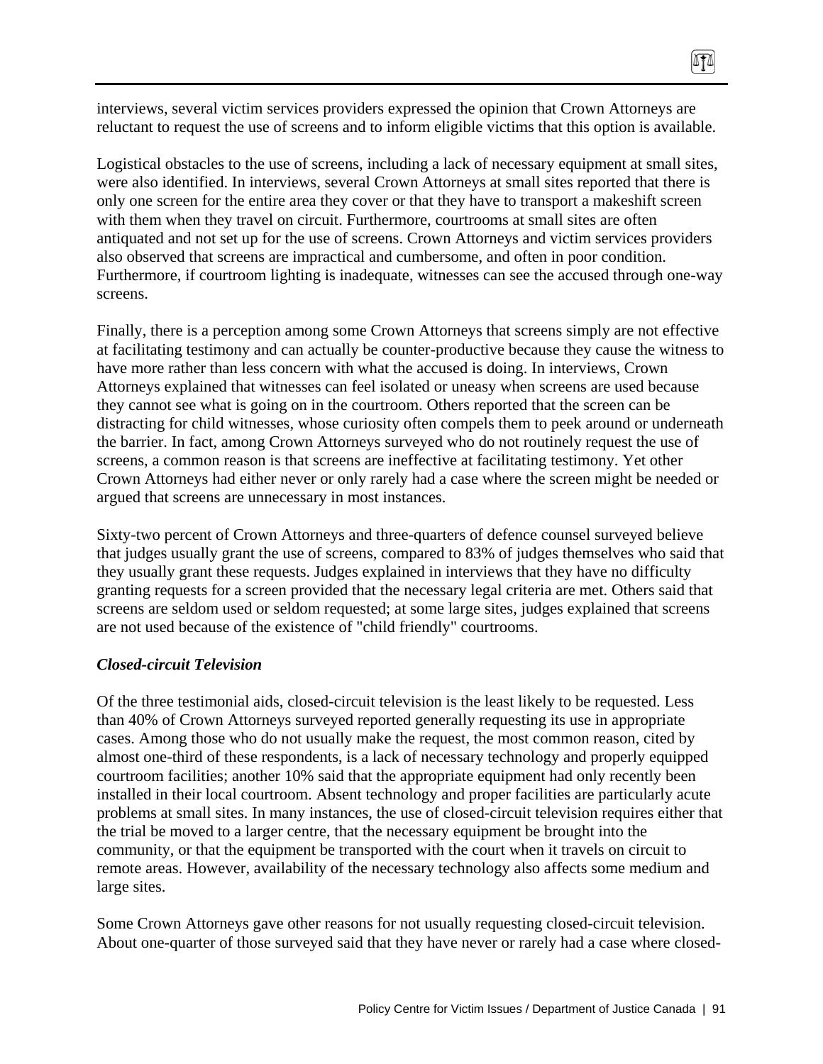interviews, several victim services providers expressed the opinion that Crown Attorneys are reluctant to request the use of screens and to inform eligible victims that this option is available.

 $\sqrt{10}$ 

Logistical obstacles to the use of screens, including a lack of necessary equipment at small sites, were also identified. In interviews, several Crown Attorneys at small sites reported that there is only one screen for the entire area they cover or that they have to transport a makeshift screen with them when they travel on circuit. Furthermore, courtrooms at small sites are often antiquated and not set up for the use of screens. Crown Attorneys and victim services providers also observed that screens are impractical and cumbersome, and often in poor condition. Furthermore, if courtroom lighting is inadequate, witnesses can see the accused through one-way screens.

Finally, there is a perception among some Crown Attorneys that screens simply are not effective at facilitating testimony and can actually be counter-productive because they cause the witness to have more rather than less concern with what the accused is doing. In interviews, Crown Attorneys explained that witnesses can feel isolated or uneasy when screens are used because they cannot see what is going on in the courtroom. Others reported that the screen can be distracting for child witnesses, whose curiosity often compels them to peek around or underneath the barrier. In fact, among Crown Attorneys surveyed who do not routinely request the use of screens, a common reason is that screens are ineffective at facilitating testimony. Yet other Crown Attorneys had either never or only rarely had a case where the screen might be needed or argued that screens are unnecessary in most instances.

Sixty-two percent of Crown Attorneys and three-quarters of defence counsel surveyed believe that judges usually grant the use of screens, compared to 83% of judges themselves who said that they usually grant these requests. Judges explained in interviews that they have no difficulty granting requests for a screen provided that the necessary legal criteria are met. Others said that screens are seldom used or seldom requested; at some large sites, judges explained that screens are not used because of the existence of "child friendly" courtrooms.

#### *Closed-circuit Television*

Of the three testimonial aids, closed-circuit television is the least likely to be requested. Less than 40% of Crown Attorneys surveyed reported generally requesting its use in appropriate cases. Among those who do not usually make the request, the most common reason, cited by almost one-third of these respondents, is a lack of necessary technology and properly equipped courtroom facilities; another 10% said that the appropriate equipment had only recently been installed in their local courtroom. Absent technology and proper facilities are particularly acute problems at small sites. In many instances, the use of closed-circuit television requires either that the trial be moved to a larger centre, that the necessary equipment be brought into the community, or that the equipment be transported with the court when it travels on circuit to remote areas. However, availability of the necessary technology also affects some medium and large sites.

Some Crown Attorneys gave other reasons for not usually requesting closed-circuit television. About one-quarter of those surveyed said that they have never or rarely had a case where closed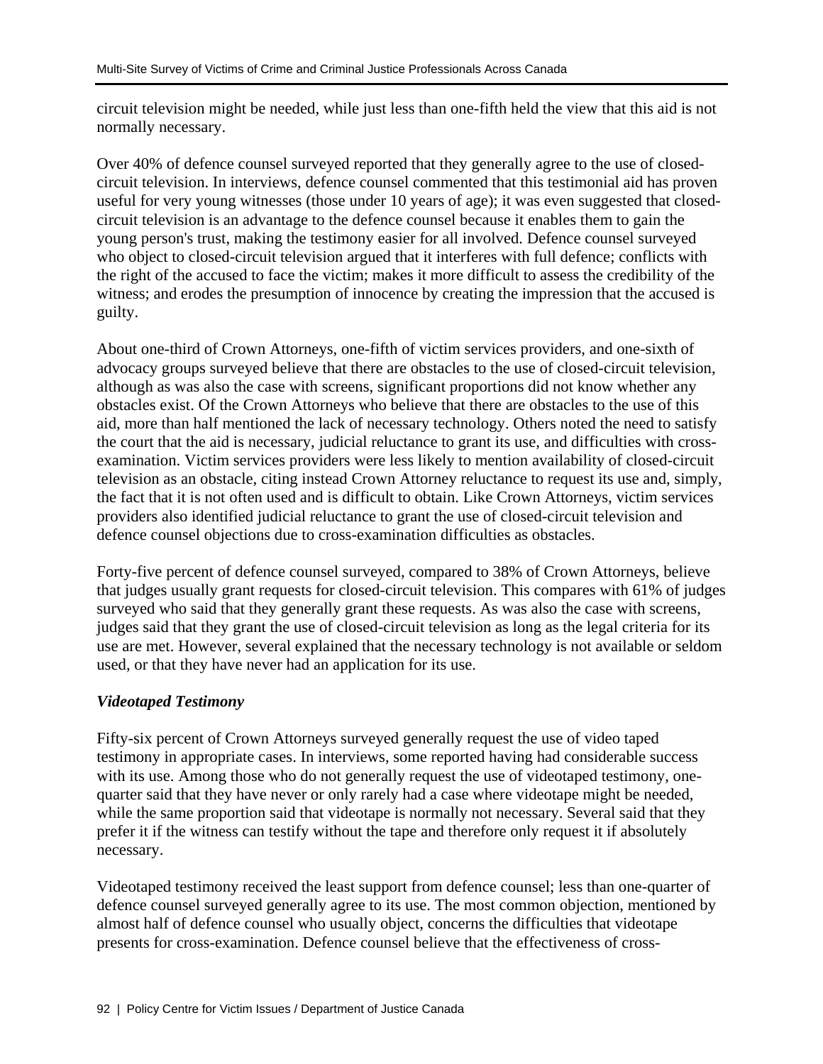circuit television might be needed, while just less than one-fifth held the view that this aid is not normally necessary.

Over 40% of defence counsel surveyed reported that they generally agree to the use of closedcircuit television. In interviews, defence counsel commented that this testimonial aid has proven useful for very young witnesses (those under 10 years of age); it was even suggested that closedcircuit television is an advantage to the defence counsel because it enables them to gain the young person's trust, making the testimony easier for all involved. Defence counsel surveyed who object to closed-circuit television argued that it interferes with full defence; conflicts with the right of the accused to face the victim; makes it more difficult to assess the credibility of the witness; and erodes the presumption of innocence by creating the impression that the accused is guilty.

About one-third of Crown Attorneys, one-fifth of victim services providers, and one-sixth of advocacy groups surveyed believe that there are obstacles to the use of closed-circuit television, although as was also the case with screens, significant proportions did not know whether any obstacles exist. Of the Crown Attorneys who believe that there are obstacles to the use of this aid, more than half mentioned the lack of necessary technology. Others noted the need to satisfy the court that the aid is necessary, judicial reluctance to grant its use, and difficulties with crossexamination. Victim services providers were less likely to mention availability of closed-circuit television as an obstacle, citing instead Crown Attorney reluctance to request its use and, simply, the fact that it is not often used and is difficult to obtain. Like Crown Attorneys, victim services providers also identified judicial reluctance to grant the use of closed-circuit television and defence counsel objections due to cross-examination difficulties as obstacles.

Forty-five percent of defence counsel surveyed, compared to 38% of Crown Attorneys, believe that judges usually grant requests for closed-circuit television. This compares with 61% of judges surveyed who said that they generally grant these requests. As was also the case with screens, judges said that they grant the use of closed-circuit television as long as the legal criteria for its use are met. However, several explained that the necessary technology is not available or seldom used, or that they have never had an application for its use.

## *Videotaped Testimony*

Fifty-six percent of Crown Attorneys surveyed generally request the use of video taped testimony in appropriate cases. In interviews, some reported having had considerable success with its use. Among those who do not generally request the use of videotaped testimony, onequarter said that they have never or only rarely had a case where videotape might be needed, while the same proportion said that videotape is normally not necessary. Several said that they prefer it if the witness can testify without the tape and therefore only request it if absolutely necessary.

Videotaped testimony received the least support from defence counsel; less than one-quarter of defence counsel surveyed generally agree to its use. The most common objection, mentioned by almost half of defence counsel who usually object, concerns the difficulties that videotape presents for cross-examination. Defence counsel believe that the effectiveness of cross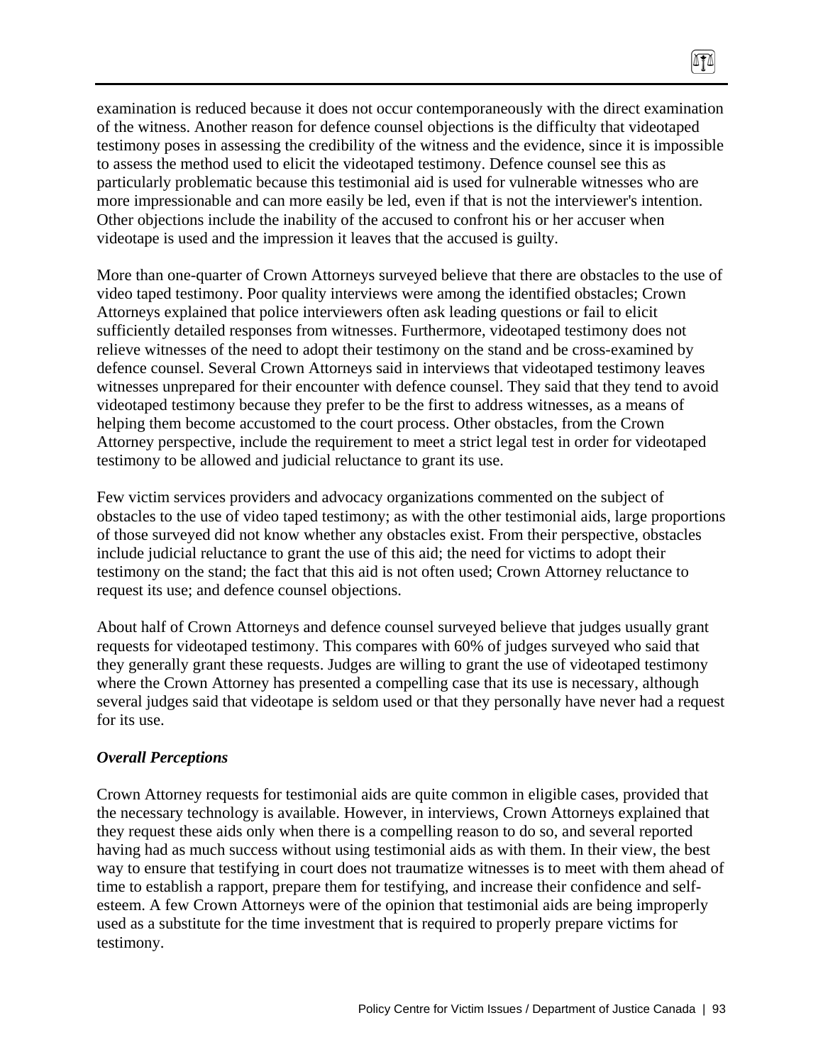examination is reduced because it does not occur contemporaneously with the direct examination of the witness. Another reason for defence counsel objections is the difficulty that videotaped testimony poses in assessing the credibility of the witness and the evidence, since it is impossible to assess the method used to elicit the videotaped testimony. Defence counsel see this as particularly problematic because this testimonial aid is used for vulnerable witnesses who are more impressionable and can more easily be led, even if that is not the interviewer's intention. Other objections include the inability of the accused to confront his or her accuser when videotape is used and the impression it leaves that the accused is guilty.

 $\sqrt{10}$ 

More than one-quarter of Crown Attorneys surveyed believe that there are obstacles to the use of video taped testimony. Poor quality interviews were among the identified obstacles; Crown Attorneys explained that police interviewers often ask leading questions or fail to elicit sufficiently detailed responses from witnesses. Furthermore, videotaped testimony does not relieve witnesses of the need to adopt their testimony on the stand and be cross-examined by defence counsel. Several Crown Attorneys said in interviews that videotaped testimony leaves witnesses unprepared for their encounter with defence counsel. They said that they tend to avoid videotaped testimony because they prefer to be the first to address witnesses, as a means of helping them become accustomed to the court process. Other obstacles, from the Crown Attorney perspective, include the requirement to meet a strict legal test in order for videotaped testimony to be allowed and judicial reluctance to grant its use.

Few victim services providers and advocacy organizations commented on the subject of obstacles to the use of video taped testimony; as with the other testimonial aids, large proportions of those surveyed did not know whether any obstacles exist. From their perspective, obstacles include judicial reluctance to grant the use of this aid; the need for victims to adopt their testimony on the stand; the fact that this aid is not often used; Crown Attorney reluctance to request its use; and defence counsel objections.

About half of Crown Attorneys and defence counsel surveyed believe that judges usually grant requests for videotaped testimony. This compares with 60% of judges surveyed who said that they generally grant these requests. Judges are willing to grant the use of videotaped testimony where the Crown Attorney has presented a compelling case that its use is necessary, although several judges said that videotape is seldom used or that they personally have never had a request for its use.

## *Overall Perceptions*

Crown Attorney requests for testimonial aids are quite common in eligible cases, provided that the necessary technology is available. However, in interviews, Crown Attorneys explained that they request these aids only when there is a compelling reason to do so, and several reported having had as much success without using testimonial aids as with them. In their view, the best way to ensure that testifying in court does not traumatize witnesses is to meet with them ahead of time to establish a rapport, prepare them for testifying, and increase their confidence and selfesteem. A few Crown Attorneys were of the opinion that testimonial aids are being improperly used as a substitute for the time investment that is required to properly prepare victims for testimony.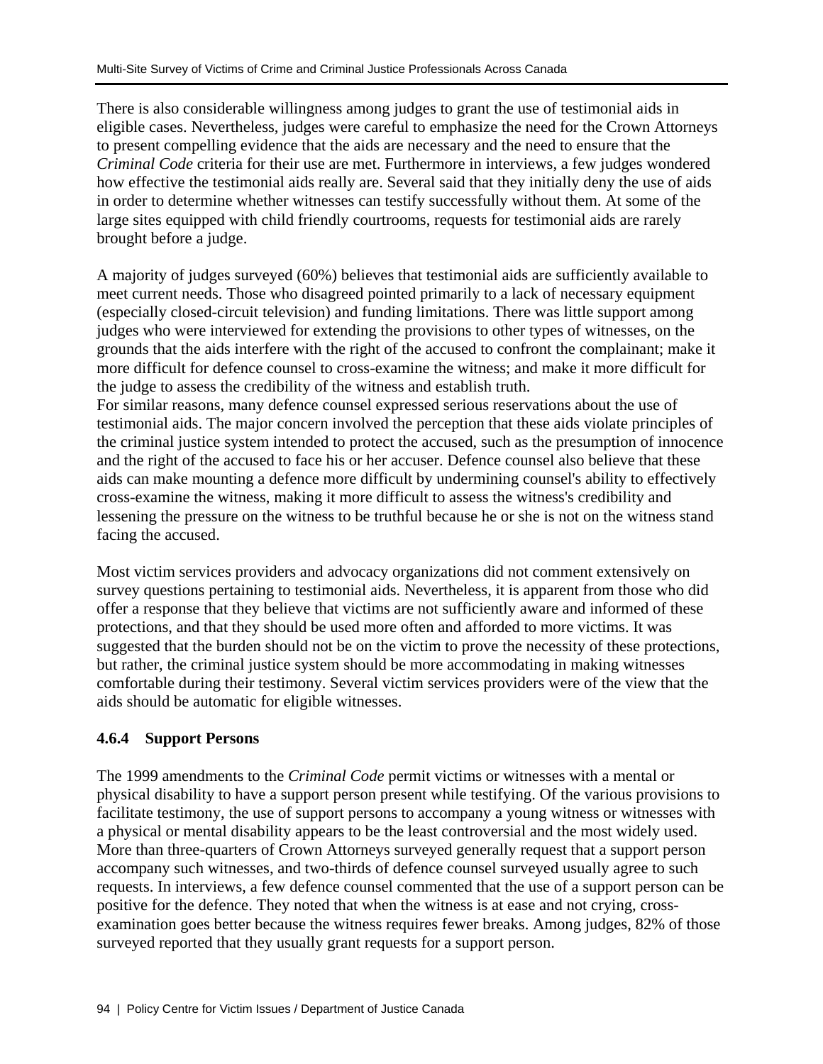There is also considerable willingness among judges to grant the use of testimonial aids in eligible cases. Nevertheless, judges were careful to emphasize the need for the Crown Attorneys to present compelling evidence that the aids are necessary and the need to ensure that the *Criminal Code* criteria for their use are met. Furthermore in interviews, a few judges wondered how effective the testimonial aids really are. Several said that they initially deny the use of aids in order to determine whether witnesses can testify successfully without them. At some of the large sites equipped with child friendly courtrooms, requests for testimonial aids are rarely brought before a judge.

A majority of judges surveyed (60%) believes that testimonial aids are sufficiently available to meet current needs. Those who disagreed pointed primarily to a lack of necessary equipment (especially closed-circuit television) and funding limitations. There was little support among judges who were interviewed for extending the provisions to other types of witnesses, on the grounds that the aids interfere with the right of the accused to confront the complainant; make it more difficult for defence counsel to cross-examine the witness; and make it more difficult for the judge to assess the credibility of the witness and establish truth.

For similar reasons, many defence counsel expressed serious reservations about the use of testimonial aids. The major concern involved the perception that these aids violate principles of the criminal justice system intended to protect the accused, such as the presumption of innocence and the right of the accused to face his or her accuser. Defence counsel also believe that these aids can make mounting a defence more difficult by undermining counsel's ability to effectively cross-examine the witness, making it more difficult to assess the witness's credibility and lessening the pressure on the witness to be truthful because he or she is not on the witness stand facing the accused.

Most victim services providers and advocacy organizations did not comment extensively on survey questions pertaining to testimonial aids. Nevertheless, it is apparent from those who did offer a response that they believe that victims are not sufficiently aware and informed of these protections, and that they should be used more often and afforded to more victims. It was suggested that the burden should not be on the victim to prove the necessity of these protections, but rather, the criminal justice system should be more accommodating in making witnesses comfortable during their testimony. Several victim services providers were of the view that the aids should be automatic for eligible witnesses.

## **4.6.4 Support Persons**

The 1999 amendments to the *Criminal Code* permit victims or witnesses with a mental or physical disability to have a support person present while testifying. Of the various provisions to facilitate testimony, the use of support persons to accompany a young witness or witnesses with a physical or mental disability appears to be the least controversial and the most widely used. More than three-quarters of Crown Attorneys surveyed generally request that a support person accompany such witnesses, and two-thirds of defence counsel surveyed usually agree to such requests. In interviews, a few defence counsel commented that the use of a support person can be positive for the defence. They noted that when the witness is at ease and not crying, crossexamination goes better because the witness requires fewer breaks. Among judges, 82% of those surveyed reported that they usually grant requests for a support person.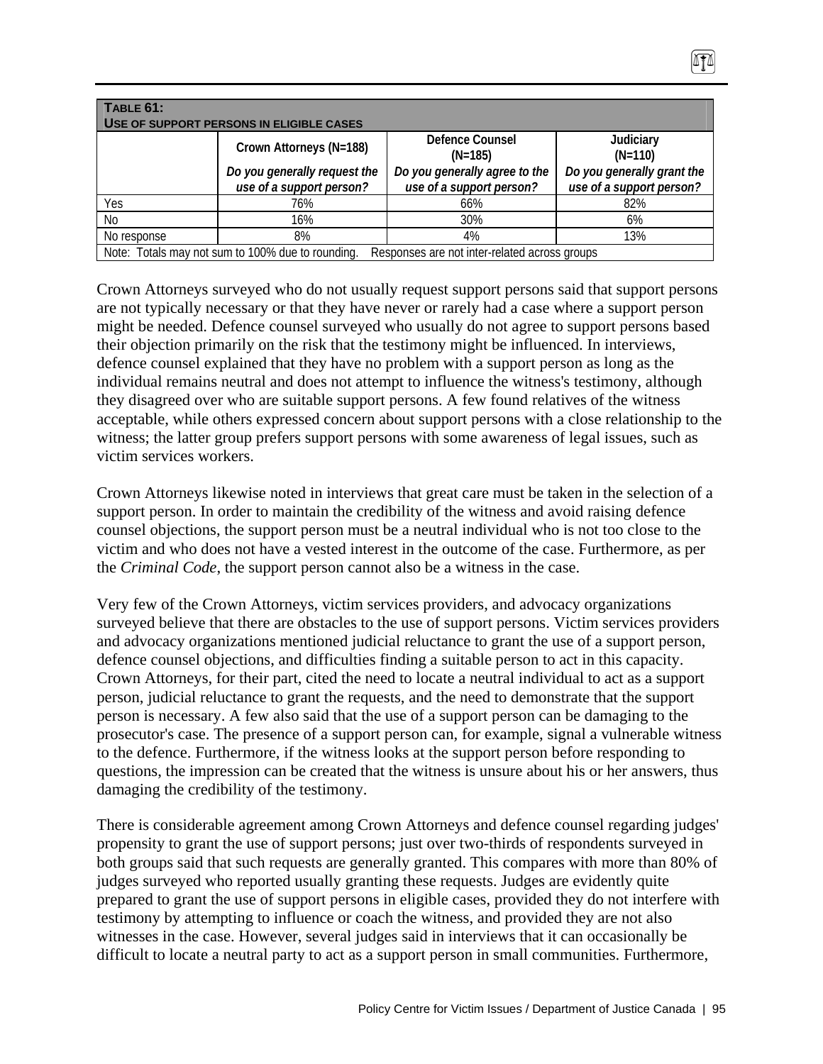| TABLE 61:<br>USE OF SUPPORT PERSONS IN ELIGIBLE CASES                                              |                                                          |                                                           |                                                        |  |  |
|----------------------------------------------------------------------------------------------------|----------------------------------------------------------|-----------------------------------------------------------|--------------------------------------------------------|--|--|
|                                                                                                    | Crown Attorneys (N=188)                                  | Defence Counsel<br>$(N=185)$                              | Judiciary<br>$(N=110)$                                 |  |  |
|                                                                                                    | Do you generally request the<br>use of a support person? | Do you generally agree to the<br>use of a support person? | Do you generally grant the<br>use of a support person? |  |  |
| Yes                                                                                                | 76%                                                      | 66%                                                       | 82%                                                    |  |  |
| No                                                                                                 | 16%                                                      | 30%                                                       | 6%                                                     |  |  |
| No response                                                                                        | 8%                                                       | 4%                                                        | 13%                                                    |  |  |
| Note: Totals may not sum to 100% due to rounding.<br>Responses are not inter-related across groups |                                                          |                                                           |                                                        |  |  |

Crown Attorneys surveyed who do not usually request support persons said that support persons are not typically necessary or that they have never or rarely had a case where a support person might be needed. Defence counsel surveyed who usually do not agree to support persons based their objection primarily on the risk that the testimony might be influenced. In interviews, defence counsel explained that they have no problem with a support person as long as the individual remains neutral and does not attempt to influence the witness's testimony, although they disagreed over who are suitable support persons. A few found relatives of the witness acceptable, while others expressed concern about support persons with a close relationship to the witness; the latter group prefers support persons with some awareness of legal issues, such as victim services workers.

Crown Attorneys likewise noted in interviews that great care must be taken in the selection of a support person. In order to maintain the credibility of the witness and avoid raising defence counsel objections, the support person must be a neutral individual who is not too close to the victim and who does not have a vested interest in the outcome of the case. Furthermore, as per the *Criminal Code*, the support person cannot also be a witness in the case.

Very few of the Crown Attorneys, victim services providers, and advocacy organizations surveyed believe that there are obstacles to the use of support persons. Victim services providers and advocacy organizations mentioned judicial reluctance to grant the use of a support person, defence counsel objections, and difficulties finding a suitable person to act in this capacity. Crown Attorneys, for their part, cited the need to locate a neutral individual to act as a support person, judicial reluctance to grant the requests, and the need to demonstrate that the support person is necessary. A few also said that the use of a support person can be damaging to the prosecutor's case. The presence of a support person can, for example, signal a vulnerable witness to the defence. Furthermore, if the witness looks at the support person before responding to questions, the impression can be created that the witness is unsure about his or her answers, thus damaging the credibility of the testimony.

There is considerable agreement among Crown Attorneys and defence counsel regarding judges' propensity to grant the use of support persons; just over two-thirds of respondents surveyed in both groups said that such requests are generally granted. This compares with more than 80% of judges surveyed who reported usually granting these requests. Judges are evidently quite prepared to grant the use of support persons in eligible cases, provided they do not interfere with testimony by attempting to influence or coach the witness, and provided they are not also witnesses in the case. However, several judges said in interviews that it can occasionally be difficult to locate a neutral party to act as a support person in small communities. Furthermore,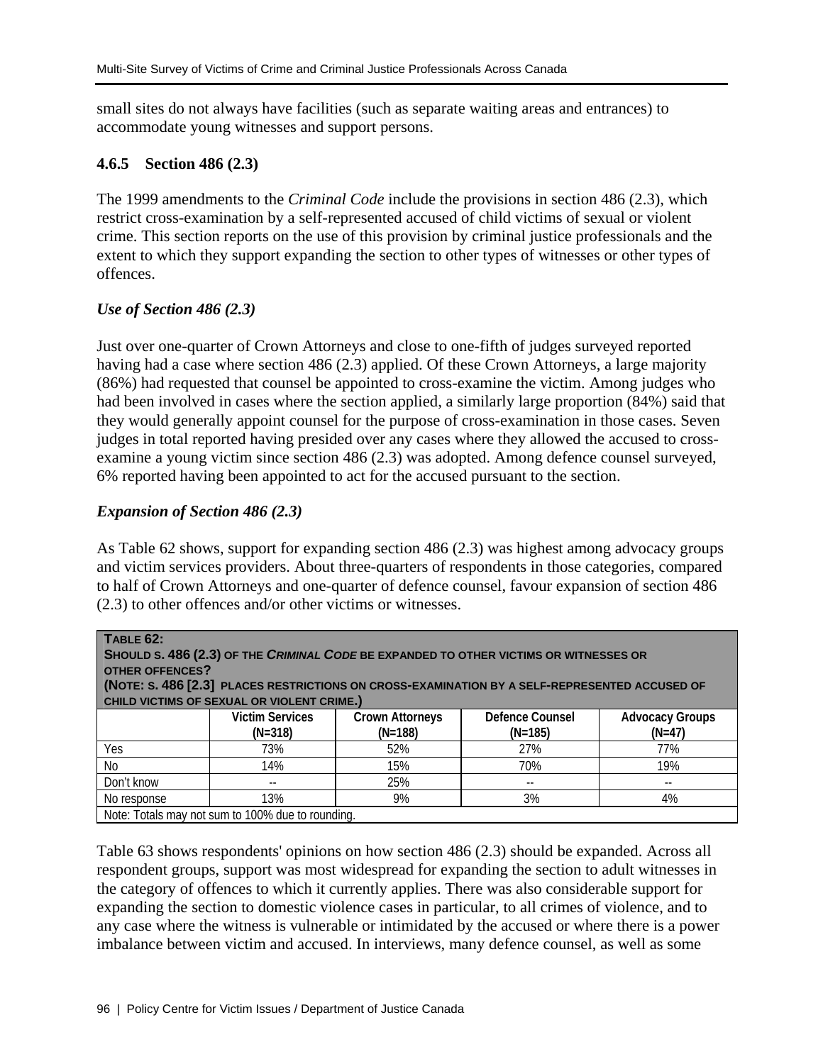small sites do not always have facilities (such as separate waiting areas and entrances) to accommodate young witnesses and support persons.

# **4.6.5 Section 486 (2.3)**

The 1999 amendments to the *Criminal Code* include the provisions in section 486 (2.3), which restrict cross-examination by a self-represented accused of child victims of sexual or violent crime. This section reports on the use of this provision by criminal justice professionals and the extent to which they support expanding the section to other types of witnesses or other types of offences.

# *Use of Section 486 (2.3)*

Just over one-quarter of Crown Attorneys and close to one-fifth of judges surveyed reported having had a case where section 486 (2.3) applied. Of these Crown Attorneys, a large majority (86%) had requested that counsel be appointed to cross-examine the victim. Among judges who had been involved in cases where the section applied, a similarly large proportion (84%) said that they would generally appoint counsel for the purpose of cross-examination in those cases. Seven judges in total reported having presided over any cases where they allowed the accused to crossexamine a young victim since section 486 (2.3) was adopted. Among defence counsel surveyed, 6% reported having been appointed to act for the accused pursuant to the section.

# *Expansion of Section 486 (2.3)*

As Table 62 shows, support for expanding section 486 (2.3) was highest among advocacy groups and victim services providers. About three-quarters of respondents in those categories, compared to half of Crown Attorneys and one-quarter of defence counsel, favour expansion of section 486 (2.3) to other offences and/or other victims or witnesses.

| <b>TABLE 62:</b><br><b>OTHER OFFENCES?</b> | CHILD VICTIMS OF SEXUAL OR VIOLENT CRIME.)        |                                     | SHOULD S. 486 (2.3) OF THE CRIMINAL CODE BE EXPANDED TO OTHER VICTIMS OR WITNESSES OR<br>(NOTE: S. 486 [2.3] PLACES RESTRICTIONS ON CROSS-EXAMINATION BY A SELF-REPRESENTED ACCUSED OF |                                    |
|--------------------------------------------|---------------------------------------------------|-------------------------------------|----------------------------------------------------------------------------------------------------------------------------------------------------------------------------------------|------------------------------------|
|                                            | <b>Victim Services</b><br>$(N=318)$               | <b>Crown Attorneys</b><br>$(N=188)$ | Defence Counsel<br>$(N=185)$                                                                                                                                                           | <b>Advocacy Groups</b><br>$(N=47)$ |
| Yes                                        | 73%                                               | 52%                                 | 27%                                                                                                                                                                                    | 77%                                |
| N <sub>0</sub>                             | 14%                                               | 15%                                 | 70%                                                                                                                                                                                    | 19%                                |
| Don't know                                 | $- -$                                             | 25%                                 | $- -$                                                                                                                                                                                  | $- -$                              |
| No response                                | 13%                                               | 9%                                  | 3%                                                                                                                                                                                     | 4%                                 |
|                                            | Note: Totals may not sum to 100% due to rounding. |                                     |                                                                                                                                                                                        |                                    |

Table 63 shows respondents' opinions on how section 486 (2.3) should be expanded. Across all respondent groups, support was most widespread for expanding the section to adult witnesses in the category of offences to which it currently applies. There was also considerable support for expanding the section to domestic violence cases in particular, to all crimes of violence, and to any case where the witness is vulnerable or intimidated by the accused or where there is a power imbalance between victim and accused. In interviews, many defence counsel, as well as some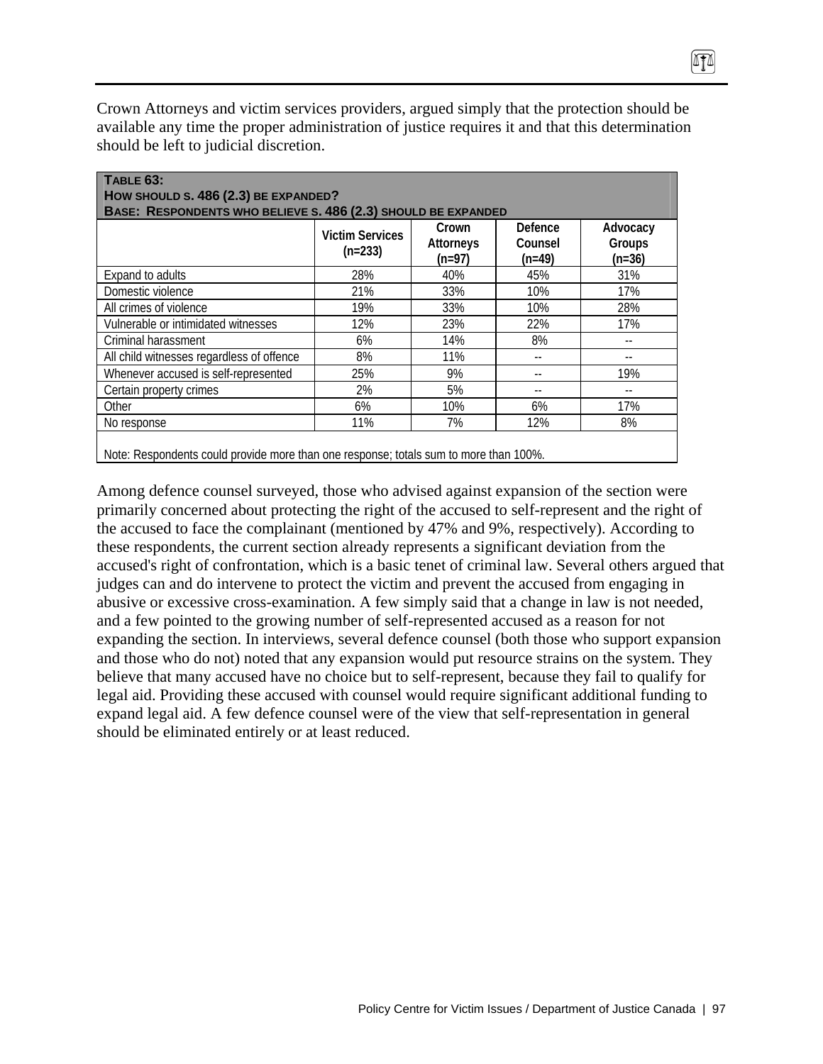Crown Attorneys and victim services providers, argued simply that the protection should be available any time the proper administration of justice requires it and that this determination should be left to judicial discretion.

|                                           | <b>Victim Services</b><br>$(n=233)$ | Crown<br>Attorneys<br>$(n=97)$ | Defence<br>Counsel<br>$(n=49)$ | Advocacy<br>Groups<br>$(n=36)$ |
|-------------------------------------------|-------------------------------------|--------------------------------|--------------------------------|--------------------------------|
| Expand to adults                          | 28%                                 | 40%                            | 45%                            | 31%                            |
| Domestic violence                         | 21%                                 | 33%                            | 10%                            | 17%                            |
| All crimes of violence                    | 19%                                 | 33%                            | 10%                            | 28%                            |
| Vulnerable or intimidated witnesses       | 12%                                 | 23%                            | 22%                            | 17%                            |
| Criminal harassment                       | 6%                                  | 14%                            | 8%                             |                                |
| All child witnesses regardless of offence | 8%                                  | 11%                            |                                |                                |
| Whenever accused is self-represented      | 25%                                 | 9%                             |                                | 19%                            |
| Certain property crimes                   | 2%                                  | 5%                             | $- -$                          |                                |
| Other                                     | 6%                                  | 10%                            | 6%                             | 17%                            |
| No response                               | 11%                                 | 7%                             | 12%                            | 8%                             |

Among defence counsel surveyed, those who advised against expansion of the section were primarily concerned about protecting the right of the accused to self-represent and the right of the accused to face the complainant (mentioned by 47% and 9%, respectively). According to these respondents, the current section already represents a significant deviation from the accused's right of confrontation, which is a basic tenet of criminal law. Several others argued that judges can and do intervene to protect the victim and prevent the accused from engaging in abusive or excessive cross-examination. A few simply said that a change in law is not needed, and a few pointed to the growing number of self-represented accused as a reason for not expanding the section. In interviews, several defence counsel (both those who support expansion and those who do not) noted that any expansion would put resource strains on the system. They believe that many accused have no choice but to self-represent, because they fail to qualify for legal aid. Providing these accused with counsel would require significant additional funding to expand legal aid. A few defence counsel were of the view that self-representation in general should be eliminated entirely or at least reduced.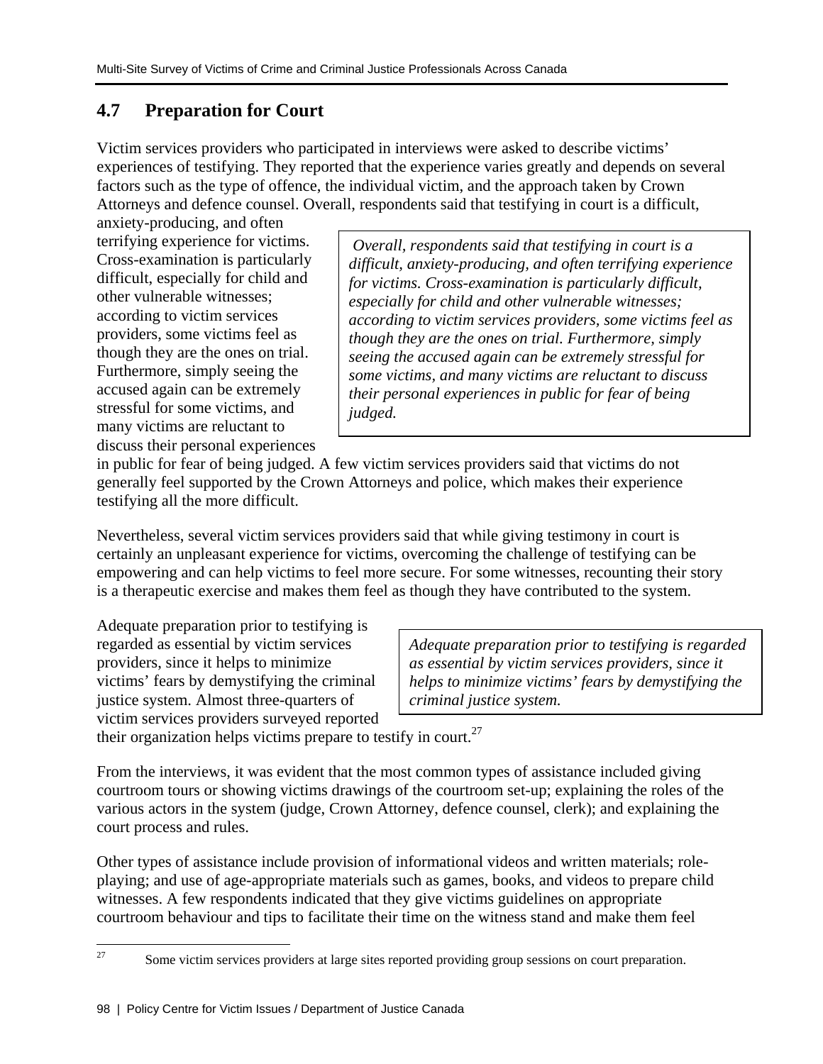# **4.7 Preparation for Court**

Victim services providers who participated in interviews were asked to describe victims' experiences of testifying. They reported that the experience varies greatly and depends on several factors such as the type of offence, the individual victim, and the approach taken by Crown Attorneys and defence counsel. Overall, respondents said that testifying in court is a difficult,

anxiety-producing, and often terrifying experience for victims. Cross-examination is particularly difficult, especially for child and other vulnerable witnesses; according to victim services providers, some victims feel as though they are the ones on trial. Furthermore, simply seeing the accused again can be extremely stressful for some victims, and many victims are reluctant to discuss their personal experiences

 *Overall, respondents said that testifying in court is a difficult, anxiety-producing, and often terrifying experience for victims. Cross-examination is particularly difficult, especially for child and other vulnerable witnesses; according to victim services providers, some victims feel as though they are the ones on trial. Furthermore, simply seeing the accused again can be extremely stressful for some victims, and many victims are reluctant to discuss their personal experiences in public for fear of being judged.* 

in public for fear of being judged. A few victim services providers said that victims do not generally feel supported by the Crown Attorneys and police, which makes their experience testifying all the more difficult.

Nevertheless, several victim services providers said that while giving testimony in court is certainly an unpleasant experience for victims, overcoming the challenge of testifying can be empowering and can help victims to feel more secure. For some witnesses, recounting their story is a therapeutic exercise and makes them feel as though they have contributed to the system.

Adequate preparation prior to testifying is regarded as essential by victim services providers, since it helps to minimize victims' fears by demystifying the criminal justice system. Almost three-quarters of victim services providers surveyed reported

*Adequate preparation prior to testifying is regarded as essential by victim services providers, since it helps to minimize victims' fears by demystifying the criminal justice system.* 

their organization helps victims prepare to testify in court.<sup>27</sup>

From the interviews, it was evident that the most common types of assistance included giving courtroom tours or showing victims drawings of the courtroom set-up; explaining the roles of the various actors in the system (judge, Crown Attorney, defence counsel, clerk); and explaining the court process and rules.

Other types of assistance include provision of informational videos and written materials; roleplaying; and use of age-appropriate materials such as games, books, and videos to prepare child witnesses. A few respondents indicated that they give victims guidelines on appropriate courtroom behaviour and tips to facilitate their time on the witness stand and make them feel

 $27$ 27 Some victim services providers at large sites reported providing group sessions on court preparation.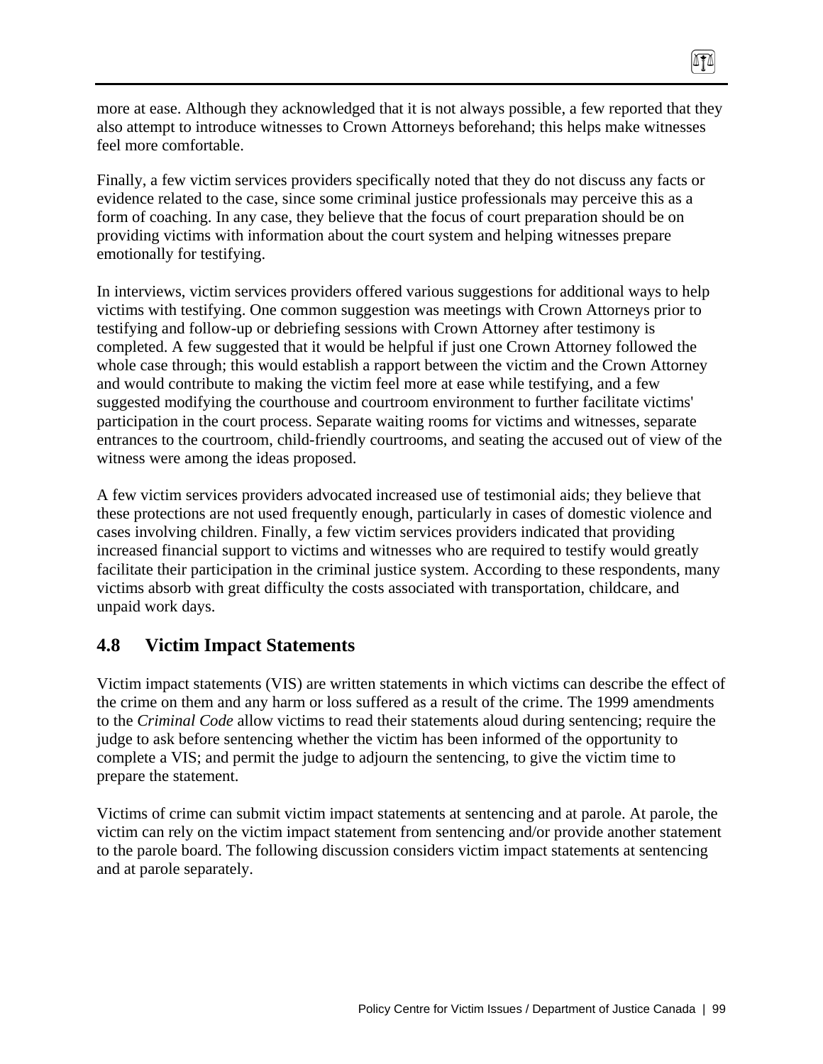more at ease. Although they acknowledged that it is not always possible, a few reported that they also attempt to introduce witnesses to Crown Attorneys beforehand; this helps make witnesses feel more comfortable.

ITI

Finally, a few victim services providers specifically noted that they do not discuss any facts or evidence related to the case, since some criminal justice professionals may perceive this as a form of coaching. In any case, they believe that the focus of court preparation should be on providing victims with information about the court system and helping witnesses prepare emotionally for testifying.

In interviews, victim services providers offered various suggestions for additional ways to help victims with testifying. One common suggestion was meetings with Crown Attorneys prior to testifying and follow-up or debriefing sessions with Crown Attorney after testimony is completed. A few suggested that it would be helpful if just one Crown Attorney followed the whole case through; this would establish a rapport between the victim and the Crown Attorney and would contribute to making the victim feel more at ease while testifying, and a few suggested modifying the courthouse and courtroom environment to further facilitate victims' participation in the court process. Separate waiting rooms for victims and witnesses, separate entrances to the courtroom, child-friendly courtrooms, and seating the accused out of view of the witness were among the ideas proposed.

A few victim services providers advocated increased use of testimonial aids; they believe that these protections are not used frequently enough, particularly in cases of domestic violence and cases involving children. Finally, a few victim services providers indicated that providing increased financial support to victims and witnesses who are required to testify would greatly facilitate their participation in the criminal justice system. According to these respondents, many victims absorb with great difficulty the costs associated with transportation, childcare, and unpaid work days.

# **4.8 Victim Impact Statements**

Victim impact statements (VIS) are written statements in which victims can describe the effect of the crime on them and any harm or loss suffered as a result of the crime. The 1999 amendments to the *Criminal Code* allow victims to read their statements aloud during sentencing; require the judge to ask before sentencing whether the victim has been informed of the opportunity to complete a VIS; and permit the judge to adjourn the sentencing, to give the victim time to prepare the statement.

Victims of crime can submit victim impact statements at sentencing and at parole. At parole, the victim can rely on the victim impact statement from sentencing and/or provide another statement to the parole board. The following discussion considers victim impact statements at sentencing and at parole separately.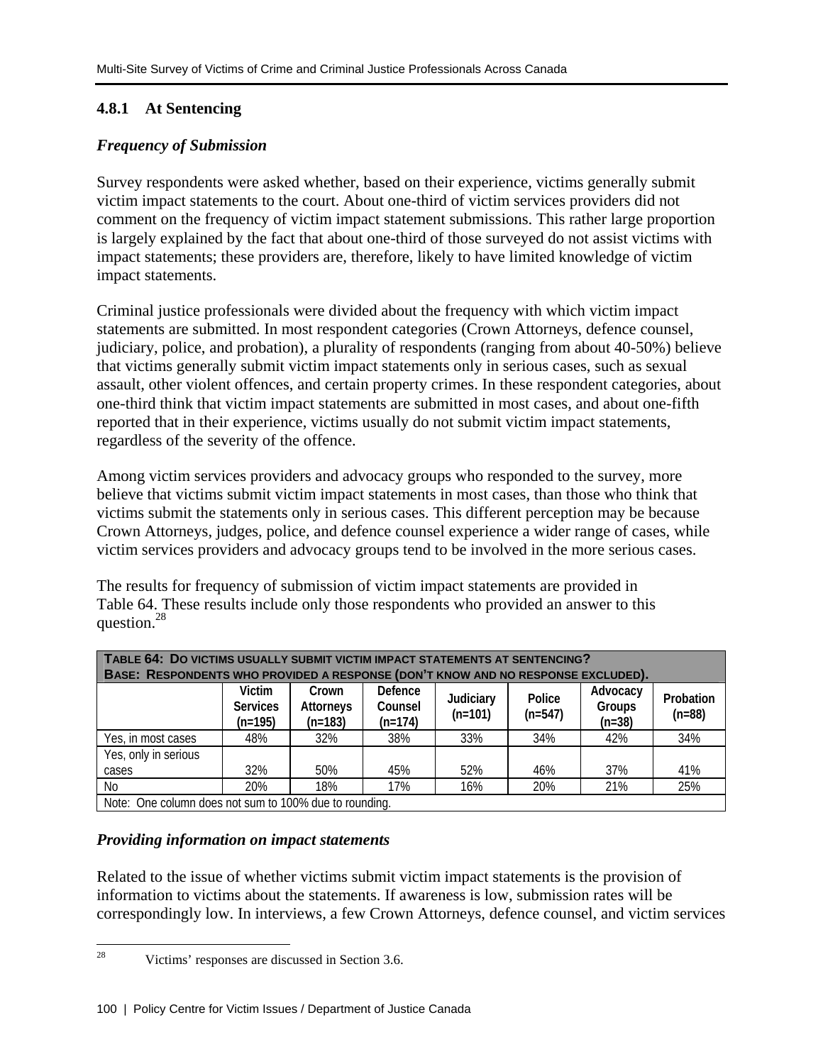## **4.8.1 At Sentencing**

## *Frequency of Submission*

Survey respondents were asked whether, based on their experience, victims generally submit victim impact statements to the court. About one-third of victim services providers did not comment on the frequency of victim impact statement submissions. This rather large proportion is largely explained by the fact that about one-third of those surveyed do not assist victims with impact statements; these providers are, therefore, likely to have limited knowledge of victim impact statements.

Criminal justice professionals were divided about the frequency with which victim impact statements are submitted. In most respondent categories (Crown Attorneys, defence counsel, judiciary, police, and probation), a plurality of respondents (ranging from about 40-50%) believe that victims generally submit victim impact statements only in serious cases, such as sexual assault, other violent offences, and certain property crimes. In these respondent categories, about one-third think that victim impact statements are submitted in most cases, and about one-fifth reported that in their experience, victims usually do not submit victim impact statements, regardless of the severity of the offence.

Among victim services providers and advocacy groups who responded to the survey, more believe that victims submit victim impact statements in most cases, than those who think that victims submit the statements only in serious cases. This different perception may be because Crown Attorneys, judges, police, and defence counsel experience a wider range of cases, while victim services providers and advocacy groups tend to be involved in the more serious cases.

The results for frequency of submission of victim impact statements are provided in Table 64. These results include only those respondents who provided an answer to this question.28

| TABLE 64: DO VICTIMS USUALLY SUBMIT VICTIM IMPACT STATEMENTS AT SENTENCING?<br>BASE: RESPONDENTS WHO PROVIDED A RESPONSE (DON'T KNOW AND NO RESPONSE EXCLUDED). |                                                        |                                 |                                 |                        |                     |                                |                       |
|-----------------------------------------------------------------------------------------------------------------------------------------------------------------|--------------------------------------------------------|---------------------------------|---------------------------------|------------------------|---------------------|--------------------------------|-----------------------|
|                                                                                                                                                                 | Victim<br><b>Services</b><br>$(n=195)$                 | Crown<br>Attorneys<br>$(n=183)$ | Defence<br>Counsel<br>$(n=174)$ | Judiciary<br>$(n=101)$ | Police<br>$(n=547)$ | Advocacy<br>Groups<br>$(n=38)$ | Probation<br>$(n=88)$ |
| Yes, in most cases                                                                                                                                              | 48%                                                    | 32%                             | 38%                             | 33%                    | 34%                 | 42%                            | 34%                   |
| Yes, only in serious                                                                                                                                            |                                                        |                                 |                                 |                        |                     |                                |                       |
| cases                                                                                                                                                           | 32%                                                    | 50%                             | 45%                             | 52%                    | 46%                 | 37%                            | 41%                   |
| <b>No</b>                                                                                                                                                       | 20%                                                    | 18%                             | 17%                             | 16%                    | 20%                 | 21%                            | 25%                   |
|                                                                                                                                                                 | Note: One column does not sum to 100% due to rounding. |                                 |                                 |                        |                     |                                |                       |

#### *Providing information on impact statements*

Related to the issue of whether victims submit victim impact statements is the provision of information to victims about the statements. If awareness is low, submission rates will be correspondingly low. In interviews, a few Crown Attorneys, defence counsel, and victim services

 $\overline{28}$ Victims' responses are discussed in Section 3.6.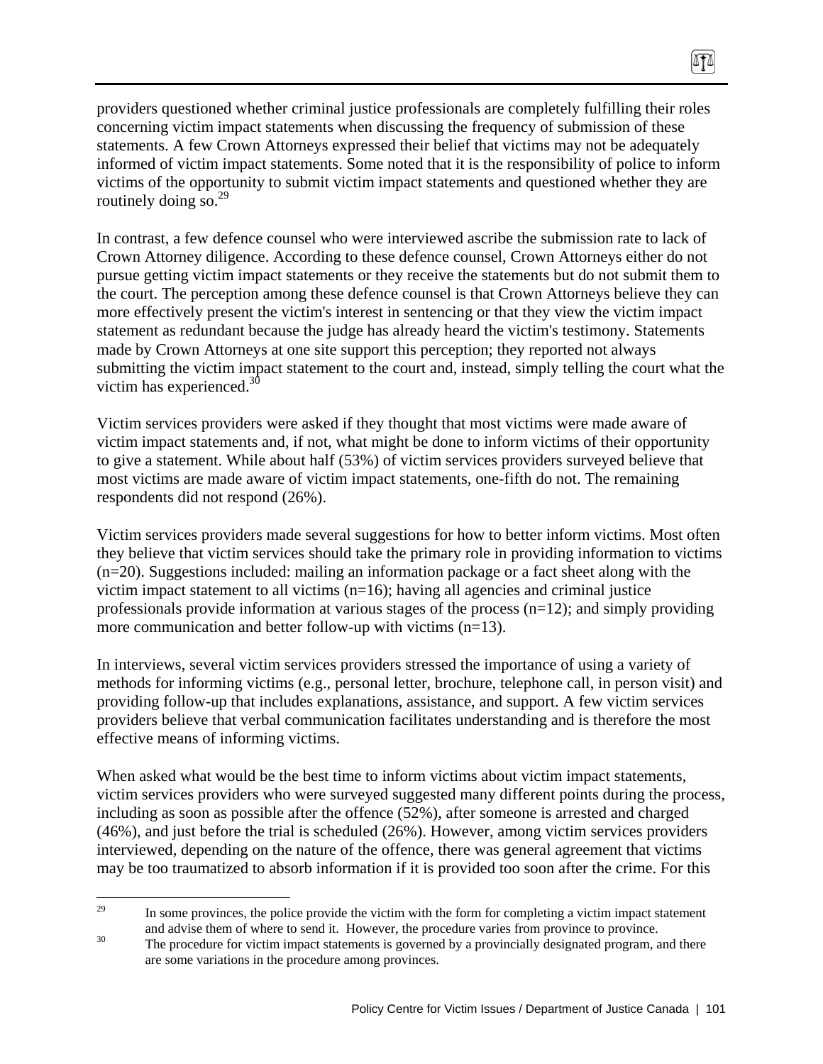providers questioned whether criminal justice professionals are completely fulfilling their roles concerning victim impact statements when discussing the frequency of submission of these statements. A few Crown Attorneys expressed their belief that victims may not be adequately informed of victim impact statements. Some noted that it is the responsibility of police to inform victims of the opportunity to submit victim impact statements and questioned whether they are routinely doing so. $^{29}$ 

ITI

In contrast, a few defence counsel who were interviewed ascribe the submission rate to lack of Crown Attorney diligence. According to these defence counsel, Crown Attorneys either do not pursue getting victim impact statements or they receive the statements but do not submit them to the court. The perception among these defence counsel is that Crown Attorneys believe they can more effectively present the victim's interest in sentencing or that they view the victim impact statement as redundant because the judge has already heard the victim's testimony. Statements made by Crown Attorneys at one site support this perception; they reported not always submitting the victim impact statement to the court and, instead, simply telling the court what the victim has experienced.<sup>30</sup>

Victim services providers were asked if they thought that most victims were made aware of victim impact statements and, if not, what might be done to inform victims of their opportunity to give a statement. While about half (53%) of victim services providers surveyed believe that most victims are made aware of victim impact statements, one-fifth do not. The remaining respondents did not respond (26%).

Victim services providers made several suggestions for how to better inform victims. Most often they believe that victim services should take the primary role in providing information to victims (n=20). Suggestions included: mailing an information package or a fact sheet along with the victim impact statement to all victims (n=16); having all agencies and criminal justice professionals provide information at various stages of the process (n=12); and simply providing more communication and better follow-up with victims (n=13).

In interviews, several victim services providers stressed the importance of using a variety of methods for informing victims (e.g., personal letter, brochure, telephone call, in person visit) and providing follow-up that includes explanations, assistance, and support. A few victim services providers believe that verbal communication facilitates understanding and is therefore the most effective means of informing victims.

When asked what would be the best time to inform victims about victim impact statements, victim services providers who were surveyed suggested many different points during the process, including as soon as possible after the offence (52%), after someone is arrested and charged (46%), and just before the trial is scheduled (26%). However, among victim services providers interviewed, depending on the nature of the offence, there was general agreement that victims may be too traumatized to absorb information if it is provided too soon after the crime. For this

<sup>29</sup> 29 In some provinces, the police provide the victim with the form for completing a victim impact statement and advise them of where to send it. However, the procedure varies from province to province.<br>The procedure for victim impact statements is governed by a provincially designated program, and there

are some variations in the procedure among provinces.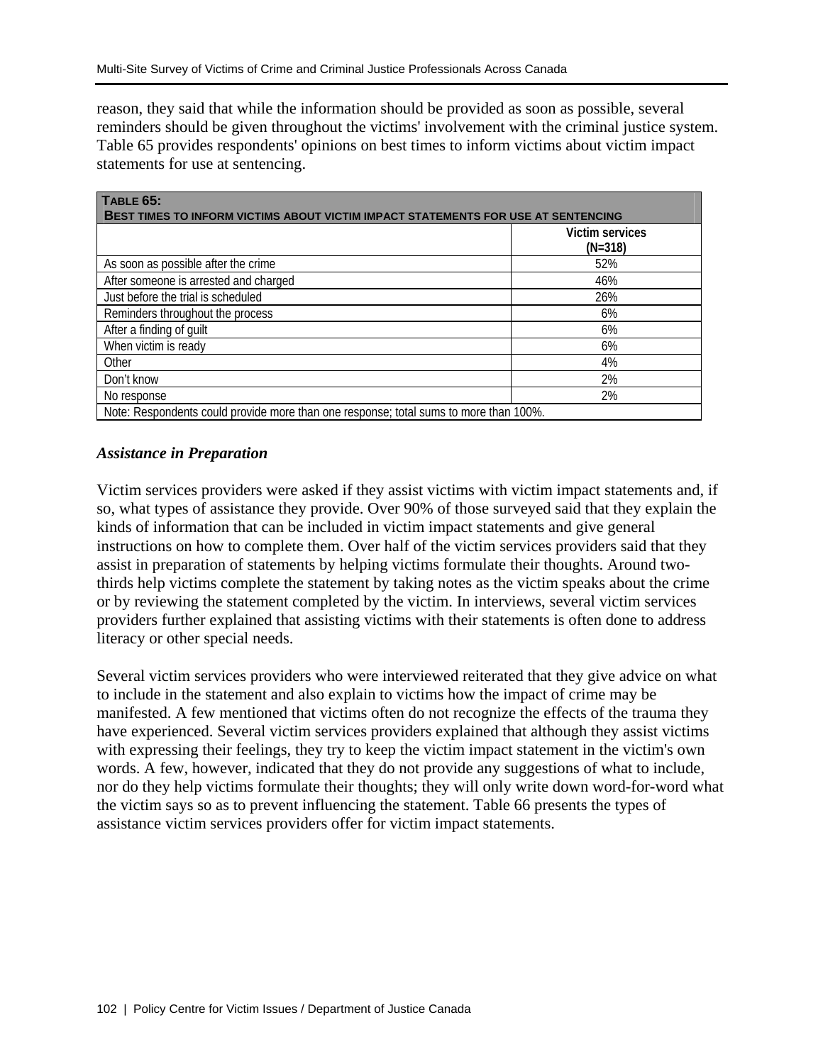reason, they said that while the information should be provided as soon as possible, several reminders should be given throughout the victims' involvement with the criminal justice system. Table 65 provides respondents' opinions on best times to inform victims about victim impact statements for use at sentencing.

| TABLE 65:<br><b>BEST TIMES TO INFORM VICTIMS ABOUT VICTIM IMPACT STATEMENTS FOR USE AT SENTENCING</b> |                                     |  |  |
|-------------------------------------------------------------------------------------------------------|-------------------------------------|--|--|
|                                                                                                       | <b>Victim services</b><br>$(N=318)$ |  |  |
| As soon as possible after the crime                                                                   | 52%                                 |  |  |
| After someone is arrested and charged                                                                 | 46%                                 |  |  |
| Just before the trial is scheduled                                                                    | 26%                                 |  |  |
| Reminders throughout the process                                                                      | 6%                                  |  |  |
| After a finding of guilt                                                                              | 6%                                  |  |  |
| When victim is ready                                                                                  | 6%                                  |  |  |
| Other                                                                                                 | 4%                                  |  |  |
| Don't know                                                                                            | 2%                                  |  |  |
| No response                                                                                           | 2%                                  |  |  |
| Note: Respondents could provide more than one response; total sums to more than 100%.                 |                                     |  |  |

#### *Assistance in Preparation*

Victim services providers were asked if they assist victims with victim impact statements and, if so, what types of assistance they provide. Over 90% of those surveyed said that they explain the kinds of information that can be included in victim impact statements and give general instructions on how to complete them. Over half of the victim services providers said that they assist in preparation of statements by helping victims formulate their thoughts. Around twothirds help victims complete the statement by taking notes as the victim speaks about the crime or by reviewing the statement completed by the victim. In interviews, several victim services providers further explained that assisting victims with their statements is often done to address literacy or other special needs.

Several victim services providers who were interviewed reiterated that they give advice on what to include in the statement and also explain to victims how the impact of crime may be manifested. A few mentioned that victims often do not recognize the effects of the trauma they have experienced. Several victim services providers explained that although they assist victims with expressing their feelings, they try to keep the victim impact statement in the victim's own words. A few, however, indicated that they do not provide any suggestions of what to include, nor do they help victims formulate their thoughts; they will only write down word-for-word what the victim says so as to prevent influencing the statement. Table 66 presents the types of assistance victim services providers offer for victim impact statements.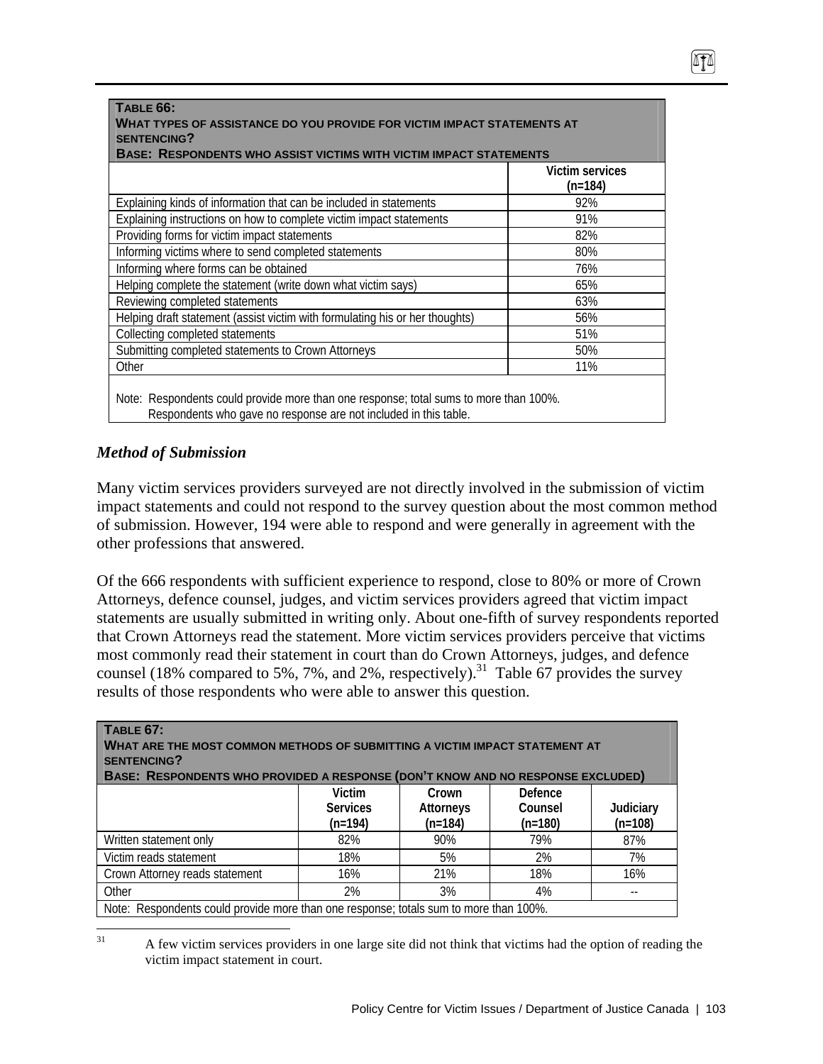| TABLE 66:<br>WHAT TYPES OF ASSISTANCE DO YOU PROVIDE FOR VICTIM IMPACT STATEMENTS AT<br><b>SENTENCING?</b><br><b>BASE: RESPONDENTS WHO ASSIST VICTIMS WITH VICTIM IMPACT STATEMENTS</b> |                              |  |  |  |
|-----------------------------------------------------------------------------------------------------------------------------------------------------------------------------------------|------------------------------|--|--|--|
|                                                                                                                                                                                         | Victim services<br>$(n=184)$ |  |  |  |
| Explaining kinds of information that can be included in statements                                                                                                                      | 92%                          |  |  |  |
| Explaining instructions on how to complete victim impact statements                                                                                                                     | 91%                          |  |  |  |
| Providing forms for victim impact statements                                                                                                                                            | 82%                          |  |  |  |
| Informing victims where to send completed statements                                                                                                                                    | 80%                          |  |  |  |
| Informing where forms can be obtained                                                                                                                                                   | 76%                          |  |  |  |
| Helping complete the statement (write down what victim says)                                                                                                                            | 65%                          |  |  |  |
| Reviewing completed statements                                                                                                                                                          | 63%                          |  |  |  |
| Helping draft statement (assist victim with formulating his or her thoughts)                                                                                                            | 56%                          |  |  |  |
| Collecting completed statements                                                                                                                                                         | 51%                          |  |  |  |
| Submitting completed statements to Crown Attorneys                                                                                                                                      | 50%                          |  |  |  |
| Other                                                                                                                                                                                   | 11%                          |  |  |  |
| Note: Respondents could provide more than one response; total sums to more than 100%.<br>Respondents who gave no response are not included in this table.                               |                              |  |  |  |

#### *Method of Submission*

Many victim services providers surveyed are not directly involved in the submission of victim impact statements and could not respond to the survey question about the most common method of submission. However, 194 were able to respond and were generally in agreement with the other professions that answered.

Of the 666 respondents with sufficient experience to respond, close to 80% or more of Crown Attorneys, defence counsel, judges, and victim services providers agreed that victim impact statements are usually submitted in writing only. About one-fifth of survey respondents reported that Crown Attorneys read the statement. More victim services providers perceive that victims most commonly read their statement in court than do Crown Attorneys, judges, and defence counsel (18% compared to 5%, 7%, and 2%, respectively).<sup>31</sup> Table 67 provides the survey results of those respondents who were able to answer this question.

| TABLE 67:<br>$\mid$ What are the most common methods of submitting a victim impact statement at<br><b>SENTENCING?</b><br>BASE: RESPONDENTS WHO PROVIDED A RESPONSE (DON'T KNOW AND NO RESPONSE EXCLUDED) |                                        |                                        |                                 |                        |  |
|----------------------------------------------------------------------------------------------------------------------------------------------------------------------------------------------------------|----------------------------------------|----------------------------------------|---------------------------------|------------------------|--|
|                                                                                                                                                                                                          | Victim<br><b>Services</b><br>$(n=194)$ | Crown<br><b>Attorneys</b><br>$(n=184)$ | Defence<br>Counsel<br>$(n=180)$ | Judiciary<br>$(n=108)$ |  |
| Written statement only                                                                                                                                                                                   | 82%                                    | 90%                                    | 79%                             | 87%                    |  |
| Victim reads statement                                                                                                                                                                                   | 18%                                    | 5%                                     | 2%                              | 7%                     |  |
| Crown Attorney reads statement                                                                                                                                                                           | 16%                                    | 21%                                    | 18%                             | 16%                    |  |
| Other                                                                                                                                                                                                    | 2%                                     | 3%                                     | 4%                              |                        |  |
| Note: Respondents could provide more than one response; totals sum to more than 100%.                                                                                                                    |                                        |                                        |                                 |                        |  |

 $31\,$ 31 A few victim services providers in one large site did not think that victims had the option of reading the victim impact statement in court.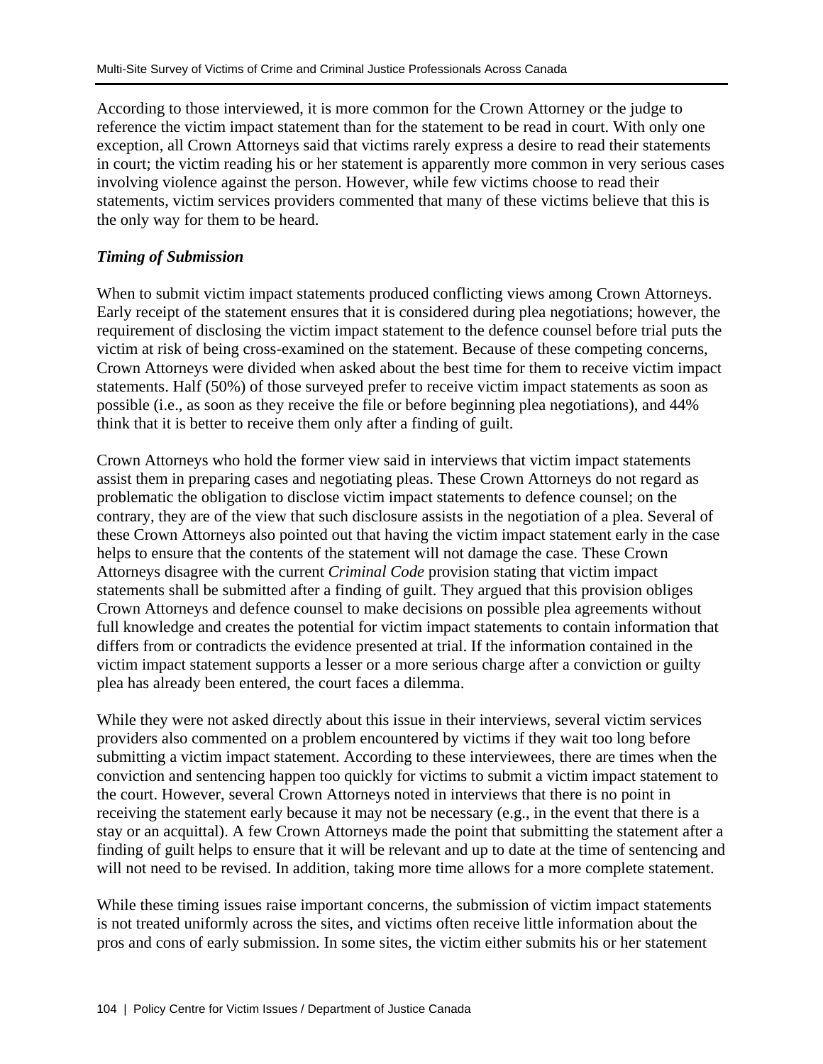According to those interviewed, it is more common for the Crown Attorney or the judge to reference the victim impact statement than for the statement to be read in court. With only one exception, all Crown Attorneys said that victims rarely express a desire to read their statements in court; the victim reading his or her statement is apparently more common in very serious cases involving violence against the person. However, while few victims choose to read their statements, victim services providers commented that many of these victims believe that this is the only way for them to be heard.

#### *Timing of Submission*

When to submit victim impact statements produced conflicting views among Crown Attorneys. Early receipt of the statement ensures that it is considered during plea negotiations; however, the requirement of disclosing the victim impact statement to the defence counsel before trial puts the victim at risk of being cross-examined on the statement. Because of these competing concerns, Crown Attorneys were divided when asked about the best time for them to receive victim impact statements. Half (50%) of those surveyed prefer to receive victim impact statements as soon as possible (i.e., as soon as they receive the file or before beginning plea negotiations), and 44% think that it is better to receive them only after a finding of guilt.

Crown Attorneys who hold the former view said in interviews that victim impact statements assist them in preparing cases and negotiating pleas. These Crown Attorneys do not regard as problematic the obligation to disclose victim impact statements to defence counsel; on the contrary, they are of the view that such disclosure assists in the negotiation of a plea. Several of these Crown Attorneys also pointed out that having the victim impact statement early in the case helps to ensure that the contents of the statement will not damage the case. These Crown Attorneys disagree with the current *Criminal Code* provision stating that victim impact statements shall be submitted after a finding of guilt. They argued that this provision obliges Crown Attorneys and defence counsel to make decisions on possible plea agreements without full knowledge and creates the potential for victim impact statements to contain information that differs from or contradicts the evidence presented at trial. If the information contained in the victim impact statement supports a lesser or a more serious charge after a conviction or guilty plea has already been entered, the court faces a dilemma.

While they were not asked directly about this issue in their interviews, several victim services providers also commented on a problem encountered by victims if they wait too long before submitting a victim impact statement. According to these interviewees, there are times when the conviction and sentencing happen too quickly for victims to submit a victim impact statement to the court. However, several Crown Attorneys noted in interviews that there is no point in receiving the statement early because it may not be necessary (e.g., in the event that there is a stay or an acquittal). A few Crown Attorneys made the point that submitting the statement after a finding of guilt helps to ensure that it will be relevant and up to date at the time of sentencing and will not need to be revised. In addition, taking more time allows for a more complete statement.

While these timing issues raise important concerns, the submission of victim impact statements is not treated uniformly across the sites, and victims often receive little information about the pros and cons of early submission. In some sites, the victim either submits his or her statement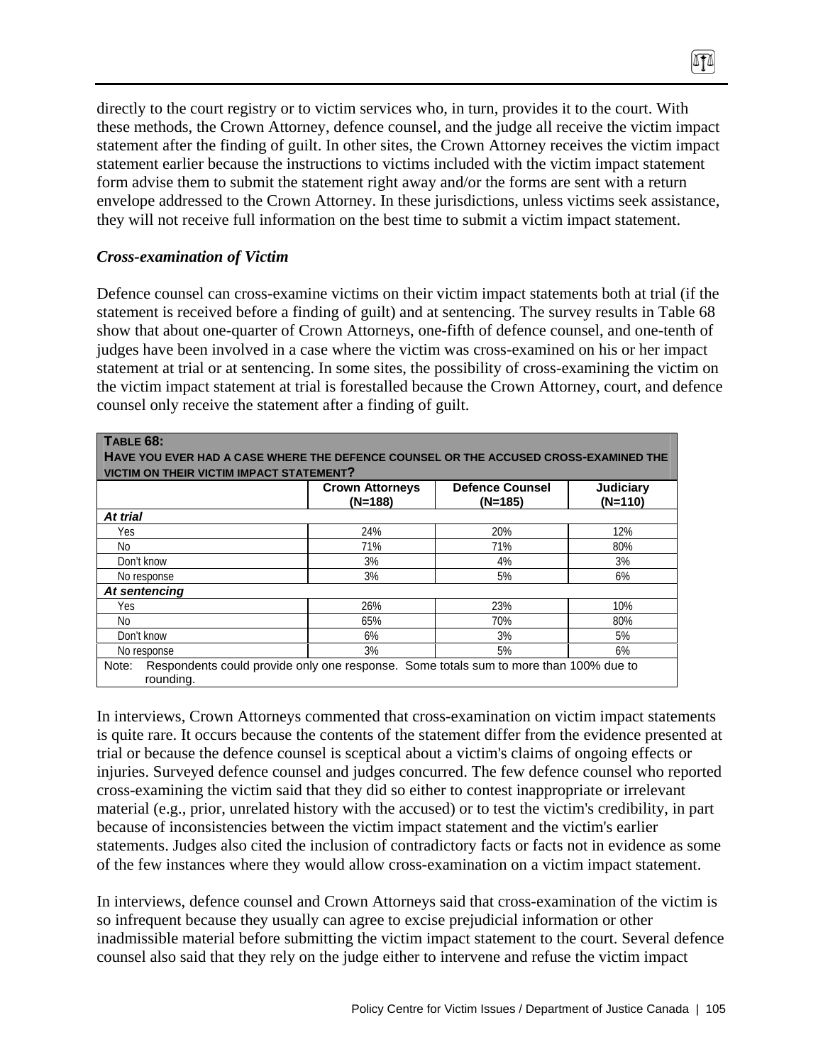directly to the court registry or to victim services who, in turn, provides it to the court. With these methods, the Crown Attorney, defence counsel, and the judge all receive the victim impact statement after the finding of guilt. In other sites, the Crown Attorney receives the victim impact statement earlier because the instructions to victims included with the victim impact statement form advise them to submit the statement right away and/or the forms are sent with a return envelope addressed to the Crown Attorney. In these jurisdictions, unless victims seek assistance, they will not receive full information on the best time to submit a victim impact statement.

 $\sqrt{10}$ 

#### *Cross-examination of Victim*

Defence counsel can cross-examine victims on their victim impact statements both at trial (if the statement is received before a finding of guilt) and at sentencing. The survey results in Table 68 show that about one-quarter of Crown Attorneys, one-fifth of defence counsel, and one-tenth of judges have been involved in a case where the victim was cross-examined on his or her impact statement at trial or at sentencing. In some sites, the possibility of cross-examining the victim on the victim impact statement at trial is forestalled because the Crown Attorney, court, and defence counsel only receive the statement after a finding of guilt.

| TABLE 68:<br>HAVE YOU EVER HAD A CASE WHERE THE DEFENCE COUNSEL OR THE ACCUSED CROSS-EXAMINED THE<br><b>VICTIM ON THEIR VICTIM IMPACT STATEMENT?</b> |                                   |                                     |                        |  |
|------------------------------------------------------------------------------------------------------------------------------------------------------|-----------------------------------|-------------------------------------|------------------------|--|
|                                                                                                                                                      | <b>Crown Attorneys</b><br>(N=188) | <b>Defence Counsel</b><br>$(N=185)$ | Judiciary<br>$(N=110)$ |  |
| At trial                                                                                                                                             |                                   |                                     |                        |  |
| Yes                                                                                                                                                  | 24%                               | 20%                                 | 12%                    |  |
| No.                                                                                                                                                  | 71%                               | 71%                                 | 80%                    |  |
| Don't know                                                                                                                                           | 3%                                | 4%                                  | 3%                     |  |
| No response                                                                                                                                          | 3%                                | 5%                                  | 6%                     |  |
| At sentencing                                                                                                                                        |                                   |                                     |                        |  |
| Yes                                                                                                                                                  | 26%                               | 23%                                 | 10%                    |  |
| No.                                                                                                                                                  | 65%                               | 70%                                 | 80%                    |  |
| Don't know                                                                                                                                           | 6%                                | 3%                                  | 5%                     |  |
| No response                                                                                                                                          | 3%                                | 5%                                  | 6%                     |  |

In interviews, Crown Attorneys commented that cross-examination on victim impact statements is quite rare. It occurs because the contents of the statement differ from the evidence presented at trial or because the defence counsel is sceptical about a victim's claims of ongoing effects or injuries. Surveyed defence counsel and judges concurred. The few defence counsel who reported cross-examining the victim said that they did so either to contest inappropriate or irrelevant material (e.g., prior, unrelated history with the accused) or to test the victim's credibility, in part because of inconsistencies between the victim impact statement and the victim's earlier statements. Judges also cited the inclusion of contradictory facts or facts not in evidence as some of the few instances where they would allow cross-examination on a victim impact statement.

In interviews, defence counsel and Crown Attorneys said that cross-examination of the victim is so infrequent because they usually can agree to excise prejudicial information or other inadmissible material before submitting the victim impact statement to the court. Several defence counsel also said that they rely on the judge either to intervene and refuse the victim impact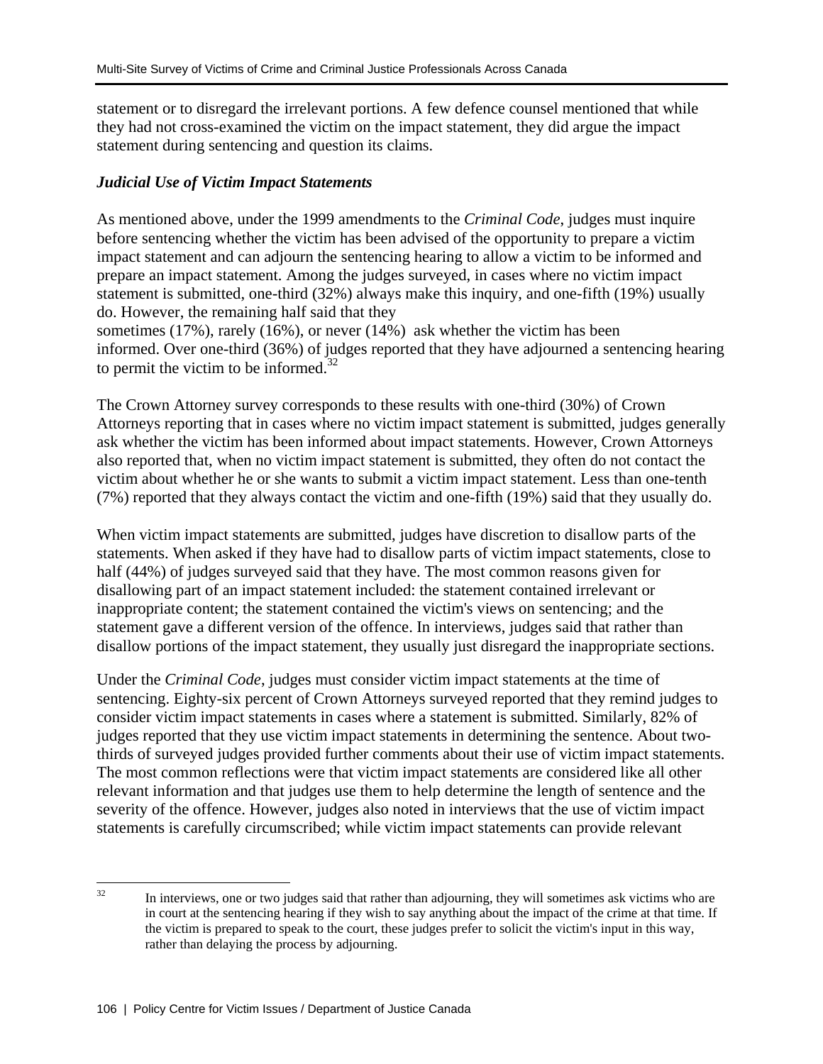statement or to disregard the irrelevant portions. A few defence counsel mentioned that while they had not cross-examined the victim on the impact statement, they did argue the impact statement during sentencing and question its claims.

#### *Judicial Use of Victim Impact Statements*

As mentioned above, under the 1999 amendments to the *Criminal Code*, judges must inquire before sentencing whether the victim has been advised of the opportunity to prepare a victim impact statement and can adjourn the sentencing hearing to allow a victim to be informed and prepare an impact statement. Among the judges surveyed, in cases where no victim impact statement is submitted, one-third (32%) always make this inquiry, and one-fifth (19%) usually do. However, the remaining half said that they

sometimes (17%), rarely (16%), or never (14%) ask whether the victim has been informed. Over one-third (36%) of judges reported that they have adjourned a sentencing hearing to permit the victim to be informed. $32$ 

The Crown Attorney survey corresponds to these results with one-third (30%) of Crown Attorneys reporting that in cases where no victim impact statement is submitted, judges generally ask whether the victim has been informed about impact statements. However, Crown Attorneys also reported that, when no victim impact statement is submitted, they often do not contact the victim about whether he or she wants to submit a victim impact statement. Less than one-tenth (7%) reported that they always contact the victim and one-fifth (19%) said that they usually do.

When victim impact statements are submitted, judges have discretion to disallow parts of the statements. When asked if they have had to disallow parts of victim impact statements, close to half (44%) of judges surveyed said that they have. The most common reasons given for disallowing part of an impact statement included: the statement contained irrelevant or inappropriate content; the statement contained the victim's views on sentencing; and the statement gave a different version of the offence. In interviews, judges said that rather than disallow portions of the impact statement, they usually just disregard the inappropriate sections.

Under the *Criminal Code*, judges must consider victim impact statements at the time of sentencing. Eighty-six percent of Crown Attorneys surveyed reported that they remind judges to consider victim impact statements in cases where a statement is submitted. Similarly, 82% of judges reported that they use victim impact statements in determining the sentence. About twothirds of surveyed judges provided further comments about their use of victim impact statements. The most common reflections were that victim impact statements are considered like all other relevant information and that judges use them to help determine the length of sentence and the severity of the offence. However, judges also noted in interviews that the use of victim impact statements is carefully circumscribed; while victim impact statements can provide relevant

 $32$ In interviews, one or two judges said that rather than adjourning, they will sometimes ask victims who are in court at the sentencing hearing if they wish to say anything about the impact of the crime at that time. If the victim is prepared to speak to the court, these judges prefer to solicit the victim's input in this way, rather than delaying the process by adjourning.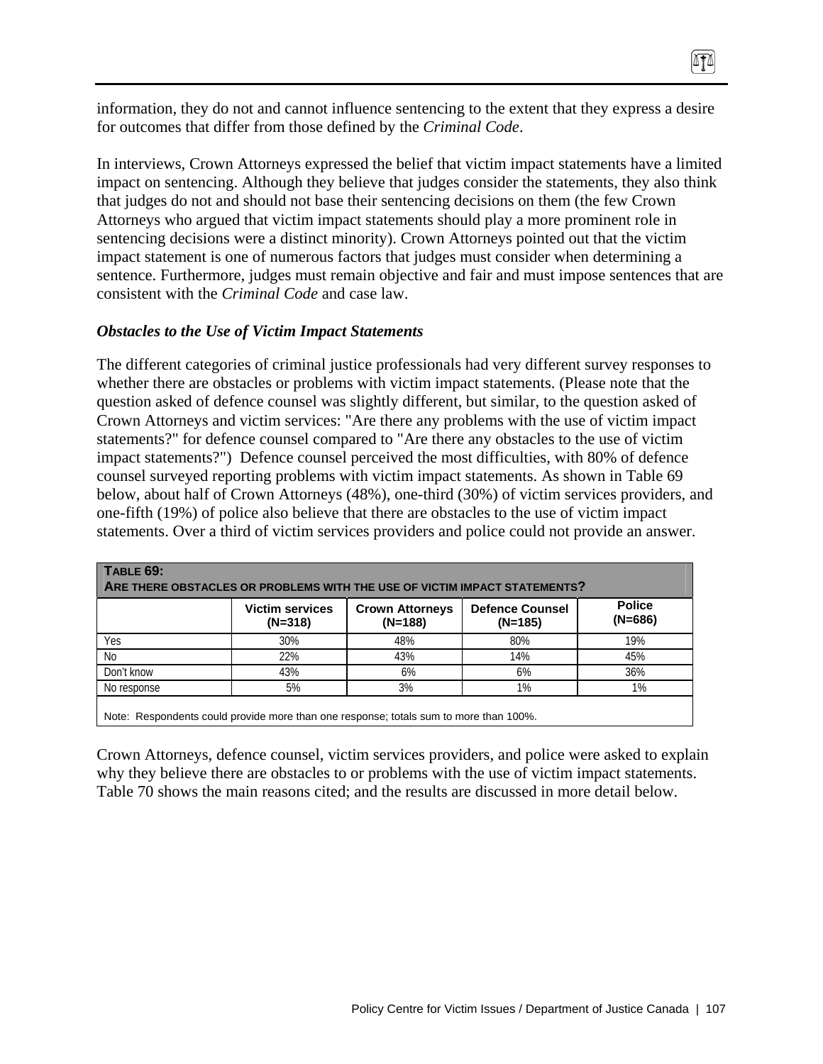information, they do not and cannot influence sentencing to the extent that they express a desire for outcomes that differ from those defined by the *Criminal Code*.

0TA

In interviews, Crown Attorneys expressed the belief that victim impact statements have a limited impact on sentencing. Although they believe that judges consider the statements, they also think that judges do not and should not base their sentencing decisions on them (the few Crown Attorneys who argued that victim impact statements should play a more prominent role in sentencing decisions were a distinct minority). Crown Attorneys pointed out that the victim impact statement is one of numerous factors that judges must consider when determining a sentence. Furthermore, judges must remain objective and fair and must impose sentences that are consistent with the *Criminal Code* and case law.

#### *Obstacles to the Use of Victim Impact Statements*

The different categories of criminal justice professionals had very different survey responses to whether there are obstacles or problems with victim impact statements. (Please note that the question asked of defence counsel was slightly different, but similar, to the question asked of Crown Attorneys and victim services: "Are there any problems with the use of victim impact statements?" for defence counsel compared to "Are there any obstacles to the use of victim impact statements?") Defence counsel perceived the most difficulties, with 80% of defence counsel surveyed reporting problems with victim impact statements. As shown in Table 69 below, about half of Crown Attorneys (48%), one-third (30%) of victim services providers, and one-fifth (19%) of police also believe that there are obstacles to the use of victim impact statements. Over a third of victim services providers and police could not provide an answer.

| <b>TABLE 69:</b><br>ARE THERE OBSTACLES OR PROBLEMS WITH THE USE OF VICTIM IMPACT STATEMENTS? |                                     |                                     |                                   |                            |  |
|-----------------------------------------------------------------------------------------------|-------------------------------------|-------------------------------------|-----------------------------------|----------------------------|--|
|                                                                                               | <b>Victim services</b><br>$(N=318)$ | <b>Crown Attorneys</b><br>$(N=188)$ | <b>Defence Counsel</b><br>(N=185) | <b>Police</b><br>$(N=686)$ |  |
| Yes                                                                                           | 30%                                 | 48%                                 | 80%                               | 19%                        |  |
| N <sub>0</sub>                                                                                | 22%                                 | 43%                                 | 14%                               | 45%                        |  |
| Don't know                                                                                    | 43%                                 | 6%                                  | 6%                                | 36%                        |  |
| No response                                                                                   | 5%                                  | 3%                                  | 1%                                | 1%                         |  |

Crown Attorneys, defence counsel, victim services providers, and police were asked to explain why they believe there are obstacles to or problems with the use of victim impact statements. Table 70 shows the main reasons cited; and the results are discussed in more detail below.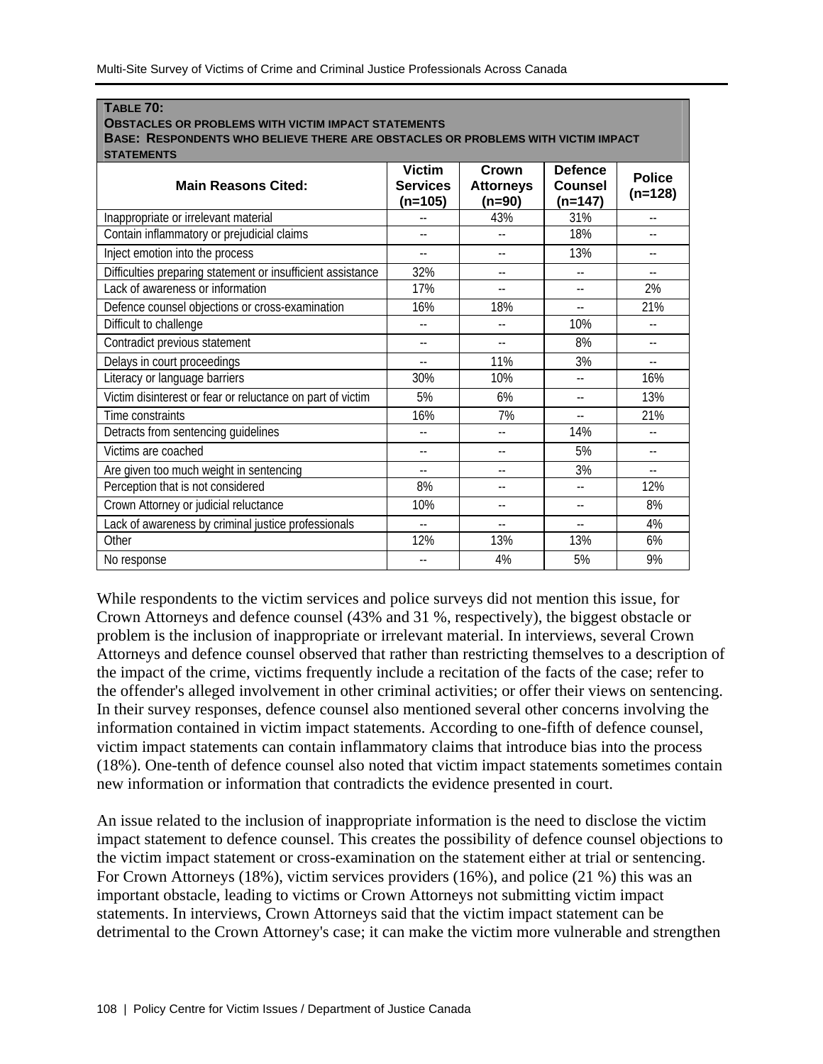**TABLE 70:** 

| <b>OBSTACLES OR PROBLEMS WITH VICTIM IMPACT STATEMENTS</b><br>BASE: RESPONDENTS WHO BELIEVE THERE ARE OBSTACLES OR PROBLEMS WITH VICTIM IMPACT |                                  |                            |                           |               |  |
|------------------------------------------------------------------------------------------------------------------------------------------------|----------------------------------|----------------------------|---------------------------|---------------|--|
| <b>STATEMENTS</b><br><b>Main Reasons Cited:</b>                                                                                                | <b>Victim</b><br><b>Services</b> | Crown<br><b>Attorneys</b>  | <b>Defence</b><br>Counsel | <b>Police</b> |  |
|                                                                                                                                                | (n=105)                          | (n=90)                     | (n=147)                   | $(n=128)$     |  |
| Inappropriate or irrelevant material                                                                                                           |                                  | 43%                        | 31%                       | $-$           |  |
| Contain inflammatory or prejudicial claims                                                                                                     |                                  |                            | 18%                       |               |  |
| Inject emotion into the process                                                                                                                | $\overline{\phantom{a}}$         | $-$                        | 13%                       |               |  |
| Difficulties preparing statement or insufficient assistance                                                                                    | 32%                              | $\sim$                     | $\overline{a}$            |               |  |
| Lack of awareness or information                                                                                                               | 17%                              | $-$                        | $\overline{a}$            | 2%            |  |
| Defence counsel objections or cross-examination                                                                                                | 16%                              | 18%                        | $-$                       | 21%           |  |
| Difficult to challenge                                                                                                                         | $-1$                             | $\overline{\phantom{a}}$ . | 10%                       | $-$           |  |
| Contradict previous statement                                                                                                                  | $-1$                             |                            | 8%                        |               |  |
| Delays in court proceedings                                                                                                                    | $- -$                            | 11%                        | 3%                        |               |  |
| Literacy or language barriers                                                                                                                  | 30%                              | 10%                        | $\overline{a}$            | 16%           |  |
| Victim disinterest or fear or reluctance on part of victim                                                                                     | 5%                               | 6%                         | $\overline{a}$            | 13%           |  |
| Time constraints                                                                                                                               | 16%                              | 7%                         | $-$                       | 21%           |  |
| Detracts from sentencing guidelines                                                                                                            | $-$                              | $\overline{\phantom{a}}$ . | 14%                       | $-$           |  |
| Victims are coached                                                                                                                            | $\overline{a}$                   | $\overline{\phantom{a}}$   | 5%                        |               |  |
| Are given too much weight in sentencing                                                                                                        | $- -$                            | $\overline{a}$             | 3%                        |               |  |
| Perception that is not considered                                                                                                              | 8%                               |                            | $\overline{a}$            | 12%           |  |
| Crown Attorney or judicial reluctance                                                                                                          | 10%                              | $-$                        | $-$                       | 8%            |  |
| Lack of awareness by criminal justice professionals                                                                                            | $\overline{a}$                   | $-$                        | $-$                       | 4%            |  |
| Other                                                                                                                                          | 12%                              | 13%                        | 13%                       | 6%            |  |
| No response                                                                                                                                    | $\overline{\phantom{a}}$ .       | 4%                         | 5%                        | 9%            |  |

While respondents to the victim services and police surveys did not mention this issue, for Crown Attorneys and defence counsel (43% and 31 %, respectively), the biggest obstacle or problem is the inclusion of inappropriate or irrelevant material. In interviews, several Crown Attorneys and defence counsel observed that rather than restricting themselves to a description of the impact of the crime, victims frequently include a recitation of the facts of the case; refer to the offender's alleged involvement in other criminal activities; or offer their views on sentencing. In their survey responses, defence counsel also mentioned several other concerns involving the information contained in victim impact statements. According to one-fifth of defence counsel, victim impact statements can contain inflammatory claims that introduce bias into the process (18%). One-tenth of defence counsel also noted that victim impact statements sometimes contain new information or information that contradicts the evidence presented in court.

An issue related to the inclusion of inappropriate information is the need to disclose the victim impact statement to defence counsel. This creates the possibility of defence counsel objections to the victim impact statement or cross-examination on the statement either at trial or sentencing. For Crown Attorneys (18%), victim services providers (16%), and police (21 %) this was an important obstacle, leading to victims or Crown Attorneys not submitting victim impact statements. In interviews, Crown Attorneys said that the victim impact statement can be detrimental to the Crown Attorney's case; it can make the victim more vulnerable and strengthen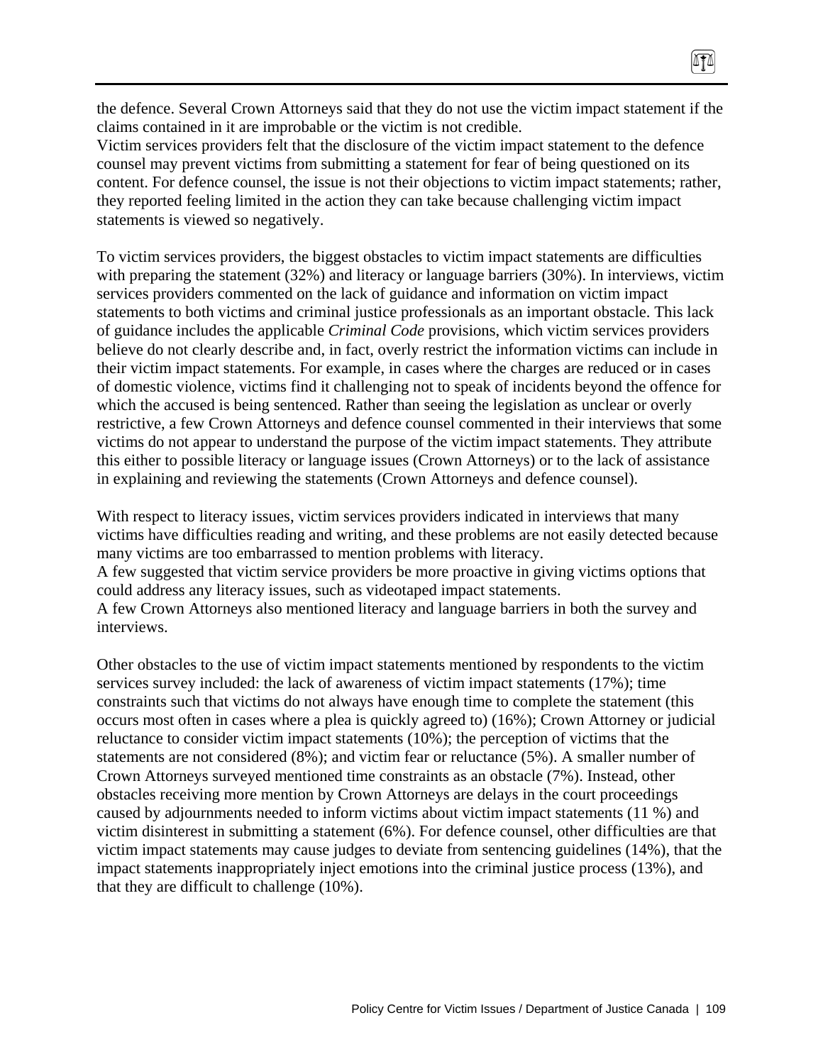the defence. Several Crown Attorneys said that they do not use the victim impact statement if the claims contained in it are improbable or the victim is not credible.

Victim services providers felt that the disclosure of the victim impact statement to the defence counsel may prevent victims from submitting a statement for fear of being questioned on its content. For defence counsel, the issue is not their objections to victim impact statements; rather, they reported feeling limited in the action they can take because challenging victim impact statements is viewed so negatively.

To victim services providers, the biggest obstacles to victim impact statements are difficulties with preparing the statement (32%) and literacy or language barriers (30%). In interviews, victim services providers commented on the lack of guidance and information on victim impact statements to both victims and criminal justice professionals as an important obstacle. This lack of guidance includes the applicable *Criminal Code* provisions, which victim services providers believe do not clearly describe and, in fact, overly restrict the information victims can include in their victim impact statements. For example, in cases where the charges are reduced or in cases of domestic violence, victims find it challenging not to speak of incidents beyond the offence for which the accused is being sentenced. Rather than seeing the legislation as unclear or overly restrictive, a few Crown Attorneys and defence counsel commented in their interviews that some victims do not appear to understand the purpose of the victim impact statements. They attribute this either to possible literacy or language issues (Crown Attorneys) or to the lack of assistance in explaining and reviewing the statements (Crown Attorneys and defence counsel).

With respect to literacy issues, victim services providers indicated in interviews that many victims have difficulties reading and writing, and these problems are not easily detected because many victims are too embarrassed to mention problems with literacy. A few suggested that victim service providers be more proactive in giving victims options that

could address any literacy issues, such as videotaped impact statements.

A few Crown Attorneys also mentioned literacy and language barriers in both the survey and interviews.

Other obstacles to the use of victim impact statements mentioned by respondents to the victim services survey included: the lack of awareness of victim impact statements (17%); time constraints such that victims do not always have enough time to complete the statement (this occurs most often in cases where a plea is quickly agreed to) (16%); Crown Attorney or judicial reluctance to consider victim impact statements (10%); the perception of victims that the statements are not considered (8%); and victim fear or reluctance (5%). A smaller number of Crown Attorneys surveyed mentioned time constraints as an obstacle (7%). Instead, other obstacles receiving more mention by Crown Attorneys are delays in the court proceedings caused by adjournments needed to inform victims about victim impact statements (11 %) and victim disinterest in submitting a statement (6%). For defence counsel, other difficulties are that victim impact statements may cause judges to deviate from sentencing guidelines (14%), that the impact statements inappropriately inject emotions into the criminal justice process (13%), and that they are difficult to challenge (10%).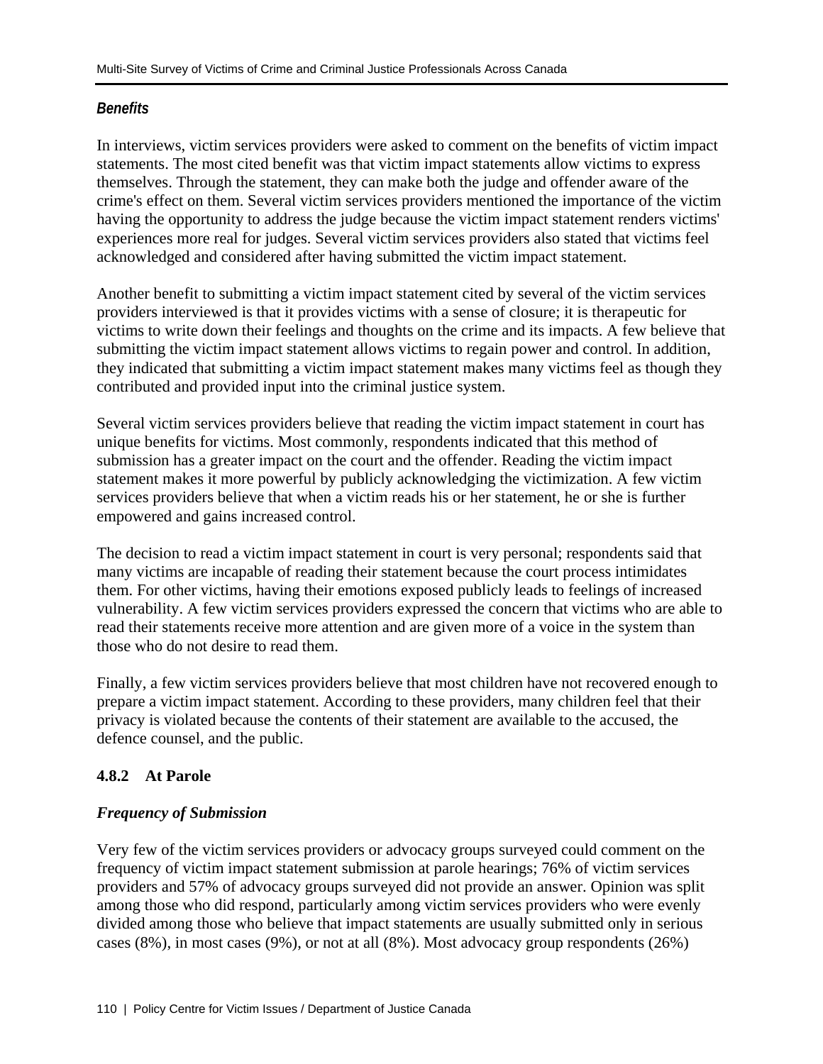## *Benefits*

In interviews, victim services providers were asked to comment on the benefits of victim impact statements. The most cited benefit was that victim impact statements allow victims to express themselves. Through the statement, they can make both the judge and offender aware of the crime's effect on them. Several victim services providers mentioned the importance of the victim having the opportunity to address the judge because the victim impact statement renders victims' experiences more real for judges. Several victim services providers also stated that victims feel acknowledged and considered after having submitted the victim impact statement.

Another benefit to submitting a victim impact statement cited by several of the victim services providers interviewed is that it provides victims with a sense of closure; it is therapeutic for victims to write down their feelings and thoughts on the crime and its impacts. A few believe that submitting the victim impact statement allows victims to regain power and control. In addition, they indicated that submitting a victim impact statement makes many victims feel as though they contributed and provided input into the criminal justice system.

Several victim services providers believe that reading the victim impact statement in court has unique benefits for victims. Most commonly, respondents indicated that this method of submission has a greater impact on the court and the offender. Reading the victim impact statement makes it more powerful by publicly acknowledging the victimization. A few victim services providers believe that when a victim reads his or her statement, he or she is further empowered and gains increased control.

The decision to read a victim impact statement in court is very personal; respondents said that many victims are incapable of reading their statement because the court process intimidates them. For other victims, having their emotions exposed publicly leads to feelings of increased vulnerability. A few victim services providers expressed the concern that victims who are able to read their statements receive more attention and are given more of a voice in the system than those who do not desire to read them.

Finally, a few victim services providers believe that most children have not recovered enough to prepare a victim impact statement. According to these providers, many children feel that their privacy is violated because the contents of their statement are available to the accused, the defence counsel, and the public.

## **4.8.2 At Parole**

## *Frequency of Submission*

Very few of the victim services providers or advocacy groups surveyed could comment on the frequency of victim impact statement submission at parole hearings; 76% of victim services providers and 57% of advocacy groups surveyed did not provide an answer. Opinion was split among those who did respond, particularly among victim services providers who were evenly divided among those who believe that impact statements are usually submitted only in serious cases (8%), in most cases (9%), or not at all (8%). Most advocacy group respondents (26%)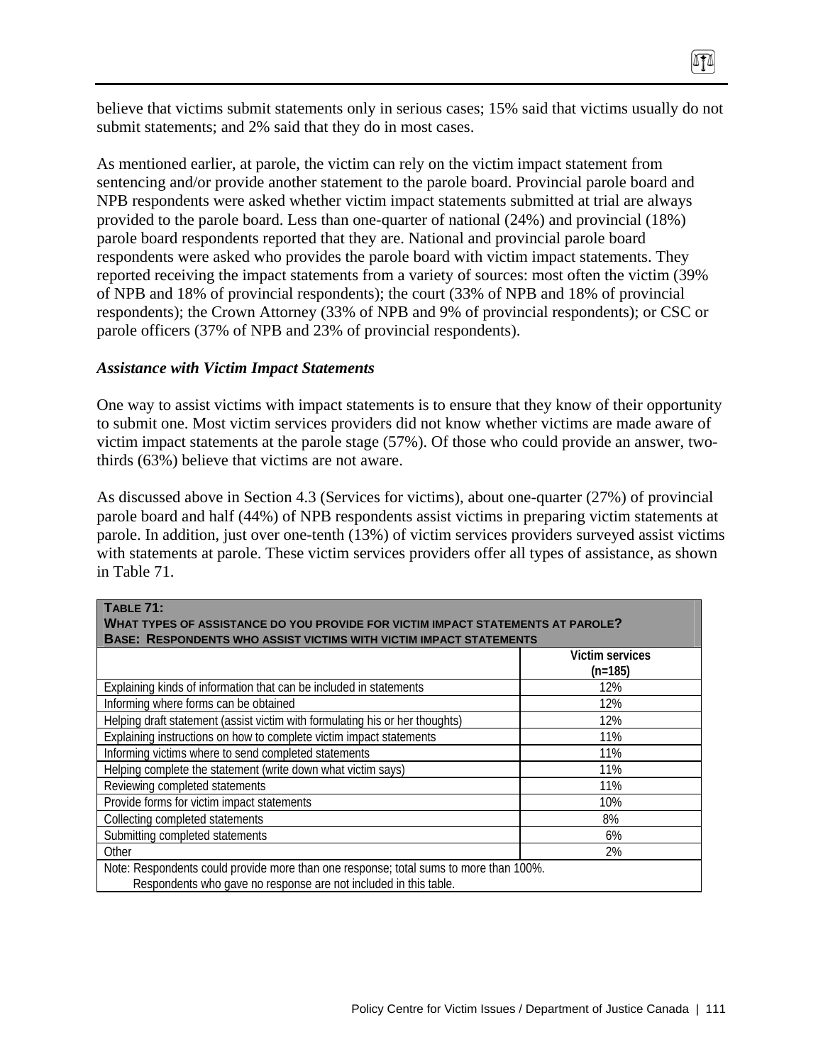believe that victims submit statements only in serious cases; 15% said that victims usually do not submit statements; and 2% said that they do in most cases.

As mentioned earlier, at parole, the victim can rely on the victim impact statement from sentencing and/or provide another statement to the parole board. Provincial parole board and NPB respondents were asked whether victim impact statements submitted at trial are always provided to the parole board. Less than one-quarter of national (24%) and provincial (18%) parole board respondents reported that they are. National and provincial parole board respondents were asked who provides the parole board with victim impact statements. They reported receiving the impact statements from a variety of sources: most often the victim (39% of NPB and 18% of provincial respondents); the court (33% of NPB and 18% of provincial respondents); the Crown Attorney (33% of NPB and 9% of provincial respondents); or CSC or parole officers (37% of NPB and 23% of provincial respondents).

#### *Assistance with Victim Impact Statements*

One way to assist victims with impact statements is to ensure that they know of their opportunity to submit one. Most victim services providers did not know whether victims are made aware of victim impact statements at the parole stage (57%). Of those who could provide an answer, twothirds (63%) believe that victims are not aware.

As discussed above in Section 4.3 (Services for victims), about one-quarter (27%) of provincial parole board and half (44%) of NPB respondents assist victims in preparing victim statements at parole. In addition, just over one-tenth (13%) of victim services providers surveyed assist victims with statements at parole. These victim services providers offer all types of assistance, as shown in Table 71.

| TABLE 71:                                                                             |                 |
|---------------------------------------------------------------------------------------|-----------------|
| WHAT TYPES OF ASSISTANCE DO YOU PROVIDE FOR VICTIM IMPACT STATEMENTS AT PAROLE?       |                 |
| <b>BASE: RESPONDENTS WHO ASSIST VICTIMS WITH VICTIM IMPACT STATEMENTS</b>             |                 |
|                                                                                       | Victim services |
|                                                                                       | $(n=185)$       |
| Explaining kinds of information that can be included in statements                    | 12%             |
| Informing where forms can be obtained                                                 | 12%             |
| Helping draft statement (assist victim with formulating his or her thoughts)          | 12%             |
| Explaining instructions on how to complete victim impact statements                   | 11%             |
| Informing victims where to send completed statements                                  | 11%             |
| Helping complete the statement (write down what victim says)                          | 11%             |
| Reviewing completed statements                                                        | 11%             |
| Provide forms for victim impact statements                                            | 10%             |
| Collecting completed statements                                                       | 8%              |
| Submitting completed statements                                                       | 6%              |
| Other                                                                                 | 2%              |
| Note: Respondents could provide more than one response; total sums to more than 100%. |                 |
| Respondents who gave no response are not included in this table.                      |                 |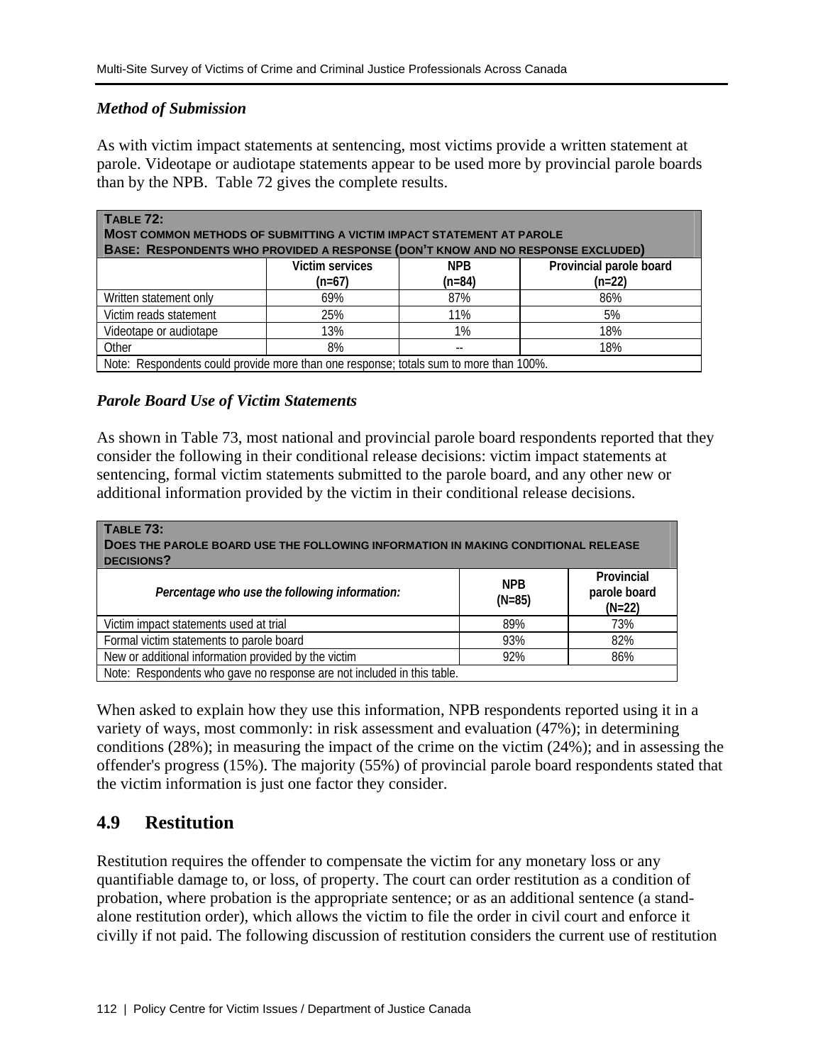#### *Method of Submission*

As with victim impact statements at sentencing, most victims provide a written statement at parole. Videotape or audiotape statements appear to be used more by provincial parole boards than by the NPB. Table 72 gives the complete results.

| TABLE 72:<br>MOST COMMON METHODS OF SUBMITTING A VICTIM IMPACT STATEMENT AT PAROLE    |                 |            |                         |  |  |
|---------------------------------------------------------------------------------------|-----------------|------------|-------------------------|--|--|
| BASE: RESPONDENTS WHO PROVIDED A RESPONSE (DON'T KNOW AND NO RESPONSE EXCLUDED)       |                 |            |                         |  |  |
|                                                                                       | Victim services | <b>NPB</b> | Provincial parole board |  |  |
|                                                                                       | $(n=67)$        | $(n=84)$   | $(n=22)$                |  |  |
| Written statement only                                                                | 69%             | 87%        | 86%                     |  |  |
| Victim reads statement                                                                | 25%             | 11%        | 5%                      |  |  |
| Videotape or audiotape                                                                | 13%             | 1%         | 18%                     |  |  |
| Other                                                                                 | 8%              |            | 18%                     |  |  |
| Note: Respondents could provide more than one response; totals sum to more than 100%. |                 |            |                         |  |  |

#### *Parole Board Use of Victim Statements*

As shown in Table 73, most national and provincial parole board respondents reported that they consider the following in their conditional release decisions: victim impact statements at sentencing, formal victim statements submitted to the parole board, and any other new or additional information provided by the victim in their conditional release decisions.

| TABLE 73:<br>DOES THE PAROLE BOARD USE THE FOLLOWING INFORMATION IN MAKING CONDITIONAL RELEASE<br>DECISIONS? |                        |                                        |  |  |
|--------------------------------------------------------------------------------------------------------------|------------------------|----------------------------------------|--|--|
| Percentage who use the following information:                                                                | <b>NPB</b><br>$(N=85)$ | Provincial<br>parole board<br>$(N=22)$ |  |  |
| Victim impact statements used at trial                                                                       | 89%                    | 73%                                    |  |  |
| Formal victim statements to parole board                                                                     | 93%                    | 82%                                    |  |  |
| New or additional information provided by the victim                                                         | 92%                    | 86%                                    |  |  |
| Note: Respondents who gave no response are not included in this table.                                       |                        |                                        |  |  |

When asked to explain how they use this information, NPB respondents reported using it in a variety of ways, most commonly: in risk assessment and evaluation (47%); in determining conditions (28%); in measuring the impact of the crime on the victim (24%); and in assessing the offender's progress (15%). The majority (55%) of provincial parole board respondents stated that the victim information is just one factor they consider.

## **4.9 Restitution**

Restitution requires the offender to compensate the victim for any monetary loss or any quantifiable damage to, or loss, of property. The court can order restitution as a condition of probation, where probation is the appropriate sentence; or as an additional sentence (a standalone restitution order), which allows the victim to file the order in civil court and enforce it civilly if not paid. The following discussion of restitution considers the current use of restitution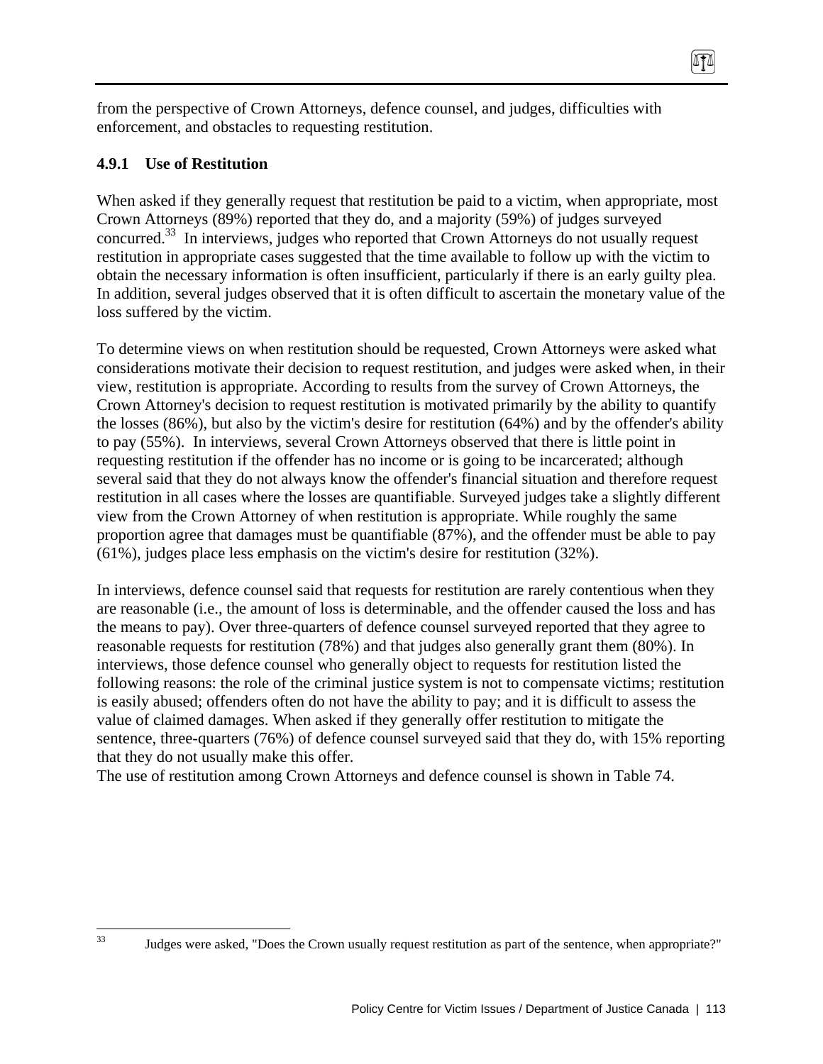from the perspective of Crown Attorneys, defence counsel, and judges, difficulties with enforcement, and obstacles to requesting restitution.

### **4.9.1 Use of Restitution**

33

When asked if they generally request that restitution be paid to a victim, when appropriate, most Crown Attorneys (89%) reported that they do, and a majority (59%) of judges surveyed concurred.<sup>33</sup> In interviews, judges who reported that Crown Attorneys do not usually request restitution in appropriate cases suggested that the time available to follow up with the victim to obtain the necessary information is often insufficient, particularly if there is an early guilty plea. In addition, several judges observed that it is often difficult to ascertain the monetary value of the loss suffered by the victim.

To determine views on when restitution should be requested, Crown Attorneys were asked what considerations motivate their decision to request restitution, and judges were asked when, in their view, restitution is appropriate. According to results from the survey of Crown Attorneys, the Crown Attorney's decision to request restitution is motivated primarily by the ability to quantify the losses (86%), but also by the victim's desire for restitution (64%) and by the offender's ability to pay (55%). In interviews, several Crown Attorneys observed that there is little point in requesting restitution if the offender has no income or is going to be incarcerated; although several said that they do not always know the offender's financial situation and therefore request restitution in all cases where the losses are quantifiable. Surveyed judges take a slightly different view from the Crown Attorney of when restitution is appropriate. While roughly the same proportion agree that damages must be quantifiable (87%), and the offender must be able to pay (61%), judges place less emphasis on the victim's desire for restitution (32%).

In interviews, defence counsel said that requests for restitution are rarely contentious when they are reasonable (i.e., the amount of loss is determinable, and the offender caused the loss and has the means to pay). Over three-quarters of defence counsel surveyed reported that they agree to reasonable requests for restitution (78%) and that judges also generally grant them (80%). In interviews, those defence counsel who generally object to requests for restitution listed the following reasons: the role of the criminal justice system is not to compensate victims; restitution is easily abused; offenders often do not have the ability to pay; and it is difficult to assess the value of claimed damages. When asked if they generally offer restitution to mitigate the sentence, three-quarters (76%) of defence counsel surveyed said that they do, with 15% reporting that they do not usually make this offer.

The use of restitution among Crown Attorneys and defence counsel is shown in Table 74.

Judges were asked, "Does the Crown usually request restitution as part of the sentence, when appropriate?"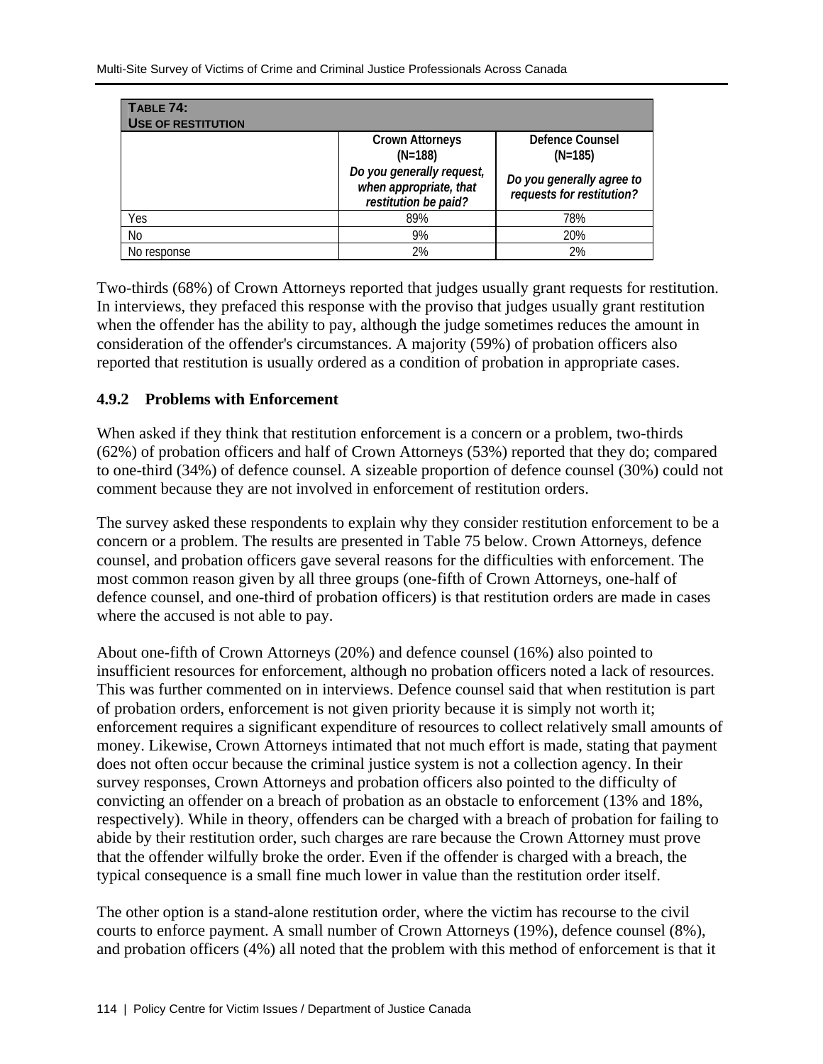| TABLE 74:<br><b>USE OF RESTITUTION</b> |                                                                             |                                                        |
|----------------------------------------|-----------------------------------------------------------------------------|--------------------------------------------------------|
|                                        | <b>Crown Attorneys</b><br>$(N=188)$                                         | Defence Counsel<br>$(N=185)$                           |
|                                        | Do you generally request,<br>when appropriate, that<br>restitution be paid? | Do you generally agree to<br>requests for restitution? |
| Yes                                    | 89%                                                                         | 78%                                                    |
| No                                     | 9%                                                                          | 20%                                                    |
| No response                            | 2%                                                                          | 2%                                                     |

Two-thirds (68%) of Crown Attorneys reported that judges usually grant requests for restitution. In interviews, they prefaced this response with the proviso that judges usually grant restitution when the offender has the ability to pay, although the judge sometimes reduces the amount in consideration of the offender's circumstances. A majority (59%) of probation officers also reported that restitution is usually ordered as a condition of probation in appropriate cases.

#### **4.9.2 Problems with Enforcement**

When asked if they think that restitution enforcement is a concern or a problem, two-thirds (62%) of probation officers and half of Crown Attorneys (53%) reported that they do; compared to one-third (34%) of defence counsel. A sizeable proportion of defence counsel (30%) could not comment because they are not involved in enforcement of restitution orders.

The survey asked these respondents to explain why they consider restitution enforcement to be a concern or a problem. The results are presented in Table 75 below. Crown Attorneys, defence counsel, and probation officers gave several reasons for the difficulties with enforcement. The most common reason given by all three groups (one-fifth of Crown Attorneys, one-half of defence counsel, and one-third of probation officers) is that restitution orders are made in cases where the accused is not able to pay.

About one-fifth of Crown Attorneys (20%) and defence counsel (16%) also pointed to insufficient resources for enforcement, although no probation officers noted a lack of resources. This was further commented on in interviews. Defence counsel said that when restitution is part of probation orders, enforcement is not given priority because it is simply not worth it; enforcement requires a significant expenditure of resources to collect relatively small amounts of money. Likewise, Crown Attorneys intimated that not much effort is made, stating that payment does not often occur because the criminal justice system is not a collection agency. In their survey responses, Crown Attorneys and probation officers also pointed to the difficulty of convicting an offender on a breach of probation as an obstacle to enforcement (13% and 18%, respectively). While in theory, offenders can be charged with a breach of probation for failing to abide by their restitution order, such charges are rare because the Crown Attorney must prove that the offender wilfully broke the order. Even if the offender is charged with a breach, the typical consequence is a small fine much lower in value than the restitution order itself.

The other option is a stand-alone restitution order, where the victim has recourse to the civil courts to enforce payment. A small number of Crown Attorneys (19%), defence counsel (8%), and probation officers (4%) all noted that the problem with this method of enforcement is that it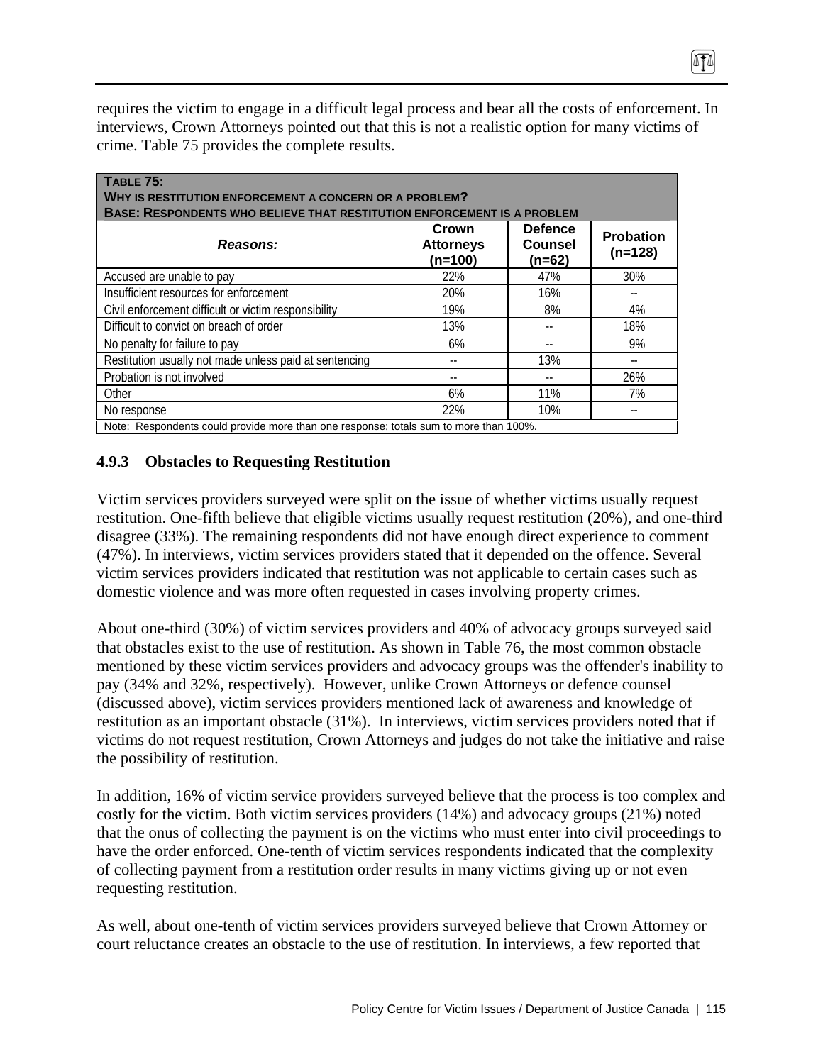requires the victim to engage in a difficult legal process and bear all the costs of enforcement. In interviews, Crown Attorneys pointed out that this is not a realistic option for many victims of crime. Table 75 provides the complete results.

| TABLE 75:<br>WHY IS RESTITUTION ENFORCEMENT A CONCERN OR A PROBLEM?<br><b>BASE: RESPONDENTS WHO BELIEVE THAT RESTITUTION ENFORCEMENT IS A PROBLEM</b> |                                        |                                       |                               |  |  |
|-------------------------------------------------------------------------------------------------------------------------------------------------------|----------------------------------------|---------------------------------------|-------------------------------|--|--|
| Reasons:                                                                                                                                              | Crown<br><b>Attorneys</b><br>$(n=100)$ | <b>Defence</b><br>Counsel<br>$(n=62)$ | <b>Probation</b><br>$(n=128)$ |  |  |
| Accused are unable to pay                                                                                                                             | 22%                                    | 47%                                   | 30%                           |  |  |
| Insufficient resources for enforcement                                                                                                                | 20%                                    | 16%                                   | --                            |  |  |
| Civil enforcement difficult or victim responsibility                                                                                                  | 19%                                    | 8%                                    | 4%                            |  |  |
| Difficult to convict on breach of order                                                                                                               | 13%                                    |                                       | 18%                           |  |  |
| No penalty for failure to pay                                                                                                                         | 6%                                     |                                       | 9%                            |  |  |
| Restitution usually not made unless paid at sentencing                                                                                                |                                        | 13%                                   |                               |  |  |
| Probation is not involved                                                                                                                             |                                        |                                       | 26%                           |  |  |
| Other                                                                                                                                                 | 6%                                     | 11%                                   | 7%                            |  |  |
| No response                                                                                                                                           | 22%                                    | 10%                                   |                               |  |  |
| Note: Respondents could provide more than one response; totals sum to more than 100%.                                                                 |                                        |                                       |                               |  |  |

## **4.9.3 Obstacles to Requesting Restitution**

Victim services providers surveyed were split on the issue of whether victims usually request restitution. One-fifth believe that eligible victims usually request restitution (20%), and one-third disagree (33%). The remaining respondents did not have enough direct experience to comment (47%). In interviews, victim services providers stated that it depended on the offence. Several victim services providers indicated that restitution was not applicable to certain cases such as domestic violence and was more often requested in cases involving property crimes.

About one-third (30%) of victim services providers and 40% of advocacy groups surveyed said that obstacles exist to the use of restitution. As shown in Table 76, the most common obstacle mentioned by these victim services providers and advocacy groups was the offender's inability to pay (34% and 32%, respectively). However, unlike Crown Attorneys or defence counsel (discussed above), victim services providers mentioned lack of awareness and knowledge of restitution as an important obstacle (31%). In interviews, victim services providers noted that if victims do not request restitution, Crown Attorneys and judges do not take the initiative and raise the possibility of restitution.

In addition, 16% of victim service providers surveyed believe that the process is too complex and costly for the victim. Both victim services providers (14%) and advocacy groups (21%) noted that the onus of collecting the payment is on the victims who must enter into civil proceedings to have the order enforced. One-tenth of victim services respondents indicated that the complexity of collecting payment from a restitution order results in many victims giving up or not even requesting restitution.

As well, about one-tenth of victim services providers surveyed believe that Crown Attorney or court reluctance creates an obstacle to the use of restitution. In interviews, a few reported that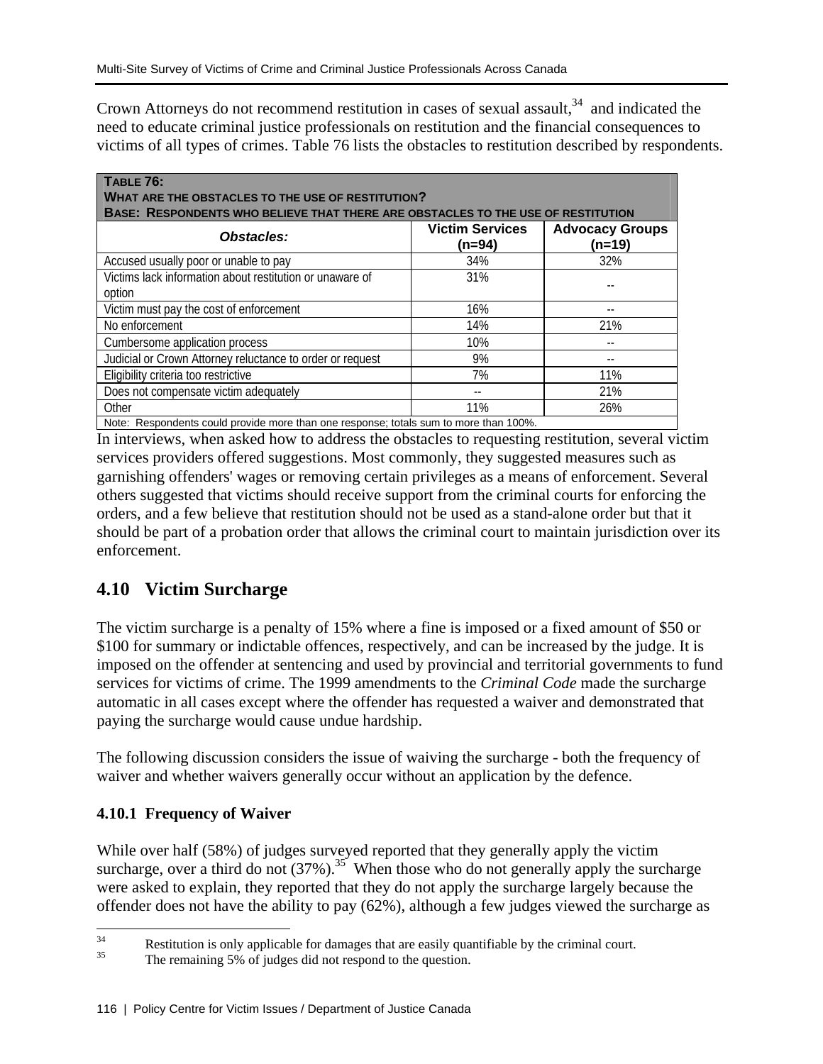Crown Attorneys do not recommend restitution in cases of sexual assault,  $34$  and indicated the need to educate criminal justice professionals on restitution and the financial consequences to victims of all types of crimes. Table 76 lists the obstacles to restitution described by respondents.

| TABLE 76:<br><b>WHAT ARE THE OBSTACLES TO THE USE OF RESTITUTION?</b><br><b>BASE: RESPONDENTS WHO BELIEVE THAT THERE ARE OBSTACLES TO THE USE OF RESTITUTION</b> |                                  |                                  |  |  |  |
|------------------------------------------------------------------------------------------------------------------------------------------------------------------|----------------------------------|----------------------------------|--|--|--|
| Obstacles:                                                                                                                                                       | <b>Victim Services</b><br>(n=94) | <b>Advocacy Groups</b><br>(n=19) |  |  |  |
| Accused usually poor or unable to pay                                                                                                                            | 34%                              | 32%                              |  |  |  |
| Victims lack information about restitution or unaware of                                                                                                         | 31%                              |                                  |  |  |  |
| option                                                                                                                                                           |                                  |                                  |  |  |  |
| Victim must pay the cost of enforcement                                                                                                                          | 16%                              |                                  |  |  |  |
| No enforcement                                                                                                                                                   | 14%                              | 21%                              |  |  |  |
| Cumbersome application process                                                                                                                                   | 10%                              |                                  |  |  |  |
| Judicial or Crown Attorney reluctance to order or request                                                                                                        | 9%                               |                                  |  |  |  |
| Eligibility criteria too restrictive                                                                                                                             | 7%                               | 11%                              |  |  |  |
| Does not compensate victim adequately                                                                                                                            |                                  | 21%                              |  |  |  |
| Other                                                                                                                                                            | 11%                              | 26%                              |  |  |  |
| Note: Respondents could provide more than one response: totals sum to more than 100%.                                                                            |                                  |                                  |  |  |  |

In interviews, when asked how to address the obstacles to requesting restitution, several victim services providers offered suggestions. Most commonly, they suggested measures such as garnishing offenders' wages or removing certain privileges as a means of enforcement. Several others suggested that victims should receive support from the criminal courts for enforcing the orders, and a few believe that restitution should not be used as a stand-alone order but that it should be part of a probation order that allows the criminal court to maintain jurisdiction over its enforcement.

# **4.10 Victim Surcharge**

The victim surcharge is a penalty of 15% where a fine is imposed or a fixed amount of \$50 or \$100 for summary or indictable offences, respectively, and can be increased by the judge. It is imposed on the offender at sentencing and used by provincial and territorial governments to fund services for victims of crime. The 1999 amendments to the *Criminal Code* made the surcharge automatic in all cases except where the offender has requested a waiver and demonstrated that paying the surcharge would cause undue hardship.

The following discussion considers the issue of waiving the surcharge - both the frequency of waiver and whether waivers generally occur without an application by the defence.

## **4.10.1 Frequency of Waiver**

While over half (58%) of judges surveyed reported that they generally apply the victim surcharge, over a third do not  $(37\%)$ .<sup>35</sup> When those who do not generally apply the surcharge were asked to explain, they reported that they do not apply the surcharge largely because the offender does not have the ability to pay (62%), although a few judges viewed the surcharge as

 $34$  $35$  Restitution is only applicable for damages that are easily quantifiable by the criminal court.<br> $35$  The generating  $5\%$  of judges did not recover to the quantity.

The remaining 5% of judges did not respond to the question.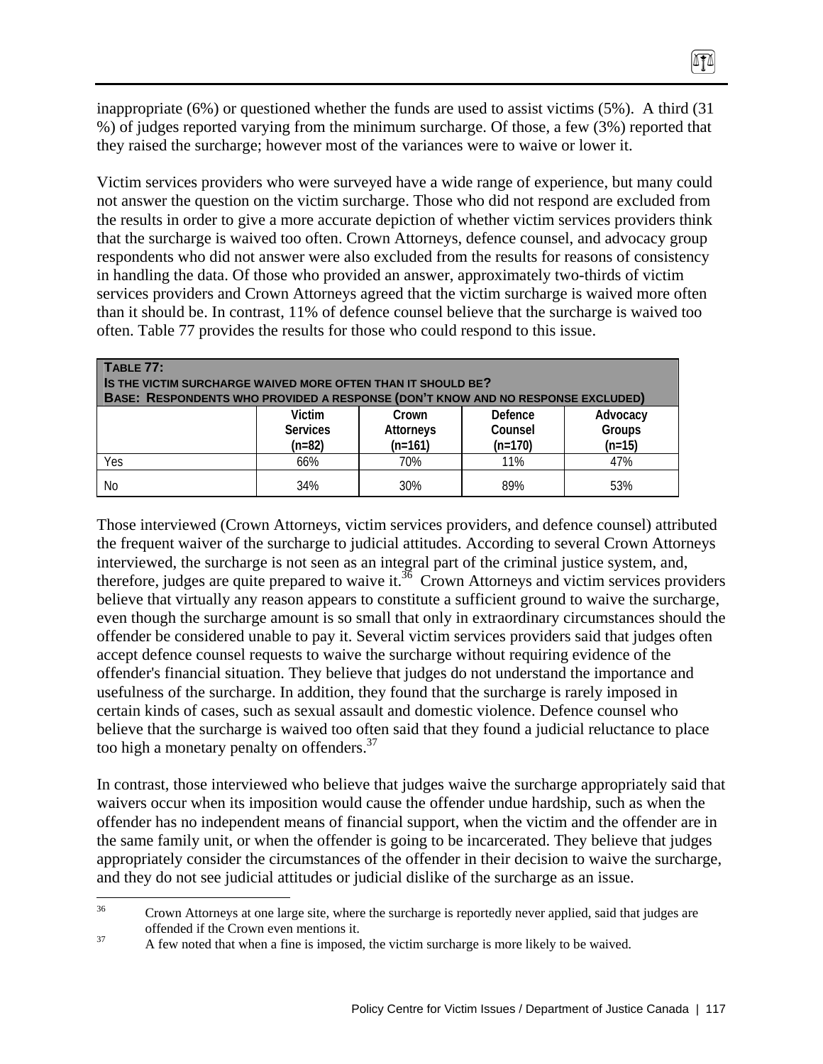inappropriate (6%) or questioned whether the funds are used to assist victims (5%). A third (31 %) of judges reported varying from the minimum surcharge. Of those, a few (3%) reported that they raised the surcharge; however most of the variances were to waive or lower it.

0TA

Victim services providers who were surveyed have a wide range of experience, but many could not answer the question on the victim surcharge. Those who did not respond are excluded from the results in order to give a more accurate depiction of whether victim services providers think that the surcharge is waived too often. Crown Attorneys, defence counsel, and advocacy group respondents who did not answer were also excluded from the results for reasons of consistency in handling the data. Of those who provided an answer, approximately two-thirds of victim services providers and Crown Attorneys agreed that the victim surcharge is waived more often than it should be. In contrast, 11% of defence counsel believe that the surcharge is waived too often. Table 77 provides the results for those who could respond to this issue.

| TABLE 77:<br><b>IS THE VICTIM SURCHARGE WAIVED MORE OFTEN THAN IT SHOULD BE?</b><br><b>BASE: RESPONDENTS WHO PROVIDED A RESPONSE (DON'T KNOW AND NO RESPONSE EXCLUDED)</b> |     |     |     |     |  |  |
|----------------------------------------------------------------------------------------------------------------------------------------------------------------------------|-----|-----|-----|-----|--|--|
| Defence<br>Advocacy<br>Victim<br>Crown<br>Groups<br><b>Services</b><br>Attorneys<br>Counsel<br>$(n=82)$<br>$(n=161)$<br>$(n=15)$<br>$(n=170)$                              |     |     |     |     |  |  |
| Yes                                                                                                                                                                        | 66% | 70% | 11% | 47% |  |  |
| No                                                                                                                                                                         | 34% | 30% | 89% | 53% |  |  |

Those interviewed (Crown Attorneys, victim services providers, and defence counsel) attributed the frequent waiver of the surcharge to judicial attitudes. According to several Crown Attorneys interviewed, the surcharge is not seen as an integral part of the criminal justice system, and, therefore, judges are quite prepared to waive it.<sup>36</sup> Crown Attorneys and victim services providers believe that virtually any reason appears to constitute a sufficient ground to waive the surcharge, even though the surcharge amount is so small that only in extraordinary circumstances should the offender be considered unable to pay it. Several victim services providers said that judges often accept defence counsel requests to waive the surcharge without requiring evidence of the offender's financial situation. They believe that judges do not understand the importance and usefulness of the surcharge. In addition, they found that the surcharge is rarely imposed in certain kinds of cases, such as sexual assault and domestic violence. Defence counsel who believe that the surcharge is waived too often said that they found a judicial reluctance to place too high a monetary penalty on offenders.<sup>37</sup>

In contrast, those interviewed who believe that judges waive the surcharge appropriately said that waivers occur when its imposition would cause the offender undue hardship, such as when the offender has no independent means of financial support, when the victim and the offender are in the same family unit, or when the offender is going to be incarcerated. They believe that judges appropriately consider the circumstances of the offender in their decision to waive the surcharge, and they do not see judicial attitudes or judicial dislike of the surcharge as an issue.

<sup>36</sup> 36 Crown Attorneys at one large site, where the surcharge is reportedly never applied, said that judges are offended if the Crown even mentions it.<br>A few noted that when a fine is imposed, the victim surcharge is more likely to be waived.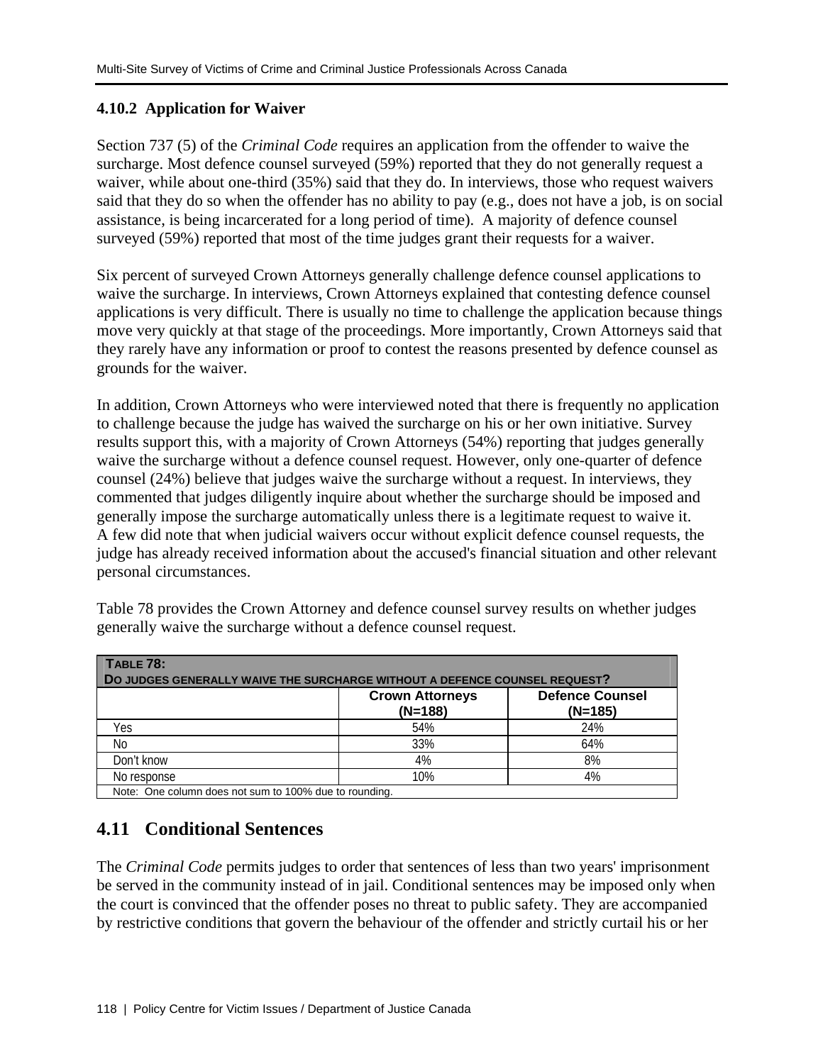### **4.10.2 Application for Waiver**

Section 737 (5) of the *Criminal Code* requires an application from the offender to waive the surcharge. Most defence counsel surveyed (59%) reported that they do not generally request a waiver, while about one-third (35%) said that they do. In interviews, those who request waivers said that they do so when the offender has no ability to pay (e.g., does not have a job, is on social assistance, is being incarcerated for a long period of time). A majority of defence counsel surveyed (59%) reported that most of the time judges grant their requests for a waiver.

Six percent of surveyed Crown Attorneys generally challenge defence counsel applications to waive the surcharge. In interviews, Crown Attorneys explained that contesting defence counsel applications is very difficult. There is usually no time to challenge the application because things move very quickly at that stage of the proceedings. More importantly, Crown Attorneys said that they rarely have any information or proof to contest the reasons presented by defence counsel as grounds for the waiver.

In addition, Crown Attorneys who were interviewed noted that there is frequently no application to challenge because the judge has waived the surcharge on his or her own initiative. Survey results support this, with a majority of Crown Attorneys (54%) reporting that judges generally waive the surcharge without a defence counsel request. However, only one-quarter of defence counsel (24%) believe that judges waive the surcharge without a request. In interviews, they commented that judges diligently inquire about whether the surcharge should be imposed and generally impose the surcharge automatically unless there is a legitimate request to waive it. A few did note that when judicial waivers occur without explicit defence counsel requests, the judge has already received information about the accused's financial situation and other relevant personal circumstances.

| TABLE 78:<br>DO JUDGES GENERALLY WAIVE THE SURCHARGE WITHOUT A DEFENCE COUNSEL REQUEST? |                                     |                                     |  |  |  |
|-----------------------------------------------------------------------------------------|-------------------------------------|-------------------------------------|--|--|--|
|                                                                                         | <b>Crown Attorneys</b><br>$(N=188)$ | <b>Defence Counsel</b><br>$(N=185)$ |  |  |  |
| Yes                                                                                     | 54%                                 | 24%                                 |  |  |  |
| No                                                                                      | 33%                                 | 64%                                 |  |  |  |
| Don't know                                                                              | 4%                                  | 8%                                  |  |  |  |
| No response                                                                             | 10%                                 | 4%                                  |  |  |  |
| Note: One column does not sum to 100% due to rounding.                                  |                                     |                                     |  |  |  |

Table 78 provides the Crown Attorney and defence counsel survey results on whether judges generally waive the surcharge without a defence counsel request.

# **4.11 Conditional Sentences**

The *Criminal Code* permits judges to order that sentences of less than two years' imprisonment be served in the community instead of in jail. Conditional sentences may be imposed only when the court is convinced that the offender poses no threat to public safety. They are accompanied by restrictive conditions that govern the behaviour of the offender and strictly curtail his or her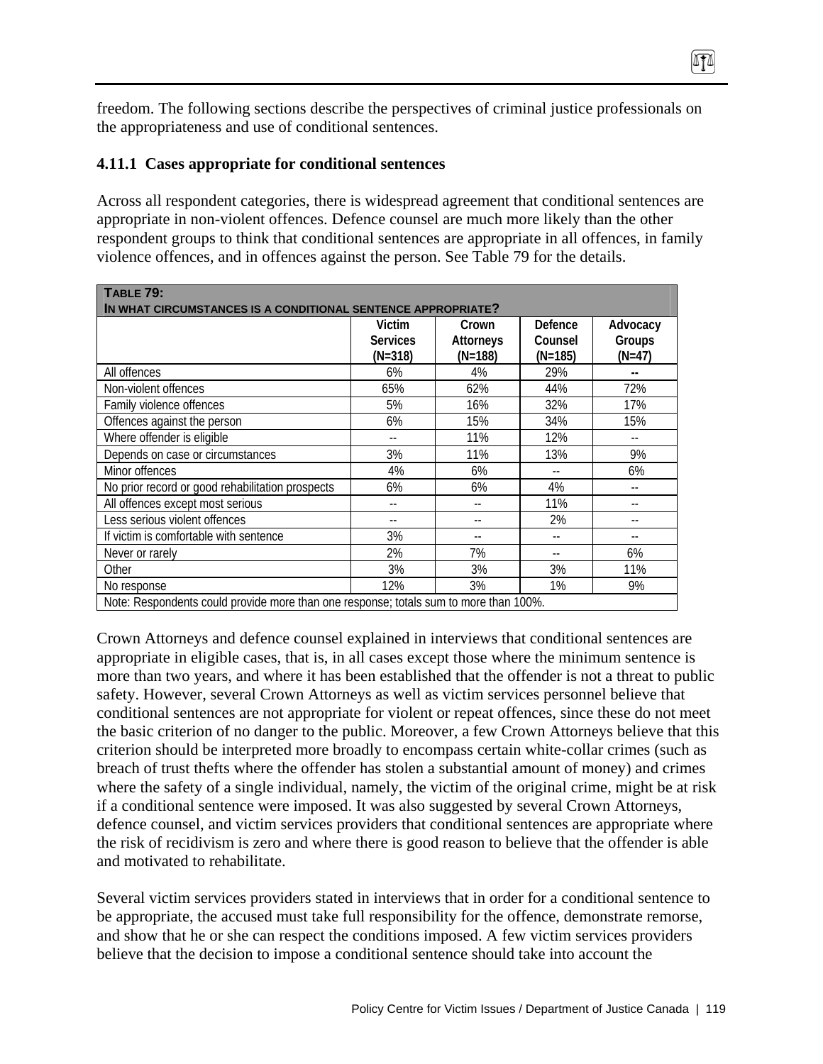freedom. The following sections describe the perspectives of criminal justice professionals on the appropriateness and use of conditional sentences.

 $474$ 

#### **4.11.1 Cases appropriate for conditional sentences**

Across all respondent categories, there is widespread agreement that conditional sentences are appropriate in non-violent offences. Defence counsel are much more likely than the other respondent groups to think that conditional sentences are appropriate in all offences, in family violence offences, and in offences against the person. See Table 79 for the details.

| <b>TABLE 79:</b>                                                                      |                 |           |           |          |  |  |
|---------------------------------------------------------------------------------------|-----------------|-----------|-----------|----------|--|--|
| IN WHAT CIRCUMSTANCES IS A CONDITIONAL SENTENCE APPROPRIATE?                          |                 |           |           |          |  |  |
|                                                                                       | Victim          | Crown     | Defence   | Advocacy |  |  |
|                                                                                       | <b>Services</b> | Attorneys | Counsel   | Groups   |  |  |
|                                                                                       | $(N=318)$       | $(N=188)$ | $(N=185)$ | $(N=47)$ |  |  |
| All offences                                                                          | 6%              | 4%        | 29%       |          |  |  |
| Non-violent offences                                                                  | 65%             | 62%       | 44%       | 72%      |  |  |
| Family violence offences                                                              | 5%              | 16%       | 32%       | 17%      |  |  |
| Offences against the person                                                           | 6%              | 15%       | 34%       | 15%      |  |  |
| Where offender is eligible                                                            |                 | 11%       | 12%       |          |  |  |
| Depends on case or circumstances                                                      | 3%              | 11%       | 13%       | 9%       |  |  |
| Minor offences                                                                        | 4%              | 6%        |           | 6%       |  |  |
| No prior record or good rehabilitation prospects                                      | 6%              | 6%        | 4%        |          |  |  |
| All offences except most serious                                                      |                 |           | 11%       |          |  |  |
| Less serious violent offences                                                         | --              |           | 2%        | $-$      |  |  |
| If victim is comfortable with sentence                                                | 3%              |           |           |          |  |  |
| Never or rarely                                                                       | 2%              | 7%        |           | 6%       |  |  |
| Other                                                                                 | 3%              | 3%        | 3%        | 11%      |  |  |
| No response                                                                           | 12%             | 3%        | 1%        | 9%       |  |  |
| Note: Respondents could provide more than one response; totals sum to more than 100%. |                 |           |           |          |  |  |

Crown Attorneys and defence counsel explained in interviews that conditional sentences are appropriate in eligible cases, that is, in all cases except those where the minimum sentence is more than two years, and where it has been established that the offender is not a threat to public safety. However, several Crown Attorneys as well as victim services personnel believe that conditional sentences are not appropriate for violent or repeat offences, since these do not meet the basic criterion of no danger to the public. Moreover, a few Crown Attorneys believe that this criterion should be interpreted more broadly to encompass certain white-collar crimes (such as breach of trust thefts where the offender has stolen a substantial amount of money) and crimes where the safety of a single individual, namely, the victim of the original crime, might be at risk if a conditional sentence were imposed. It was also suggested by several Crown Attorneys, defence counsel, and victim services providers that conditional sentences are appropriate where the risk of recidivism is zero and where there is good reason to believe that the offender is able and motivated to rehabilitate.

Several victim services providers stated in interviews that in order for a conditional sentence to be appropriate, the accused must take full responsibility for the offence, demonstrate remorse, and show that he or she can respect the conditions imposed. A few victim services providers believe that the decision to impose a conditional sentence should take into account the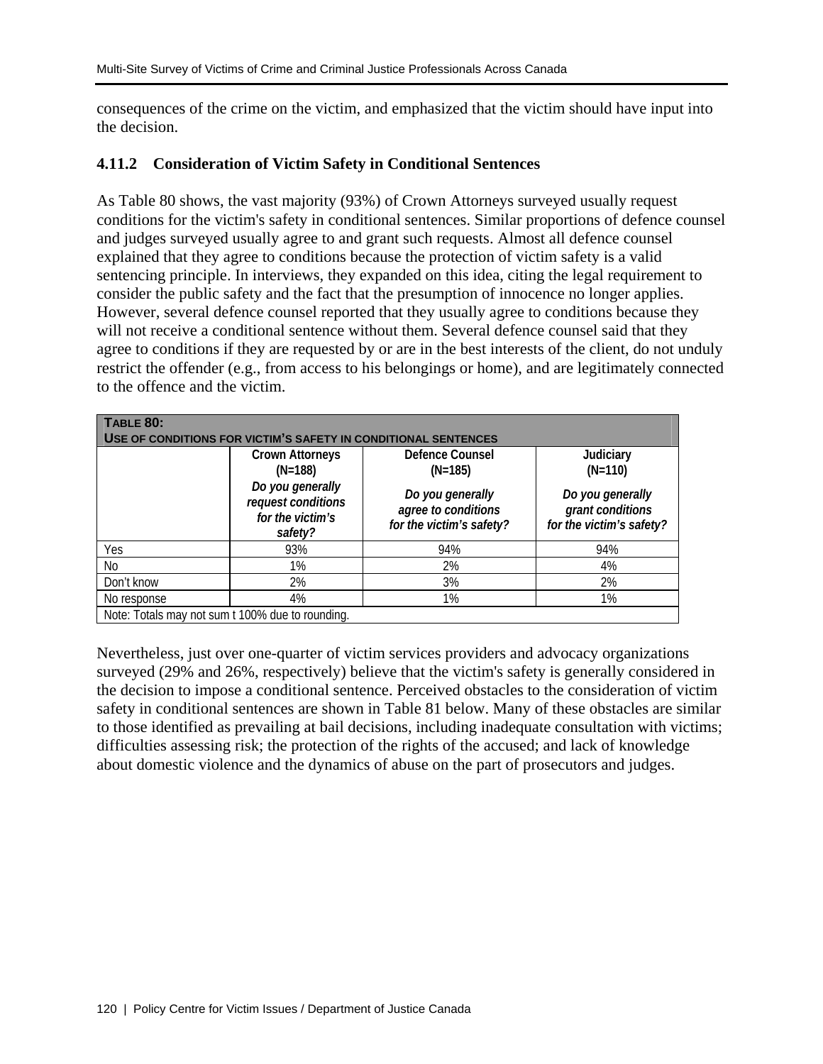consequences of the crime on the victim, and emphasized that the victim should have input into the decision.

#### **4.11.2 Consideration of Victim Safety in Conditional Sentences**

As Table 80 shows, the vast majority (93%) of Crown Attorneys surveyed usually request conditions for the victim's safety in conditional sentences. Similar proportions of defence counsel and judges surveyed usually agree to and grant such requests. Almost all defence counsel explained that they agree to conditions because the protection of victim safety is a valid sentencing principle. In interviews, they expanded on this idea, citing the legal requirement to consider the public safety and the fact that the presumption of innocence no longer applies. However, several defence counsel reported that they usually agree to conditions because they will not receive a conditional sentence without them. Several defence counsel said that they agree to conditions if they are requested by or are in the best interests of the client, do not unduly restrict the offender (e.g., from access to his belongings or home), and are legitimately connected to the offence and the victim.

| <b>TABLE 80:</b>                                               |                                                                       |                                                                     |                                                                  |  |  |  |
|----------------------------------------------------------------|-----------------------------------------------------------------------|---------------------------------------------------------------------|------------------------------------------------------------------|--|--|--|
| USE OF CONDITIONS FOR VICTIM'S SAFETY IN CONDITIONAL SENTENCES |                                                                       |                                                                     |                                                                  |  |  |  |
|                                                                | <b>Crown Attorneys</b><br>$(N=188)$                                   | Defence Counsel<br>$(N=185)$                                        | Judiciary<br>$(N=110)$                                           |  |  |  |
|                                                                | Do you generally<br>request conditions<br>for the victim's<br>safety? | Do you generally<br>agree to conditions<br>for the victim's safety? | Do you generally<br>grant conditions<br>for the victim's safety? |  |  |  |
| Yes                                                            | 93%                                                                   | 94%                                                                 | 94%                                                              |  |  |  |
| No                                                             | 1%                                                                    | 2%                                                                  | 4%                                                               |  |  |  |
| Don't know                                                     | 2%                                                                    | 3%                                                                  | 2%                                                               |  |  |  |
| No response                                                    | 4%                                                                    | 1%                                                                  | 1%                                                               |  |  |  |
| Note: Totals may not sum t 100% due to rounding.               |                                                                       |                                                                     |                                                                  |  |  |  |

Nevertheless, just over one-quarter of victim services providers and advocacy organizations surveyed (29% and 26%, respectively) believe that the victim's safety is generally considered in the decision to impose a conditional sentence. Perceived obstacles to the consideration of victim safety in conditional sentences are shown in Table 81 below. Many of these obstacles are similar to those identified as prevailing at bail decisions, including inadequate consultation with victims; difficulties assessing risk; the protection of the rights of the accused; and lack of knowledge about domestic violence and the dynamics of abuse on the part of prosecutors and judges.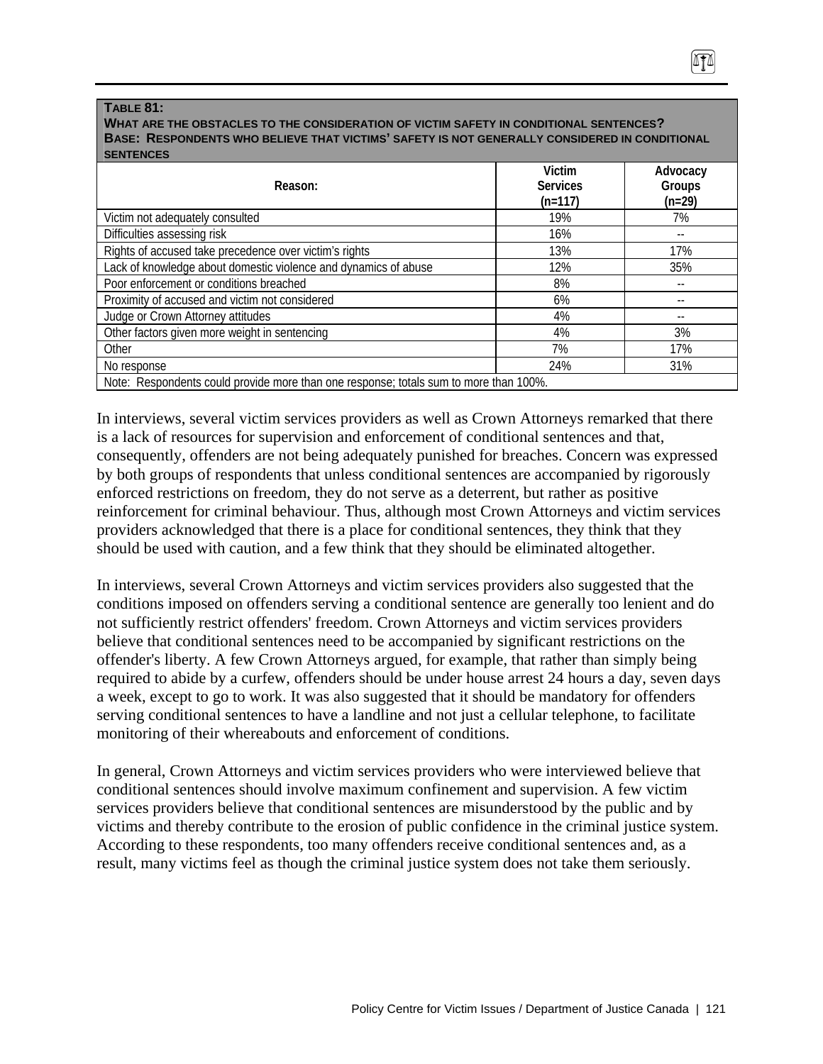#### **TABLE 81:**

#### **WHAT ARE THE OBSTACLES TO THE CONSIDERATION OF VICTIM SAFETY IN CONDITIONAL SENTENCES? BASE: RESPONDENTS WHO BELIEVE THAT VICTIMS' SAFETY IS NOT GENERALLY CONSIDERED IN CONDITIONAL SENTENCES**

| Reason:                                                                               | Victim<br><b>Services</b><br>$(n=117)$ | Advocacy<br>Groups<br>$(n=29)$ |
|---------------------------------------------------------------------------------------|----------------------------------------|--------------------------------|
| Victim not adequately consulted                                                       | 19%                                    | 7%                             |
| Difficulties assessing risk                                                           | 16%                                    |                                |
| Rights of accused take precedence over victim's rights                                | 13%                                    | 17%                            |
| Lack of knowledge about domestic violence and dynamics of abuse                       | 12%                                    | 35%                            |
| Poor enforcement or conditions breached                                               | 8%                                     |                                |
| Proximity of accused and victim not considered                                        | 6%                                     | --                             |
| Judge or Crown Attorney attitudes                                                     | 4%                                     | --                             |
| Other factors given more weight in sentencing                                         | 4%                                     | 3%                             |
| Other                                                                                 | 7%                                     | 17%                            |
| No response                                                                           | 24%                                    | 31%                            |
| Note: Respondents could provide more than one response; totals sum to more than 100%. |                                        |                                |

In interviews, several victim services providers as well as Crown Attorneys remarked that there is a lack of resources for supervision and enforcement of conditional sentences and that, consequently, offenders are not being adequately punished for breaches. Concern was expressed by both groups of respondents that unless conditional sentences are accompanied by rigorously enforced restrictions on freedom, they do not serve as a deterrent, but rather as positive reinforcement for criminal behaviour. Thus, although most Crown Attorneys and victim services providers acknowledged that there is a place for conditional sentences, they think that they should be used with caution, and a few think that they should be eliminated altogether.

In interviews, several Crown Attorneys and victim services providers also suggested that the conditions imposed on offenders serving a conditional sentence are generally too lenient and do not sufficiently restrict offenders' freedom. Crown Attorneys and victim services providers believe that conditional sentences need to be accompanied by significant restrictions on the offender's liberty. A few Crown Attorneys argued, for example, that rather than simply being required to abide by a curfew, offenders should be under house arrest 24 hours a day, seven days a week, except to go to work. It was also suggested that it should be mandatory for offenders serving conditional sentences to have a landline and not just a cellular telephone, to facilitate monitoring of their whereabouts and enforcement of conditions.

In general, Crown Attorneys and victim services providers who were interviewed believe that conditional sentences should involve maximum confinement and supervision. A few victim services providers believe that conditional sentences are misunderstood by the public and by victims and thereby contribute to the erosion of public confidence in the criminal justice system. According to these respondents, too many offenders receive conditional sentences and, as a result, many victims feel as though the criminal justice system does not take them seriously.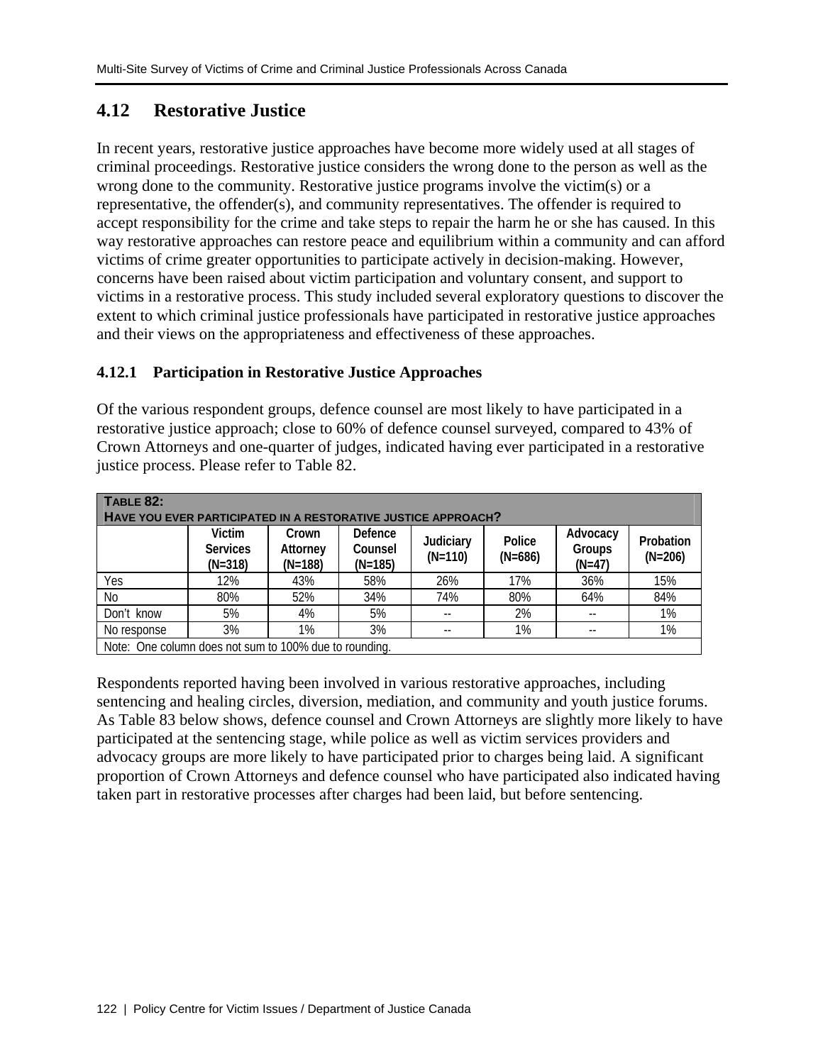# **4.12 Restorative Justice**

In recent years, restorative justice approaches have become more widely used at all stages of criminal proceedings. Restorative justice considers the wrong done to the person as well as the wrong done to the community. Restorative justice programs involve the victim(s) or a representative, the offender(s), and community representatives. The offender is required to accept responsibility for the crime and take steps to repair the harm he or she has caused. In this way restorative approaches can restore peace and equilibrium within a community and can afford victims of crime greater opportunities to participate actively in decision-making. However, concerns have been raised about victim participation and voluntary consent, and support to victims in a restorative process. This study included several exploratory questions to discover the extent to which criminal justice professionals have participated in restorative justice approaches and their views on the appropriateness and effectiveness of these approaches.

## **4.12.1 Participation in Restorative Justice Approaches**

Of the various respondent groups, defence counsel are most likely to have participated in a restorative justice approach; close to 60% of defence counsel surveyed, compared to 43% of Crown Attorneys and one-quarter of judges, indicated having ever participated in a restorative justice process. Please refer to Table 82.

| TABLE 82:                                                     |                                        |                                |                                 |                        |                     |                                |                        |
|---------------------------------------------------------------|----------------------------------------|--------------------------------|---------------------------------|------------------------|---------------------|--------------------------------|------------------------|
| HAVE YOU EVER PARTICIPATED IN A RESTORATIVE JUSTICE APPROACH? |                                        |                                |                                 |                        |                     |                                |                        |
|                                                               | Victim<br><b>Services</b><br>$(N=318)$ | Crown<br>Attorney<br>$(N=188)$ | Defence<br>Counsel<br>$(N=185)$ | Judiciary<br>$(N=110)$ | Police<br>$(N=686)$ | Advocacy<br>Groups<br>$(N=47)$ | Probation<br>$(N=206)$ |
| Yes                                                           | 12%                                    | 43%                            | 58%                             | 26%                    | 17%                 | 36%                            | 15%                    |
| No                                                            | 80%                                    | 52%                            | 34%                             | 74%                    | 80%                 | 64%                            | 84%                    |
| Don't know                                                    | 5%                                     | 4%                             | 5%                              |                        | 2%                  |                                | 1%                     |
| No response                                                   | 3%                                     | 1%                             | 3%                              | --                     | 1%                  | --                             | 1%                     |
| Note: One column does not sum to 100% due to rounding.        |                                        |                                |                                 |                        |                     |                                |                        |

Respondents reported having been involved in various restorative approaches, including sentencing and healing circles, diversion, mediation, and community and youth justice forums. As Table 83 below shows, defence counsel and Crown Attorneys are slightly more likely to have participated at the sentencing stage, while police as well as victim services providers and advocacy groups are more likely to have participated prior to charges being laid. A significant proportion of Crown Attorneys and defence counsel who have participated also indicated having taken part in restorative processes after charges had been laid, but before sentencing.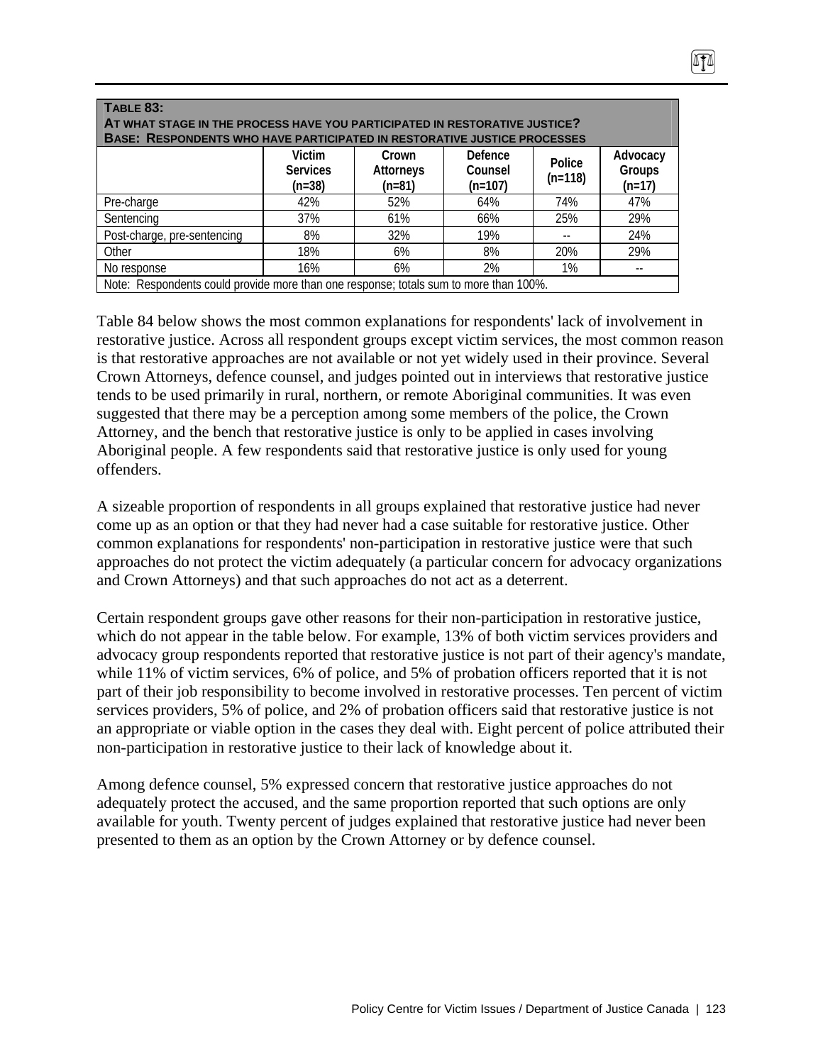| TABLE 83:<br>AT WHAT STAGE IN THE PROCESS HAVE YOU PARTICIPATED IN RESTORATIVE JUSTICE?<br><b>BASE: RESPONDENTS WHO HAVE PARTICIPATED IN RESTORATIVE JUSTICE PROCESSES</b> |     |     |     |     |     |  |  |
|----------------------------------------------------------------------------------------------------------------------------------------------------------------------------|-----|-----|-----|-----|-----|--|--|
| Victim<br>Defence<br>Advocacy<br>Crown<br>Police<br>Groups<br><b>Services</b><br>Counsel<br><b>Attorneys</b><br>$(n=118)$<br>$(n=107)$<br>$(n=38)$<br>$(n=17)$<br>$(n=81)$ |     |     |     |     |     |  |  |
| Pre-charge                                                                                                                                                                 | 42% | 52% | 64% | 74% | 47% |  |  |
| Sentencing                                                                                                                                                                 | 37% | 61% | 66% | 25% | 29% |  |  |
| Post-charge, pre-sentencing                                                                                                                                                | 8%  | 32% | 19% |     | 24% |  |  |
| Other                                                                                                                                                                      | 18% | 6%  | 8%  | 20% | 29% |  |  |
| 2%<br>1%<br>16%<br>6%<br>No response                                                                                                                                       |     |     |     |     |     |  |  |
| Note: Respondents could provide more than one response; totals sum to more than 100%.                                                                                      |     |     |     |     |     |  |  |

Table 84 below shows the most common explanations for respondents' lack of involvement in restorative justice. Across all respondent groups except victim services, the most common reason is that restorative approaches are not available or not yet widely used in their province. Several Crown Attorneys, defence counsel, and judges pointed out in interviews that restorative justice tends to be used primarily in rural, northern, or remote Aboriginal communities. It was even suggested that there may be a perception among some members of the police, the Crown Attorney, and the bench that restorative justice is only to be applied in cases involving Aboriginal people. A few respondents said that restorative justice is only used for young offenders.

A sizeable proportion of respondents in all groups explained that restorative justice had never come up as an option or that they had never had a case suitable for restorative justice. Other common explanations for respondents' non-participation in restorative justice were that such approaches do not protect the victim adequately (a particular concern for advocacy organizations and Crown Attorneys) and that such approaches do not act as a deterrent.

Certain respondent groups gave other reasons for their non-participation in restorative justice, which do not appear in the table below. For example, 13% of both victim services providers and advocacy group respondents reported that restorative justice is not part of their agency's mandate, while 11% of victim services, 6% of police, and 5% of probation officers reported that it is not part of their job responsibility to become involved in restorative processes. Ten percent of victim services providers, 5% of police, and 2% of probation officers said that restorative justice is not an appropriate or viable option in the cases they deal with. Eight percent of police attributed their non-participation in restorative justice to their lack of knowledge about it.

Among defence counsel, 5% expressed concern that restorative justice approaches do not adequately protect the accused, and the same proportion reported that such options are only available for youth. Twenty percent of judges explained that restorative justice had never been presented to them as an option by the Crown Attorney or by defence counsel.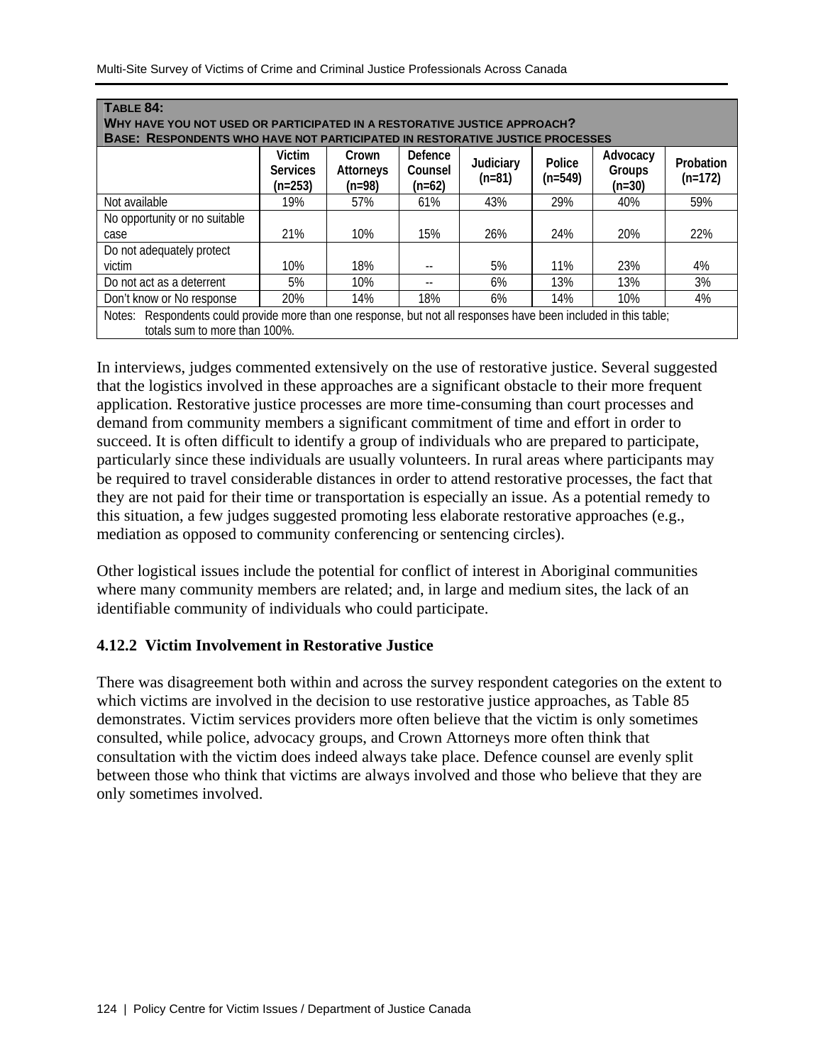| TABLE 84:                                                                                                                                                                                                                     |                                                                                                                                                   |     |     |     |     |     |     |
|-------------------------------------------------------------------------------------------------------------------------------------------------------------------------------------------------------------------------------|---------------------------------------------------------------------------------------------------------------------------------------------------|-----|-----|-----|-----|-----|-----|
| WHY HAVE YOU NOT USED OR PARTICIPATED IN A RESTORATIVE JUSTICE APPROACH?                                                                                                                                                      |                                                                                                                                                   |     |     |     |     |     |     |
| <b>BASE: RESPONDENTS WHO HAVE NOT PARTICIPATED IN RESTORATIVE JUSTICE PROCESSES</b>                                                                                                                                           |                                                                                                                                                   |     |     |     |     |     |     |
| <b>Victim</b><br>Defence<br>Crown<br>Advocacy<br>Police<br>Judiciary<br>Probation<br><b>Services</b><br>Counsel<br>Groups<br>Attorneys<br>$(n=549)$<br>$(n=172)$<br>$(n=81)$<br>$(n=253)$<br>$(n=62)$<br>$(n=30)$<br>$(n=98)$ |                                                                                                                                                   |     |     |     |     |     |     |
| Not available                                                                                                                                                                                                                 | 19%                                                                                                                                               | 57% | 61% | 43% | 29% | 40% | 59% |
| No opportunity or no suitable                                                                                                                                                                                                 |                                                                                                                                                   |     |     |     |     |     |     |
| case                                                                                                                                                                                                                          | 21%                                                                                                                                               | 10% | 15% | 26% | 24% | 20% | 22% |
| Do not adequately protect                                                                                                                                                                                                     |                                                                                                                                                   |     |     |     |     |     |     |
| victim                                                                                                                                                                                                                        | 10%                                                                                                                                               | 18% |     | 5%  | 11% | 23% | 4%  |
| Do not act as a deterrent                                                                                                                                                                                                     | 5%                                                                                                                                                | 10% |     | 6%  | 13% | 13% | 3%  |
| Don't know or No response<br>18%<br>20%<br>14%<br>14%<br>10%<br>4%<br>6%                                                                                                                                                      |                                                                                                                                                   |     |     |     |     |     |     |
|                                                                                                                                                                                                                               | Notes: Respondents could provide more than one response, but not all responses have been included in this table;<br>totals sum to more than 100%. |     |     |     |     |     |     |

In interviews, judges commented extensively on the use of restorative justice. Several suggested that the logistics involved in these approaches are a significant obstacle to their more frequent application. Restorative justice processes are more time-consuming than court processes and demand from community members a significant commitment of time and effort in order to succeed. It is often difficult to identify a group of individuals who are prepared to participate, particularly since these individuals are usually volunteers. In rural areas where participants may be required to travel considerable distances in order to attend restorative processes, the fact that they are not paid for their time or transportation is especially an issue. As a potential remedy to this situation, a few judges suggested promoting less elaborate restorative approaches (e.g., mediation as opposed to community conferencing or sentencing circles).

Other logistical issues include the potential for conflict of interest in Aboriginal communities where many community members are related; and, in large and medium sites, the lack of an identifiable community of individuals who could participate.

## **4.12.2 Victim Involvement in Restorative Justice**

There was disagreement both within and across the survey respondent categories on the extent to which victims are involved in the decision to use restorative justice approaches, as Table 85 demonstrates. Victim services providers more often believe that the victim is only sometimes consulted, while police, advocacy groups, and Crown Attorneys more often think that consultation with the victim does indeed always take place. Defence counsel are evenly split between those who think that victims are always involved and those who believe that they are only sometimes involved.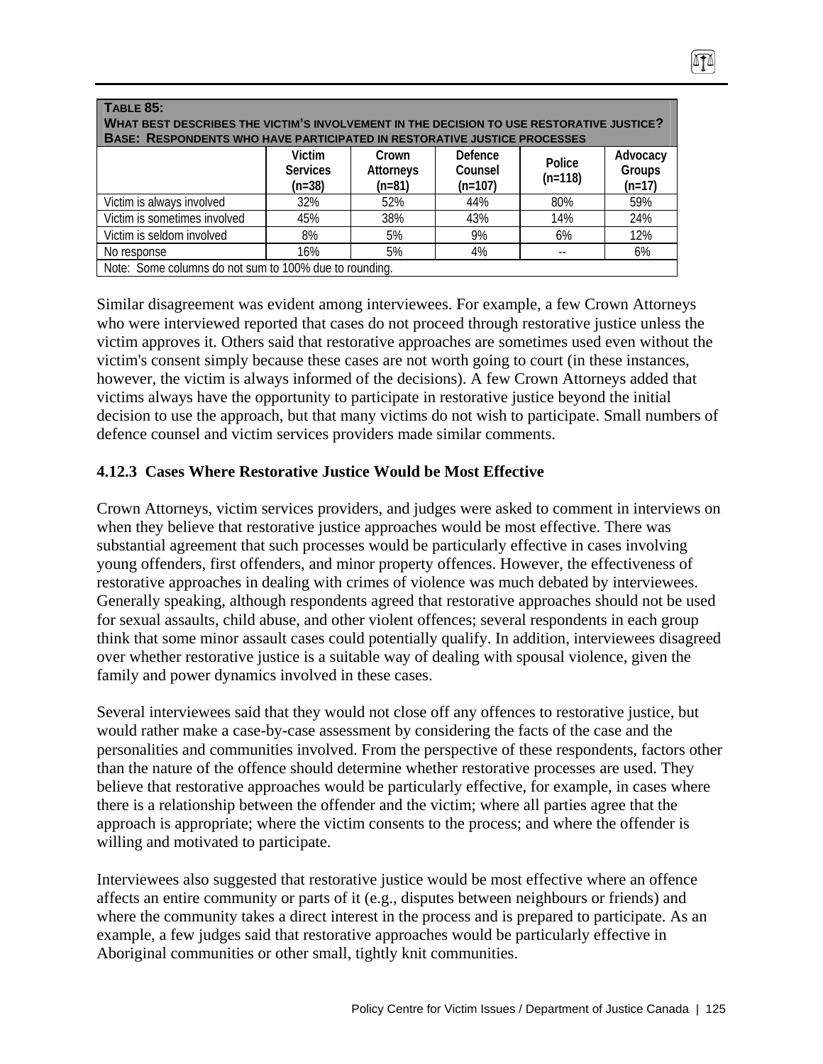| <b>TABLE 85:</b><br>WHAT BEST DESCRIBES THE VICTIM'S INVOLVEMENT IN THE DECISION TO USE RESTORATIVE JUSTICE?<br><b>BASE: RESPONDENTS WHO HAVE PARTICIPATED IN RESTORATIVE JUSTICE PROCESSES</b> |     |     |     |     |     |  |
|-------------------------------------------------------------------------------------------------------------------------------------------------------------------------------------------------|-----|-----|-----|-----|-----|--|
| Defence<br>Victim<br>Advocacy<br>Crown<br>Police<br>Groups<br>Attorneys<br>Counsel<br><b>Services</b><br>$(n=118)$<br>$(n=38)$<br>$(n=107)$<br>$(n=81)$<br>$(n=17)$                             |     |     |     |     |     |  |
| Victim is always involved                                                                                                                                                                       | 32% | 52% | 44% | 80% | 59% |  |
| Victim is sometimes involved                                                                                                                                                                    | 45% | 38% | 43% | 14% | 24% |  |
| Victim is seldom involved                                                                                                                                                                       | 8%  | 5%  | 9%  | 6%  | 12% |  |
| No response                                                                                                                                                                                     | 16% | 5%  | 4%  |     | 6%  |  |
| Note: Some columns do not sum to 100% due to rounding.                                                                                                                                          |     |     |     |     |     |  |

Similar disagreement was evident among interviewees. For example, a few Crown Attorneys who were interviewed reported that cases do not proceed through restorative justice unless the victim approves it. Others said that restorative approaches are sometimes used even without the victim's consent simply because these cases are not worth going to court (in these instances, however, the victim is always informed of the decisions). A few Crown Attorneys added that victims always have the opportunity to participate in restorative justice beyond the initial decision to use the approach, but that many victims do not wish to participate. Small numbers of defence counsel and victim services providers made similar comments.

#### **4.12.3 Cases Where Restorative Justice Would be Most Effective**

Crown Attorneys, victim services providers, and judges were asked to comment in interviews on when they believe that restorative justice approaches would be most effective. There was substantial agreement that such processes would be particularly effective in cases involving young offenders, first offenders, and minor property offences. However, the effectiveness of restorative approaches in dealing with crimes of violence was much debated by interviewees. Generally speaking, although respondents agreed that restorative approaches should not be used for sexual assaults, child abuse, and other violent offences; several respondents in each group think that some minor assault cases could potentially qualify. In addition, interviewees disagreed over whether restorative justice is a suitable way of dealing with spousal violence, given the family and power dynamics involved in these cases.

Several interviewees said that they would not close off any offences to restorative justice, but would rather make a case-by-case assessment by considering the facts of the case and the personalities and communities involved. From the perspective of these respondents, factors other than the nature of the offence should determine whether restorative processes are used. They believe that restorative approaches would be particularly effective, for example, in cases where there is a relationship between the offender and the victim; where all parties agree that the approach is appropriate; where the victim consents to the process; and where the offender is willing and motivated to participate.

Interviewees also suggested that restorative justice would be most effective where an offence affects an entire community or parts of it (e.g., disputes between neighbours or friends) and where the community takes a direct interest in the process and is prepared to participate. As an example, a few judges said that restorative approaches would be particularly effective in Aboriginal communities or other small, tightly knit communities.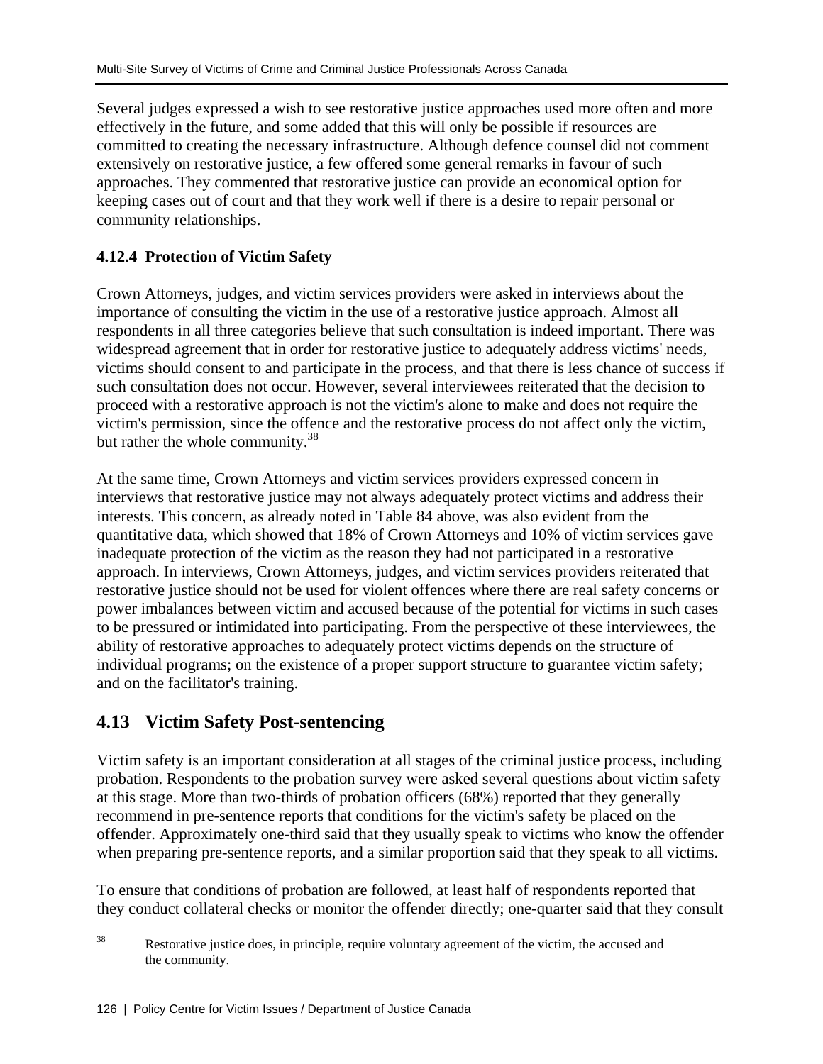Several judges expressed a wish to see restorative justice approaches used more often and more effectively in the future, and some added that this will only be possible if resources are committed to creating the necessary infrastructure. Although defence counsel did not comment extensively on restorative justice, a few offered some general remarks in favour of such approaches. They commented that restorative justice can provide an economical option for keeping cases out of court and that they work well if there is a desire to repair personal or community relationships.

## **4.12.4 Protection of Victim Safety**

Crown Attorneys, judges, and victim services providers were asked in interviews about the importance of consulting the victim in the use of a restorative justice approach. Almost all respondents in all three categories believe that such consultation is indeed important. There was widespread agreement that in order for restorative justice to adequately address victims' needs, victims should consent to and participate in the process, and that there is less chance of success if such consultation does not occur. However, several interviewees reiterated that the decision to proceed with a restorative approach is not the victim's alone to make and does not require the victim's permission, since the offence and the restorative process do not affect only the victim, but rather the whole community.<sup>38</sup>

At the same time, Crown Attorneys and victim services providers expressed concern in interviews that restorative justice may not always adequately protect victims and address their interests. This concern, as already noted in Table 84 above, was also evident from the quantitative data, which showed that 18% of Crown Attorneys and 10% of victim services gave inadequate protection of the victim as the reason they had not participated in a restorative approach. In interviews, Crown Attorneys, judges, and victim services providers reiterated that restorative justice should not be used for violent offences where there are real safety concerns or power imbalances between victim and accused because of the potential for victims in such cases to be pressured or intimidated into participating. From the perspective of these interviewees, the ability of restorative approaches to adequately protect victims depends on the structure of individual programs; on the existence of a proper support structure to guarantee victim safety; and on the facilitator's training.

# **4.13 Victim Safety Post-sentencing**

Victim safety is an important consideration at all stages of the criminal justice process, including probation. Respondents to the probation survey were asked several questions about victim safety at this stage. More than two-thirds of probation officers (68%) reported that they generally recommend in pre-sentence reports that conditions for the victim's safety be placed on the offender. Approximately one-third said that they usually speak to victims who know the offender when preparing pre-sentence reports, and a similar proportion said that they speak to all victims.

To ensure that conditions of probation are followed, at least half of respondents reported that they conduct collateral checks or monitor the offender directly; one-quarter said that they consult

 $38\,$ Restorative justice does, in principle, require voluntary agreement of the victim, the accused and the community.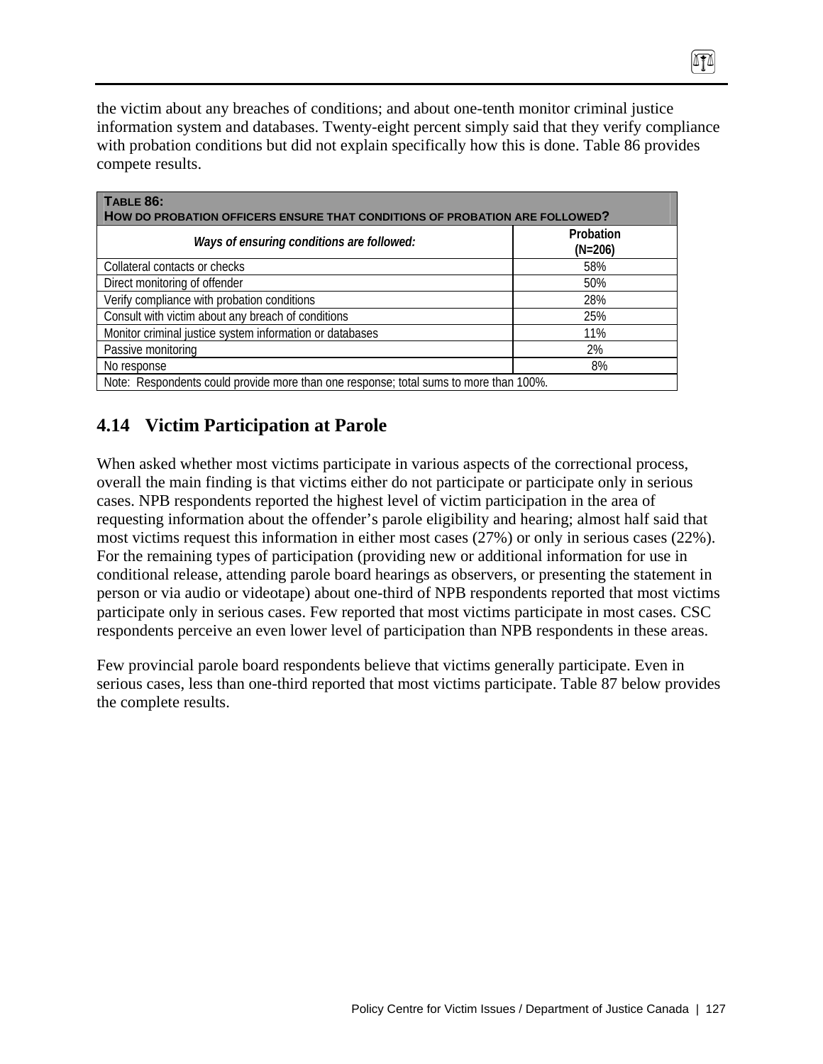the victim about any breaches of conditions; and about one-tenth monitor criminal justice information system and databases. Twenty-eight percent simply said that they verify compliance with probation conditions but did not explain specifically how this is done. Table 86 provides compete results.

0TA

| TABLE 86:<br>HOW DO PROBATION OFFICERS ENSURE THAT CONDITIONS OF PROBATION ARE FOLLOWED? |                        |  |  |  |
|------------------------------------------------------------------------------------------|------------------------|--|--|--|
| Ways of ensuring conditions are followed:                                                | Probation<br>$(N=206)$ |  |  |  |
| Collateral contacts or checks                                                            | 58%                    |  |  |  |
| Direct monitoring of offender                                                            | 50%                    |  |  |  |
| Verify compliance with probation conditions                                              | 28%                    |  |  |  |
| Consult with victim about any breach of conditions                                       | 25%                    |  |  |  |
| Monitor criminal justice system information or databases                                 | 11%                    |  |  |  |
| Passive monitoring                                                                       | 2%                     |  |  |  |
| No response                                                                              | 8%                     |  |  |  |
| Note: Respondents could provide more than one response; total sums to more than 100%.    |                        |  |  |  |

# **4.14 Victim Participation at Parole**

When asked whether most victims participate in various aspects of the correctional process, overall the main finding is that victims either do not participate or participate only in serious cases. NPB respondents reported the highest level of victim participation in the area of requesting information about the offender's parole eligibility and hearing; almost half said that most victims request this information in either most cases (27%) or only in serious cases (22%). For the remaining types of participation (providing new or additional information for use in conditional release, attending parole board hearings as observers, or presenting the statement in person or via audio or videotape) about one-third of NPB respondents reported that most victims participate only in serious cases. Few reported that most victims participate in most cases. CSC respondents perceive an even lower level of participation than NPB respondents in these areas.

Few provincial parole board respondents believe that victims generally participate. Even in serious cases, less than one-third reported that most victims participate. Table 87 below provides the complete results.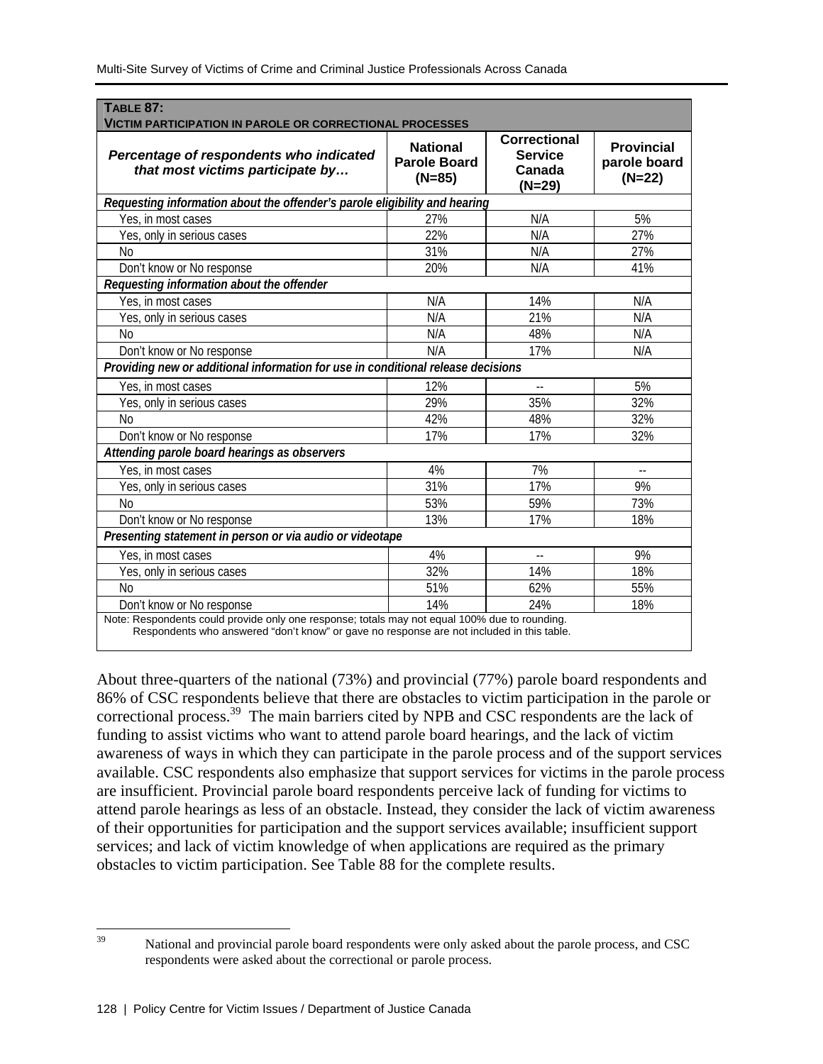| <b>TABLE 87:</b><br><b>VICTIM PARTICIPATION IN PAROLE OR CORRECTIONAL PROCESSES</b>                                                                                                        |                                                    |                                                           |                                               |  |  |  |
|--------------------------------------------------------------------------------------------------------------------------------------------------------------------------------------------|----------------------------------------------------|-----------------------------------------------------------|-----------------------------------------------|--|--|--|
| Percentage of respondents who indicated<br>that most victims participate by                                                                                                                | <b>National</b><br><b>Parole Board</b><br>$(N=85)$ | <b>Correctional</b><br><b>Service</b><br>Canada<br>(N=29) | <b>Provincial</b><br>parole board<br>$(N=22)$ |  |  |  |
| Requesting information about the offender's parole eligibility and hearing                                                                                                                 |                                                    |                                                           |                                               |  |  |  |
| Yes, in most cases                                                                                                                                                                         | 27%                                                | N/A                                                       | 5%                                            |  |  |  |
| Yes, only in serious cases                                                                                                                                                                 | 22%                                                | N/A                                                       | 27%                                           |  |  |  |
| N <sub>0</sub>                                                                                                                                                                             | 31%                                                | N/A                                                       | 27%                                           |  |  |  |
| Don't know or No response                                                                                                                                                                  | 20%                                                | N/A                                                       | 41%                                           |  |  |  |
| Requesting information about the offender                                                                                                                                                  |                                                    |                                                           |                                               |  |  |  |
| Yes, in most cases                                                                                                                                                                         | N/A                                                | 14%                                                       | N/A                                           |  |  |  |
| Yes, only in serious cases                                                                                                                                                                 | N/A                                                | 21%                                                       | N/A                                           |  |  |  |
| No                                                                                                                                                                                         | N/A                                                | 48%                                                       | N/A                                           |  |  |  |
| Don't know or No response                                                                                                                                                                  | N/A                                                | 17%                                                       | N/A                                           |  |  |  |
| Providing new or additional information for use in conditional release decisions                                                                                                           |                                                    |                                                           |                                               |  |  |  |
| Yes, in most cases                                                                                                                                                                         | 12%                                                | $-1$                                                      | 5%                                            |  |  |  |
| Yes, only in serious cases                                                                                                                                                                 | 29%                                                | 35%                                                       | 32%                                           |  |  |  |
| N <sub>0</sub>                                                                                                                                                                             | 42%                                                | 48%                                                       | 32%                                           |  |  |  |
| Don't know or No response                                                                                                                                                                  | 17%                                                | 17%                                                       | 32%                                           |  |  |  |
| Attending parole board hearings as observers                                                                                                                                               |                                                    |                                                           |                                               |  |  |  |
| Yes, in most cases                                                                                                                                                                         | 4%                                                 | 7%                                                        | $\overline{a}$                                |  |  |  |
| Yes, only in serious cases                                                                                                                                                                 | 31%                                                | 17%                                                       | 9%                                            |  |  |  |
| No                                                                                                                                                                                         | 53%                                                | 59%                                                       | 73%                                           |  |  |  |
| Don't know or No response                                                                                                                                                                  | 13%                                                | 17%                                                       | 18%                                           |  |  |  |
| Presenting statement in person or via audio or videotape                                                                                                                                   |                                                    |                                                           |                                               |  |  |  |
| Yes, in most cases                                                                                                                                                                         | 4%                                                 | $\overline{\phantom{a}}$                                  | 9%                                            |  |  |  |
| Yes, only in serious cases                                                                                                                                                                 | 32%                                                | 14%                                                       | 18%                                           |  |  |  |
| N <sub>0</sub>                                                                                                                                                                             | 51%                                                | 62%                                                       | 55%                                           |  |  |  |
| Don't know or No response                                                                                                                                                                  | 14%                                                | 24%                                                       | 18%                                           |  |  |  |
| Note: Respondents could provide only one response; totals may not equal 100% due to rounding.<br>Respondents who answered "don't know" or gave no response are not included in this table. |                                                    |                                                           |                                               |  |  |  |

About three-quarters of the national (73%) and provincial (77%) parole board respondents and 86% of CSC respondents believe that there are obstacles to victim participation in the parole or correctional process.<sup>39</sup> The main barriers cited by NPB and CSC respondents are the lack of funding to assist victims who want to attend parole board hearings, and the lack of victim awareness of ways in which they can participate in the parole process and of the support services available. CSC respondents also emphasize that support services for victims in the parole process are insufficient. Provincial parole board respondents perceive lack of funding for victims to attend parole hearings as less of an obstacle. Instead, they consider the lack of victim awareness of their opportunities for participation and the support services available; insufficient support services; and lack of victim knowledge of when applications are required as the primary obstacles to victim participation. See Table 88 for the complete results.

<sup>39</sup> National and provincial parole board respondents were only asked about the parole process, and CSC respondents were asked about the correctional or parole process.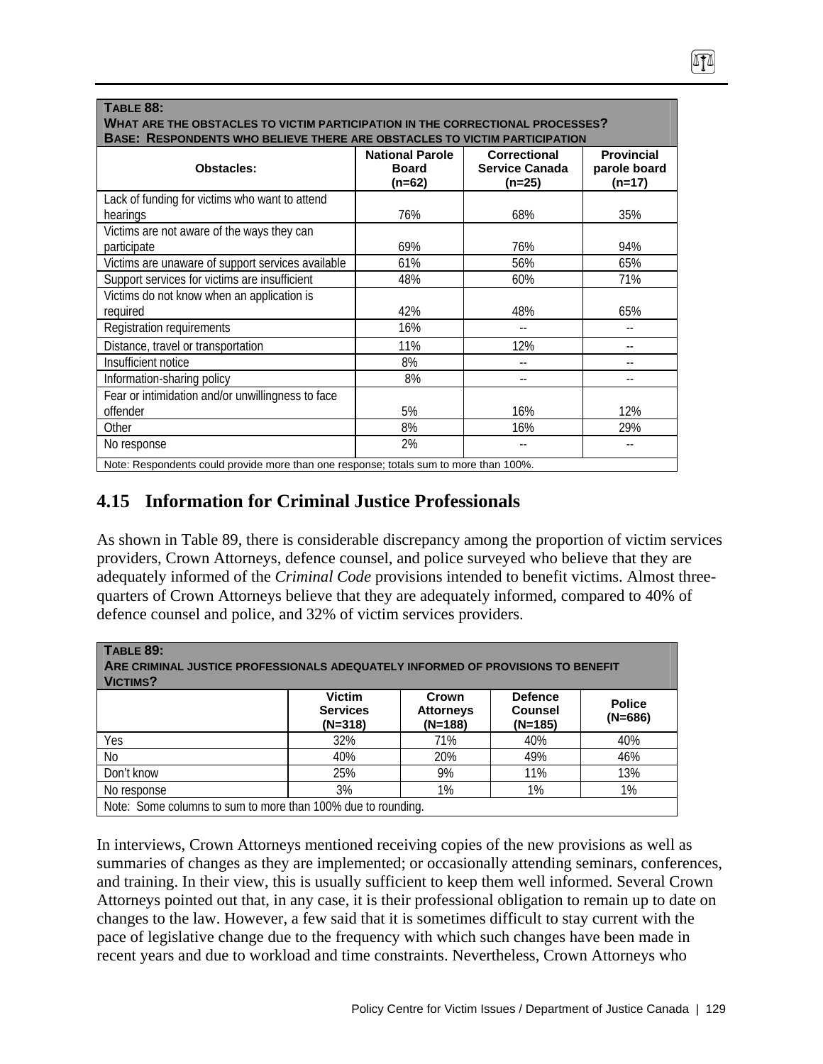| <b>TABLE 88:</b><br>WHAT ARE THE OBSTACLES TO VICTIM PARTICIPATION IN THE CORRECTIONAL PROCESSES?<br>BASE: RESPONDENTS WHO BELIEVE THERE ARE OBSTACLES TO VICTIM PARTICIPATION |                                                  |                                                          |                                               |  |  |
|--------------------------------------------------------------------------------------------------------------------------------------------------------------------------------|--------------------------------------------------|----------------------------------------------------------|-----------------------------------------------|--|--|
| <b>Obstacles:</b>                                                                                                                                                              | <b>National Parole</b><br><b>Board</b><br>(n=62) | <b>Correctional</b><br><b>Service Canada</b><br>$(n=25)$ | <b>Provincial</b><br>parole board<br>$(n=17)$ |  |  |
| Lack of funding for victims who want to attend                                                                                                                                 |                                                  |                                                          |                                               |  |  |
| hearings<br>Victims are not aware of the ways they can                                                                                                                         | 76%                                              | 68%                                                      | 35%                                           |  |  |
| participate                                                                                                                                                                    | 69%                                              | 76%                                                      | 94%                                           |  |  |
| Victims are unaware of support services available                                                                                                                              | 61%                                              | 56%                                                      | 65%                                           |  |  |
| Support services for victims are insufficient                                                                                                                                  | 48%                                              | 60%                                                      | 71%                                           |  |  |
| Victims do not know when an application is<br>required                                                                                                                         | 42%                                              | 48%                                                      | 65%                                           |  |  |
| Registration requirements                                                                                                                                                      | 16%                                              | --                                                       |                                               |  |  |
| Distance, travel or transportation                                                                                                                                             | 11%                                              | 12%                                                      |                                               |  |  |
| Insufficient notice                                                                                                                                                            | 8%                                               |                                                          |                                               |  |  |
| Information-sharing policy                                                                                                                                                     | 8%                                               | $-$                                                      |                                               |  |  |
| Fear or intimidation and/or unwillingness to face<br>offender                                                                                                                  | 5%                                               | 16%                                                      | 12%                                           |  |  |
| Other                                                                                                                                                                          | 8%                                               | 16%                                                      | 29%                                           |  |  |
| No response<br>Note: Respondents could provide more than ano response totals sum to more than 100%                                                                             | 2%                                               |                                                          |                                               |  |  |

Note: Respondents could provide more than one response; totals sum to more than 100%.

# **4.15 Information for Criminal Justice Professionals**

As shown in Table 89, there is considerable discrepancy among the proportion of victim services providers, Crown Attorneys, defence counsel, and police surveyed who believe that they are adequately informed of the *Criminal Code* provisions intended to benefit victims. Almost threequarters of Crown Attorneys believe that they are adequately informed, compared to 40% of defence counsel and police, and 32% of victim services providers.

| TABLE 89:<br>ARE CRIMINAL JUSTICE PROFESSIONALS ADEQUATELY INFORMED OF PROVISIONS TO BENEFIT<br><b>VICTIMS?</b> |                                               |                                        |                                               |                            |  |
|-----------------------------------------------------------------------------------------------------------------|-----------------------------------------------|----------------------------------------|-----------------------------------------------|----------------------------|--|
|                                                                                                                 | <b>Victim</b><br><b>Services</b><br>$(N=318)$ | Crown<br><b>Attorneys</b><br>$(N=188)$ | <b>Defence</b><br><b>Counsel</b><br>$(N=185)$ | <b>Police</b><br>$(N=686)$ |  |
| Yes                                                                                                             | 32%                                           | 71%                                    | 40%                                           | 40%                        |  |
| No                                                                                                              | 40%                                           | 20%                                    | 49%                                           | 46%                        |  |
| Don't know                                                                                                      | 25%                                           | 9%                                     | 11%                                           | 13%                        |  |
| No response                                                                                                     | 3%                                            | 1%                                     | 1%                                            | 1%                         |  |
| Note: Some columns to sum to more than 100% due to rounding.                                                    |                                               |                                        |                                               |                            |  |

In interviews, Crown Attorneys mentioned receiving copies of the new provisions as well as summaries of changes as they are implemented; or occasionally attending seminars, conferences, and training. In their view, this is usually sufficient to keep them well informed. Several Crown Attorneys pointed out that, in any case, it is their professional obligation to remain up to date on changes to the law. However, a few said that it is sometimes difficult to stay current with the pace of legislative change due to the frequency with which such changes have been made in recent years and due to workload and time constraints. Nevertheless, Crown Attorneys who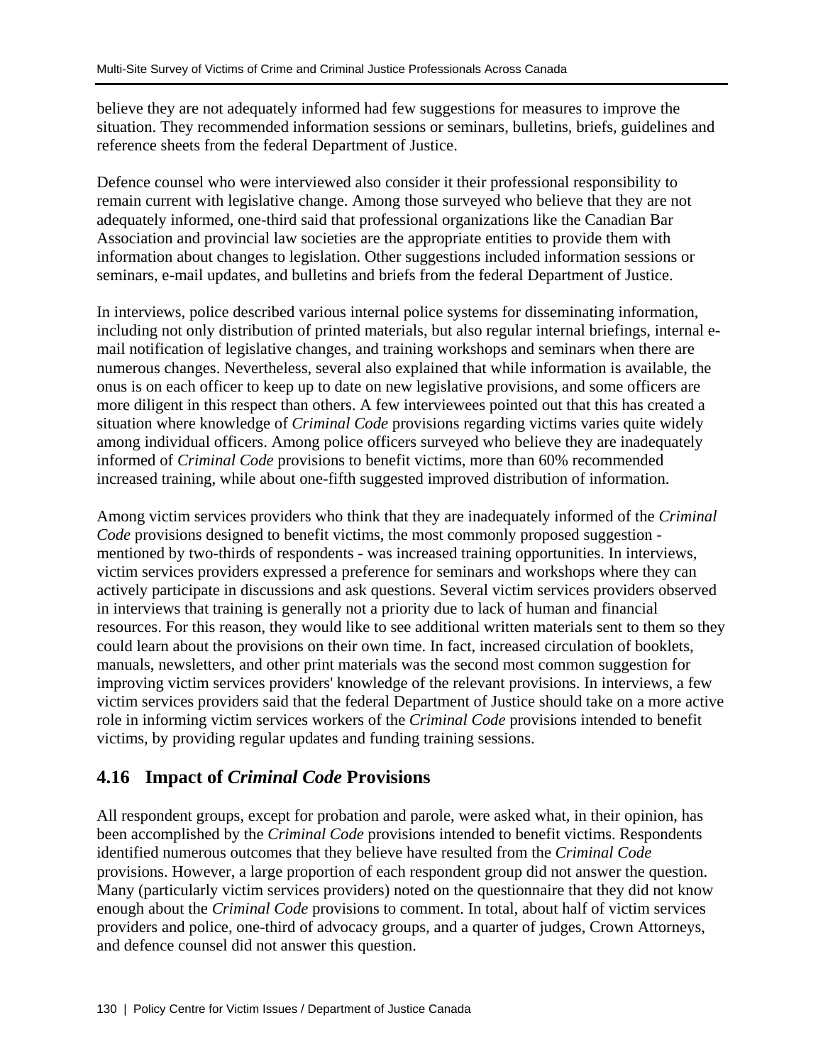believe they are not adequately informed had few suggestions for measures to improve the situation. They recommended information sessions or seminars, bulletins, briefs, guidelines and reference sheets from the federal Department of Justice.

Defence counsel who were interviewed also consider it their professional responsibility to remain current with legislative change. Among those surveyed who believe that they are not adequately informed, one-third said that professional organizations like the Canadian Bar Association and provincial law societies are the appropriate entities to provide them with information about changes to legislation. Other suggestions included information sessions or seminars, e-mail updates, and bulletins and briefs from the federal Department of Justice.

In interviews, police described various internal police systems for disseminating information, including not only distribution of printed materials, but also regular internal briefings, internal email notification of legislative changes, and training workshops and seminars when there are numerous changes. Nevertheless, several also explained that while information is available, the onus is on each officer to keep up to date on new legislative provisions, and some officers are more diligent in this respect than others. A few interviewees pointed out that this has created a situation where knowledge of *Criminal Code* provisions regarding victims varies quite widely among individual officers. Among police officers surveyed who believe they are inadequately informed of *Criminal Code* provisions to benefit victims, more than 60% recommended increased training, while about one-fifth suggested improved distribution of information.

Among victim services providers who think that they are inadequately informed of the *Criminal Code* provisions designed to benefit victims, the most commonly proposed suggestion mentioned by two-thirds of respondents - was increased training opportunities. In interviews, victim services providers expressed a preference for seminars and workshops where they can actively participate in discussions and ask questions. Several victim services providers observed in interviews that training is generally not a priority due to lack of human and financial resources. For this reason, they would like to see additional written materials sent to them so they could learn about the provisions on their own time. In fact, increased circulation of booklets, manuals, newsletters, and other print materials was the second most common suggestion for improving victim services providers' knowledge of the relevant provisions. In interviews, a few victim services providers said that the federal Department of Justice should take on a more active role in informing victim services workers of the *Criminal Code* provisions intended to benefit victims, by providing regular updates and funding training sessions.

# **4.16 Impact of** *Criminal Code* **Provisions**

All respondent groups, except for probation and parole, were asked what, in their opinion, has been accomplished by the *Criminal Code* provisions intended to benefit victims. Respondents identified numerous outcomes that they believe have resulted from the *Criminal Code* provisions. However, a large proportion of each respondent group did not answer the question. Many (particularly victim services providers) noted on the questionnaire that they did not know enough about the *Criminal Code* provisions to comment. In total, about half of victim services providers and police, one-third of advocacy groups, and a quarter of judges, Crown Attorneys, and defence counsel did not answer this question.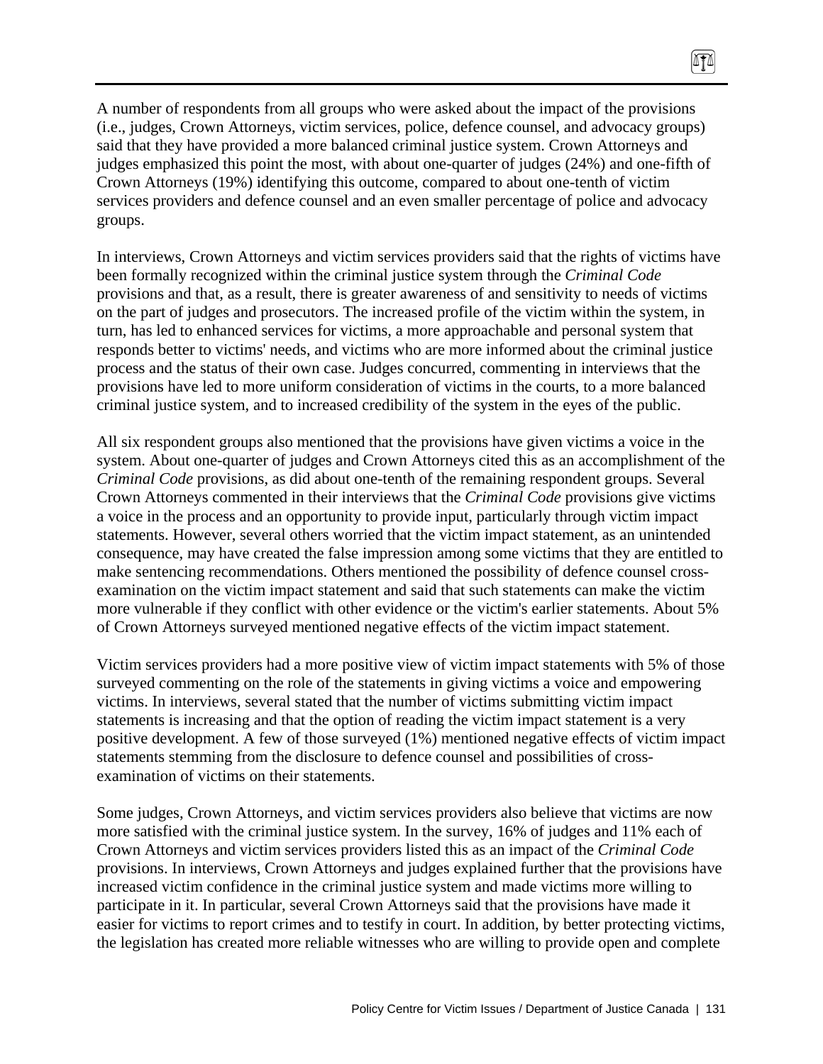A number of respondents from all groups who were asked about the impact of the provisions (i.e., judges, Crown Attorneys, victim services, police, defence counsel, and advocacy groups) said that they have provided a more balanced criminal justice system. Crown Attorneys and judges emphasized this point the most, with about one-quarter of judges (24%) and one-fifth of Crown Attorneys (19%) identifying this outcome, compared to about one-tenth of victim services providers and defence counsel and an even smaller percentage of police and advocacy groups.

 $\sqrt{10}$ 

In interviews, Crown Attorneys and victim services providers said that the rights of victims have been formally recognized within the criminal justice system through the *Criminal Code* provisions and that, as a result, there is greater awareness of and sensitivity to needs of victims on the part of judges and prosecutors. The increased profile of the victim within the system, in turn, has led to enhanced services for victims, a more approachable and personal system that responds better to victims' needs, and victims who are more informed about the criminal justice process and the status of their own case. Judges concurred, commenting in interviews that the provisions have led to more uniform consideration of victims in the courts, to a more balanced criminal justice system, and to increased credibility of the system in the eyes of the public.

All six respondent groups also mentioned that the provisions have given victims a voice in the system. About one-quarter of judges and Crown Attorneys cited this as an accomplishment of the *Criminal Code* provisions, as did about one-tenth of the remaining respondent groups. Several Crown Attorneys commented in their interviews that the *Criminal Code* provisions give victims a voice in the process and an opportunity to provide input, particularly through victim impact statements. However, several others worried that the victim impact statement, as an unintended consequence, may have created the false impression among some victims that they are entitled to make sentencing recommendations. Others mentioned the possibility of defence counsel crossexamination on the victim impact statement and said that such statements can make the victim more vulnerable if they conflict with other evidence or the victim's earlier statements. About 5% of Crown Attorneys surveyed mentioned negative effects of the victim impact statement.

Victim services providers had a more positive view of victim impact statements with 5% of those surveyed commenting on the role of the statements in giving victims a voice and empowering victims. In interviews, several stated that the number of victims submitting victim impact statements is increasing and that the option of reading the victim impact statement is a very positive development. A few of those surveyed (1%) mentioned negative effects of victim impact statements stemming from the disclosure to defence counsel and possibilities of crossexamination of victims on their statements.

Some judges, Crown Attorneys, and victim services providers also believe that victims are now more satisfied with the criminal justice system. In the survey, 16% of judges and 11% each of Crown Attorneys and victim services providers listed this as an impact of the *Criminal Code* provisions. In interviews, Crown Attorneys and judges explained further that the provisions have increased victim confidence in the criminal justice system and made victims more willing to participate in it. In particular, several Crown Attorneys said that the provisions have made it easier for victims to report crimes and to testify in court. In addition, by better protecting victims, the legislation has created more reliable witnesses who are willing to provide open and complete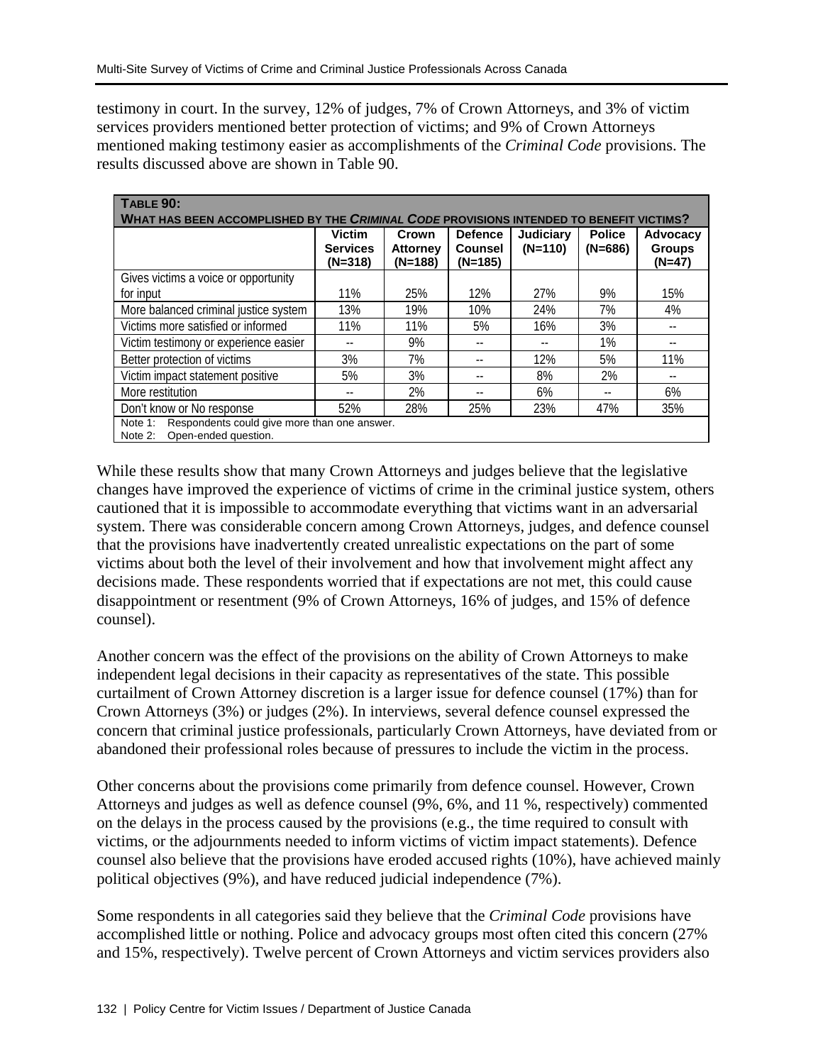testimony in court. In the survey, 12% of judges, 7% of Crown Attorneys, and 3% of victim services providers mentioned better protection of victims; and 9% of Crown Attorneys mentioned making testimony easier as accomplishments of the *Criminal Code* provisions. The results discussed above are shown in Table 90.

| TABLE 90:<br>WHAT HAS BEEN ACCOMPLISHED BY THE CRIMINAL CODE PROVISIONS INTENDED TO BENEFIT VICTIMS? |                                               |                                     |                                               |                               |                            |                                       |
|------------------------------------------------------------------------------------------------------|-----------------------------------------------|-------------------------------------|-----------------------------------------------|-------------------------------|----------------------------|---------------------------------------|
|                                                                                                      | <b>Victim</b><br><b>Services</b><br>$(N=318)$ | Crown<br><b>Attorney</b><br>(N=188) | <b>Defence</b><br><b>Counsel</b><br>$(N=185)$ | <b>Judiciary</b><br>$(N=110)$ | <b>Police</b><br>$(N=686)$ | Advocacy<br><b>Groups</b><br>$(N=47)$ |
| Gives victims a voice or opportunity                                                                 |                                               |                                     |                                               |                               |                            |                                       |
| for input                                                                                            | 11%                                           | 25%                                 | 12%                                           | 27%                           | 9%                         | 15%                                   |
| More balanced criminal justice system                                                                | 13%                                           | 19%                                 | 10%                                           | 24%                           | 7%                         | 4%                                    |
| Victims more satisfied or informed                                                                   | 11%                                           | 11%                                 | 5%                                            | 16%                           | 3%                         | $- -$                                 |
| Victim testimony or experience easier                                                                |                                               | 9%                                  | --                                            | --                            | 1%                         | $- -$                                 |
| Better protection of victims                                                                         | 3%                                            | 7%                                  |                                               | 12%                           | 5%                         | 11%                                   |
| Victim impact statement positive                                                                     | 5%                                            | 3%                                  |                                               | 8%                            | 2%                         | $- -$                                 |
| More restitution                                                                                     |                                               | 2%                                  | --                                            | 6%                            | --                         | 6%                                    |
| Don't know or No response                                                                            | 52%                                           | 28%                                 | 25%                                           | 23%                           | 47%                        | 35%                                   |
| Respondents could give more than one answer.<br>Note 1:<br>Open-ended question.<br>Note $2$ :        |                                               |                                     |                                               |                               |                            |                                       |

While these results show that many Crown Attorneys and judges believe that the legislative changes have improved the experience of victims of crime in the criminal justice system, others cautioned that it is impossible to accommodate everything that victims want in an adversarial system. There was considerable concern among Crown Attorneys, judges, and defence counsel that the provisions have inadvertently created unrealistic expectations on the part of some victims about both the level of their involvement and how that involvement might affect any decisions made. These respondents worried that if expectations are not met, this could cause disappointment or resentment (9% of Crown Attorneys, 16% of judges, and 15% of defence counsel).

Another concern was the effect of the provisions on the ability of Crown Attorneys to make independent legal decisions in their capacity as representatives of the state. This possible curtailment of Crown Attorney discretion is a larger issue for defence counsel (17%) than for Crown Attorneys (3%) or judges (2%). In interviews, several defence counsel expressed the concern that criminal justice professionals, particularly Crown Attorneys, have deviated from or abandoned their professional roles because of pressures to include the victim in the process.

Other concerns about the provisions come primarily from defence counsel. However, Crown Attorneys and judges as well as defence counsel (9%, 6%, and 11 %, respectively) commented on the delays in the process caused by the provisions (e.g., the time required to consult with victims, or the adjournments needed to inform victims of victim impact statements). Defence counsel also believe that the provisions have eroded accused rights (10%), have achieved mainly political objectives (9%), and have reduced judicial independence (7%).

Some respondents in all categories said they believe that the *Criminal Code* provisions have accomplished little or nothing. Police and advocacy groups most often cited this concern (27% and 15%, respectively). Twelve percent of Crown Attorneys and victim services providers also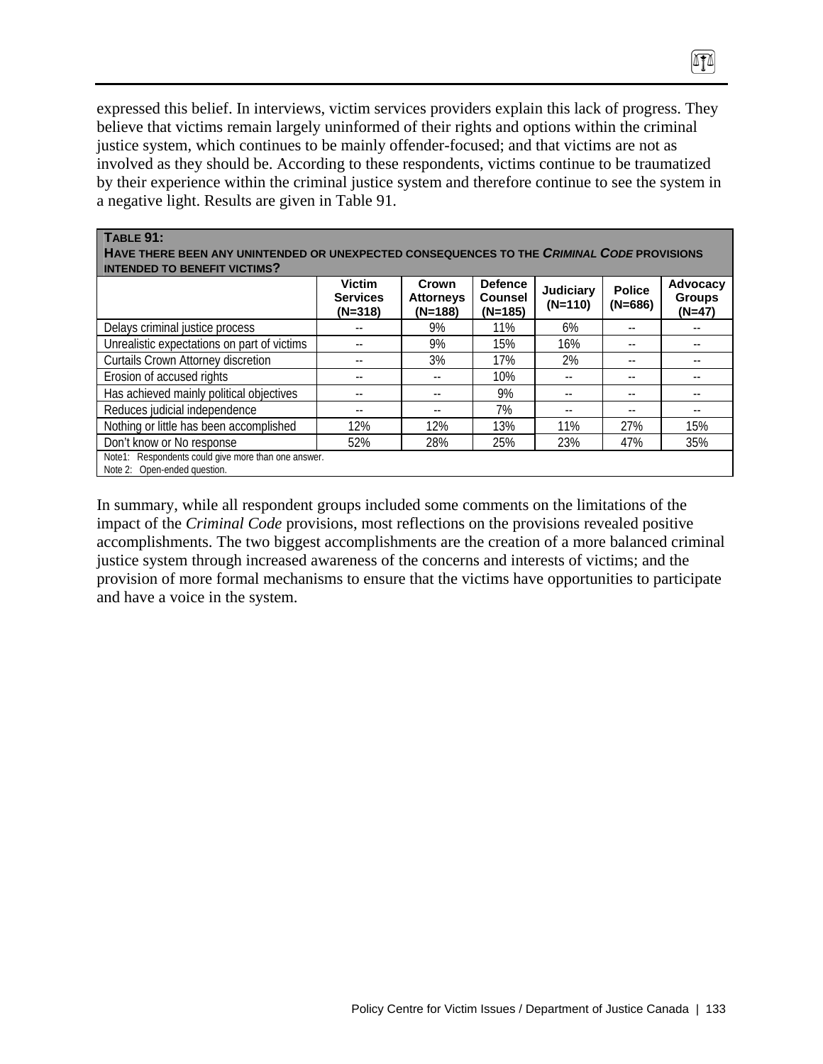expressed this belief. In interviews, victim services providers explain this lack of progress. They believe that victims remain largely uninformed of their rights and options within the criminal justice system, which continues to be mainly offender-focused; and that victims are not as involved as they should be. According to these respondents, victims continue to be traumatized by their experience within the criminal justice system and therefore continue to see the system in a negative light. Results are given in Table 91.

 $\sqrt{10}$ 

**TABLE 91:** 

| HAVE THERE BEEN ANY UNINTENDED OR UNEXPECTED CONSEQUENCES TO THE CRIMINAL CODE PROVISIONS<br><b>INTENDED TO BENEFIT VICTIMS?</b> |                                               |                                        |                                               |                               |                            |                                       |
|----------------------------------------------------------------------------------------------------------------------------------|-----------------------------------------------|----------------------------------------|-----------------------------------------------|-------------------------------|----------------------------|---------------------------------------|
|                                                                                                                                  | <b>Victim</b><br><b>Services</b><br>$(N=318)$ | Crown<br><b>Attorneys</b><br>$(N=188)$ | <b>Defence</b><br><b>Counsel</b><br>$(N=185)$ | <b>Judiciary</b><br>$(N=110)$ | <b>Police</b><br>$(N=686)$ | Advocacy<br><b>Groups</b><br>$(N=47)$ |
| Delays criminal justice process                                                                                                  |                                               | 9%                                     | 11%                                           | 6%                            |                            |                                       |
| Unrealistic expectations on part of victims                                                                                      |                                               | 9%                                     | 15%                                           | 16%                           | --                         |                                       |
| <b>Curtails Crown Attorney discretion</b>                                                                                        |                                               | 3%                                     | 17%                                           | 2%                            | --                         |                                       |
| Erosion of accused rights                                                                                                        | $ -$                                          | --                                     | 10%                                           | --                            | --                         | --                                    |
| Has achieved mainly political objectives                                                                                         | $ -$                                          |                                        | 9%                                            |                               | $ -$                       | --                                    |
| Reduces judicial independence                                                                                                    | $- -$                                         |                                        | 7%                                            | $- -$                         | $- -$                      | $ -$                                  |
| Nothing or little has been accomplished                                                                                          | 12%                                           | 12%                                    | 13%                                           | 11%                           | 27%                        | 15%                                   |
| Don't know or No response                                                                                                        | 52%                                           | 28%                                    | 25%                                           | 23%                           | 47%                        | 35%                                   |
| Note1: Respondents could give more than one answer.<br>Note 2: Open-ended question.                                              |                                               |                                        |                                               |                               |                            |                                       |

In summary, while all respondent groups included some comments on the limitations of the impact of the *Criminal Code* provisions, most reflections on the provisions revealed positive accomplishments. The two biggest accomplishments are the creation of a more balanced criminal justice system through increased awareness of the concerns and interests of victims; and the provision of more formal mechanisms to ensure that the victims have opportunities to participate and have a voice in the system.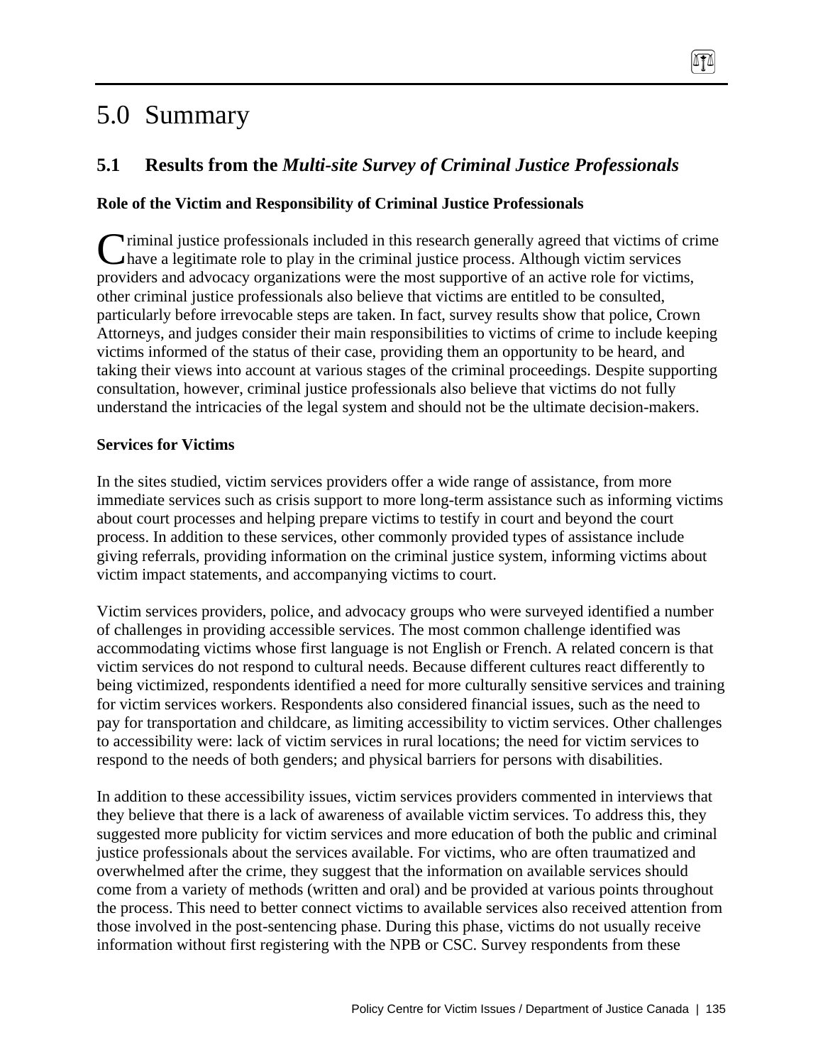# 5.0 Summary

# **5.1 Results from the** *Multi-site Survey of Criminal Justice Professionals*

ATA

# **Role of the Victim and Responsibility of Criminal Justice Professionals**

riminal justice professionals included in this research generally agreed that victims of crime Criminal justice professionals included in this research generally agreed that victims of chave a legitimate role to play in the criminal justice process. Although victim services providers and advocacy organizations were the most supportive of an active role for victims, other criminal justice professionals also believe that victims are entitled to be consulted, particularly before irrevocable steps are taken. In fact, survey results show that police, Crown Attorneys, and judges consider their main responsibilities to victims of crime to include keeping victims informed of the status of their case, providing them an opportunity to be heard, and taking their views into account at various stages of the criminal proceedings. Despite supporting consultation, however, criminal justice professionals also believe that victims do not fully understand the intricacies of the legal system and should not be the ultimate decision-makers.

### **Services for Victims**

In the sites studied, victim services providers offer a wide range of assistance, from more immediate services such as crisis support to more long-term assistance such as informing victims about court processes and helping prepare victims to testify in court and beyond the court process. In addition to these services, other commonly provided types of assistance include giving referrals, providing information on the criminal justice system, informing victims about victim impact statements, and accompanying victims to court.

Victim services providers, police, and advocacy groups who were surveyed identified a number of challenges in providing accessible services. The most common challenge identified was accommodating victims whose first language is not English or French. A related concern is that victim services do not respond to cultural needs. Because different cultures react differently to being victimized, respondents identified a need for more culturally sensitive services and training for victim services workers. Respondents also considered financial issues, such as the need to pay for transportation and childcare, as limiting accessibility to victim services. Other challenges to accessibility were: lack of victim services in rural locations; the need for victim services to respond to the needs of both genders; and physical barriers for persons with disabilities.

In addition to these accessibility issues, victim services providers commented in interviews that they believe that there is a lack of awareness of available victim services. To address this, they suggested more publicity for victim services and more education of both the public and criminal justice professionals about the services available. For victims, who are often traumatized and overwhelmed after the crime, they suggest that the information on available services should come from a variety of methods (written and oral) and be provided at various points throughout the process. This need to better connect victims to available services also received attention from those involved in the post-sentencing phase. During this phase, victims do not usually receive information without first registering with the NPB or CSC. Survey respondents from these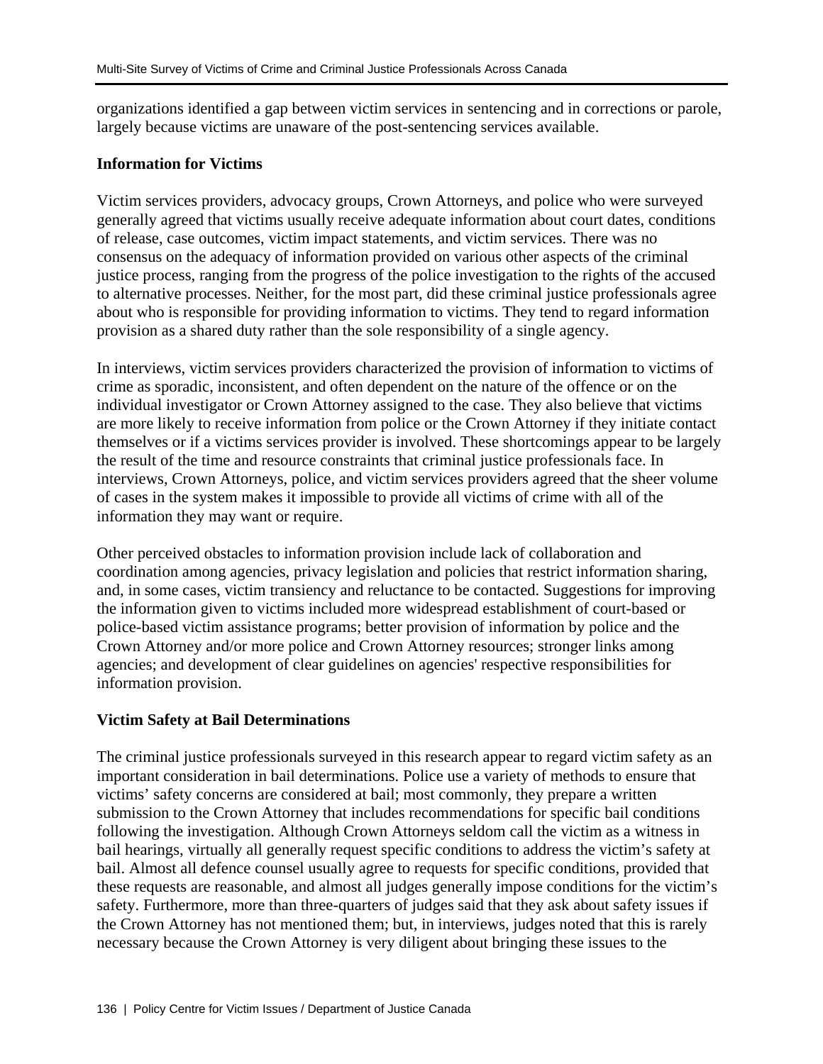organizations identified a gap between victim services in sentencing and in corrections or parole, largely because victims are unaware of the post-sentencing services available.

#### **Information for Victims**

Victim services providers, advocacy groups, Crown Attorneys, and police who were surveyed generally agreed that victims usually receive adequate information about court dates, conditions of release, case outcomes, victim impact statements, and victim services. There was no consensus on the adequacy of information provided on various other aspects of the criminal justice process, ranging from the progress of the police investigation to the rights of the accused to alternative processes. Neither, for the most part, did these criminal justice professionals agree about who is responsible for providing information to victims. They tend to regard information provision as a shared duty rather than the sole responsibility of a single agency.

In interviews, victim services providers characterized the provision of information to victims of crime as sporadic, inconsistent, and often dependent on the nature of the offence or on the individual investigator or Crown Attorney assigned to the case. They also believe that victims are more likely to receive information from police or the Crown Attorney if they initiate contact themselves or if a victims services provider is involved. These shortcomings appear to be largely the result of the time and resource constraints that criminal justice professionals face. In interviews, Crown Attorneys, police, and victim services providers agreed that the sheer volume of cases in the system makes it impossible to provide all victims of crime with all of the information they may want or require.

Other perceived obstacles to information provision include lack of collaboration and coordination among agencies, privacy legislation and policies that restrict information sharing, and, in some cases, victim transiency and reluctance to be contacted. Suggestions for improving the information given to victims included more widespread establishment of court-based or police-based victim assistance programs; better provision of information by police and the Crown Attorney and/or more police and Crown Attorney resources; stronger links among agencies; and development of clear guidelines on agencies' respective responsibilities for information provision.

### **Victim Safety at Bail Determinations**

The criminal justice professionals surveyed in this research appear to regard victim safety as an important consideration in bail determinations. Police use a variety of methods to ensure that victims' safety concerns are considered at bail; most commonly, they prepare a written submission to the Crown Attorney that includes recommendations for specific bail conditions following the investigation. Although Crown Attorneys seldom call the victim as a witness in bail hearings, virtually all generally request specific conditions to address the victim's safety at bail. Almost all defence counsel usually agree to requests for specific conditions, provided that these requests are reasonable, and almost all judges generally impose conditions for the victim's safety. Furthermore, more than three-quarters of judges said that they ask about safety issues if the Crown Attorney has not mentioned them; but, in interviews, judges noted that this is rarely necessary because the Crown Attorney is very diligent about bringing these issues to the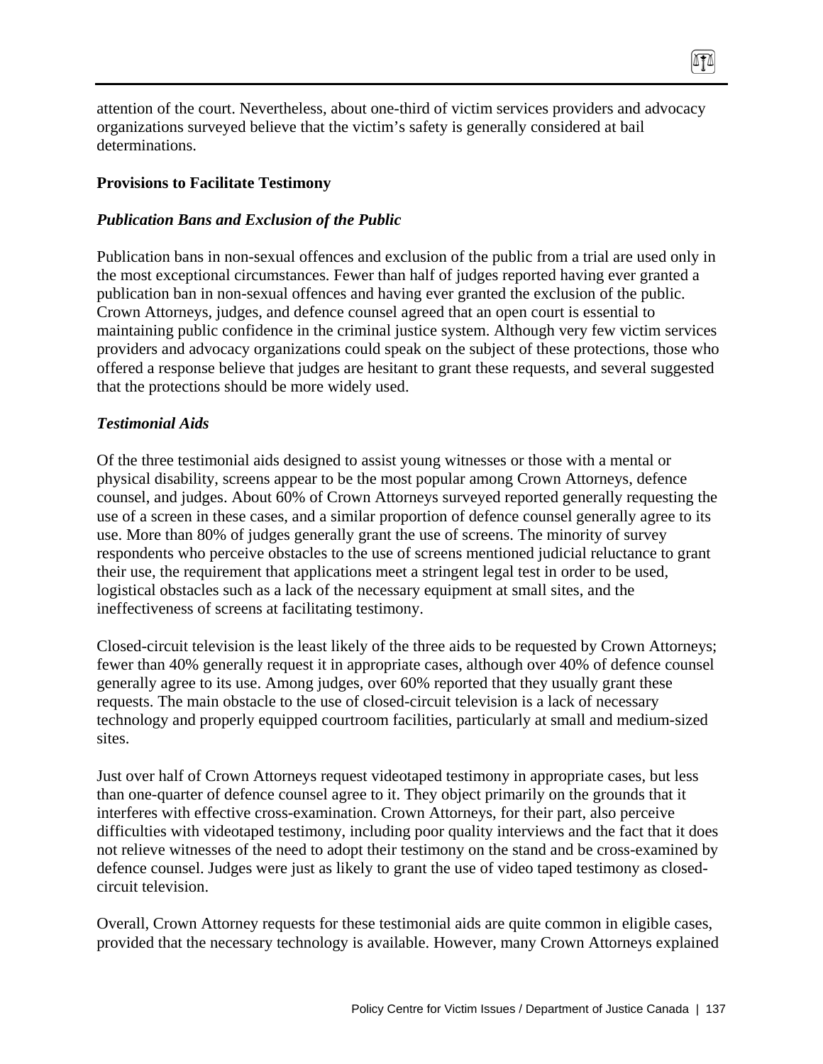attention of the court. Nevertheless, about one-third of victim services providers and advocacy organizations surveyed believe that the victim's safety is generally considered at bail determinations.

0TA

### **Provisions to Facilitate Testimony**

### *Publication Bans and Exclusion of the Public*

Publication bans in non-sexual offences and exclusion of the public from a trial are used only in the most exceptional circumstances. Fewer than half of judges reported having ever granted a publication ban in non-sexual offences and having ever granted the exclusion of the public. Crown Attorneys, judges, and defence counsel agreed that an open court is essential to maintaining public confidence in the criminal justice system. Although very few victim services providers and advocacy organizations could speak on the subject of these protections, those who offered a response believe that judges are hesitant to grant these requests, and several suggested that the protections should be more widely used.

### *Testimonial Aids*

Of the three testimonial aids designed to assist young witnesses or those with a mental or physical disability, screens appear to be the most popular among Crown Attorneys, defence counsel, and judges. About 60% of Crown Attorneys surveyed reported generally requesting the use of a screen in these cases, and a similar proportion of defence counsel generally agree to its use. More than 80% of judges generally grant the use of screens. The minority of survey respondents who perceive obstacles to the use of screens mentioned judicial reluctance to grant their use, the requirement that applications meet a stringent legal test in order to be used, logistical obstacles such as a lack of the necessary equipment at small sites, and the ineffectiveness of screens at facilitating testimony.

Closed-circuit television is the least likely of the three aids to be requested by Crown Attorneys; fewer than 40% generally request it in appropriate cases, although over 40% of defence counsel generally agree to its use. Among judges, over 60% reported that they usually grant these requests. The main obstacle to the use of closed-circuit television is a lack of necessary technology and properly equipped courtroom facilities, particularly at small and medium-sized sites.

Just over half of Crown Attorneys request videotaped testimony in appropriate cases, but less than one-quarter of defence counsel agree to it. They object primarily on the grounds that it interferes with effective cross-examination. Crown Attorneys, for their part, also perceive difficulties with videotaped testimony, including poor quality interviews and the fact that it does not relieve witnesses of the need to adopt their testimony on the stand and be cross-examined by defence counsel. Judges were just as likely to grant the use of video taped testimony as closedcircuit television.

Overall, Crown Attorney requests for these testimonial aids are quite common in eligible cases, provided that the necessary technology is available. However, many Crown Attorneys explained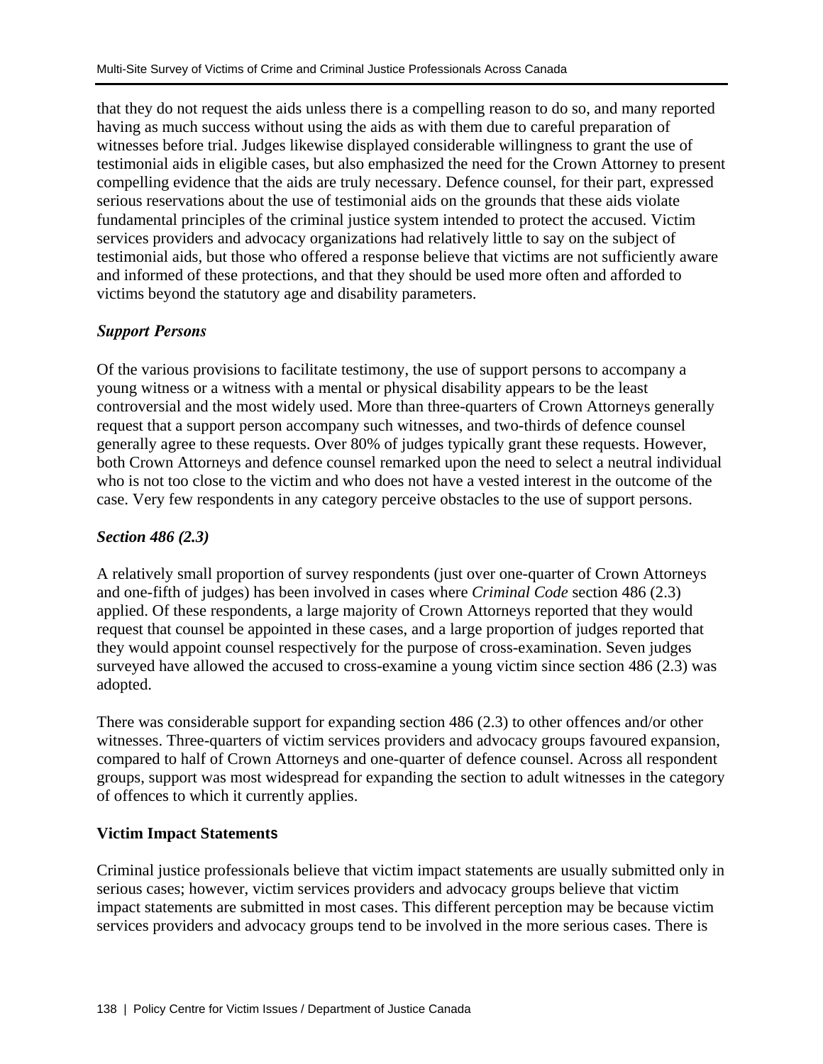that they do not request the aids unless there is a compelling reason to do so, and many reported having as much success without using the aids as with them due to careful preparation of witnesses before trial. Judges likewise displayed considerable willingness to grant the use of testimonial aids in eligible cases, but also emphasized the need for the Crown Attorney to present compelling evidence that the aids are truly necessary. Defence counsel, for their part, expressed serious reservations about the use of testimonial aids on the grounds that these aids violate fundamental principles of the criminal justice system intended to protect the accused. Victim services providers and advocacy organizations had relatively little to say on the subject of testimonial aids, but those who offered a response believe that victims are not sufficiently aware and informed of these protections, and that they should be used more often and afforded to victims beyond the statutory age and disability parameters.

## *Support Persons*

Of the various provisions to facilitate testimony, the use of support persons to accompany a young witness or a witness with a mental or physical disability appears to be the least controversial and the most widely used. More than three-quarters of Crown Attorneys generally request that a support person accompany such witnesses, and two-thirds of defence counsel generally agree to these requests. Over 80% of judges typically grant these requests. However, both Crown Attorneys and defence counsel remarked upon the need to select a neutral individual who is not too close to the victim and who does not have a vested interest in the outcome of the case. Very few respondents in any category perceive obstacles to the use of support persons.

## *Section 486 (2.3)*

A relatively small proportion of survey respondents (just over one-quarter of Crown Attorneys and one-fifth of judges) has been involved in cases where *Criminal Code* section 486 (2.3) applied. Of these respondents, a large majority of Crown Attorneys reported that they would request that counsel be appointed in these cases, and a large proportion of judges reported that they would appoint counsel respectively for the purpose of cross-examination. Seven judges surveyed have allowed the accused to cross-examine a young victim since section 486 (2.3) was adopted.

There was considerable support for expanding section 486 (2.3) to other offences and/or other witnesses. Three-quarters of victim services providers and advocacy groups favoured expansion, compared to half of Crown Attorneys and one-quarter of defence counsel. Across all respondent groups, support was most widespread for expanding the section to adult witnesses in the category of offences to which it currently applies.

### **Victim Impact Statements**

Criminal justice professionals believe that victim impact statements are usually submitted only in serious cases; however, victim services providers and advocacy groups believe that victim impact statements are submitted in most cases. This different perception may be because victim services providers and advocacy groups tend to be involved in the more serious cases. There is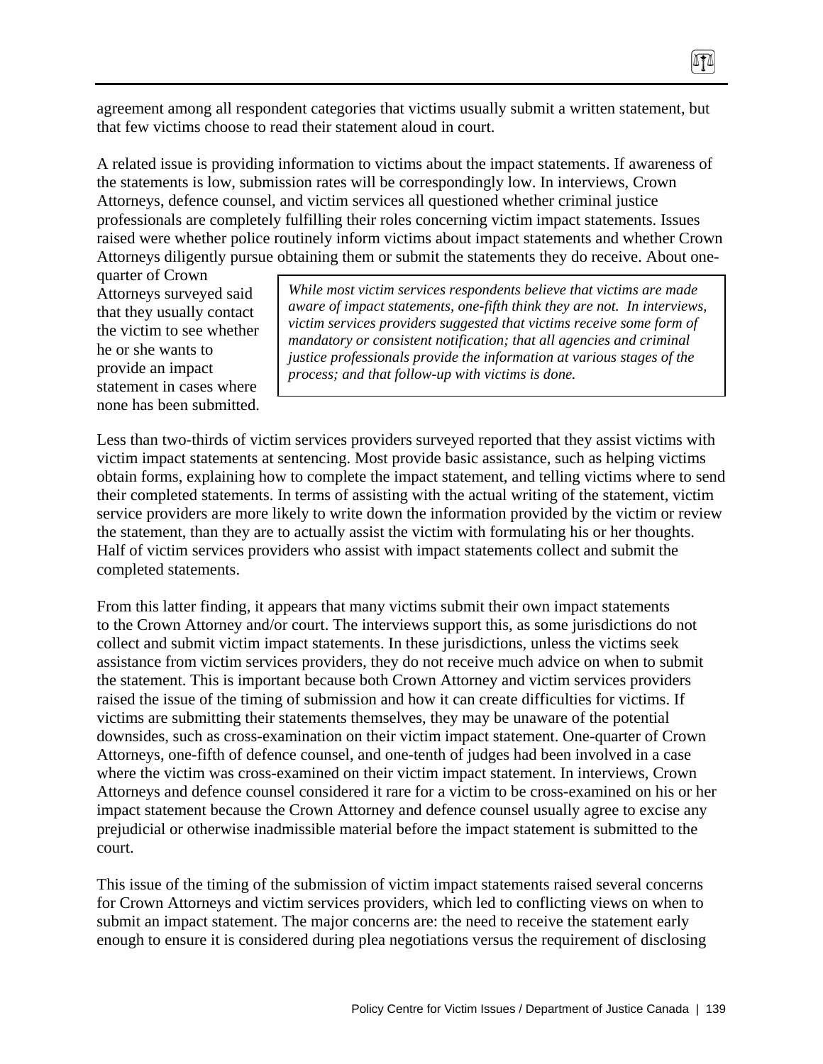agreement among all respondent categories that victims usually submit a written statement, but that few victims choose to read their statement aloud in court.

A related issue is providing information to victims about the impact statements. If awareness of the statements is low, submission rates will be correspondingly low. In interviews, Crown Attorneys, defence counsel, and victim services all questioned whether criminal justice professionals are completely fulfilling their roles concerning victim impact statements. Issues raised were whether police routinely inform victims about impact statements and whether Crown Attorneys diligently pursue obtaining them or submit the statements they do receive. About one-

quarter of Crown Attorneys surveyed said that they usually contact the victim to see whether he or she wants to provide an impact statement in cases where none has been submitted.

*While most victim services respondents believe that victims are made aware of impact statements, one-fifth think they are not. In interviews, victim services providers suggested that victims receive some form of mandatory or consistent notification; that all agencies and criminal justice professionals provide the information at various stages of the process; and that follow-up with victims is done.* 

Less than two-thirds of victim services providers surveyed reported that they assist victims with victim impact statements at sentencing. Most provide basic assistance, such as helping victims obtain forms, explaining how to complete the impact statement, and telling victims where to send their completed statements. In terms of assisting with the actual writing of the statement, victim service providers are more likely to write down the information provided by the victim or review the statement, than they are to actually assist the victim with formulating his or her thoughts. Half of victim services providers who assist with impact statements collect and submit the completed statements.

From this latter finding, it appears that many victims submit their own impact statements to the Crown Attorney and/or court. The interviews support this, as some jurisdictions do not collect and submit victim impact statements. In these jurisdictions, unless the victims seek assistance from victim services providers, they do not receive much advice on when to submit the statement. This is important because both Crown Attorney and victim services providers raised the issue of the timing of submission and how it can create difficulties for victims. If victims are submitting their statements themselves, they may be unaware of the potential downsides, such as cross-examination on their victim impact statement. One-quarter of Crown Attorneys, one-fifth of defence counsel, and one-tenth of judges had been involved in a case where the victim was cross-examined on their victim impact statement. In interviews, Crown Attorneys and defence counsel considered it rare for a victim to be cross-examined on his or her impact statement because the Crown Attorney and defence counsel usually agree to excise any prejudicial or otherwise inadmissible material before the impact statement is submitted to the court.

This issue of the timing of the submission of victim impact statements raised several concerns for Crown Attorneys and victim services providers, which led to conflicting views on when to submit an impact statement. The major concerns are: the need to receive the statement early enough to ensure it is considered during plea negotiations versus the requirement of disclosing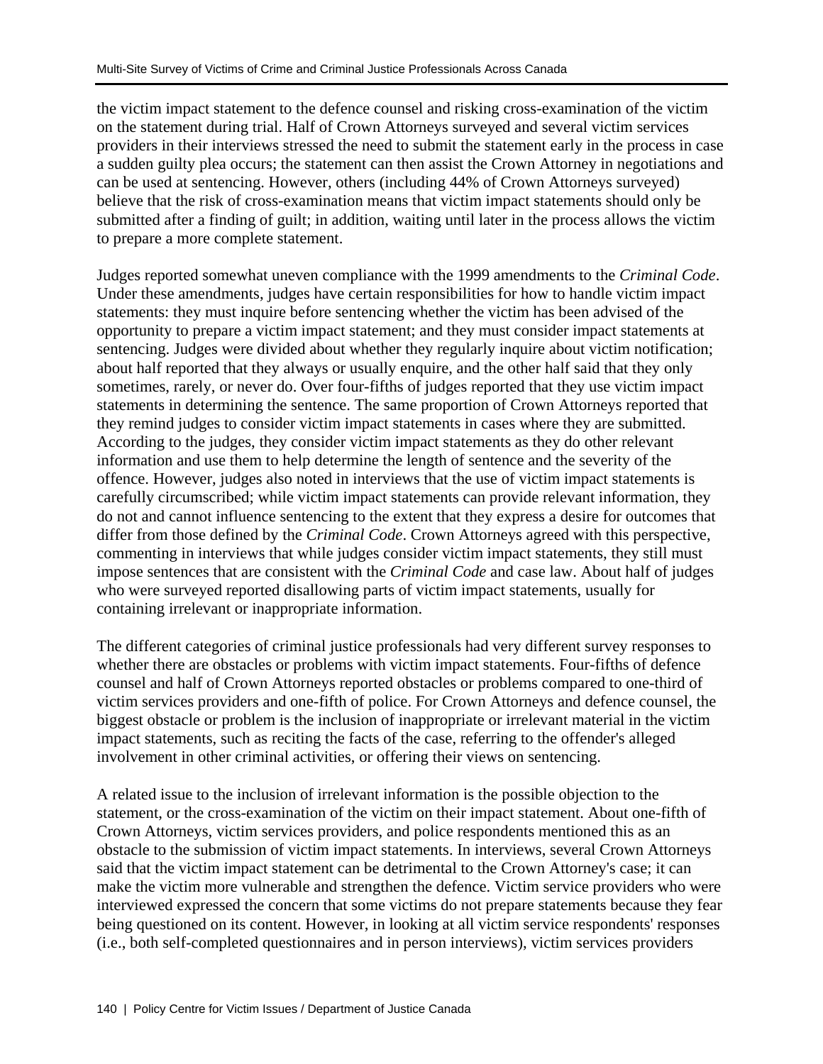the victim impact statement to the defence counsel and risking cross-examination of the victim on the statement during trial. Half of Crown Attorneys surveyed and several victim services providers in their interviews stressed the need to submit the statement early in the process in case a sudden guilty plea occurs; the statement can then assist the Crown Attorney in negotiations and can be used at sentencing. However, others (including 44% of Crown Attorneys surveyed) believe that the risk of cross-examination means that victim impact statements should only be submitted after a finding of guilt; in addition, waiting until later in the process allows the victim to prepare a more complete statement.

Judges reported somewhat uneven compliance with the 1999 amendments to the *Criminal Code*. Under these amendments, judges have certain responsibilities for how to handle victim impact statements: they must inquire before sentencing whether the victim has been advised of the opportunity to prepare a victim impact statement; and they must consider impact statements at sentencing. Judges were divided about whether they regularly inquire about victim notification; about half reported that they always or usually enquire, and the other half said that they only sometimes, rarely, or never do. Over four-fifths of judges reported that they use victim impact statements in determining the sentence. The same proportion of Crown Attorneys reported that they remind judges to consider victim impact statements in cases where they are submitted. According to the judges, they consider victim impact statements as they do other relevant information and use them to help determine the length of sentence and the severity of the offence. However, judges also noted in interviews that the use of victim impact statements is carefully circumscribed; while victim impact statements can provide relevant information, they do not and cannot influence sentencing to the extent that they express a desire for outcomes that differ from those defined by the *Criminal Code*. Crown Attorneys agreed with this perspective, commenting in interviews that while judges consider victim impact statements, they still must impose sentences that are consistent with the *Criminal Code* and case law. About half of judges who were surveyed reported disallowing parts of victim impact statements, usually for containing irrelevant or inappropriate information.

The different categories of criminal justice professionals had very different survey responses to whether there are obstacles or problems with victim impact statements. Four-fifths of defence counsel and half of Crown Attorneys reported obstacles or problems compared to one-third of victim services providers and one-fifth of police. For Crown Attorneys and defence counsel, the biggest obstacle or problem is the inclusion of inappropriate or irrelevant material in the victim impact statements, such as reciting the facts of the case, referring to the offender's alleged involvement in other criminal activities, or offering their views on sentencing.

A related issue to the inclusion of irrelevant information is the possible objection to the statement, or the cross-examination of the victim on their impact statement. About one-fifth of Crown Attorneys, victim services providers, and police respondents mentioned this as an obstacle to the submission of victim impact statements. In interviews, several Crown Attorneys said that the victim impact statement can be detrimental to the Crown Attorney's case; it can make the victim more vulnerable and strengthen the defence. Victim service providers who were interviewed expressed the concern that some victims do not prepare statements because they fear being questioned on its content. However, in looking at all victim service respondents' responses (i.e., both self-completed questionnaires and in person interviews), victim services providers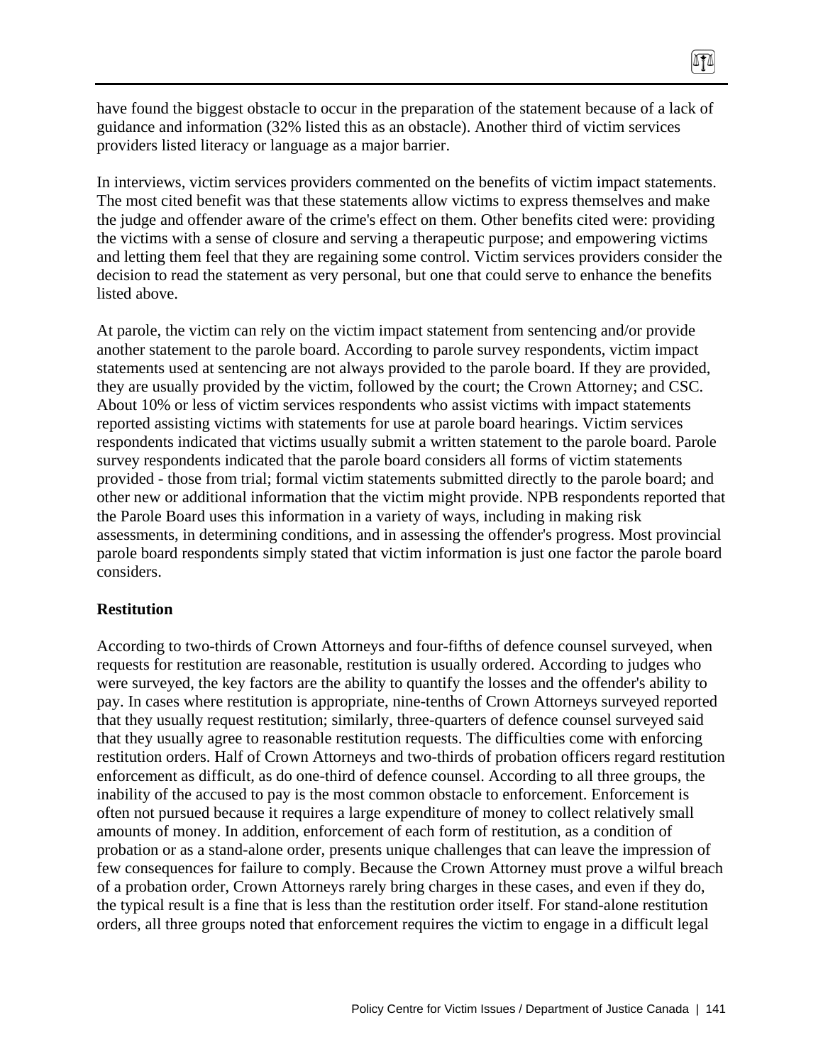have found the biggest obstacle to occur in the preparation of the statement because of a lack of guidance and information (32% listed this as an obstacle). Another third of victim services providers listed literacy or language as a major barrier.

 $\sqrt{10}$ 

In interviews, victim services providers commented on the benefits of victim impact statements. The most cited benefit was that these statements allow victims to express themselves and make the judge and offender aware of the crime's effect on them. Other benefits cited were: providing the victims with a sense of closure and serving a therapeutic purpose; and empowering victims and letting them feel that they are regaining some control. Victim services providers consider the decision to read the statement as very personal, but one that could serve to enhance the benefits listed above.

At parole, the victim can rely on the victim impact statement from sentencing and/or provide another statement to the parole board. According to parole survey respondents, victim impact statements used at sentencing are not always provided to the parole board. If they are provided, they are usually provided by the victim, followed by the court; the Crown Attorney; and CSC. About 10% or less of victim services respondents who assist victims with impact statements reported assisting victims with statements for use at parole board hearings. Victim services respondents indicated that victims usually submit a written statement to the parole board. Parole survey respondents indicated that the parole board considers all forms of victim statements provided - those from trial; formal victim statements submitted directly to the parole board; and other new or additional information that the victim might provide. NPB respondents reported that the Parole Board uses this information in a variety of ways, including in making risk assessments, in determining conditions, and in assessing the offender's progress. Most provincial parole board respondents simply stated that victim information is just one factor the parole board considers.

#### **Restitution**

According to two-thirds of Crown Attorneys and four-fifths of defence counsel surveyed, when requests for restitution are reasonable, restitution is usually ordered. According to judges who were surveyed, the key factors are the ability to quantify the losses and the offender's ability to pay. In cases where restitution is appropriate, nine-tenths of Crown Attorneys surveyed reported that they usually request restitution; similarly, three-quarters of defence counsel surveyed said that they usually agree to reasonable restitution requests. The difficulties come with enforcing restitution orders. Half of Crown Attorneys and two-thirds of probation officers regard restitution enforcement as difficult, as do one-third of defence counsel. According to all three groups, the inability of the accused to pay is the most common obstacle to enforcement. Enforcement is often not pursued because it requires a large expenditure of money to collect relatively small amounts of money. In addition, enforcement of each form of restitution, as a condition of probation or as a stand-alone order, presents unique challenges that can leave the impression of few consequences for failure to comply. Because the Crown Attorney must prove a wilful breach of a probation order, Crown Attorneys rarely bring charges in these cases, and even if they do, the typical result is a fine that is less than the restitution order itself. For stand-alone restitution orders, all three groups noted that enforcement requires the victim to engage in a difficult legal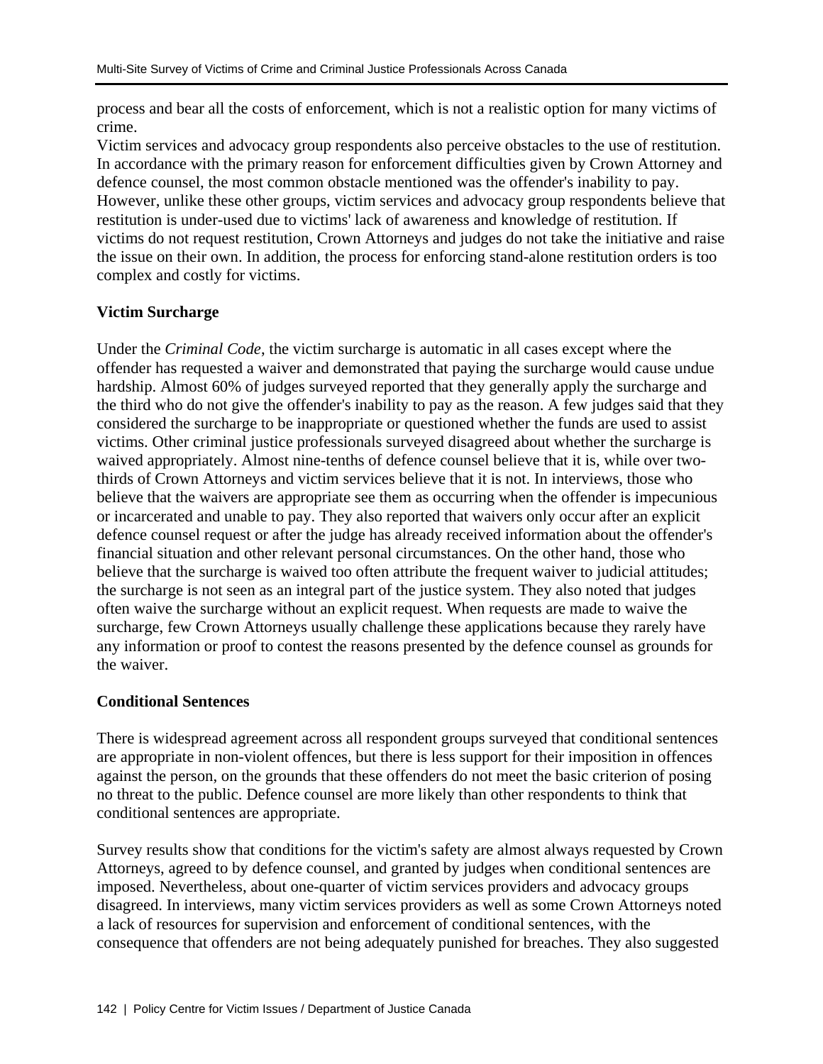process and bear all the costs of enforcement, which is not a realistic option for many victims of crime.

Victim services and advocacy group respondents also perceive obstacles to the use of restitution. In accordance with the primary reason for enforcement difficulties given by Crown Attorney and defence counsel, the most common obstacle mentioned was the offender's inability to pay. However, unlike these other groups, victim services and advocacy group respondents believe that restitution is under-used due to victims' lack of awareness and knowledge of restitution. If victims do not request restitution, Crown Attorneys and judges do not take the initiative and raise the issue on their own. In addition, the process for enforcing stand-alone restitution orders is too complex and costly for victims.

### **Victim Surcharge**

Under the *Criminal Code*, the victim surcharge is automatic in all cases except where the offender has requested a waiver and demonstrated that paying the surcharge would cause undue hardship. Almost 60% of judges surveyed reported that they generally apply the surcharge and the third who do not give the offender's inability to pay as the reason. A few judges said that they considered the surcharge to be inappropriate or questioned whether the funds are used to assist victims. Other criminal justice professionals surveyed disagreed about whether the surcharge is waived appropriately. Almost nine-tenths of defence counsel believe that it is, while over twothirds of Crown Attorneys and victim services believe that it is not. In interviews, those who believe that the waivers are appropriate see them as occurring when the offender is impecunious or incarcerated and unable to pay. They also reported that waivers only occur after an explicit defence counsel request or after the judge has already received information about the offender's financial situation and other relevant personal circumstances. On the other hand, those who believe that the surcharge is waived too often attribute the frequent waiver to judicial attitudes; the surcharge is not seen as an integral part of the justice system. They also noted that judges often waive the surcharge without an explicit request. When requests are made to waive the surcharge, few Crown Attorneys usually challenge these applications because they rarely have any information or proof to contest the reasons presented by the defence counsel as grounds for the waiver.

### **Conditional Sentences**

There is widespread agreement across all respondent groups surveyed that conditional sentences are appropriate in non-violent offences, but there is less support for their imposition in offences against the person, on the grounds that these offenders do not meet the basic criterion of posing no threat to the public. Defence counsel are more likely than other respondents to think that conditional sentences are appropriate.

Survey results show that conditions for the victim's safety are almost always requested by Crown Attorneys, agreed to by defence counsel, and granted by judges when conditional sentences are imposed. Nevertheless, about one-quarter of victim services providers and advocacy groups disagreed. In interviews, many victim services providers as well as some Crown Attorneys noted a lack of resources for supervision and enforcement of conditional sentences, with the consequence that offenders are not being adequately punished for breaches. They also suggested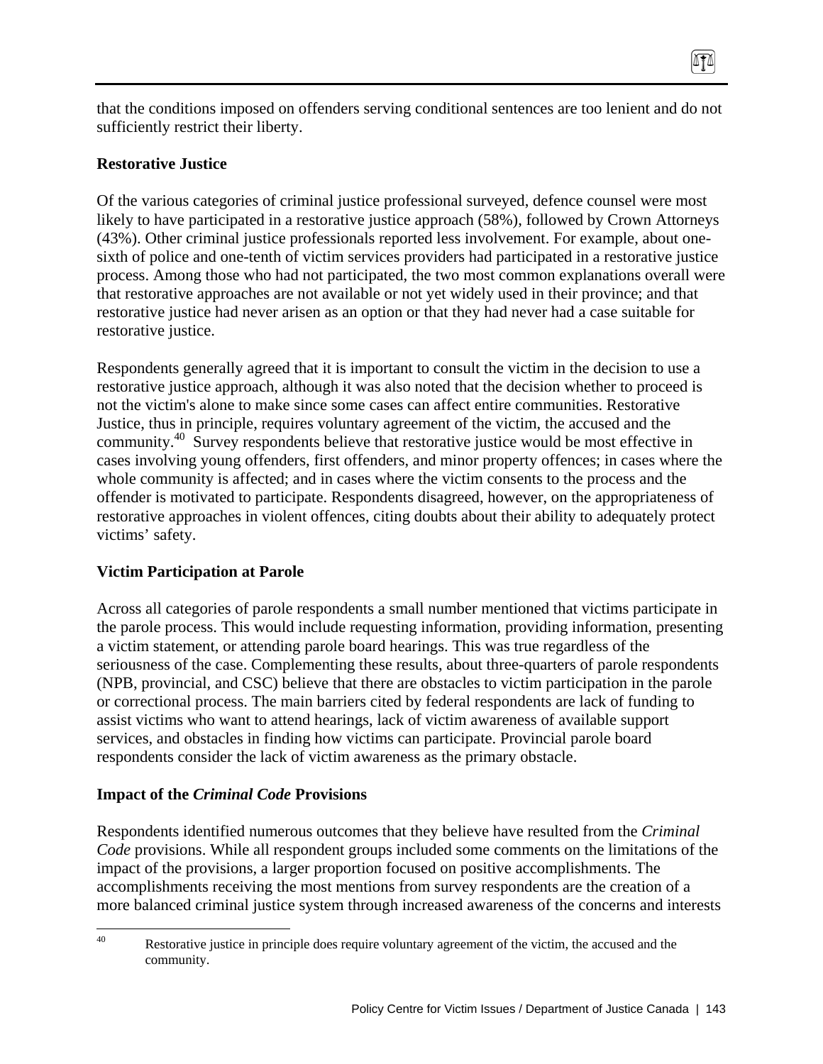that the conditions imposed on offenders serving conditional sentences are too lenient and do not sufficiently restrict their liberty.

TI

### **Restorative Justice**

Of the various categories of criminal justice professional surveyed, defence counsel were most likely to have participated in a restorative justice approach (58%), followed by Crown Attorneys (43%). Other criminal justice professionals reported less involvement. For example, about onesixth of police and one-tenth of victim services providers had participated in a restorative justice process. Among those who had not participated, the two most common explanations overall were that restorative approaches are not available or not yet widely used in their province; and that restorative justice had never arisen as an option or that they had never had a case suitable for restorative justice.

Respondents generally agreed that it is important to consult the victim in the decision to use a restorative justice approach, although it was also noted that the decision whether to proceed is not the victim's alone to make since some cases can affect entire communities. Restorative Justice, thus in principle, requires voluntary agreement of the victim, the accused and the community.<sup>40</sup> Survey respondents believe that restorative justice would be most effective in cases involving young offenders, first offenders, and minor property offences; in cases where the whole community is affected; and in cases where the victim consents to the process and the offender is motivated to participate. Respondents disagreed, however, on the appropriateness of restorative approaches in violent offences, citing doubts about their ability to adequately protect victims' safety.

# **Victim Participation at Parole**

Across all categories of parole respondents a small number mentioned that victims participate in the parole process. This would include requesting information, providing information, presenting a victim statement, or attending parole board hearings. This was true regardless of the seriousness of the case. Complementing these results, about three-quarters of parole respondents (NPB, provincial, and CSC) believe that there are obstacles to victim participation in the parole or correctional process. The main barriers cited by federal respondents are lack of funding to assist victims who want to attend hearings, lack of victim awareness of available support services, and obstacles in finding how victims can participate. Provincial parole board respondents consider the lack of victim awareness as the primary obstacle.

### **Impact of the** *Criminal Code* **Provisions**

Respondents identified numerous outcomes that they believe have resulted from the *Criminal Code* provisions. While all respondent groups included some comments on the limitations of the impact of the provisions, a larger proportion focused on positive accomplishments. The accomplishments receiving the most mentions from survey respondents are the creation of a more balanced criminal justice system through increased awareness of the concerns and interests

 $40$ Restorative justice in principle does require voluntary agreement of the victim, the accused and the community.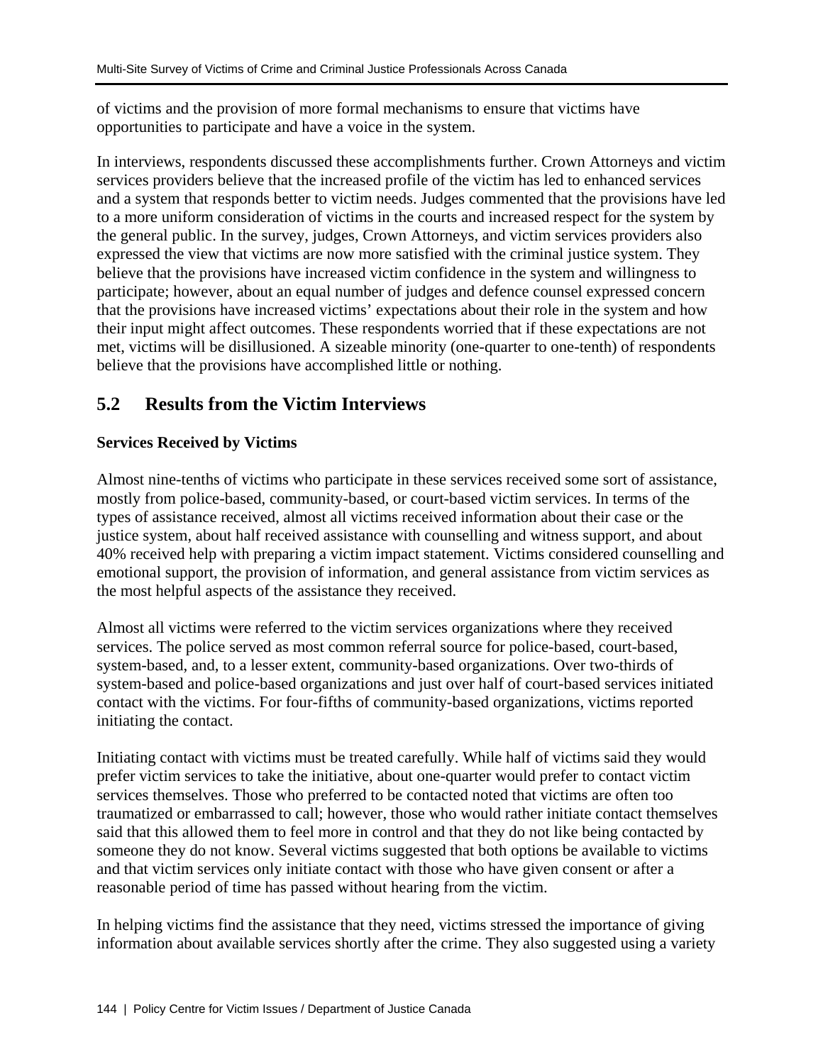of victims and the provision of more formal mechanisms to ensure that victims have opportunities to participate and have a voice in the system.

In interviews, respondents discussed these accomplishments further. Crown Attorneys and victim services providers believe that the increased profile of the victim has led to enhanced services and a system that responds better to victim needs. Judges commented that the provisions have led to a more uniform consideration of victims in the courts and increased respect for the system by the general public. In the survey, judges, Crown Attorneys, and victim services providers also expressed the view that victims are now more satisfied with the criminal justice system. They believe that the provisions have increased victim confidence in the system and willingness to participate; however, about an equal number of judges and defence counsel expressed concern that the provisions have increased victims' expectations about their role in the system and how their input might affect outcomes. These respondents worried that if these expectations are not met, victims will be disillusioned. A sizeable minority (one-quarter to one-tenth) of respondents believe that the provisions have accomplished little or nothing.

# **5.2 Results from the Victim Interviews**

# **Services Received by Victims**

Almost nine-tenths of victims who participate in these services received some sort of assistance, mostly from police-based, community-based, or court-based victim services. In terms of the types of assistance received, almost all victims received information about their case or the justice system, about half received assistance with counselling and witness support, and about 40% received help with preparing a victim impact statement. Victims considered counselling and emotional support, the provision of information, and general assistance from victim services as the most helpful aspects of the assistance they received.

Almost all victims were referred to the victim services organizations where they received services. The police served as most common referral source for police-based, court-based, system-based, and, to a lesser extent, community-based organizations. Over two-thirds of system-based and police-based organizations and just over half of court-based services initiated contact with the victims. For four-fifths of community-based organizations, victims reported initiating the contact.

Initiating contact with victims must be treated carefully. While half of victims said they would prefer victim services to take the initiative, about one-quarter would prefer to contact victim services themselves. Those who preferred to be contacted noted that victims are often too traumatized or embarrassed to call; however, those who would rather initiate contact themselves said that this allowed them to feel more in control and that they do not like being contacted by someone they do not know. Several victims suggested that both options be available to victims and that victim services only initiate contact with those who have given consent or after a reasonable period of time has passed without hearing from the victim.

In helping victims find the assistance that they need, victims stressed the importance of giving information about available services shortly after the crime. They also suggested using a variety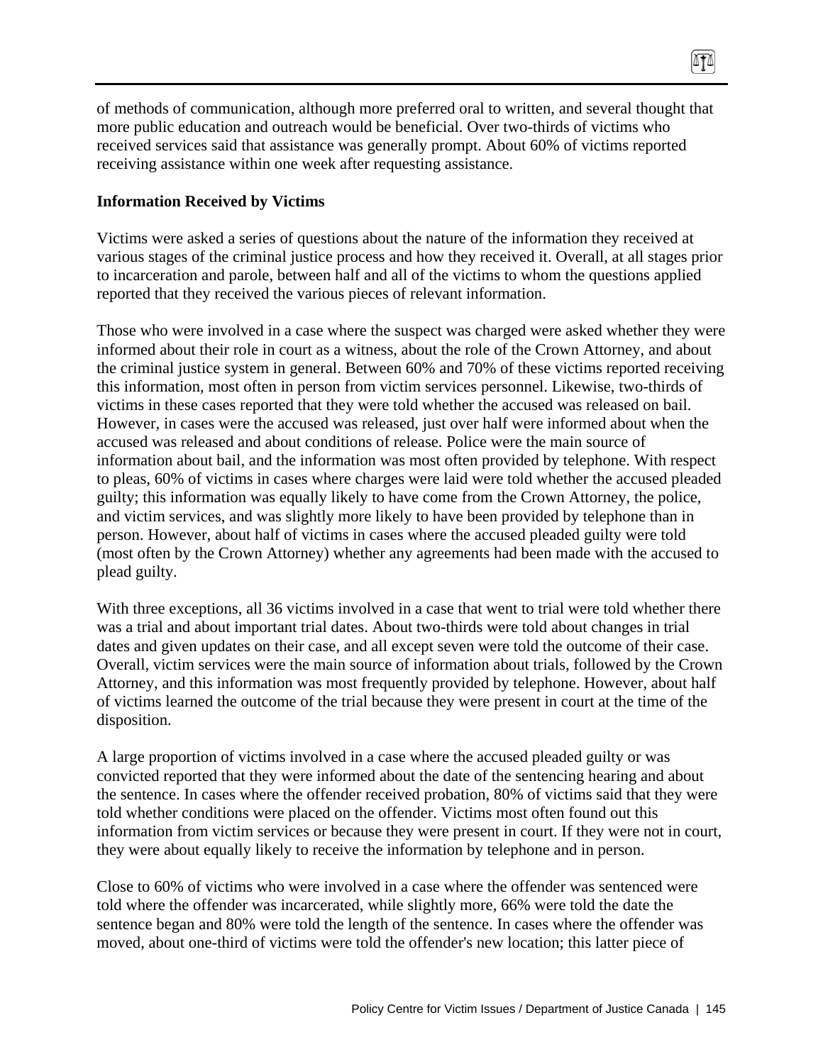of methods of communication, although more preferred oral to written, and several thought that more public education and outreach would be beneficial. Over two-thirds of victims who received services said that assistance was generally prompt. About 60% of victims reported receiving assistance within one week after requesting assistance.

 $\sqrt{10}$ 

#### **Information Received by Victims**

Victims were asked a series of questions about the nature of the information they received at various stages of the criminal justice process and how they received it. Overall, at all stages prior to incarceration and parole, between half and all of the victims to whom the questions applied reported that they received the various pieces of relevant information.

Those who were involved in a case where the suspect was charged were asked whether they were informed about their role in court as a witness, about the role of the Crown Attorney, and about the criminal justice system in general. Between 60% and 70% of these victims reported receiving this information, most often in person from victim services personnel. Likewise, two-thirds of victims in these cases reported that they were told whether the accused was released on bail. However, in cases were the accused was released, just over half were informed about when the accused was released and about conditions of release. Police were the main source of information about bail, and the information was most often provided by telephone. With respect to pleas, 60% of victims in cases where charges were laid were told whether the accused pleaded guilty; this information was equally likely to have come from the Crown Attorney, the police, and victim services, and was slightly more likely to have been provided by telephone than in person. However, about half of victims in cases where the accused pleaded guilty were told (most often by the Crown Attorney) whether any agreements had been made with the accused to plead guilty.

With three exceptions, all 36 victims involved in a case that went to trial were told whether there was a trial and about important trial dates. About two-thirds were told about changes in trial dates and given updates on their case, and all except seven were told the outcome of their case. Overall, victim services were the main source of information about trials, followed by the Crown Attorney, and this information was most frequently provided by telephone. However, about half of victims learned the outcome of the trial because they were present in court at the time of the disposition.

A large proportion of victims involved in a case where the accused pleaded guilty or was convicted reported that they were informed about the date of the sentencing hearing and about the sentence. In cases where the offender received probation, 80% of victims said that they were told whether conditions were placed on the offender. Victims most often found out this information from victim services or because they were present in court. If they were not in court, they were about equally likely to receive the information by telephone and in person.

Close to 60% of victims who were involved in a case where the offender was sentenced were told where the offender was incarcerated, while slightly more, 66% were told the date the sentence began and 80% were told the length of the sentence. In cases where the offender was moved, about one-third of victims were told the offender's new location; this latter piece of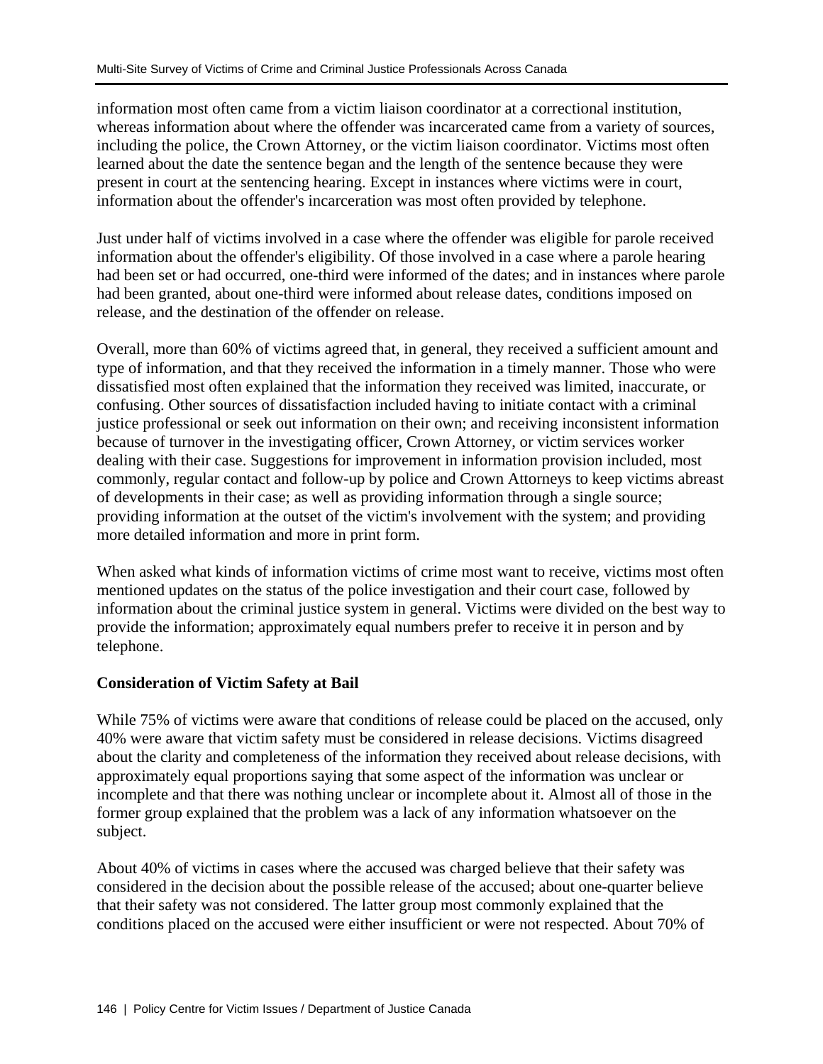information most often came from a victim liaison coordinator at a correctional institution, whereas information about where the offender was incarcerated came from a variety of sources, including the police, the Crown Attorney, or the victim liaison coordinator. Victims most often learned about the date the sentence began and the length of the sentence because they were present in court at the sentencing hearing. Except in instances where victims were in court, information about the offender's incarceration was most often provided by telephone.

Just under half of victims involved in a case where the offender was eligible for parole received information about the offender's eligibility. Of those involved in a case where a parole hearing had been set or had occurred, one-third were informed of the dates; and in instances where parole had been granted, about one-third were informed about release dates, conditions imposed on release, and the destination of the offender on release.

Overall, more than 60% of victims agreed that, in general, they received a sufficient amount and type of information, and that they received the information in a timely manner. Those who were dissatisfied most often explained that the information they received was limited, inaccurate, or confusing. Other sources of dissatisfaction included having to initiate contact with a criminal justice professional or seek out information on their own; and receiving inconsistent information because of turnover in the investigating officer, Crown Attorney, or victim services worker dealing with their case. Suggestions for improvement in information provision included, most commonly, regular contact and follow-up by police and Crown Attorneys to keep victims abreast of developments in their case; as well as providing information through a single source; providing information at the outset of the victim's involvement with the system; and providing more detailed information and more in print form.

When asked what kinds of information victims of crime most want to receive, victims most often mentioned updates on the status of the police investigation and their court case, followed by information about the criminal justice system in general. Victims were divided on the best way to provide the information; approximately equal numbers prefer to receive it in person and by telephone.

### **Consideration of Victim Safety at Bail**

While 75% of victims were aware that conditions of release could be placed on the accused, only 40% were aware that victim safety must be considered in release decisions. Victims disagreed about the clarity and completeness of the information they received about release decisions, with approximately equal proportions saying that some aspect of the information was unclear or incomplete and that there was nothing unclear or incomplete about it. Almost all of those in the former group explained that the problem was a lack of any information whatsoever on the subject.

About 40% of victims in cases where the accused was charged believe that their safety was considered in the decision about the possible release of the accused; about one-quarter believe that their safety was not considered. The latter group most commonly explained that the conditions placed on the accused were either insufficient or were not respected. About 70% of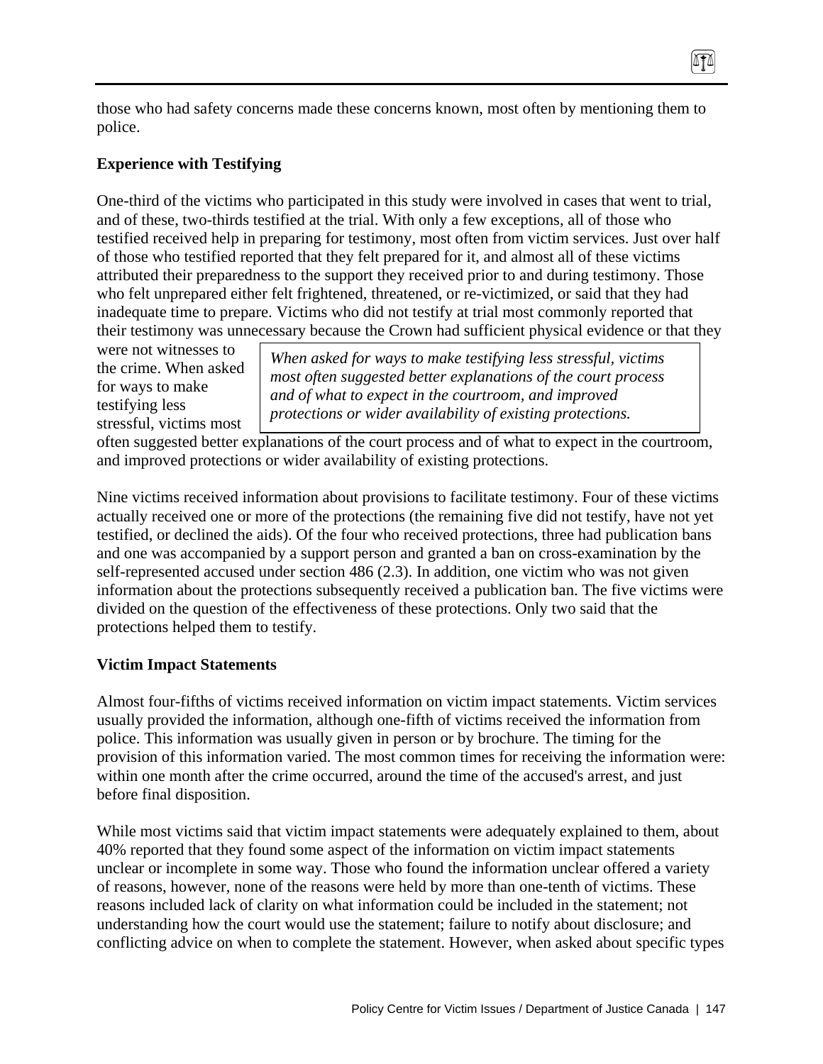those who had safety concerns made these concerns known, most often by mentioning them to police.

### **Experience with Testifying**

One-third of the victims who participated in this study were involved in cases that went to trial, and of these, two-thirds testified at the trial. With only a few exceptions, all of those who testified received help in preparing for testimony, most often from victim services. Just over half of those who testified reported that they felt prepared for it, and almost all of these victims attributed their preparedness to the support they received prior to and during testimony. Those who felt unprepared either felt frightened, threatened, or re-victimized, or said that they had inadequate time to prepare. Victims who did not testify at trial most commonly reported that their testimony was unnecessary because the Crown had sufficient physical evidence or that they

were not witnesses to the crime. When asked for ways to make testifying less stressful, victims most

*When asked for ways to make testifying less stressful, victims most often suggested better explanations of the court process and of what to expect in the courtroom, and improved protections or wider availability of existing protections.* 

 $\sqrt{10}$ 

often suggested better explanations of the court process and of what to expect in the courtroom, and improved protections or wider availability of existing protections.

Nine victims received information about provisions to facilitate testimony. Four of these victims actually received one or more of the protections (the remaining five did not testify, have not yet testified, or declined the aids). Of the four who received protections, three had publication bans and one was accompanied by a support person and granted a ban on cross-examination by the self-represented accused under section 486 (2.3). In addition, one victim who was not given information about the protections subsequently received a publication ban. The five victims were divided on the question of the effectiveness of these protections. Only two said that the protections helped them to testify.

### **Victim Impact Statements**

Almost four-fifths of victims received information on victim impact statements. Victim services usually provided the information, although one-fifth of victims received the information from police. This information was usually given in person or by brochure. The timing for the provision of this information varied. The most common times for receiving the information were: within one month after the crime occurred, around the time of the accused's arrest, and just before final disposition.

While most victims said that victim impact statements were adequately explained to them, about 40% reported that they found some aspect of the information on victim impact statements unclear or incomplete in some way. Those who found the information unclear offered a variety of reasons, however, none of the reasons were held by more than one-tenth of victims. These reasons included lack of clarity on what information could be included in the statement; not understanding how the court would use the statement; failure to notify about disclosure; and conflicting advice on when to complete the statement. However, when asked about specific types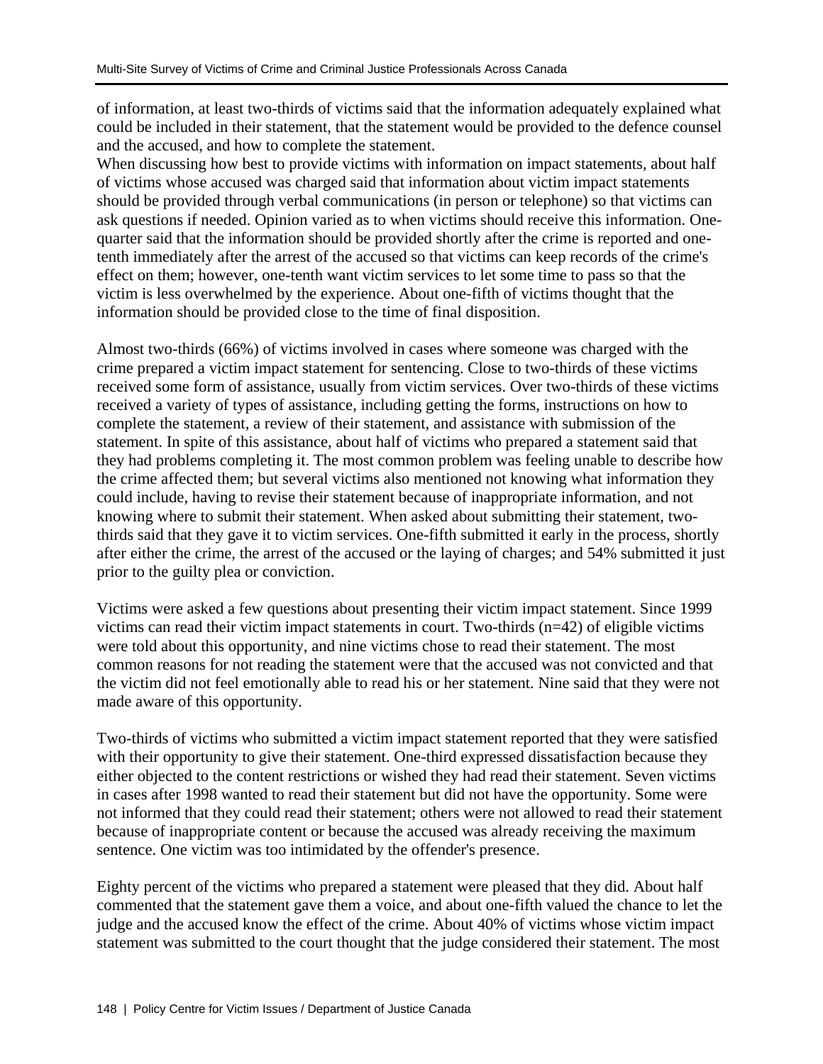of information, at least two-thirds of victims said that the information adequately explained what could be included in their statement, that the statement would be provided to the defence counsel and the accused, and how to complete the statement.

When discussing how best to provide victims with information on impact statements, about half of victims whose accused was charged said that information about victim impact statements should be provided through verbal communications (in person or telephone) so that victims can ask questions if needed. Opinion varied as to when victims should receive this information. Onequarter said that the information should be provided shortly after the crime is reported and onetenth immediately after the arrest of the accused so that victims can keep records of the crime's effect on them; however, one-tenth want victim services to let some time to pass so that the victim is less overwhelmed by the experience. About one-fifth of victims thought that the information should be provided close to the time of final disposition.

Almost two-thirds (66%) of victims involved in cases where someone was charged with the crime prepared a victim impact statement for sentencing. Close to two-thirds of these victims received some form of assistance, usually from victim services. Over two-thirds of these victims received a variety of types of assistance, including getting the forms, instructions on how to complete the statement, a review of their statement, and assistance with submission of the statement. In spite of this assistance, about half of victims who prepared a statement said that they had problems completing it. The most common problem was feeling unable to describe how the crime affected them; but several victims also mentioned not knowing what information they could include, having to revise their statement because of inappropriate information, and not knowing where to submit their statement. When asked about submitting their statement, twothirds said that they gave it to victim services. One-fifth submitted it early in the process, shortly after either the crime, the arrest of the accused or the laying of charges; and 54% submitted it just prior to the guilty plea or conviction.

Victims were asked a few questions about presenting their victim impact statement. Since 1999 victims can read their victim impact statements in court. Two-thirds (n=42) of eligible victims were told about this opportunity, and nine victims chose to read their statement. The most common reasons for not reading the statement were that the accused was not convicted and that the victim did not feel emotionally able to read his or her statement. Nine said that they were not made aware of this opportunity.

Two-thirds of victims who submitted a victim impact statement reported that they were satisfied with their opportunity to give their statement. One-third expressed dissatisfaction because they either objected to the content restrictions or wished they had read their statement. Seven victims in cases after 1998 wanted to read their statement but did not have the opportunity. Some were not informed that they could read their statement; others were not allowed to read their statement because of inappropriate content or because the accused was already receiving the maximum sentence. One victim was too intimidated by the offender's presence.

Eighty percent of the victims who prepared a statement were pleased that they did. About half commented that the statement gave them a voice, and about one-fifth valued the chance to let the judge and the accused know the effect of the crime. About 40% of victims whose victim impact statement was submitted to the court thought that the judge considered their statement. The most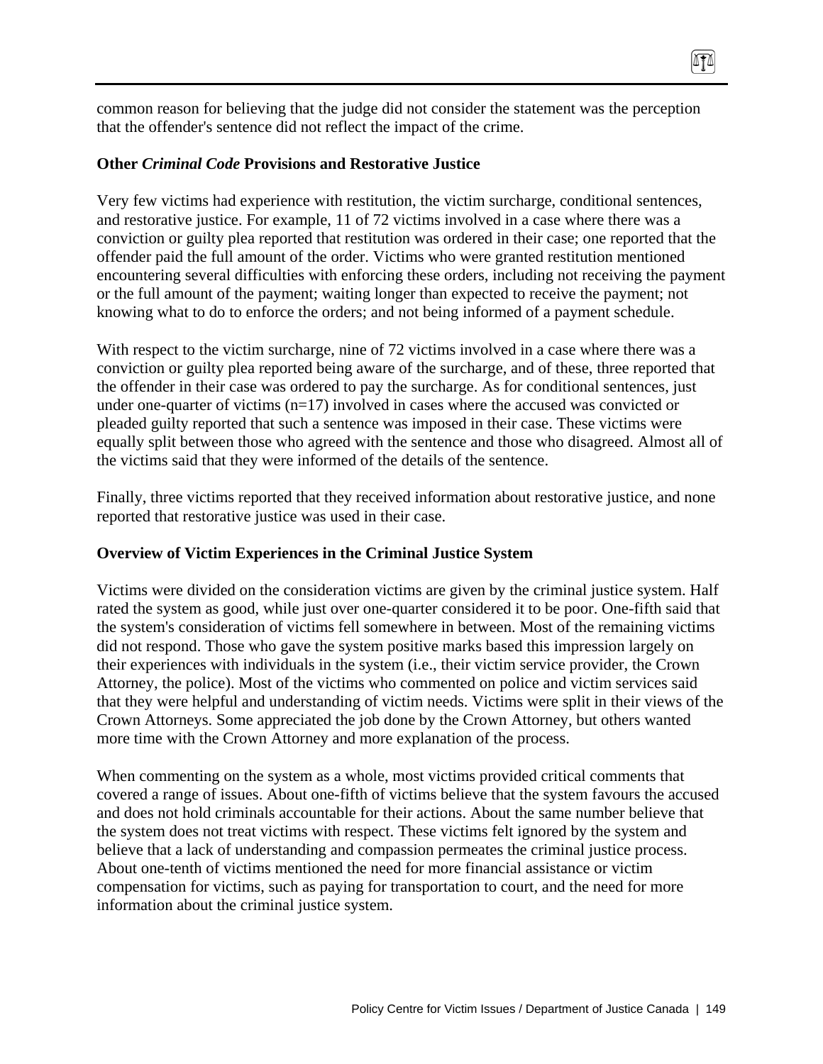common reason for believing that the judge did not consider the statement was the perception that the offender's sentence did not reflect the impact of the crime.

 $\sqrt{10}$ 

#### **Other** *Criminal Code* **Provisions and Restorative Justice**

Very few victims had experience with restitution, the victim surcharge, conditional sentences, and restorative justice. For example, 11 of 72 victims involved in a case where there was a conviction or guilty plea reported that restitution was ordered in their case; one reported that the offender paid the full amount of the order. Victims who were granted restitution mentioned encountering several difficulties with enforcing these orders, including not receiving the payment or the full amount of the payment; waiting longer than expected to receive the payment; not knowing what to do to enforce the orders; and not being informed of a payment schedule.

With respect to the victim surcharge, nine of 72 victims involved in a case where there was a conviction or guilty plea reported being aware of the surcharge, and of these, three reported that the offender in their case was ordered to pay the surcharge. As for conditional sentences, just under one-quarter of victims  $(n=17)$  involved in cases where the accused was convicted or pleaded guilty reported that such a sentence was imposed in their case. These victims were equally split between those who agreed with the sentence and those who disagreed. Almost all of the victims said that they were informed of the details of the sentence.

Finally, three victims reported that they received information about restorative justice, and none reported that restorative justice was used in their case.

### **Overview of Victim Experiences in the Criminal Justice System**

Victims were divided on the consideration victims are given by the criminal justice system. Half rated the system as good, while just over one-quarter considered it to be poor. One-fifth said that the system's consideration of victims fell somewhere in between. Most of the remaining victims did not respond. Those who gave the system positive marks based this impression largely on their experiences with individuals in the system (i.e., their victim service provider, the Crown Attorney, the police). Most of the victims who commented on police and victim services said that they were helpful and understanding of victim needs. Victims were split in their views of the Crown Attorneys. Some appreciated the job done by the Crown Attorney, but others wanted more time with the Crown Attorney and more explanation of the process.

When commenting on the system as a whole, most victims provided critical comments that covered a range of issues. About one-fifth of victims believe that the system favours the accused and does not hold criminals accountable for their actions. About the same number believe that the system does not treat victims with respect. These victims felt ignored by the system and believe that a lack of understanding and compassion permeates the criminal justice process. About one-tenth of victims mentioned the need for more financial assistance or victim compensation for victims, such as paying for transportation to court, and the need for more information about the criminal justice system.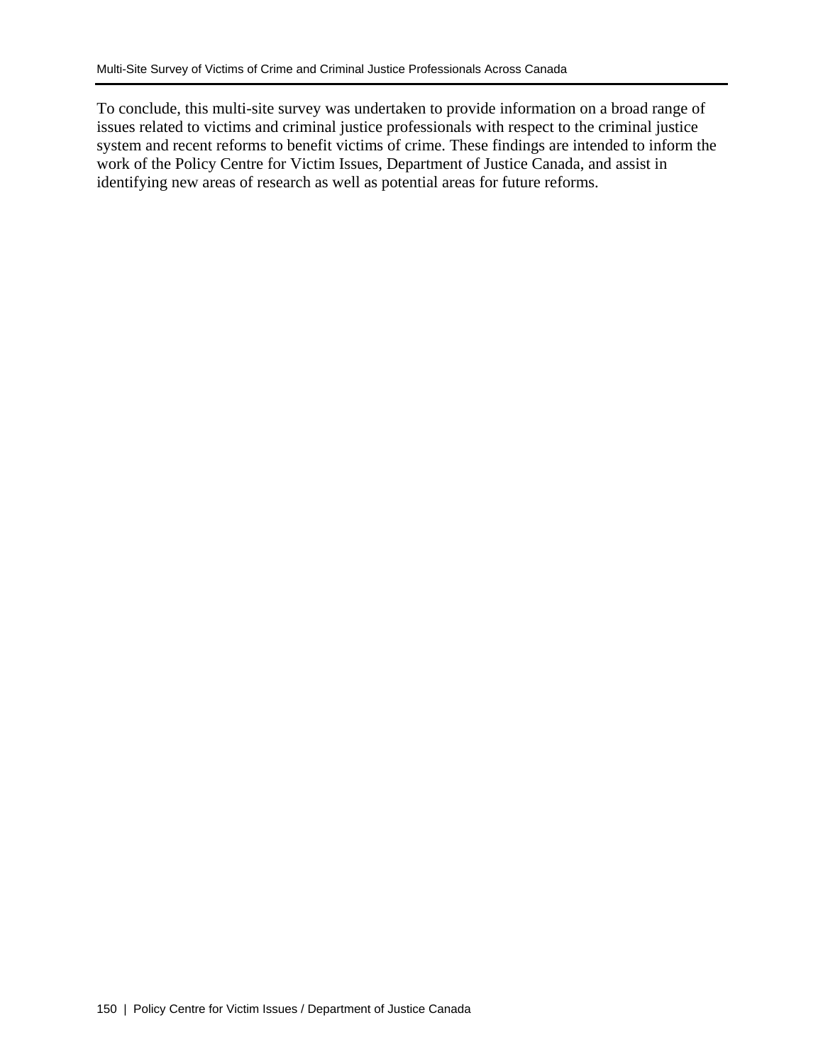To conclude, this multi-site survey was undertaken to provide information on a broad range of issues related to victims and criminal justice professionals with respect to the criminal justice system and recent reforms to benefit victims of crime. These findings are intended to inform the work of the Policy Centre for Victim Issues, Department of Justice Canada, and assist in identifying new areas of research as well as potential areas for future reforms.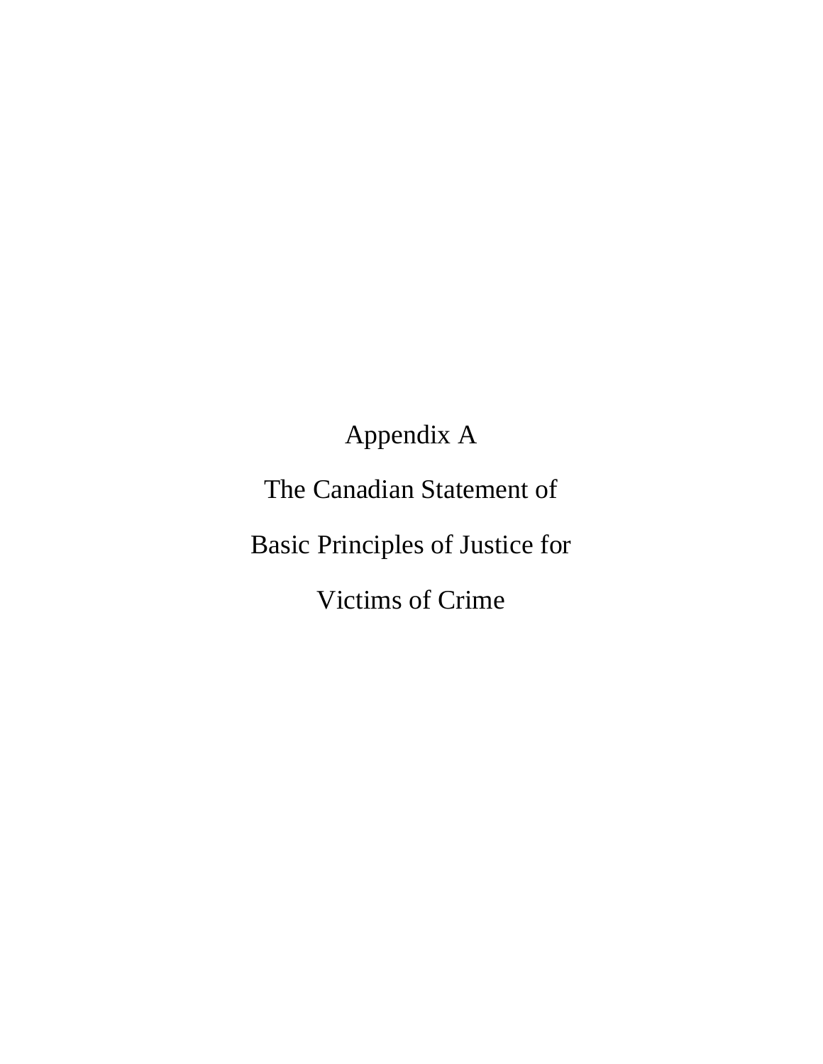# Appendix A

The Canadian Statement of

Basic Principles of Justice for

Victims of Crime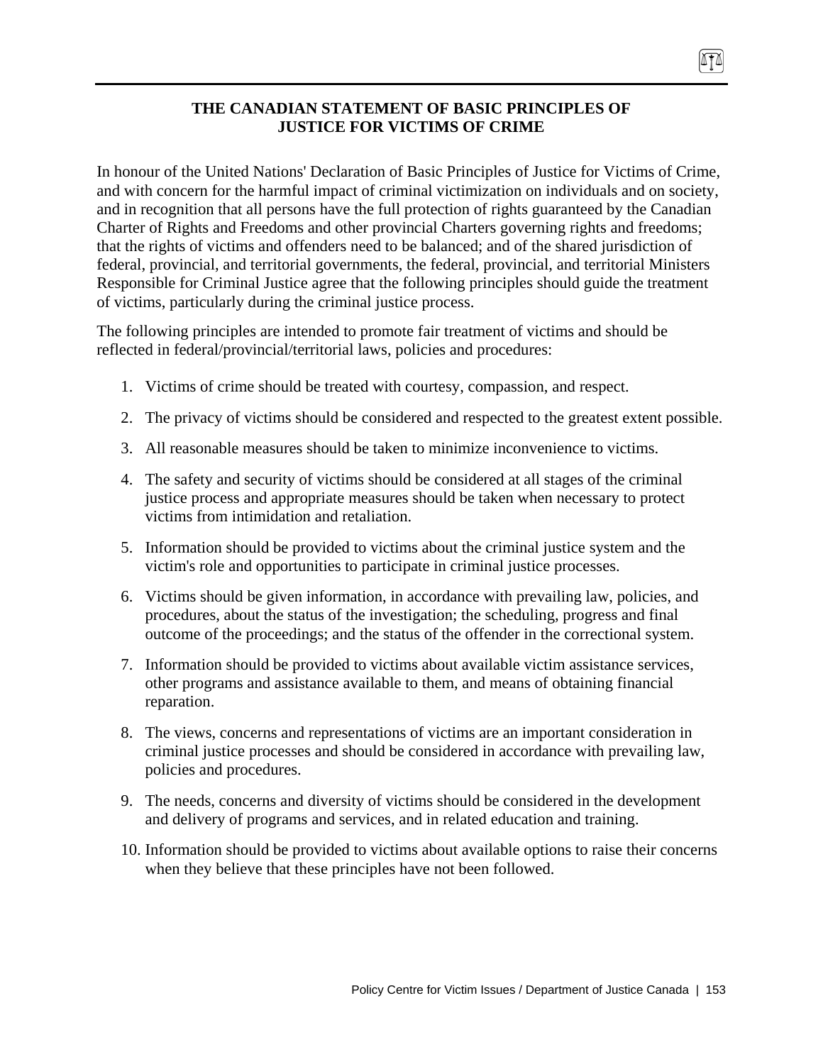## **THE CANADIAN STATEMENT OF BASIC PRINCIPLES OF JUSTICE FOR VICTIMS OF CRIME**

In honour of the United Nations' Declaration of Basic Principles of Justice for Victims of Crime, and with concern for the harmful impact of criminal victimization on individuals and on society, and in recognition that all persons have the full protection of rights guaranteed by the Canadian Charter of Rights and Freedoms and other provincial Charters governing rights and freedoms; that the rights of victims and offenders need to be balanced; and of the shared jurisdiction of federal, provincial, and territorial governments, the federal, provincial, and territorial Ministers Responsible for Criminal Justice agree that the following principles should guide the treatment of victims, particularly during the criminal justice process.

The following principles are intended to promote fair treatment of victims and should be reflected in federal/provincial/territorial laws, policies and procedures:

- 1. Victims of crime should be treated with courtesy, compassion, and respect.
- 2. The privacy of victims should be considered and respected to the greatest extent possible.
- 3. All reasonable measures should be taken to minimize inconvenience to victims.
- 4. The safety and security of victims should be considered at all stages of the criminal justice process and appropriate measures should be taken when necessary to protect victims from intimidation and retaliation.
- 5. Information should be provided to victims about the criminal justice system and the victim's role and opportunities to participate in criminal justice processes.
- 6. Victims should be given information, in accordance with prevailing law, policies, and procedures, about the status of the investigation; the scheduling, progress and final outcome of the proceedings; and the status of the offender in the correctional system.
- 7. Information should be provided to victims about available victim assistance services, other programs and assistance available to them, and means of obtaining financial reparation.
- 8. The views, concerns and representations of victims are an important consideration in criminal justice processes and should be considered in accordance with prevailing law, policies and procedures.
- 9. The needs, concerns and diversity of victims should be considered in the development and delivery of programs and services, and in related education and training.
- 10. Information should be provided to victims about available options to raise their concerns when they believe that these principles have not been followed.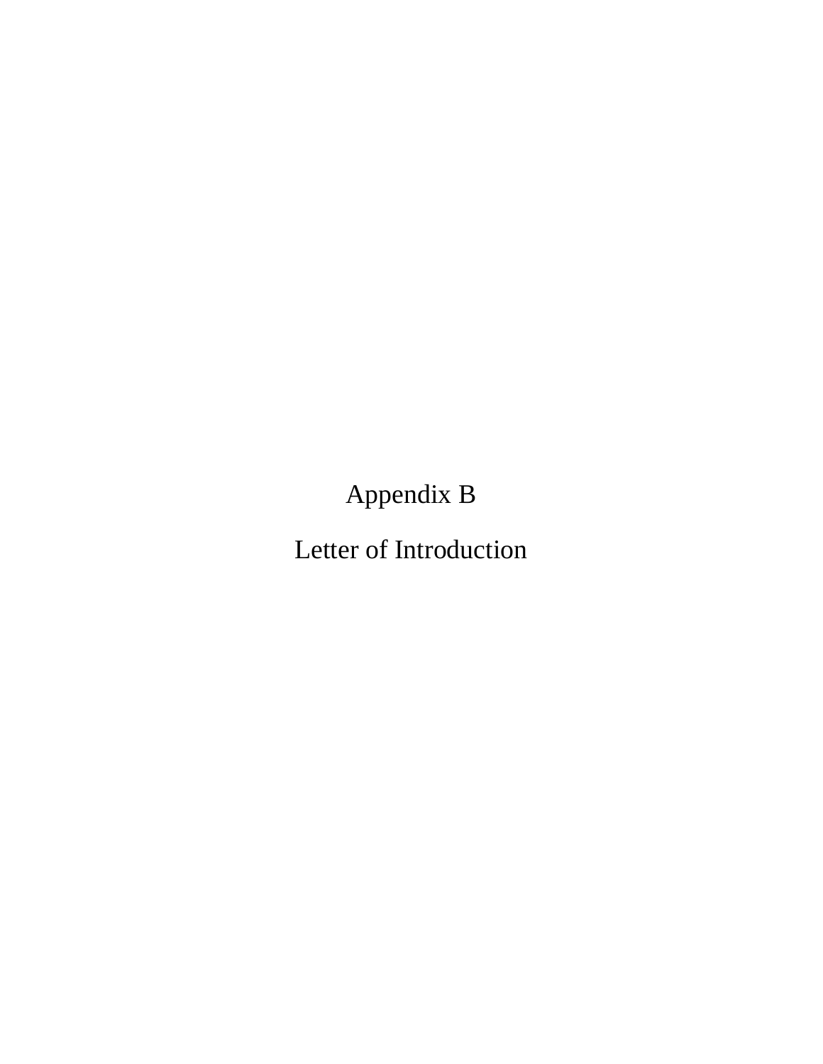Appendix B

Letter of Introduction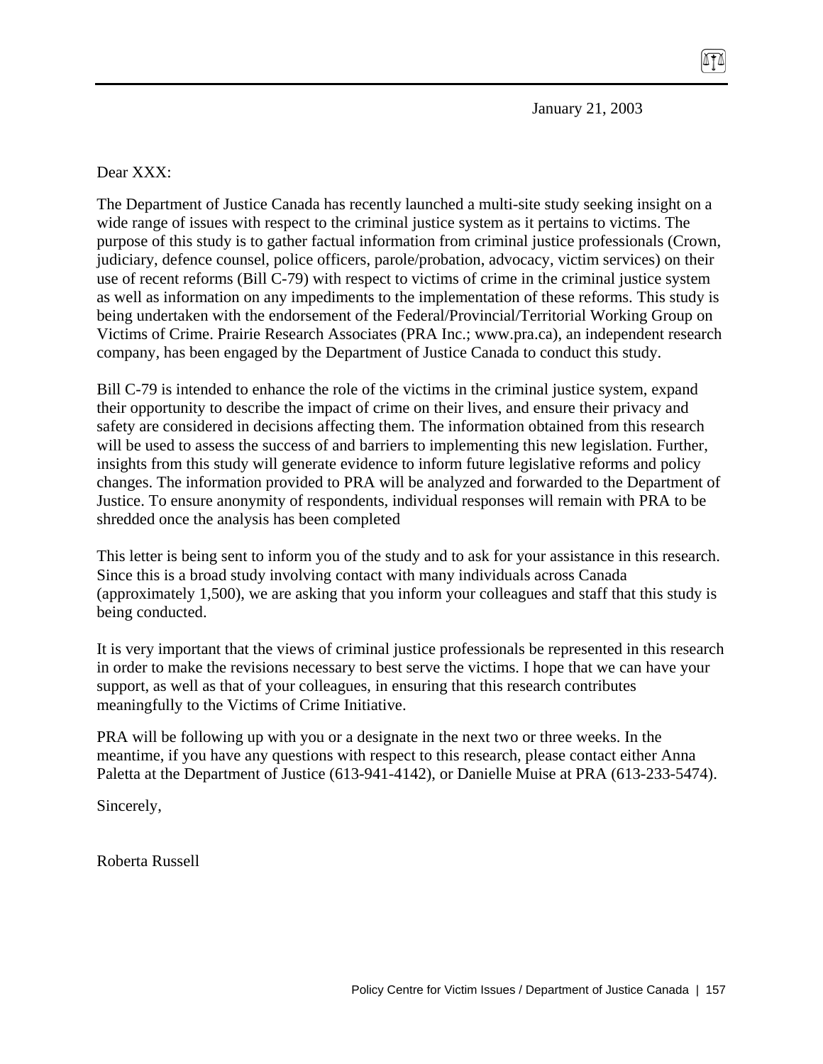January 21, 2003

The Department of Justice Canada has recently launched a multi-site study seeking insight on a wide range of issues with respect to the criminal justice system as it pertains to victims. The purpose of this study is to gather factual information from criminal justice professionals (Crown, judiciary, defence counsel, police officers, parole/probation, advocacy, victim services) on their use of recent reforms (Bill C-79) with respect to victims of crime in the criminal justice system as well as information on any impediments to the implementation of these reforms. This study is being undertaken with the endorsement of the Federal/Provincial/Territorial Working Group on Victims of Crime. Prairie Research Associates (PRA Inc.; www.pra.ca), an independent research company, has been engaged by the Department of Justice Canada to conduct this study.

Bill C-79 is intended to enhance the role of the victims in the criminal justice system, expand their opportunity to describe the impact of crime on their lives, and ensure their privacy and safety are considered in decisions affecting them. The information obtained from this research will be used to assess the success of and barriers to implementing this new legislation. Further, insights from this study will generate evidence to inform future legislative reforms and policy changes. The information provided to PRA will be analyzed and forwarded to the Department of Justice. To ensure anonymity of respondents, individual responses will remain with PRA to be shredded once the analysis has been completed

This letter is being sent to inform you of the study and to ask for your assistance in this research. Since this is a broad study involving contact with many individuals across Canada (approximately 1,500), we are asking that you inform your colleagues and staff that this study is being conducted.

It is very important that the views of criminal justice professionals be represented in this research in order to make the revisions necessary to best serve the victims. I hope that we can have your support, as well as that of your colleagues, in ensuring that this research contributes meaningfully to the Victims of Crime Initiative.

PRA will be following up with you or a designate in the next two or three weeks. In the meantime, if you have any questions with respect to this research, please contact either Anna Paletta at the Department of Justice (613-941-4142), or Danielle Muise at PRA (613-233-5474).

Sincerely,

Roberta Russell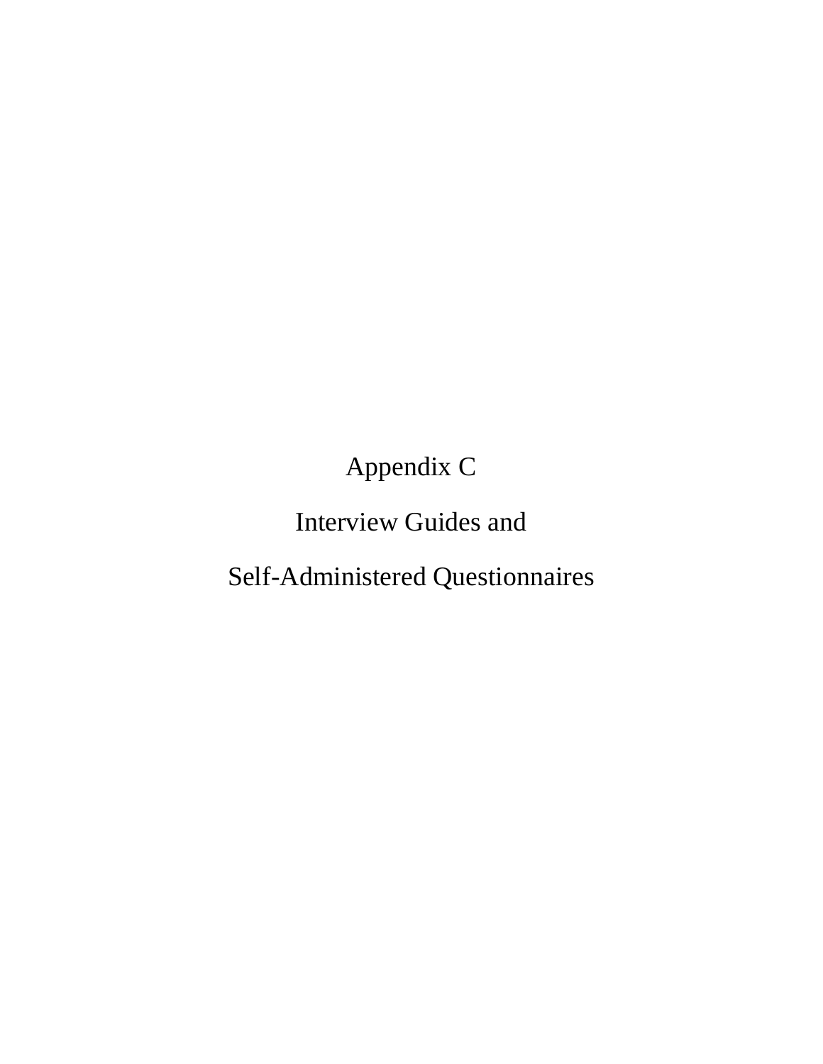Appendix C

# Interview Guides and

# Self-Administered Questionnaires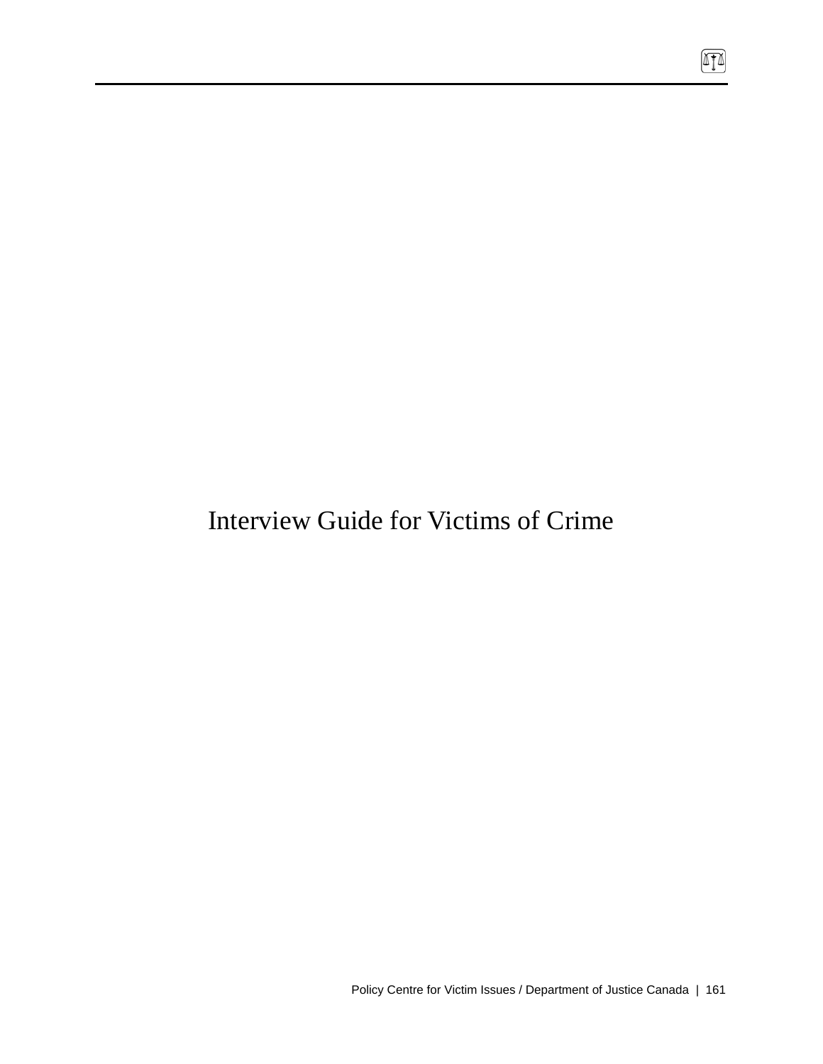# Interview Guide for Victims of Crime

 $\boxed{1}$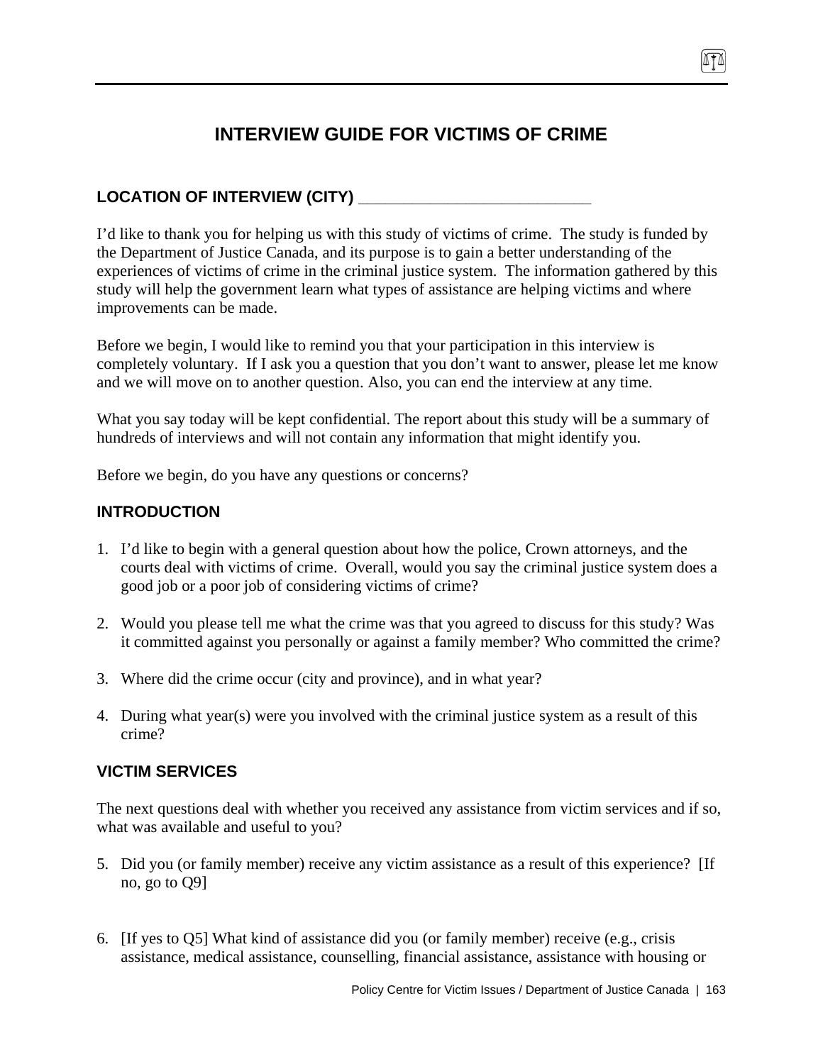# **INTERVIEW GUIDE FOR VICTIMS OF CRIME**

# **LOCATION OF INTERVIEW (CITY) \_\_\_\_\_\_\_\_\_\_\_\_\_\_\_\_\_\_\_\_\_\_\_\_\_\_**

I'd like to thank you for helping us with this study of victims of crime. The study is funded by the Department of Justice Canada, and its purpose is to gain a better understanding of the experiences of victims of crime in the criminal justice system. The information gathered by this study will help the government learn what types of assistance are helping victims and where improvements can be made.

Before we begin, I would like to remind you that your participation in this interview is completely voluntary. If I ask you a question that you don't want to answer, please let me know and we will move on to another question. Also, you can end the interview at any time.

What you say today will be kept confidential. The report about this study will be a summary of hundreds of interviews and will not contain any information that might identify you.

Before we begin, do you have any questions or concerns?

# **INTRODUCTION**

- 1. I'd like to begin with a general question about how the police, Crown attorneys, and the courts deal with victims of crime. Overall, would you say the criminal justice system does a good job or a poor job of considering victims of crime?
- 2. Would you please tell me what the crime was that you agreed to discuss for this study? Was it committed against you personally or against a family member? Who committed the crime?
- 3. Where did the crime occur (city and province), and in what year?
- 4. During what year(s) were you involved with the criminal justice system as a result of this crime?

# **VICTIM SERVICES**

The next questions deal with whether you received any assistance from victim services and if so, what was available and useful to you?

- 5. Did you (or family member) receive any victim assistance as a result of this experience? [If no, go to Q9]
- 6. [If yes to Q5] What kind of assistance did you (or family member) receive (e.g., crisis assistance, medical assistance, counselling, financial assistance, assistance with housing or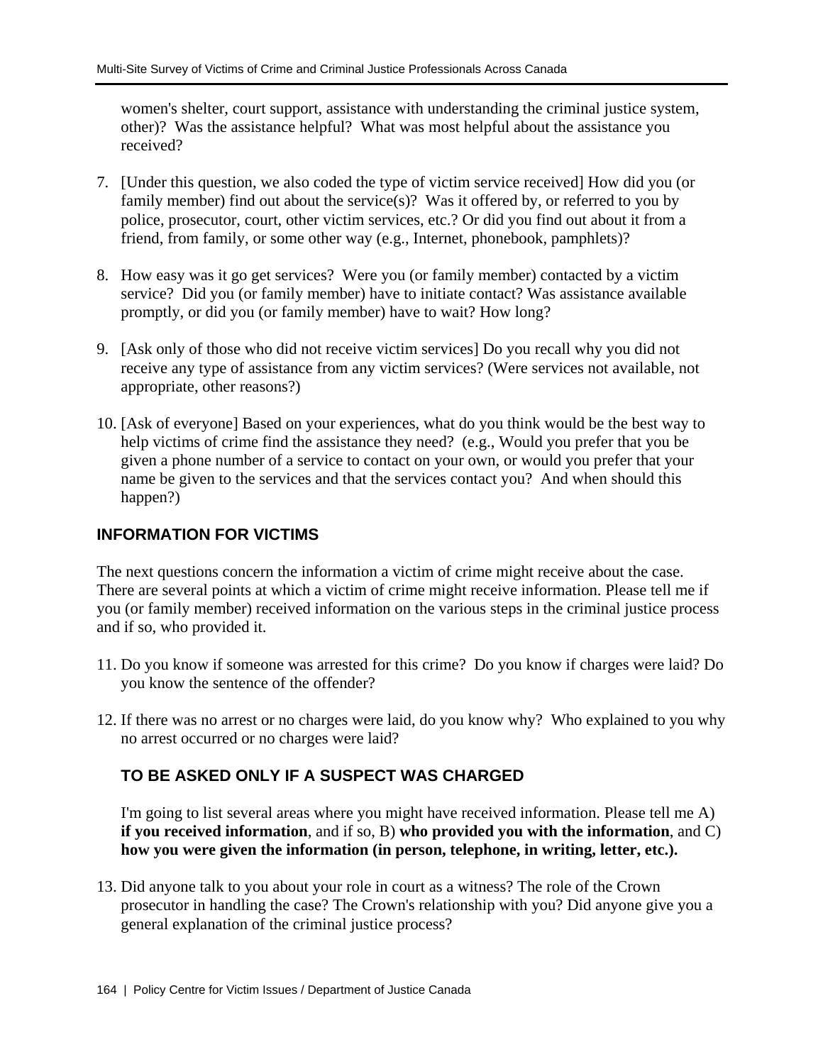women's shelter, court support, assistance with understanding the criminal justice system, other)? Was the assistance helpful? What was most helpful about the assistance you received?

- 7. [Under this question, we also coded the type of victim service received] How did you (or family member) find out about the service(s)? Was it offered by, or referred to you by police, prosecutor, court, other victim services, etc.? Or did you find out about it from a friend, from family, or some other way (e.g., Internet, phonebook, pamphlets)?
- 8. How easy was it go get services? Were you (or family member) contacted by a victim service? Did you (or family member) have to initiate contact? Was assistance available promptly, or did you (or family member) have to wait? How long?
- 9. [Ask only of those who did not receive victim services] Do you recall why you did not receive any type of assistance from any victim services? (Were services not available, not appropriate, other reasons?)
- 10. [Ask of everyone] Based on your experiences, what do you think would be the best way to help victims of crime find the assistance they need? (e.g., Would you prefer that you be given a phone number of a service to contact on your own, or would you prefer that your name be given to the services and that the services contact you? And when should this happen?)

# **INFORMATION FOR VICTIMS**

The next questions concern the information a victim of crime might receive about the case. There are several points at which a victim of crime might receive information. Please tell me if you (or family member) received information on the various steps in the criminal justice process and if so, who provided it.

- 11. Do you know if someone was arrested for this crime? Do you know if charges were laid? Do you know the sentence of the offender?
- 12. If there was no arrest or no charges were laid, do you know why? Who explained to you why no arrest occurred or no charges were laid?

# **TO BE ASKED ONLY IF A SUSPECT WAS CHARGED**

I'm going to list several areas where you might have received information. Please tell me A) **if you received information**, and if so, B) **who provided you with the information**, and C) **how you were given the information (in person, telephone, in writing, letter, etc.).**

13. Did anyone talk to you about your role in court as a witness? The role of the Crown prosecutor in handling the case? The Crown's relationship with you? Did anyone give you a general explanation of the criminal justice process?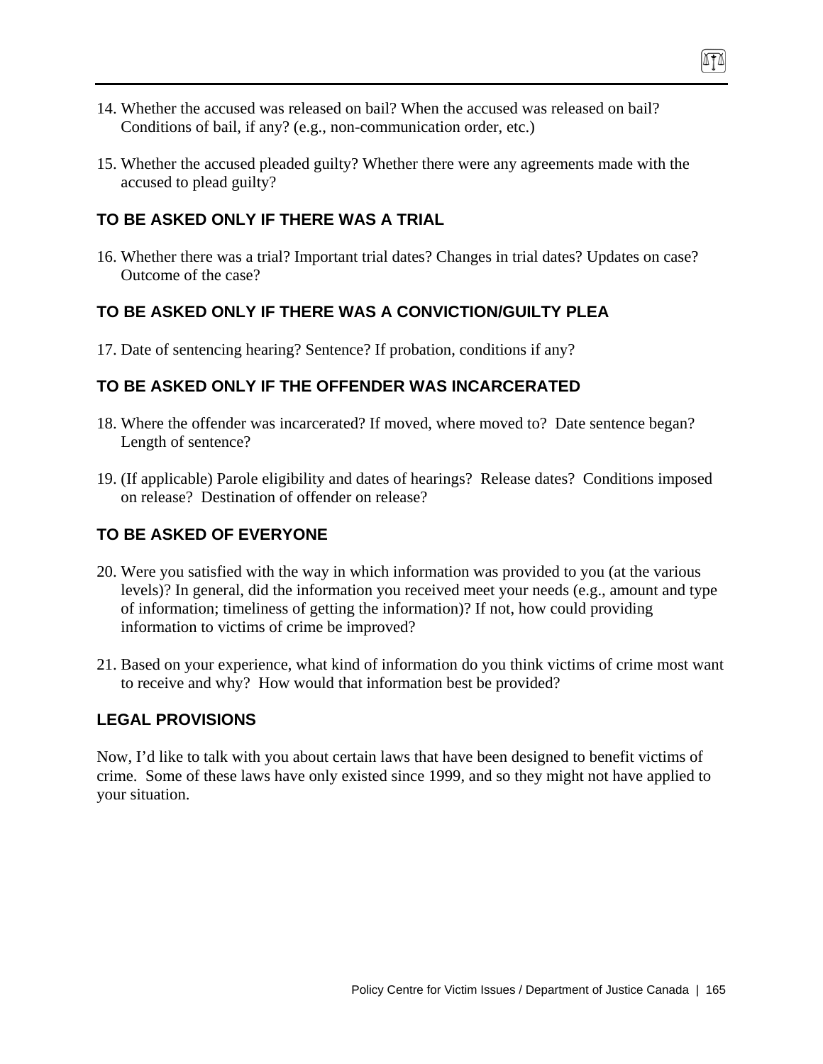- 14. Whether the accused was released on bail? When the accused was released on bail? Conditions of bail, if any? (e.g., non-communication order, etc.)
- 15. Whether the accused pleaded guilty? Whether there were any agreements made with the accused to plead guilty?

## **TO BE ASKED ONLY IF THERE WAS A TRIAL**

16. Whether there was a trial? Important trial dates? Changes in trial dates? Updates on case? Outcome of the case?

# **TO BE ASKED ONLY IF THERE WAS A CONVICTION/GUILTY PLEA**

17. Date of sentencing hearing? Sentence? If probation, conditions if any?

## **TO BE ASKED ONLY IF THE OFFENDER WAS INCARCERATED**

- 18. Where the offender was incarcerated? If moved, where moved to? Date sentence began? Length of sentence?
- 19. (If applicable) Parole eligibility and dates of hearings? Release dates? Conditions imposed on release? Destination of offender on release?

# **TO BE ASKED OF EVERYONE**

- 20. Were you satisfied with the way in which information was provided to you (at the various levels)? In general, did the information you received meet your needs (e.g., amount and type of information; timeliness of getting the information)? If not, how could providing information to victims of crime be improved?
- 21. Based on your experience, what kind of information do you think victims of crime most want to receive and why? How would that information best be provided?

### **LEGAL PROVISIONS**

Now, I'd like to talk with you about certain laws that have been designed to benefit victims of crime. Some of these laws have only existed since 1999, and so they might not have applied to your situation.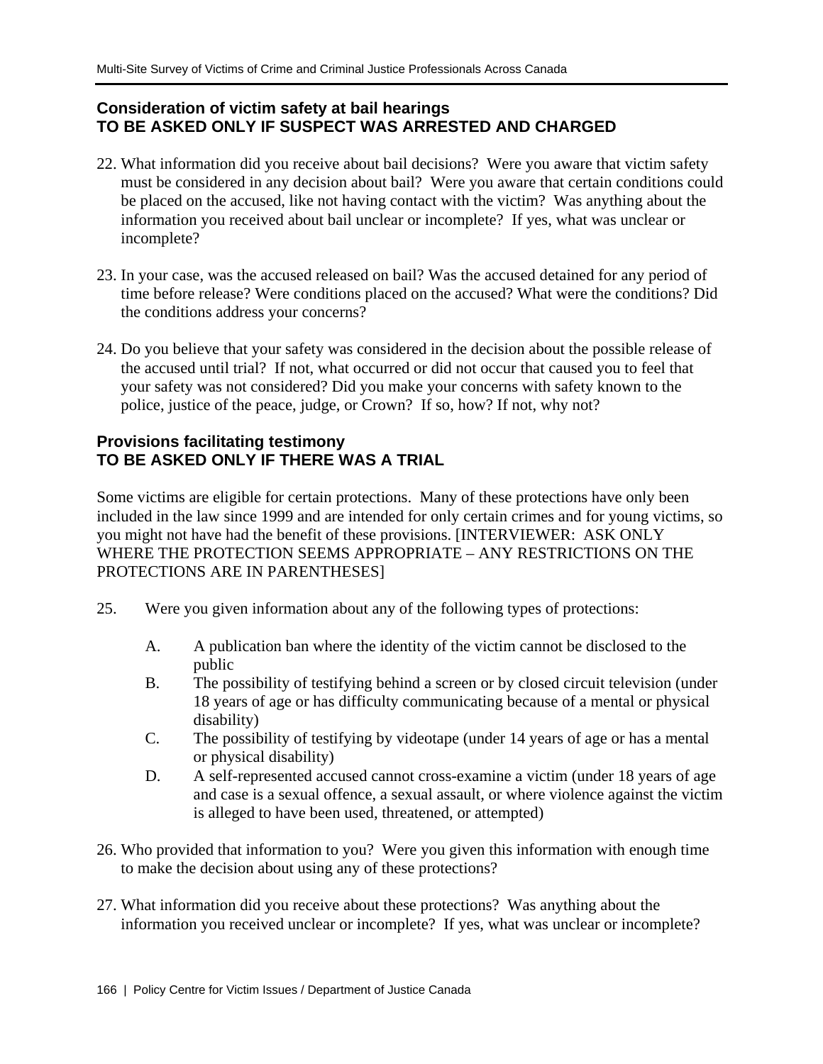# **Consideration of victim safety at bail hearings TO BE ASKED ONLY IF SUSPECT WAS ARRESTED AND CHARGED**

- 22. What information did you receive about bail decisions? Were you aware that victim safety must be considered in any decision about bail? Were you aware that certain conditions could be placed on the accused, like not having contact with the victim? Was anything about the information you received about bail unclear or incomplete? If yes, what was unclear or incomplete?
- 23. In your case, was the accused released on bail? Was the accused detained for any period of time before release? Were conditions placed on the accused? What were the conditions? Did the conditions address your concerns?
- 24. Do you believe that your safety was considered in the decision about the possible release of the accused until trial? If not, what occurred or did not occur that caused you to feel that your safety was not considered? Did you make your concerns with safety known to the police, justice of the peace, judge, or Crown? If so, how? If not, why not?

# **Provisions facilitating testimony TO BE ASKED ONLY IF THERE WAS A TRIAL**

Some victims are eligible for certain protections. Many of these protections have only been included in the law since 1999 and are intended for only certain crimes and for young victims, so you might not have had the benefit of these provisions. [INTERVIEWER: ASK ONLY WHERE THE PROTECTION SEEMS APPROPRIATE – ANY RESTRICTIONS ON THE PROTECTIONS ARE IN PARENTHESES]

- 25. Were you given information about any of the following types of protections:
	- A. A publication ban where the identity of the victim cannot be disclosed to the public
	- B. The possibility of testifying behind a screen or by closed circuit television (under 18 years of age or has difficulty communicating because of a mental or physical disability)
	- C. The possibility of testifying by videotape (under 14 years of age or has a mental or physical disability)
	- D. A self-represented accused cannot cross-examine a victim (under 18 years of age and case is a sexual offence, a sexual assault, or where violence against the victim is alleged to have been used, threatened, or attempted)
- 26. Who provided that information to you? Were you given this information with enough time to make the decision about using any of these protections?
- 27. What information did you receive about these protections? Was anything about the information you received unclear or incomplete? If yes, what was unclear or incomplete?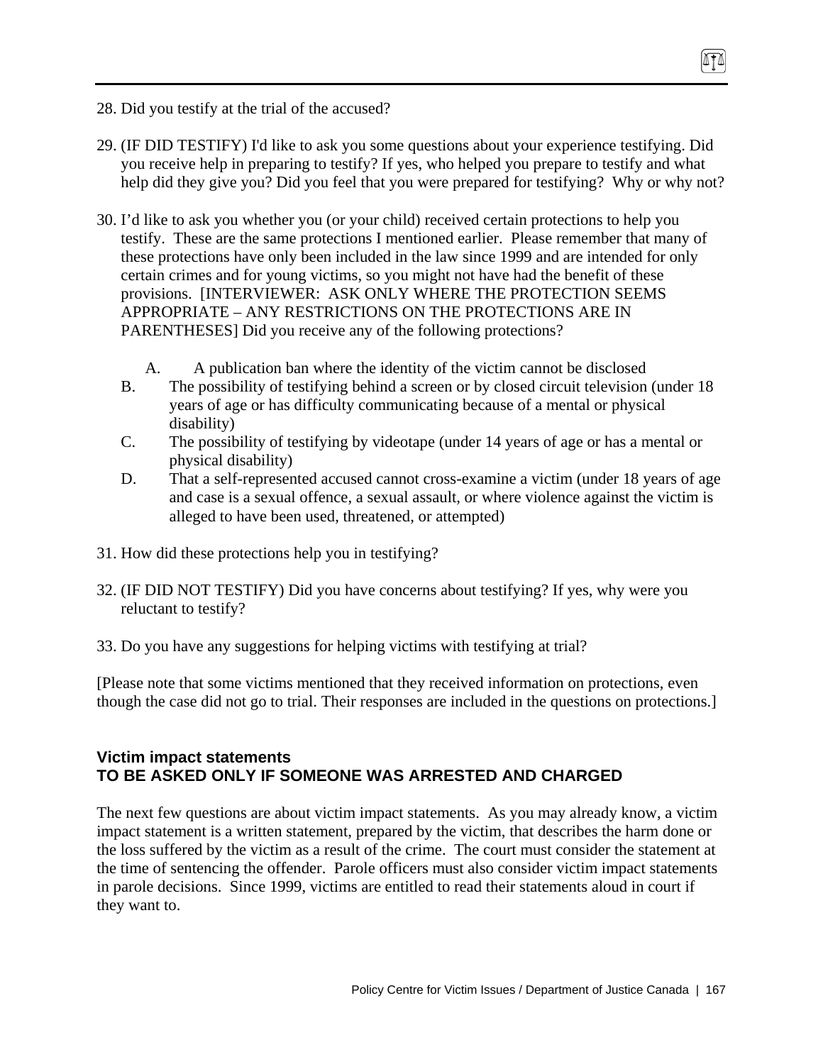- 28. Did you testify at the trial of the accused?
- 29. (IF DID TESTIFY) I'd like to ask you some questions about your experience testifying. Did you receive help in preparing to testify? If yes, who helped you prepare to testify and what help did they give you? Did you feel that you were prepared for testifying? Why or why not?
- 30. I'd like to ask you whether you (or your child) received certain protections to help you testify. These are the same protections I mentioned earlier. Please remember that many of these protections have only been included in the law since 1999 and are intended for only certain crimes and for young victims, so you might not have had the benefit of these provisions. [INTERVIEWER: ASK ONLY WHERE THE PROTECTION SEEMS APPROPRIATE – ANY RESTRICTIONS ON THE PROTECTIONS ARE IN PARENTHESES] Did you receive any of the following protections?
	- A. A publication ban where the identity of the victim cannot be disclosed
	- B. The possibility of testifying behind a screen or by closed circuit television (under 18 years of age or has difficulty communicating because of a mental or physical disability)
	- C. The possibility of testifying by videotape (under 14 years of age or has a mental or physical disability)
	- D. That a self-represented accused cannot cross-examine a victim (under 18 years of age and case is a sexual offence, a sexual assault, or where violence against the victim is alleged to have been used, threatened, or attempted)
- 31. How did these protections help you in testifying?
- 32. (IF DID NOT TESTIFY) Did you have concerns about testifying? If yes, why were you reluctant to testify?
- 33. Do you have any suggestions for helping victims with testifying at trial?

[Please note that some victims mentioned that they received information on protections, even though the case did not go to trial. Their responses are included in the questions on protections.]

# **Victim impact statements TO BE ASKED ONLY IF SOMEONE WAS ARRESTED AND CHARGED**

The next few questions are about victim impact statements. As you may already know, a victim impact statement is a written statement, prepared by the victim, that describes the harm done or the loss suffered by the victim as a result of the crime. The court must consider the statement at the time of sentencing the offender. Parole officers must also consider victim impact statements in parole decisions. Since 1999, victims are entitled to read their statements aloud in court if they want to.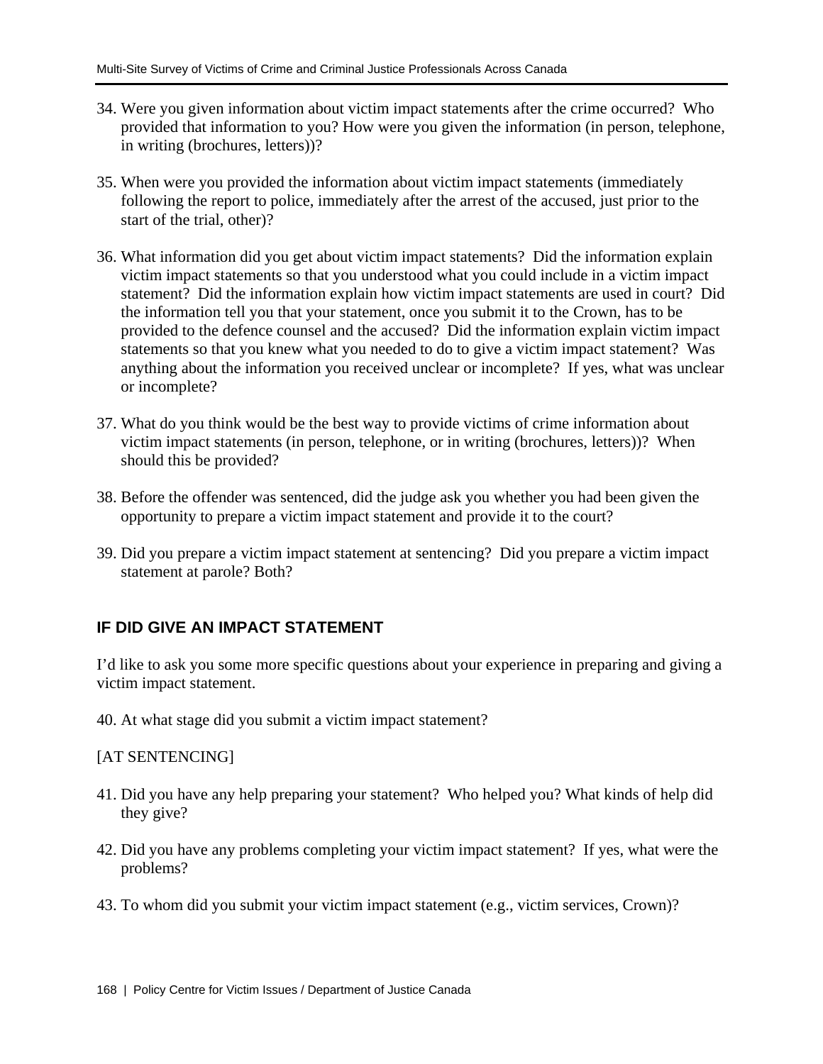- 34. Were you given information about victim impact statements after the crime occurred? Who provided that information to you? How were you given the information (in person, telephone, in writing (brochures, letters))?
- 35. When were you provided the information about victim impact statements (immediately following the report to police, immediately after the arrest of the accused, just prior to the start of the trial, other)?
- 36. What information did you get about victim impact statements? Did the information explain victim impact statements so that you understood what you could include in a victim impact statement? Did the information explain how victim impact statements are used in court? Did the information tell you that your statement, once you submit it to the Crown, has to be provided to the defence counsel and the accused? Did the information explain victim impact statements so that you knew what you needed to do to give a victim impact statement? Was anything about the information you received unclear or incomplete? If yes, what was unclear or incomplete?
- 37. What do you think would be the best way to provide victims of crime information about victim impact statements (in person, telephone, or in writing (brochures, letters))? When should this be provided?
- 38. Before the offender was sentenced, did the judge ask you whether you had been given the opportunity to prepare a victim impact statement and provide it to the court?
- 39. Did you prepare a victim impact statement at sentencing? Did you prepare a victim impact statement at parole? Both?

# **IF DID GIVE AN IMPACT STATEMENT**

I'd like to ask you some more specific questions about your experience in preparing and giving a victim impact statement.

40. At what stage did you submit a victim impact statement?

[AT SENTENCING]

- 41. Did you have any help preparing your statement? Who helped you? What kinds of help did they give?
- 42. Did you have any problems completing your victim impact statement? If yes, what were the problems?
- 43. To whom did you submit your victim impact statement (e.g., victim services, Crown)?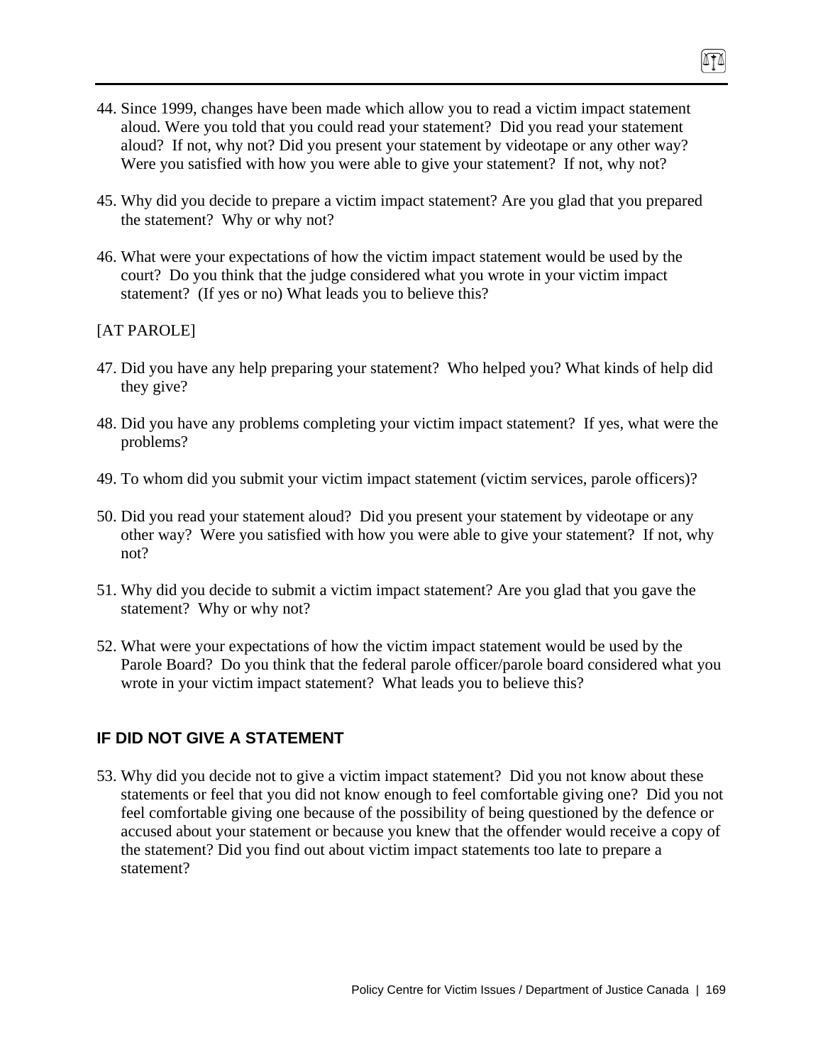- 44. Since 1999, changes have been made which allow you to read a victim impact statement aloud. Were you told that you could read your statement? Did you read your statement aloud? If not, why not? Did you present your statement by videotape or any other way? Were you satisfied with how you were able to give your statement? If not, why not?
- 45. Why did you decide to prepare a victim impact statement? Are you glad that you prepared the statement? Why or why not?
- 46. What were your expectations of how the victim impact statement would be used by the court? Do you think that the judge considered what you wrote in your victim impact statement? (If yes or no) What leads you to believe this?

### [AT PAROLE]

- 47. Did you have any help preparing your statement? Who helped you? What kinds of help did they give?
- 48. Did you have any problems completing your victim impact statement? If yes, what were the problems?
- 49. To whom did you submit your victim impact statement (victim services, parole officers)?
- 50. Did you read your statement aloud? Did you present your statement by videotape or any other way? Were you satisfied with how you were able to give your statement? If not, why not?
- 51. Why did you decide to submit a victim impact statement? Are you glad that you gave the statement? Why or why not?
- 52. What were your expectations of how the victim impact statement would be used by the Parole Board? Do you think that the federal parole officer/parole board considered what you wrote in your victim impact statement? What leads you to believe this?

# **IF DID NOT GIVE A STATEMENT**

53. Why did you decide not to give a victim impact statement? Did you not know about these statements or feel that you did not know enough to feel comfortable giving one? Did you not feel comfortable giving one because of the possibility of being questioned by the defence or accused about your statement or because you knew that the offender would receive a copy of the statement? Did you find out about victim impact statements too late to prepare a statement?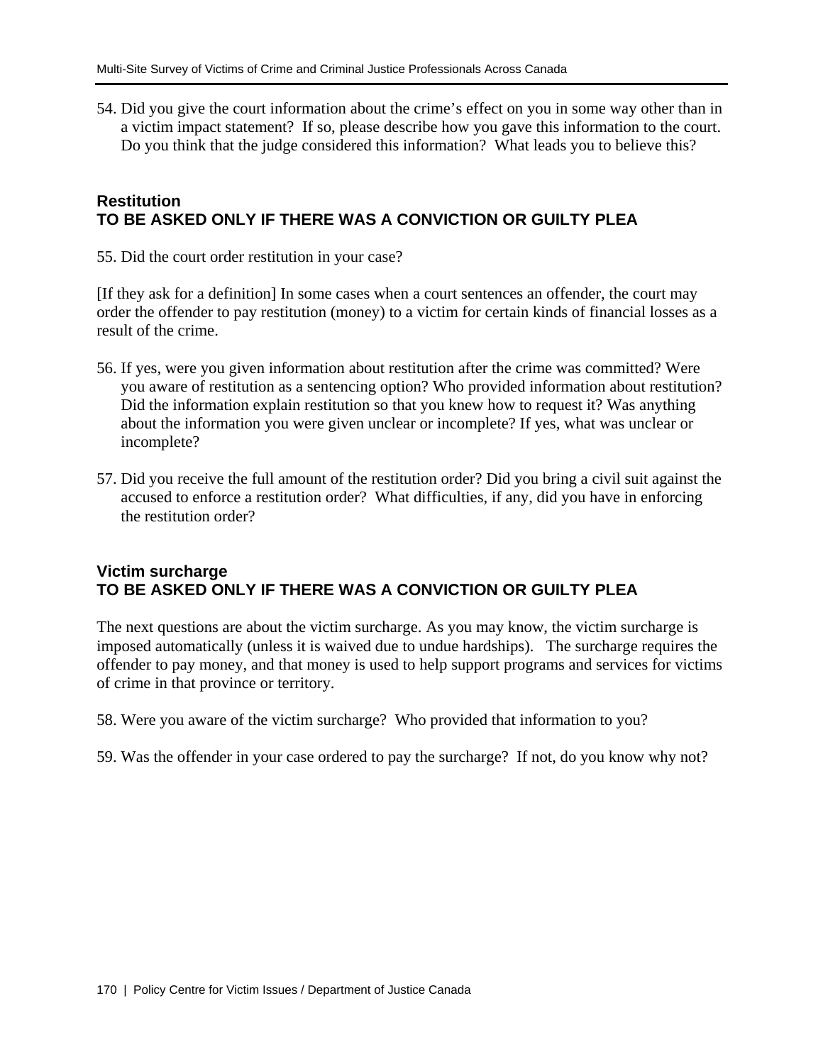54. Did you give the court information about the crime's effect on you in some way other than in a victim impact statement? If so, please describe how you gave this information to the court. Do you think that the judge considered this information? What leads you to believe this?

## **Restitution TO BE ASKED ONLY IF THERE WAS A CONVICTION OR GUILTY PLEA**

55. Did the court order restitution in your case?

[If they ask for a definition] In some cases when a court sentences an offender, the court may order the offender to pay restitution (money) to a victim for certain kinds of financial losses as a result of the crime.

- 56. If yes, were you given information about restitution after the crime was committed? Were you aware of restitution as a sentencing option? Who provided information about restitution? Did the information explain restitution so that you knew how to request it? Was anything about the information you were given unclear or incomplete? If yes, what was unclear or incomplete?
- 57. Did you receive the full amount of the restitution order? Did you bring a civil suit against the accused to enforce a restitution order? What difficulties, if any, did you have in enforcing the restitution order?

## **Victim surcharge TO BE ASKED ONLY IF THERE WAS A CONVICTION OR GUILTY PLEA**

The next questions are about the victim surcharge. As you may know, the victim surcharge is imposed automatically (unless it is waived due to undue hardships). The surcharge requires the offender to pay money, and that money is used to help support programs and services for victims of crime in that province or territory.

58. Were you aware of the victim surcharge? Who provided that information to you?

59. Was the offender in your case ordered to pay the surcharge? If not, do you know why not?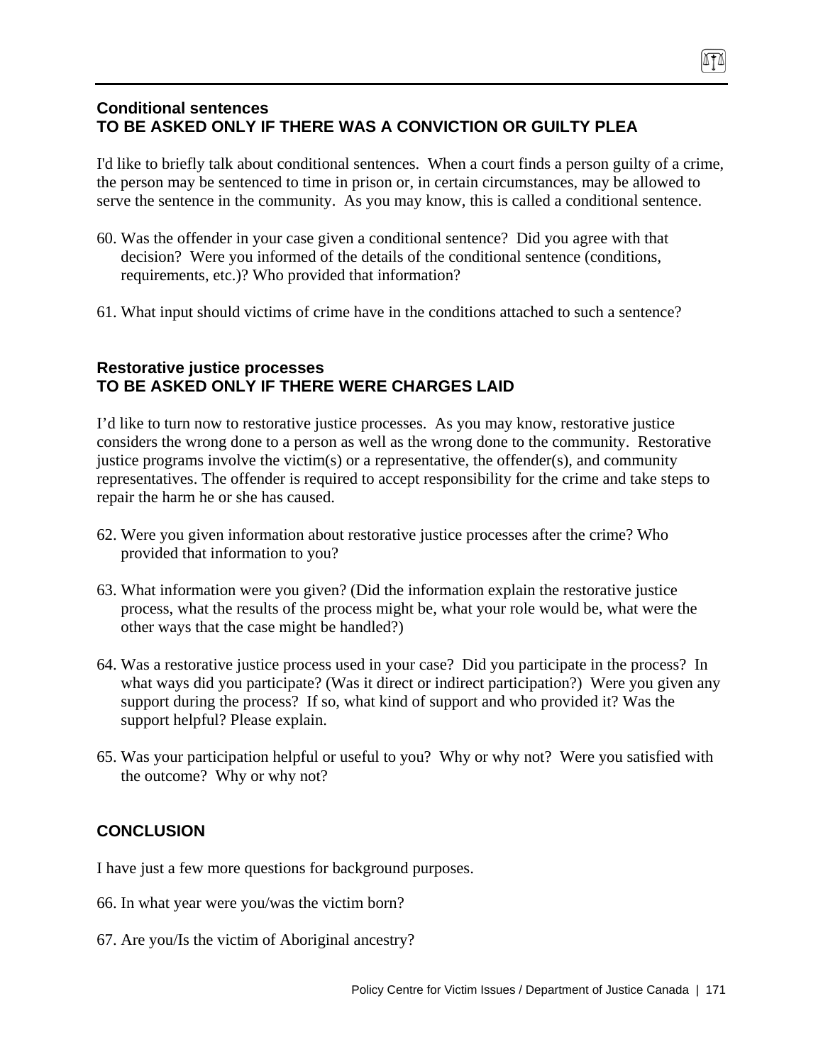# **Conditional sentences TO BE ASKED ONLY IF THERE WAS A CONVICTION OR GUILTY PLEA**

I'd like to briefly talk about conditional sentences. When a court finds a person guilty of a crime, the person may be sentenced to time in prison or, in certain circumstances, may be allowed to serve the sentence in the community. As you may know, this is called a conditional sentence.

- 60. Was the offender in your case given a conditional sentence? Did you agree with that decision? Were you informed of the details of the conditional sentence (conditions, requirements, etc.)? Who provided that information?
- 61. What input should victims of crime have in the conditions attached to such a sentence?

## **Restorative justice processes TO BE ASKED ONLY IF THERE WERE CHARGES LAID**

I'd like to turn now to restorative justice processes. As you may know, restorative justice considers the wrong done to a person as well as the wrong done to the community. Restorative justice programs involve the victim(s) or a representative, the offender(s), and community representatives. The offender is required to accept responsibility for the crime and take steps to repair the harm he or she has caused.

- 62. Were you given information about restorative justice processes after the crime? Who provided that information to you?
- 63. What information were you given? (Did the information explain the restorative justice process, what the results of the process might be, what your role would be, what were the other ways that the case might be handled?)
- 64. Was a restorative justice process used in your case? Did you participate in the process? In what ways did you participate? (Was it direct or indirect participation?) Were you given any support during the process? If so, what kind of support and who provided it? Was the support helpful? Please explain.
- 65. Was your participation helpful or useful to you? Why or why not? Were you satisfied with the outcome? Why or why not?

# **CONCLUSION**

I have just a few more questions for background purposes.

- 66. In what year were you/was the victim born?
- 67. Are you/Is the victim of Aboriginal ancestry?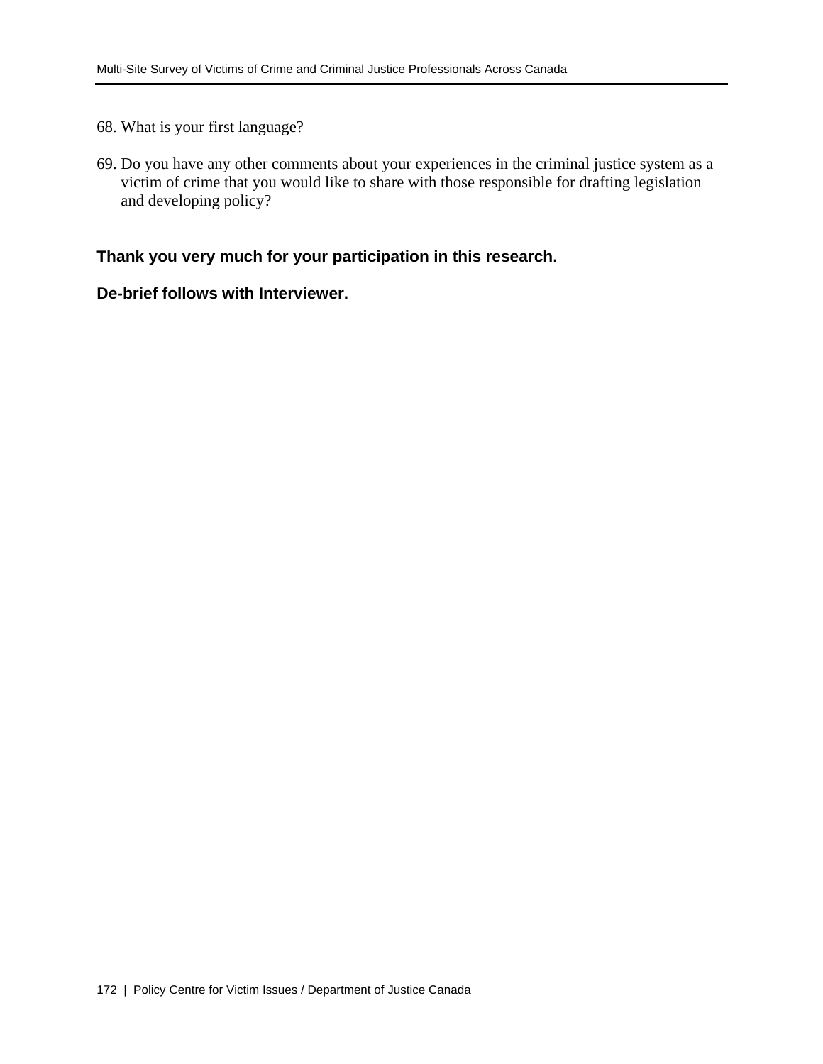- 68. What is your first language?
- 69. Do you have any other comments about your experiences in the criminal justice system as a victim of crime that you would like to share with those responsible for drafting legislation and developing policy?

# **Thank you very much for your participation in this research.**

## **De-brief follows with Interviewer.**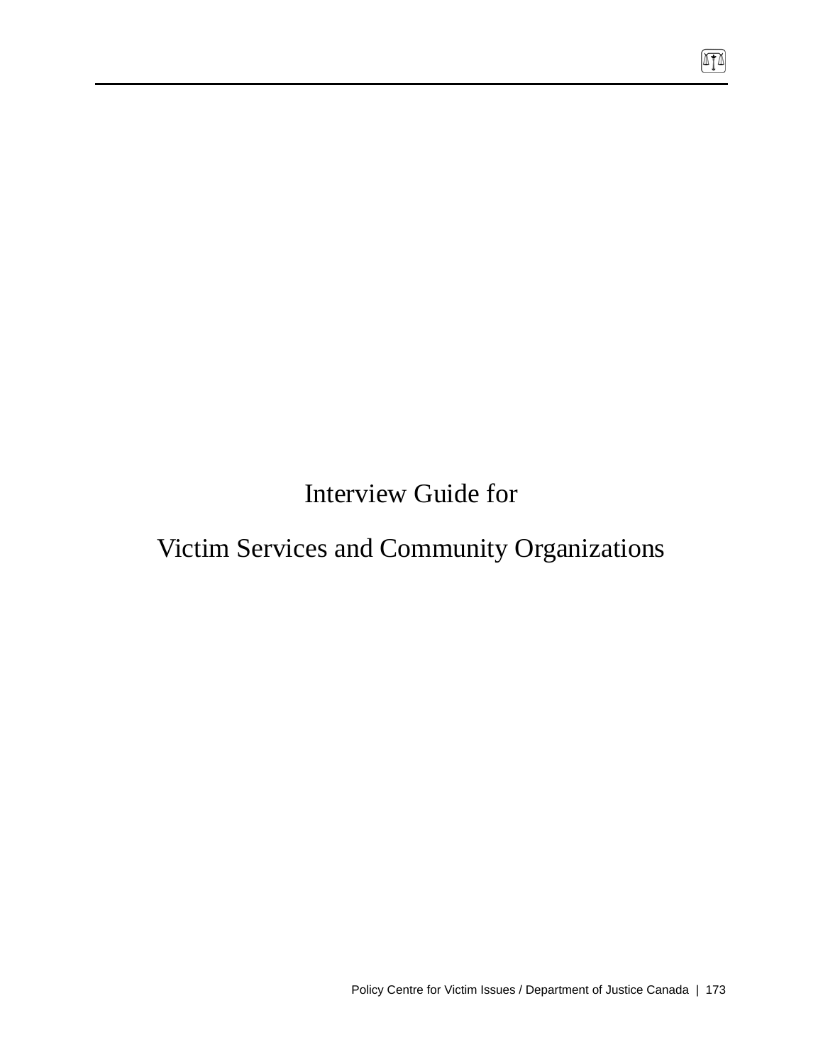Interview Guide for

# Victim Services and Community Organizations

 $\boxed{\mathbb{T}}$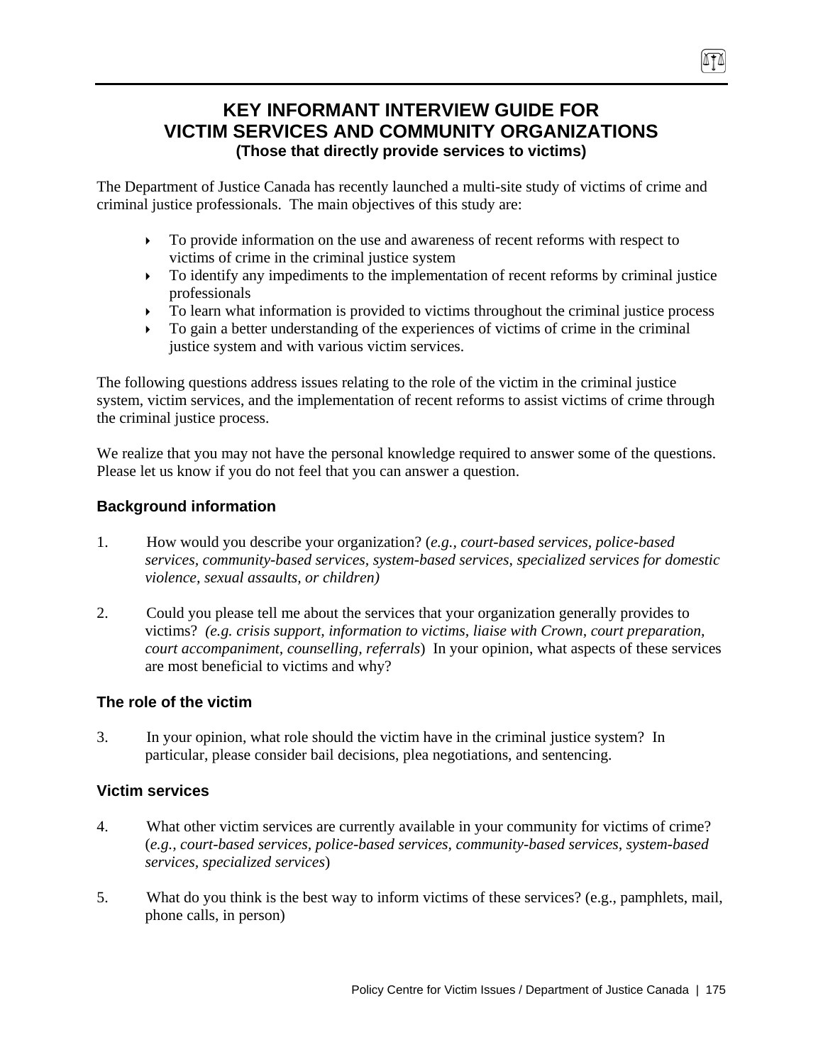# **KEY INFORMANT INTERVIEW GUIDE FOR VICTIM SERVICES AND COMMUNITY ORGANIZATIONS (Those that directly provide services to victims)**

The Department of Justice Canada has recently launched a multi-site study of victims of crime and criminal justice professionals. The main objectives of this study are:

- $\triangleright$  To provide information on the use and awareness of recent reforms with respect to victims of crime in the criminal justice system
- $\triangleright$  To identify any impediments to the implementation of recent reforms by criminal justice professionals
- $\triangleright$  To learn what information is provided to victims throughout the criminal justice process
- $\triangleright$  To gain a better understanding of the experiences of victims of crime in the criminal justice system and with various victim services.

The following questions address issues relating to the role of the victim in the criminal justice system, victim services, and the implementation of recent reforms to assist victims of crime through the criminal justice process.

We realize that you may not have the personal knowledge required to answer some of the questions. Please let us know if you do not feel that you can answer a question.

# **Background information**

- 1. How would you describe your organization? (*e.g., court-based services, police-based services, community-based services, system-based services, specialized services for domestic violence, sexual assaults, or children)*
- 2. Could you please tell me about the services that your organization generally provides to victims? *(e.g. crisis support, information to victims, liaise with Crown, court preparation, court accompaniment, counselling, referrals*) In your opinion, what aspects of these services are most beneficial to victims and why?

## **The role of the victim**

3. In your opinion, what role should the victim have in the criminal justice system? In particular, please consider bail decisions, plea negotiations, and sentencing.

## **Victim services**

- 4. What other victim services are currently available in your community for victims of crime? (*e.g., court-based services, police-based services, community-based services, system-based services, specialized services*)
- 5. What do you think is the best way to inform victims of these services? (e.g., pamphlets, mail, phone calls, in person)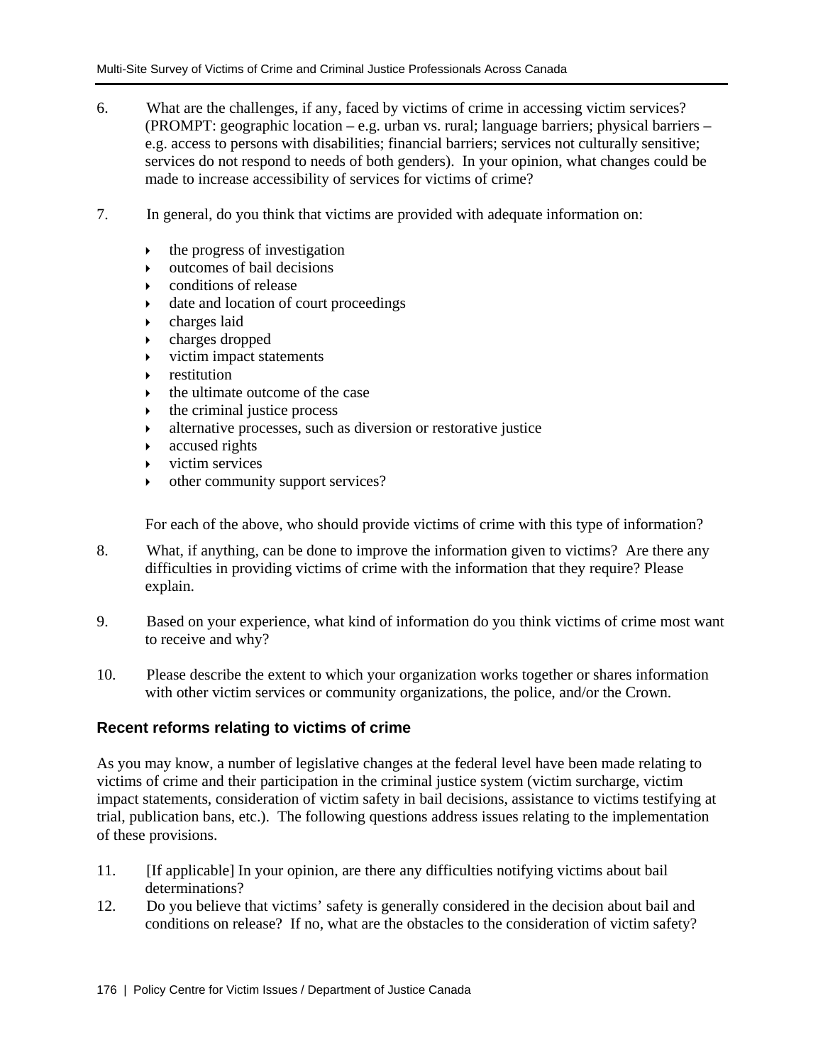- 6. What are the challenges, if any, faced by victims of crime in accessing victim services? (PROMPT: geographic location – e.g. urban vs. rural; language barriers; physical barriers – e.g. access to persons with disabilities; financial barriers; services not culturally sensitive; services do not respond to needs of both genders). In your opinion, what changes could be made to increase accessibility of services for victims of crime?
- 7. In general, do you think that victims are provided with adequate information on:
	- $\rightarrow$  the progress of investigation
	- $\rightarrow$  outcomes of bail decisions
	- $\triangleright$  conditions of release
	- $\rightarrow$  date and location of court proceedings
	- $\rightarrow$  charges laid
	- $\rightarrow$  charges dropped
	- $\triangleright$  victim impact statements
	- **EXECUTE:**  $\bullet$  restitution
	- $\rightarrow$  the ultimate outcome of the case
	- ` the criminal justice process
	- ` alternative processes, such as diversion or restorative justice
	- $\triangleright$  accused rights
	- $\triangleright$  victim services
	- $\rightarrow$  other community support services?

For each of the above, who should provide victims of crime with this type of information?

- 8. What, if anything, can be done to improve the information given to victims? Are there any difficulties in providing victims of crime with the information that they require? Please explain.
- 9. Based on your experience, what kind of information do you think victims of crime most want to receive and why?
- 10. Please describe the extent to which your organization works together or shares information with other victim services or community organizations, the police, and/or the Crown.

## **Recent reforms relating to victims of crime**

As you may know, a number of legislative changes at the federal level have been made relating to victims of crime and their participation in the criminal justice system (victim surcharge, victim impact statements, consideration of victim safety in bail decisions, assistance to victims testifying at trial, publication bans, etc.). The following questions address issues relating to the implementation of these provisions.

- 11. [If applicable] In your opinion, are there any difficulties notifying victims about bail determinations?
- 12. Do you believe that victims' safety is generally considered in the decision about bail and conditions on release? If no, what are the obstacles to the consideration of victim safety?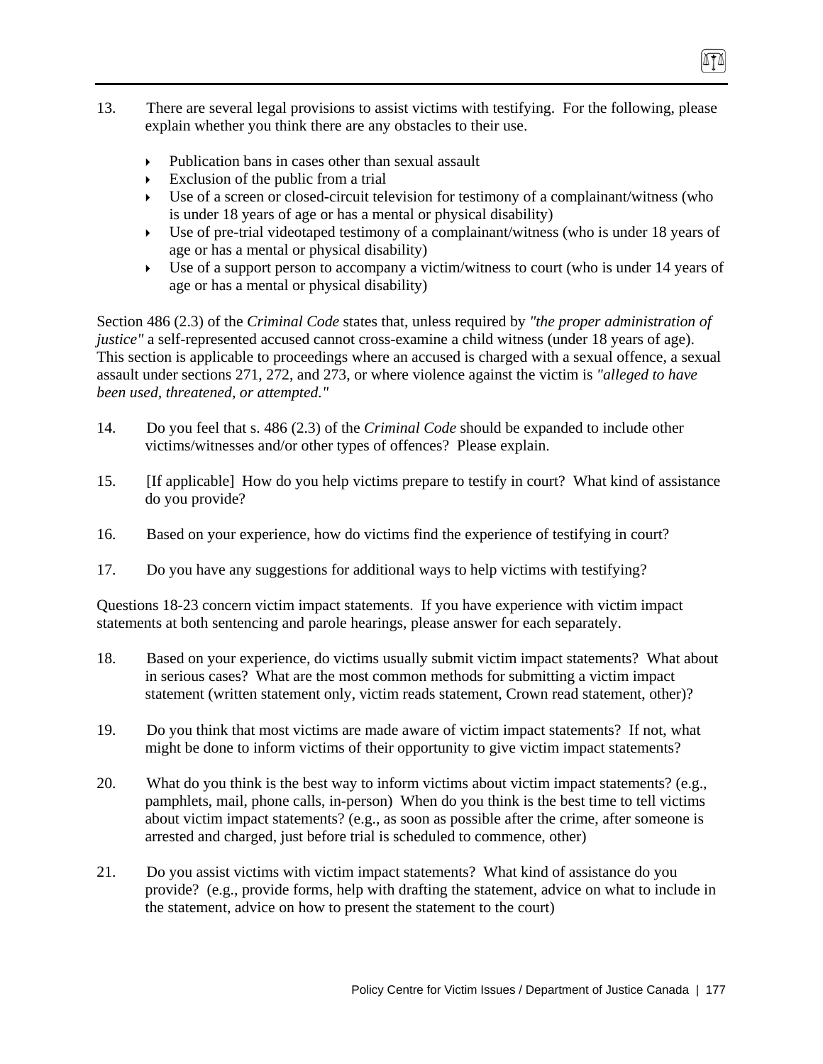- 13. There are several legal provisions to assist victims with testifying. For the following, please explain whether you think there are any obstacles to their use.
	- Publication bans in cases other than sexual assault
	- $\triangleright$  Exclusion of the public from a trial
	- $\triangleright$  Use of a screen or closed-circuit television for testimony of a complainant/witness (who is under 18 years of age or has a mental or physical disability)
	- $\triangleright$  Use of pre-trial videotaped testimony of a complainant/witness (who is under 18 years of age or has a mental or physical disability)
	- $\triangleright$  Use of a support person to accompany a victim/witness to court (who is under 14 years of age or has a mental or physical disability)

Section 486 (2.3) of the *Criminal Code* states that, unless required by *"the proper administration of justice*" a self-represented accused cannot cross-examine a child witness (under 18 years of age). This section is applicable to proceedings where an accused is charged with a sexual offence, a sexual assault under sections 271, 272, and 273, or where violence against the victim is *"alleged to have been used, threatened, or attempted."* 

- 14. Do you feel that s. 486 (2.3) of the *Criminal Code* should be expanded to include other victims/witnesses and/or other types of offences? Please explain.
- 15. [If applicable] How do you help victims prepare to testify in court? What kind of assistance do you provide?
- 16. Based on your experience, how do victims find the experience of testifying in court?
- 17. Do you have any suggestions for additional ways to help victims with testifying?

Questions 18-23 concern victim impact statements. If you have experience with victim impact statements at both sentencing and parole hearings, please answer for each separately.

- 18. Based on your experience, do victims usually submit victim impact statements? What about in serious cases? What are the most common methods for submitting a victim impact statement (written statement only, victim reads statement, Crown read statement, other)?
- 19. Do you think that most victims are made aware of victim impact statements? If not, what might be done to inform victims of their opportunity to give victim impact statements?
- 20. What do you think is the best way to inform victims about victim impact statements? (e.g., pamphlets, mail, phone calls, in-person) When do you think is the best time to tell victims about victim impact statements? (e.g., as soon as possible after the crime, after someone is arrested and charged, just before trial is scheduled to commence, other)
- 21. Do you assist victims with victim impact statements? What kind of assistance do you provide? (e.g., provide forms, help with drafting the statement, advice on what to include in the statement, advice on how to present the statement to the court)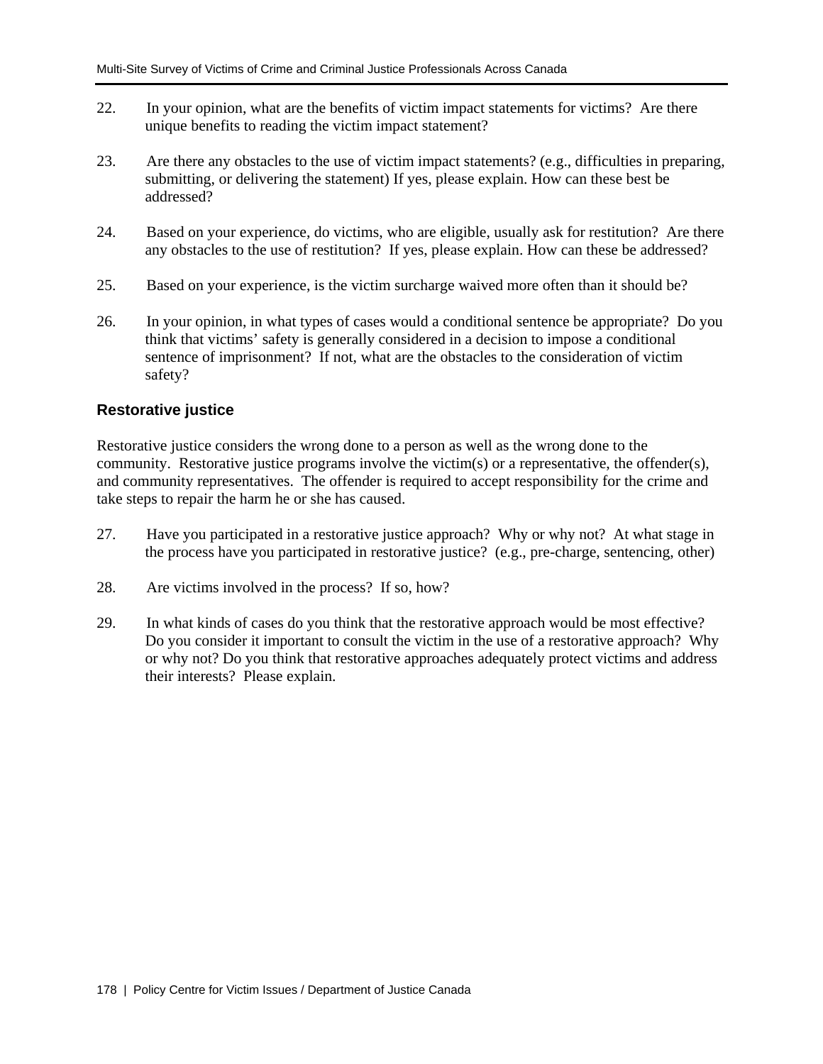- 22. In your opinion, what are the benefits of victim impact statements for victims? Are there unique benefits to reading the victim impact statement?
- 23. Are there any obstacles to the use of victim impact statements? (e.g., difficulties in preparing, submitting, or delivering the statement) If yes, please explain. How can these best be addressed?
- 24. Based on your experience, do victims, who are eligible, usually ask for restitution? Are there any obstacles to the use of restitution? If yes, please explain. How can these be addressed?
- 25. Based on your experience, is the victim surcharge waived more often than it should be?
- 26. In your opinion, in what types of cases would a conditional sentence be appropriate? Do you think that victims' safety is generally considered in a decision to impose a conditional sentence of imprisonment? If not, what are the obstacles to the consideration of victim safety?

## **Restorative justice**

Restorative justice considers the wrong done to a person as well as the wrong done to the community. Restorative justice programs involve the victim(s) or a representative, the offender(s), and community representatives. The offender is required to accept responsibility for the crime and take steps to repair the harm he or she has caused.

- 27. Have you participated in a restorative justice approach? Why or why not? At what stage in the process have you participated in restorative justice? (e.g., pre-charge, sentencing, other)
- 28. Are victims involved in the process? If so, how?
- 29. In what kinds of cases do you think that the restorative approach would be most effective? Do you consider it important to consult the victim in the use of a restorative approach? Why or why not? Do you think that restorative approaches adequately protect victims and address their interests? Please explain.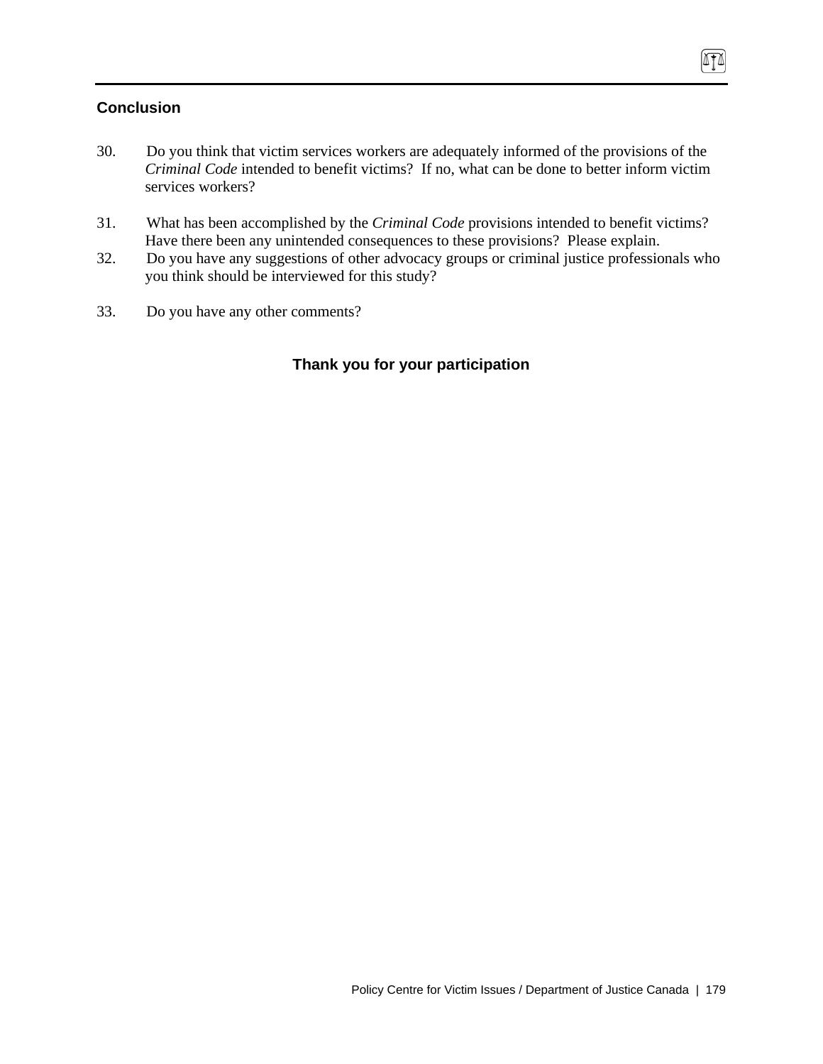# **Conclusion**

- 30. Do you think that victim services workers are adequately informed of the provisions of the *Criminal Code* intended to benefit victims? If no, what can be done to better inform victim services workers?
- 31. What has been accomplished by the *Criminal Code* provisions intended to benefit victims? Have there been any unintended consequences to these provisions? Please explain.
- 32. Do you have any suggestions of other advocacy groups or criminal justice professionals who you think should be interviewed for this study?
- 33. Do you have any other comments?

# **Thank you for your participation**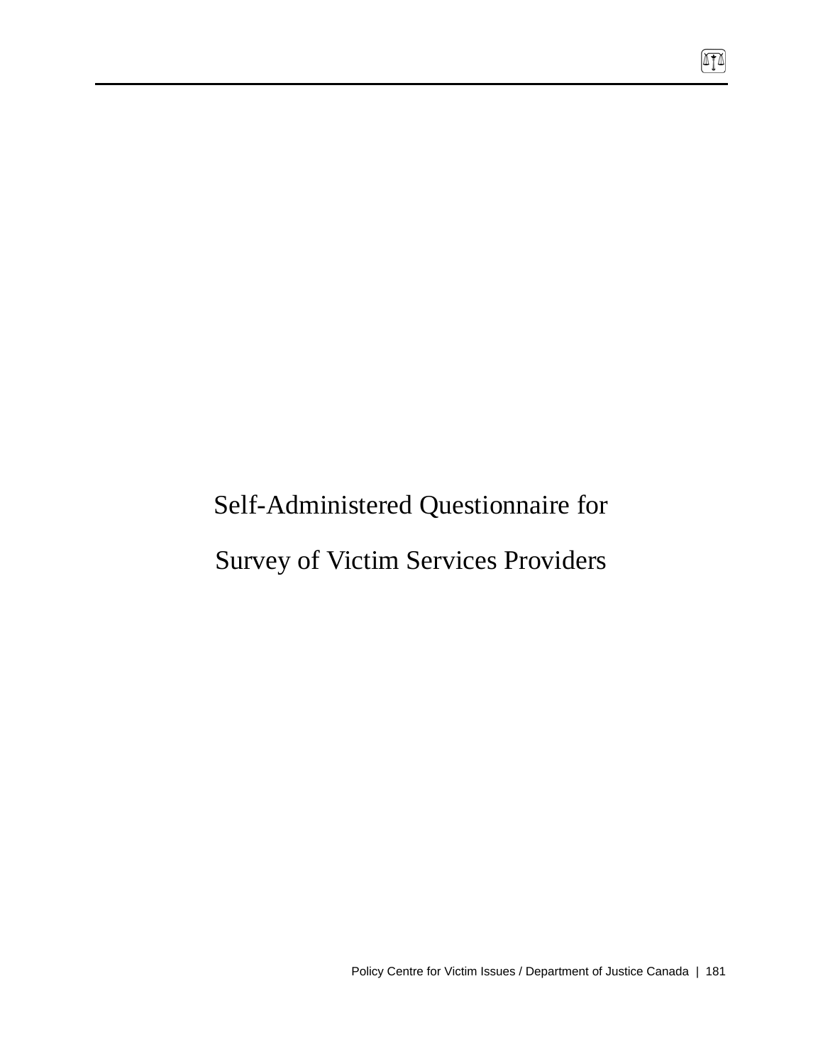# Self-Administered Questionnaire for

# Survey of Victim Services Providers

 $\boxed{\mathbb{T}}$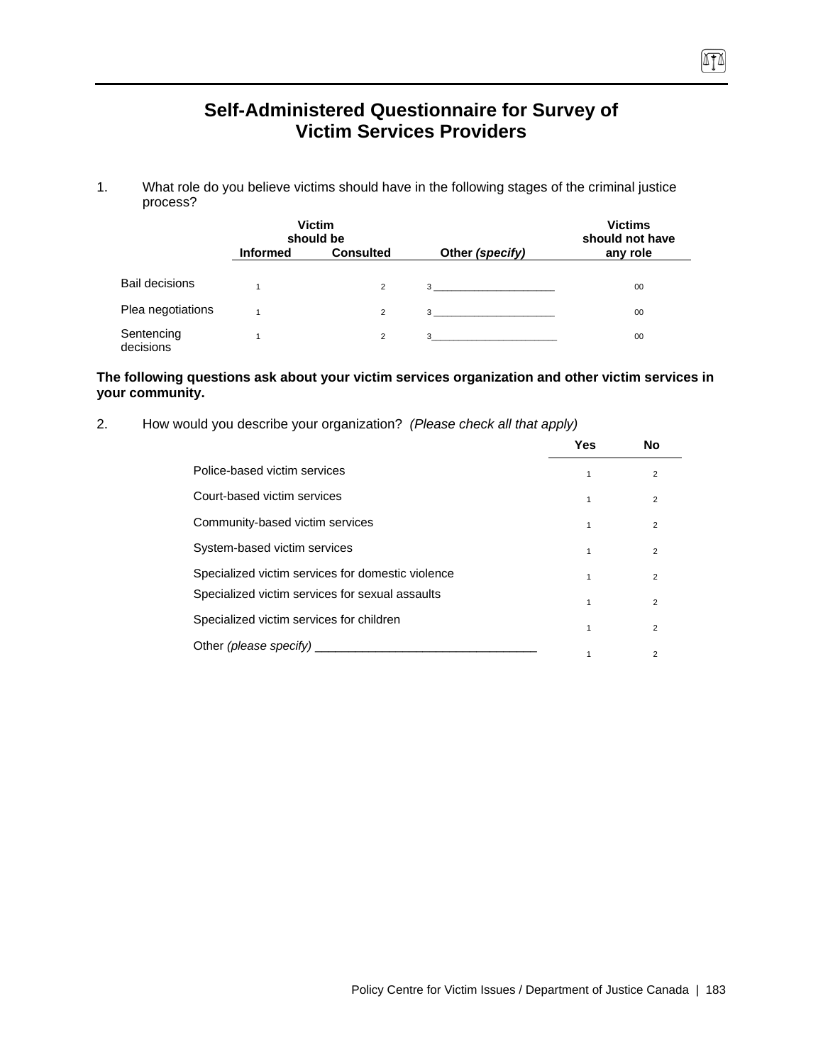# **Self-Administered Questionnaire for Survey of Victim Services Providers**

1. What role do you believe victims should have in the following stages of the criminal justice process?

|                         |                 | <b>Victim</b><br>should be |                                  | <b>Victims</b><br>should not have |  |
|-------------------------|-----------------|----------------------------|----------------------------------|-----------------------------------|--|
|                         | <b>Informed</b> | <b>Consulted</b>           | Other (specify)                  | any role                          |  |
| Bail decisions          |                 | $\overline{2}$             | $3 \left( \frac{1}{2} \right)$   | 00                                |  |
| Plea negotiations       |                 | $\overline{2}$             | $3 \left( \frac{1}{2} \right)$   | 00                                |  |
| Sentencing<br>decisions |                 | $\overline{2}$             | $3 \quad \overline{\phantom{a}}$ | 00                                |  |

#### **The following questions ask about your victim services organization and other victim services in your community.**

2. How would you describe your organization? *(Please check all that apply)*

|                                                   | Yes | <b>No</b>      |
|---------------------------------------------------|-----|----------------|
| Police-based victim services                      |     | $\overline{2}$ |
| Court-based victim services                       | 1   | $\overline{2}$ |
| Community-based victim services                   |     | $\overline{2}$ |
| System-based victim services                      |     | $\overline{2}$ |
| Specialized victim services for domestic violence | 1   | $\overline{2}$ |
| Specialized victim services for sexual assaults   | 1   | $\overline{2}$ |
| Specialized victim services for children          |     | $\overline{2}$ |
| Other (please specify)                            |     | 2              |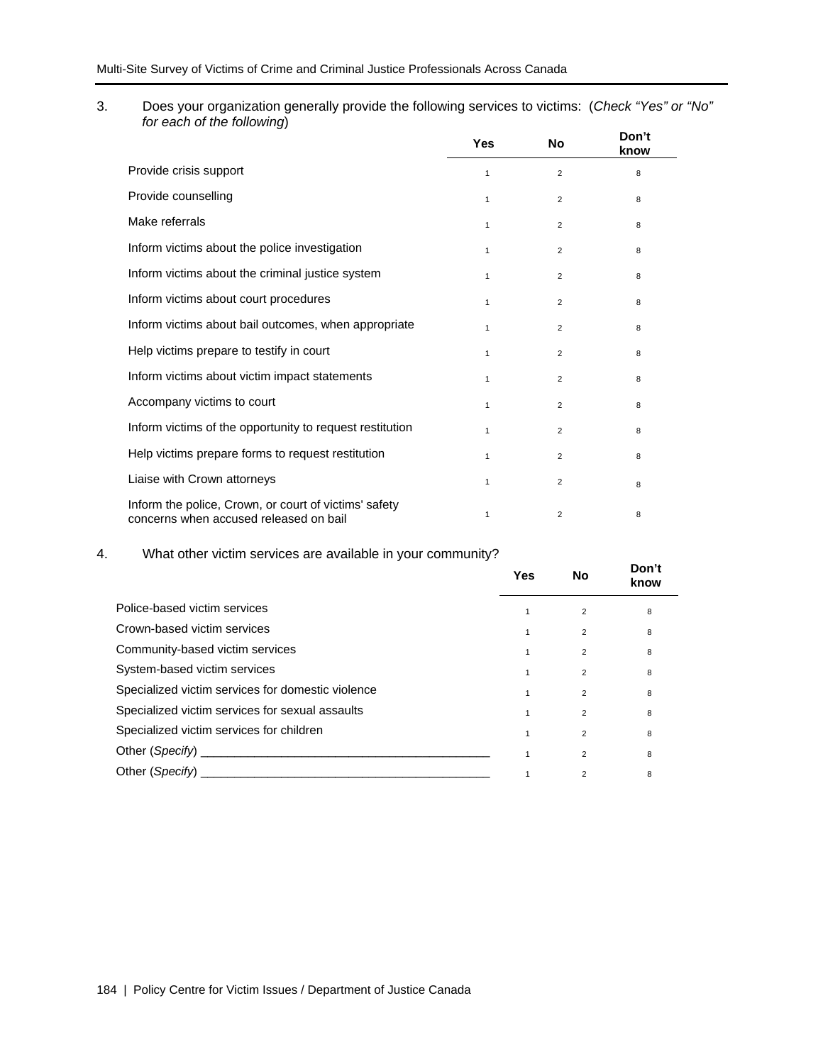3. Does your organization generally provide the following services to victims: (*Check "Yes" or "No" for each of the following*)

|                                                                                                 | Yes          | <b>No</b>      | Don't<br>know |
|-------------------------------------------------------------------------------------------------|--------------|----------------|---------------|
| Provide crisis support                                                                          | 1            | $\overline{2}$ | 8             |
| Provide counselling                                                                             | 1            | $\overline{2}$ | 8             |
| Make referrals                                                                                  | 1            | $\overline{2}$ | 8             |
| Inform victims about the police investigation                                                   | $\mathbf{1}$ | $\overline{2}$ | 8             |
| Inform victims about the criminal justice system                                                | $\mathbf{1}$ | $\overline{2}$ | 8             |
| Inform victims about court procedures                                                           | $\mathbf{1}$ | $\overline{2}$ | 8             |
| Inform victims about bail outcomes, when appropriate                                            | 1            | $\overline{2}$ | 8             |
| Help victims prepare to testify in court                                                        | 1            | $\overline{2}$ | 8             |
| Inform victims about victim impact statements                                                   | 1            | $\overline{2}$ | 8             |
| Accompany victims to court                                                                      | $\mathbf{1}$ | $\overline{2}$ | 8             |
| Inform victims of the opportunity to request restitution                                        | 1            | $\overline{2}$ | 8             |
| Help victims prepare forms to request restitution                                               | 1            | 2              | 8             |
| Liaise with Crown attorneys                                                                     | 1            | $\overline{2}$ | 8             |
| Inform the police, Crown, or court of victims' safety<br>concerns when accused released on bail | 1            | 2              | 8             |

### 4. What other victim services are available in your community?

|                                                                                                                                                                                                                                | Yes          | No             | Don't<br>know |
|--------------------------------------------------------------------------------------------------------------------------------------------------------------------------------------------------------------------------------|--------------|----------------|---------------|
| Police-based victim services                                                                                                                                                                                                   | 1            | 2              | 8             |
| Crown-based victim services                                                                                                                                                                                                    | 1            | $\overline{2}$ | 8             |
| Community-based victim services                                                                                                                                                                                                | 1            | $\overline{2}$ | 8             |
| System-based victim services                                                                                                                                                                                                   | 1            | $\overline{2}$ | 8             |
| Specialized victim services for domestic violence                                                                                                                                                                              | $\mathbf{1}$ | $\overline{2}$ | 8             |
| Specialized victim services for sexual assaults                                                                                                                                                                                | 1            | $\overline{2}$ | 8             |
| Specialized victim services for children                                                                                                                                                                                       | 1            | $\overline{2}$ | 8             |
|                                                                                                                                                                                                                                |              | 2              | 8             |
| Other (Specify) and the contract of the contract of the contract of the contract of the contract of the contract of the contract of the contract of the contract of the contract of the contract of the contract of the contra |              | $\overline{2}$ | 8             |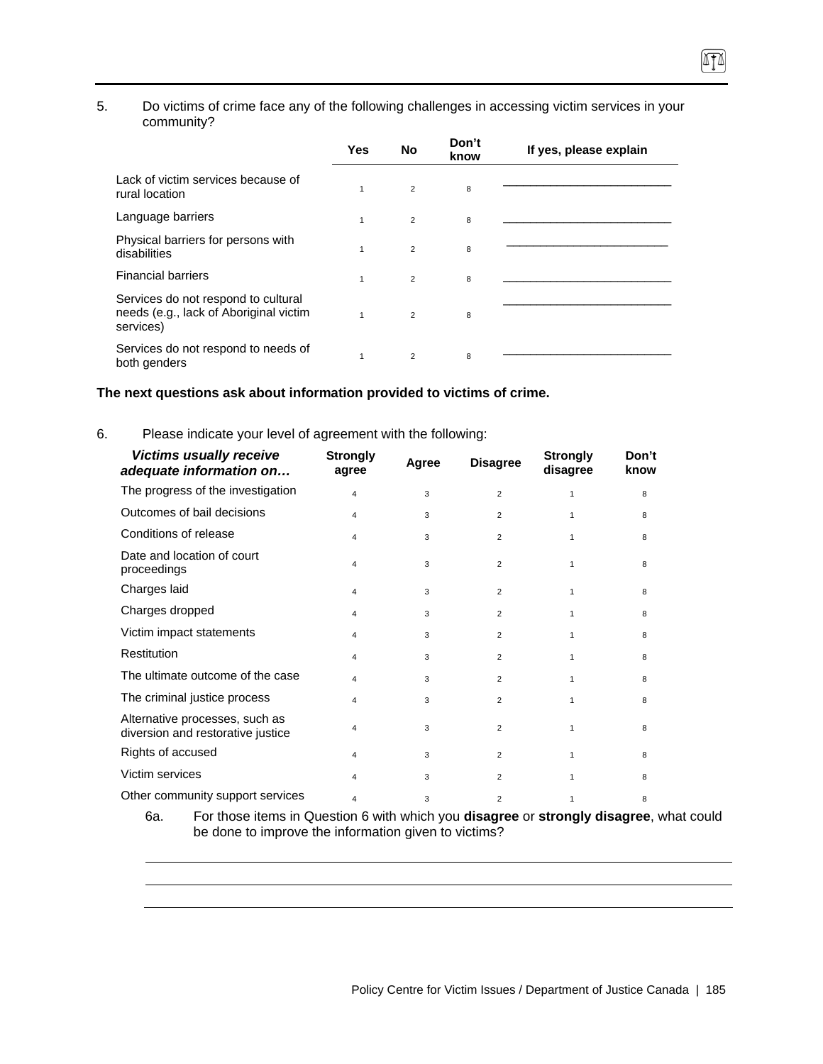#### 5. Do victims of crime face any of the following challenges in accessing victim services in your community?

|                                                                                            | <b>Yes</b>   | <b>No</b>      | Don't<br>know | If yes, please explain |
|--------------------------------------------------------------------------------------------|--------------|----------------|---------------|------------------------|
| Lack of victim services because of<br>rural location                                       | $\mathbf{1}$ | $\overline{2}$ | 8             |                        |
| Language barriers                                                                          | $\mathbf{1}$ | $\overline{2}$ | 8             |                        |
| Physical barriers for persons with<br>disabilities                                         | 1            | $\overline{2}$ | 8             |                        |
| <b>Financial barriers</b>                                                                  | $\mathbf{1}$ | $\overline{2}$ | 8             |                        |
| Services do not respond to cultural<br>needs (e.g., lack of Aboriginal victim<br>services) | $\mathbf{1}$ | $\overline{2}$ | 8             |                        |
| Services do not respond to needs of<br>both genders                                        | 1            | $\overline{2}$ | 8             |                        |

## **The next questions ask about information provided to victims of crime.**

#### 6. Please indicate your level of agreement with the following:

| <b>Victims usually receive</b><br>adequate information on           | <b>Strongly</b><br>agree | Agree | <b>Disagree</b> | <b>Strongly</b><br>disagree | Don't<br>know |
|---------------------------------------------------------------------|--------------------------|-------|-----------------|-----------------------------|---------------|
| The progress of the investigation                                   | $\overline{\mathbf{4}}$  | 3     | $\overline{2}$  | 1                           | 8             |
| Outcomes of bail decisions                                          | 4                        | 3     | $\overline{2}$  | 1                           | 8             |
| Conditions of release                                               | 4                        | 3     | $\overline{2}$  |                             | 8             |
| Date and location of court<br>proceedings                           | $\overline{\mathbf{4}}$  | 3     | $\overline{2}$  | 1                           | 8             |
| Charges laid                                                        | 4                        | 3     | $\overline{2}$  | 1                           | 8             |
| Charges dropped                                                     | 4                        | 3     | 2               |                             | 8             |
| Victim impact statements                                            | 4                        | 3     | 2               | 1                           | 8             |
| <b>Restitution</b>                                                  | 4                        | 3     | $\overline{2}$  | 1                           | 8             |
| The ultimate outcome of the case                                    | 4                        | 3     | 2               | 1                           | 8             |
| The criminal justice process                                        | 4                        | 3     | $\overline{2}$  | 1                           | 8             |
| Alternative processes, such as<br>diversion and restorative justice | 4                        | 3     | $\overline{2}$  |                             | 8             |
| Rights of accused                                                   | 4                        | 3     | $\overline{2}$  | 1                           | 8             |
| Victim services                                                     | 4                        | 3     | $\overline{2}$  |                             | 8             |
| Other community support services                                    | 4                        | 3     | $\overline{2}$  | 1                           | 8             |

6a. For those items in Question 6 with which you **disagree** or **strongly disagree**, what could be done to improve the information given to victims?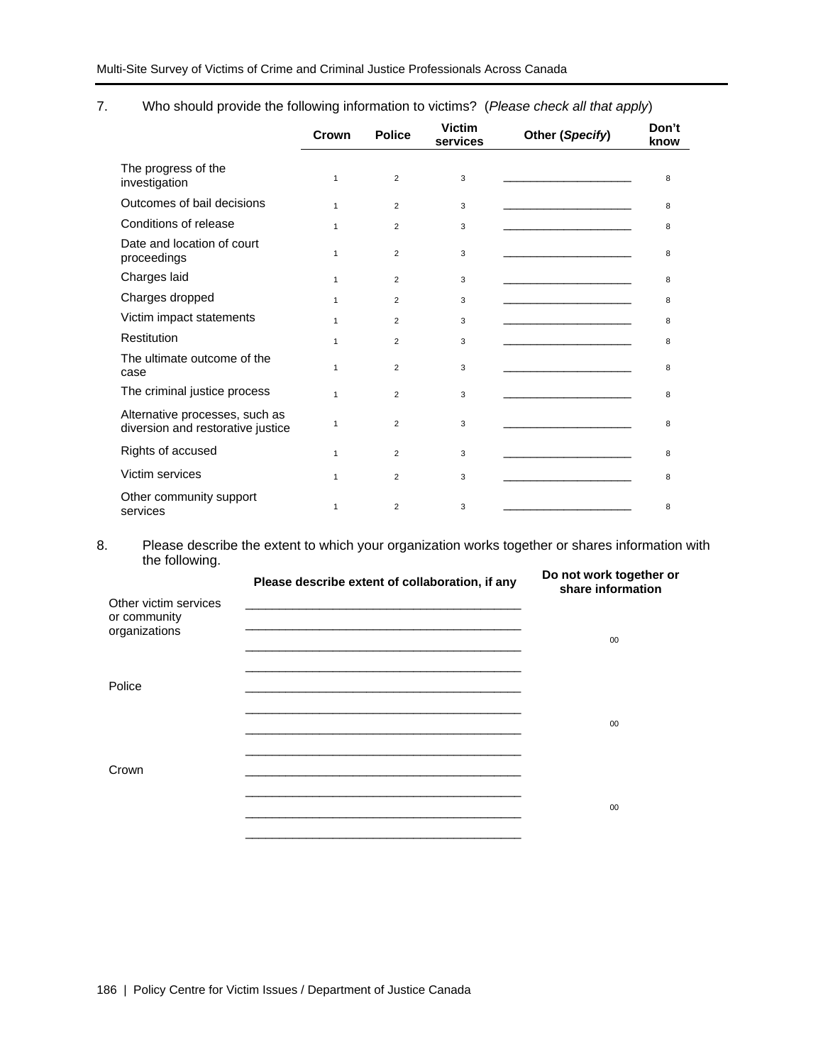7. Who should provide the following information to victims? (*Please check all that apply*)

|                                                                     | Crown        | <b>Police</b>  | <b>Victim</b><br>services | Other (Specify)                                                                                                             | Don't<br>know |
|---------------------------------------------------------------------|--------------|----------------|---------------------------|-----------------------------------------------------------------------------------------------------------------------------|---------------|
| The progress of the<br>investigation                                | $\mathbf{1}$ | $\overline{2}$ | 3                         |                                                                                                                             | 8             |
| Outcomes of bail decisions                                          | $\mathbf{1}$ | $\overline{2}$ | 3                         |                                                                                                                             | 8             |
| Conditions of release                                               | 1            | $\overline{2}$ | 3                         |                                                                                                                             | 8             |
| Date and location of court<br>proceedings                           | $\mathbf{1}$ | $\overline{2}$ | 3                         |                                                                                                                             | 8             |
| Charges laid                                                        | $\mathbf{1}$ | $\overline{2}$ | 3                         | <u> De Carlos de Carlos de Carlos de Carlos de Carlos de Carlos de Carlos de Carlos de Carlos de Carlos de Carlos de Ca</u> | 8             |
| Charges dropped                                                     | $\mathbf{1}$ | $\overline{2}$ | 3                         |                                                                                                                             | 8             |
| Victim impact statements                                            | $\mathbf{1}$ | $\overline{2}$ | 3                         |                                                                                                                             | 8             |
| Restitution                                                         | $\mathbf{1}$ | $\overline{2}$ | 3                         |                                                                                                                             | 8             |
| The ultimate outcome of the<br>case                                 | $\mathbf{1}$ | $\overline{2}$ | 3                         |                                                                                                                             | 8             |
| The criminal justice process                                        | $\mathbf{1}$ | $\overline{2}$ | 3                         |                                                                                                                             | 8             |
| Alternative processes, such as<br>diversion and restorative justice | $\mathbf{1}$ | 2              | 3                         |                                                                                                                             | 8             |
| Rights of accused                                                   | $\mathbf{1}$ | $\overline{2}$ | 3                         | <u> 1989 - Johann Stein, markin fan it ferstjer fan it ferstjer fan it ferstjer fan it ferstjer fan it ferstjer</u>         | 8             |
| Victim services                                                     | $\mathbf{1}$ | $\overline{2}$ | 3                         |                                                                                                                             | 8             |
| Other community support<br>services                                 | $\mathbf{1}$ | $\overline{2}$ | 3                         |                                                                                                                             | 8             |

8. Please describe the extent to which your organization works together or shares information with the following.

| Other victim services         | Please describe extent of collaboration, if any                                                                                                                                                                               | Do not work together or<br>share information |
|-------------------------------|-------------------------------------------------------------------------------------------------------------------------------------------------------------------------------------------------------------------------------|----------------------------------------------|
| or community<br>organizations |                                                                                                                                                                                                                               | 00                                           |
| Police                        | the control of the control of the control of the control of the control of the control of the control of the control of the control of the control of the control of the control of the control of the control of the control |                                              |
|                               |                                                                                                                                                                                                                               | 00                                           |
| Crown                         |                                                                                                                                                                                                                               | 00                                           |
|                               |                                                                                                                                                                                                                               |                                              |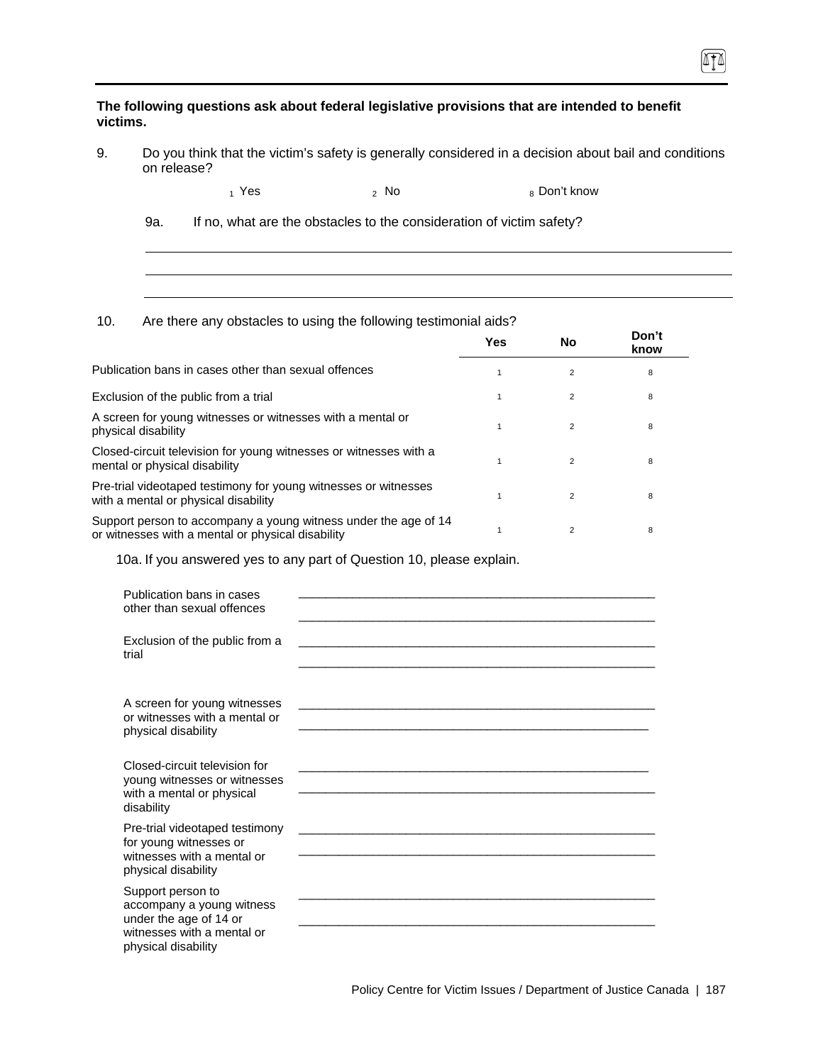**The following questions ask about federal legislative provisions that are intended to benefit victims.** 

9. Do you think that the victim's safety is generally considered in a decision about bail and conditions on release?

ITI

 $_1$  Yes  $_2$  No  $_3$  Don't know

9a. If no, what are the obstacles to the consideration of victim safety?

10. Are there any obstacles to using the following testimonial aids?

|                                                                                                                      | Yes | No             | Don't<br>know |
|----------------------------------------------------------------------------------------------------------------------|-----|----------------|---------------|
| Publication bans in cases other than sexual offences                                                                 |     |                | 8             |
| Exclusion of the public from a trial                                                                                 |     | $\overline{2}$ | 8             |
| A screen for young witnesses or witnesses with a mental or<br>physical disability                                    |     | $\overline{2}$ | 8             |
| Closed-circuit television for young witnesses or witnesses with a<br>mental or physical disability                   |     | 2              | 8             |
| Pre-trial videotaped testimony for young witnesses or witnesses<br>with a mental or physical disability              |     |                | 8             |
| Support person to accompany a young witness under the age of 14<br>or witnesses with a mental or physical disability |     | 2              | 8             |

10a. If you answered yes to any part of Question 10, please explain.

| Publication bans in cases<br>other than sexual offences                                                                       |                                                                                                                       |
|-------------------------------------------------------------------------------------------------------------------------------|-----------------------------------------------------------------------------------------------------------------------|
| Exclusion of the public from a<br>trial                                                                                       |                                                                                                                       |
| A screen for young witnesses<br>or witnesses with a mental or<br>physical disability                                          |                                                                                                                       |
| Closed-circuit television for<br>young witnesses or witnesses<br>with a mental or physical<br>disability                      | <u> 1989 - Johann Stein, marwolaethau a bhann an t-Amhair ann an t-Amhair an t-Amhair an t-Amhair an t-Amhair an </u> |
| Pre-trial videotaped testimony<br>for young witnesses or<br>witnesses with a mental or<br>physical disability                 | <u> 1980 - Jan James Santan, masjid a shekara ta 1980 a shekara ta 1980 a shekara ta 1980 a shekara ta 1980 a she</u> |
| Support person to<br>accompany a young witness<br>under the age of 14 or<br>witnesses with a mental or<br>physical disability |                                                                                                                       |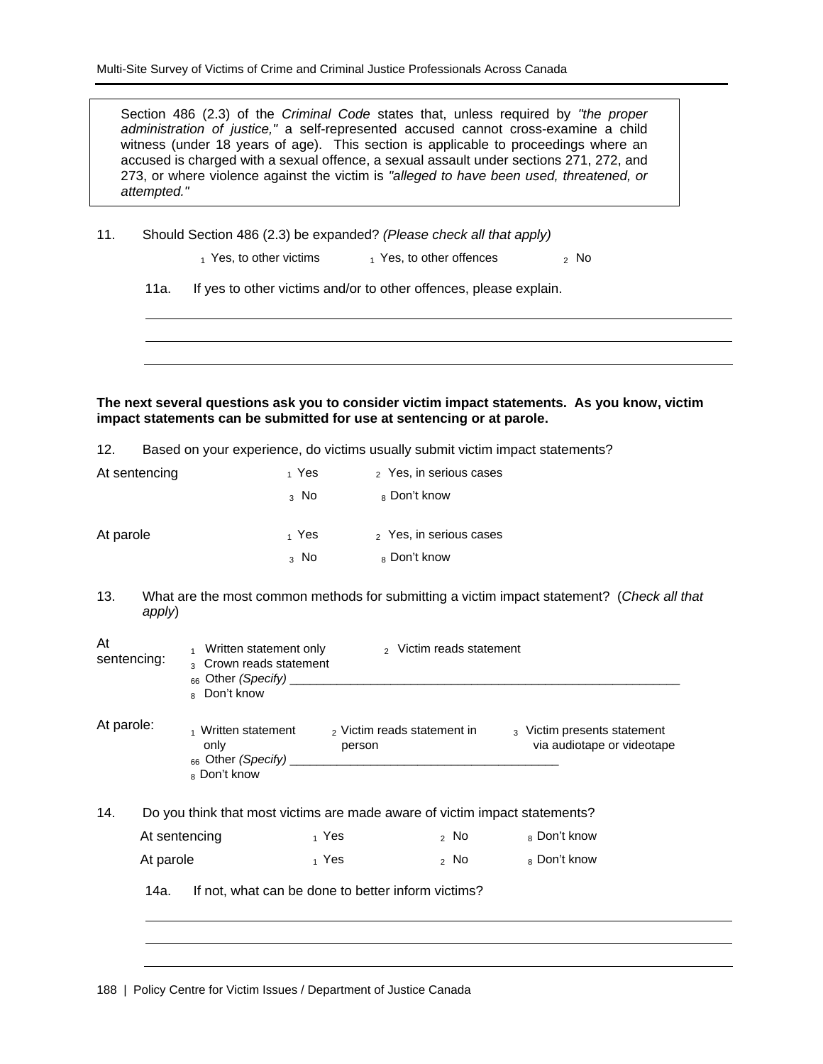Section 486 (2.3) of the *Criminal Code* states that, unless required by *"the proper administration of justice,"* a self-represented accused cannot cross-examine a child witness (under 18 years of age). This section is applicable to proceedings where an accused is charged with a sexual offence, a sexual assault under sections 271, 272, and 273, or where violence against the victim is *"alleged to have been used, threatened, or attempted."*

11. Should Section 486 (2.3) be expanded? *(Please check all that apply)* 

 $_1$  Yes, to other victims  $_1$  Yes, to other offences  $_2$  No

11a. If yes to other victims and/or to other offences, please explain.

#### **The next several questions ask you to consider victim impact statements. As you know, victim impact statements can be submitted for use at sentencing or at parole.**

12. Based on your experience, do victims usually submit victim impact statements?

| At sentencing | <sub>1</sub> Yes | $\sigma$ Yes, in serious cases |
|---------------|------------------|--------------------------------|
|               | $_3$ No          | 8 Don't know                   |
| At parole     | 1 Yes            | 2 Yes, in serious cases        |
|               | $3$ No           | 8 Don't know                   |

13. What are the most common methods for submitting a victim impact statement? (*Check all that apply*)

| At<br>sentencing: | Written statement only<br>3 Crown reads statement<br>$_{66}$ Other (Specify)<br>8 Don't know | <sub>2</sub> Victim reads statement                                        |                                                           |
|-------------------|----------------------------------------------------------------------------------------------|----------------------------------------------------------------------------|-----------------------------------------------------------|
| At parole:        | Written statement<br>only<br>$_{66}$ Other (Specify)<br><sub>8</sub> Don't know              | <sub>2</sub> Victim reads statement in<br>person                           | 3 Victim presents statement<br>via audiotape or videotape |
| 14.               |                                                                                              | Do you think that most victims are made aware of victim impact statements? |                                                           |

| At sentencing | 1 Yes | <sup>2</sup> No | 8 Don't know |
|---------------|-------|-----------------|--------------|
| At parole     | 1 Yes | $2$ No          | 8 Don't know |

14a. If not, what can be done to better inform victims?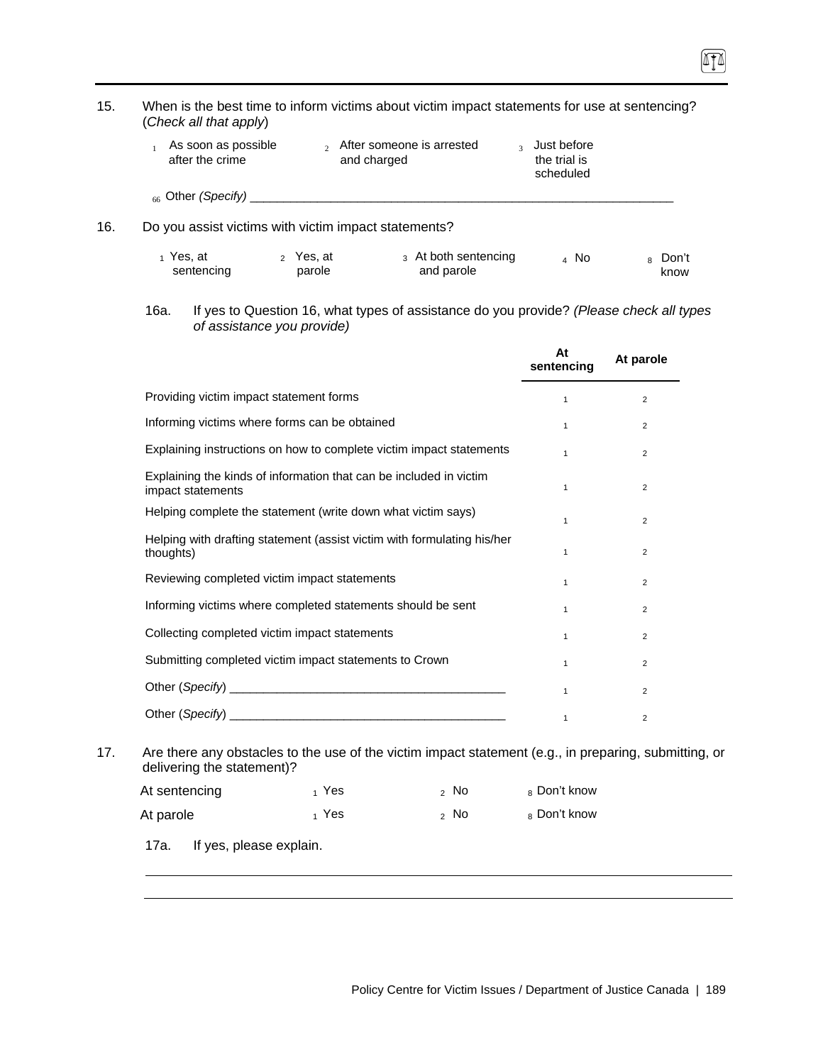| 15. |               | (Check all that apply)                 |                                                        | When is the best time to inform victims about victim impact statements for use at sentencing?         |                                                       |                            |
|-----|---------------|----------------------------------------|--------------------------------------------------------|-------------------------------------------------------------------------------------------------------|-------------------------------------------------------|----------------------------|
|     | $\mathbf{1}$  | As soon as possible<br>after the crime |                                                        | $_2$ After someone is arrested<br>and charged                                                         | <sup>3</sup> Just before<br>the trial is<br>scheduled |                            |
|     |               |                                        |                                                        |                                                                                                       |                                                       |                            |
| 16. |               |                                        | Do you assist victims with victim impact statements?   |                                                                                                       |                                                       |                            |
|     | $_1$ Yes, at  | sentencing                             | 2 Yes, at<br>parole                                    | 3 At both sentencing<br>and parole                                                                    | 4 No                                                  | <sub>8</sub> Don't<br>know |
|     | 16a.          |                                        | of assistance you provide)                             | If yes to Question 16, what types of assistance do you provide? (Please check all types               |                                                       |                            |
|     |               |                                        |                                                        |                                                                                                       | At<br>sentencing                                      | At parole                  |
|     |               |                                        | Providing victim impact statement forms                |                                                                                                       | $\mathbf{1}$                                          | $\overline{2}$             |
|     |               |                                        | Informing victims where forms can be obtained          |                                                                                                       | $\mathbf{1}$                                          | $\overline{2}$             |
|     |               |                                        |                                                        | Explaining instructions on how to complete victim impact statements                                   | $\mathbf{1}$                                          | $\overline{2}$             |
|     |               | impact statements                      |                                                        | Explaining the kinds of information that can be included in victim                                    | $\mathbf{1}$                                          | $\overline{2}$             |
|     |               |                                        |                                                        | Helping complete the statement (write down what victim says)                                          | $\mathbf{1}$                                          | $\overline{c}$             |
|     | thoughts)     |                                        |                                                        | Helping with drafting statement (assist victim with formulating his/her                               | $\mathbf{1}$                                          | $\overline{2}$             |
|     |               |                                        | Reviewing completed victim impact statements           |                                                                                                       | $\mathbf{1}$                                          | $\overline{2}$             |
|     |               |                                        |                                                        | Informing victims where completed statements should be sent                                           | $\mathbf{1}$                                          | $\overline{2}$             |
|     |               |                                        | Collecting completed victim impact statements          |                                                                                                       | $\mathbf{1}$                                          | $\overline{2}$             |
|     |               |                                        | Submitting completed victim impact statements to Crown |                                                                                                       | $\mathbf{1}$                                          | $\overline{2}$             |
|     |               |                                        |                                                        |                                                                                                       | $\mathbf{1}$                                          | 2                          |
|     |               |                                        |                                                        |                                                                                                       | $\mathbf{1}$                                          | $\overline{c}$             |
| 17. |               | delivering the statement)?             |                                                        | Are there any obstacles to the use of the victim impact statement (e.g., in preparing, submitting, or |                                                       |                            |
|     | At sentencing |                                        | $_1$ Yes                                               | $2$ No                                                                                                | 8 Don't know                                          |                            |
|     | At parole     |                                        | $_1$ Yes                                               | $2$ No $2$                                                                                            | 8 Don't know                                          |                            |
|     | 17a.          | If yes, please explain.                |                                                        |                                                                                                       |                                                       |                            |

 $\sqrt{10}$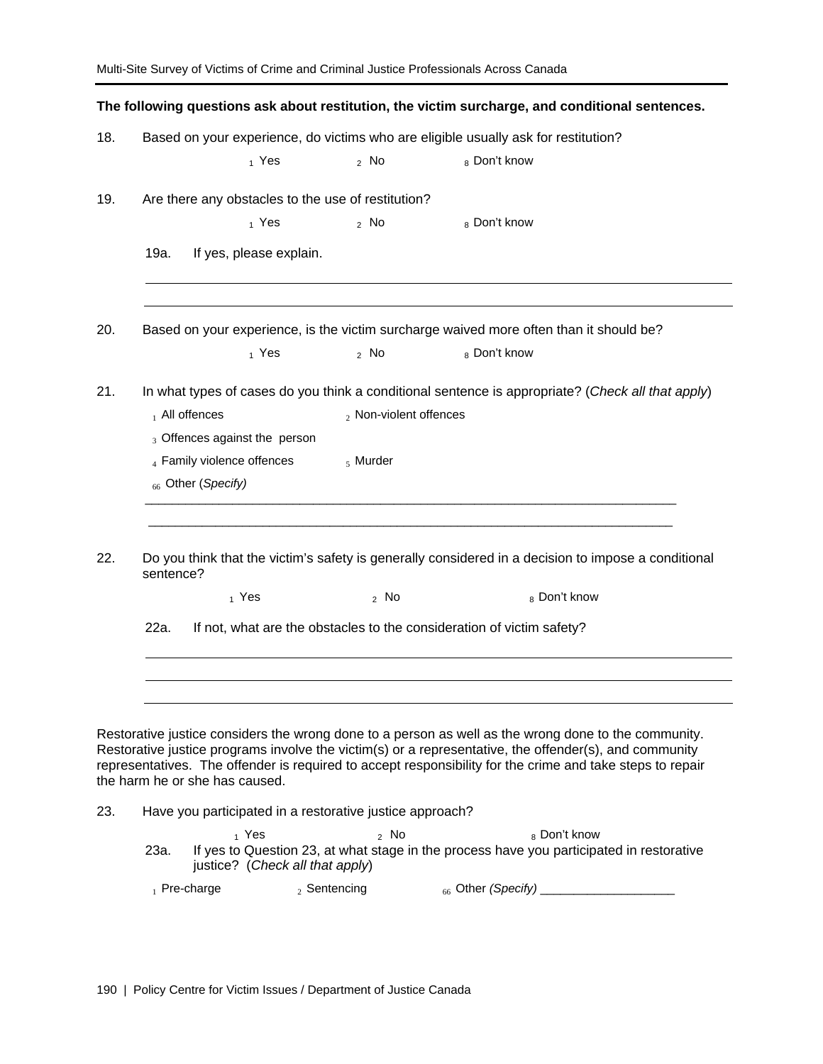|     |           |                                                                |                        | Multi-Site Survey of Victims of Crime and Criminal Justice Professionals Across Canada                                                                                                                                                                                                                                      |
|-----|-----------|----------------------------------------------------------------|------------------------|-----------------------------------------------------------------------------------------------------------------------------------------------------------------------------------------------------------------------------------------------------------------------------------------------------------------------------|
|     |           |                                                                |                        | The following questions ask about restitution, the victim surcharge, and conditional sentences.                                                                                                                                                                                                                             |
| 18. |           |                                                                |                        | Based on your experience, do victims who are eligible usually ask for restitution?                                                                                                                                                                                                                                          |
|     |           | 1 Yes                                                          | $2$ No                 | 8 Don't know                                                                                                                                                                                                                                                                                                                |
| 19. |           | Are there any obstacles to the use of restitution?             |                        |                                                                                                                                                                                                                                                                                                                             |
|     |           | $_1$ Yes                                                       | $\frac{1}{2}$ No       | 8 Don't know                                                                                                                                                                                                                                                                                                                |
|     | 19a.      | If yes, please explain.                                        |                        |                                                                                                                                                                                                                                                                                                                             |
| 20. |           |                                                                |                        | Based on your experience, is the victim surcharge waived more often than it should be?                                                                                                                                                                                                                                      |
|     |           | $_1$ Yes                                                       | $2$ No                 | 8 Don't know                                                                                                                                                                                                                                                                                                                |
| 21. |           |                                                                |                        | In what types of cases do you think a conditional sentence is appropriate? (Check all that apply)                                                                                                                                                                                                                           |
|     |           | $_1$ All offences                                              | 2 Non-violent offences |                                                                                                                                                                                                                                                                                                                             |
|     |           | 3 Offences against the person                                  |                        |                                                                                                                                                                                                                                                                                                                             |
|     |           | $_4$ Family violence offences<br><sub>66</sub> Other (Specify) | $5$ Murder             |                                                                                                                                                                                                                                                                                                                             |
| 22. | sentence? |                                                                |                        | Do you think that the victim's safety is generally considered in a decision to impose a conditional                                                                                                                                                                                                                         |
|     |           | 1 Yes                                                          | $2$ No                 | 8 Don't know                                                                                                                                                                                                                                                                                                                |
|     | 22a.      |                                                                |                        | If not, what are the obstacles to the consideration of victim safety?                                                                                                                                                                                                                                                       |
|     |           |                                                                |                        | Restorative justice considers the wrong done to a person as well as the wrong done to the community.<br>Restorative justice programs involve the victim(s) or a representative, the offender(s), and community<br>representatives. The offender is required to accept responsibility for the crime and take steps to repair |
|     |           | the harm he or she has caused.                                 |                        |                                                                                                                                                                                                                                                                                                                             |
| 23. |           | Have you participated in a restorative justice approach?       |                        |                                                                                                                                                                                                                                                                                                                             |
|     | 23a.      | $_1$ Yes<br>justice? (Check all that apply)                    | 2 NQ                   | 8 Don't know<br>If yes to Question 23, at what stage in the process have you participated in restorative                                                                                                                                                                                                                    |

1 Pre-charge 2 Sentencing 66 Other *(Specify)* \_\_\_\_\_\_\_\_\_\_\_\_\_\_\_\_\_\_\_\_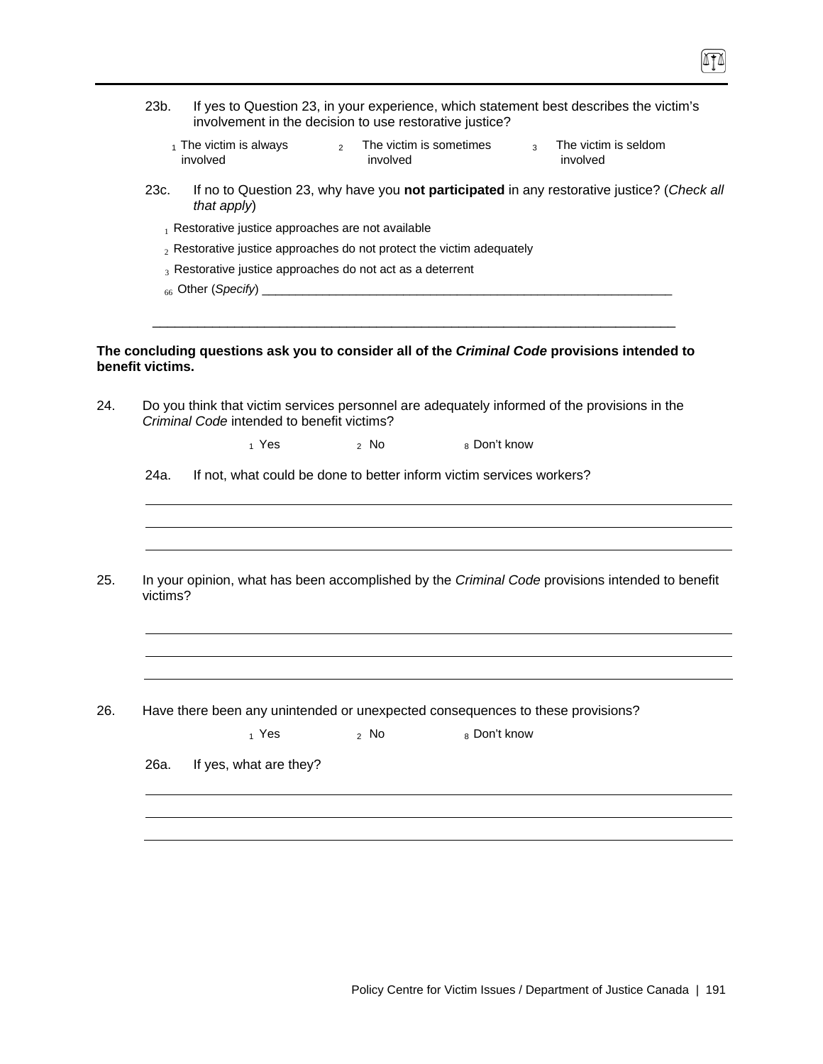|     | 23b.             | involvement in the decision to use restorative justice?                                                                                    |                |                  |                         |                         |                | If yes to Question 23, in your experience, which statement best describes the victim's     |  |
|-----|------------------|--------------------------------------------------------------------------------------------------------------------------------------------|----------------|------------------|-------------------------|-------------------------|----------------|--------------------------------------------------------------------------------------------|--|
|     |                  | $_1$ The victim is always<br>involved                                                                                                      | $\overline{2}$ | involved         | The victim is sometimes |                         | $\overline{3}$ | The victim is seldom<br>involved                                                           |  |
|     | 23c.             | that apply)                                                                                                                                |                |                  |                         |                         |                | If no to Question 23, why have you not participated in any restorative justice? (Check all |  |
|     |                  | $_1$ Restorative justice approaches are not available                                                                                      |                |                  |                         |                         |                |                                                                                            |  |
|     |                  | $_2$ Restorative justice approaches do not protect the victim adequately                                                                   |                |                  |                         |                         |                |                                                                                            |  |
|     |                  | $_3$ Restorative justice approaches do not act as a deterrent                                                                              |                |                  |                         |                         |                |                                                                                            |  |
|     |                  |                                                                                                                                            |                |                  |                         |                         |                |                                                                                            |  |
|     |                  |                                                                                                                                            |                |                  |                         |                         |                |                                                                                            |  |
|     |                  |                                                                                                                                            |                |                  |                         |                         |                |                                                                                            |  |
|     | benefit victims. | The concluding questions ask you to consider all of the Criminal Code provisions intended to                                               |                |                  |                         |                         |                |                                                                                            |  |
| 24. |                  | Do you think that victim services personnel are adequately informed of the provisions in the<br>Criminal Code intended to benefit victims? |                |                  |                         |                         |                |                                                                                            |  |
|     |                  | $_1$ Yes                                                                                                                                   |                | $\frac{1}{2}$ No |                         | <sub>8</sub> Don't know |                |                                                                                            |  |
|     |                  |                                                                                                                                            |                |                  |                         |                         |                |                                                                                            |  |
|     | 24a.             | If not, what could be done to better inform victim services workers?                                                                       |                |                  |                         |                         |                |                                                                                            |  |
|     |                  |                                                                                                                                            |                |                  |                         |                         |                |                                                                                            |  |
|     |                  |                                                                                                                                            |                |                  |                         |                         |                |                                                                                            |  |
|     |                  |                                                                                                                                            |                |                  |                         |                         |                |                                                                                            |  |
| 25. | victims?         | In your opinion, what has been accomplished by the Criminal Code provisions intended to benefit                                            |                |                  |                         |                         |                |                                                                                            |  |
|     |                  |                                                                                                                                            |                |                  |                         |                         |                |                                                                                            |  |
|     |                  |                                                                                                                                            |                |                  |                         |                         |                |                                                                                            |  |
|     |                  |                                                                                                                                            |                |                  |                         |                         |                |                                                                                            |  |
| 26. |                  | Have there been any unintended or unexpected consequences to these provisions?                                                             |                |                  |                         |                         |                |                                                                                            |  |
|     |                  | $_1$ Yes                                                                                                                                   |                | $2$ No           |                         | 8 Don't know            |                |                                                                                            |  |
|     |                  |                                                                                                                                            |                |                  |                         |                         |                |                                                                                            |  |
|     | 26a.             | If yes, what are they?                                                                                                                     |                |                  |                         |                         |                |                                                                                            |  |
|     |                  |                                                                                                                                            |                |                  |                         |                         |                |                                                                                            |  |
|     |                  |                                                                                                                                            |                |                  |                         |                         |                |                                                                                            |  |
|     |                  |                                                                                                                                            |                |                  |                         |                         |                |                                                                                            |  |

 $\boxed{1}$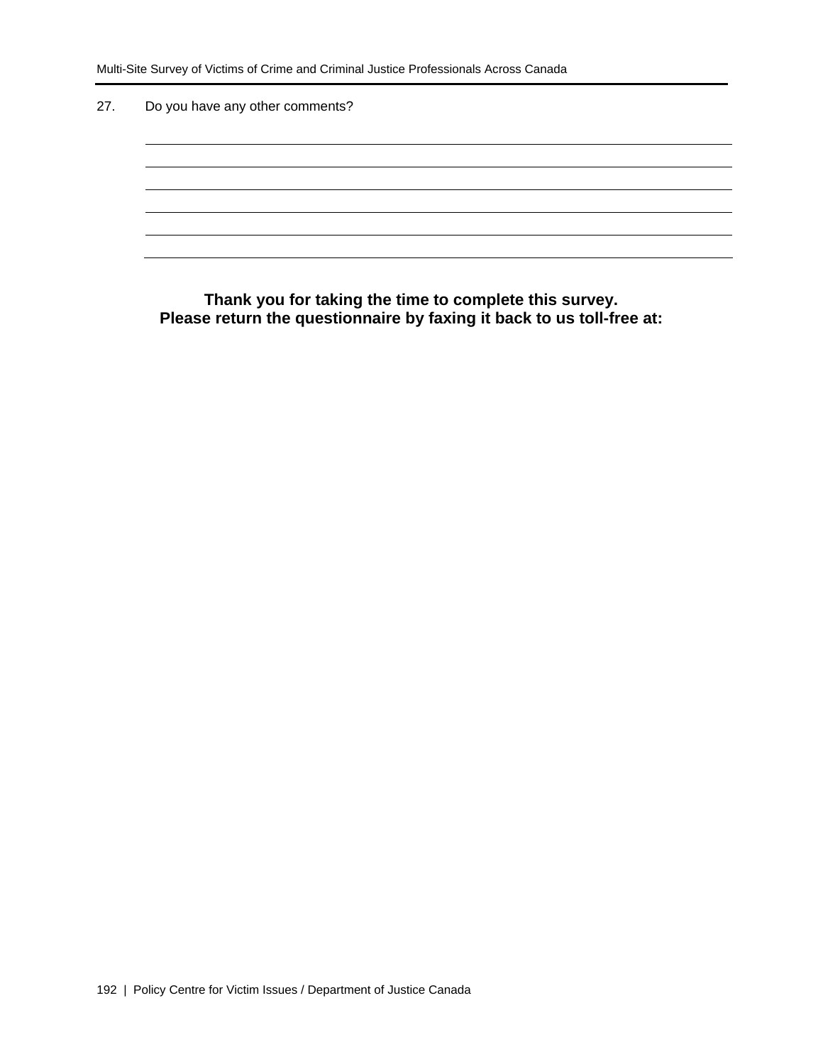27. Do you have any other comments?

**Thank you for taking the time to complete this survey. Please return the questionnaire by faxing it back to us toll-free at:**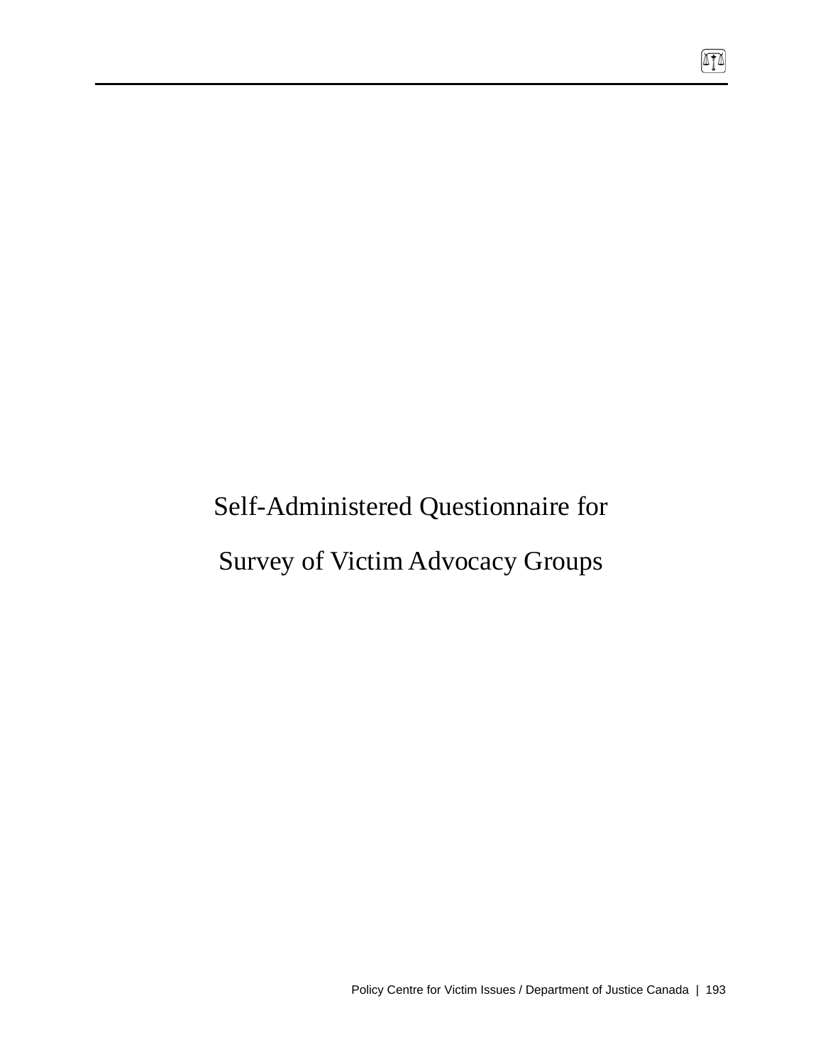# Self-Administered Questionnaire for

# Survey of Victim Advocacy Groups

 $\boxed{\mathbb{T}}$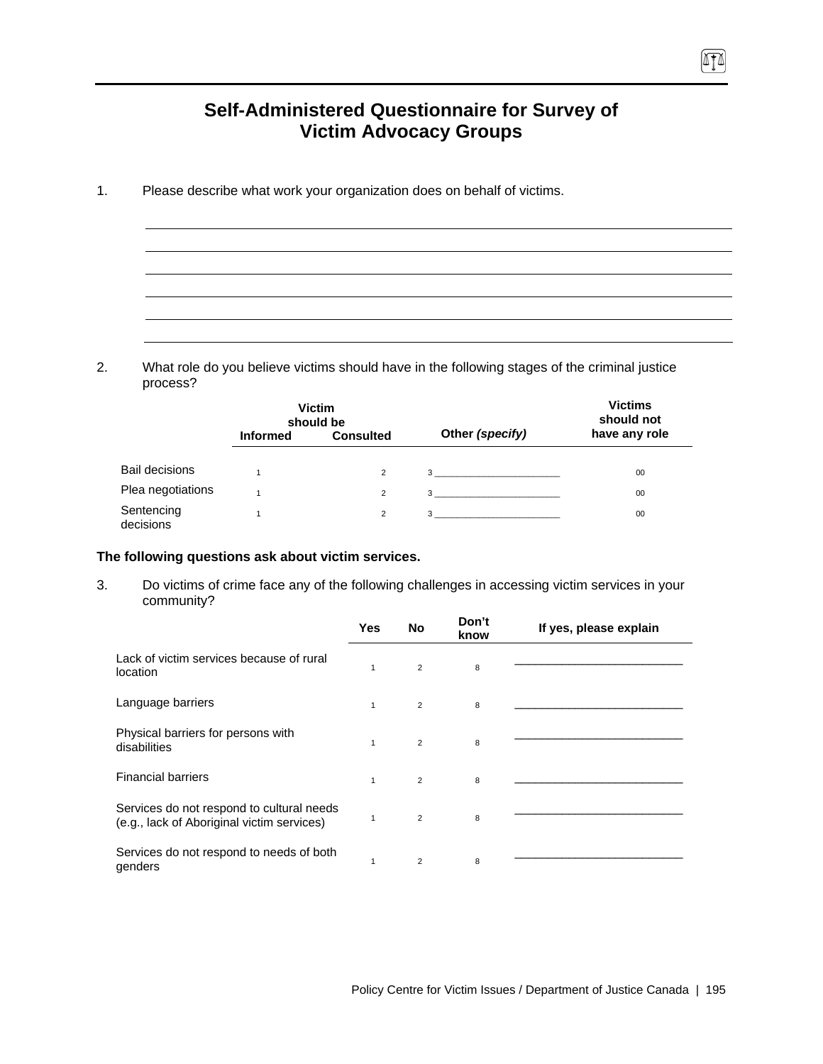# **Self-Administered Questionnaire for Survey of Victim Advocacy Groups**

1. Please describe what work your organization does on behalf of victims.

2. What role do you believe victims should have in the following stages of the criminal justice process?

|                         |                 | <b>Victim</b><br>should be |                  | <b>Victims</b><br>should not |
|-------------------------|-----------------|----------------------------|------------------|------------------------------|
|                         | <b>Informed</b> | <b>Consulted</b>           | Other (specify)  | have any role                |
| <b>Bail decisions</b>   |                 | $\overline{2}$             | 3                | 00                           |
| Plea negotiations       |                 | $\overline{2}$             | $3 \overline{3}$ | 00                           |
| Sentencing<br>decisions |                 | $\overline{2}$             | 3                | 00                           |

#### **The following questions ask about victim services.**

3. Do victims of crime face any of the following challenges in accessing victim services in your community?

|                                                                                         | <b>Yes</b>   | No             | Don't<br>know | If yes, please explain |
|-----------------------------------------------------------------------------------------|--------------|----------------|---------------|------------------------|
| Lack of victim services because of rural<br>location                                    | 1            | 2              | 8             |                        |
| Language barriers                                                                       | $\mathbf{1}$ | 2              | 8             |                        |
| Physical barriers for persons with<br>disabilities                                      | $\mathbf{1}$ | 2              | 8             |                        |
| <b>Financial barriers</b>                                                               | $\mathbf{1}$ | 2              | 8             |                        |
| Services do not respond to cultural needs<br>(e.g., lack of Aboriginal victim services) | 1            | $\overline{2}$ | 8             |                        |
| Services do not respond to needs of both<br>genders                                     | $\mathbf{1}$ | $\overline{2}$ | 8             |                        |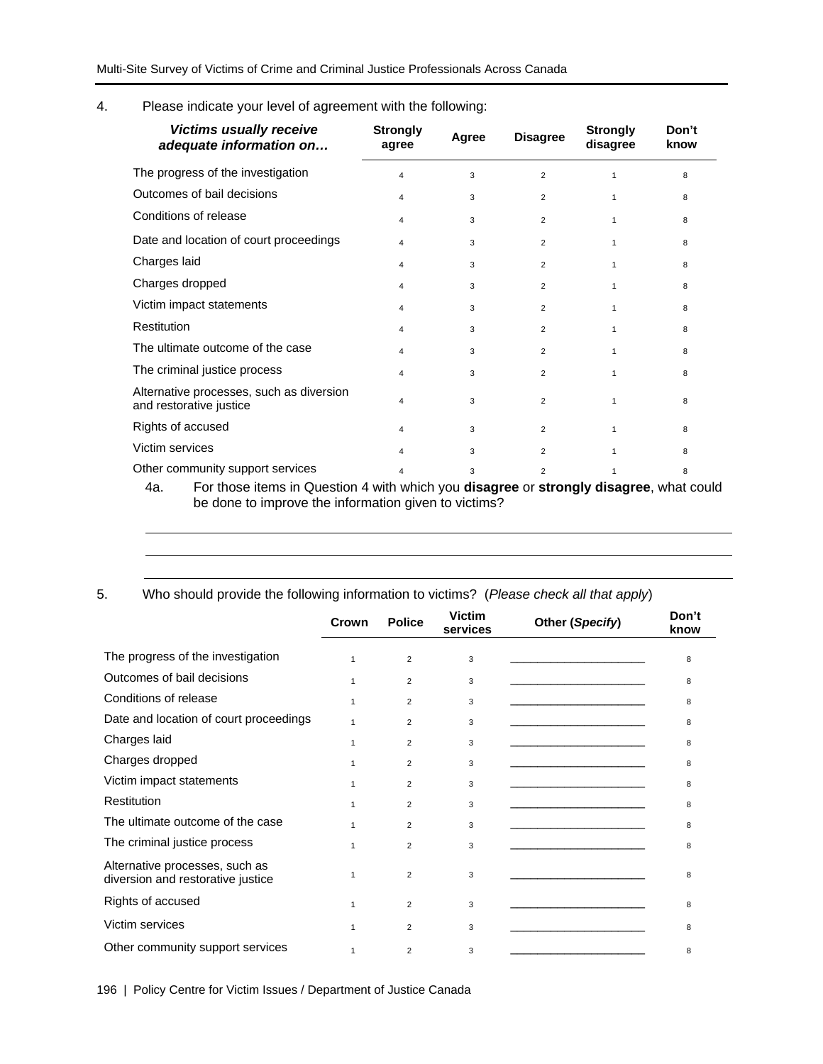4. Please indicate your level of agreement with the following:

| <b>Victims usually receive</b><br>adequate information on           | <b>Strongly</b><br>agree | Agree | <b>Disagree</b> | <b>Strongly</b><br>disagree | Don't<br>know |
|---------------------------------------------------------------------|--------------------------|-------|-----------------|-----------------------------|---------------|
| The progress of the investigation                                   | 4                        | 3     | $\overline{2}$  | $\mathbf{1}$                | 8             |
| Outcomes of bail decisions                                          | 4                        | 3     | $\overline{2}$  | $\mathbf{1}$                | 8             |
| Conditions of release                                               | 4                        | 3     | $\overline{2}$  | $\mathbf{1}$                | 8             |
| Date and location of court proceedings                              | 4                        | 3     | $\overline{2}$  | $\mathbf{1}$                | 8             |
| Charges laid                                                        | 4                        | 3     | $\overline{2}$  | $\mathbf{1}$                | 8             |
| Charges dropped                                                     | 4                        | 3     | $\overline{2}$  | $\mathbf{1}$                | 8             |
| Victim impact statements                                            | 4                        | 3     | $\overline{2}$  | $\mathbf{1}$                | 8             |
| Restitution                                                         | 4                        | 3     | $\overline{2}$  | $\mathbf{1}$                | 8             |
| The ultimate outcome of the case                                    | 4                        | 3     | $\overline{2}$  | $\mathbf{1}$                | 8             |
| The criminal justice process                                        | 4                        | 3     | $\overline{2}$  | $\mathbf{1}$                | 8             |
| Alternative processes, such as diversion<br>and restorative justice | 4                        | 3     | $\overline{2}$  | $\mathbf{1}$                | 8             |
| Rights of accused                                                   | 4                        | 3     | $\overline{2}$  | $\mathbf{1}$                | 8             |
| Victim services                                                     | 4                        | 3     | $\overline{2}$  | $\mathbf{1}$                | 8             |
| Other community support services                                    | 4                        | 3     | $\overline{2}$  | 1                           | 8             |

4a. For those items in Question 4 with which you **disagree** or **strongly disagree**, what could be done to improve the information given to victims?

5. Who should provide the following information to victims? (*Please check all that apply*)

|                                                                     | Crown        | <b>Police</b>  | <b>Victim</b><br>services | Other (Specify)                                                                                                       | Don't<br>know |
|---------------------------------------------------------------------|--------------|----------------|---------------------------|-----------------------------------------------------------------------------------------------------------------------|---------------|
| The progress of the investigation                                   | 1            | $\overline{2}$ | 3                         |                                                                                                                       | 8             |
| Outcomes of bail decisions                                          | $\mathbf{1}$ | $\overline{2}$ | 3                         | the control of the control of the control of the                                                                      | 8             |
| Conditions of release                                               | $\mathbf 1$  | $\overline{2}$ | 3                         | the control of the control of the control of the control of the control of                                            | 8             |
| Date and location of court proceedings                              | $\mathbf 1$  | $\overline{2}$ | 3                         | the control of the control of the control of                                                                          | 8             |
| Charges laid                                                        | 1            | $\overline{2}$ | 3                         | the control of the control of the control of the                                                                      | 8             |
| Charges dropped                                                     | $\mathbf{1}$ | $\overline{2}$ | 3                         |                                                                                                                       | 8             |
| Victim impact statements                                            | $\mathbf{1}$ | $\overline{2}$ | 3                         |                                                                                                                       | 8             |
| Restitution                                                         | $\mathbf 1$  | $\overline{2}$ | 3                         | the control of the control of the control of the control of                                                           | 8             |
| The ultimate outcome of the case                                    | $\mathbf{1}$ | $\overline{2}$ | 3                         | <u> 1989 - Johann John Stone, markin film yn y breninn y breninn y breninn y breninn y breninn y breninn y brenin</u> | 8             |
| The criminal justice process                                        | $\mathbf{1}$ | $\overline{2}$ | 3                         |                                                                                                                       | 8             |
| Alternative processes, such as<br>diversion and restorative justice | 1            | $\overline{2}$ | 3                         |                                                                                                                       | 8             |
| Rights of accused                                                   | $\mathbf{1}$ | $\overline{2}$ | 3                         |                                                                                                                       | 8             |
| Victim services                                                     | $\mathbf{1}$ | $\overline{2}$ | 3                         |                                                                                                                       | 8             |
| Other community support services                                    | $\mathbf{1}$ | $\overline{2}$ | 3                         |                                                                                                                       | 8             |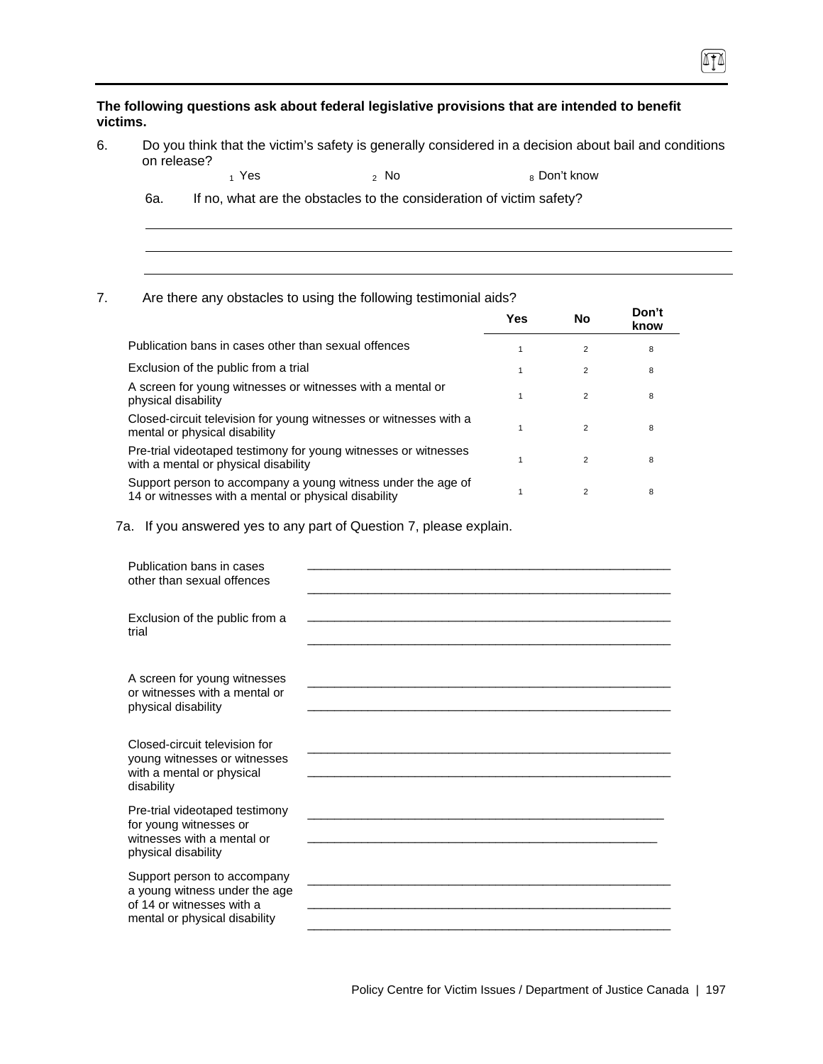**The following questions ask about federal legislative provisions that are intended to benefit victims.** 

6. Do you think that the victim's safety is generally considered in a decision about bail and conditions on release?

 $\sqrt{10}$ 

 $_1$  Yes  $_2$  No  $_3$  Don't know

6a. If no, what are the obstacles to the consideration of victim safety?

### 7. Are there any obstacles to using the following testimonial aids?

|                                                                                                                      | Yes | No             | Don't<br>know |
|----------------------------------------------------------------------------------------------------------------------|-----|----------------|---------------|
| Publication bans in cases other than sexual offences                                                                 |     | 2              | 8             |
| Exclusion of the public from a trial                                                                                 |     | 2              | 8             |
| A screen for young witnesses or witnesses with a mental or<br>physical disability                                    |     | $\overline{2}$ | 8             |
| Closed-circuit television for young witnesses or witnesses with a<br>mental or physical disability                   |     | $\mathfrak{p}$ | 8             |
| Pre-trial videotaped testimony for young witnesses or witnesses<br>with a mental or physical disability              |     | 2              | 8             |
| Support person to accompany a young witness under the age of<br>14 or witnesses with a mental or physical disability |     | $\overline{2}$ | 8             |

7a. If you answered yes to any part of Question 7, please explain.

| Publication bans in cases<br>other than sexual offences                                                                    |  |
|----------------------------------------------------------------------------------------------------------------------------|--|
| Exclusion of the public from a<br>trial                                                                                    |  |
| A screen for young witnesses<br>or witnesses with a mental or<br>physical disability                                       |  |
| Closed-circuit television for<br>young witnesses or witnesses<br>with a mental or physical<br>disability                   |  |
| Pre-trial videotaped testimony<br>for young witnesses or<br>witnesses with a mental or<br>physical disability              |  |
| Support person to accompany<br>a young witness under the age<br>of 14 or witnesses with a<br>mental or physical disability |  |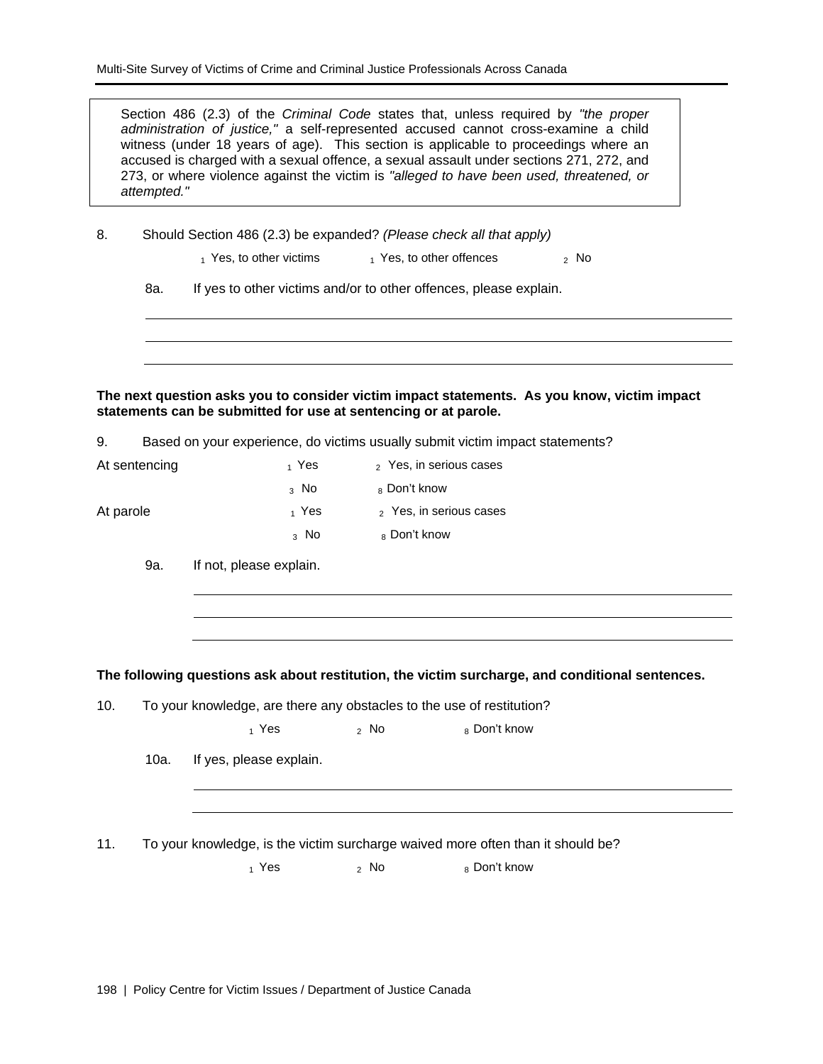Section 486 (2.3) of the *Criminal Code* states that, unless required by *"the proper administration of justice,"* a self-represented accused cannot cross-examine a child witness (under 18 years of age). This section is applicable to proceedings where an accused is charged with a sexual offence, a sexual assault under sections 271, 272, and 273, or where violence against the victim is *"alleged to have been used, threatened, or attempted."*

8. Should Section 486 (2.3) be expanded? *(Please check all that apply)*

 $_1$  Yes, to other victims  $_1$  Yes, to other offences  $_2$  No

8a. If yes to other victims and/or to other offences, please explain.

**The next question asks you to consider victim impact statements. As you know, victim impact statements can be submitted for use at sentencing or at parole.** 

9. Based on your experience, do victims usually submit victim impact statements?

| At sentencing | 1 Yes   | 2 Yes, in serious cases |
|---------------|---------|-------------------------|
|               | 3 No    | <sub>8</sub> Don't know |
| At parole     | 1 Yes   | 2 Yes, in serious cases |
|               | $_3$ No | 8 Don't know            |

9a. If not, please explain.

**The following questions ask about restitution, the victim surcharge, and conditional sentences.** 

10. To your knowledge, are there any obstacles to the use of restitution?

 $_1$  Yes  $_2$  No  $_8$  Don't know

10a. If yes, please explain.

11. To your knowledge, is the victim surcharge waived more often than it should be?

 $1$  Yes  $2$  No  $8$  Don't know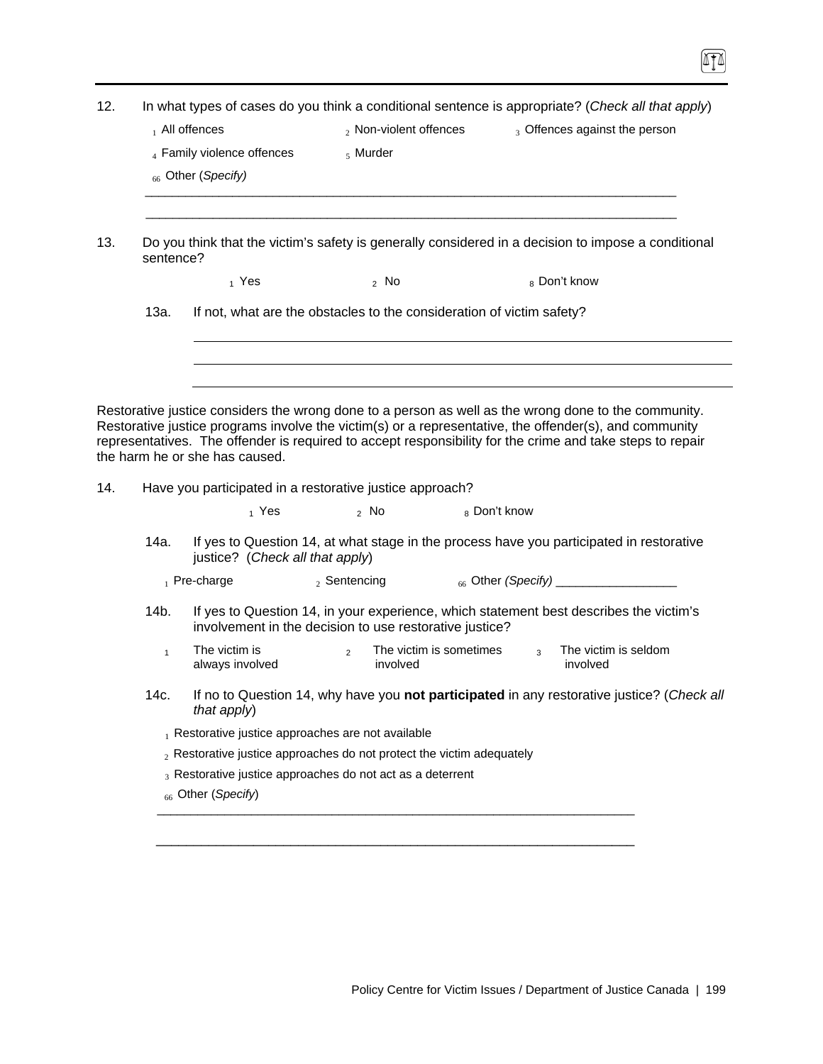| 12. |           | In what types of cases do you think a conditional sentence is appropriate? (Check all that apply)                                                                                                                                                                                                                                                             |                                                                                                                                                   |              |                                     |  |
|-----|-----------|---------------------------------------------------------------------------------------------------------------------------------------------------------------------------------------------------------------------------------------------------------------------------------------------------------------------------------------------------------------|---------------------------------------------------------------------------------------------------------------------------------------------------|--------------|-------------------------------------|--|
|     |           | $_1$ All offences                                                                                                                                                                                                                                                                                                                                             | 2 Non-violent offences                                                                                                                            |              | 3 Offences against the person       |  |
|     |           | 4 Family violence offences                                                                                                                                                                                                                                                                                                                                    | $5$ Murder                                                                                                                                        |              |                                     |  |
|     |           | <sup>66</sup> Other (Specify)                                                                                                                                                                                                                                                                                                                                 |                                                                                                                                                   |              |                                     |  |
| 13. | sentence? | Do you think that the victim's safety is generally considered in a decision to impose a conditional                                                                                                                                                                                                                                                           |                                                                                                                                                   |              |                                     |  |
|     |           | $_1$ Yes                                                                                                                                                                                                                                                                                                                                                      | $2$ No                                                                                                                                            |              | 8 Don't know                        |  |
|     | 13a.      |                                                                                                                                                                                                                                                                                                                                                               | If not, what are the obstacles to the consideration of victim safety?                                                                             |              |                                     |  |
|     |           |                                                                                                                                                                                                                                                                                                                                                               |                                                                                                                                                   |              |                                     |  |
|     |           |                                                                                                                                                                                                                                                                                                                                                               |                                                                                                                                                   |              |                                     |  |
|     |           |                                                                                                                                                                                                                                                                                                                                                               |                                                                                                                                                   |              |                                     |  |
|     |           | Restorative justice considers the wrong done to a person as well as the wrong done to the community.<br>Restorative justice programs involve the victim(s) or a representative, the offender(s), and community<br>representatives. The offender is required to accept responsibility for the crime and take steps to repair<br>the harm he or she has caused. |                                                                                                                                                   |              |                                     |  |
|     |           | Have you participated in a restorative justice approach?                                                                                                                                                                                                                                                                                                      |                                                                                                                                                   |              |                                     |  |
|     | 14a.      | 1 Yes<br>justice? (Check all that apply)                                                                                                                                                                                                                                                                                                                      | $2$ No<br>If yes to Question 14, at what stage in the process have you participated in restorative                                                | 8 Don't know |                                     |  |
|     |           | $_1$ Pre-charge                                                                                                                                                                                                                                                                                                                                               | $2$ Sentencing                                                                                                                                    |              | 66 Other (Specify) ________________ |  |
|     | 14b.      |                                                                                                                                                                                                                                                                                                                                                               | If yes to Question 14, in your experience, which statement best describes the victim's<br>involvement in the decision to use restorative justice? |              |                                     |  |
|     | 1         | always involved                                                                                                                                                                                                                                                                                                                                               | The victim is $\frac{1}{2}$ The victim is sometimes $\frac{1}{3}$<br>involved                                                                     |              | The victim is seldom<br>involved    |  |
|     | 14c.      | that apply)                                                                                                                                                                                                                                                                                                                                                   | If no to Question 14, why have you not participated in any restorative justice? (Check all                                                        |              |                                     |  |
|     |           | $_1$ Restorative justice approaches are not available                                                                                                                                                                                                                                                                                                         |                                                                                                                                                   |              |                                     |  |
| 14. |           | $_2$ Restorative justice approaches do not protect the victim adequately                                                                                                                                                                                                                                                                                      |                                                                                                                                                   |              |                                     |  |

\_\_\_\_\_\_\_\_\_\_\_\_\_\_\_\_\_\_\_\_\_\_\_\_\_\_\_\_\_\_\_\_\_\_\_\_\_\_\_\_\_\_\_\_\_\_\_\_\_\_\_\_\_\_\_\_\_\_\_\_\_\_\_\_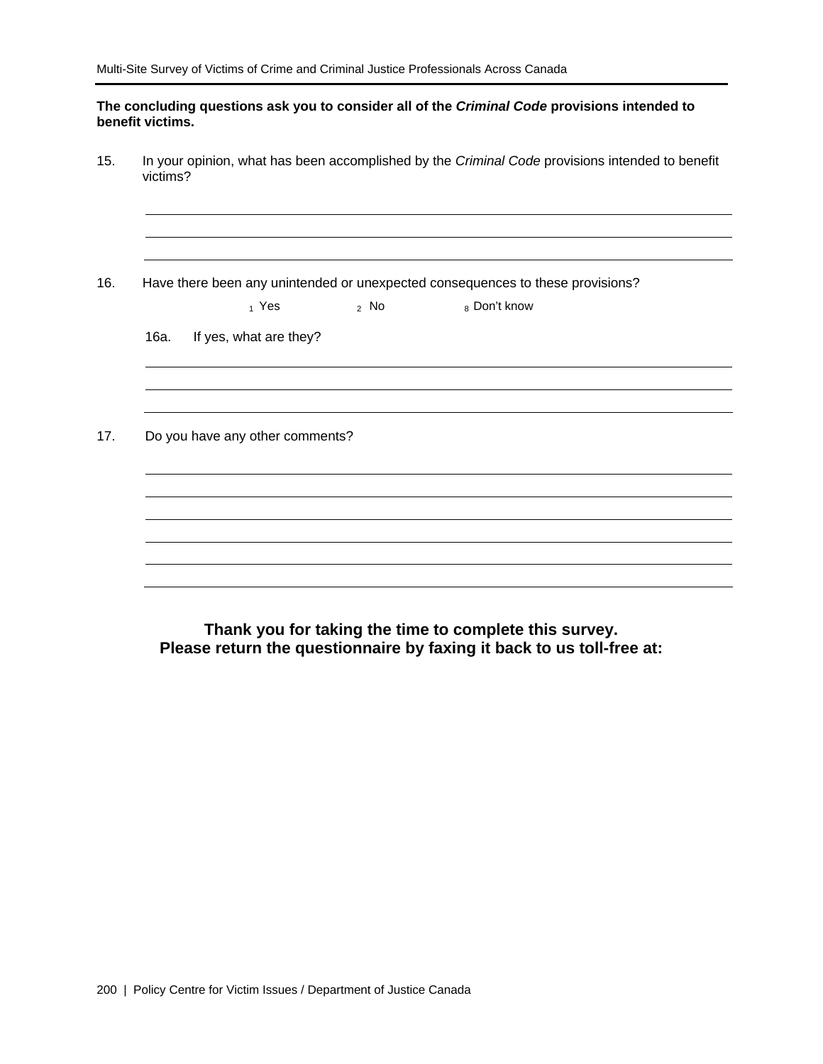#### **The concluding questions ask you to consider all of the** *Criminal Code* **provisions intended to benefit victims.**

15. In your opinion, what has been accomplished by the *Criminal Code* provisions intended to benefit victims?

16. Have there been any unintended or unexpected consequences to these provisions?

 $_1$  Yes  $_2$  No  $_8$  Don't know

16a. If yes, what are they?

17. Do you have any other comments?

**Thank you for taking the time to complete this survey. Please return the questionnaire by faxing it back to us toll-free at:**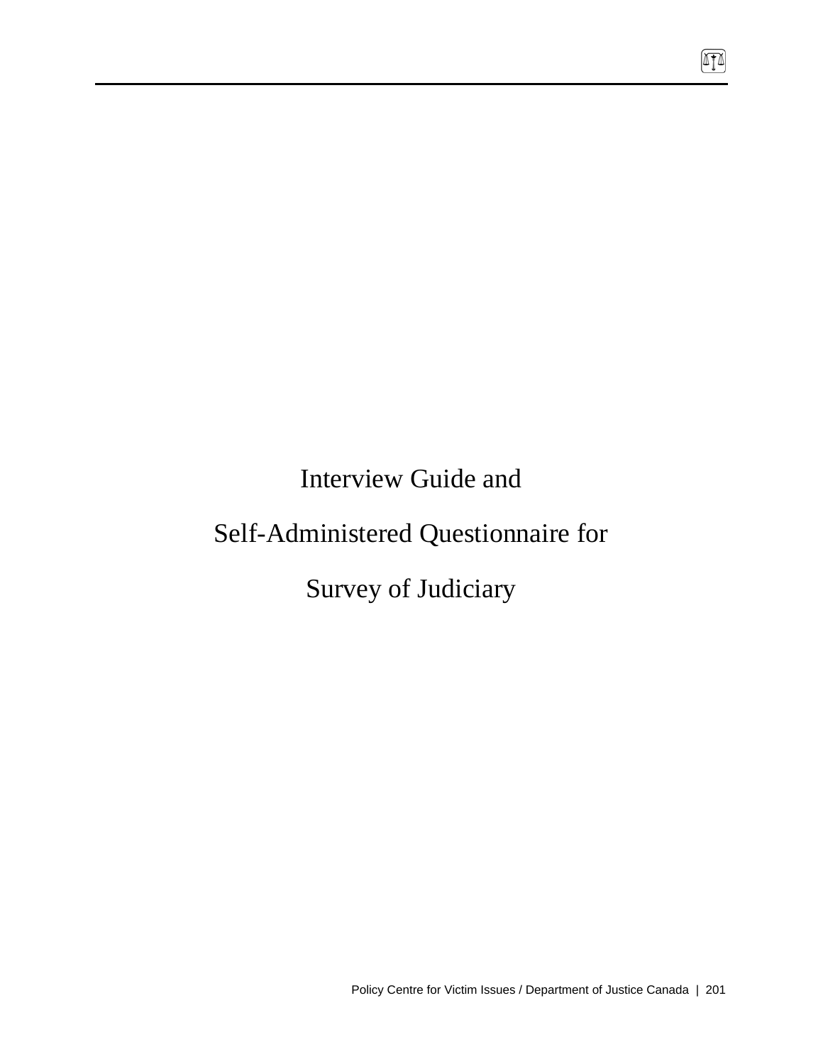Interview Guide and

# Self-Administered Questionnaire for

Survey of Judiciary

 $\sqrt{10}$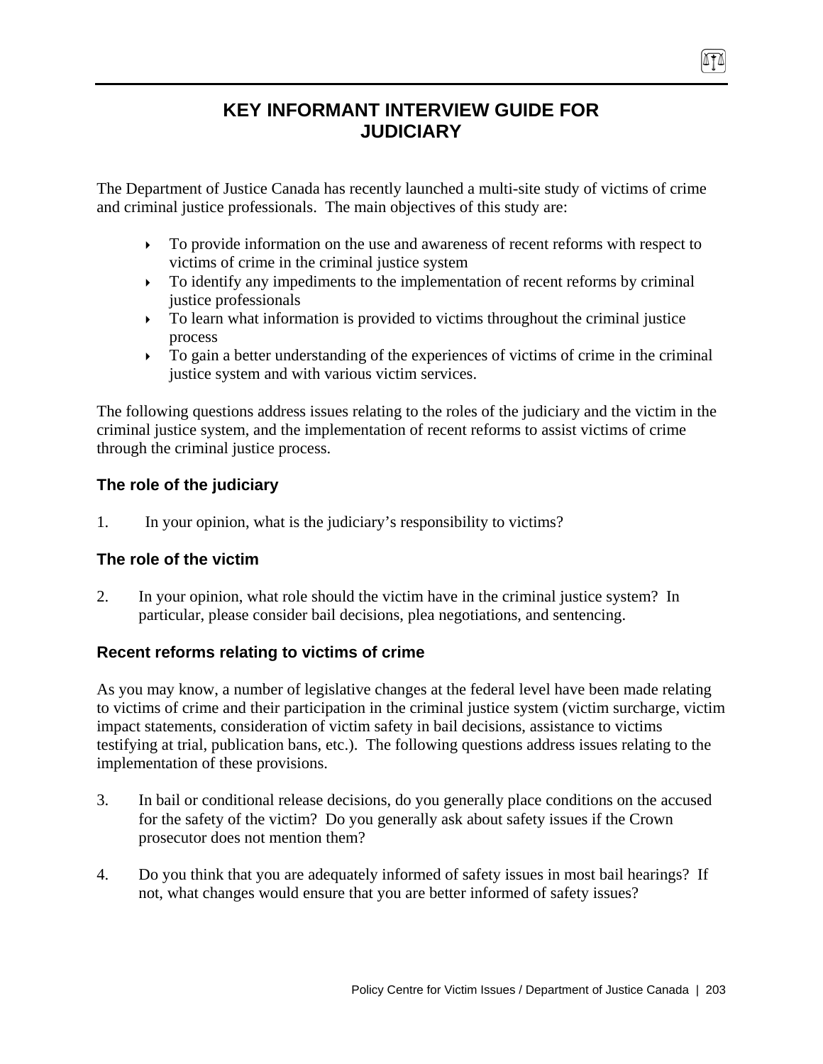# **KEY INFORMANT INTERVIEW GUIDE FOR JUDICIARY**

The Department of Justice Canada has recently launched a multi-site study of victims of crime and criminal justice professionals. The main objectives of this study are:

- $\triangleright$  To provide information on the use and awareness of recent reforms with respect to victims of crime in the criminal justice system
- $\triangleright$  To identify any impediments to the implementation of recent reforms by criminal justice professionals
- $\triangleright$  To learn what information is provided to victims throughout the criminal justice process
- $\triangleright$  To gain a better understanding of the experiences of victims of crime in the criminal justice system and with various victim services.

The following questions address issues relating to the roles of the judiciary and the victim in the criminal justice system, and the implementation of recent reforms to assist victims of crime through the criminal justice process.

# **The role of the judiciary**

1. In your opinion, what is the judiciary's responsibility to victims?

# **The role of the victim**

2. In your opinion, what role should the victim have in the criminal justice system? In particular, please consider bail decisions, plea negotiations, and sentencing.

# **Recent reforms relating to victims of crime**

As you may know, a number of legislative changes at the federal level have been made relating to victims of crime and their participation in the criminal justice system (victim surcharge, victim impact statements, consideration of victim safety in bail decisions, assistance to victims testifying at trial, publication bans, etc.). The following questions address issues relating to the implementation of these provisions.

- 3. In bail or conditional release decisions, do you generally place conditions on the accused for the safety of the victim? Do you generally ask about safety issues if the Crown prosecutor does not mention them?
- 4. Do you think that you are adequately informed of safety issues in most bail hearings? If not, what changes would ensure that you are better informed of safety issues?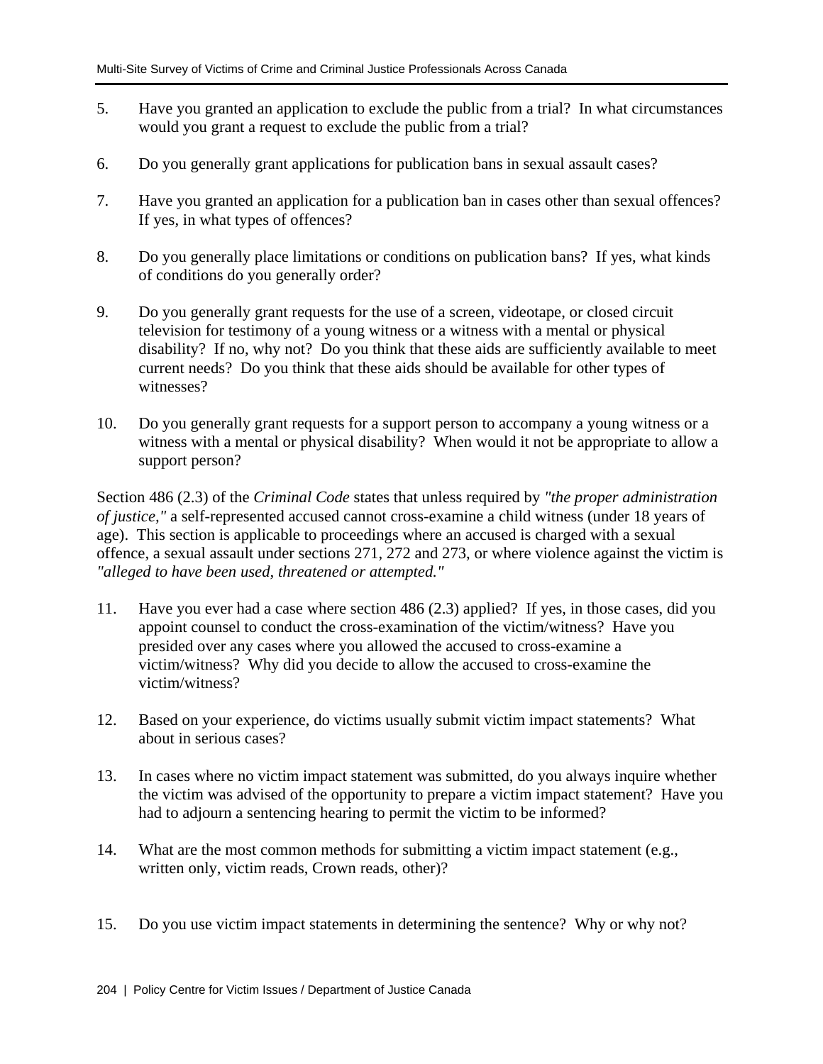- 5. Have you granted an application to exclude the public from a trial? In what circumstances would you grant a request to exclude the public from a trial?
- 6. Do you generally grant applications for publication bans in sexual assault cases?
- 7. Have you granted an application for a publication ban in cases other than sexual offences? If yes, in what types of offences?
- 8. Do you generally place limitations or conditions on publication bans? If yes, what kinds of conditions do you generally order?
- 9. Do you generally grant requests for the use of a screen, videotape, or closed circuit television for testimony of a young witness or a witness with a mental or physical disability? If no, why not? Do you think that these aids are sufficiently available to meet current needs? Do you think that these aids should be available for other types of witnesses?
- 10. Do you generally grant requests for a support person to accompany a young witness or a witness with a mental or physical disability? When would it not be appropriate to allow a support person?

Section 486 (2.3) of the *Criminal Code* states that unless required by *"the proper administration of justice,"* a self-represented accused cannot cross-examine a child witness (under 18 years of age). This section is applicable to proceedings where an accused is charged with a sexual offence, a sexual assault under sections 271, 272 and 273, or where violence against the victim is *"alleged to have been used, threatened or attempted."*

- 11. Have you ever had a case where section 486 (2.3) applied? If yes, in those cases, did you appoint counsel to conduct the cross-examination of the victim/witness? Have you presided over any cases where you allowed the accused to cross-examine a victim/witness? Why did you decide to allow the accused to cross-examine the victim/witness?
- 12. Based on your experience, do victims usually submit victim impact statements? What about in serious cases?
- 13. In cases where no victim impact statement was submitted, do you always inquire whether the victim was advised of the opportunity to prepare a victim impact statement? Have you had to adjourn a sentencing hearing to permit the victim to be informed?
- 14. What are the most common methods for submitting a victim impact statement (e.g., written only, victim reads, Crown reads, other)?
- 15. Do you use victim impact statements in determining the sentence? Why or why not?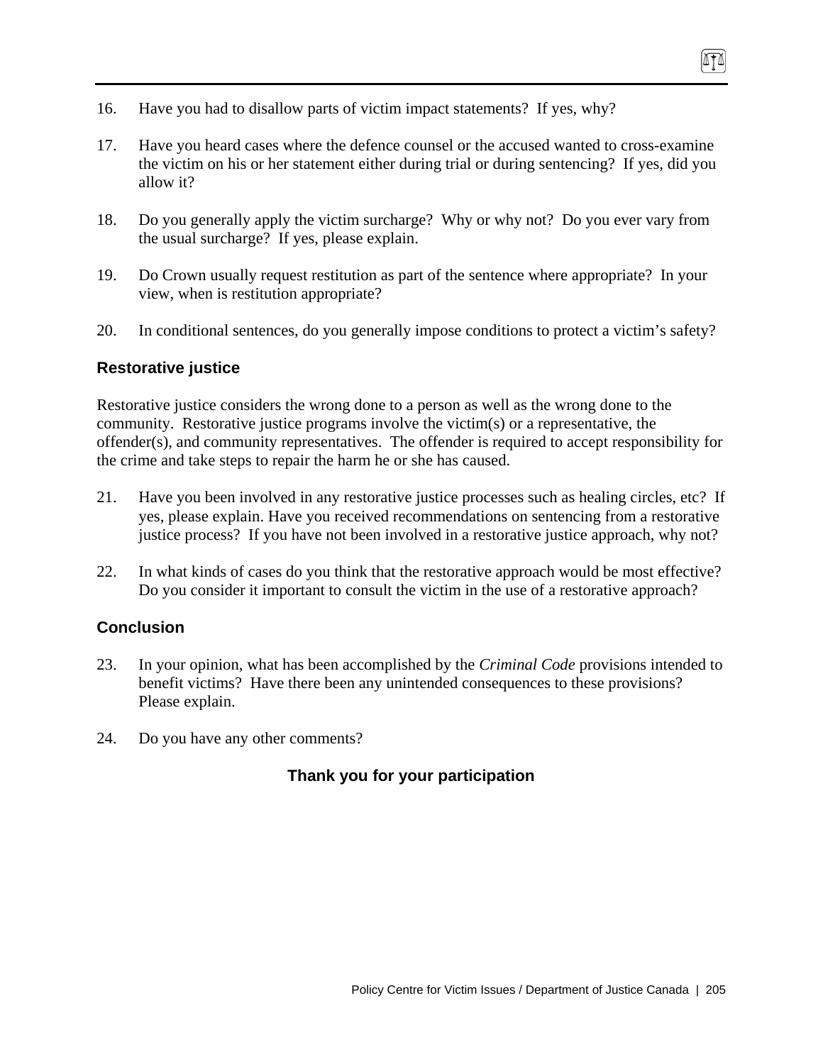- 16. Have you had to disallow parts of victim impact statements? If yes, why?
- 17. Have you heard cases where the defence counsel or the accused wanted to cross-examine the victim on his or her statement either during trial or during sentencing? If yes, did you allow it?
- 18. Do you generally apply the victim surcharge? Why or why not? Do you ever vary from the usual surcharge? If yes, please explain.
- 19. Do Crown usually request restitution as part of the sentence where appropriate? In your view, when is restitution appropriate?
- 20. In conditional sentences, do you generally impose conditions to protect a victim's safety?

### **Restorative justice**

Restorative justice considers the wrong done to a person as well as the wrong done to the community. Restorative justice programs involve the victim(s) or a representative, the offender(s), and community representatives. The offender is required to accept responsibility for the crime and take steps to repair the harm he or she has caused.

- 21. Have you been involved in any restorative justice processes such as healing circles, etc? If yes, please explain. Have you received recommendations on sentencing from a restorative justice process? If you have not been involved in a restorative justice approach, why not?
- 22. In what kinds of cases do you think that the restorative approach would be most effective? Do you consider it important to consult the victim in the use of a restorative approach?

## **Conclusion**

- 23. In your opinion, what has been accomplished by the *Criminal Code* provisions intended to benefit victims? Have there been any unintended consequences to these provisions? Please explain.
- 24. Do you have any other comments?

# **Thank you for your participation**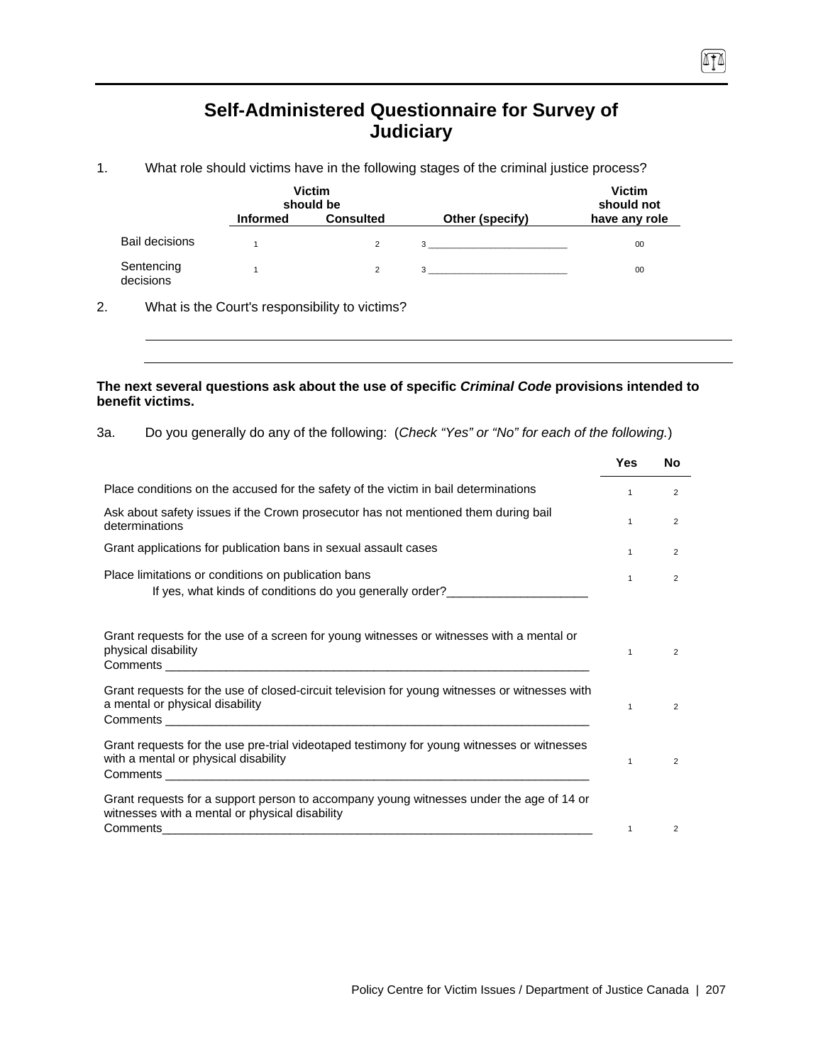# **Self-Administered Questionnaire for Survey of Judiciary**

 $\sqrt{10}$ 

1. What role should victims have in the following stages of the criminal justice process?

|                         |                 | <b>Victim</b><br>should be |                 | <b>Victim</b><br>should not |
|-------------------------|-----------------|----------------------------|-----------------|-----------------------------|
|                         | <b>Informed</b> | <b>Consulted</b>           | Other (specify) | have any role               |
| <b>Bail decisions</b>   |                 | $\overline{2}$             | $3^{\circ}$     | 00                          |
| Sentencing<br>decisions |                 | $\overline{2}$             | 3               | 00                          |

2. What is the Court's responsibility to victims?

### **The next several questions ask about the use of specific** *Criminal Code* **provisions intended to benefit victims.**

3a. Do you generally do any of the following: (*Check "Yes" or "No" for each of the following.*)

|                                                                                                                                           | <b>Yes</b>   | No             |
|-------------------------------------------------------------------------------------------------------------------------------------------|--------------|----------------|
| Place conditions on the accused for the safety of the victim in bail determinations                                                       | $\mathbf{1}$ | $\overline{2}$ |
| Ask about safety issues if the Crown prosecutor has not mentioned them during bail<br>determinations                                      | $\mathbf{1}$ | $\overline{2}$ |
| Grant applications for publication bans in sexual assault cases                                                                           | $\mathbf{1}$ | 2              |
| Place limitations or conditions on publication bans<br>If yes, what kinds of conditions do you generally order?________________________   | $\mathbf{1}$ | 2              |
| Grant requests for the use of a screen for young witnesses or witnesses with a mental or<br>physical disability                           | $\mathbf{1}$ | 2              |
| Grant requests for the use of closed-circuit television for young witnesses or witnesses with<br>a mental or physical disability          | $\mathbf{1}$ | 2              |
| Grant requests for the use pre-trial videotaped testimony for young witnesses or witnesses<br>with a mental or physical disability        | $\mathbf{1}$ | 2              |
| Grant requests for a support person to accompany young witnesses under the age of 14 or<br>witnesses with a mental or physical disability |              |                |
| Comments                                                                                                                                  | $\mathbf{1}$ | 2              |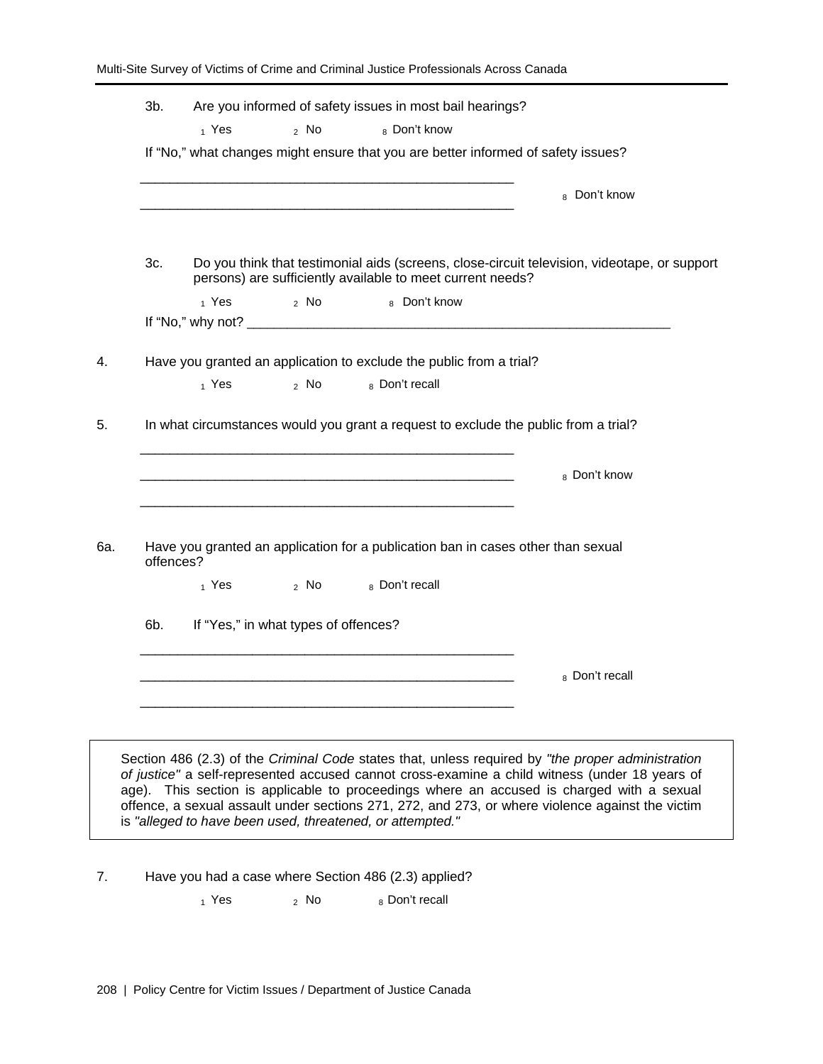|           |                             |                                      | If "No," what changes might ensure that you are better informed of safety issues?                                    |                                                                                              |
|-----------|-----------------------------|--------------------------------------|----------------------------------------------------------------------------------------------------------------------|----------------------------------------------------------------------------------------------|
|           |                             |                                      | <u> - 1990年 - 1990年 - 1990年 - 1990年 - 1990年 - 1990年 - 1990年 - 1990年 - 1990年 - 1990年 - 1990年 - 1990年 - 1990年 - 19</u> | 8 Don't know                                                                                 |
| 3c.       |                             |                                      | persons) are sufficiently available to meet current needs?                                                           | Do you think that testimonial aids (screens, close-circuit television, videotape, or support |
|           | $_1$ Yes                    |                                      | 2 No 8 Don't know                                                                                                    |                                                                                              |
|           |                             |                                      |                                                                                                                      |                                                                                              |
|           |                             |                                      | Have you granted an application to exclude the public from a trial?                                                  |                                                                                              |
|           | $_1$ Yes                    | $\alpha$ No $\alpha$                 | 8 Don't recall                                                                                                       |                                                                                              |
|           |                             |                                      | In what circumstances would you grant a request to exclude the public from a trial?                                  | 8 Don't know                                                                                 |
| offences? |                             |                                      | Have you granted an application for a publication ban in cases other than sexual                                     |                                                                                              |
|           | $_1$ Yes and $\overline{ }$ |                                      | 2 No 8 Don't recall                                                                                                  |                                                                                              |
| 6b.       |                             | If "Yes," in what types of offences? |                                                                                                                      |                                                                                              |
|           |                             |                                      |                                                                                                                      |                                                                                              |
|           |                             |                                      |                                                                                                                      | 8 Don't recall                                                                               |
|           |                             |                                      |                                                                                                                      |                                                                                              |
|           |                             |                                      |                                                                                                                      |                                                                                              |

7. Have you had a case where Section 486 (2.3) applied?

 $_1$  Yes  $_2$  No  $_8$  Don't recall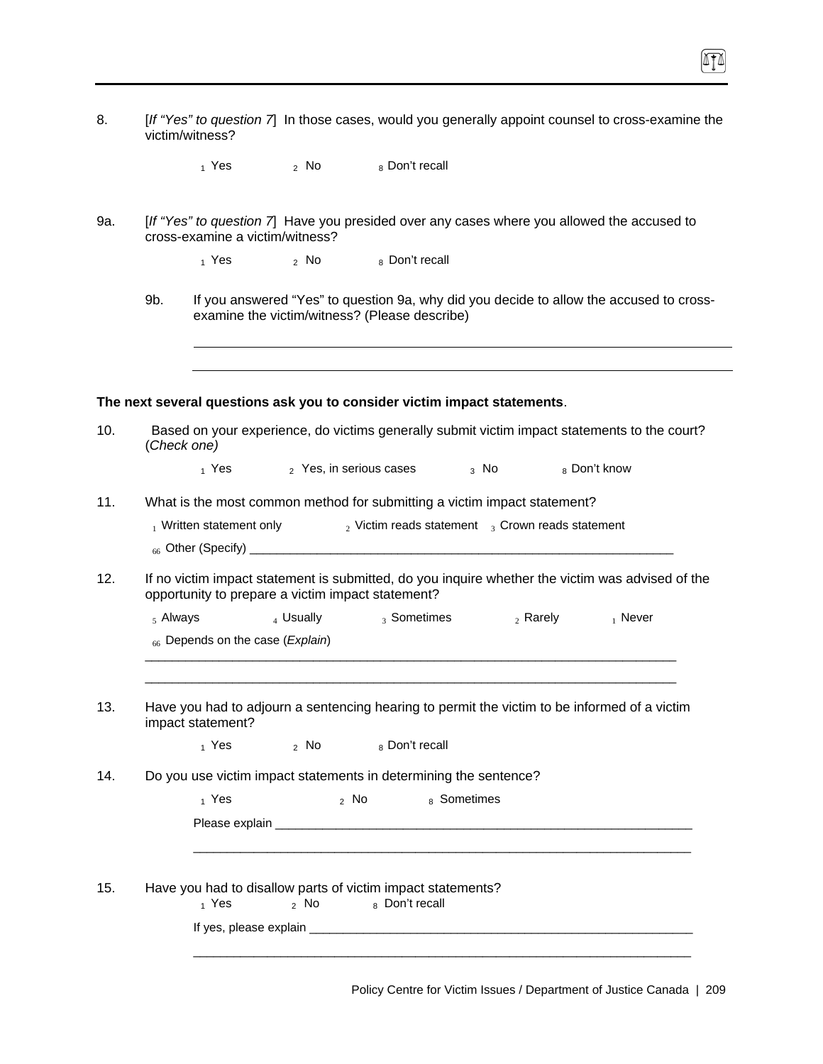| [If "Yes" to question 7] In those cases, would you generally appoint counsel to cross-examine the |
|---------------------------------------------------------------------------------------------------|
| victim/witness?                                                                                   |

ITI

|  | 1 Yes | <sup>2</sup> No | 8 Don't recall |
|--|-------|-----------------|----------------|
|--|-------|-----------------|----------------|

- 9a. [*If "Yes" to question 7*] Have you presided over any cases where you allowed the accused to cross-examine a victim/witness?
	- $_1$  Yes  $_2$  No  $_8$  Don't recall
	- 9b. If you answered "Yes" to question 9a, why did you decide to allow the accused to crossexamine the victim/witness? (Please describe)

### **The next several questions ask you to consider victim impact statements**.

| (Check one)                         |                                  |                                                                                                                                                       |                        |            | Based on your experience, do victims generally submit victim impact statements to the court? |
|-------------------------------------|----------------------------------|-------------------------------------------------------------------------------------------------------------------------------------------------------|------------------------|------------|----------------------------------------------------------------------------------------------|
|                                     |                                  | $_1$ Yes $_2$ Yes, in serious cases $_3$ No                                                                                                           |                        |            | 8 Don't know                                                                                 |
|                                     |                                  | What is the most common method for submitting a victim impact statement?                                                                              |                        |            |                                                                                              |
| <sub>1</sub> Written statement only |                                  | $_2$ Victim reads statement $_3$ Crown reads statement                                                                                                |                        |            |                                                                                              |
|                                     |                                  |                                                                                                                                                       |                        |            |                                                                                              |
|                                     |                                  | If no victim impact statement is submitted, do you inquire whether the victim was advised of the<br>opportunity to prepare a victim impact statement? |                        |            |                                                                                              |
| $5$ Always                          | 4 Usually                        |                                                                                                                                                       | <sub>3</sub> Sometimes | $2$ Rarely | $_1$ Never                                                                                   |
|                                     | 66 Depends on the case (Explain) |                                                                                                                                                       |                        |            |                                                                                              |
|                                     |                                  |                                                                                                                                                       |                        |            |                                                                                              |
|                                     |                                  |                                                                                                                                                       |                        |            |                                                                                              |
| impact statement?                   |                                  | Have you had to adjourn a sentencing hearing to permit the victim to be informed of a victim                                                          |                        |            |                                                                                              |
|                                     | $_1$ Yes $_2$ No                 | 8 Don't recall                                                                                                                                        |                        |            |                                                                                              |
|                                     |                                  | Do you use victim impact statements in determining the sentence?                                                                                      |                        |            |                                                                                              |
| 1 Yes                               |                                  | $\alpha$ No $\alpha$                                                                                                                                  | 8 Sometimes            |            |                                                                                              |
|                                     |                                  |                                                                                                                                                       |                        |            |                                                                                              |
|                                     |                                  |                                                                                                                                                       |                        |            |                                                                                              |
|                                     |                                  |                                                                                                                                                       |                        |            |                                                                                              |
| 1 Yes                               |                                  | Have you had to disallow parts of victim impact statements?<br>2 No 8 Don't recall                                                                    |                        |            |                                                                                              |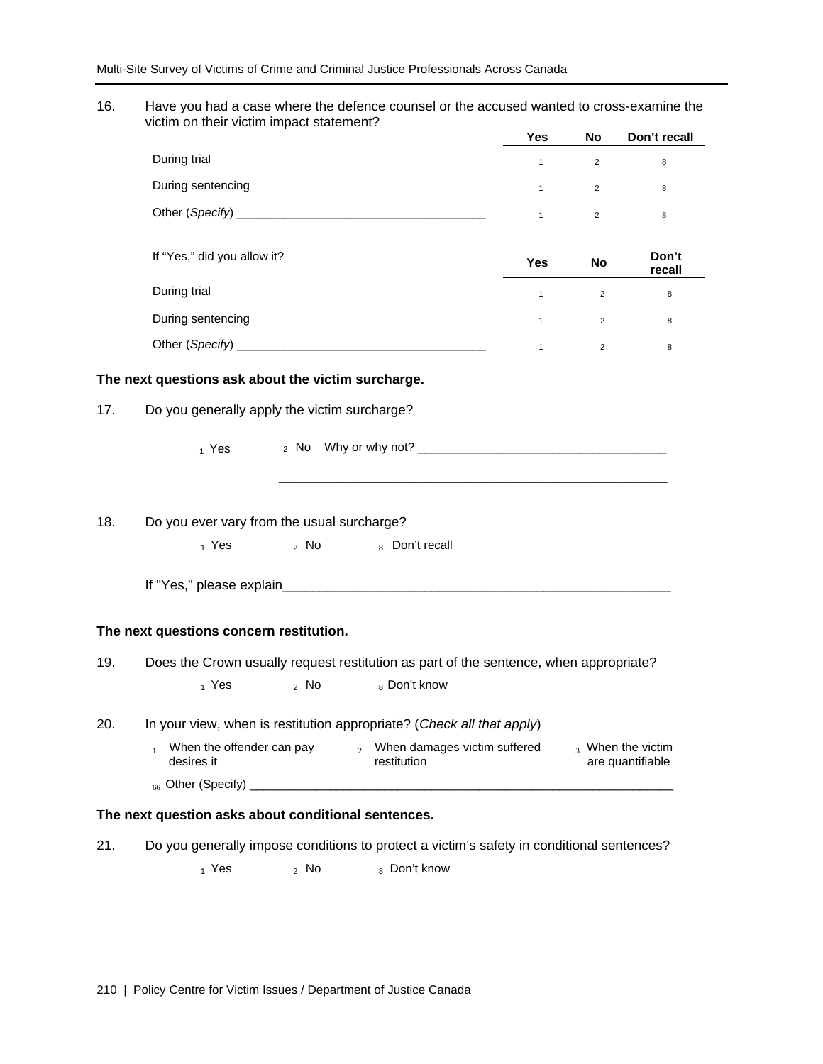16. Have you had a case where the defence counsel or the accused wanted to cross-examine the victim on their victim impact statement?

|                             | <b>Yes</b>   | <b>No</b>      | Don't recall    |
|-----------------------------|--------------|----------------|-----------------|
| During trial                | $\mathbf{1}$ | 2              | 8               |
| During sentencing           | $\mathbf{1}$ | $\overline{2}$ | 8               |
| Other (Specify) _________   | $\mathbf{1}$ | $\overline{2}$ | 8               |
|                             |              |                |                 |
| If "Yes," did you allow it? | <b>Yes</b>   | <b>No</b>      | Don't<br>recall |
| During trial                | $\mathbf{1}$ | $\overline{2}$ | 8               |
| During sentencing           | $\mathbf{1}$ | $\overline{2}$ | 8               |
| Other (Specify)             |              | $\overline{2}$ | 8               |

#### **The next questions ask about the victim surcharge.**

17. Do you generally apply the victim surcharge?

1 Yes 2 No Why or why not? \_\_\_\_\_\_\_\_\_\_\_\_\_\_\_\_\_\_\_\_\_\_\_\_\_\_\_\_\_\_\_\_\_\_\_\_\_

 $\frac{1}{\sqrt{2}}$  ,  $\frac{1}{\sqrt{2}}$  ,  $\frac{1}{\sqrt{2}}$  ,  $\frac{1}{\sqrt{2}}$  ,  $\frac{1}{\sqrt{2}}$  ,  $\frac{1}{\sqrt{2}}$  ,  $\frac{1}{\sqrt{2}}$  ,  $\frac{1}{\sqrt{2}}$  ,  $\frac{1}{\sqrt{2}}$  ,  $\frac{1}{\sqrt{2}}$  ,  $\frac{1}{\sqrt{2}}$  ,  $\frac{1}{\sqrt{2}}$  ,  $\frac{1}{\sqrt{2}}$  ,  $\frac{1}{\sqrt{2}}$  ,  $\frac{1}{\sqrt{2}}$ 

#### 18. Do you ever vary from the usual surcharge?

 $_1$  Yes  $_2$  No  $_8$  Don't recall

If "Yes," please explain

#### **The next questions concern restitution.**

- 19. Does the Crown usually request restitution as part of the sentence, when appropriate?
	- $_1$  Yes  $_2$  No  $_8$  Don't know

#### 20. In your view, when is restitution appropriate? (*Check all that apply*)

<sup>1</sup> When the offender can pay  $\frac{2}{2}$  When damages victim suffered  $\frac{3}{2}$  When the victim desires it are quantifiable <sup>66</sup>Other (Specify) \_\_\_\_\_\_\_\_\_\_\_\_\_\_\_\_\_\_\_\_\_\_\_\_\_\_\_\_\_\_\_\_\_\_\_\_\_\_\_\_\_\_\_\_\_\_\_\_\_\_\_\_\_\_\_\_\_\_\_\_\_\_\_

### **The next question asks about conditional sentences.**

21. Do you generally impose conditions to protect a victim's safety in conditional sentences?

 $_1$  Yes  $_2$  No  $_8$  Don't know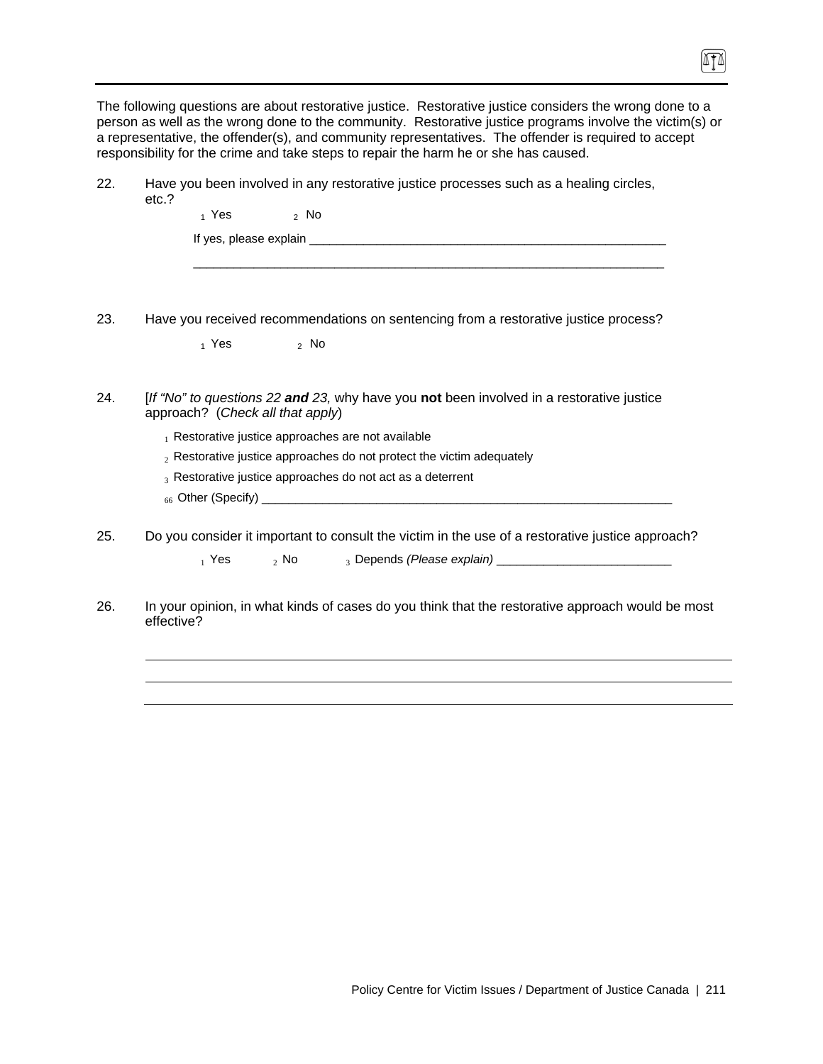The following questions are about restorative justice. Restorative justice considers the wrong done to a person as well as the wrong done to the community. Restorative justice programs involve the victim(s) or a representative, the offender(s), and community representatives. The offender is required to accept responsibility for the crime and take steps to repair the harm he or she has caused.

TI

- 22. Have you been involved in any restorative justice processes such as a healing circles, etc.?
- $1$  Yes  $2$  No If yes, please explain **Example 20** and  $\overline{a}$  is the set of  $\overline{a}$  and  $\overline{a}$  is the set of  $\overline{a}$  and  $\overline{a}$  and  $\overline{a}$  and  $\overline{a}$  and  $\overline{a}$  and  $\overline{a}$  and  $\overline{a}$  and  $\overline{a}$  and  $\overline{a}$  and  $\overline{a$ \_\_\_\_\_\_\_\_\_\_\_\_\_\_\_\_\_\_\_\_\_\_\_\_\_\_\_\_\_\_\_\_\_\_\_\_\_\_\_\_\_\_\_\_\_\_\_\_\_\_\_\_\_\_\_\_\_\_\_\_\_\_\_\_\_\_\_\_\_\_ 23. Have you received recommendations on sentencing from a restorative justice process?  $_1$  Yes  $_2$  No 24. [*If "No" to questions 22 and 23,* why have you **not** been involved in a restorative justice approach? (*Check all that apply*)
	- $_1$  Restorative justice approaches are not available
	- $2R$  Restorative justice approaches do not protect the victim adequately
	- $_3$  Restorative justice approaches do not act as a deterrent
	- $_{66}$  Other (Specify)  $\_$
- 25. Do you consider it important to consult the victim in the use of a restorative justice approach?
	- <sup>1</sup>Yes 2 No <sup>3</sup>Depends *(Please explain)* \_\_\_\_\_\_\_\_\_\_\_\_\_\_\_\_\_\_\_\_\_\_\_\_\_\_
- 26. In your opinion, in what kinds of cases do you think that the restorative approach would be most effective?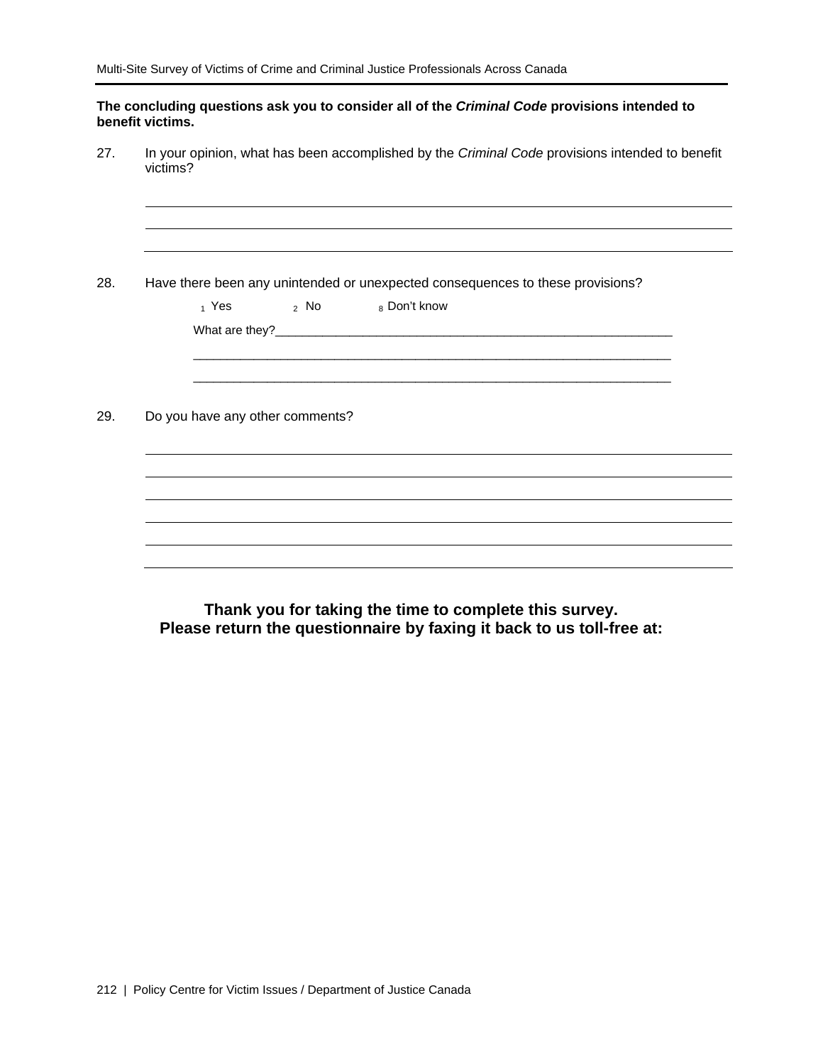|                  | The concluding questions ask you to consider all of the Criminal Code provisions intended to |  |  |
|------------------|----------------------------------------------------------------------------------------------|--|--|
| benefit victims. |                                                                                              |  |  |

27. In your opinion, what has been accomplished by the *Criminal Code* provisions intended to benefit victims?

28. Have there been any unintended or unexpected consequences to these provisions?  $_1$  Yes  $_2$  No  $_8$  Don't know What are they?\_\_\_\_\_\_\_\_\_\_\_\_\_\_\_\_\_\_\_\_\_\_\_\_\_\_\_\_\_\_\_\_\_\_\_\_\_\_\_\_\_\_\_\_\_\_\_\_\_\_\_\_\_\_\_\_\_\_\_ \_\_\_\_\_\_\_\_\_\_\_\_\_\_\_\_\_\_\_\_\_\_\_\_\_\_\_\_\_\_\_\_\_\_\_\_\_\_\_\_\_\_\_\_\_\_\_\_\_\_\_\_\_\_\_\_\_\_\_\_\_\_\_\_\_\_\_\_\_\_\_ \_\_\_\_\_\_\_\_\_\_\_\_\_\_\_\_\_\_\_\_\_\_\_\_\_\_\_\_\_\_\_\_\_\_\_\_\_\_\_\_\_\_\_\_\_\_\_\_\_\_\_\_\_\_\_\_\_\_\_\_\_\_\_\_\_\_\_\_\_\_\_ 29. Do you have any other comments?

**Thank you for taking the time to complete this survey. Please return the questionnaire by faxing it back to us toll-free at:**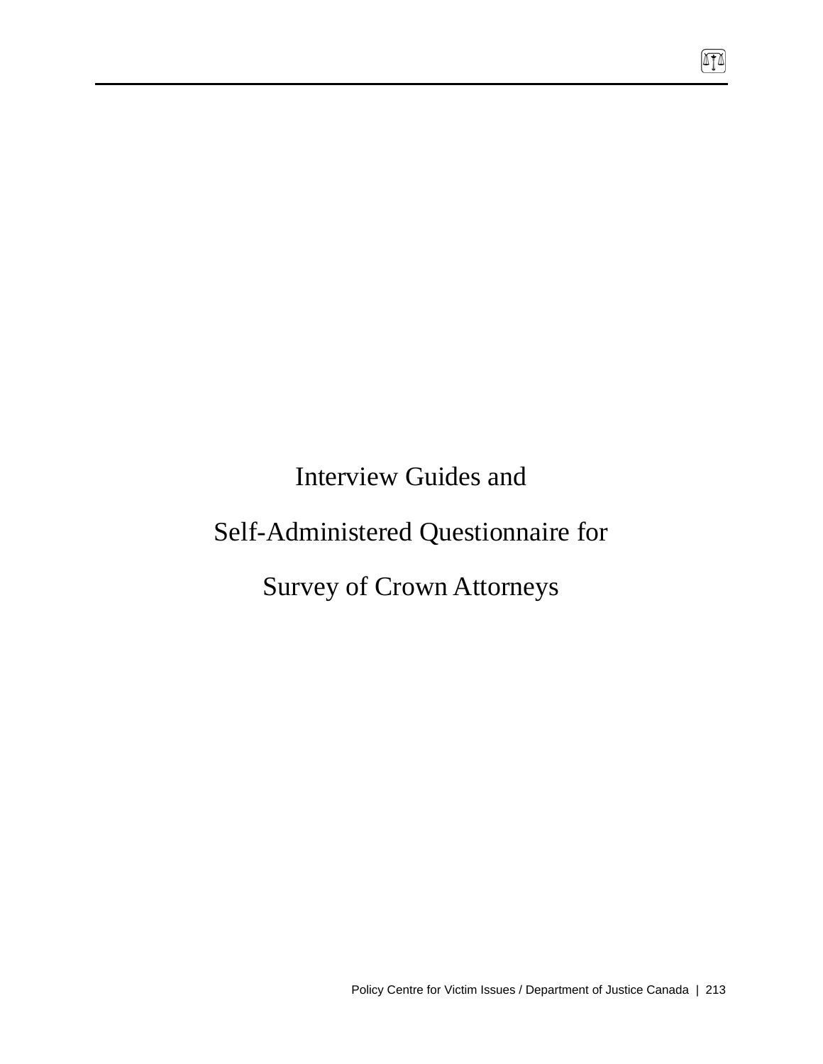Interview Guides and

# Self-Administered Questionnaire for

# Survey of Crown Attorneys

 $\sqrt{10}$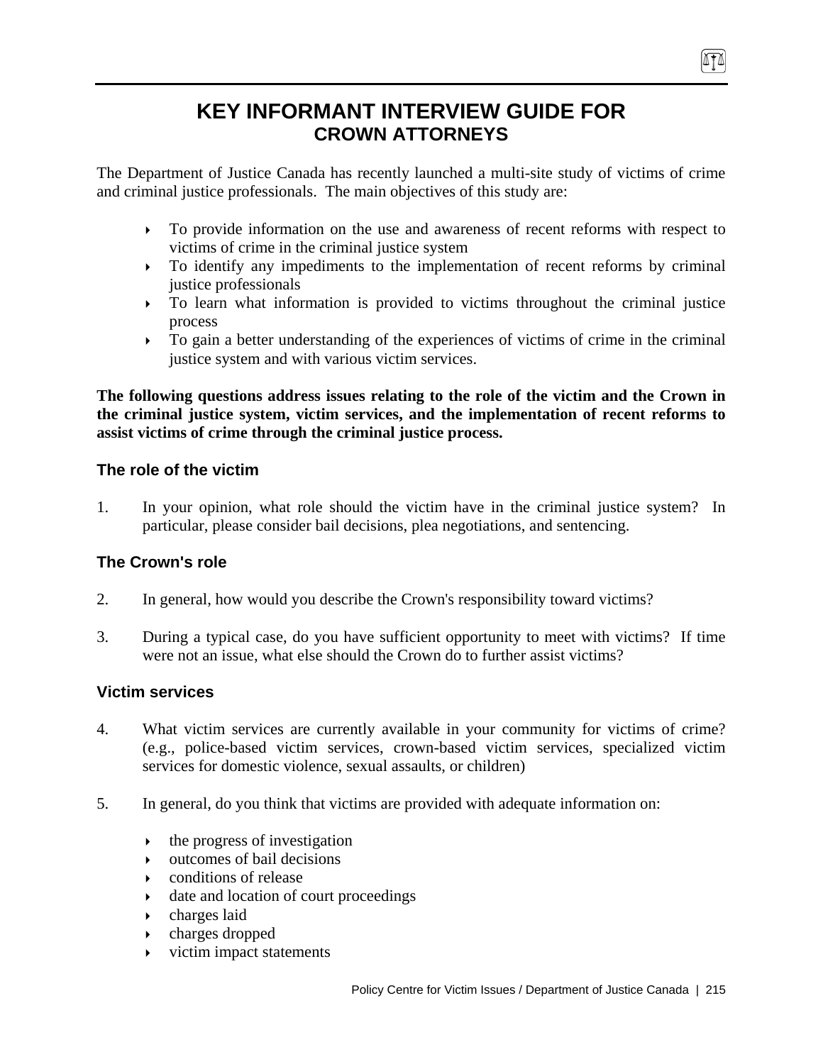# **KEY INFORMANT INTERVIEW GUIDE FOR CROWN ATTORNEYS**

The Department of Justice Canada has recently launched a multi-site study of victims of crime and criminal justice professionals. The main objectives of this study are:

- $\rightarrow$  To provide information on the use and awareness of recent reforms with respect to victims of crime in the criminal justice system
- $\triangleright$  To identify any impediments to the implementation of recent reforms by criminal justice professionals
- $\triangleright$  To learn what information is provided to victims throughout the criminal justice process
- $\triangleright$  To gain a better understanding of the experiences of victims of crime in the criminal justice system and with various victim services.

**The following questions address issues relating to the role of the victim and the Crown in the criminal justice system, victim services, and the implementation of recent reforms to assist victims of crime through the criminal justice process.** 

# **The role of the victim**

1. In your opinion, what role should the victim have in the criminal justice system? In particular, please consider bail decisions, plea negotiations, and sentencing.

# **The Crown's role**

- 2. In general, how would you describe the Crown's responsibility toward victims?
- 3. During a typical case, do you have sufficient opportunity to meet with victims? If time were not an issue, what else should the Crown do to further assist victims?

# **Victim services**

- 4. What victim services are currently available in your community for victims of crime? (e.g., police-based victim services, crown-based victim services, specialized victim services for domestic violence, sexual assaults, or children)
- 5. In general, do you think that victims are provided with adequate information on:
	- $\rightarrow$  the progress of investigation
	- $\rightarrow$  outcomes of bail decisions
	- $\bullet$  conditions of release
	- $\rightarrow$  date and location of court proceedings
	- $\rightarrow$  charges laid
	- $\rightarrow$  charges dropped
	- $\rightarrow$  victim impact statements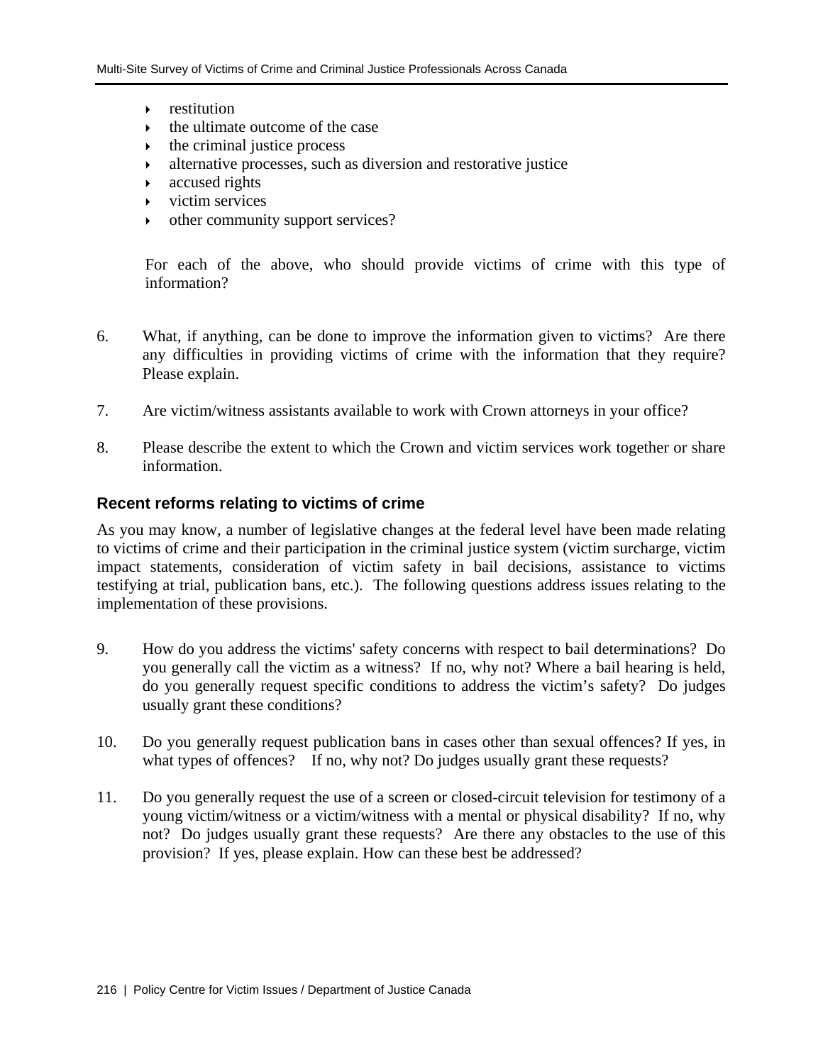- $\triangleright$  restitution
- ` the ultimate outcome of the case
- $\rightarrow$  the criminal justice process
- $\rightarrow$  alternative processes, such as diversion and restorative justice
- $\triangleright$  accused rights
- ` victim services
- other community support services?

For each of the above, who should provide victims of crime with this type of information?

- 6. What, if anything, can be done to improve the information given to victims? Are there any difficulties in providing victims of crime with the information that they require? Please explain.
- 7. Are victim/witness assistants available to work with Crown attorneys in your office?
- 8. Please describe the extent to which the Crown and victim services work together or share information.

### **Recent reforms relating to victims of crime**

As you may know, a number of legislative changes at the federal level have been made relating to victims of crime and their participation in the criminal justice system (victim surcharge, victim impact statements, consideration of victim safety in bail decisions, assistance to victims testifying at trial, publication bans, etc.). The following questions address issues relating to the implementation of these provisions.

- 9. How do you address the victims' safety concerns with respect to bail determinations? Do you generally call the victim as a witness? If no, why not? Where a bail hearing is held, do you generally request specific conditions to address the victim's safety? Do judges usually grant these conditions?
- 10. Do you generally request publication bans in cases other than sexual offences? If yes, in what types of offences? If no, why not? Do judges usually grant these requests?
- 11. Do you generally request the use of a screen or closed-circuit television for testimony of a young victim/witness or a victim/witness with a mental or physical disability? If no, why not? Do judges usually grant these requests? Are there any obstacles to the use of this provision? If yes, please explain. How can these best be addressed?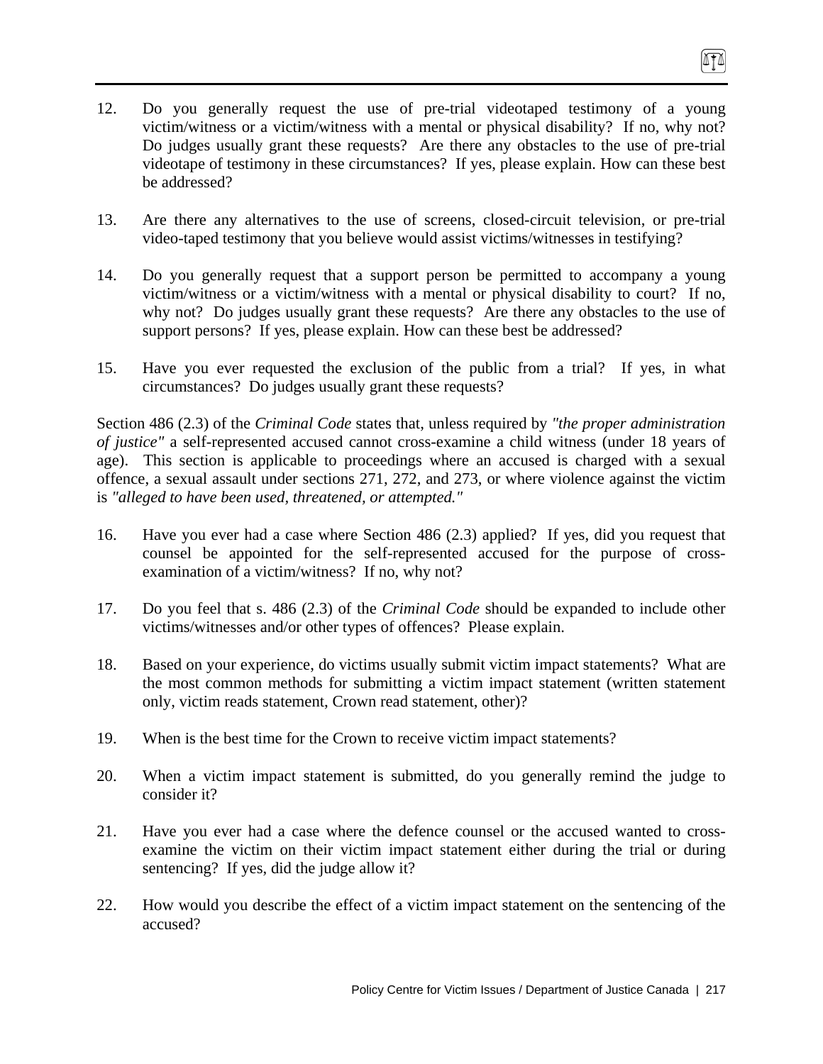- 12. Do you generally request the use of pre-trial videotaped testimony of a young victim/witness or a victim/witness with a mental or physical disability? If no, why not? Do judges usually grant these requests? Are there any obstacles to the use of pre-trial videotape of testimony in these circumstances? If yes, please explain. How can these best be addressed?
- 13. Are there any alternatives to the use of screens, closed-circuit television, or pre-trial video-taped testimony that you believe would assist victims/witnesses in testifying?
- 14. Do you generally request that a support person be permitted to accompany a young victim/witness or a victim/witness with a mental or physical disability to court? If no, why not? Do judges usually grant these requests? Are there any obstacles to the use of support persons? If yes, please explain. How can these best be addressed?
- 15. Have you ever requested the exclusion of the public from a trial? If yes, in what circumstances? Do judges usually grant these requests?

Section 486 (2.3) of the *Criminal Code* states that, unless required by *"the proper administration of justice"* a self-represented accused cannot cross-examine a child witness (under 18 years of age). This section is applicable to proceedings where an accused is charged with a sexual offence, a sexual assault under sections 271, 272, and 273, or where violence against the victim is *"alleged to have been used, threatened, or attempted."*

- 16. Have you ever had a case where Section 486 (2.3) applied? If yes, did you request that counsel be appointed for the self-represented accused for the purpose of crossexamination of a victim/witness? If no, why not?
- 17. Do you feel that s. 486 (2.3) of the *Criminal Code* should be expanded to include other victims/witnesses and/or other types of offences? Please explain.
- 18. Based on your experience, do victims usually submit victim impact statements? What are the most common methods for submitting a victim impact statement (written statement only, victim reads statement, Crown read statement, other)?
- 19. When is the best time for the Crown to receive victim impact statements?
- 20. When a victim impact statement is submitted, do you generally remind the judge to consider it?
- 21. Have you ever had a case where the defence counsel or the accused wanted to crossexamine the victim on their victim impact statement either during the trial or during sentencing? If yes, did the judge allow it?
- 22. How would you describe the effect of a victim impact statement on the sentencing of the accused?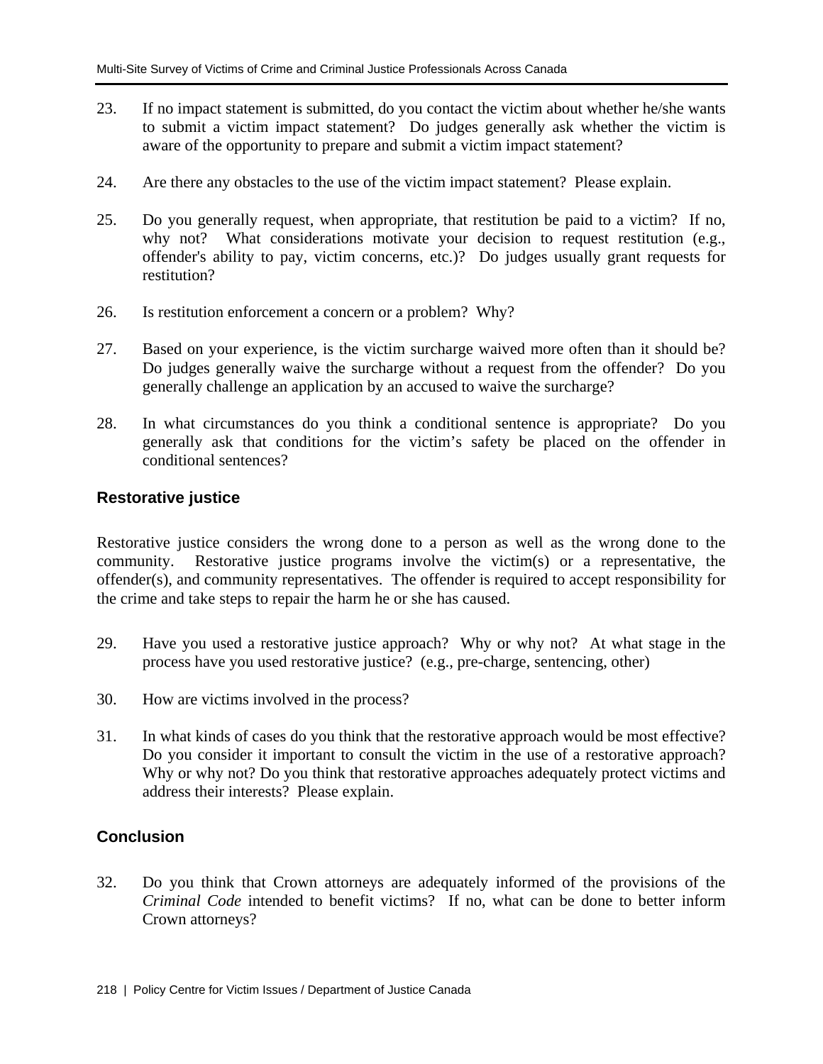- 23. If no impact statement is submitted, do you contact the victim about whether he/she wants to submit a victim impact statement? Do judges generally ask whether the victim is aware of the opportunity to prepare and submit a victim impact statement?
- 24. Are there any obstacles to the use of the victim impact statement? Please explain.
- 25. Do you generally request, when appropriate, that restitution be paid to a victim? If no, why not? What considerations motivate your decision to request restitution (e.g., offender's ability to pay, victim concerns, etc.)? Do judges usually grant requests for restitution?
- 26. Is restitution enforcement a concern or a problem? Why?
- 27. Based on your experience, is the victim surcharge waived more often than it should be? Do judges generally waive the surcharge without a request from the offender? Do you generally challenge an application by an accused to waive the surcharge?
- 28. In what circumstances do you think a conditional sentence is appropriate? Do you generally ask that conditions for the victim's safety be placed on the offender in conditional sentences?

## **Restorative justice**

Restorative justice considers the wrong done to a person as well as the wrong done to the community. Restorative justice programs involve the victim(s) or a representative, the offender(s), and community representatives. The offender is required to accept responsibility for the crime and take steps to repair the harm he or she has caused.

- 29. Have you used a restorative justice approach? Why or why not? At what stage in the process have you used restorative justice? (e.g., pre-charge, sentencing, other)
- 30. How are victims involved in the process?
- 31. In what kinds of cases do you think that the restorative approach would be most effective? Do you consider it important to consult the victim in the use of a restorative approach? Why or why not? Do you think that restorative approaches adequately protect victims and address their interests? Please explain.

### **Conclusion**

32. Do you think that Crown attorneys are adequately informed of the provisions of the *Criminal Code* intended to benefit victims? If no, what can be done to better inform Crown attorneys?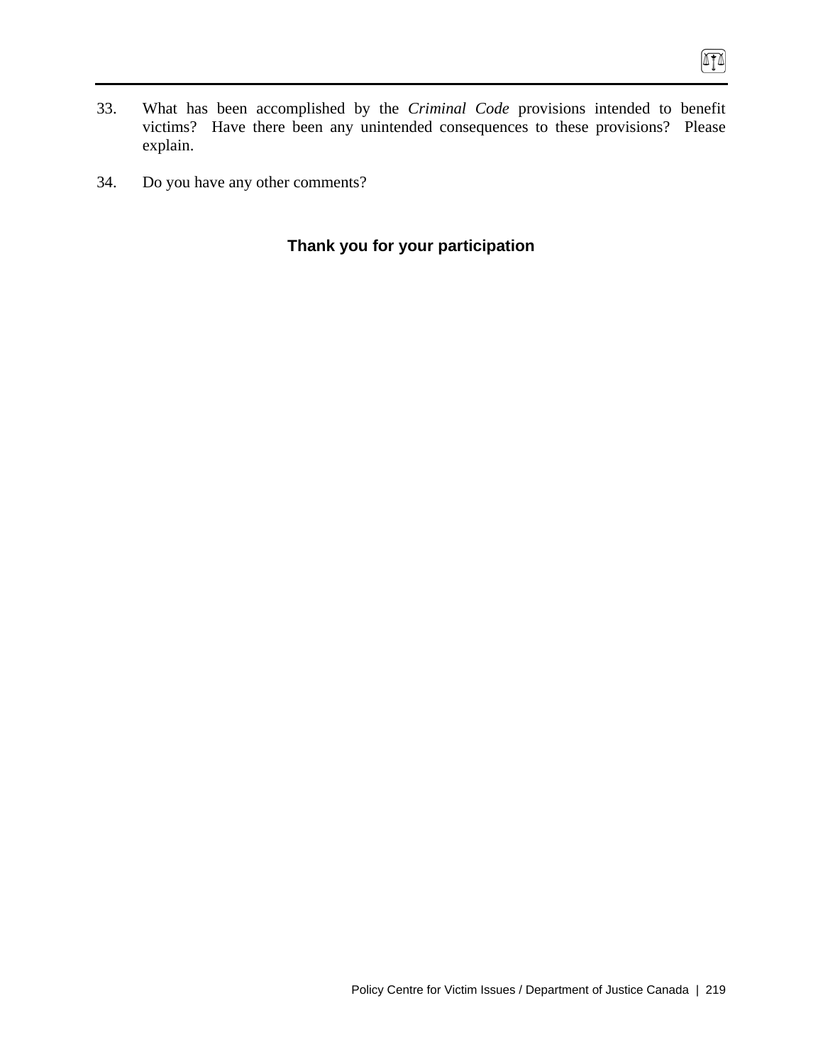- 33. What has been accomplished by the *Criminal Code* provisions intended to benefit victims? Have there been any unintended consequences to these provisions? Please explain.
- 34. Do you have any other comments?

# **Thank you for your participation**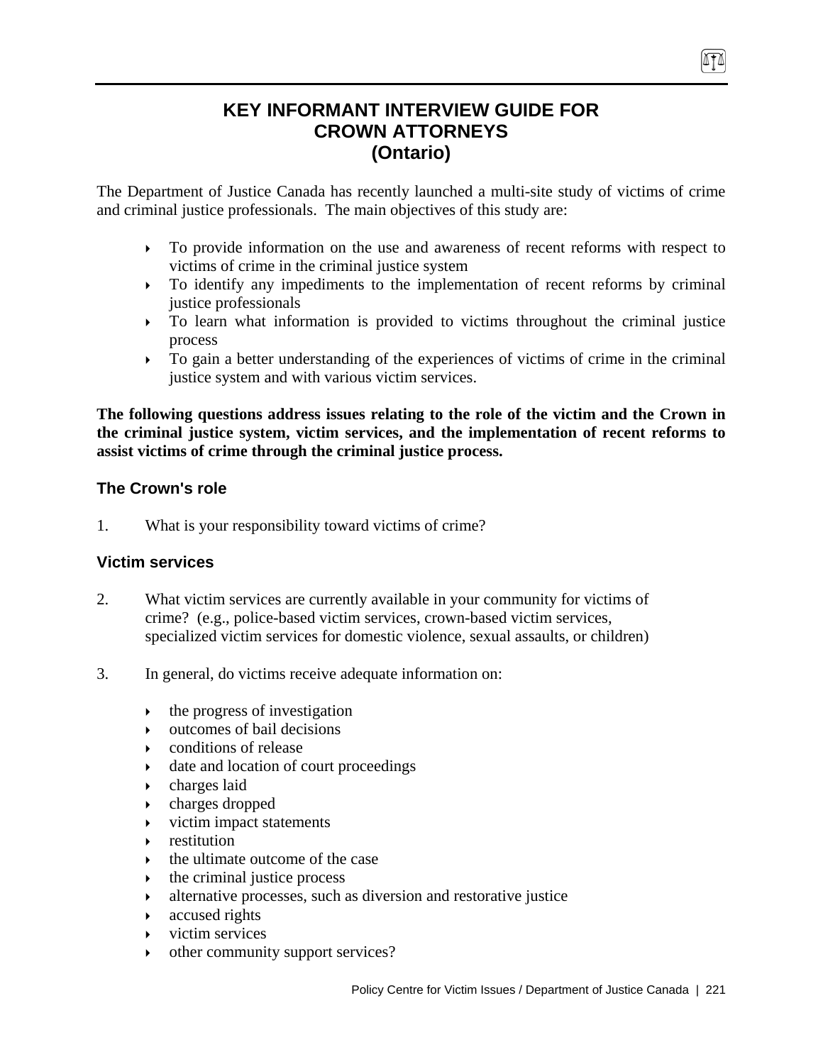# **KEY INFORMANT INTERVIEW GUIDE FOR CROWN ATTORNEYS (Ontario)**

The Department of Justice Canada has recently launched a multi-site study of victims of crime and criminal justice professionals. The main objectives of this study are:

- ` To provide information on the use and awareness of recent reforms with respect to victims of crime in the criminal justice system
- $\triangleright$  To identify any impediments to the implementation of recent reforms by criminal justice professionals
- $\triangleright$  To learn what information is provided to victims throughout the criminal justice process
- $\triangleright$  To gain a better understanding of the experiences of victims of crime in the criminal justice system and with various victim services.

**The following questions address issues relating to the role of the victim and the Crown in the criminal justice system, victim services, and the implementation of recent reforms to assist victims of crime through the criminal justice process.** 

# **The Crown's role**

1. What is your responsibility toward victims of crime?

# **Victim services**

- 2. What victim services are currently available in your community for victims of crime? (e.g., police-based victim services, crown-based victim services, specialized victim services for domestic violence, sexual assaults, or children)
- 3. In general, do victims receive adequate information on:
	- $\rightarrow$  the progress of investigation
	- $\rightarrow$  outcomes of bail decisions
	- ` conditions of release
	- date and location of court proceedings
	- $\rightarrow$  charges laid
	- $\rightarrow$  charges dropped
	- ` victim impact statements
	- $\triangleright$  restitution
	- $\rightarrow$  the ultimate outcome of the case
	- $\rightarrow$  the criminal justice process
	- $\rightarrow$  alternative processes, such as diversion and restorative justice
	- $\triangleright$  accused rights
	- $\triangleright$  victim services
	- $\rightarrow$  other community support services?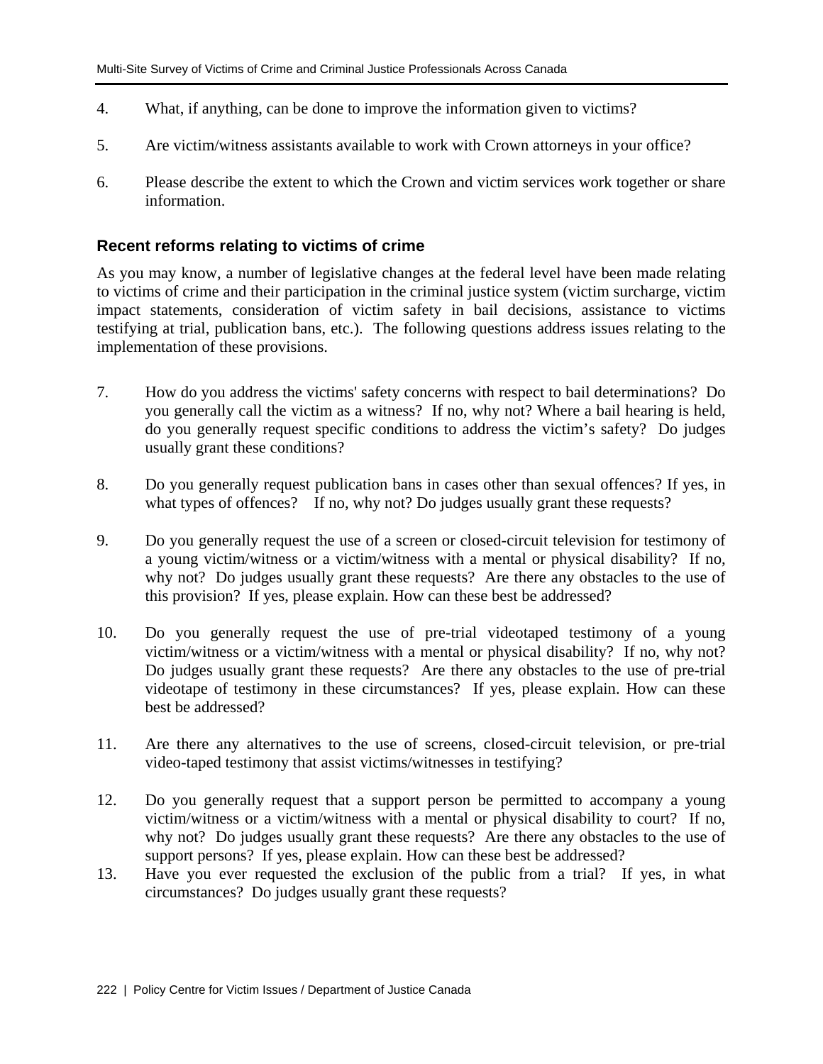- 4. What, if anything, can be done to improve the information given to victims?
- 5. Are victim/witness assistants available to work with Crown attorneys in your office?
- 6. Please describe the extent to which the Crown and victim services work together or share information.

### **Recent reforms relating to victims of crime**

As you may know, a number of legislative changes at the federal level have been made relating to victims of crime and their participation in the criminal justice system (victim surcharge, victim impact statements, consideration of victim safety in bail decisions, assistance to victims testifying at trial, publication bans, etc.). The following questions address issues relating to the implementation of these provisions.

- 7. How do you address the victims' safety concerns with respect to bail determinations? Do you generally call the victim as a witness? If no, why not? Where a bail hearing is held, do you generally request specific conditions to address the victim's safety? Do judges usually grant these conditions?
- 8. Do you generally request publication bans in cases other than sexual offences? If yes, in what types of offences? If no, why not? Do judges usually grant these requests?
- 9. Do you generally request the use of a screen or closed-circuit television for testimony of a young victim/witness or a victim/witness with a mental or physical disability? If no, why not? Do judges usually grant these requests? Are there any obstacles to the use of this provision? If yes, please explain. How can these best be addressed?
- 10. Do you generally request the use of pre-trial videotaped testimony of a young victim/witness or a victim/witness with a mental or physical disability? If no, why not? Do judges usually grant these requests? Are there any obstacles to the use of pre-trial videotape of testimony in these circumstances? If yes, please explain. How can these best be addressed?
- 11. Are there any alternatives to the use of screens, closed-circuit television, or pre-trial video-taped testimony that assist victims/witnesses in testifying?
- 12. Do you generally request that a support person be permitted to accompany a young victim/witness or a victim/witness with a mental or physical disability to court? If no, why not? Do judges usually grant these requests? Are there any obstacles to the use of support persons? If yes, please explain. How can these best be addressed?
- 13. Have you ever requested the exclusion of the public from a trial? If yes, in what circumstances? Do judges usually grant these requests?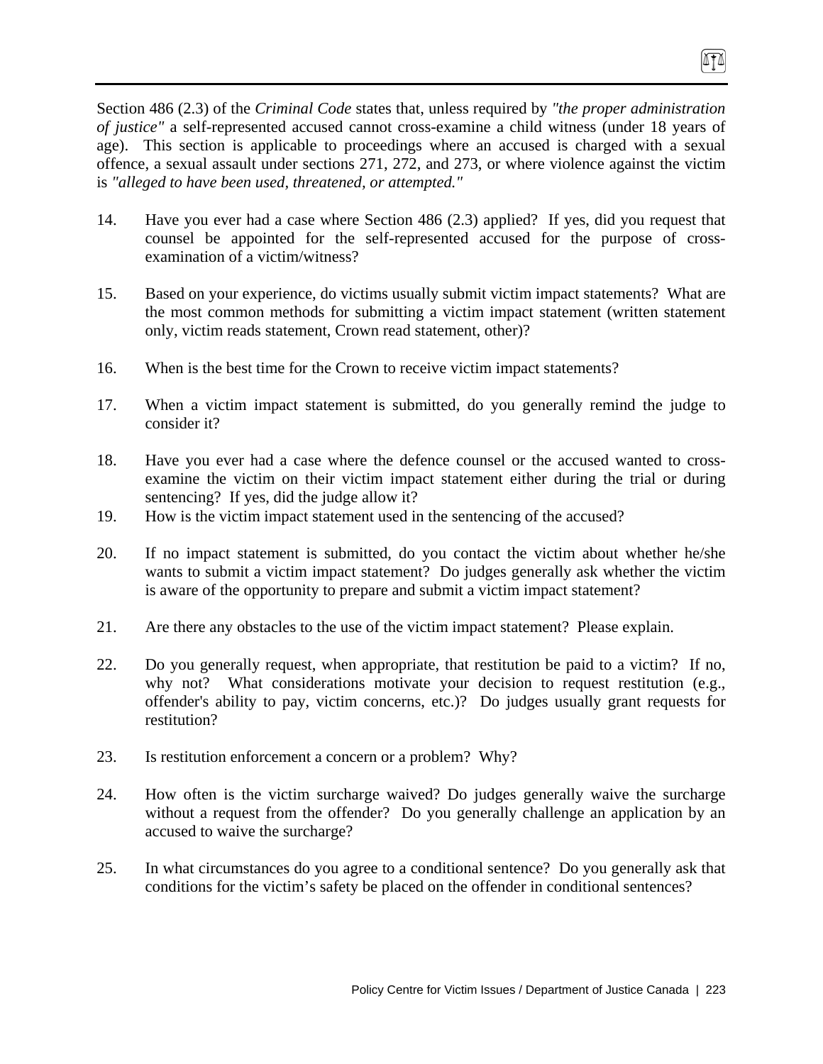Section 486 (2.3) of the *Criminal Code* states that, unless required by *"the proper administration of justice"* a self-represented accused cannot cross-examine a child witness (under 18 years of age). This section is applicable to proceedings where an accused is charged with a sexual offence, a sexual assault under sections 271, 272, and 273, or where violence against the victim is *"alleged to have been used, threatened, or attempted."*

(ITA)

- 14. Have you ever had a case where Section 486 (2.3) applied? If yes, did you request that counsel be appointed for the self-represented accused for the purpose of crossexamination of a victim/witness?
- 15. Based on your experience, do victims usually submit victim impact statements? What are the most common methods for submitting a victim impact statement (written statement only, victim reads statement, Crown read statement, other)?
- 16. When is the best time for the Crown to receive victim impact statements?
- 17. When a victim impact statement is submitted, do you generally remind the judge to consider it?
- 18. Have you ever had a case where the defence counsel or the accused wanted to crossexamine the victim on their victim impact statement either during the trial or during sentencing? If yes, did the judge allow it?
- 19. How is the victim impact statement used in the sentencing of the accused?
- 20. If no impact statement is submitted, do you contact the victim about whether he/she wants to submit a victim impact statement? Do judges generally ask whether the victim is aware of the opportunity to prepare and submit a victim impact statement?
- 21. Are there any obstacles to the use of the victim impact statement? Please explain.
- 22. Do you generally request, when appropriate, that restitution be paid to a victim? If no, why not? What considerations motivate your decision to request restitution (e.g., offender's ability to pay, victim concerns, etc.)? Do judges usually grant requests for restitution?
- 23. Is restitution enforcement a concern or a problem? Why?
- 24. How often is the victim surcharge waived? Do judges generally waive the surcharge without a request from the offender? Do you generally challenge an application by an accused to waive the surcharge?
- 25. In what circumstances do you agree to a conditional sentence? Do you generally ask that conditions for the victim's safety be placed on the offender in conditional sentences?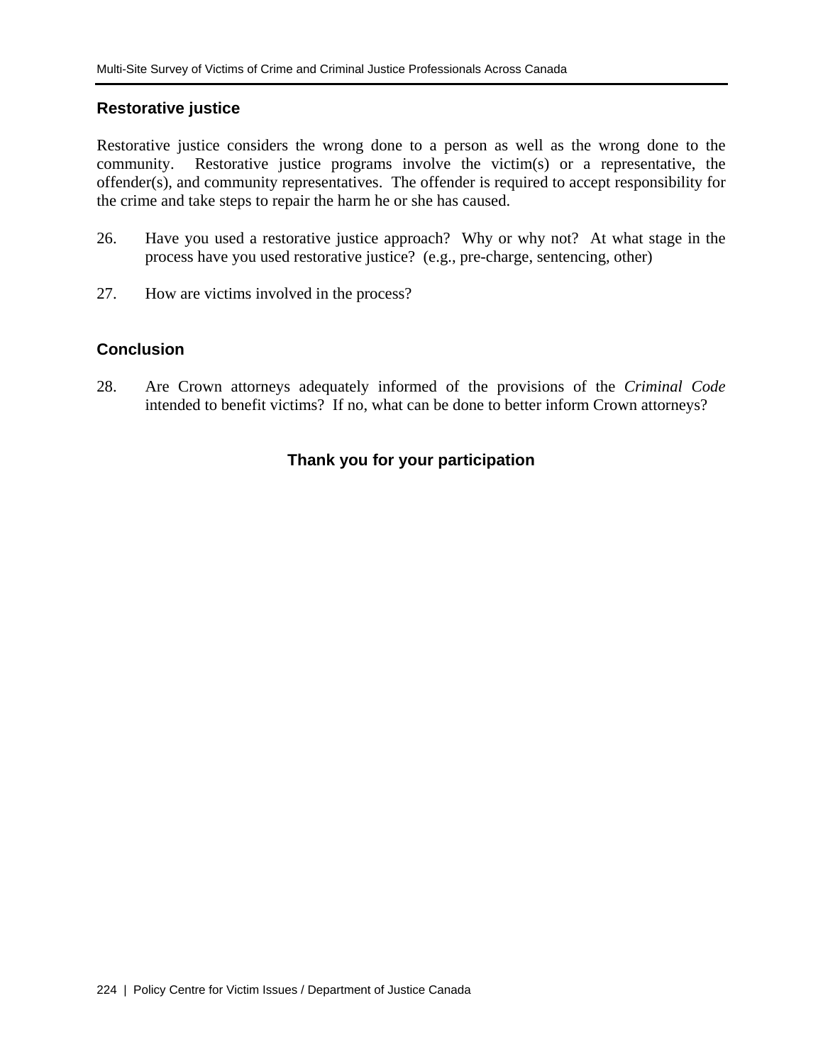## **Restorative justice**

Restorative justice considers the wrong done to a person as well as the wrong done to the community. Restorative justice programs involve the victim(s) or a representative, the offender(s), and community representatives. The offender is required to accept responsibility for the crime and take steps to repair the harm he or she has caused.

- 26. Have you used a restorative justice approach? Why or why not? At what stage in the process have you used restorative justice? (e.g., pre-charge, sentencing, other)
- 27. How are victims involved in the process?

# **Conclusion**

28. Are Crown attorneys adequately informed of the provisions of the *Criminal Code* intended to benefit victims? If no, what can be done to better inform Crown attorneys?

# **Thank you for your participation**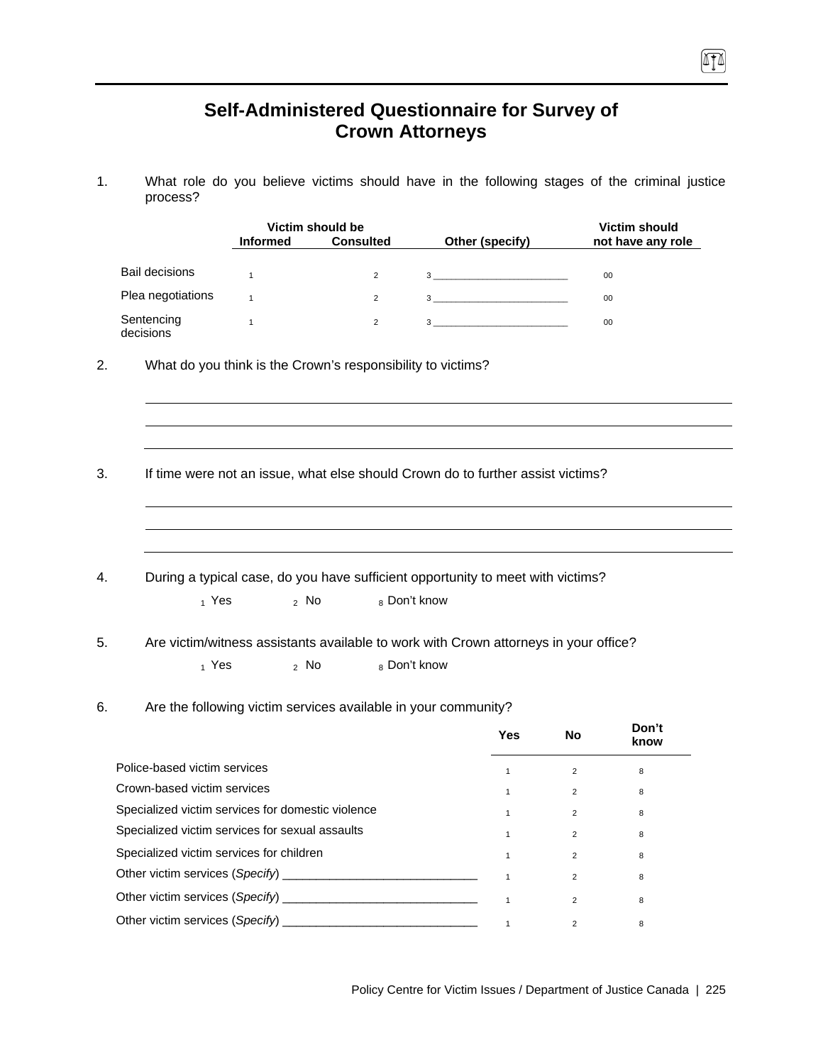# **Self-Administered Questionnaire for Survey of Crown Attorneys**

 $\sqrt{10}$ 

1. What role do you believe victims should have in the following stages of the criminal justice process?

|                                                   |                 | Victim should be                                                                     |                                |              |                | <b>Victim should</b> |
|---------------------------------------------------|-----------------|--------------------------------------------------------------------------------------|--------------------------------|--------------|----------------|----------------------|
|                                                   | <b>Informed</b> | <b>Consulted</b>                                                                     | Other (specify)                |              |                | not have any role    |
| <b>Bail decisions</b>                             | $\mathbf{1}$    | $\overline{2}$                                                                       |                                |              |                | 00                   |
| Plea negotiations                                 | $\mathbf{1}$    | $\overline{2}$                                                                       | $3 \left( \frac{1}{2} \right)$ |              |                | 00                   |
| Sentencing<br>decisions                           | $\mathbf{1}$    | $\overline{2}$                                                                       |                                |              |                | 00                   |
| 2.                                                |                 | What do you think is the Crown's responsibility to victims?                          |                                |              |                |                      |
|                                                   |                 |                                                                                      |                                |              |                |                      |
|                                                   |                 | If time were not an issue, what else should Crown do to further assist victims?      |                                |              |                |                      |
|                                                   |                 |                                                                                      |                                |              |                |                      |
|                                                   |                 | During a typical case, do you have sufficient opportunity to meet with victims?      |                                |              |                |                      |
| $_1$ Yes                                          | $2$ No          |                                                                                      | 8 Don't know                   |              |                |                      |
|                                                   |                 | Are victim/witness assistants available to work with Crown attorneys in your office? |                                |              |                |                      |
| 5.<br>1 Yes                                       | $2$ No          |                                                                                      | 8 Don't know                   |              |                |                      |
|                                                   |                 |                                                                                      |                                |              |                |                      |
| 6.                                                |                 | Are the following victim services available in your community?                       |                                |              |                |                      |
|                                                   |                 |                                                                                      |                                | <b>Yes</b>   | <b>No</b>      | Don't<br>know        |
| Police-based victim services                      |                 |                                                                                      |                                | $\mathbf{1}$ | $\overline{2}$ | 8                    |
| Crown-based victim services                       |                 |                                                                                      |                                | $\mathbf{1}$ | $\overline{2}$ | 8                    |
| Specialized victim services for domestic violence |                 |                                                                                      |                                | $\mathbf{1}$ | $\overline{2}$ | 8                    |
| Specialized victim services for sexual assaults   |                 |                                                                                      |                                | $\mathbf{1}$ | $\overline{2}$ | 8                    |
| Specialized victim services for children          |                 |                                                                                      |                                | $\mathbf{1}$ | $\overline{2}$ | 8                    |
| Other victim services (Specify)                   |                 |                                                                                      |                                | $\mathbf{1}$ | $\overline{2}$ | 8                    |
| Other victim services (Specify)                   |                 |                                                                                      |                                | $\mathbf{1}$ | 2              | 8                    |

Other victim services (*Specify*) \_\_\_\_\_\_\_\_\_\_\_\_\_\_\_\_\_\_\_\_\_\_\_\_\_\_\_\_\_ 1 <sup>2</sup> <sup>8</sup>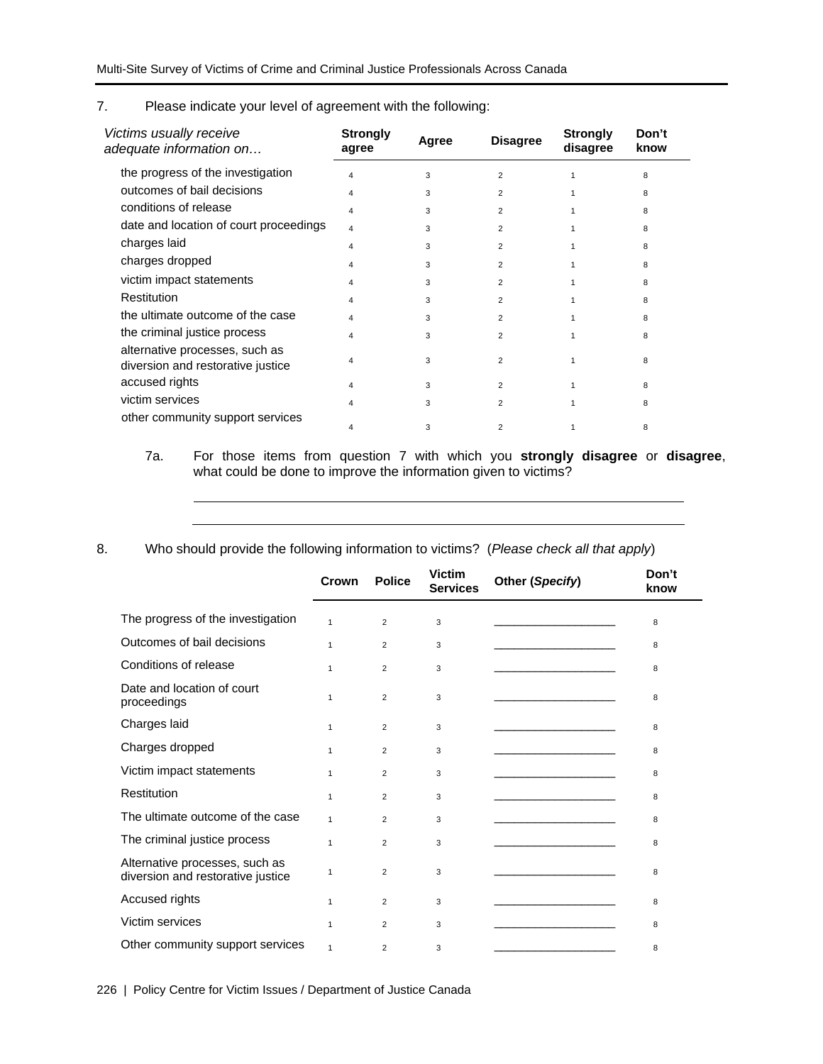### 7. Please indicate your level of agreement with the following:

| Victims usually receive<br>adequate information on                  | <b>Strongly</b><br>agree | Agree | <b>Disagree</b> | <b>Strongly</b><br>disagree | Don't<br>know |
|---------------------------------------------------------------------|--------------------------|-------|-----------------|-----------------------------|---------------|
| the progress of the investigation                                   | 4                        | 3     | $\overline{2}$  |                             | 8             |
| outcomes of bail decisions                                          | 4                        | 3     | $\overline{2}$  |                             | 8             |
| conditions of release                                               | 4                        | 3     | $\overline{2}$  |                             | 8             |
| date and location of court proceedings                              | 4                        | 3     | $\overline{2}$  |                             | 8             |
| charges laid                                                        | 4                        | 3     | $\overline{2}$  |                             | 8             |
| charges dropped                                                     | 4                        | 3     | $\overline{2}$  |                             | 8             |
| victim impact statements                                            | 4                        | 3     | $\overline{2}$  |                             | 8             |
| Restitution                                                         | 4                        | 3     | $\overline{2}$  |                             | 8             |
| the ultimate outcome of the case                                    | 4                        | 3     | $\overline{2}$  |                             | 8             |
| the criminal justice process                                        | 4                        | 3     | $\overline{2}$  |                             | 8             |
| alternative processes, such as<br>diversion and restorative justice | 4                        | 3     | $\overline{2}$  |                             | 8             |
| accused rights                                                      | 4                        | 3     | $\overline{2}$  |                             | 8             |
| victim services                                                     | Δ                        | 3     | $\overline{2}$  |                             | 8             |
| other community support services                                    |                          | 3     | $\overline{2}$  |                             | 8             |

### 7a. For those items from question 7 with which you **strongly disagree** or **disagree**, what could be done to improve the information given to victims?

8. Who should provide the following information to victims? (*Please check all that apply*)

|                                                                     | Crown        | <b>Police</b>  | <b>Victim</b><br><b>Services</b> | Other (Specify) | Don't<br>know |
|---------------------------------------------------------------------|--------------|----------------|----------------------------------|-----------------|---------------|
| The progress of the investigation                                   | $\mathbf{1}$ | $\overline{2}$ | 3                                |                 | 8             |
| Outcomes of bail decisions                                          | $\mathbf{1}$ | $\overline{2}$ | 3                                |                 | 8             |
| Conditions of release                                               | $\mathbf{1}$ | 2              | 3                                |                 | 8             |
| Date and location of court<br>proceedings                           | $\mathbf{1}$ | 2              | 3                                |                 | 8             |
| Charges laid                                                        | $\mathbf{1}$ | $\overline{2}$ | 3                                |                 | 8             |
| Charges dropped                                                     | $\mathbf{1}$ | $\overline{2}$ | 3                                |                 | 8             |
| Victim impact statements                                            | $\mathbf{1}$ | 2              | 3                                |                 | 8             |
| Restitution                                                         | $\mathbf{1}$ | $\overline{2}$ | 3                                |                 | 8             |
| The ultimate outcome of the case                                    | $\mathbf{1}$ | $\overline{2}$ | 3                                |                 | 8             |
| The criminal justice process                                        | $\mathbf{1}$ | $\overline{2}$ | 3                                |                 | 8             |
| Alternative processes, such as<br>diversion and restorative justice | $\mathbf{1}$ | 2              | 3                                |                 | 8             |
| Accused rights                                                      | $\mathbf{1}$ | $\overline{2}$ | 3                                |                 | 8             |
| Victim services                                                     | $\mathbf{1}$ | $\overline{2}$ | 3                                |                 | 8             |
| Other community support services                                    | $\mathbf{1}$ | $\overline{2}$ | 3                                |                 | 8             |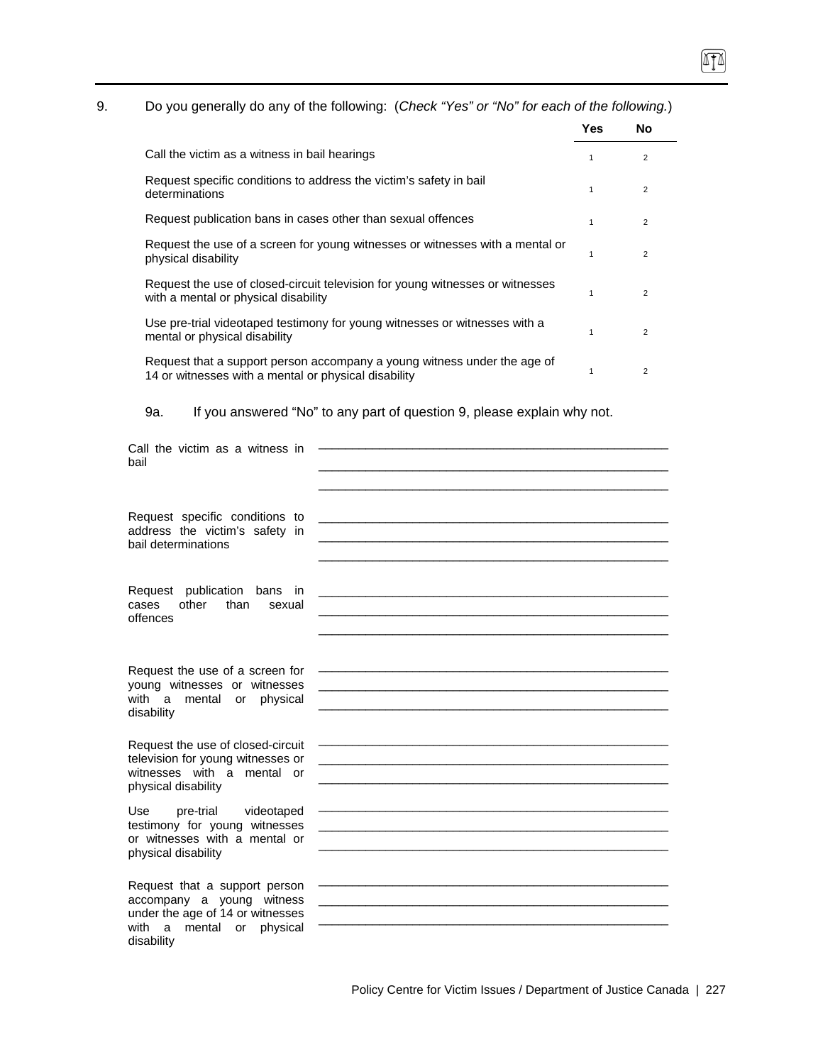# П

# 9. Do you generally do any of the following: (*Check "Yes" or "No" for each of the following.*)

|                                                                                                                                  | Yes | No             |  |
|----------------------------------------------------------------------------------------------------------------------------------|-----|----------------|--|
| Call the victim as a witness in bail hearings                                                                                    |     | 2              |  |
| Request specific conditions to address the victim's safety in bail<br>determinations                                             |     | $\overline{2}$ |  |
| Request publication bans in cases other than sexual offences                                                                     | 1   | $\overline{2}$ |  |
| Request the use of a screen for young witnesses or witnesses with a mental or<br>physical disability                             |     | $\overline{2}$ |  |
| Request the use of closed-circuit television for young witnesses or witnesses<br>with a mental or physical disability            |     | $\overline{2}$ |  |
| Use pre-trial videotaped testimony for young witnesses or witnesses with a<br>mental or physical disability                      | 1   | $\overline{2}$ |  |
| Request that a support person accompany a young witness under the age of<br>14 or witnesses with a mental or physical disability |     | $\overline{2}$ |  |

9a. If you answered "No" to any part of question 9, please explain why not.

| Call the victim as a witness in<br>bail                                                                                                      |  |
|----------------------------------------------------------------------------------------------------------------------------------------------|--|
| Request specific conditions to<br>address the victim's safety in<br>bail determinations                                                      |  |
| Request publication bans<br>in<br>other<br>than<br>cases<br>sexual<br>offences                                                               |  |
| Request the use of a screen for<br>young witnesses or witnesses<br>with a<br>mental<br>physical<br>or<br>disability                          |  |
| Request the use of closed-circuit<br>television for young witnesses or<br>witnesses with a mental or<br>physical disability                  |  |
| pre-trial<br>Use<br>videotaped<br>testimony for young witnesses<br>or witnesses with a mental or<br>physical disability                      |  |
| Request that a support person<br>accompany a young witness<br>under the age of 14 or witnesses<br>with a mental or<br>physical<br>disability |  |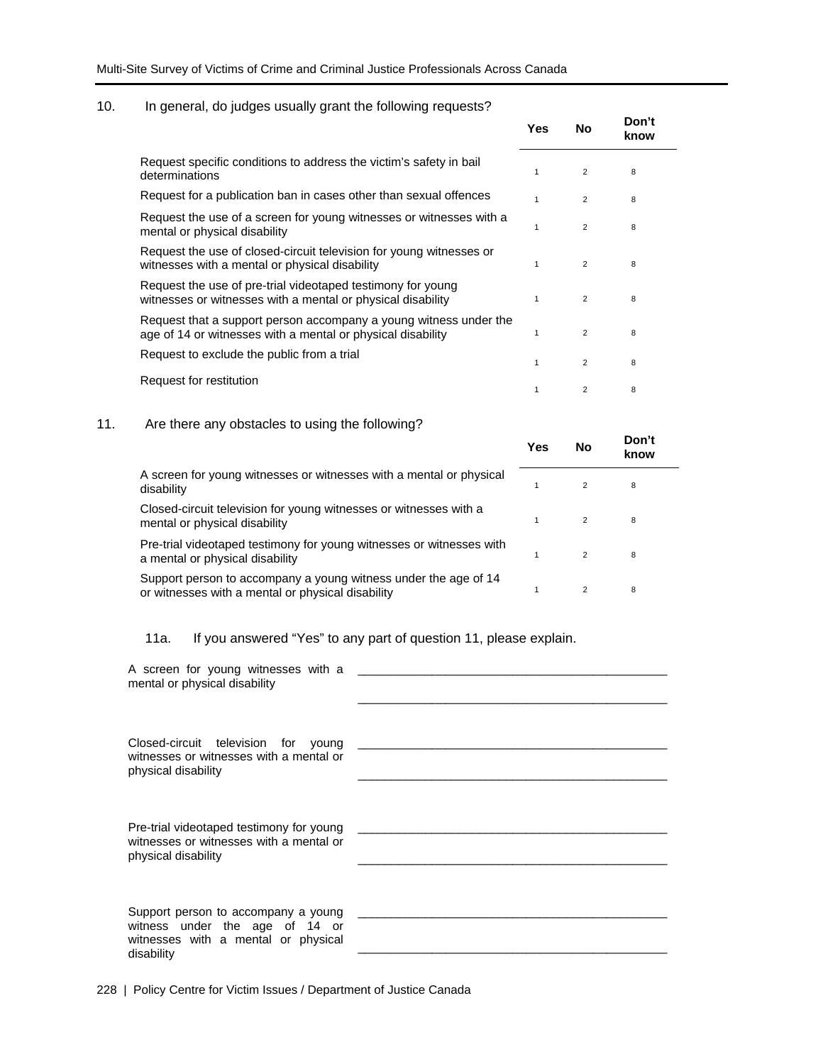## 10. In general, do judges usually grant the following requests?

|                                                                                                                                  | Yes | No             | Don't<br>know |
|----------------------------------------------------------------------------------------------------------------------------------|-----|----------------|---------------|
| Request specific conditions to address the victim's safety in bail<br>determinations                                             | 1   | $\overline{2}$ | 8             |
| Request for a publication ban in cases other than sexual offences                                                                | 1   | $\overline{2}$ | 8             |
| Request the use of a screen for young witnesses or witnesses with a<br>mental or physical disability                             | 1   | $\overline{2}$ | 8             |
| Request the use of closed-circuit television for young witnesses or<br>witnesses with a mental or physical disability            | 1   | 2              | 8             |
| Request the use of pre-trial videotaped testimony for young<br>witnesses or witnesses with a mental or physical disability       | 1   | $\overline{2}$ | 8             |
| Request that a support person accompany a young witness under the<br>age of 14 or witnesses with a mental or physical disability | 1   | 2              | 8             |
| Request to exclude the public from a trial                                                                                       | 1   | 2              | 8             |
| Request for restitution                                                                                                          | 1   | 2              | 8             |

## 11. Are there any obstacles to using the following?

|                                                                                                                      | Yes | No             | Don't<br>know |
|----------------------------------------------------------------------------------------------------------------------|-----|----------------|---------------|
| A screen for young witnesses or witnesses with a mental or physical<br>disability                                    |     | $\mathcal{P}$  | 8             |
| Closed-circuit television for young witnesses or witnesses with a<br>mental or physical disability                   |     | 2              | 8             |
| Pre-trial videotaped testimony for young witnesses or witnesses with<br>a mental or physical disability              |     | $\mathcal{P}$  | 8             |
| Support person to accompany a young witness under the age of 14<br>or witnesses with a mental or physical disability |     | $\overline{2}$ | 8             |

# 11a. If you answered "Yes" to any part of question 11, please explain.

| A screen for young witnesses with a<br>mental or physical disability                                                       |  |
|----------------------------------------------------------------------------------------------------------------------------|--|
| Closed-circuit television for young<br>witnesses or witnesses with a mental or<br>physical disability                      |  |
| Pre-trial videotaped testimony for young<br>witnesses or witnesses with a mental or<br>physical disability                 |  |
| Support person to accompany a young<br>witness under the age of 14 or<br>witnesses with a mental or physical<br>disability |  |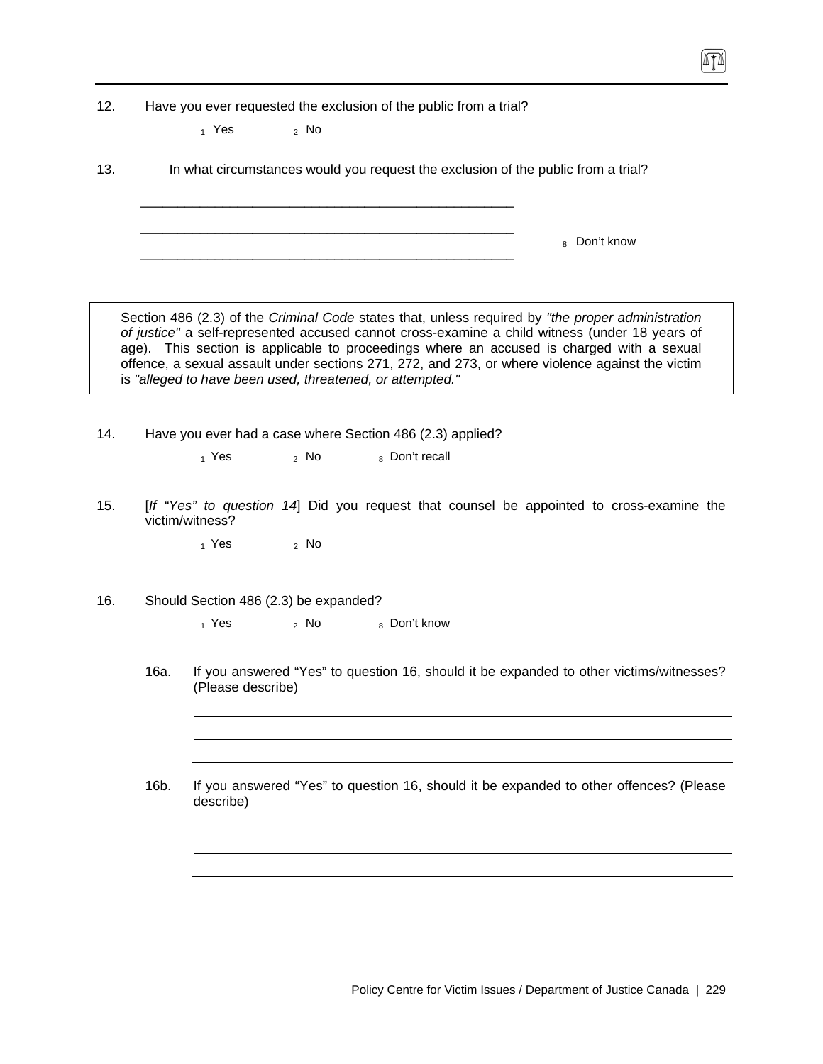12. Have you ever requested the exclusion of the public from a trial?

\_\_\_\_\_\_\_\_\_\_\_\_\_\_\_\_\_\_\_\_\_\_\_\_\_\_\_\_\_\_\_\_\_\_\_\_\_\_\_\_\_\_\_\_\_\_\_\_\_\_ \_\_\_\_\_\_\_\_\_\_\_\_\_\_\_\_\_\_\_\_\_\_\_\_\_\_\_\_\_\_\_\_\_\_\_\_\_\_\_\_\_\_\_\_\_\_\_\_\_\_

 $_1$  Yes  $_2$  No

13. In what circumstances would you request the exclusion of the public from a trial?

\_\_\_\_\_\_\_\_\_\_\_\_\_\_\_\_\_\_\_\_\_\_\_\_\_\_\_\_\_\_\_\_\_\_\_\_\_\_\_\_\_\_\_\_\_\_\_\_\_\_ 8 Don't know

Section 486 (2.3) of the *Criminal Code* states that, unless required by *"the proper administration of justice"* a self-represented accused cannot cross-examine a child witness (under 18 years of age). This section is applicable to proceedings where an accused is charged with a sexual offence, a sexual assault under sections 271, 272, and 273, or where violence against the victim is *"alleged to have been used, threatened, or attempted."*

14. Have you ever had a case where Section 486 (2.3) applied?

 $1$  Yes  $2$  No  $8$  Don't recall

15. [*If "Yes" to question 14*] Did you request that counsel be appointed to cross-examine the victim/witness?

 $_1$  Yes  $_2$  No

16. Should Section 486 (2.3) be expanded?

 $1$  Yes  $2$  No  $8$  Don't know

- 16a. If you answered "Yes" to question 16, should it be expanded to other victims/witnesses? (Please describe)
- 16b. If you answered "Yes" to question 16, should it be expanded to other offences? (Please describe)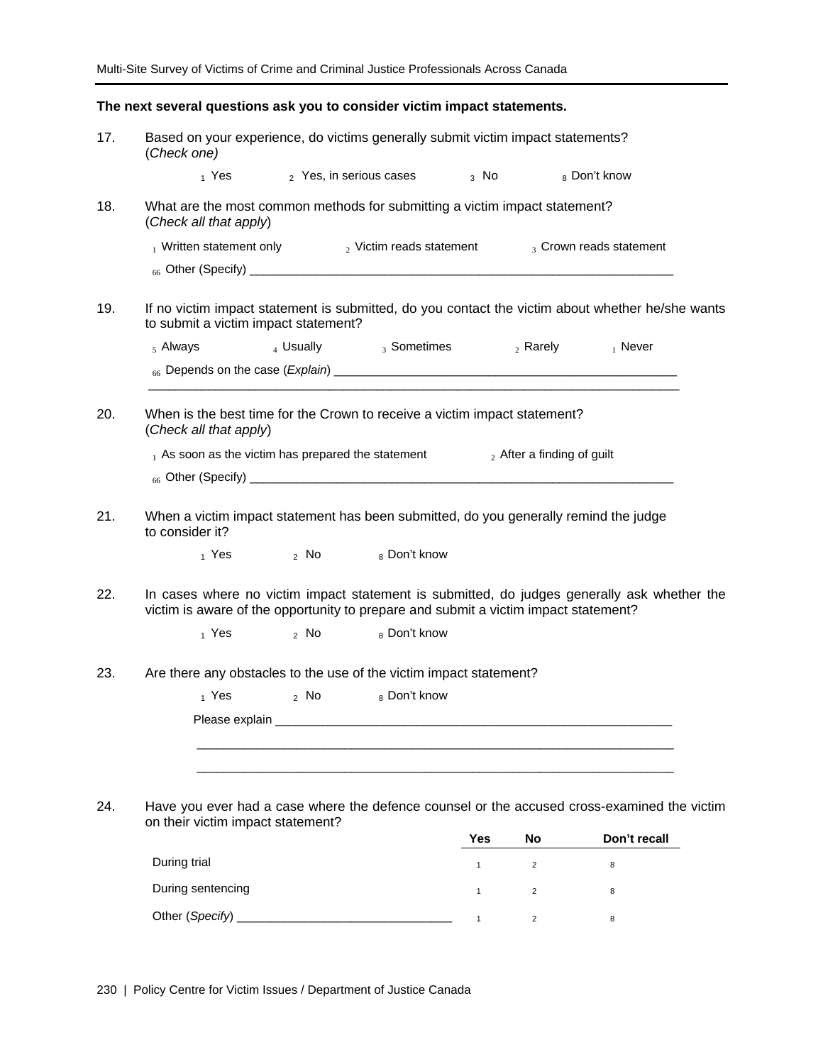|     | The next several questions ask you to consider victim impact statements.                                                                                                           |                |                                             |              |                               |                         |  |
|-----|------------------------------------------------------------------------------------------------------------------------------------------------------------------------------------|----------------|---------------------------------------------|--------------|-------------------------------|-------------------------|--|
| 17. | Based on your experience, do victims generally submit victim impact statements?<br>(Check one)                                                                                     |                |                                             |              |                               |                         |  |
|     |                                                                                                                                                                                    |                | $_1$ Yes $_2$ Yes, in serious cases $_3$ No |              |                               | 8 Don't know            |  |
| 18. | What are the most common methods for submitting a victim impact statement?<br>(Check all that apply)                                                                               |                |                                             |              |                               |                         |  |
|     | $_1$ Written statement only $_2$ Victim reads statement                                                                                                                            |                |                                             |              |                               | 3 Crown reads statement |  |
|     |                                                                                                                                                                                    |                |                                             |              |                               |                         |  |
| 19. | If no victim impact statement is submitted, do you contact the victim about whether he/she wants<br>to submit a victim impact statement?                                           |                |                                             |              |                               |                         |  |
|     | $5$ Always                                                                                                                                                                         |                | $_4$ Usually $_3$ Sometimes                 |              |                               | $_2$ Rarely $_1$ Never  |  |
|     |                                                                                                                                                                                    |                |                                             |              |                               |                         |  |
| 20. | When is the best time for the Crown to receive a victim impact statement?<br>(Check all that apply)                                                                                |                |                                             |              |                               |                         |  |
|     | $_1$ As soon as the victim has prepared the statement                                                                                                                              |                |                                             |              | $_2$ After a finding of guilt |                         |  |
|     |                                                                                                                                                                                    |                |                                             |              |                               |                         |  |
| 21. | When a victim impact statement has been submitted, do you generally remind the judge<br>to consider it?                                                                            |                |                                             |              |                               |                         |  |
|     | $_1$ Yes $_2$ No                                                                                                                                                                   |                | 8 Don't know                                |              |                               |                         |  |
| 22. | In cases where no victim impact statement is submitted, do judges generally ask whether the<br>victim is aware of the opportunity to prepare and submit a victim impact statement? |                |                                             |              |                               |                         |  |
|     | 1 Yes                                                                                                                                                                              | $2 \text{ No}$ | 8 Don't know                                |              |                               |                         |  |
| 23. | Are there any obstacles to the use of the victim impact statement?                                                                                                                 |                |                                             |              |                               |                         |  |
|     |                                                                                                                                                                                    |                | 1 Yes 2 No 8 Don't know                     |              |                               |                         |  |
|     |                                                                                                                                                                                    |                |                                             |              |                               |                         |  |
|     |                                                                                                                                                                                    |                |                                             |              |                               |                         |  |
|     |                                                                                                                                                                                    |                |                                             |              |                               |                         |  |
| 24. | Have you ever had a case where the defence counsel or the accused cross-examined the victim<br>on their victim impact statement?                                                   |                |                                             |              |                               |                         |  |
|     |                                                                                                                                                                                    |                |                                             | Yes          | No                            | Don't recall            |  |
|     | During trial                                                                                                                                                                       |                |                                             | $\mathbf{1}$ | $\overline{2}$                | 8                       |  |
|     | During sentencing                                                                                                                                                                  |                |                                             | $\mathbf{1}$ | $\overline{2}$                | 8                       |  |
|     | Other (Specify) _                                                                                                                                                                  |                |                                             | $\mathbf{1}$ | $\overline{2}$                | 8                       |  |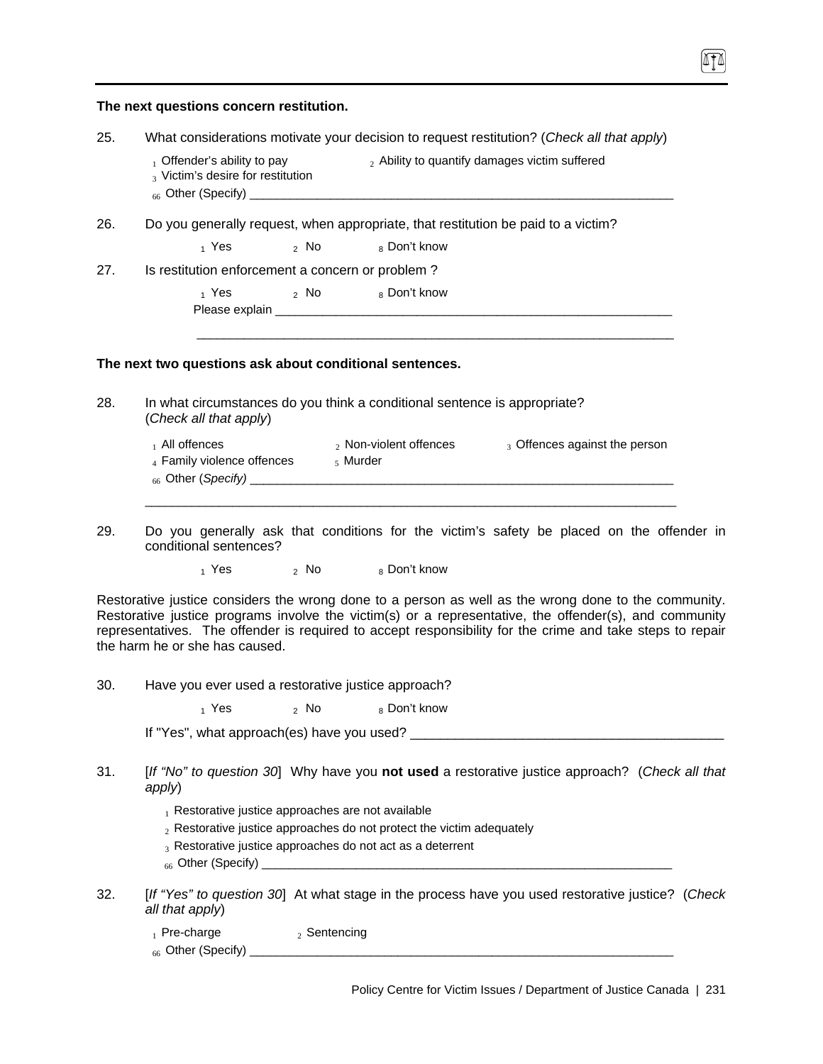| The next questions concern restitution. |
|-----------------------------------------|
|-----------------------------------------|

| 25.<br>What considerations motivate your decision to request restitution? (Check all that apply) |  |  |  |
|--------------------------------------------------------------------------------------------------|--|--|--|
|--------------------------------------------------------------------------------------------------|--|--|--|

- $_1$  Offender's ability to pay  $_2$  Ability to quantify damages victim suffered 3 Victim's desire for restitution
	-
- $_{66}$  Other (Specify)  $\_$
- 26. Do you generally request, when appropriate, that restitution be paid to a victim?

 $_1$  Yes  $_2$  No  $_8$  Don't know

27. Is restitution enforcement a concern or problem ?

 $_1$  Yes  $_2$  No  $_8$  Don't know Please explain \_\_\_\_

#### **The next two questions ask about conditional sentences.**

28. In what circumstances do you think a conditional sentence is appropriate? (*Check all that apply*)

| $_1$ All offences          | $_2$ Non-violent offences | 3 Offences against the person |
|----------------------------|---------------------------|-------------------------------|
| 4 Family violence offences | $\frac{1}{2}$ Murder      |                               |
| $_{66}$ Other (Specify)    |                           |                               |
|                            |                           |                               |

\_\_\_\_\_\_\_\_\_\_\_\_\_\_\_\_\_\_\_\_\_\_\_\_\_\_\_\_\_\_\_\_\_\_\_\_\_\_\_\_\_\_\_\_\_\_\_\_\_\_\_\_\_\_\_\_\_\_\_\_\_\_\_\_\_\_\_\_\_\_\_

29. Do you generally ask that conditions for the victim's safety be placed on the offender in conditional sentences?

 $_1$  Yes  $_2$  No  $_8$  Don't know

Restorative justice considers the wrong done to a person as well as the wrong done to the community. Restorative justice programs involve the victim(s) or a representative, the offender(s), and community representatives. The offender is required to accept responsibility for the crime and take steps to repair the harm he or she has caused.

30. Have you ever used a restorative justice approach?

 $_1$  Yes  $_2$  No  $_8$  Don't know

If "Yes", what approach(es) have you used? \_\_\_\_\_\_\_\_\_\_\_\_\_\_\_\_\_\_\_\_\_\_\_\_\_\_\_\_\_\_\_\_\_\_\_\_\_\_\_\_\_\_

- 31. [*If "No" to question 30*] Why have you **not used** a restorative justice approach? (*Check all that apply*)
	- $<sub>1</sub>$  Restorative justice approaches are not available</sub>
	- $_2$  Restorative justice approaches do not protect the victim adequately
	- 3 Restorative justice approaches do not act as a deterrent
	- $_{66}$  Other (Specify)  $_{-}$
- 32. [*If "Yes" to question 30*] At what stage in the process have you used restorative justice? (*Check all that apply*)

| $_1$ Pre-charge               | Sentencing |  |
|-------------------------------|------------|--|
| <sub>66</sub> Other (Specify) |            |  |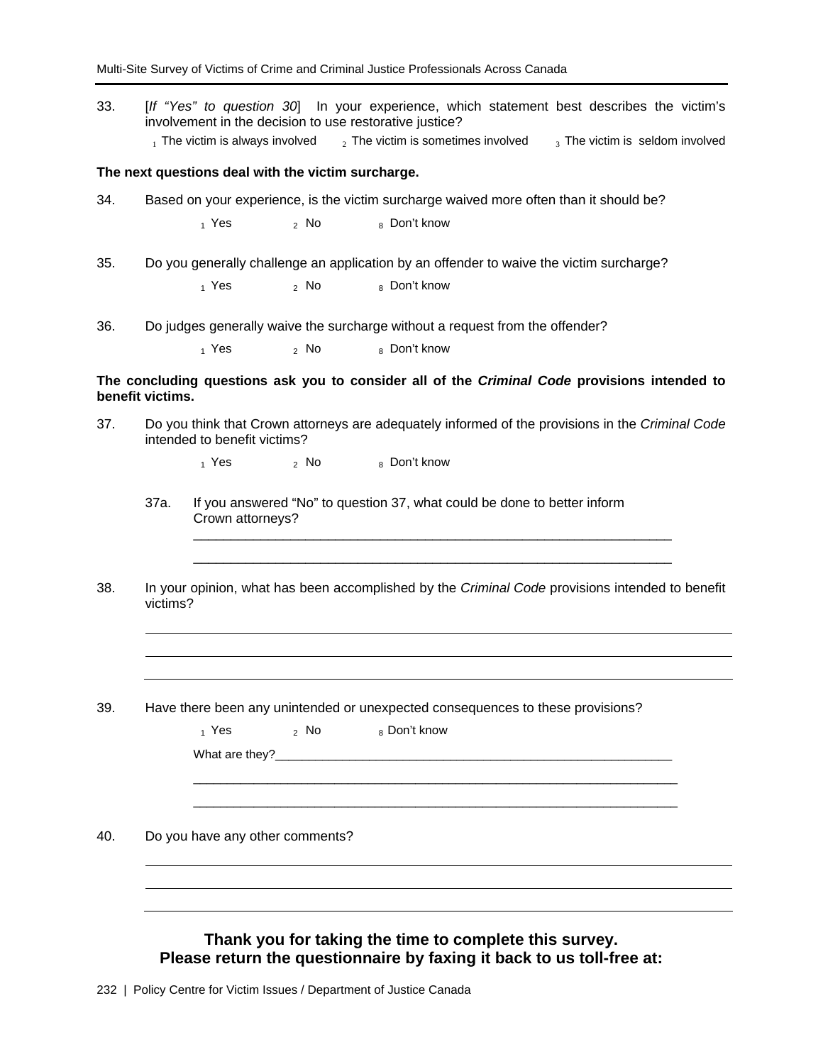33. [*If "Yes" to question 30*] In your experience, which statement best describes the victim's involvement in the decision to use restorative justice?  $_1$  The victim is always involved  $_2$  The victim is sometimes involved  $_3$  The victim is seldom involved

#### **The next questions deal with the victim surcharge.**

34. Based on your experience, is the victim surcharge waived more often than it should be?

 $_1$  Yes  $_2$  No  $_8$  Don't know

35. Do you generally challenge an application by an offender to waive the victim surcharge?

 $_1$  Yes  $_2$  No  $_8$  Don't know

36. Do judges generally waive the surcharge without a request from the offender?

 $_1$  Yes  $_2$  No  $_8$  Don't know

### **The concluding questions ask you to consider all of the** *Criminal Code* **provisions intended to benefit victims.**

37. Do you think that Crown attorneys are adequately informed of the provisions in the *Criminal Code* intended to benefit victims?

 $_1$  Yes  $_2$  No  $_8$  Don't know

- 37a. If you answered "No" to question 37, what could be done to better inform Crown attorneys?
- 38. In your opinion, what has been accomplished by the *Criminal Code* provisions intended to benefit victims?

\_\_\_\_\_\_\_\_\_\_\_\_\_\_\_\_\_\_\_\_\_\_\_\_\_\_\_\_\_\_\_\_\_\_\_\_\_\_\_\_\_\_\_\_\_\_\_\_\_\_\_\_\_\_\_\_\_\_\_\_\_\_\_\_ \_\_\_\_\_\_\_\_\_\_\_\_\_\_\_\_\_\_\_\_\_\_\_\_\_\_\_\_\_\_\_\_\_\_\_\_\_\_\_\_\_\_\_\_\_\_\_\_\_\_\_\_\_\_\_\_\_\_\_\_\_\_\_\_

39. Have there been any unintended or unexpected consequences to these provisions?

| $_1$ Yes and $\overline{ }$ |                                 | 2 No 8 Don't know |
|-----------------------------|---------------------------------|-------------------|
|                             |                                 |                   |
|                             |                                 |                   |
|                             |                                 |                   |
|                             |                                 |                   |
|                             |                                 |                   |
|                             |                                 |                   |
|                             | Do you have any other comments? |                   |
|                             |                                 |                   |

**Thank you for taking the time to complete this survey. Please return the questionnaire by faxing it back to us toll-free at:**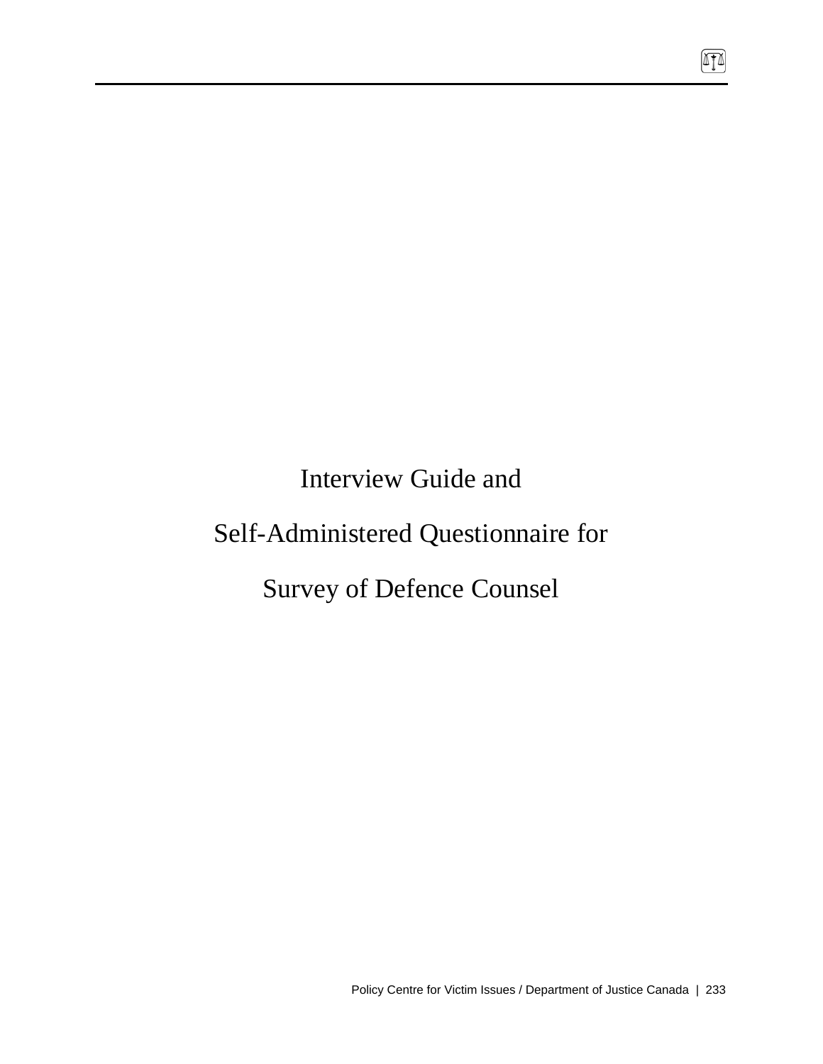Interview Guide and

# Self-Administered Questionnaire for

# Survey of Defence Counsel

 $\sqrt{10}$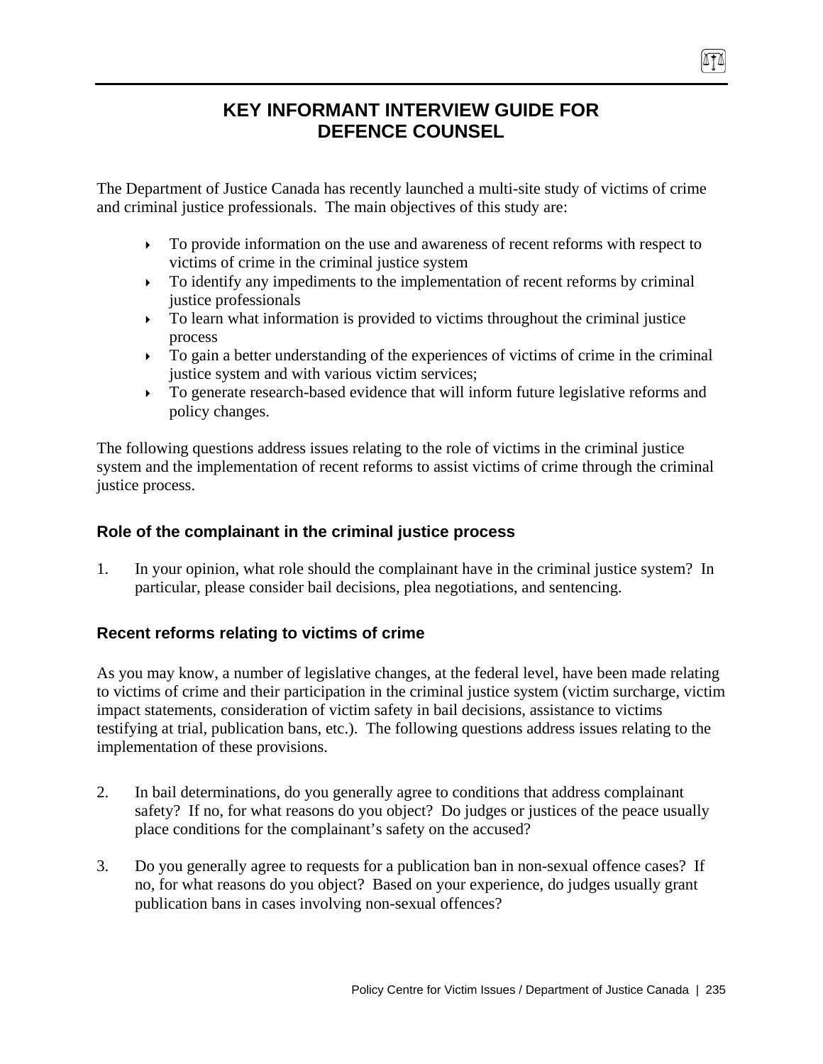# **KEY INFORMANT INTERVIEW GUIDE FOR DEFENCE COUNSEL**

The Department of Justice Canada has recently launched a multi-site study of victims of crime and criminal justice professionals. The main objectives of this study are:

- $\triangleright$  To provide information on the use and awareness of recent reforms with respect to victims of crime in the criminal justice system
- $\triangleright$  To identify any impediments to the implementation of recent reforms by criminal justice professionals
- $\triangleright$  To learn what information is provided to victims throughout the criminal justice process
- $\triangleright$  To gain a better understanding of the experiences of victims of crime in the criminal justice system and with various victim services;
- $\triangleright$  To generate research-based evidence that will inform future legislative reforms and policy changes.

The following questions address issues relating to the role of victims in the criminal justice system and the implementation of recent reforms to assist victims of crime through the criminal justice process.

# **Role of the complainant in the criminal justice process**

1. In your opinion, what role should the complainant have in the criminal justice system? In particular, please consider bail decisions, plea negotiations, and sentencing.

# **Recent reforms relating to victims of crime**

As you may know, a number of legislative changes, at the federal level, have been made relating to victims of crime and their participation in the criminal justice system (victim surcharge, victim impact statements, consideration of victim safety in bail decisions, assistance to victims testifying at trial, publication bans, etc.). The following questions address issues relating to the implementation of these provisions.

- 2. In bail determinations, do you generally agree to conditions that address complainant safety? If no, for what reasons do you object? Do judges or justices of the peace usually place conditions for the complainant's safety on the accused?
- 3. Do you generally agree to requests for a publication ban in non-sexual offence cases? If no, for what reasons do you object? Based on your experience, do judges usually grant publication bans in cases involving non-sexual offences?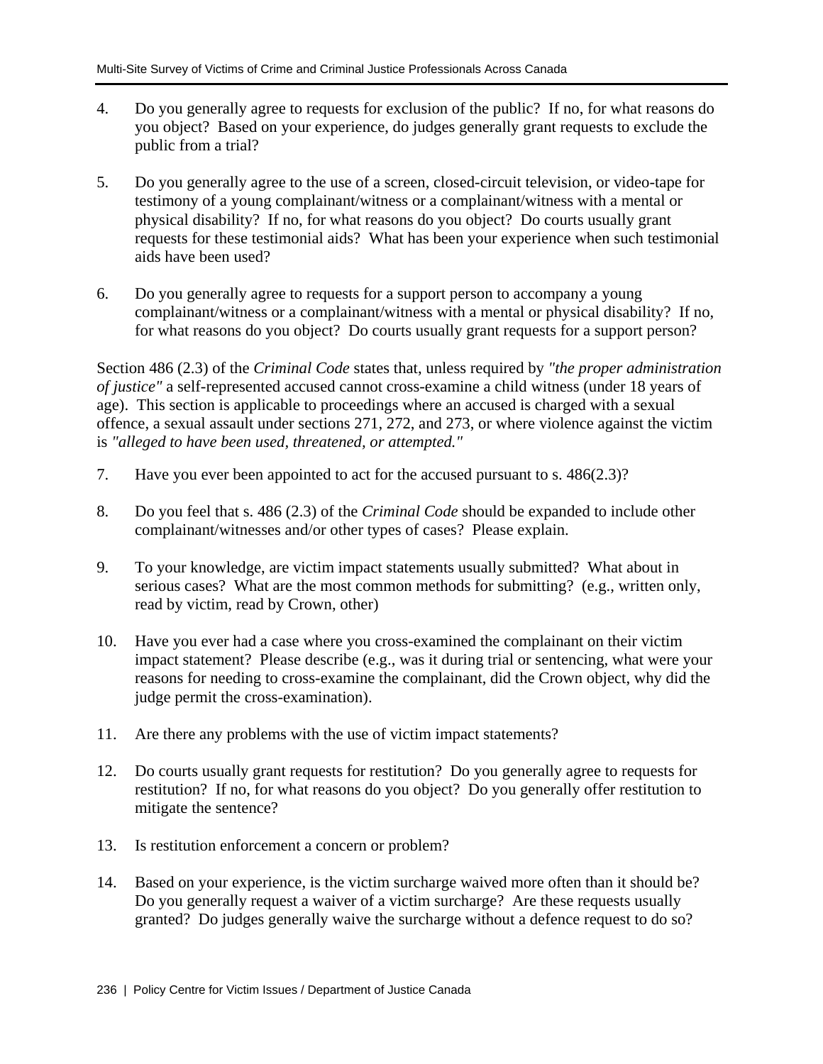- 4. Do you generally agree to requests for exclusion of the public? If no, for what reasons do you object? Based on your experience, do judges generally grant requests to exclude the public from a trial?
- 5. Do you generally agree to the use of a screen, closed-circuit television, or video-tape for testimony of a young complainant/witness or a complainant/witness with a mental or physical disability? If no, for what reasons do you object? Do courts usually grant requests for these testimonial aids? What has been your experience when such testimonial aids have been used?
- 6. Do you generally agree to requests for a support person to accompany a young complainant/witness or a complainant/witness with a mental or physical disability? If no, for what reasons do you object? Do courts usually grant requests for a support person?

Section 486 (2.3) of the *Criminal Code* states that, unless required by *"the proper administration of justice"* a self-represented accused cannot cross-examine a child witness (under 18 years of age). This section is applicable to proceedings where an accused is charged with a sexual offence, a sexual assault under sections 271, 272, and 273, or where violence against the victim is *"alleged to have been used, threatened, or attempted."*

- 7. Have you ever been appointed to act for the accused pursuant to s. 486(2.3)?
- 8. Do you feel that s. 486 (2.3) of the *Criminal Code* should be expanded to include other complainant/witnesses and/or other types of cases? Please explain.
- 9. To your knowledge, are victim impact statements usually submitted? What about in serious cases? What are the most common methods for submitting? (e.g., written only, read by victim, read by Crown, other)
- 10. Have you ever had a case where you cross-examined the complainant on their victim impact statement? Please describe (e.g., was it during trial or sentencing, what were your reasons for needing to cross-examine the complainant, did the Crown object, why did the judge permit the cross-examination).
- 11. Are there any problems with the use of victim impact statements?
- 12. Do courts usually grant requests for restitution? Do you generally agree to requests for restitution? If no, for what reasons do you object? Do you generally offer restitution to mitigate the sentence?
- 13. Is restitution enforcement a concern or problem?
- 14. Based on your experience, is the victim surcharge waived more often than it should be? Do you generally request a waiver of a victim surcharge? Are these requests usually granted? Do judges generally waive the surcharge without a defence request to do so?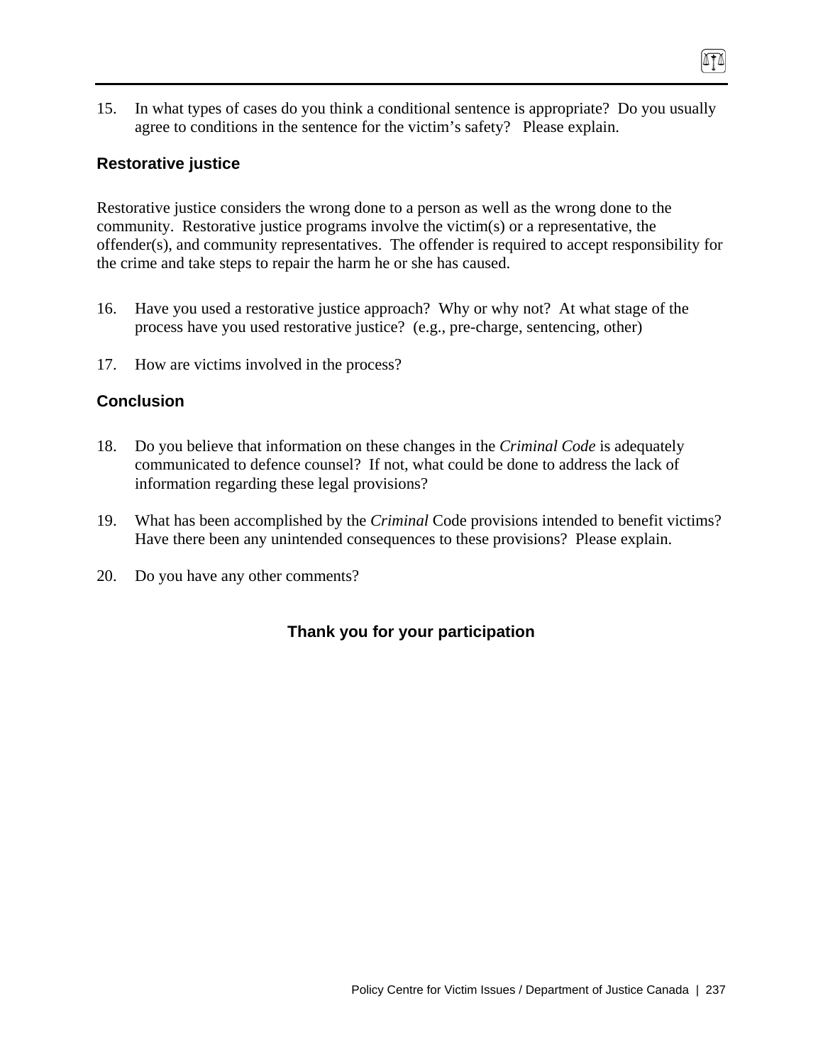15. In what types of cases do you think a conditional sentence is appropriate? Do you usually agree to conditions in the sentence for the victim's safety? Please explain.

874

### **Restorative justice**

Restorative justice considers the wrong done to a person as well as the wrong done to the community. Restorative justice programs involve the victim(s) or a representative, the offender(s), and community representatives. The offender is required to accept responsibility for the crime and take steps to repair the harm he or she has caused.

- 16. Have you used a restorative justice approach? Why or why not? At what stage of the process have you used restorative justice? (e.g., pre-charge, sentencing, other)
- 17. How are victims involved in the process?

### **Conclusion**

- 18. Do you believe that information on these changes in the *Criminal Code* is adequately communicated to defence counsel? If not, what could be done to address the lack of information regarding these legal provisions?
- 19. What has been accomplished by the *Criminal* Code provisions intended to benefit victims? Have there been any unintended consequences to these provisions? Please explain.
- 20. Do you have any other comments?

# **Thank you for your participation**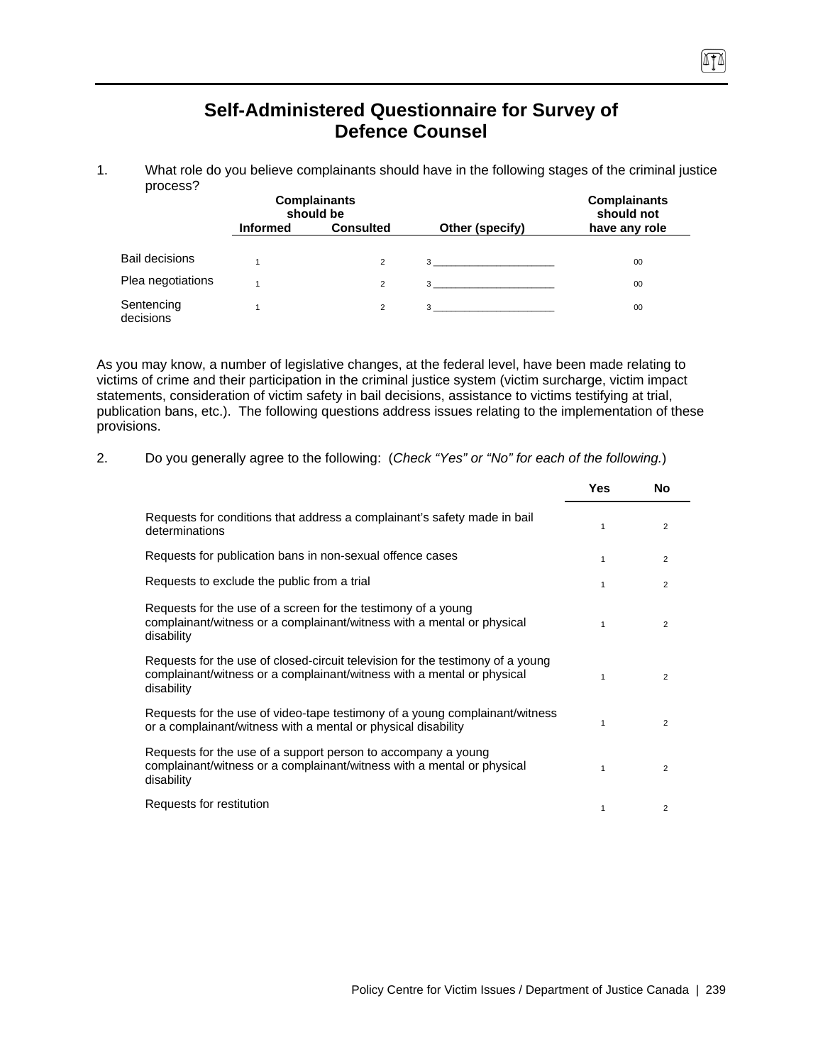# **Self-Administered Questionnaire for Survey of Defence Counsel**

1. What role do you believe complainants should have in the following stages of the criminal justice process?

|                         |                 | <b>Complainants</b><br>should be |                                | <b>Complainants</b><br>should not |  |
|-------------------------|-----------------|----------------------------------|--------------------------------|-----------------------------------|--|
|                         | <b>Informed</b> | <b>Consulted</b>                 | Other (specify)                | have any role                     |  |
| <b>Bail decisions</b>   |                 | 2                                | $3 \overline{3}$               | 00                                |  |
| Plea negotiations       |                 | 2                                | $3 \overline{3}$               | 00                                |  |
| Sentencing<br>decisions |                 | 2                                | $3 \left( \frac{1}{2} \right)$ | 00                                |  |

As you may know, a number of legislative changes, at the federal level, have been made relating to victims of crime and their participation in the criminal justice system (victim surcharge, victim impact statements, consideration of victim safety in bail decisions, assistance to victims testifying at trial, publication bans, etc.). The following questions address issues relating to the implementation of these provisions.

| <u>.</u> | Do you generally agree to the following: (Check "Yes" or "No" for each of the following.) |
|----------|-------------------------------------------------------------------------------------------|
|          |                                                                                           |

|                                                                                                                                                                        | <b>Yes</b>  | No             |
|------------------------------------------------------------------------------------------------------------------------------------------------------------------------|-------------|----------------|
| Requests for conditions that address a complainant's safety made in bail<br>determinations                                                                             | 1           | 2              |
| Requests for publication bans in non-sexual offence cases                                                                                                              | 1           | 2              |
| Requests to exclude the public from a trial                                                                                                                            | 1           | 2              |
| Requests for the use of a screen for the testimony of a young<br>complainant/witness or a complainant/witness with a mental or physical<br>disability                  | $\mathbf 1$ | $\overline{2}$ |
| Requests for the use of closed-circuit television for the testimony of a young<br>complainant/witness or a complainant/witness with a mental or physical<br>disability | 1           | $\overline{2}$ |
| Requests for the use of video-tape testimony of a young complainant/witness<br>or a complainant/witness with a mental or physical disability                           | 1           | 2              |
| Requests for the use of a support person to accompany a young<br>complainant/witness or a complainant/witness with a mental or physical<br>disability                  | 1           | $\overline{2}$ |
| Requests for restitution                                                                                                                                               | 1           | 2              |

Policy Centre for Victim Issues / Department of Justice Canada | 239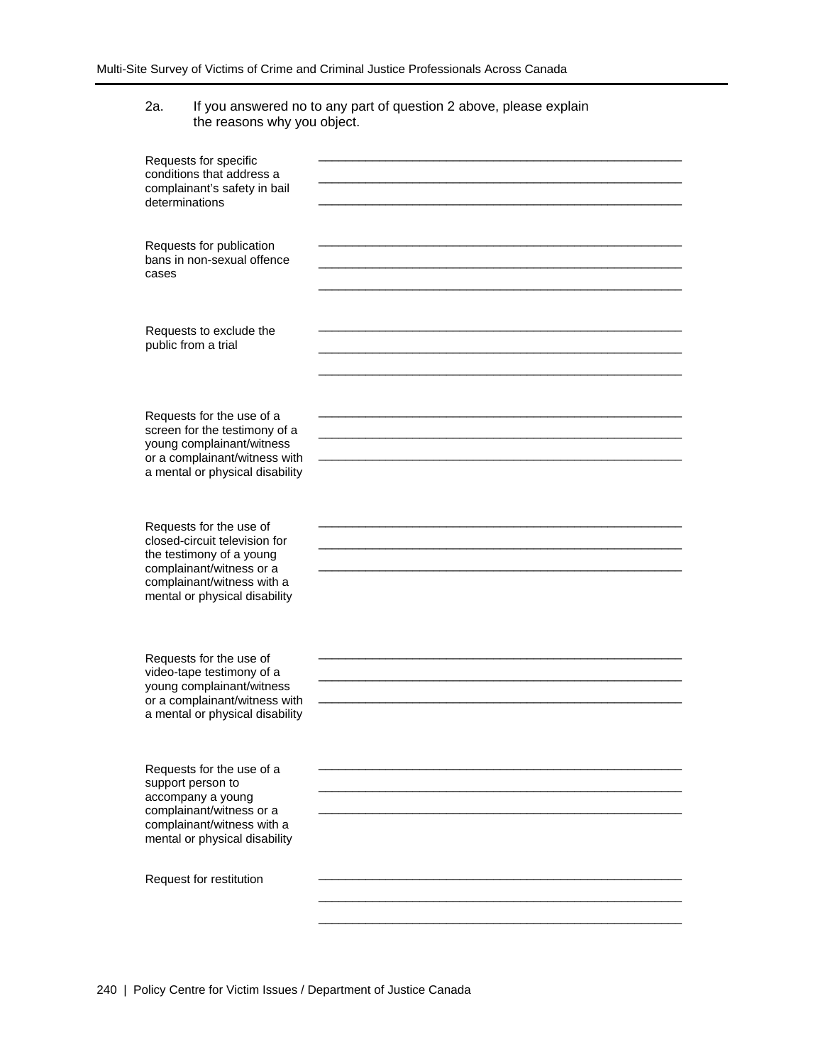### 2a. If you answered no to any part of question 2 above, please explain the reasons why you object.

| Requests for specific<br>conditions that address a<br>complainant's safety in bail<br>determinations                                                                            |  |
|---------------------------------------------------------------------------------------------------------------------------------------------------------------------------------|--|
| Requests for publication<br>bans in non-sexual offence<br>cases                                                                                                                 |  |
| Requests to exclude the<br>public from a trial                                                                                                                                  |  |
| Requests for the use of a<br>screen for the testimony of a<br>young complainant/witness<br>or a complainant/witness with<br>a mental or physical disability                     |  |
| Requests for the use of<br>closed-circuit television for<br>the testimony of a young<br>complainant/witness or a<br>complainant/witness with a<br>mental or physical disability |  |
| Requests for the use of<br>video-tape testimony of a<br>young complainant/witness<br>or a complainant/witness with<br>a mental or physical disability                           |  |
| Requests for the use of a<br>support person to<br>accompany a young<br>complainant/witness or a<br>complainant/witness with a<br>mental or physical disability                  |  |
| Request for restitution                                                                                                                                                         |  |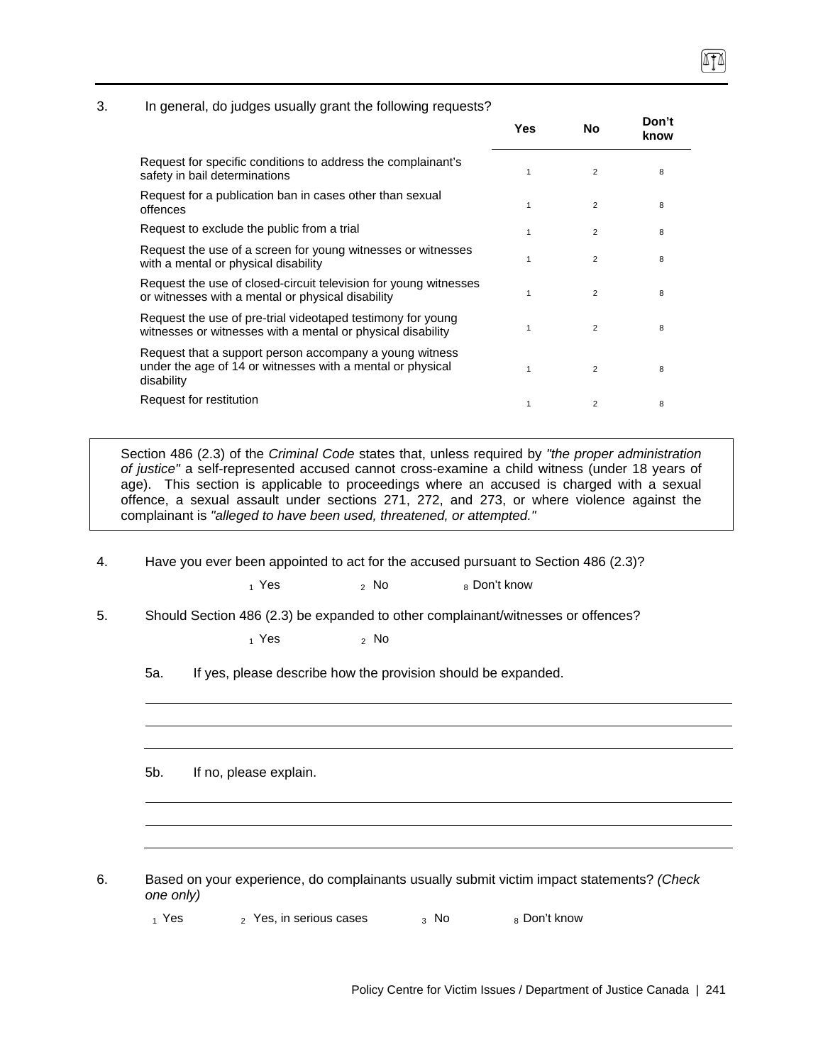#### 3. In general, do judges usually grant the following requests?

|                                                                                                                                     | Yes | No             | Don't<br>know |
|-------------------------------------------------------------------------------------------------------------------------------------|-----|----------------|---------------|
| Request for specific conditions to address the complainant's<br>safety in bail determinations                                       | 1   | 2              | 8             |
| Request for a publication ban in cases other than sexual<br>offences                                                                | 1   | $\overline{2}$ | 8             |
| Request to exclude the public from a trial                                                                                          | 1   | $\overline{2}$ | 8             |
| Request the use of a screen for young witnesses or witnesses<br>with a mental or physical disability                                | 1   | $\overline{2}$ | 8             |
| Request the use of closed-circuit television for young witnesses<br>or witnesses with a mental or physical disability               | 1   | $\overline{2}$ | 8             |
| Request the use of pre-trial videotaped testimony for young<br>witnesses or witnesses with a mental or physical disability          | 1   | $\overline{2}$ | 8             |
| Request that a support person accompany a young witness<br>under the age of 14 or witnesses with a mental or physical<br>disability | 1   | $\overline{2}$ | 8             |
| Request for restitution                                                                                                             | 1   | $\overline{2}$ | 8             |

Section 486 (2.3) of the *Criminal Code* states that, unless required by *"the proper administration of justice"* a self-represented accused cannot cross-examine a child witness (under 18 years of age). This section is applicable to proceedings where an accused is charged with a sexual offence, a sexual assault under sections 271, 272, and 273, or where violence against the complainant is *"alleged to have been used, threatened, or attempted."*

4. Have you ever been appointed to act for the accused pursuant to Section 486 (2.3)?

8 Don't know

5. Should Section 486 (2.3) be expanded to other complainant/witnesses or offences?

 $1$  Yes  $2$  No

5a. If yes, please describe how the provision should be expanded.

5b. If no, please explain.

6. Based on your experience, do complainants usually submit victim impact statements? *(Check one only)*

 $_1$  Yes  $_2$  Yes, in serious cases  $_3$  No  $_8$  Don't know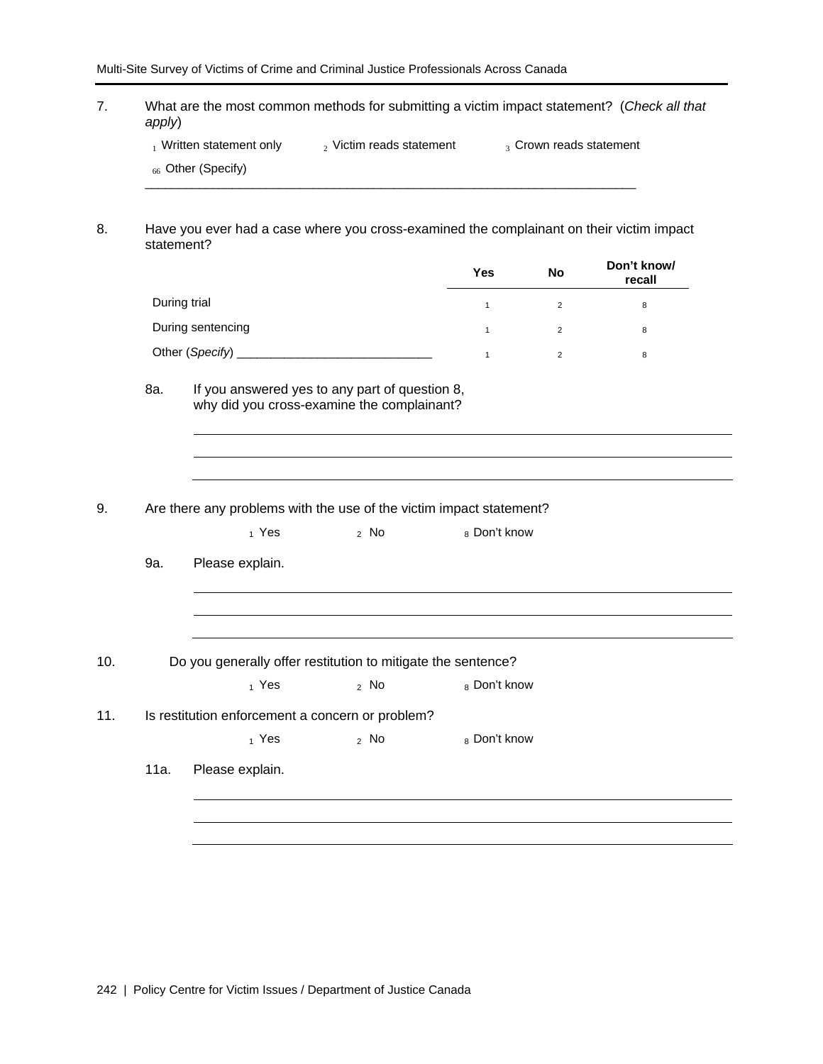7. What are the most common methods for submitting a victim impact statement? (*Check all that apply*)

| Written statement only | Victim reads statement | 3 Crown reads statement |
|------------------------|------------------------|-------------------------|
|------------------------|------------------------|-------------------------|

\_\_\_\_\_\_\_\_\_\_\_\_\_\_\_\_\_\_\_\_\_\_\_\_\_\_\_\_\_\_\_\_\_\_\_\_\_\_\_\_\_\_\_\_\_\_\_\_\_\_\_\_\_\_\_\_\_\_\_\_\_\_\_\_\_\_\_\_\_\_\_\_\_

 $_{66}$  Other (Specify)

8. Have you ever had a case where you cross-examined the complainant on their victim impact statement?

|                   | Yes | No             | Don't know/<br>recall |
|-------------------|-----|----------------|-----------------------|
| During trial      |     | $\overline{2}$ | 8                     |
| During sentencing |     | $\overline{2}$ | 8                     |
|                   |     | $\overline{2}$ | 8                     |

why did you cross-examine the complainant?

- 9. Are there any problems with the use of the victim impact statement?
	- $_1$  Yes  $_2$  No  $_8$  Don't know

9a. Please explain.

- 10. Do you generally offer restitution to mitigate the sentence?
	- $_1$  Yes  $_2$  No  $_8$  Don't know
- 11. Is restitution enforcement a concern or problem?
	- $1$  Yes  $2$  No  $8$  Don't know
	- 11a. Please explain.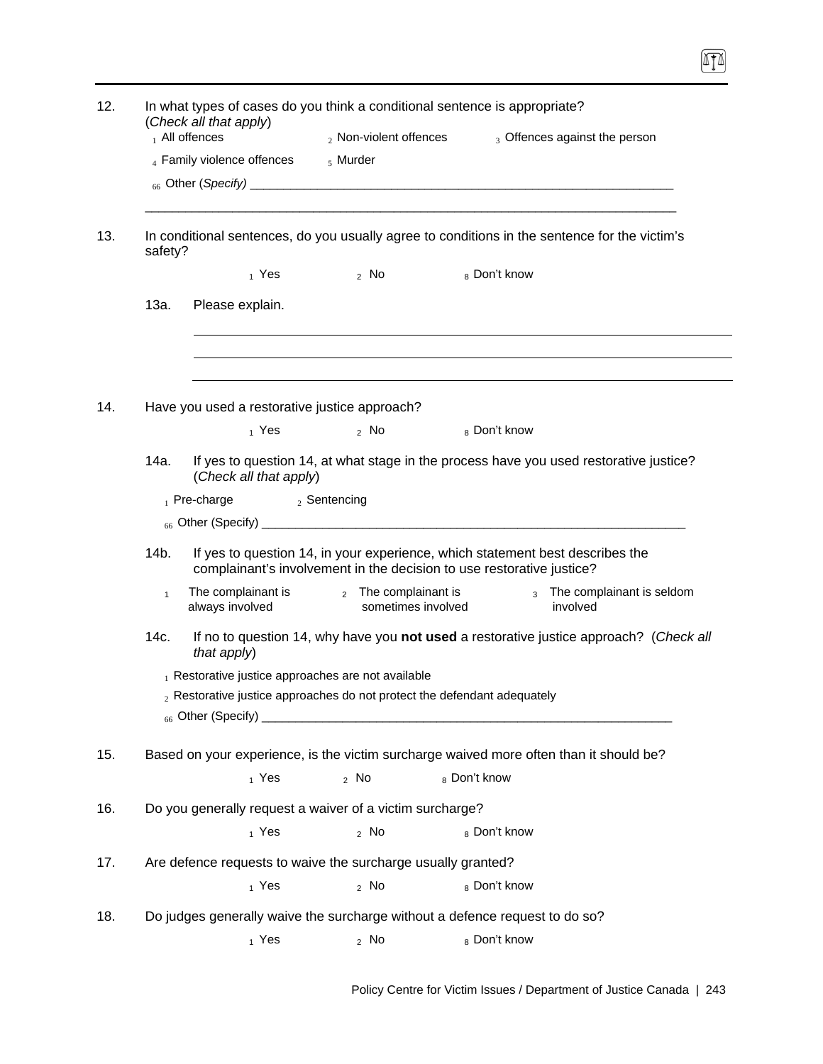|              | (Check all that apply)<br>$_1$ All offences      | 2 Non-violent offences                                                      | 3 Offences against the person                                                                                                                          |
|--------------|--------------------------------------------------|-----------------------------------------------------------------------------|--------------------------------------------------------------------------------------------------------------------------------------------------------|
|              | 4 Family violence offences                       | $5$ Murder                                                                  |                                                                                                                                                        |
| safety?      |                                                  |                                                                             | In conditional sentences, do you usually agree to conditions in the sentence for the victim's                                                          |
|              | 1 Yes                                            | 2 NQ                                                                        | <sub>8</sub> Don't know                                                                                                                                |
| 13a.         | Please explain.                                  |                                                                             |                                                                                                                                                        |
|              |                                                  |                                                                             |                                                                                                                                                        |
|              | Have you used a restorative justice approach?    |                                                                             |                                                                                                                                                        |
|              | 1 Yes                                            | $2$ No $2$                                                                  | 8 Don't know                                                                                                                                           |
| 14a.         | (Check all that apply)                           |                                                                             | If yes to question 14, at what stage in the process have you used restorative justice?                                                                 |
|              | $_1$ Pre-charge                                  | $_2$ Sentencing                                                             |                                                                                                                                                        |
|              |                                                  |                                                                             |                                                                                                                                                        |
| 14b.         |                                                  |                                                                             | If yes to question 14, in your experience, which statement best describes the<br>complainant's involvement in the decision to use restorative justice? |
| $\mathbf{1}$ | The complainant is<br>always involved            | 2 The complainant is<br>sometimes involved                                  | 3 The complainant is seldom<br>involved                                                                                                                |
| 14c.         | that apply)                                      |                                                                             | If no to question 14, why have you not used a restorative justice approach? (Check all                                                                 |
|              | Restorative justice approaches are not available |                                                                             |                                                                                                                                                        |
|              |                                                  | $_2$ Restorative justice approaches do not protect the defendant adequately |                                                                                                                                                        |
|              |                                                  |                                                                             |                                                                                                                                                        |
|              |                                                  |                                                                             | Based on your experience, is the victim surcharge waived more often than it should be?                                                                 |
|              | 1 Yes                                            | $2$ No                                                                      | 8 Don't know                                                                                                                                           |
|              |                                                  | Do you generally request a waiver of a victim surcharge?                    |                                                                                                                                                        |
|              | $_1$ Yes                                         | $2$ No                                                                      | 8 Don't know                                                                                                                                           |
|              |                                                  | Are defence requests to waive the surcharge usually granted?                |                                                                                                                                                        |
|              |                                                  |                                                                             | 8 Don't know                                                                                                                                           |
|              | $_1$ Yes                                         | $2$ No                                                                      |                                                                                                                                                        |
|              |                                                  |                                                                             | Do judges generally waive the surcharge without a defence request to do so?                                                                            |

T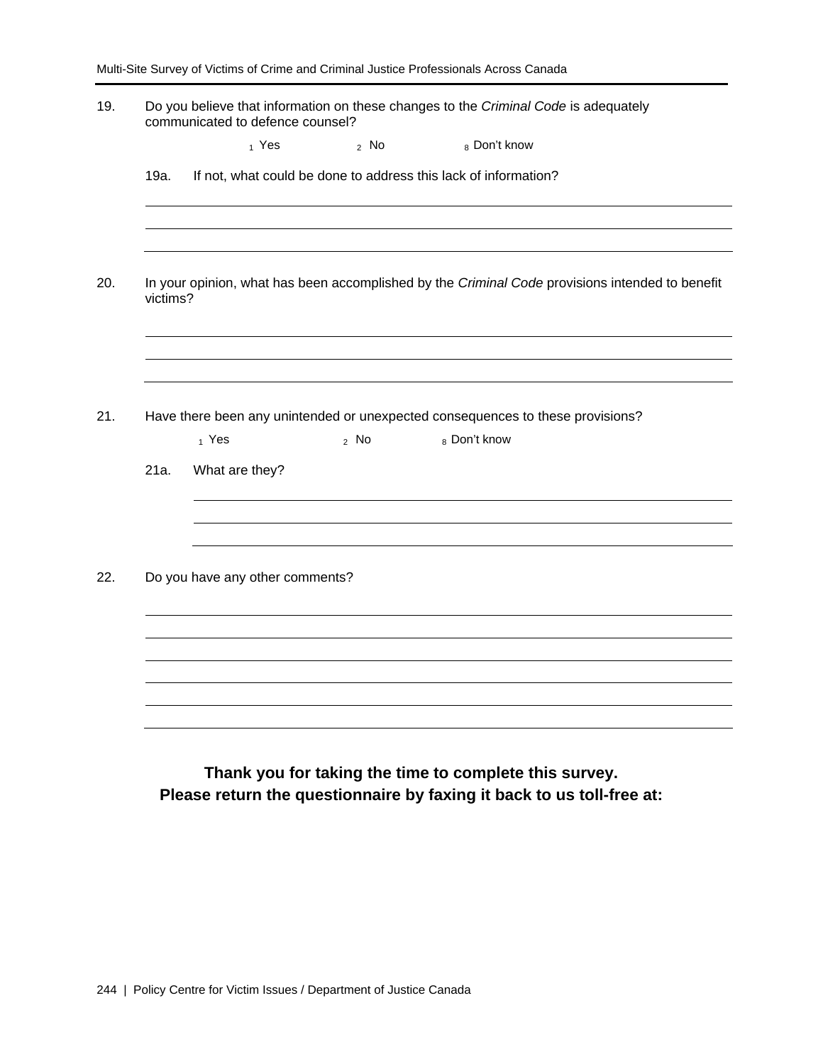|          | Do you believe that information on these changes to the Criminal Code is adequately<br>communicated to defence counsel? |        |                                                                                |                                                                                                 |
|----------|-------------------------------------------------------------------------------------------------------------------------|--------|--------------------------------------------------------------------------------|-------------------------------------------------------------------------------------------------|
|          | $_1$ Yes                                                                                                                | $2$ No | 8 Don't know                                                                   |                                                                                                 |
| 19a.     |                                                                                                                         |        | If not, what could be done to address this lack of information?                |                                                                                                 |
|          |                                                                                                                         |        |                                                                                |                                                                                                 |
| victims? |                                                                                                                         |        |                                                                                | In your opinion, what has been accomplished by the Criminal Code provisions intended to benefit |
|          |                                                                                                                         |        |                                                                                |                                                                                                 |
|          |                                                                                                                         |        |                                                                                |                                                                                                 |
|          |                                                                                                                         |        |                                                                                |                                                                                                 |
|          |                                                                                                                         |        | Have there been any unintended or unexpected consequences to these provisions? |                                                                                                 |
|          | 1 Yes                                                                                                                   | $2$ No | 8 Don't know                                                                   |                                                                                                 |
| 21a.     | What are they?                                                                                                          |        |                                                                                |                                                                                                 |
|          |                                                                                                                         |        |                                                                                |                                                                                                 |
|          |                                                                                                                         |        |                                                                                |                                                                                                 |
|          | Do you have any other comments?                                                                                         |        |                                                                                |                                                                                                 |
|          |                                                                                                                         |        |                                                                                |                                                                                                 |
|          |                                                                                                                         |        |                                                                                |                                                                                                 |
|          |                                                                                                                         |        |                                                                                |                                                                                                 |
|          |                                                                                                                         |        |                                                                                |                                                                                                 |

**Thank you for taking the time to complete this survey. Please return the questionnaire by faxing it back to us toll-free at:**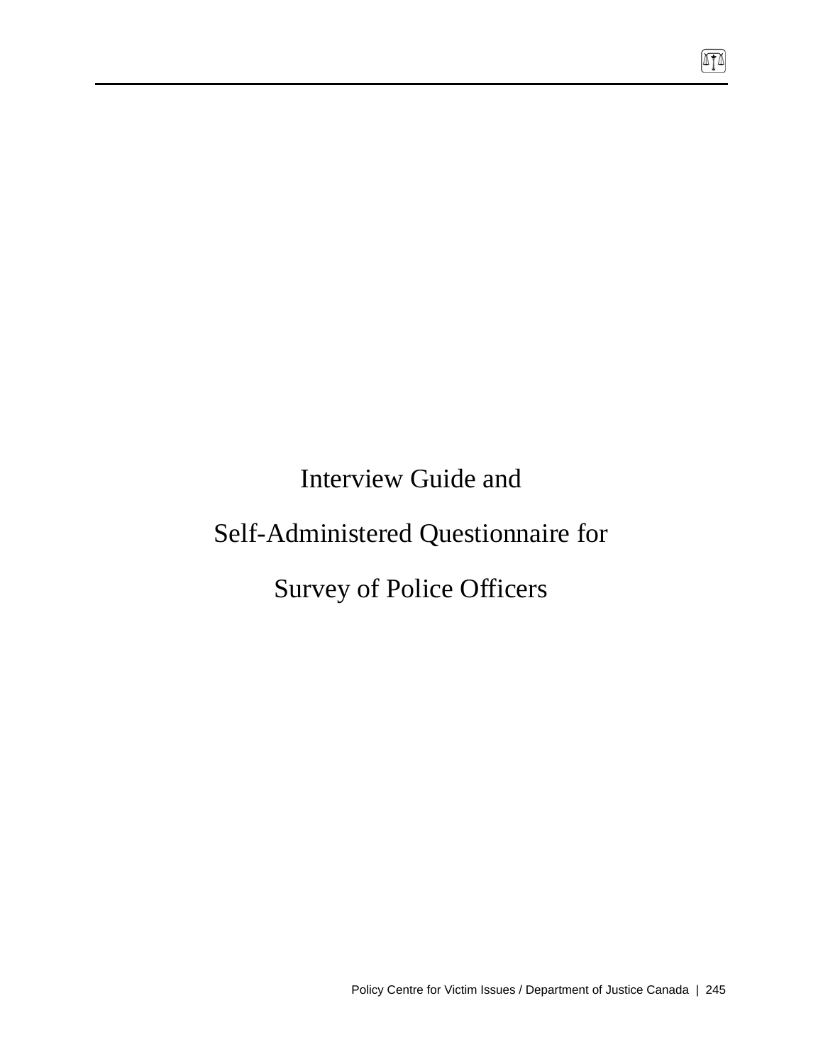Interview Guide and

# Self-Administered Questionnaire for

# Survey of Police Officers

 $\sqrt{10}$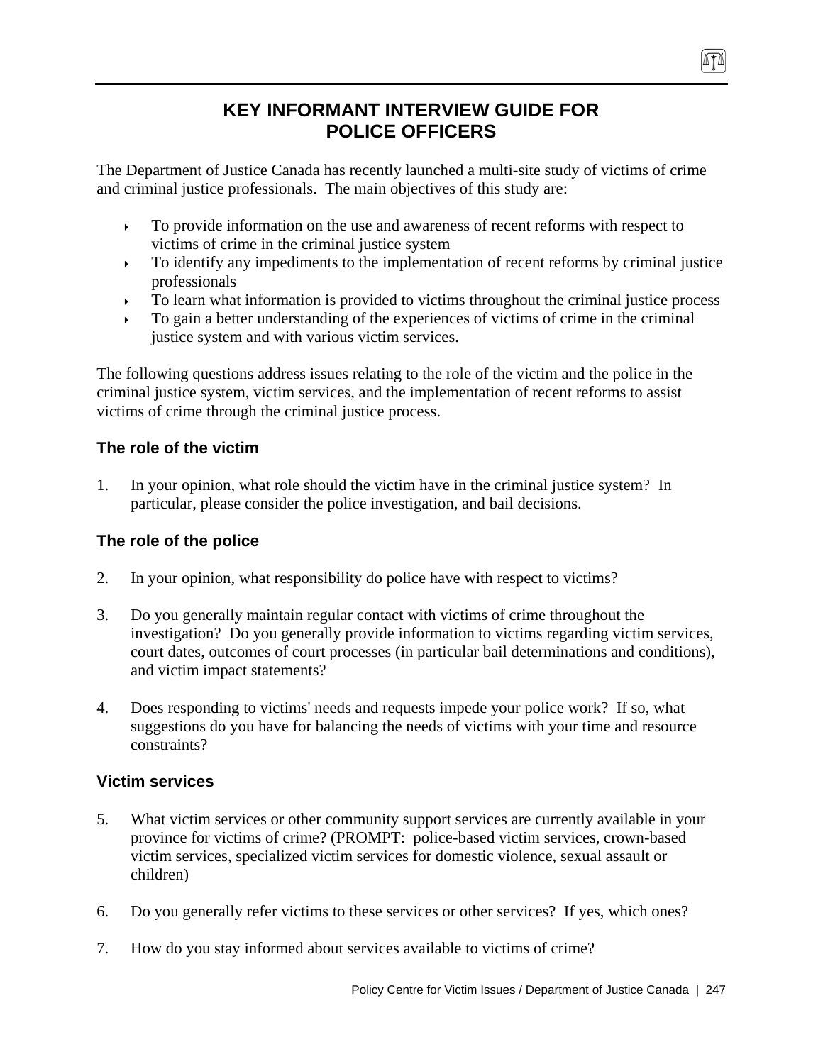# **KEY INFORMANT INTERVIEW GUIDE FOR POLICE OFFICERS**

The Department of Justice Canada has recently launched a multi-site study of victims of crime and criminal justice professionals. The main objectives of this study are:

- To provide information on the use and awareness of recent reforms with respect to victims of crime in the criminal justice system
- To identify any impediments to the implementation of recent reforms by criminal justice professionals
- $\triangleright$  To learn what information is provided to victims throughout the criminal justice process
- To gain a better understanding of the experiences of victims of crime in the criminal justice system and with various victim services.

The following questions address issues relating to the role of the victim and the police in the criminal justice system, victim services, and the implementation of recent reforms to assist victims of crime through the criminal justice process.

# **The role of the victim**

1. In your opinion, what role should the victim have in the criminal justice system? In particular, please consider the police investigation, and bail decisions.

# **The role of the police**

- 2. In your opinion, what responsibility do police have with respect to victims?
- 3. Do you generally maintain regular contact with victims of crime throughout the investigation? Do you generally provide information to victims regarding victim services, court dates, outcomes of court processes (in particular bail determinations and conditions), and victim impact statements?
- 4. Does responding to victims' needs and requests impede your police work? If so, what suggestions do you have for balancing the needs of victims with your time and resource constraints?

# **Victim services**

- 5. What victim services or other community support services are currently available in your province for victims of crime? (PROMPT: police-based victim services, crown-based victim services, specialized victim services for domestic violence, sexual assault or children)
- 6. Do you generally refer victims to these services or other services? If yes, which ones?
- 7. How do you stay informed about services available to victims of crime?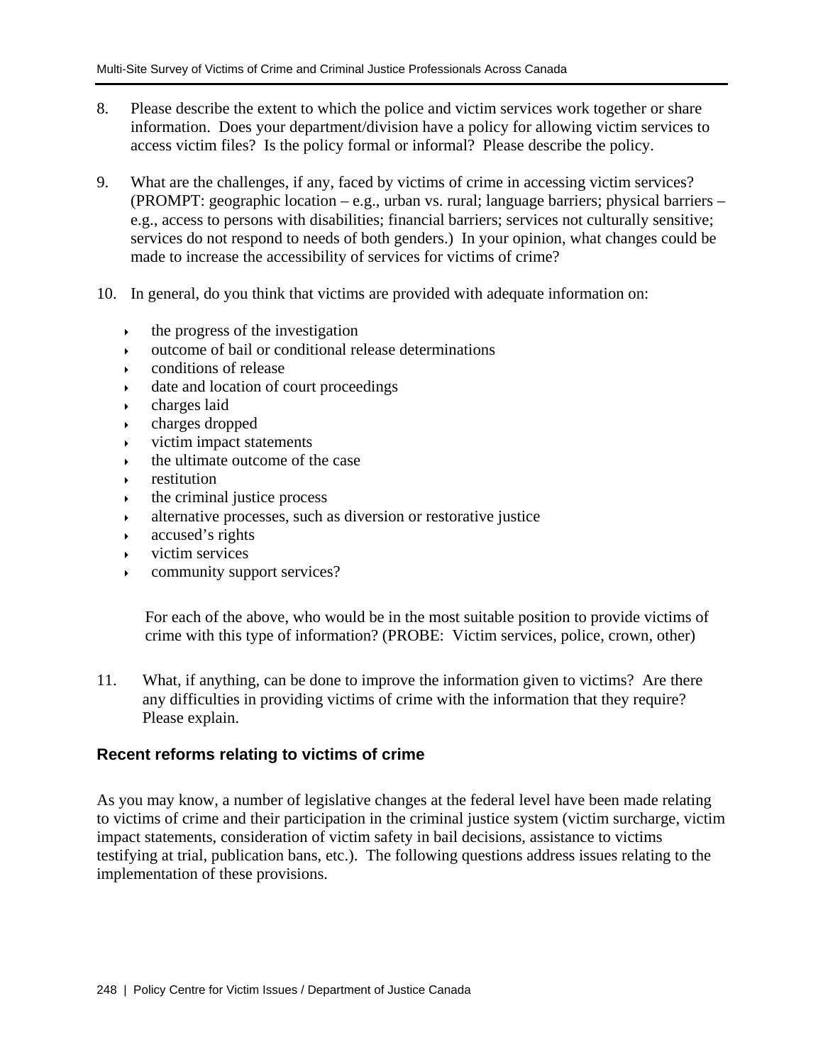- 8. Please describe the extent to which the police and victim services work together or share information. Does your department/division have a policy for allowing victim services to access victim files? Is the policy formal or informal? Please describe the policy.
- 9. What are the challenges, if any, faced by victims of crime in accessing victim services? (PROMPT: geographic location – e.g., urban vs. rural; language barriers; physical barriers – e.g., access to persons with disabilities; financial barriers; services not culturally sensitive; services do not respond to needs of both genders.) In your opinion, what changes could be made to increase the accessibility of services for victims of crime?
- 10. In general, do you think that victims are provided with adequate information on:
	- $\cdot$  the progress of the investigation
	- outcome of bail or conditional release determinations
	- conditions of release
	- date and location of court proceedings
	- $\rightarrow$  charges laid
	- charges dropped
	- victim impact statements
	- the ultimate outcome of the case
	- restitution
	- the criminal justice process
	- alternative processes, such as diversion or restorative justice
	- accused's rights
	- $\triangleright$  victim services
	- community support services?

For each of the above, who would be in the most suitable position to provide victims of crime with this type of information? (PROBE: Victim services, police, crown, other)

11. What, if anything, can be done to improve the information given to victims? Are there any difficulties in providing victims of crime with the information that they require? Please explain.

### **Recent reforms relating to victims of crime**

As you may know, a number of legislative changes at the federal level have been made relating to victims of crime and their participation in the criminal justice system (victim surcharge, victim impact statements, consideration of victim safety in bail decisions, assistance to victims testifying at trial, publication bans, etc.). The following questions address issues relating to the implementation of these provisions.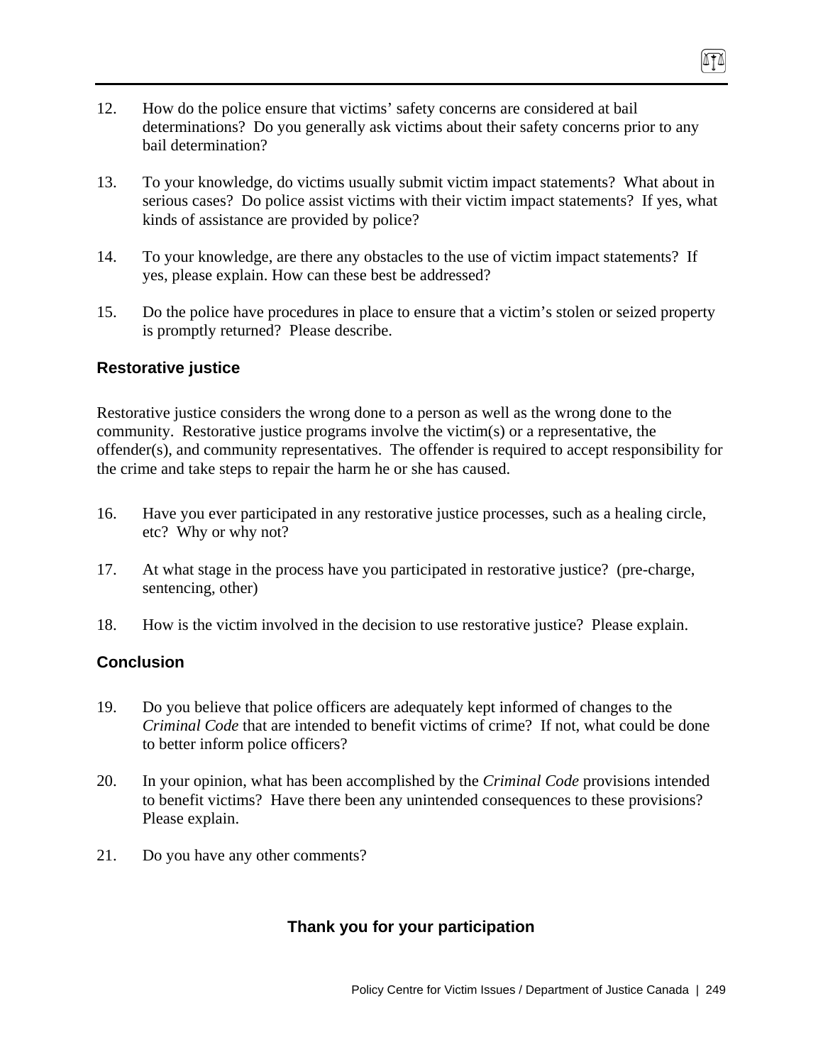- 12. How do the police ensure that victims' safety concerns are considered at bail determinations? Do you generally ask victims about their safety concerns prior to any bail determination?
- 13. To your knowledge, do victims usually submit victim impact statements? What about in serious cases? Do police assist victims with their victim impact statements? If yes, what kinds of assistance are provided by police?
- 14. To your knowledge, are there any obstacles to the use of victim impact statements? If yes, please explain. How can these best be addressed?
- 15. Do the police have procedures in place to ensure that a victim's stolen or seized property is promptly returned? Please describe.

## **Restorative justice**

Restorative justice considers the wrong done to a person as well as the wrong done to the community. Restorative justice programs involve the victim(s) or a representative, the offender(s), and community representatives. The offender is required to accept responsibility for the crime and take steps to repair the harm he or she has caused.

- 16. Have you ever participated in any restorative justice processes, such as a healing circle, etc? Why or why not?
- 17. At what stage in the process have you participated in restorative justice? (pre-charge, sentencing, other)
- 18. How is the victim involved in the decision to use restorative justice? Please explain.

# **Conclusion**

- 19. Do you believe that police officers are adequately kept informed of changes to the *Criminal Code* that are intended to benefit victims of crime? If not, what could be done to better inform police officers?
- 20. In your opinion, what has been accomplished by the *Criminal Code* provisions intended to benefit victims? Have there been any unintended consequences to these provisions? Please explain.
- 21. Do you have any other comments?

# **Thank you for your participation**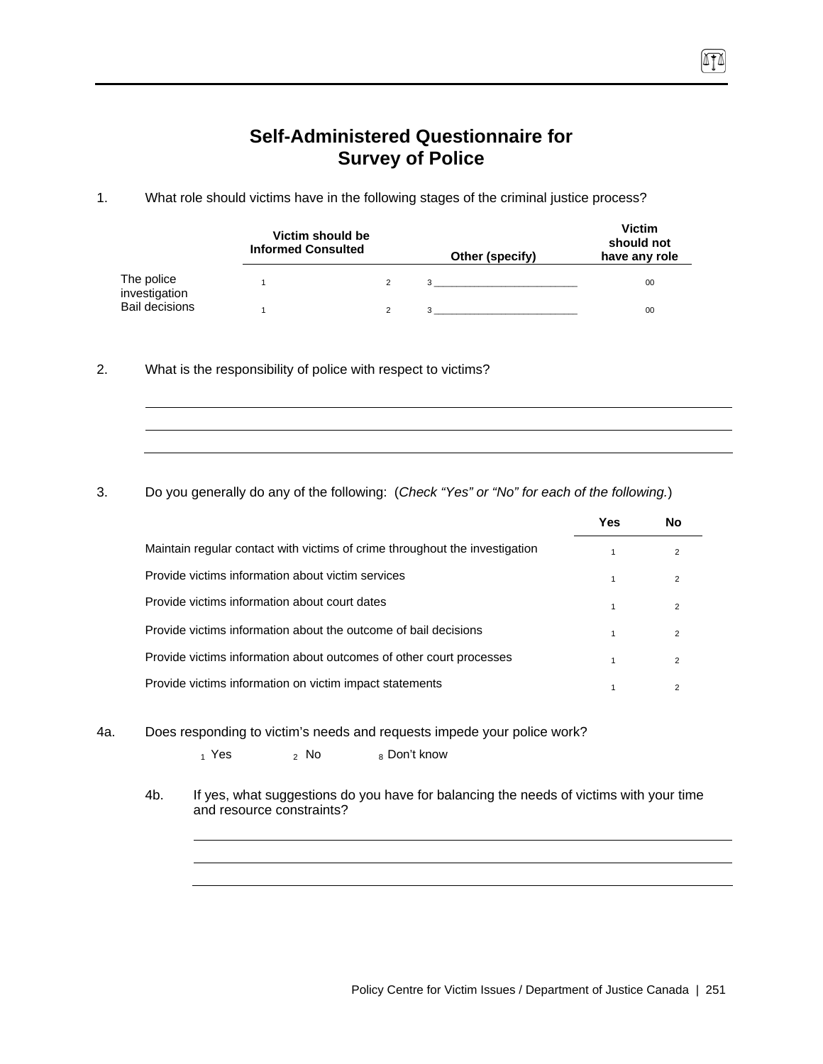# **Self-Administered Questionnaire for Survey of Police**

TI

1. What role should victims have in the following stages of the criminal justice process?

|                             | Victim should be<br><b>Informed Consulted</b> |  | Other (specify)                | <b>Victim</b><br>should not<br>have any role |
|-----------------------------|-----------------------------------------------|--|--------------------------------|----------------------------------------------|
| The police<br>investigation |                                               |  | $3 \left( \frac{1}{2} \right)$ | 00                                           |
| <b>Bail decisions</b>       |                                               |  |                                | 00                                           |

2. What is the responsibility of police with respect to victims?

3. Do you generally do any of the following: (*Check "Yes" or "No" for each of the following.*)

|                                                                             | Yes | Nο             |
|-----------------------------------------------------------------------------|-----|----------------|
| Maintain regular contact with victims of crime throughout the investigation |     | $\overline{2}$ |
| Provide victims information about victim services                           |     | $\overline{2}$ |
| Provide victims information about court dates                               | 1   | $\overline{2}$ |
| Provide victims information about the outcome of bail decisions             |     | 2              |
| Provide victims information about outcomes of other court processes         |     | $\mathfrak{p}$ |
| Provide victims information on victim impact statements                     |     | $\overline{2}$ |

4a. Does responding to victim's needs and requests impede your police work?

 $_1$  Yes  $_2$  No  $_8$  Don't know

4b. If yes, what suggestions do you have for balancing the needs of victims with your time and resource constraints?

Policy Centre for Victim Issues / Department of Justice Canada | 251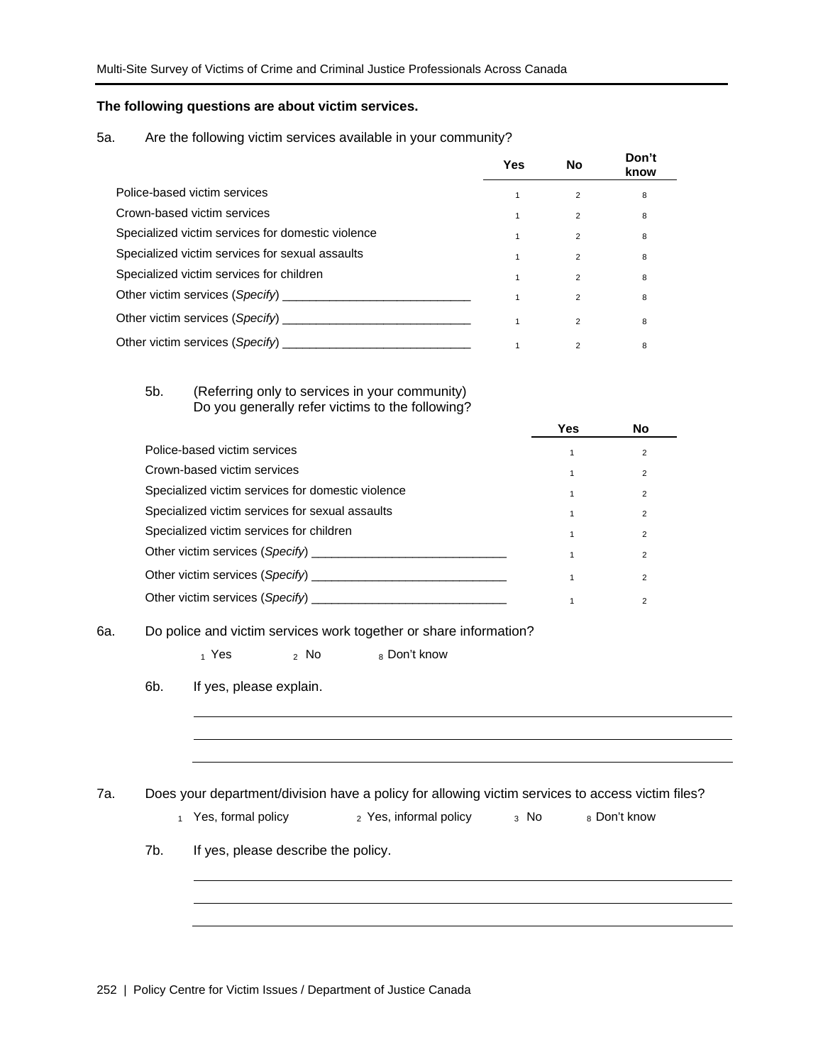#### **The following questions are about victim services.**

#### 5a. Are the following victim services available in your community?

|                                                   | Yes | No             | Don't<br>know |
|---------------------------------------------------|-----|----------------|---------------|
| Police-based victim services                      |     | $\overline{2}$ | 8             |
| Crown-based victim services                       |     | $\overline{2}$ | 8             |
| Specialized victim services for domestic violence |     | 2              | 8             |
| Specialized victim services for sexual assaults   |     | $\overline{2}$ | 8             |
| Specialized victim services for children          |     | $\overline{2}$ | 8             |
|                                                   |     | $\overline{2}$ | 8             |
| Other victim services (Specify)                   |     | $\overline{2}$ | 8             |
| Other victim services (Specify)                   |     | $\overline{2}$ | 8             |

#### 5b. (Referring only to services in your community) Do you generally refer victims to the following?

|                                                   | Yes | No             |
|---------------------------------------------------|-----|----------------|
| Police-based victim services                      |     | 2              |
| Crown-based victim services                       |     | 2              |
| Specialized victim services for domestic violence |     | $\overline{2}$ |
| Specialized victim services for sexual assaults   |     | $\overline{2}$ |
| Specialized victim services for children          |     | $\overline{2}$ |
|                                                   |     | $\overline{2}$ |
| Other victim services (Specify) __________        |     | $\overline{2}$ |
| Other victim services (Specify)                   |     |                |

### 6a. Do police and victim services work together or share information?

|     |                         | $_1$ Yes $_2$ No $_8$ Don't know                                                                                                |              |
|-----|-------------------------|---------------------------------------------------------------------------------------------------------------------------------|--------------|
| 6b. | If yes, please explain. |                                                                                                                                 |              |
|     |                         |                                                                                                                                 |              |
|     |                         |                                                                                                                                 |              |
|     |                         |                                                                                                                                 |              |
|     | 1 Yes, formal policy    | Does your department/division have a policy for allowing victim services to access victim files?<br>2 Yes, informal policy a No | 8 Don't know |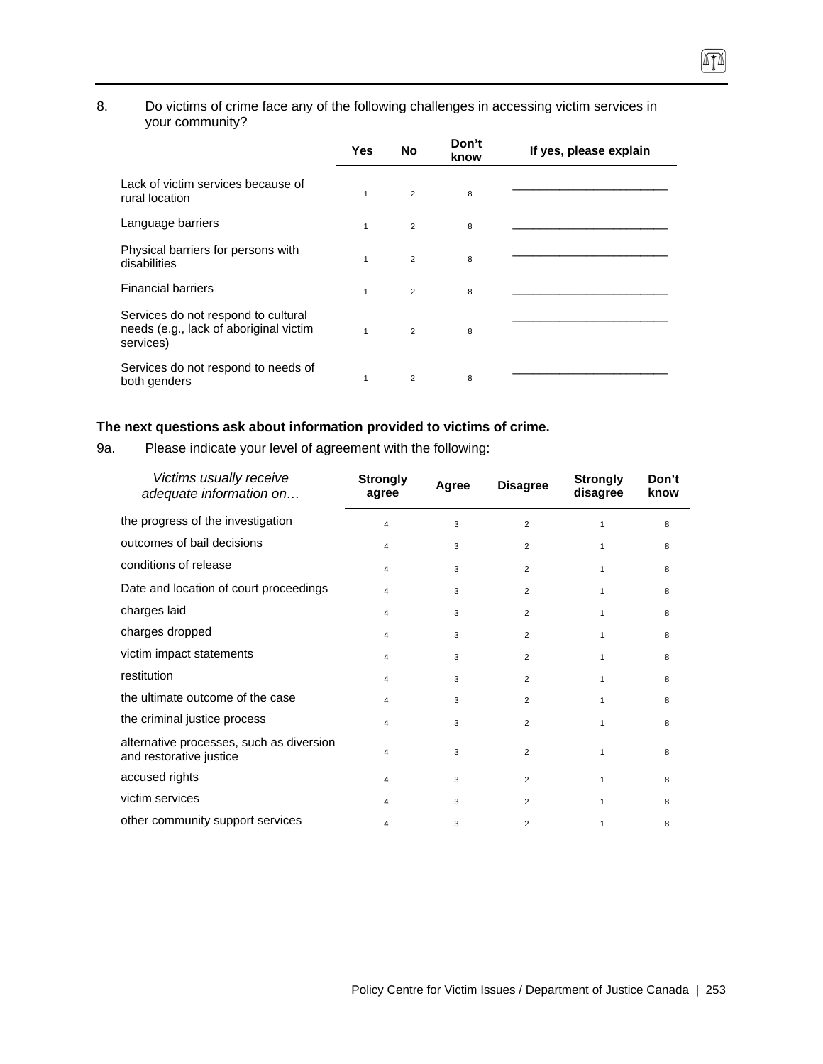### 8. Do victims of crime face any of the following challenges in accessing victim services in your community?

|                                                                                            | Yes          | <b>No</b>      | Don't<br>know | If yes, please explain |
|--------------------------------------------------------------------------------------------|--------------|----------------|---------------|------------------------|
| Lack of victim services because of<br>rural location                                       | 1            | $\overline{2}$ | 8             |                        |
| Language barriers                                                                          | $\mathbf{1}$ | $\overline{2}$ | 8             |                        |
| Physical barriers for persons with<br>disabilities                                         | $\mathbf{1}$ | $\overline{2}$ | 8             |                        |
| <b>Financial barriers</b>                                                                  | $\mathbf{1}$ | $\overline{2}$ | 8             |                        |
| Services do not respond to cultural<br>needs (e.g., lack of aboriginal victim<br>services) | $\mathbf{1}$ | $\overline{2}$ | 8             |                        |
| Services do not respond to needs of<br>both genders                                        | 1            | $\overline{2}$ | 8             |                        |

### **The next questions ask about information provided to victims of crime.**

9a. Please indicate your level of agreement with the following:

| Victims usually receive<br>adequate information on                  | <b>Strongly</b><br>agree | Agree | <b>Disagree</b> | <b>Strongly</b><br>disagree | Don't<br>know |
|---------------------------------------------------------------------|--------------------------|-------|-----------------|-----------------------------|---------------|
| the progress of the investigation                                   | 4                        | 3     | 2               | 1                           | 8             |
| outcomes of bail decisions                                          | 4                        | 3     | $\overline{2}$  | 1                           | 8             |
| conditions of release                                               | 4                        | 3     | $\overline{2}$  | 1                           | 8             |
| Date and location of court proceedings                              | 4                        | 3     | $\overline{2}$  | 1                           | 8             |
| charges laid                                                        | 4                        | 3     | $\overline{2}$  | $\mathbf{1}$                | 8             |
| charges dropped                                                     | 4                        | 3     | $\overline{2}$  | 1                           | 8             |
| victim impact statements                                            | 4                        | 3     | $\overline{2}$  | $\mathbf{1}$                | 8             |
| restitution                                                         | 4                        | 3     | $\overline{2}$  | 1                           | 8             |
| the ultimate outcome of the case                                    | 4                        | 3     | $\overline{2}$  | 1                           | 8             |
| the criminal justice process                                        | 4                        | 3     | $\overline{2}$  | 1                           | 8             |
| alternative processes, such as diversion<br>and restorative justice | 4                        | 3     | $\overline{2}$  | 1                           | 8             |
| accused rights                                                      | 4                        | 3     | $\overline{2}$  | 1                           | 8             |
| victim services                                                     | 4                        | 3     | $\overline{2}$  | $\mathbf{1}$                | 8             |
| other community support services                                    | 4                        | 3     | $\overline{2}$  | 1                           | 8             |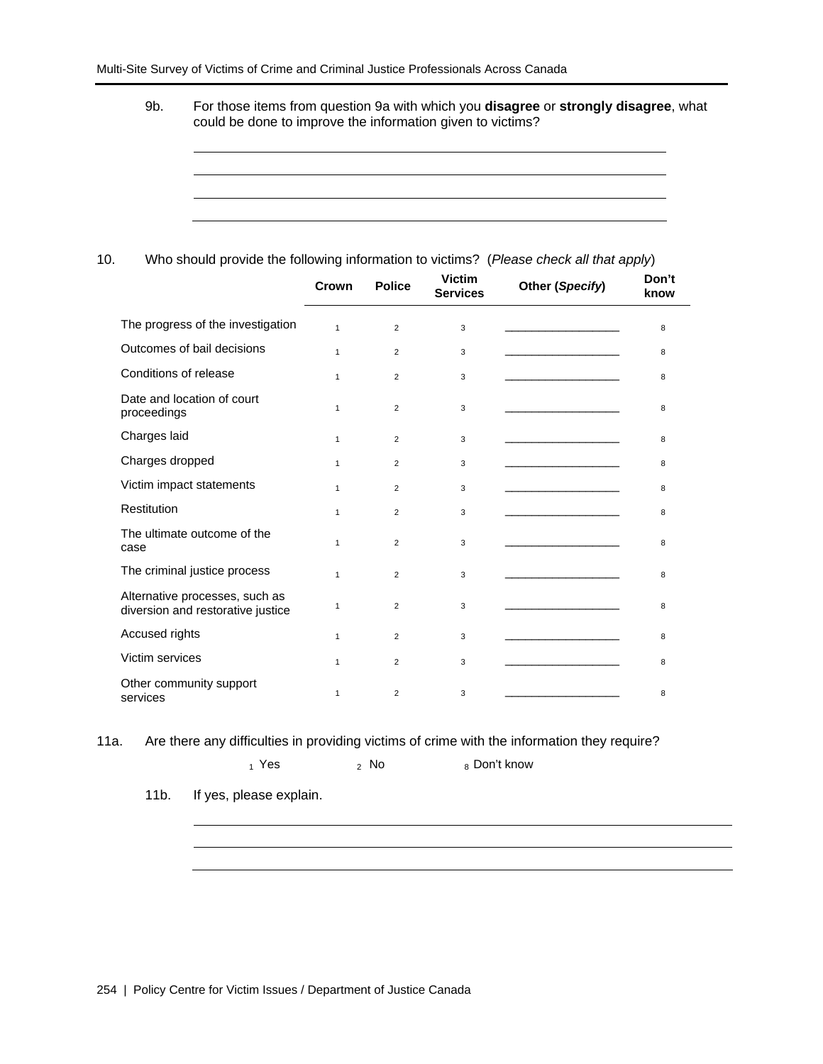9b. For those items from question 9a with which you **disagree** or **strongly disagree**, what could be done to improve the information given to victims?



10. Who should provide the following information to victims? (*Please check all that apply*)

|                                                                     | Crown        | <b>Police</b>  | <b>Victim</b><br><b>Services</b> | Other (Specify)                              | Don't<br>know |
|---------------------------------------------------------------------|--------------|----------------|----------------------------------|----------------------------------------------|---------------|
| The progress of the investigation                                   | $\mathbf{1}$ | 2              | 3                                |                                              | 8             |
| Outcomes of bail decisions                                          | 1            | $\overline{2}$ | 3                                |                                              | 8             |
| Conditions of release                                               | 1            | $\overline{2}$ | 3                                |                                              | 8             |
| Date and location of court<br>proceedings                           | $\mathbf{1}$ | $\overline{2}$ | 3                                |                                              | 8             |
| Charges laid                                                        | 1            | $\overline{2}$ | 3                                | the control of the control of the control of | 8             |
| Charges dropped                                                     | $\mathbf{1}$ | $\overline{2}$ | 3                                | the control of the control of the control of | 8             |
| Victim impact statements                                            | 1            | $\overline{2}$ | 3                                |                                              | 8             |
| Restitution                                                         | $\mathbf{1}$ | $\overline{2}$ | 3                                |                                              | 8             |
| The ultimate outcome of the<br>case                                 | 1            | $\overline{2}$ | 3                                |                                              | 8             |
| The criminal justice process                                        | 1            | $\overline{2}$ | 3                                |                                              | 8             |
| Alternative processes, such as<br>diversion and restorative justice | 1            | $\overline{2}$ | 3                                |                                              | 8             |
| Accused rights                                                      | $\mathbf{1}$ | $\overline{2}$ | 3                                |                                              | 8             |
| Victim services                                                     | $\mathbf{1}$ | $\overline{2}$ | 3                                |                                              | 8             |
| Other community support<br>services                                 | 1            | $\overline{2}$ | 3                                |                                              | 8             |

11a. Are there any difficulties in providing victims of crime with the information they require?

 $_1$  Yes  $_2$  No  $_8$  Don't know

11b. If yes, please explain.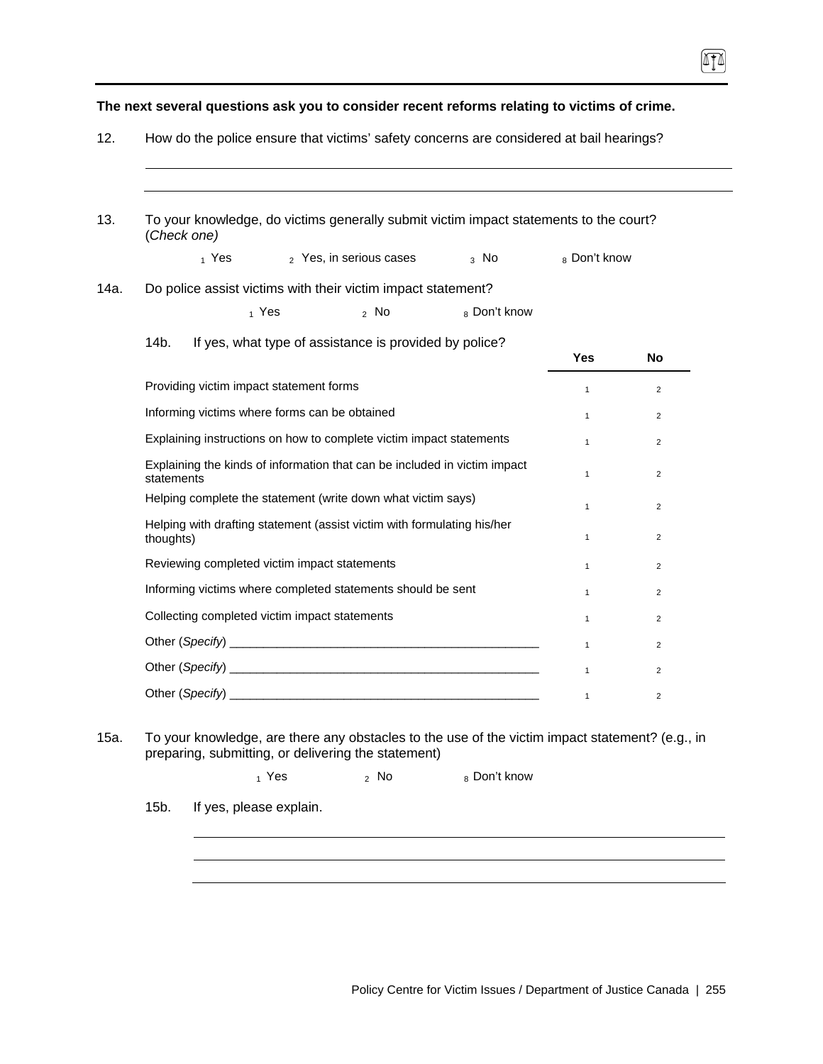**The next several questions ask you to consider recent reforms relating to victims of crime.** 

 $\sqrt{10}$ 

| (Check one)                                                                             |                      | To your knowledge, do victims generally submit victim impact statements to the court? |                |
|-----------------------------------------------------------------------------------------|----------------------|---------------------------------------------------------------------------------------|----------------|
| $_1$ Yes<br>2 Yes, in serious cases                                                     | $3$ No               | 8 Don't know                                                                          |                |
| Do police assist victims with their victim impact statement?                            |                      |                                                                                       |                |
| $_1$ Yes                                                                                | 8 Don't know<br>2 NQ |                                                                                       |                |
| 14b.<br>If yes, what type of assistance is provided by police?                          |                      | <b>Yes</b>                                                                            | <b>No</b>      |
| Providing victim impact statement forms                                                 |                      | $\mathbf{1}$                                                                          | $\overline{2}$ |
| Informing victims where forms can be obtained                                           |                      | $\mathbf{1}$                                                                          | $\overline{2}$ |
| Explaining instructions on how to complete victim impact statements                     |                      | $\mathbf{1}$                                                                          | $\overline{2}$ |
| Explaining the kinds of information that can be included in victim impact<br>statements |                      | 1                                                                                     | $\overline{2}$ |
| Helping complete the statement (write down what victim says)                            |                      | $\mathbf{1}$                                                                          | $\overline{2}$ |
| Helping with drafting statement (assist victim with formulating his/her<br>thoughts)    |                      | 1                                                                                     | $\overline{2}$ |
| Reviewing completed victim impact statements                                            |                      | 1                                                                                     | $\overline{2}$ |
| Informing victims where completed statements should be sent                             |                      | $\mathbf{1}$                                                                          | $\overline{2}$ |
| Collecting completed victim impact statements                                           |                      | 1                                                                                     | $\overline{2}$ |
|                                                                                         |                      | 1                                                                                     | $\overline{2}$ |
|                                                                                         |                      | $\mathbf{1}$                                                                          | $\overline{2}$ |

15a. To your knowledge, are there any obstacles to the use of the victim impact statement? (e.g., in preparing, submitting, or delivering the statement)

 $_1$  Yes  $_2$  No  $_8$  Don't know

15b. If yes, please explain.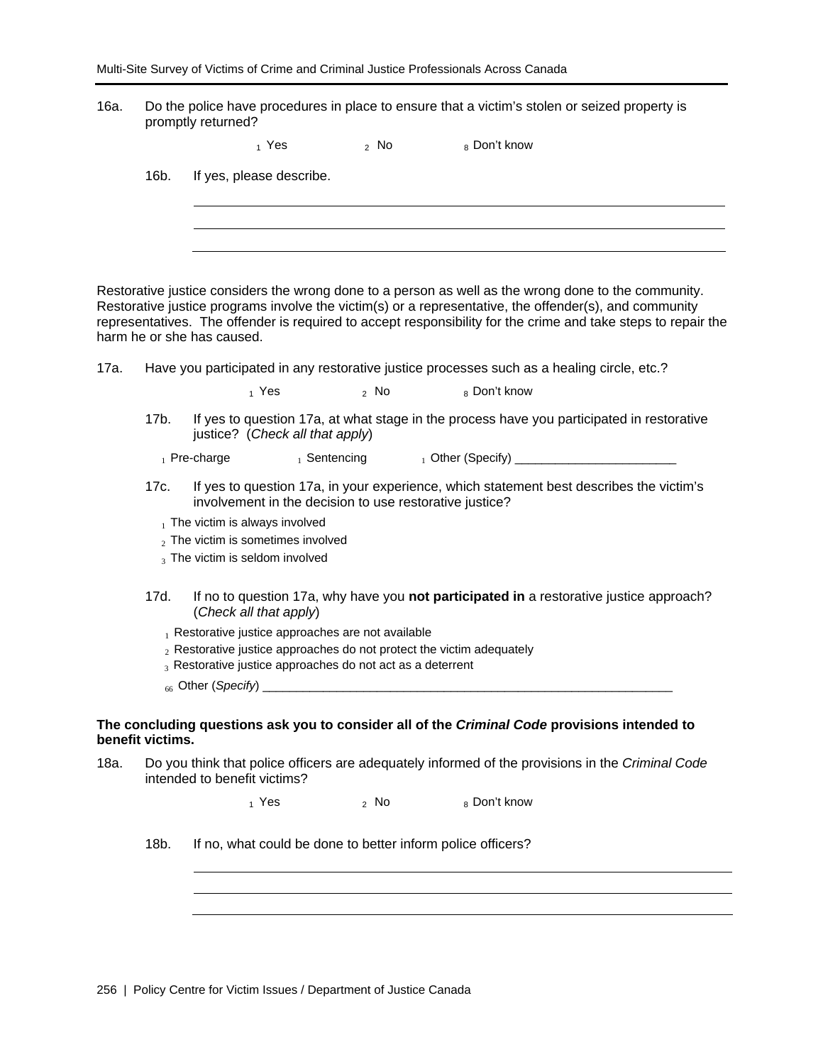16a. Do the police have procedures in place to ensure that a victim's stolen or seized property is promptly returned?

| 8 Don't know<br><sub>2</sub> No<br>1 Yes |
|------------------------------------------|
|------------------------------------------|

16b. If yes, please describe.

Restorative justice considers the wrong done to a person as well as the wrong done to the community. Restorative justice programs involve the victim(s) or a representative, the offender(s), and community representatives. The offender is required to accept responsibility for the crime and take steps to repair the harm he or she has caused.

17a. Have you participated in any restorative justice processes such as a healing circle, etc.?

 $_1$  Yes  $_2$  No  $_8$  Don't know

17b. If yes to question 17a, at what stage in the process have you participated in restorative justice? (*Check all that apply*)

1 Pre-charge 1 Sentencing 1 Other (Specify)

17c. If yes to question 17a, in your experience, which statement best describes the victim's involvement in the decision to use restorative justice?

 $<sub>1</sub>$  The victim is always involved</sub>

- $2$  The victim is sometimes involved
- 3 The victim is seldom involved
- 17d. If no to question 17a, why have you **not participated in** a restorative justice approach? (*Check all that apply*)
	- $_1$  Restorative justice approaches are not available
	- $2R$  Restorative justice approaches do not protect the victim adequately
	- 3 Restorative justice approaches do not act as a deterrent
	- <sup>66</sup>Other (*Specify*) \_\_\_\_\_\_\_\_\_\_\_\_\_\_\_\_\_\_\_\_\_\_\_\_\_\_\_\_\_\_\_\_\_\_\_\_\_\_\_\_\_\_\_\_\_\_\_\_\_\_\_\_\_\_\_\_\_\_\_\_\_

#### **The concluding questions ask you to consider all of the** *Criminal Code* **provisions intended to benefit victims.**

18a. Do you think that police officers are adequately informed of the provisions in the *Criminal Code* intended to benefit victims?

 $_1$  Yes  $_2$  No  $_8$  Don't know

18b. If no, what could be done to better inform police officers?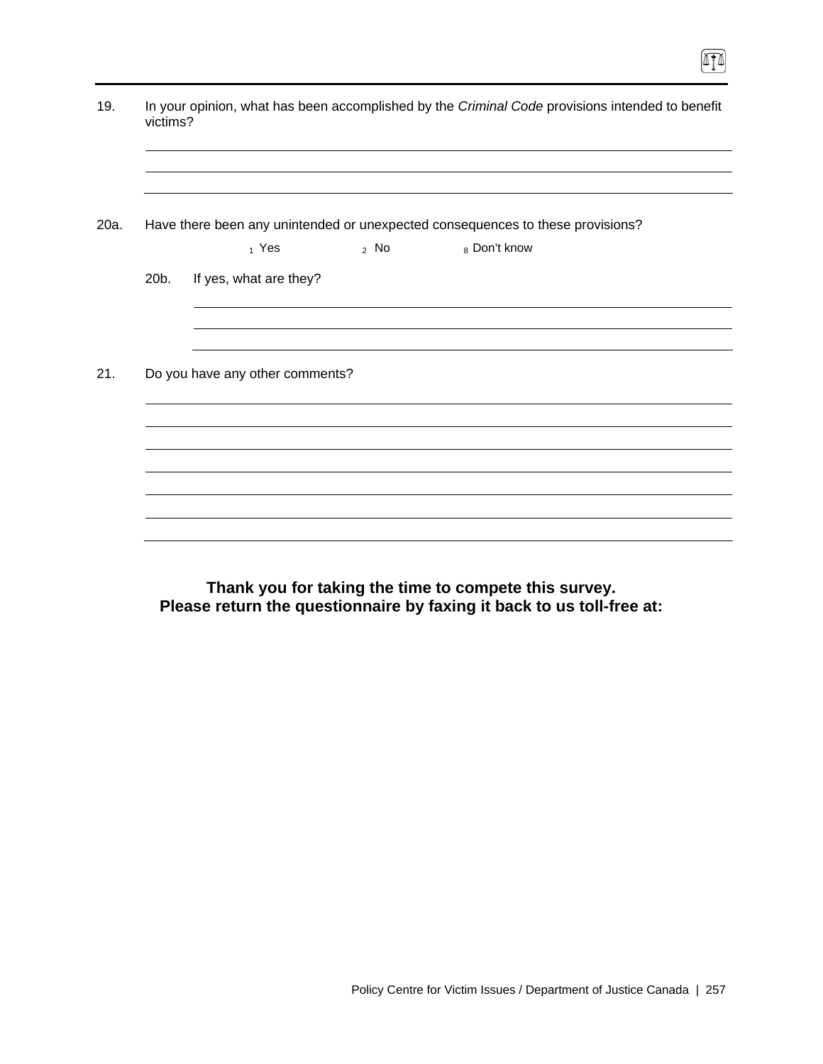|      | victims? |                                 |        | In your opinion, what has been accomplished by the Criminal Code provisions intended to benefit |  |
|------|----------|---------------------------------|--------|-------------------------------------------------------------------------------------------------|--|
| 20a. |          | 1 Yes                           | $2$ No | Have there been any unintended or unexpected consequences to these provisions?<br>8 Don't know  |  |
|      | 20b.     | If yes, what are they?          |        |                                                                                                 |  |
|      |          |                                 |        |                                                                                                 |  |
|      |          | Do you have any other comments? |        |                                                                                                 |  |
|      |          |                                 |        |                                                                                                 |  |
|      |          |                                 |        |                                                                                                 |  |
|      |          |                                 |        |                                                                                                 |  |

 $\boxed{\mathbb{T}}$ 

**Thank you for taking the time to compete this survey. Please return the questionnaire by faxing it back to us toll-free at:**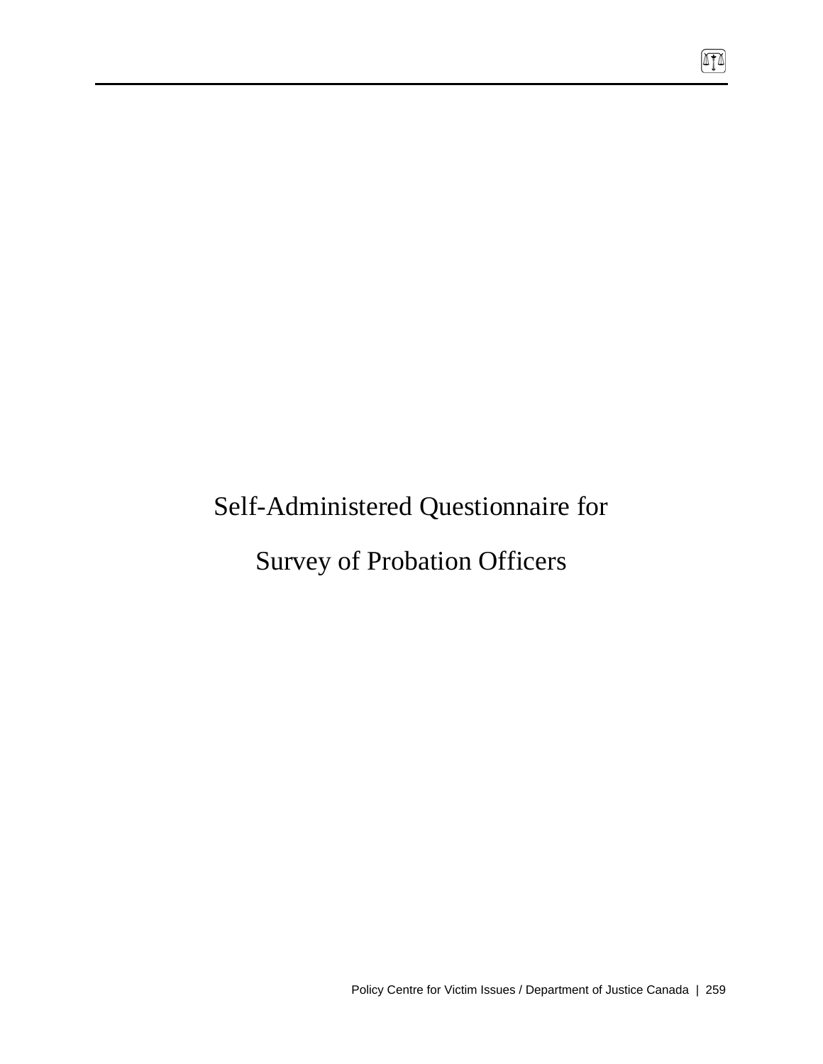# Self-Administered Questionnaire for

Survey of Probation Officers

 $\boxed{\mathbb{T}}$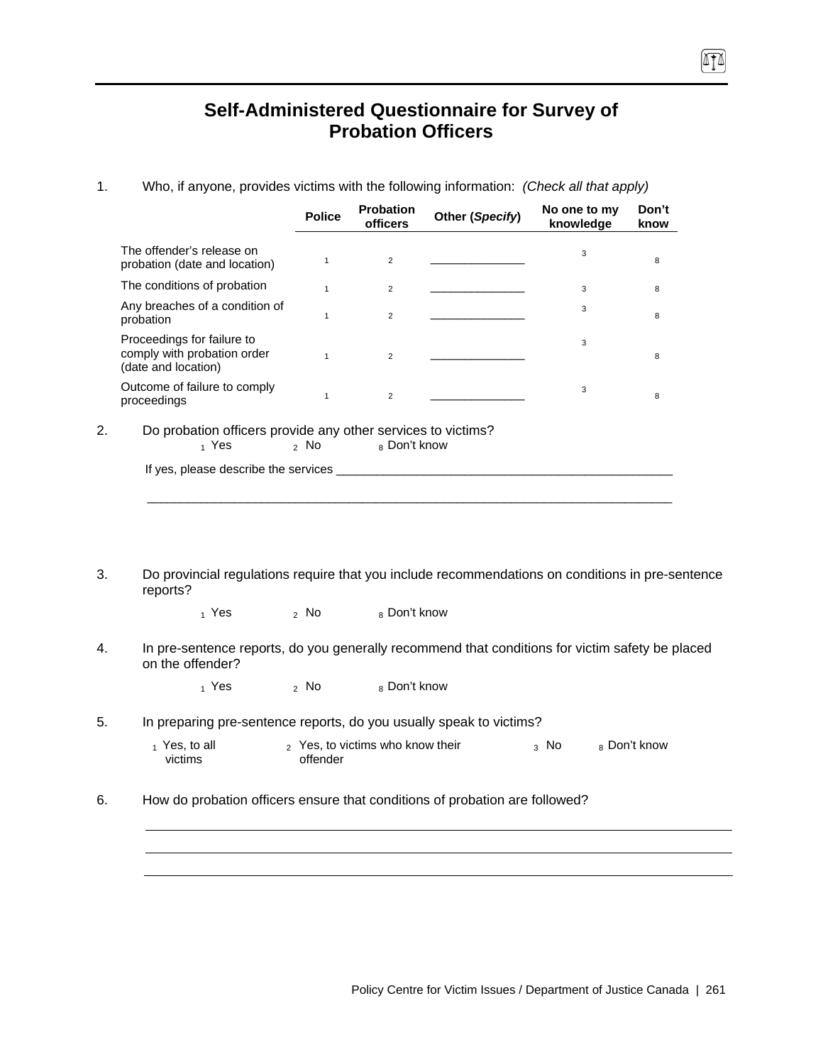# **Self-Administered Questionnaire for Survey of Probation Officers**

- 1. Who, if anyone, provides victims with the following information: *(Check all that apply)* **Police Probation Other (***Specify***) No one to my Other (***Specify*) *No one to my* **knowledge Don't know**  The offender's release on The offender's release on<br>probation (date and location)  $1$  2 2 <u>\_\_\_\_\_\_\_\_\_\_\_\_\_\_\_\_\_\_\_\_\_\_\_</u> 3 8 8 The conditions of probation  $\begin{array}{cccc} 1 & 2 & \underline{\hspace{1cm}} & \underline{\hspace{1cm}} & 3 & 8 \\ 2 & 2 & \underline{\hspace{1cm}} & \underline{\hspace{1cm}} & 3 & 8 \\ 3 & 3 & 8 & 8 & 8 \\ 3 & 3 & 8 & 8 & 8 \\ 3 & 3 & 8 & 8 & 8 \\ 3 & 3 & 8 & 8 & 8 \\ 3 & 3 & 8 & 8 & 8 \\ 3 & 3 & 8 & 8 & 8 \\ 3 & 3 & 8 & 8 & 8 \\ 3 & 3 & 8 & 8 & 8 \\$ Any breaches of a condition of<br>probation Any preaches of a condition of the theory of the term of the series of the series of the series of the series o<br>probation the series of the series of the series of the series of the series of the series of the series of th Proceedings for failure to comply with probation order (date and location) <sup>1</sup> <sup>2</sup> \_\_\_\_\_\_\_\_\_\_\_\_\_\_ 3 8 Outcome of failure to comply Uutcome of lailure to comply  $\frac{1}{1}$  and  $\frac{2}{2}$  and  $\frac{3}{2}$  and  $\frac{3}{8}$  and  $\frac{8}{8}$ 2. Do probation officers provide any other services to victims?<br>  $\frac{1}{1}$  Yes  $\frac{2}{1}$  No  $\frac{8}{1}$  Don't know 8 Don't know If yes, please describe the services \_\_\_\_\_\_\_\_\_\_\_\_\_\_\_\_\_\_\_\_\_\_\_\_\_\_\_\_\_\_\_\_\_\_\_\_\_\_\_\_\_\_\_\_\_\_\_\_\_\_\_\_\_\_\_\_\_\_\_\_\_\_\_\_\_\_\_\_\_\_\_\_\_\_\_\_\_\_
- 3. Do provincial regulations require that you include recommendations on conditions in pre-sentence reports?
	- $_1$  Yes  $_2$  No  $_8$  Don't know
- 4. In pre-sentence reports, do you generally recommend that conditions for victim safety be placed on the offender?

 $_1$  Yes  $_2$  No  $_8$  Don't know

- 5. In preparing pre-sentence reports, do you usually speak to victims?
	- $<sub>1</sub>$  Yes, to all</sub> victims 2 Yes, to victims who know their offender  $3$  No  $8$  Don't know
- 6. How do probation officers ensure that conditions of probation are followed?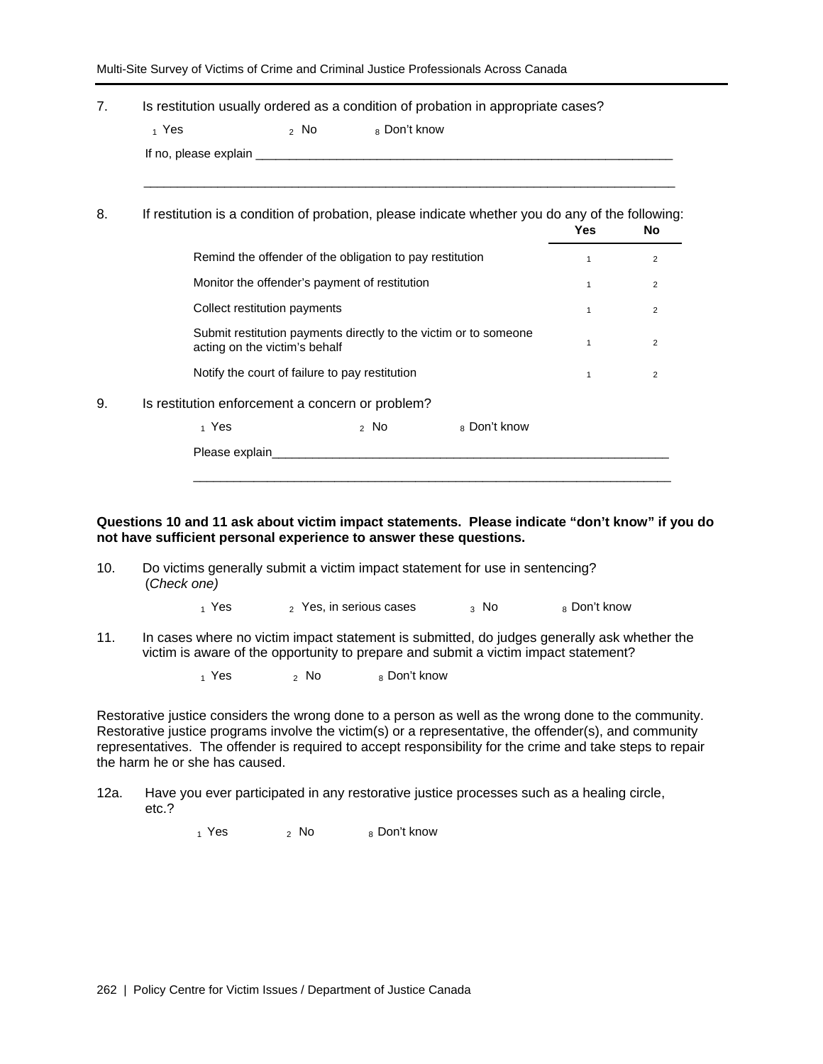| Multi-Site Survey of Victims of Crime and Criminal Justice Professionals Across Canada |  |  |  |  |  |
|----------------------------------------------------------------------------------------|--|--|--|--|--|
|----------------------------------------------------------------------------------------|--|--|--|--|--|

| 7. | Is restitution usually ordered as a condition of probation in appropriate cases?                 |                 |              |                                                                  |              |                |
|----|--------------------------------------------------------------------------------------------------|-----------------|--------------|------------------------------------------------------------------|--------------|----------------|
|    | $_1$ Yes                                                                                         | <sub>2</sub> No | 8 Don't know |                                                                  |              |                |
|    |                                                                                                  |                 |              |                                                                  |              |                |
| 8. | If restitution is a condition of probation, please indicate whether you do any of the following: |                 |              |                                                                  | <b>Yes</b>   | <b>No</b>      |
|    | Remind the offender of the obligation to pay restitution                                         |                 |              |                                                                  | $\mathbf{1}$ | 2              |
|    | Monitor the offender's payment of restitution                                                    |                 |              |                                                                  | $\mathbf{1}$ | $\overline{2}$ |
|    | Collect restitution payments                                                                     |                 |              |                                                                  | 1            | $\overline{2}$ |
|    | acting on the victim's behalf                                                                    |                 |              | Submit restitution payments directly to the victim or to someone | $\mathbf{1}$ | 2              |
|    | Notify the court of failure to pay restitution                                                   |                 |              |                                                                  | $\mathbf{1}$ | 2              |
| 9. | Is restitution enforcement a concern or problem?                                                 |                 |              |                                                                  |              |                |
|    | 1 Yes                                                                                            |                 | $2$ No       | 8 Don't know                                                     |              |                |
|    | Please explain_                                                                                  |                 |              |                                                                  |              |                |
|    |                                                                                                  |                 |              |                                                                  |              |                |

**Questions 10 and 11 ask about victim impact statements. Please indicate "don't know" if you do not have sufficient personal experience to answer these questions.** 

10. Do victims generally submit a victim impact statement for use in sentencing? (*Check one)*

 $_1$  Yes  $_2$  Yes, in serious cases  $_3$  No  $_8$  Don't know

11. In cases where no victim impact statement is submitted, do judges generally ask whether the victim is aware of the opportunity to prepare and submit a victim impact statement?

 $1$  Yes  $2$  No  $8$  Don't know

Restorative justice considers the wrong done to a person as well as the wrong done to the community. Restorative justice programs involve the victim(s) or a representative, the offender(s), and community representatives. The offender is required to accept responsibility for the crime and take steps to repair the harm he or she has caused.

12a. Have you ever participated in any restorative justice processes such as a healing circle, etc.?

 $_1$  Yes  $_2$  No  $_8$  Don't know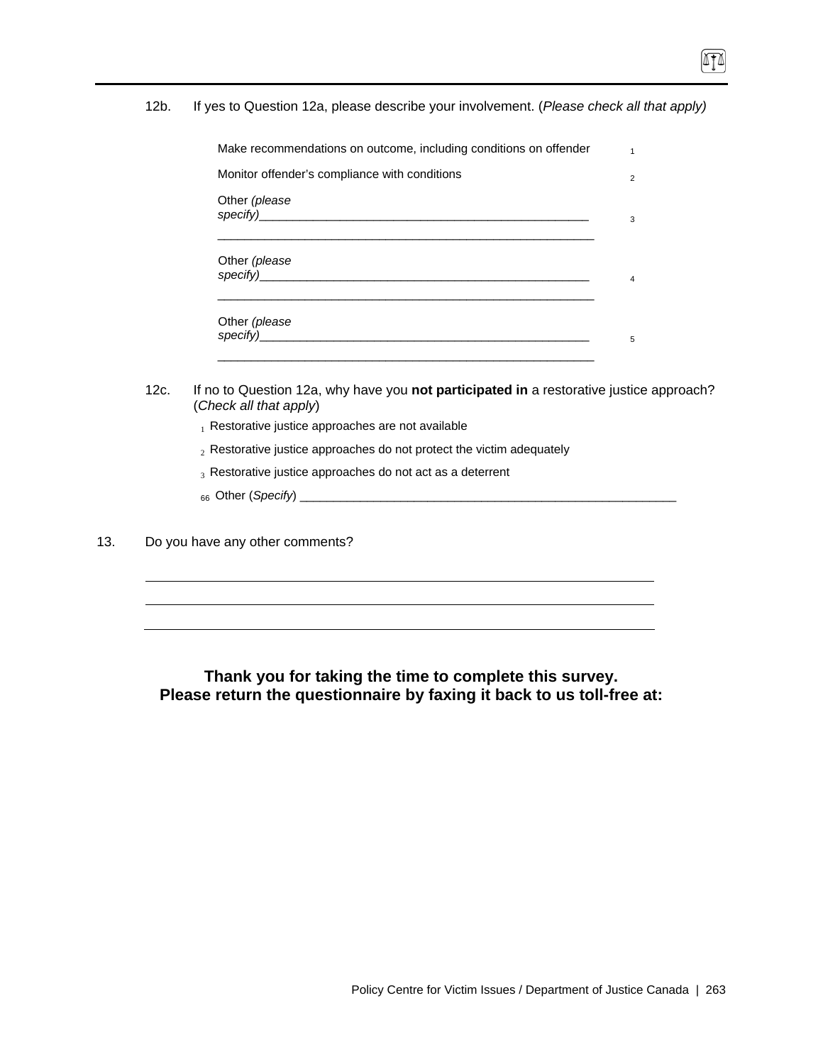12b. If yes to Question 12a, please describe your involvement. (*Please check all that apply)* 

| Make recommendations on outcome, including conditions on offender | 1 |
|-------------------------------------------------------------------|---|
| Monitor offender's compliance with conditions                     | 2 |
| Other (please                                                     | 3 |
| Other (please                                                     | 4 |
| Other (please<br>specify)                                         | 5 |

- 12c. If no to Question 12a, why have you **not participated in** a restorative justice approach? (*Check all that apply*)
	- $_1$  Restorative justice approaches are not available
	- $_2$  Restorative justice approaches do not protect the victim adequately
	- $_3$  Restorative justice approaches do not act as a deterrent
	- 66 Other (*Specify*) \_\_\_\_\_\_\_\_\_\_\_\_\_\_\_\_\_\_\_\_\_\_\_\_\_\_\_\_\_\_\_\_\_\_\_\_\_\_\_\_\_\_\_\_\_\_\_\_\_\_\_\_\_\_\_\_
- 13. Do you have any other comments?

## **Thank you for taking the time to complete this survey. Please return the questionnaire by faxing it back to us toll-free at:**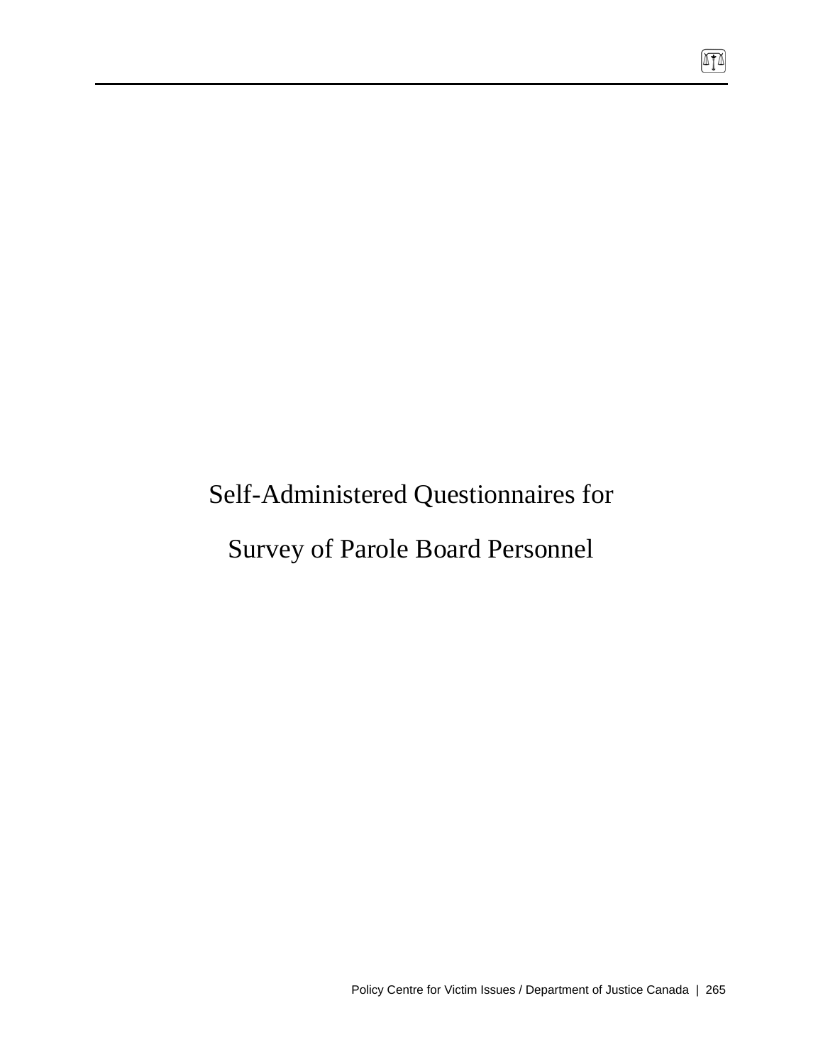# Self-Administered Questionnaires for

# Survey of Parole Board Personnel

 $\boxed{\mathbb{T}}$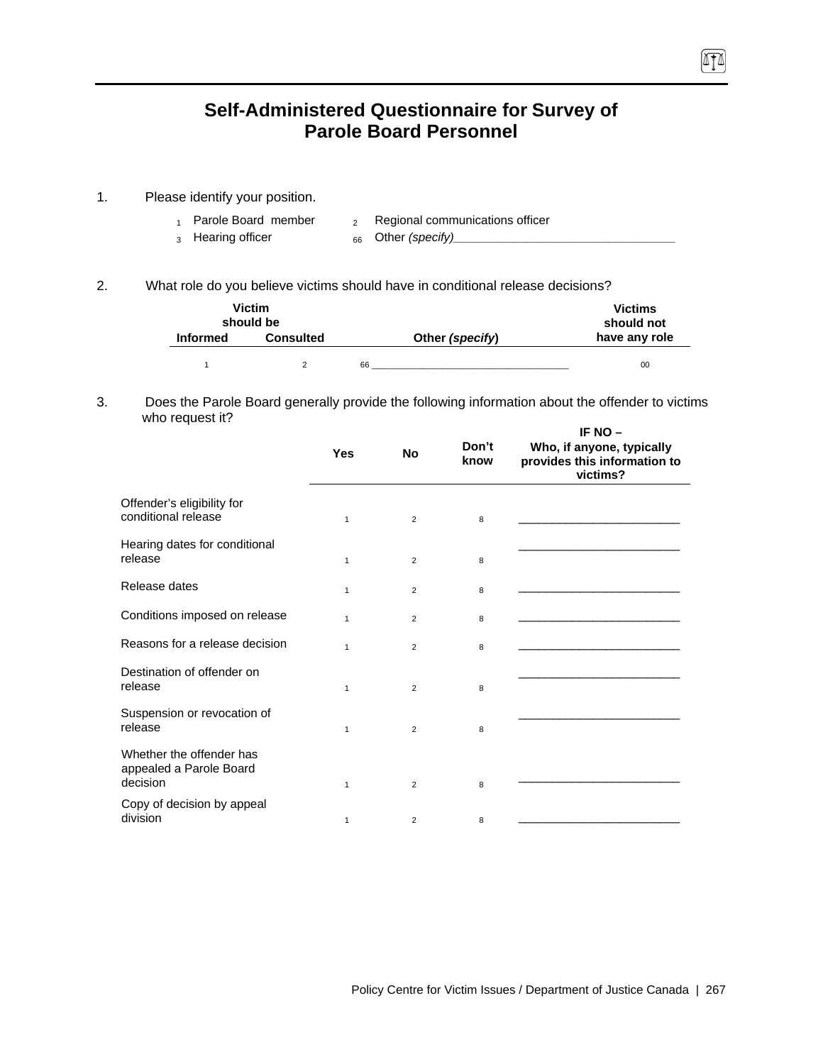# **Self-Administered Questionnaire for Survey of Parole Board Personnel**

- 1. Please identify your position.
	-
	- 1 Parole Board member  $\qquad 2$  Regional communications officer
	- 3 Hearing officer 66 Other *(specify)\_\_\_\_\_\_\_\_\_\_\_\_\_\_\_\_\_\_\_\_\_\_\_\_\_\_\_\_\_\_\_\_\_*
- 

(ATA)

2. What role do you believe victims should have in conditional release decisions?

|                 | <b>Victim</b><br>should be |    |                 | <b>Victims</b><br>should not |
|-----------------|----------------------------|----|-----------------|------------------------------|
| <b>Informed</b> | <b>Consulted</b>           |    | Other (specify) | have any role                |
|                 |                            | 66 |                 | 00                           |

#### 3. Does the Parole Board generally provide the following information about the offender to victims who request it? **IF NO –**

|                                                                 | <b>Yes</b>   | <b>No</b>      | Don't<br>know | IF NU $-$<br>Who, if anyone, typically<br>provides this information to<br>victims? |
|-----------------------------------------------------------------|--------------|----------------|---------------|------------------------------------------------------------------------------------|
| Offender's eligibility for<br>conditional release               | $\mathbf{1}$ | $\overline{2}$ | 8             |                                                                                    |
| Hearing dates for conditional<br>release                        | $\mathbf{1}$ | 2              | 8             |                                                                                    |
| Release dates                                                   | $\mathbf{1}$ | 2              | 8             |                                                                                    |
| Conditions imposed on release                                   | $\mathbf{1}$ | 2              | 8             |                                                                                    |
| Reasons for a release decision                                  | $\mathbf{1}$ | 2              | 8             |                                                                                    |
| Destination of offender on<br>release                           | $\mathbf{1}$ | 2              | 8             |                                                                                    |
| Suspension or revocation of<br>release                          | $\mathbf{1}$ | 2              | 8             |                                                                                    |
| Whether the offender has<br>appealed a Parole Board<br>decision | $\mathbf{1}$ | 2              | 8             |                                                                                    |
| Copy of decision by appeal<br>division                          | 1            | 2              | 8             |                                                                                    |

Policy Centre for Victim Issues / Department of Justice Canada | 267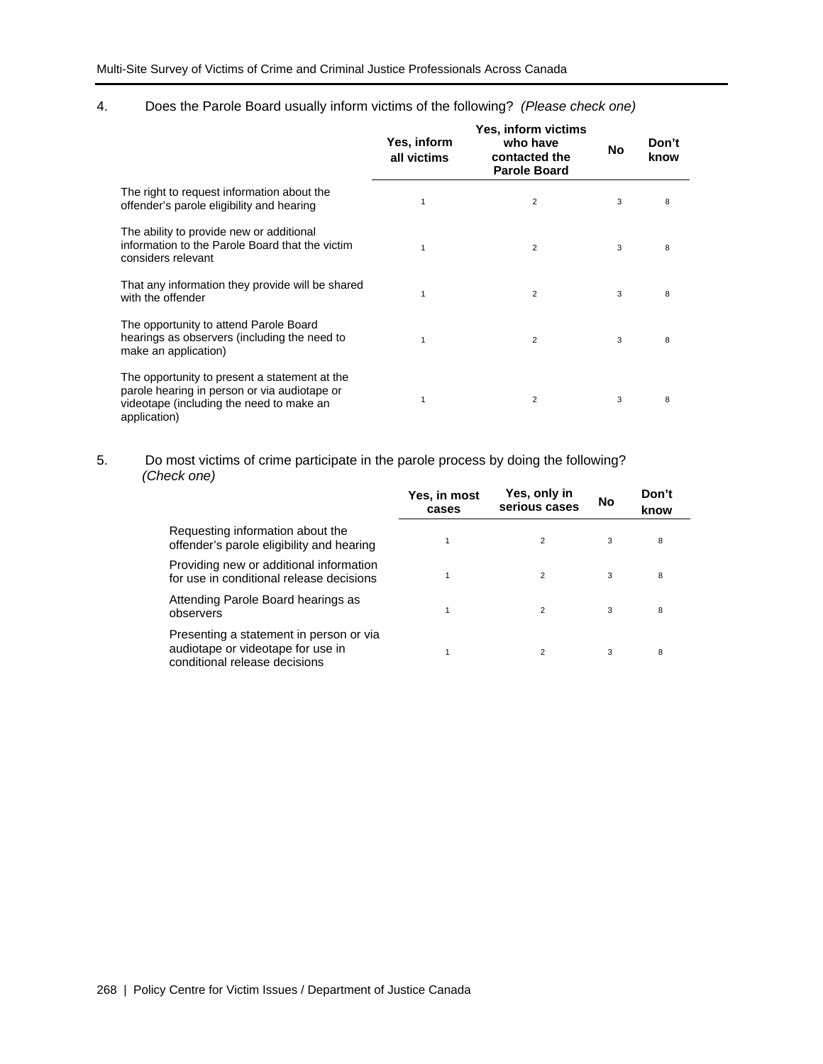## 4. Does the Parole Board usually inform victims of the following? *(Please check one)*

|                                                                                                                                                           | Yes, inform<br>all victims | Yes, inform victims<br>who have<br>contacted the<br><b>Parole Board</b> | No | Don't<br>know |
|-----------------------------------------------------------------------------------------------------------------------------------------------------------|----------------------------|-------------------------------------------------------------------------|----|---------------|
| The right to request information about the<br>offender's parole eligibility and hearing                                                                   | 1                          | 2                                                                       | 3  | 8             |
| The ability to provide new or additional<br>information to the Parole Board that the victim<br>considers relevant                                         |                            | $\overline{2}$                                                          | 3  | 8             |
| That any information they provide will be shared<br>with the offender                                                                                     |                            | $\overline{2}$                                                          | 3  | 8             |
| The opportunity to attend Parole Board<br>hearings as observers (including the need to<br>make an application)                                            |                            | $\overline{2}$                                                          | 3  | 8             |
| The opportunity to present a statement at the<br>parole hearing in person or via audiotape or<br>videotape (including the need to make an<br>application) |                            | $\overline{2}$                                                          | 3  | 8             |

### 5. Do most victims of crime participate in the parole process by doing the following? *(Check one)*

|                                                                                                               | Yes, in most<br>cases | Yes, only in<br>serious cases | No | Don't<br>know |  |
|---------------------------------------------------------------------------------------------------------------|-----------------------|-------------------------------|----|---------------|--|
| Requesting information about the<br>offender's parole eligibility and hearing                                 |                       | $\overline{2}$                | 3  | 8             |  |
| Providing new or additional information<br>for use in conditional release decisions                           |                       | $\overline{2}$                | 3  | 8             |  |
| Attending Parole Board hearings as<br>observers                                                               |                       | $\overline{2}$                | 3  | 8             |  |
| Presenting a statement in person or via<br>audiotape or videotape for use in<br>conditional release decisions |                       | $\overline{2}$                | 3  | 8             |  |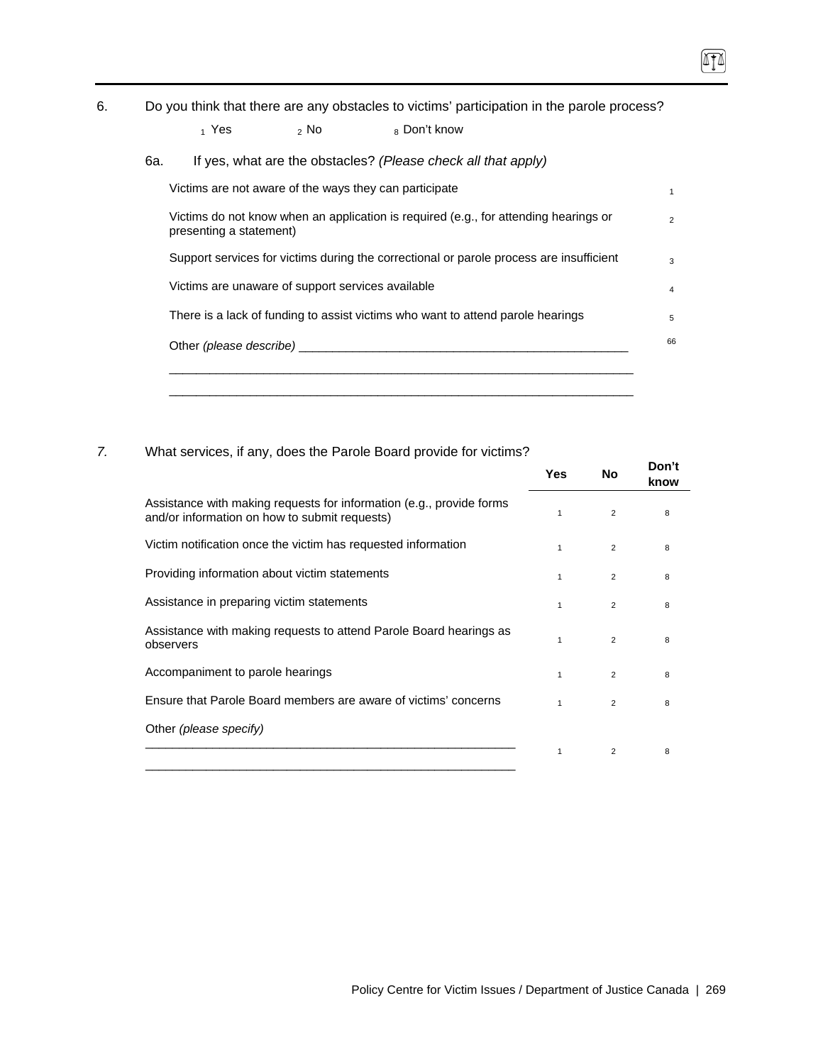6. Do you think that there are any obstacles to victims' participation in the parole process?

| 1 Yes | 2 No | 8 Don't know |
|-------|------|--------------|
|-------|------|--------------|

6a. If yes, what are the obstacles? *(Please check all that apply)* 

| Victims are not aware of the ways they can participate                                                          |  |
|-----------------------------------------------------------------------------------------------------------------|--|
| Victims do not know when an application is required (e.g., for attending hearings or<br>presenting a statement) |  |
| Support services for victims during the correctional or parole process are insufficient                         |  |
| Victims are unaware of support services available                                                               |  |
| There is a lack of funding to assist victims who want to attend parole hearings                                 |  |
| Other (please describe)                                                                                         |  |

### *7.* What services, if any, does the Parole Board provide for victims?

|                                                                                                                       | Yes          | No             | Don't<br>know |
|-----------------------------------------------------------------------------------------------------------------------|--------------|----------------|---------------|
| Assistance with making requests for information (e.g., provide forms<br>and/or information on how to submit requests) |              | $\overline{2}$ | 8             |
| Victim notification once the victim has requested information                                                         | $\mathbf{1}$ | $\overline{2}$ | 8             |
| Providing information about victim statements                                                                         | 1            | $\overline{2}$ | 8             |
| Assistance in preparing victim statements                                                                             | 1            | 2              | 8             |
| Assistance with making requests to attend Parole Board hearings as<br>observers                                       | 1            | $\overline{2}$ | 8             |
| Accompaniment to parole hearings                                                                                      | 1            | $\overline{2}$ | 8             |
| Ensure that Parole Board members are aware of victims' concerns                                                       | 1            | $\overline{2}$ | 8             |
| Other (please specify)                                                                                                |              |                |               |
|                                                                                                                       | 1            | $\overline{2}$ | 8             |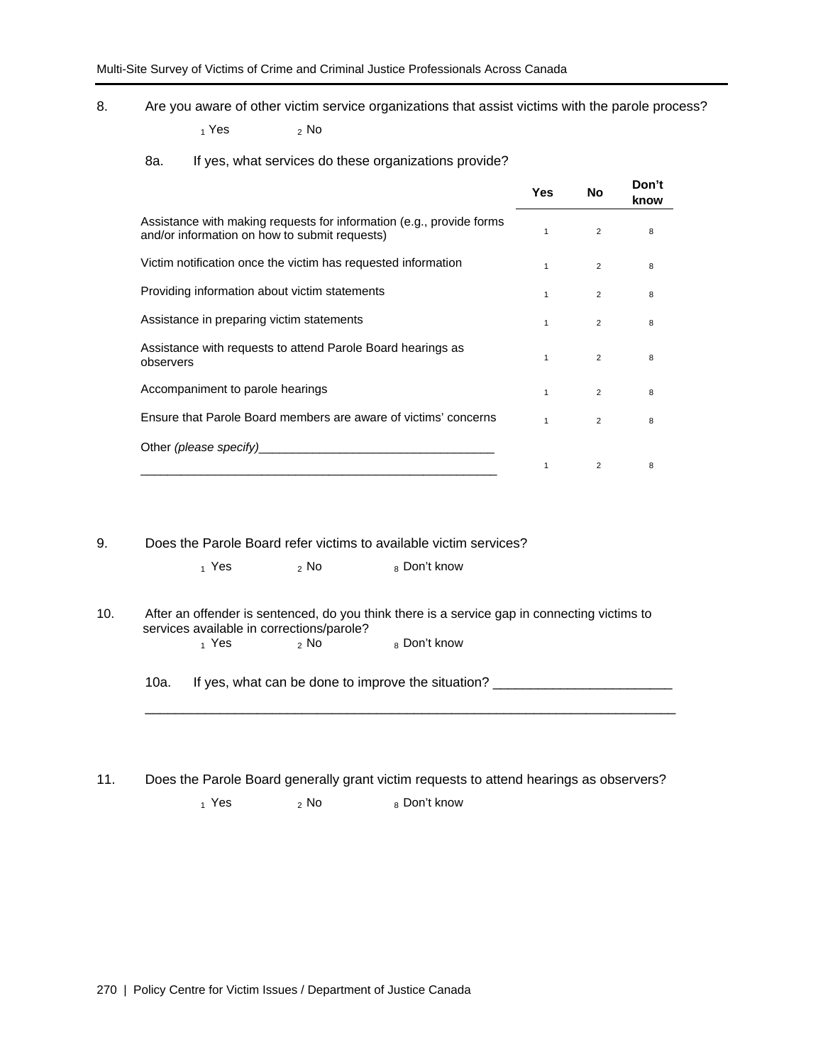8. Are you aware of other victim service organizations that assist victims with the parole process?

 $_1$  Yes  $_2$  No

#### 8a. If yes, what services do these organizations provide?

|                                                                                                                       | Yes          | No             | Don't<br>know |
|-----------------------------------------------------------------------------------------------------------------------|--------------|----------------|---------------|
| Assistance with making requests for information (e.g., provide forms<br>and/or information on how to submit requests) |              | 2              | 8             |
| Victim notification once the victim has requested information                                                         | $\mathbf{1}$ | $\overline{2}$ | 8             |
| Providing information about victim statements                                                                         |              | $\overline{2}$ | 8             |
| Assistance in preparing victim statements                                                                             | 1            | 2              | 8             |
| Assistance with requests to attend Parole Board hearings as<br>observers                                              |              | $\overline{2}$ | 8             |
| Accompaniment to parole hearings                                                                                      | 1            | 2              | 8             |
| Ensure that Parole Board members are aware of victims' concerns                                                       |              | $\overline{2}$ | 8             |
| Other (please specify)                                                                                                |              |                |               |
|                                                                                                                       |              | $\overline{2}$ | 8             |

9. Does the Parole Board refer victims to available victim services?

- $_1$  Yes  $_2$  No  $_8$  Don't know
- 10. After an offender is sentenced, do you think there is a service gap in connecting victims to services available in corrections/parole?<br> $\frac{1}{1}$  Yes 8 Don't know

10a. If yes, what can be done to improve the situation? \_\_\_\_\_\_\_\_\_\_\_\_\_\_\_\_\_\_\_\_\_\_\_\_

11. Does the Parole Board generally grant victim requests to attend hearings as observers?  $_1$  Yes  $_2$  No  $_8$  Don't know

 $\mathcal{L}_\text{max} = \frac{1}{2} \sum_{i=1}^{n} \frac{1}{2} \sum_{i=1}^{n} \frac{1}{2} \sum_{i=1}^{n} \frac{1}{2} \sum_{i=1}^{n} \frac{1}{2} \sum_{i=1}^{n} \frac{1}{2} \sum_{i=1}^{n} \frac{1}{2} \sum_{i=1}^{n} \frac{1}{2} \sum_{i=1}^{n} \frac{1}{2} \sum_{i=1}^{n} \frac{1}{2} \sum_{i=1}^{n} \frac{1}{2} \sum_{i=1}^{n} \frac{1}{2} \sum_{i=1}^{n} \frac{1$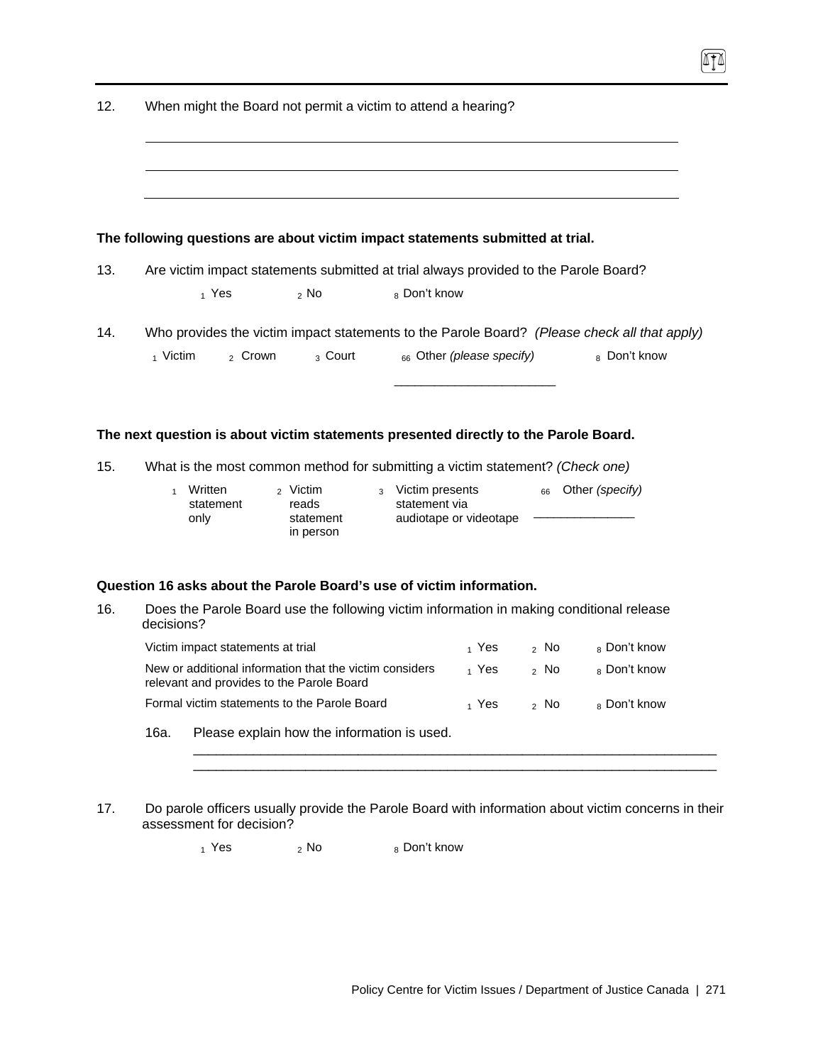| 12. | When might the Board not permit a victim to attend a hearing?                                          |                                                              |                                            |  |  |  |
|-----|--------------------------------------------------------------------------------------------------------|--------------------------------------------------------------|--------------------------------------------|--|--|--|
|     |                                                                                                        |                                                              |                                            |  |  |  |
|     |                                                                                                        |                                                              |                                            |  |  |  |
|     | The following questions are about victim impact statements submitted at trial.                         |                                                              |                                            |  |  |  |
| 13. | Are victim impact statements submitted at trial always provided to the Parole Board?                   |                                                              |                                            |  |  |  |
|     | $_1$ Yes<br>$2$ No                                                                                     | 8 Don't know                                                 |                                            |  |  |  |
| 14. | Who provides the victim impact statements to the Parole Board? (Please check all that apply)           |                                                              |                                            |  |  |  |
|     | 1 Victim<br><sub>2</sub> Crown<br><sub>3</sub> Court                                                   | 66 Other (please specify)                                    | 8 Don't know                               |  |  |  |
|     |                                                                                                        |                                                              |                                            |  |  |  |
|     | The next question is about victim statements presented directly to the Parole Board.                   |                                                              |                                            |  |  |  |
| 15. | What is the most common method for submitting a victim statement? (Check one)                          |                                                              |                                            |  |  |  |
|     | Written<br><sub>2</sub> Victim<br>$\mathbf{1}$<br>statement<br>reads<br>only<br>statement<br>in person | 3 Victim presents<br>statement via<br>audiotape or videotape | Other (specify)<br>66                      |  |  |  |
|     | Question 16 asks about the Parole Board's use of victim information.                                   |                                                              |                                            |  |  |  |
| 16. | Does the Parole Board use the following victim information in making conditional release<br>decisions? |                                                              |                                            |  |  |  |
|     | Victim impact statements at trial                                                                      | 1 Yes                                                        | <sub>8</sub> Don't know<br><sub>2</sub> No |  |  |  |
|     | New or additional information that the victim considers<br>relevant and provides to the Parole Board   | $_1$ Yes                                                     | 8 Don't know<br><sup>2</sup> No            |  |  |  |

- Formal victim statements to the Parole Board  $\begin{array}{ccc} 1 & \gamma & \gamma & \gamma \end{array}$  Yes  $\begin{array}{ccc} 2 & \gamma & \gamma & \gamma \end{array}$  No  $\begin{array}{ccc} 8 & \gamma & \gamma \end{array}$
- 16a. Please explain how the information is used.
- 17. Do parole officers usually provide the Parole Board with information about victim concerns in their assessment for decision?

\_\_\_\_\_\_\_\_\_\_\_\_\_\_\_\_\_\_\_\_\_\_\_\_\_\_\_\_\_\_\_\_\_\_\_\_\_\_\_\_\_\_\_\_\_\_\_\_\_\_\_\_\_\_\_\_\_\_\_\_\_\_\_\_\_\_\_\_\_\_  $\overline{\phantom{a}}$  , and the set of the set of the set of the set of the set of the set of the set of the set of the set of the set of the set of the set of the set of the set of the set of the set of the set of the set of the s

 $_1$  Yes  $_2$  No  $_8$  Don't know

0TO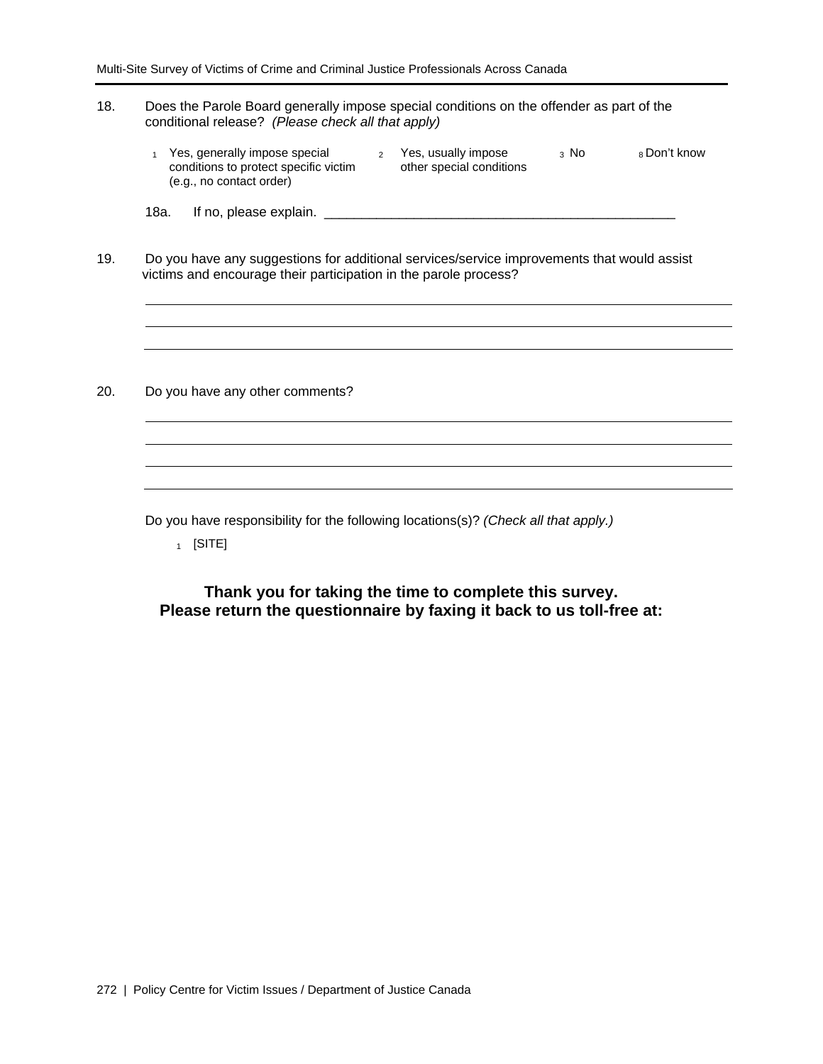#### 18. Does the Parole Board generally impose special conditions on the offender as part of the conditional release? *(Please check all that apply)*

| Yes, generally impose special         | Yes, usually impose      | ุ่ง No | ∝ Don't know |
|---------------------------------------|--------------------------|--------|--------------|
| conditions to protect specific victim | other special conditions |        |              |
| (e.g., no contact order)              |                          |        |              |

18a. If no, please explain. \_\_\_\_\_\_\_\_\_\_\_\_\_\_\_\_\_\_\_\_\_\_\_\_\_\_\_\_\_\_\_\_\_\_\_\_\_\_\_\_\_\_\_\_\_\_\_

19. Do you have any suggestions for additional services/service improvements that would assist victims and encourage their participation in the parole process?

20. Do you have any other comments?

Do you have responsibility for the following locations(s)? *(Check all that apply.)* 

 $1$  [SITE]

**Thank you for taking the time to complete this survey. Please return the questionnaire by faxing it back to us toll-free at:**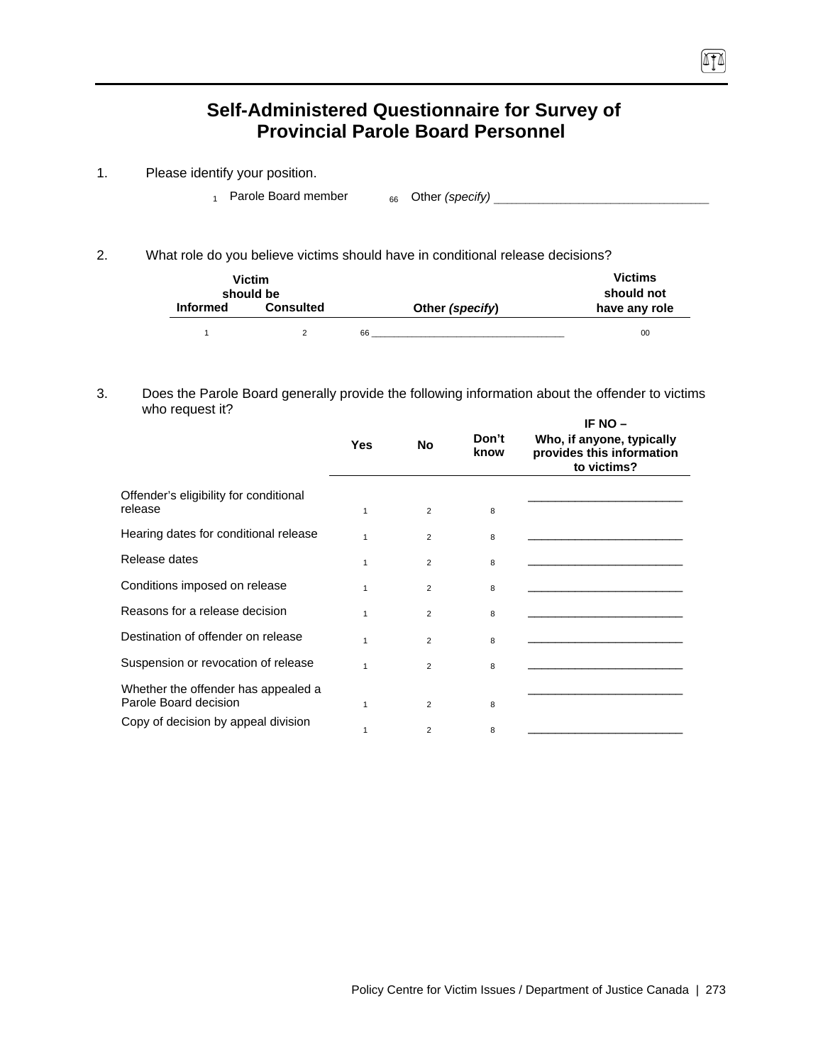# **Self-Administered Questionnaire for Survey of Provincial Parole Board Personnel**

- 1. Please identify your position.
	- 1 Parole Board member 66 Other *(specify)* \_\_\_\_\_\_\_\_\_\_\_\_\_\_\_\_\_\_\_\_\_\_\_\_\_\_\_\_\_\_\_\_\_\_\_\_\_\_\_\_\_\_\_\_\_\_\_\_

 $\sqrt{10}$ 

2. What role do you believe victims should have in conditional release decisions?

|                 | <b>Victim</b><br>should be |    |                 | <b>Victims</b><br>should not |
|-----------------|----------------------------|----|-----------------|------------------------------|
| <b>Informed</b> | <b>Consulted</b>           |    | Other (specify) | have any role                |
|                 |                            | 66 |                 | 00                           |

#### 3. Does the Parole Board generally provide the following information about the offender to victims who request it? **IF NO –**

|                                                              |              |                |               | IF NO –                                                               |
|--------------------------------------------------------------|--------------|----------------|---------------|-----------------------------------------------------------------------|
|                                                              | <b>Yes</b>   | <b>No</b>      | Don't<br>know | Who, if anyone, typically<br>provides this information<br>to victims? |
| Offender's eligibility for conditional<br>release            | $\mathbf{1}$ | $\overline{2}$ | 8             |                                                                       |
| Hearing dates for conditional release                        | 1            | $\overline{2}$ | 8             |                                                                       |
| Release dates                                                | 1            | $\overline{2}$ | 8             |                                                                       |
| Conditions imposed on release                                | $\mathbf{1}$ | $\overline{2}$ | 8             |                                                                       |
| Reasons for a release decision                               | 1            | $\overline{2}$ | 8             |                                                                       |
| Destination of offender on release                           | 1            | $\overline{2}$ | 8             |                                                                       |
| Suspension or revocation of release                          | $\mathbf 1$  | $\overline{2}$ | 8             |                                                                       |
| Whether the offender has appealed a<br>Parole Board decision | $\mathbf 1$  | $\overline{2}$ | 8             |                                                                       |
| Copy of decision by appeal division                          | 1            | $\overline{2}$ | 8             |                                                                       |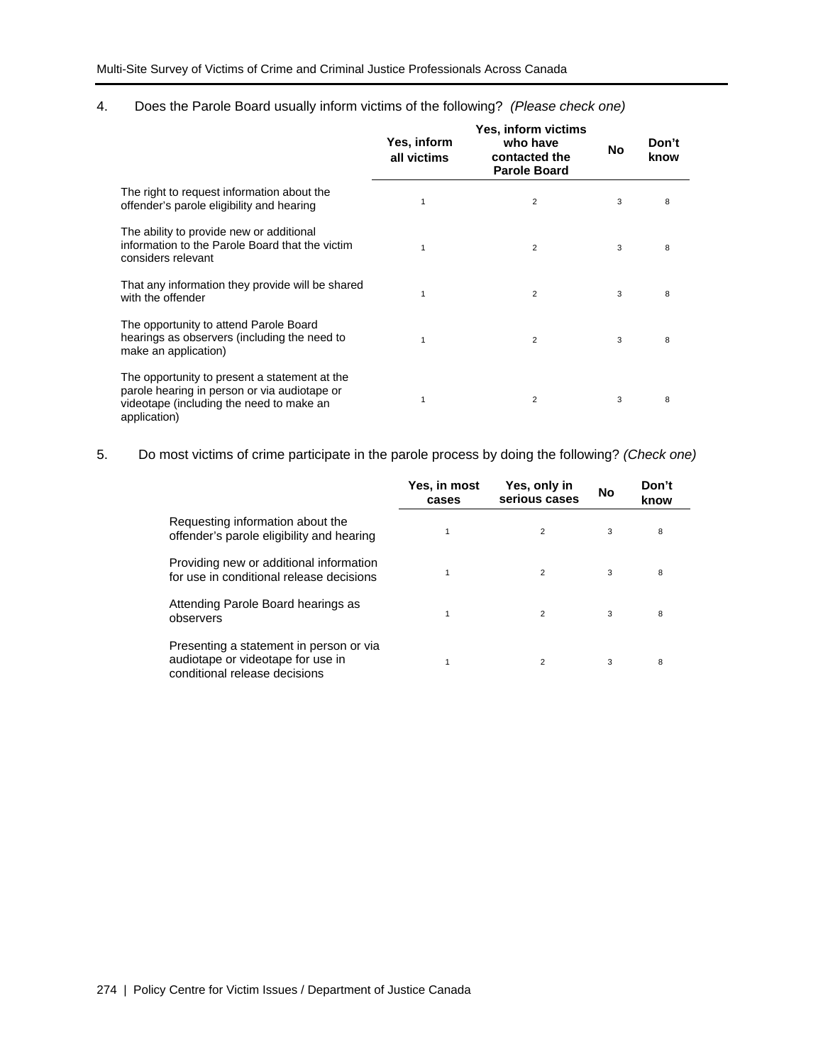#### 4. Does the Parole Board usually inform victims of the following? *(Please check one)*

|                                                                                                                                                           | Yes, inform<br>all victims | <b>Yes, inform victims</b><br>who have<br>contacted the<br><b>Parole Board</b> | No | Don't<br>know |
|-----------------------------------------------------------------------------------------------------------------------------------------------------------|----------------------------|--------------------------------------------------------------------------------|----|---------------|
| The right to request information about the<br>offender's parole eligibility and hearing                                                                   |                            | 2                                                                              | 3  | 8             |
| The ability to provide new or additional<br>information to the Parole Board that the victim<br>considers relevant                                         |                            | $\overline{2}$                                                                 | 3  | 8             |
| That any information they provide will be shared<br>with the offender                                                                                     |                            | $\overline{2}$                                                                 | 3  | 8             |
| The opportunity to attend Parole Board<br>hearings as observers (including the need to<br>make an application)                                            |                            | $\overline{2}$                                                                 | 3  | 8             |
| The opportunity to present a statement at the<br>parole hearing in person or via audiotape or<br>videotape (including the need to make an<br>application) |                            | $\overline{2}$                                                                 | 3  | 8             |

5. Do most victims of crime participate in the parole process by doing the following? *(Check one)*

|                                                                                                               | Yes, in most<br>cases | Yes, only in<br>serious cases | <b>No</b> | Don't<br>know |  |
|---------------------------------------------------------------------------------------------------------------|-----------------------|-------------------------------|-----------|---------------|--|
| Requesting information about the<br>offender's parole eligibility and hearing                                 | 1                     | 2                             | 3         | 8             |  |
| Providing new or additional information<br>for use in conditional release decisions                           |                       | 2                             | 3         | 8             |  |
| Attending Parole Board hearings as<br>observers                                                               |                       | $\overline{2}$                | 3         | 8             |  |
| Presenting a statement in person or via<br>audiotape or videotape for use in<br>conditional release decisions |                       | $\overline{2}$                | 3         | 8             |  |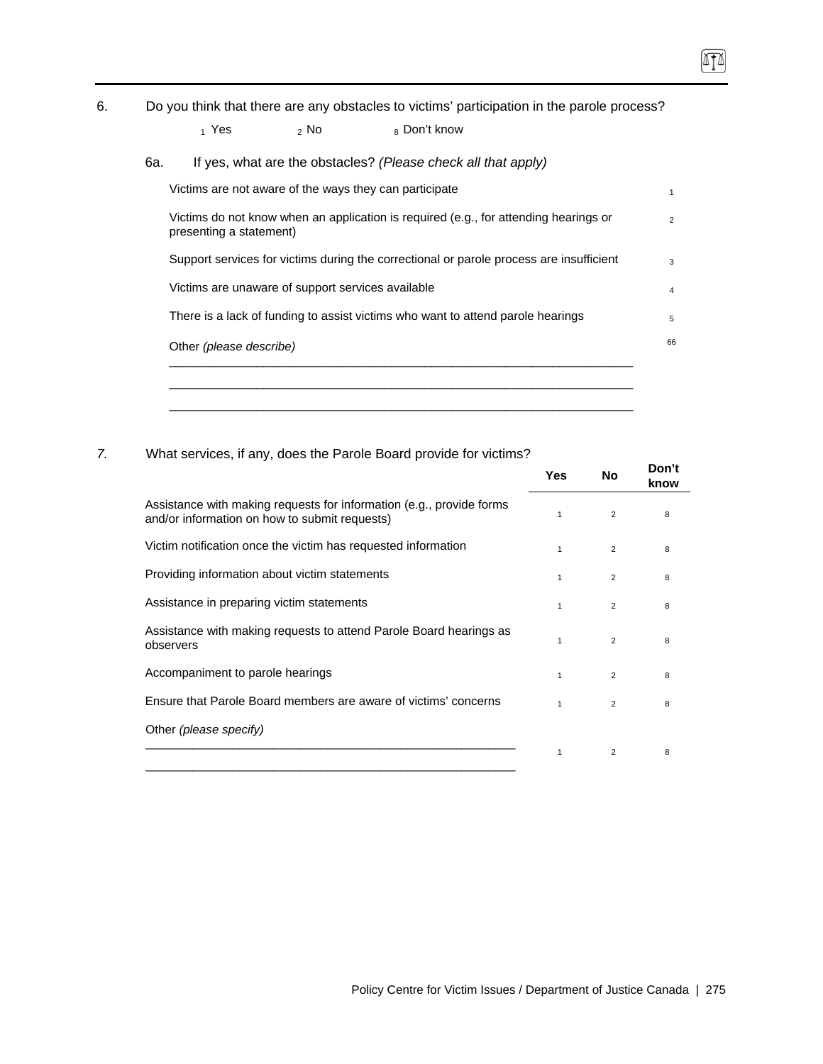6. Do you think that there are any obstacles to victims' participation in the parole process?

#### $_1$  Yes  $_2$  No  $_8$  Don't know

6a. If yes, what are the obstacles? *(Please check all that apply)* 

| Victims are not aware of the ways they can participate                                                          |
|-----------------------------------------------------------------------------------------------------------------|
| Victims do not know when an application is required (e.g., for attending hearings or<br>presenting a statement) |
| Support services for victims during the correctional or parole process are insufficient                         |
| Victims are unaware of support services available                                                               |
| There is a lack of funding to assist victims who want to attend parole hearings                                 |
| Other (please describe)                                                                                         |

## *7.* What services, if any, does the Parole Board provide for victims?

|                                                                                                                       | Yes          | No.            | Don't<br>know |
|-----------------------------------------------------------------------------------------------------------------------|--------------|----------------|---------------|
| Assistance with making requests for information (e.g., provide forms<br>and/or information on how to submit requests) | 1            | 2              | 8             |
| Victim notification once the victim has requested information                                                         |              | $\overline{2}$ | 8             |
| Providing information about victim statements                                                                         | 1            | 2              | 8             |
| Assistance in preparing victim statements                                                                             | 1            | $\overline{2}$ | 8             |
| Assistance with making requests to attend Parole Board hearings as<br>observers                                       |              | $\overline{2}$ | 8             |
| Accompaniment to parole hearings                                                                                      | $\mathbf{1}$ | 2              | 8             |
| Ensure that Parole Board members are aware of victims' concerns                                                       | 1            | $\overline{2}$ | 8             |
| Other (please specify)                                                                                                |              |                |               |
|                                                                                                                       | 1            | $\overline{2}$ | 8             |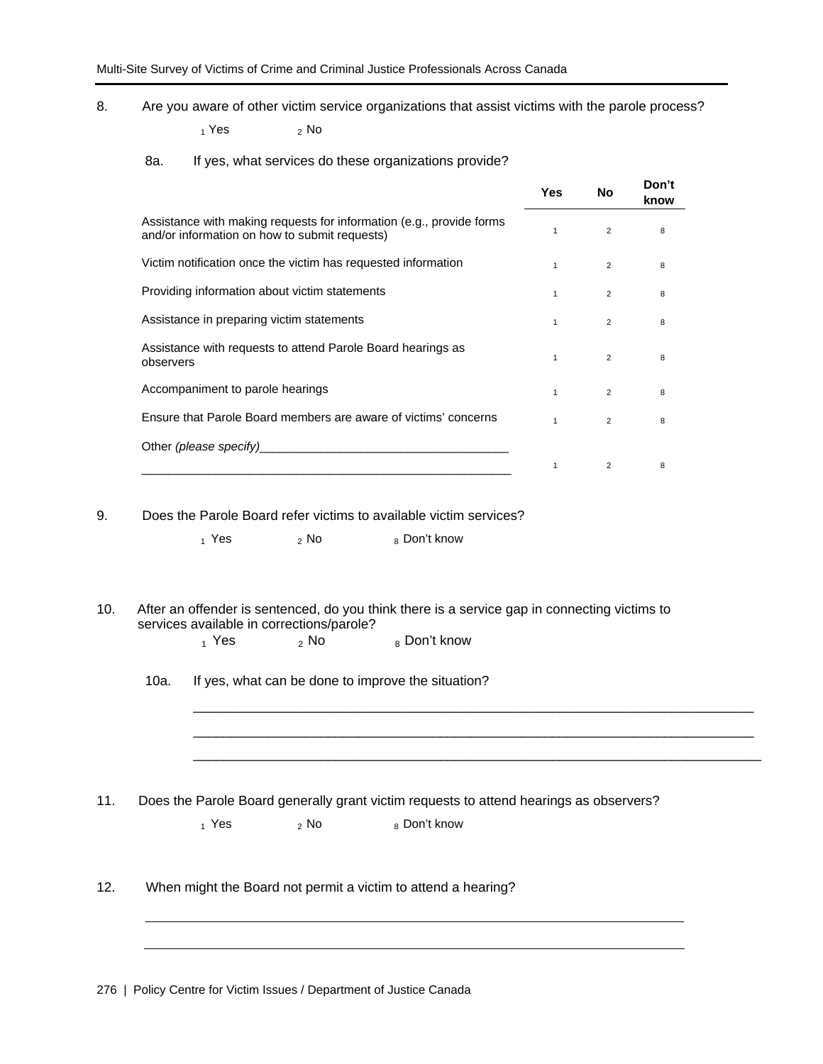8. Are you aware of other victim service organizations that assist victims with the parole process?

 $_1$  Yes  $_2$  No

8a. If yes, what services do these organizations provide?

|                                                                                                                       | Yes          | No             | Don't<br>know |
|-----------------------------------------------------------------------------------------------------------------------|--------------|----------------|---------------|
| Assistance with making requests for information (e.g., provide forms<br>and/or information on how to submit requests) | 1            | $\overline{2}$ | 8             |
| Victim notification once the victim has requested information                                                         | $\mathbf{1}$ | 2              | 8             |
| Providing information about victim statements                                                                         | 1            | $\overline{2}$ | 8             |
| Assistance in preparing victim statements                                                                             | 1            | 2              | 8             |
| Assistance with requests to attend Parole Board hearings as<br>observers                                              | 1            | $\overline{2}$ | 8             |
| Accompaniment to parole hearings                                                                                      | $\mathbf{1}$ | 2              | 8             |
| Ensure that Parole Board members are aware of victims' concerns                                                       | 1            | $\overline{2}$ | 8             |
|                                                                                                                       |              |                |               |
|                                                                                                                       |              | 2              | 8             |

9. Does the Parole Board refer victims to available victim services?

 $_1$  Yes  $_2$  No  $_8$  Don't know

10. After an offender is sentenced, do you think there is a service gap in connecting victims to services available in corrections/parole?

> \_\_\_\_\_\_\_\_\_\_\_\_\_\_\_\_\_\_\_\_\_\_\_\_\_\_\_\_\_\_\_\_\_\_\_\_\_\_\_\_\_\_\_\_\_\_\_\_\_\_\_\_\_\_\_\_\_\_\_\_\_\_\_\_\_\_\_\_\_\_\_\_\_\_\_ \_\_\_\_\_\_\_\_\_\_\_\_\_\_\_\_\_\_\_\_\_\_\_\_\_\_\_\_\_\_\_\_\_\_\_\_\_\_\_\_\_\_\_\_\_\_\_\_\_\_\_\_\_\_\_\_\_\_\_\_\_\_\_\_\_\_\_\_\_\_\_\_\_\_\_ \_\_\_\_\_\_\_\_\_\_\_\_\_\_\_\_\_\_\_\_\_\_\_\_\_\_\_\_\_\_\_\_\_\_\_\_\_\_\_\_\_\_\_\_\_\_\_\_\_\_\_\_\_\_\_\_\_\_\_\_\_\_\_\_\_\_\_\_\_\_\_\_\_\_\_\_

 $_1$  Yes  $_2$  No  $_8$  Don't know

10a. If yes, what can be done to improve the situation?

11. Does the Parole Board generally grant victim requests to attend hearings as observers?

| $_1$ Yes | $\frac{1}{2}$ No | 8 Don't know |
|----------|------------------|--------------|
|          |                  |              |

12. When might the Board not permit a victim to attend a hearing?

276 | Policy Centre for Victim Issues / Department of Justice Canada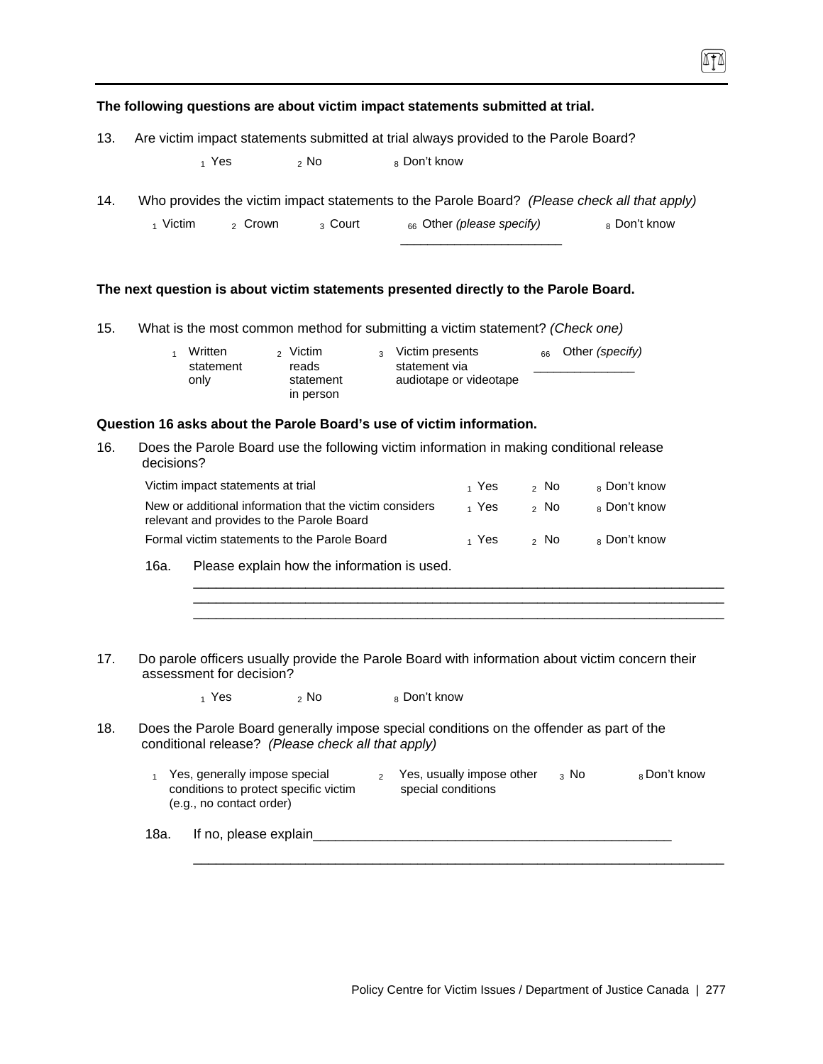**The following questions are about victim impact statements submitted at trial.**  13. Are victim impact statements submitted at trial always provided to the Parole Board?  $_1$  Yes  $_2$  No  $_8$  Don't know 14. Who provides the victim impact statements to the Parole Board? *(Please check all that apply)* 1 Victim 2 Crown 3 Court 66 Other *(please specify)* 8 Don't know

\_\_\_\_\_\_\_\_\_\_\_\_\_\_\_\_\_\_\_\_\_\_\_\_

#### **The next question is about victim statements presented directly to the Parole Board.**

15. What is the most common method for submitting a victim statement? *(Check one)*

| Written   | <sub>2</sub> Victim    | <sub>3</sub> Victim presents | $_{66}$ Other (specify) |
|-----------|------------------------|------------------------------|-------------------------|
| statement | reads                  | statement via                |                         |
| only      | statement<br>in person | audiotape or videotape       |                         |
|           |                        |                              |                         |

#### **Question 16 asks about the Parole Board's use of victim information.**

16. Does the Parole Board use the following victim information in making conditional release decisions?

| Victim impact statements at trial                                                                                          | 1 Yes | 2 No | 8 Don't know |
|----------------------------------------------------------------------------------------------------------------------------|-------|------|--------------|
| New or additional information that the victim considers<br>relevant and provides to the Parole Board                       | 1 Yes | ⇒ No | 8 Don't know |
| Formal victim statements to the Parole Board                                                                               | 1 Yes | ,No  | 8 Don't know |
| $\sim$<br>This can be a factor for a statistic contract of a statistic contract of the statistic contract of the statistic |       |      |              |

\_\_\_\_\_\_\_\_\_\_\_\_\_\_\_\_\_\_\_\_\_\_\_\_\_\_\_\_\_\_\_\_\_\_\_\_\_\_\_\_\_\_\_\_\_\_\_\_\_\_\_\_\_\_\_\_\_\_\_\_\_\_\_\_\_\_\_\_\_\_\_ \_\_\_\_\_\_\_\_\_\_\_\_\_\_\_\_\_\_\_\_\_\_\_\_\_\_\_\_\_\_\_\_\_\_\_\_\_\_\_\_\_\_\_\_\_\_\_\_\_\_\_\_\_\_\_\_\_\_\_\_\_\_\_\_\_\_\_\_\_\_\_ \_\_\_\_\_\_\_\_\_\_\_\_\_\_\_\_\_\_\_\_\_\_\_\_\_\_\_\_\_\_\_\_\_\_\_\_\_\_\_\_\_\_\_\_\_\_\_\_\_\_\_\_\_\_\_\_\_\_\_\_\_\_\_\_\_\_\_\_\_\_\_

16a. Please explain how the information is used.

17. Do parole officers usually provide the Parole Board with information about victim concern their assessment for decision?

 $_1$  Yes  $_2$  No  $_8$  Don't know

- 18. Does the Parole Board generally impose special conditions on the offender as part of the conditional release? *(Please check all that apply)* 
	- 1 Yes, generally impose special conditions to protect specific victim (e.g., no contact order)  $2$  Yes, usually impose other  $3$  No special conditions  $8$  Don't know

\_\_\_\_\_\_\_\_\_\_\_\_\_\_\_\_\_\_\_\_\_\_\_\_\_\_\_\_\_\_\_\_\_\_\_\_\_\_\_\_\_\_\_\_\_\_\_\_\_\_\_\_\_\_\_\_\_\_\_\_\_\_\_\_\_\_\_\_\_\_\_

18a. If no, please explain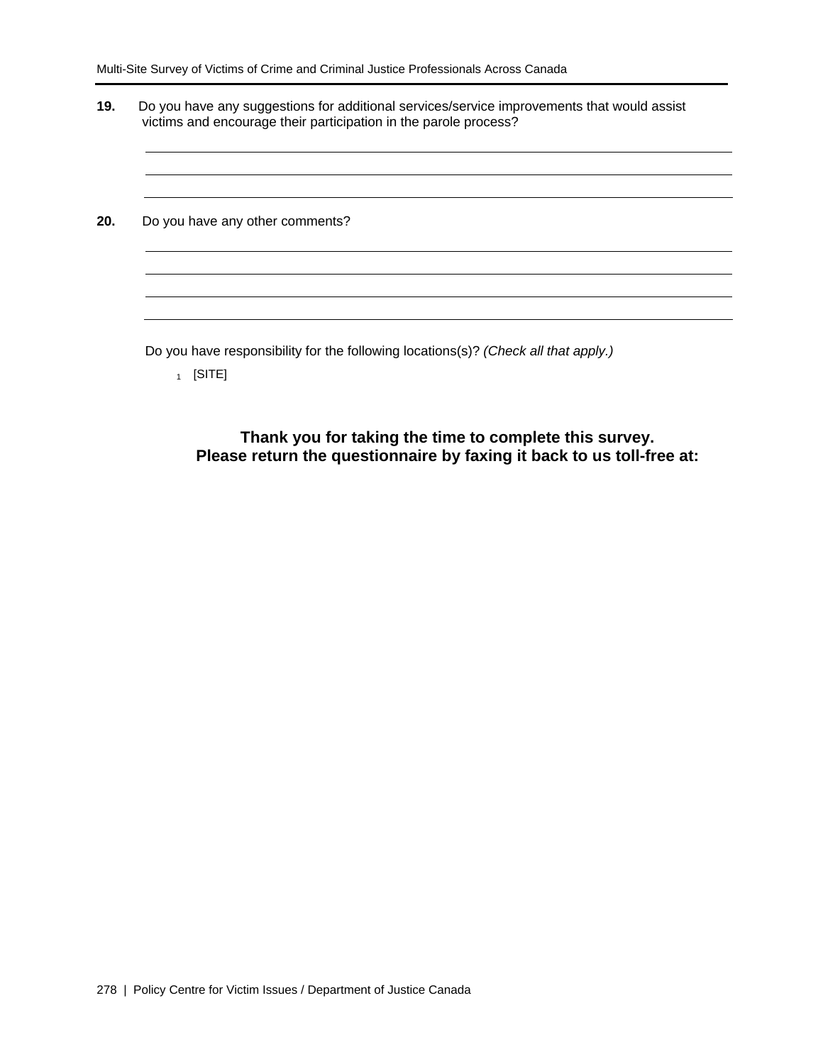| Do you have any other comments? |  |  |
|---------------------------------|--|--|
|                                 |  |  |
|                                 |  |  |
|                                 |  |  |

 $_1$  [SITE]

**Thank you for taking the time to complete this survey. Please return the questionnaire by faxing it back to us toll-free at:**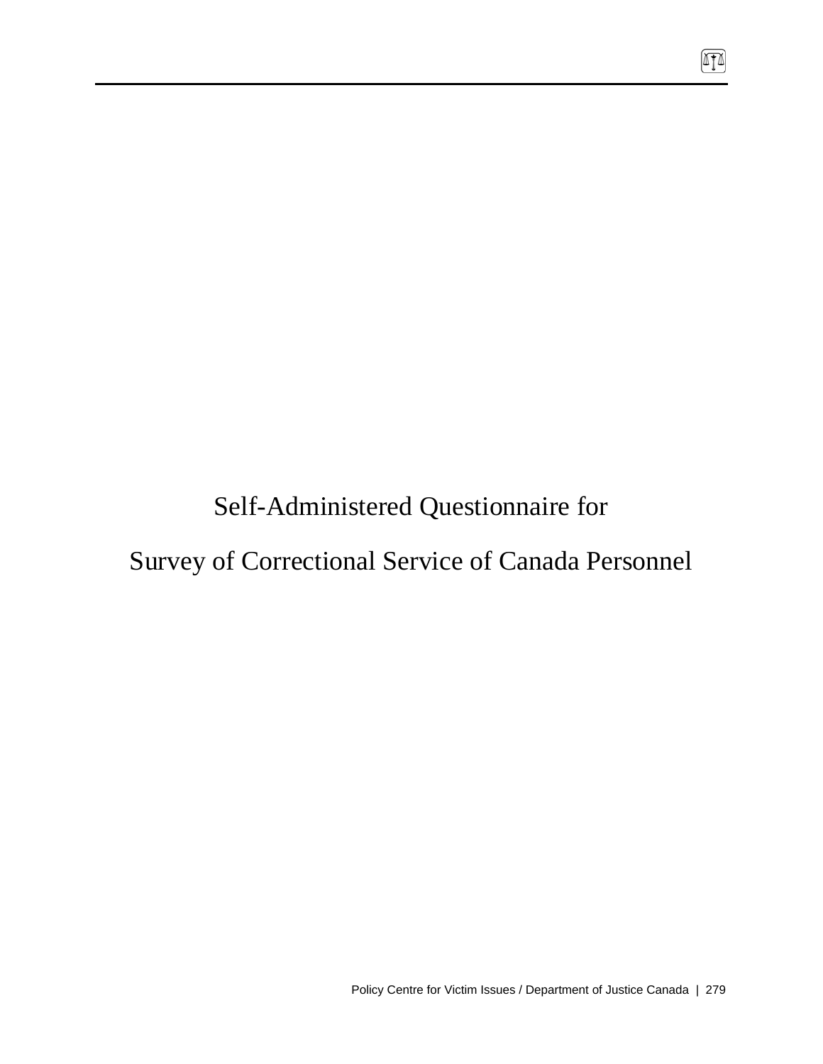Self-Administered Questionnaire for

# Survey of Correctional Service of Canada Personnel

硒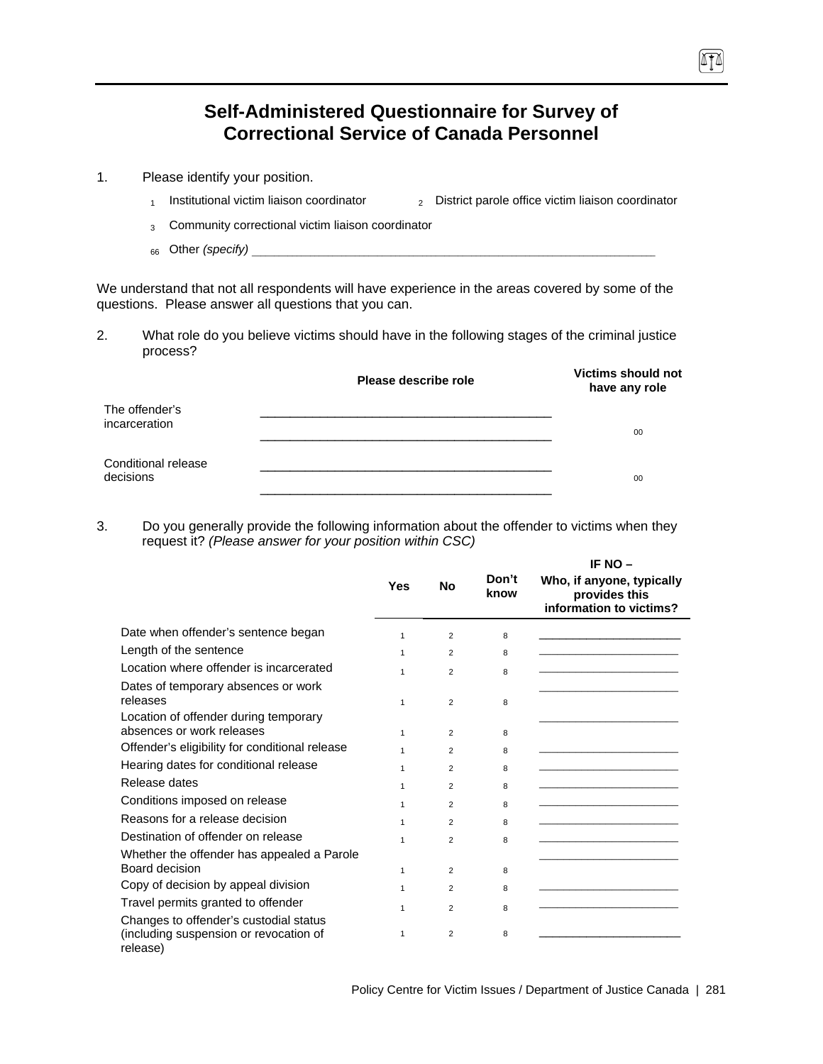## **Self-Administered Questionnaire for Survey of Correctional Service of Canada Personnel**

- 1. Please identify your position.
	- 1 Institutional victim liaison coordinator  $\qquad \qquad$  District parole office victim liaison coordinator
	- 3 Community correctional victim liaison coordinator
	- 66 Other *(specify)*

We understand that not all respondents will have experience in the areas covered by some of the questions. Please answer all questions that you can.

2. What role do you believe victims should have in the following stages of the criminal justice process?

|                                  | Please describe role | <b>Victims should not</b><br>have any role |
|----------------------------------|----------------------|--------------------------------------------|
| The offender's<br>incarceration  |                      | 00                                         |
| Conditional release<br>decisions |                      | 00                                         |

3. Do you generally provide the following information about the offender to victims when they request it? *(Please answer for your position within CSC)*

|                                                |              |                |               | IF NO -                                                               |
|------------------------------------------------|--------------|----------------|---------------|-----------------------------------------------------------------------|
|                                                | <b>Yes</b>   | No             | Don't<br>know | Who, if anyone, typically<br>provides this<br>information to victims? |
| Date when offender's sentence began            | $\mathbf{1}$ | 2              | 8             |                                                                       |
| Length of the sentence                         | 1            | $\overline{2}$ | 8             |                                                                       |
| Location where offender is incarcerated        | 1            | $\mathfrak{p}$ | 8             |                                                                       |
| Dates of temporary absences or work            |              |                |               |                                                                       |
| releases                                       | $\mathbf{1}$ | $\overline{2}$ | 8             |                                                                       |
| Location of offender during temporary          |              |                |               |                                                                       |
| absences or work releases                      | $\mathbf{1}$ | $\overline{2}$ | 8             |                                                                       |
| Offender's eligibility for conditional release | $\mathbf{1}$ | $\overline{2}$ | 8             |                                                                       |
| Hearing dates for conditional release          | $\mathbf{1}$ | $\overline{2}$ | 8             |                                                                       |
| Release dates                                  | 1            | 2              | 8             |                                                                       |
| Conditions imposed on release                  | 1            | 2              | 8             |                                                                       |
| Reasons for a release decision                 | 1            | 2              | 8             |                                                                       |
| Destination of offender on release             | 1            | $\mathfrak{p}$ | 8             |                                                                       |
| Whether the offender has appealed a Parole     |              |                |               |                                                                       |
| Board decision                                 | $\mathbf{1}$ | 2              | 8             |                                                                       |
| Copy of decision by appeal division            | 1            | 2              | 8             |                                                                       |
| Travel permits granted to offender             | 1            | $\overline{2}$ | 8             |                                                                       |
| Changes to offender's custodial status         |              |                |               |                                                                       |
| (including suspension or revocation of         | 1            | $\overline{2}$ | 8             |                                                                       |
| release)                                       |              |                |               |                                                                       |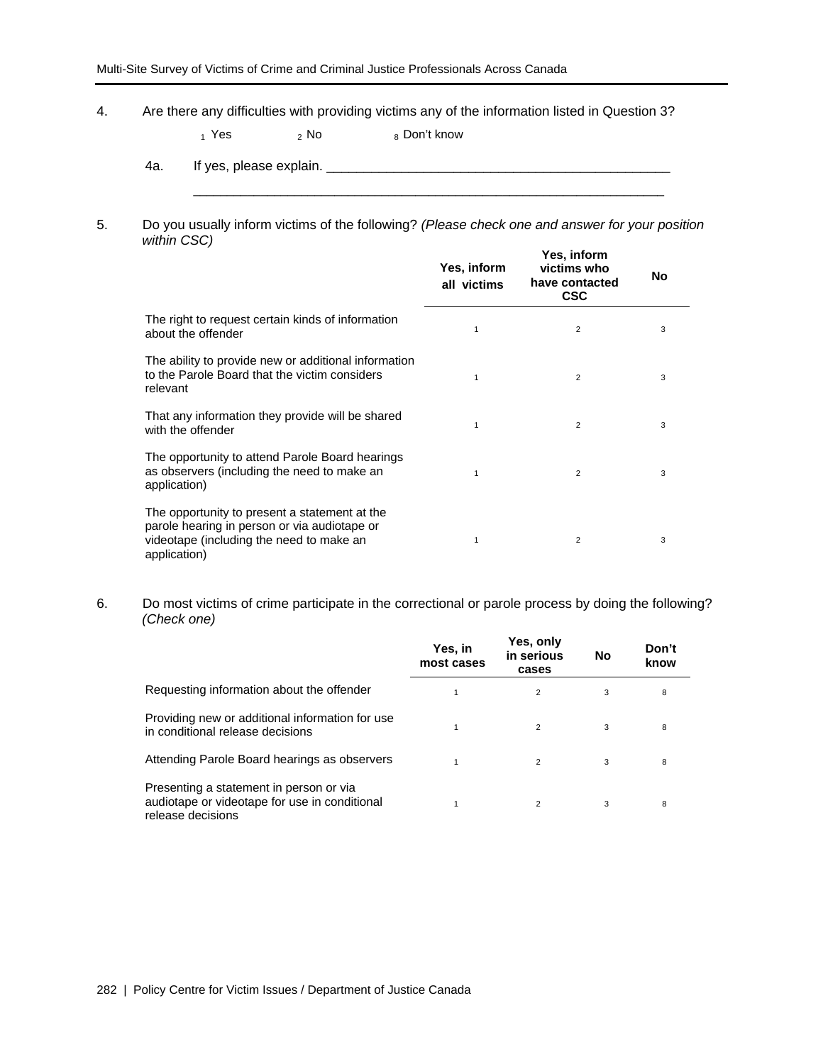4. Are there any difficulties with providing victims any of the information listed in Question 3?

 $_1$  Yes  $_2$  No  $_8$  Don't know

- 4a. If yes, please explain. \_\_\_\_\_\_\_\_\_\_\_\_\_\_\_\_\_\_\_\_\_\_\_\_\_\_\_\_\_\_\_\_\_\_\_\_\_\_\_\_\_\_\_\_\_\_
- 5. Do you usually inform victims of the following? *(Please check one and answer for your position within CSC)*

\_\_\_\_\_\_\_\_\_\_\_\_\_\_\_\_\_\_\_\_\_\_\_\_\_\_\_\_\_\_\_\_\_\_\_\_\_\_\_\_\_\_\_\_\_\_\_\_\_\_\_\_\_\_\_\_\_\_\_\_\_\_\_\_\_\_\_\_\_\_

|                                                                                                                                                           | Yes, inform<br>all victims | Yes, inform<br>victims who<br>have contacted<br><b>CSC</b> | No |
|-----------------------------------------------------------------------------------------------------------------------------------------------------------|----------------------------|------------------------------------------------------------|----|
| The right to request certain kinds of information<br>about the offender                                                                                   | $\mathbf{1}$               | 2                                                          | 3  |
| The ability to provide new or additional information<br>to the Parole Board that the victim considers<br>relevant                                         | 1                          | $\overline{2}$                                             | 3  |
| That any information they provide will be shared<br>with the offender                                                                                     | 1                          | $\overline{2}$                                             | 3  |
| The opportunity to attend Parole Board hearings<br>as observers (including the need to make an<br>application)                                            | $\mathbf{1}$               | $\overline{2}$                                             | 3  |
| The opportunity to present a statement at the<br>parole hearing in person or via audiotape or<br>videotape (including the need to make an<br>application) | 1                          | $\overline{2}$                                             | 3  |

6. Do most victims of crime participate in the correctional or parole process by doing the following? *(Check one)*

|                                                                                                               | Yes, in<br>most cases | Yes, only<br>in serious<br>cases | No | Don't<br>know |
|---------------------------------------------------------------------------------------------------------------|-----------------------|----------------------------------|----|---------------|
| Requesting information about the offender                                                                     |                       | $\overline{2}$                   | 3  | 8             |
| Providing new or additional information for use<br>in conditional release decisions                           |                       | $\overline{2}$                   | 3  | 8             |
| Attending Parole Board hearings as observers                                                                  |                       | $\overline{2}$                   | 3  | 8             |
| Presenting a statement in person or via<br>audiotape or videotape for use in conditional<br>release decisions |                       | 2                                | 3  | 8             |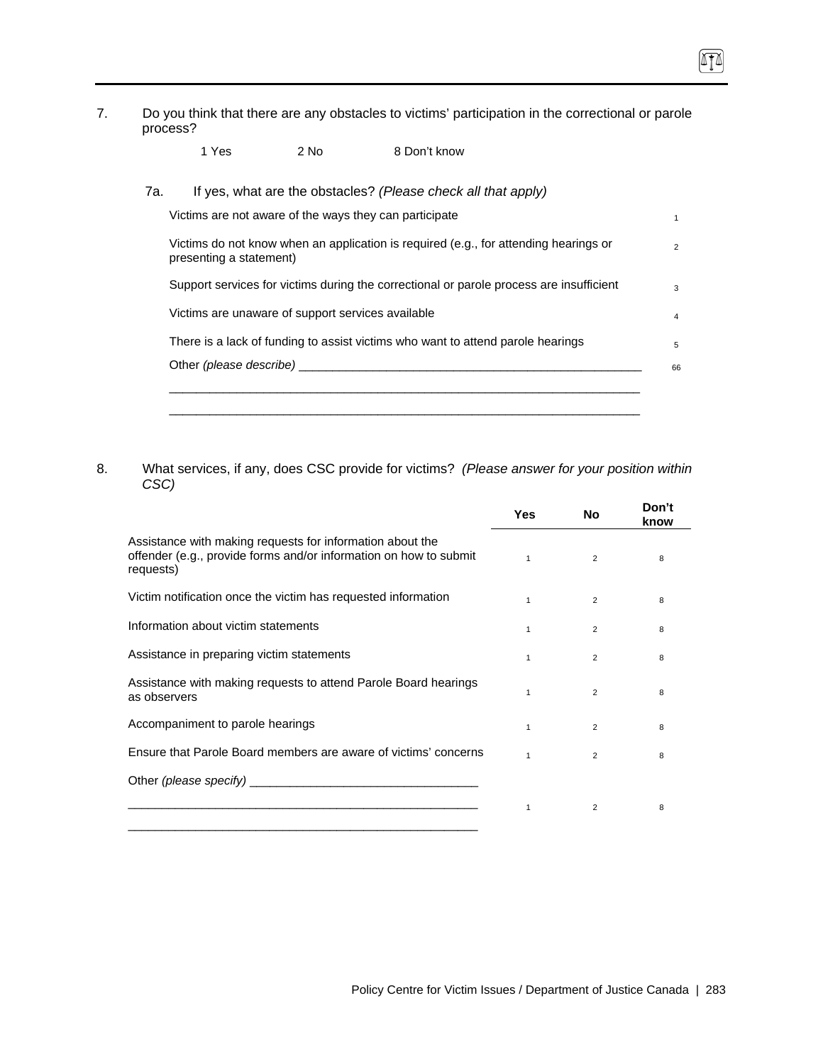7. Do you think that there are any obstacles to victims' participation in the correctional or parole process?

П

| 7а. |                         |                                                   | If yes, what are the obstacles? (Please check all that apply)                           |
|-----|-------------------------|---------------------------------------------------|-----------------------------------------------------------------------------------------|
|     |                         |                                                   | Victims are not aware of the ways they can participate                                  |
|     | presenting a statement) |                                                   | Victims do not know when an application is required (e.g., for attending hearings or    |
|     |                         |                                                   | Support services for victims during the correctional or parole process are insufficient |
|     |                         | Victims are unaware of support services available |                                                                                         |
|     |                         |                                                   | There is a lack of funding to assist victims who want to attend parole hearings         |
|     | Other (please describe) |                                                   |                                                                                         |

8. What services, if any, does CSC provide for victims? *(Please answer for your position within CSC)*

|                                                                                                                                                                                                                                | <b>Yes</b>   | No             | Don't<br>know |
|--------------------------------------------------------------------------------------------------------------------------------------------------------------------------------------------------------------------------------|--------------|----------------|---------------|
| Assistance with making requests for information about the<br>offender (e.g., provide forms and/or information on how to submit<br>requests)                                                                                    | $\mathbf{1}$ | $\overline{2}$ | 8             |
| Victim notification once the victim has requested information                                                                                                                                                                  | 1            | $\overline{2}$ | 8             |
| Information about victim statements                                                                                                                                                                                            | $\mathbf{1}$ | $\overline{2}$ | 8             |
| Assistance in preparing victim statements                                                                                                                                                                                      | $\mathbf{1}$ | $\overline{2}$ | 8             |
| Assistance with making requests to attend Parole Board hearings<br>as observers                                                                                                                                                | 1            | $\overline{2}$ | 8             |
| Accompaniment to parole hearings                                                                                                                                                                                               | $\mathbf{1}$ | 2              | 8             |
| Ensure that Parole Board members are aware of victims' concerns                                                                                                                                                                | $\mathbf{1}$ | $\overline{2}$ | 8             |
| Other (please specify) example and the contract of the contract of the contract of the contract of the contract of the contract of the contract of the contract of the contract of the contract of the contract of the contrac |              |                |               |
|                                                                                                                                                                                                                                | 1            | 2              | 8             |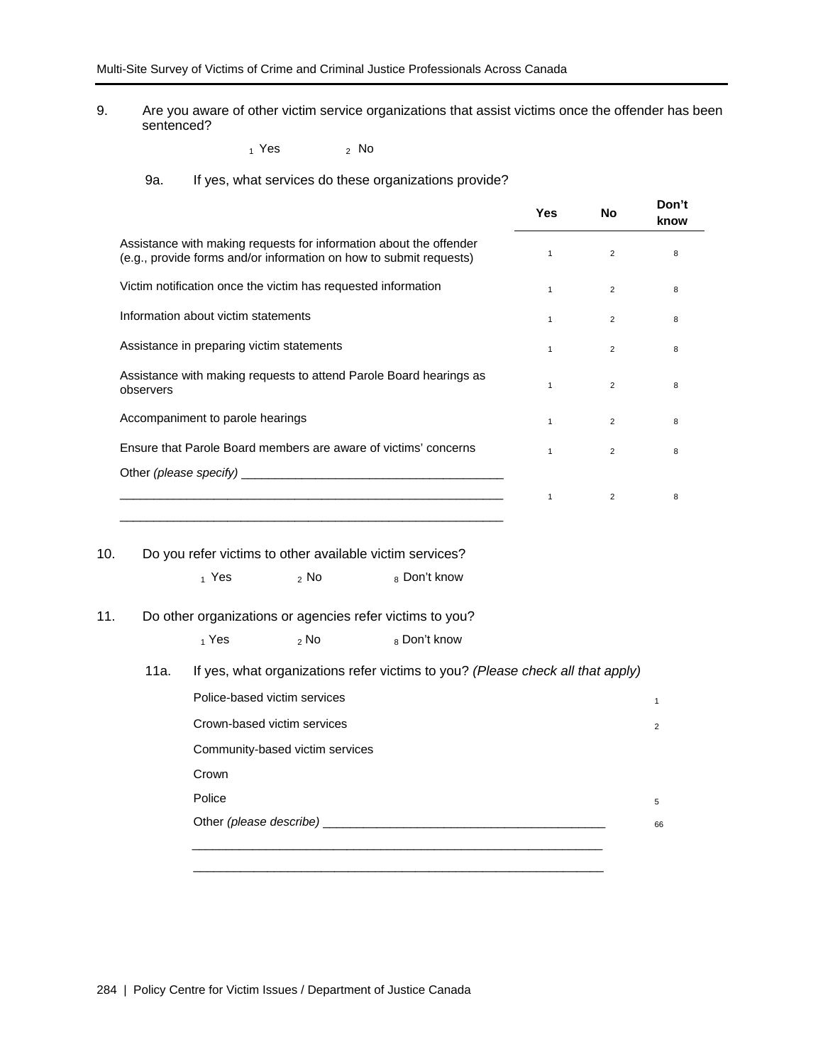9. Are you aware of other victim service organizations that assist victims once the offender has been sentenced?

 $_1$  Yes  $_2$  No

#### 9a. If yes, what services do these organizations provide?

|                                                                                                                                          | Yes          | No             | Don't<br>know |
|------------------------------------------------------------------------------------------------------------------------------------------|--------------|----------------|---------------|
| Assistance with making requests for information about the offender<br>(e.g., provide forms and/or information on how to submit requests) | 1            | $\overline{2}$ | 8             |
| Victim notification once the victim has requested information                                                                            | $\mathbf{1}$ | $\overline{2}$ | 8             |
| Information about victim statements                                                                                                      | $\mathbf{1}$ | 2              | 8             |
| Assistance in preparing victim statements                                                                                                | 1            | $\overline{2}$ | 8             |
| Assistance with making requests to attend Parole Board hearings as<br>observers                                                          | 1            | 2              | 8             |
| Accompaniment to parole hearings                                                                                                         | 1            | 2              | 8             |
| Ensure that Parole Board members are aware of victims' concerns                                                                          | $\mathbf{1}$ | $\overline{2}$ | 8             |
|                                                                                                                                          |              |                |               |
| <u> 1989 - Johann Stein, marwolaethau a bhann an t-Amhain ann an t-Amhain an t-Amhain an t-Amhain an t-Amhain an </u>                    | 1            | 2              | 8             |

#### 10. Do you refer victims to other available victim services?

| 1 Yes | $2$ No | <sub>8</sub> Don't know |
|-------|--------|-------------------------|
|       |        |                         |

#### 11. Do other organizations or agencies refer victims to you?

| 1 Yes | 2 No | <sub>8</sub> Don't know |
|-------|------|-------------------------|
|       |      |                         |

#### 11a. If yes, what organizations refer victims to you? *(Please check all that apply)*

| Police-based victim services    |  |
|---------------------------------|--|
| Crown-based victim services     |  |
| Community-based victim services |  |
| Crown                           |  |
| Police                          |  |
| Other (please describe) _______ |  |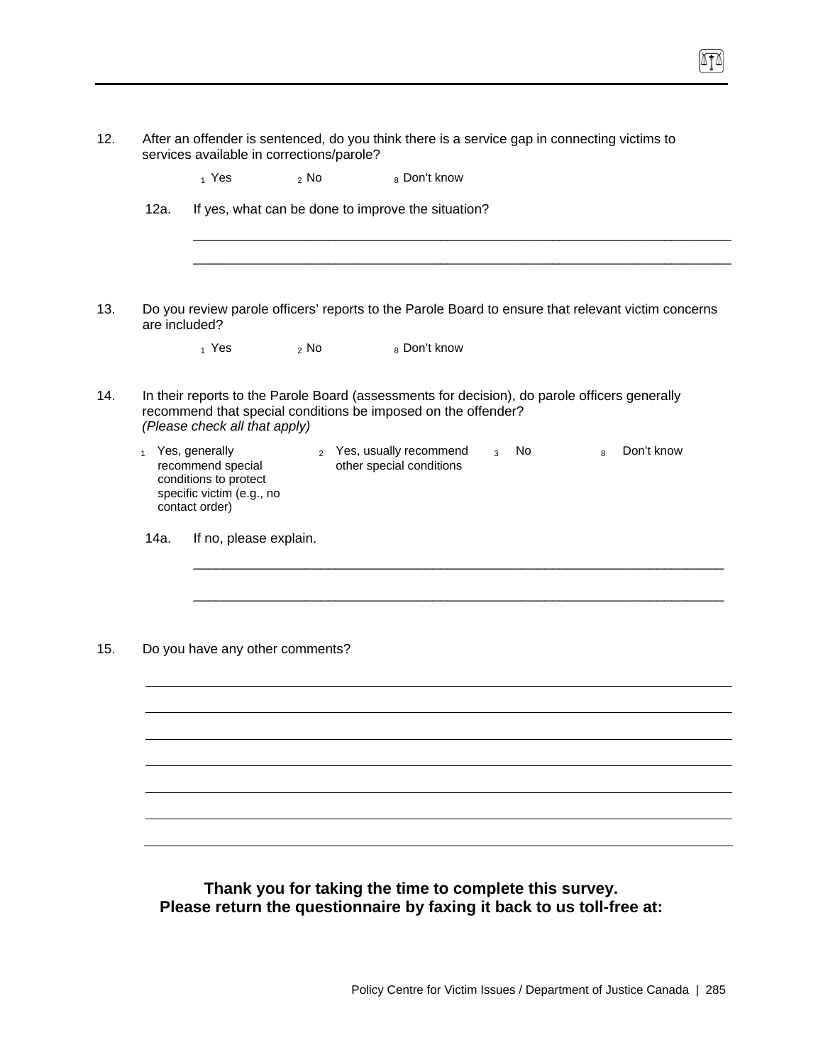|              | $_1$ Yes                                                                                                    | $2$ No                          | <sub>8</sub> Don't know                                       |                      |                                                                                                    |  |
|--------------|-------------------------------------------------------------------------------------------------------------|---------------------------------|---------------------------------------------------------------|----------------------|----------------------------------------------------------------------------------------------------|--|
| 12a.         |                                                                                                             |                                 | If yes, what can be done to improve the situation?            |                      |                                                                                                    |  |
|              |                                                                                                             |                                 |                                                               |                      |                                                                                                    |  |
|              | are included?                                                                                               |                                 |                                                               |                      | Do you review parole officers' reports to the Parole Board to ensure that relevant victim concerns |  |
|              | $_1$ Yes                                                                                                    | $2$ No                          | 8 Don't know                                                  |                      |                                                                                                    |  |
|              | (Please check all that apply)                                                                               |                                 | recommend that special conditions be imposed on the offender? |                      | In their reports to the Parole Board (assessments for decision), do parole officers generally      |  |
| $\mathbf{1}$ | Yes, generally<br>recommend special<br>conditions to protect<br>specific victim (e.g., no<br>contact order) |                                 | 2 Yes, usually recommend<br>other special conditions          | No<br>$\overline{3}$ | Don't know<br>$\mathbf{8}$                                                                         |  |
| 14a.         | If no, please explain.                                                                                      |                                 |                                                               |                      |                                                                                                    |  |
|              |                                                                                                             |                                 |                                                               |                      |                                                                                                    |  |
|              |                                                                                                             |                                 |                                                               |                      |                                                                                                    |  |
|              |                                                                                                             | Do you have any other comments? |                                                               |                      |                                                                                                    |  |
|              |                                                                                                             |                                 |                                                               |                      |                                                                                                    |  |
|              |                                                                                                             |                                 |                                                               |                      |                                                                                                    |  |
|              |                                                                                                             |                                 |                                                               |                      |                                                                                                    |  |
|              |                                                                                                             |                                 |                                                               |                      |                                                                                                    |  |
|              |                                                                                                             |                                 |                                                               |                      |                                                                                                    |  |

**Please return the questionnaire by faxing it back to us toll-free at:**

 $\boxed{1}$